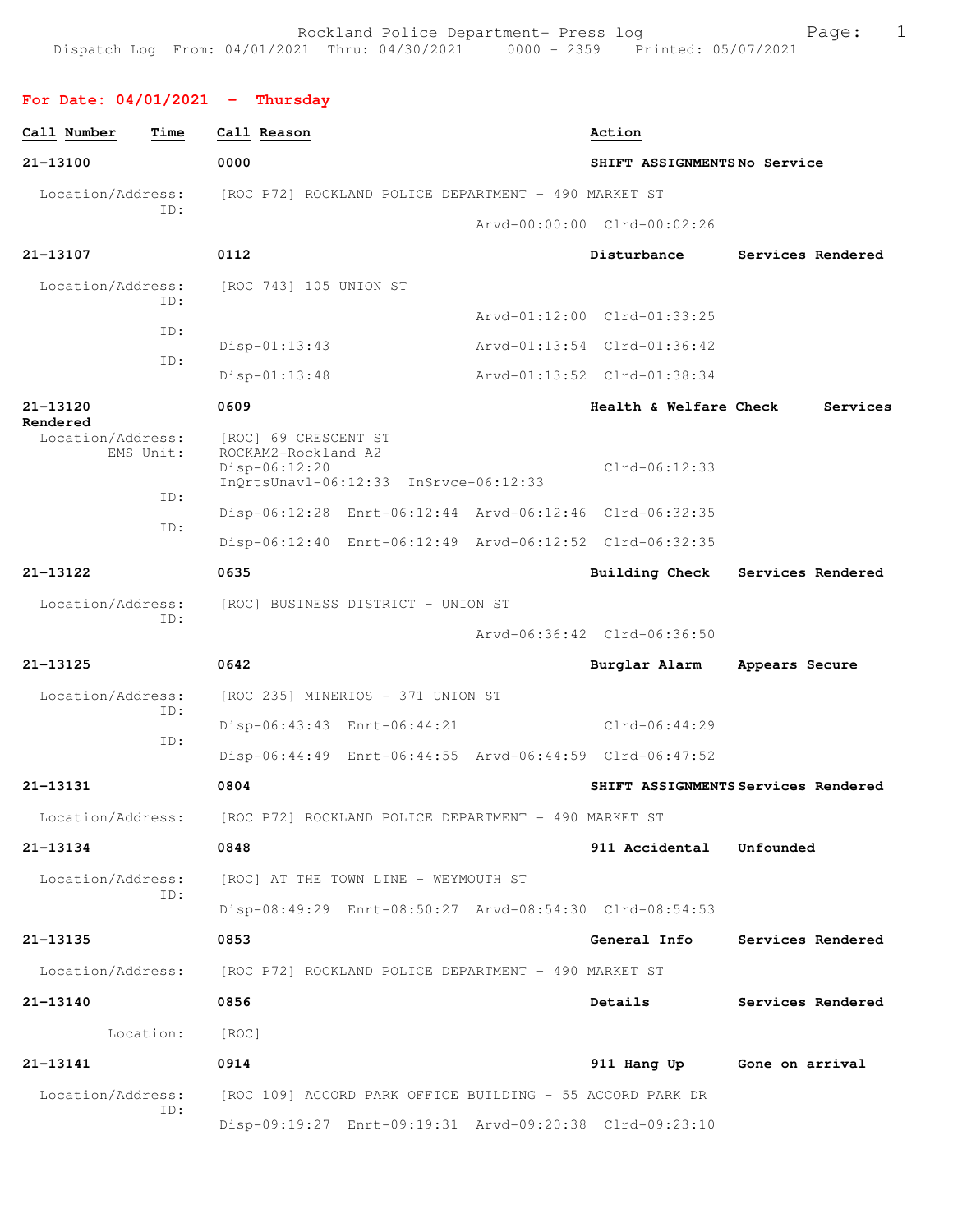**For Date: 04/01/2021 - Thursday**

| Call Number                   | Time      | Call Reason                                                            |                                                           | Action                                                  |                                     |
|-------------------------------|-----------|------------------------------------------------------------------------|-----------------------------------------------------------|---------------------------------------------------------|-------------------------------------|
| 21-13100                      |           | 0000                                                                   |                                                           | SHIFT ASSIGNMENTSNo Service                             |                                     |
| Location/Address:             |           |                                                                        | [ROC P72] ROCKLAND POLICE DEPARTMENT - 490 MARKET ST      |                                                         |                                     |
|                               | ID:       |                                                                        |                                                           | Arvd-00:00:00 Clrd-00:02:26                             |                                     |
| 21-13107                      |           | 0112                                                                   |                                                           | Disturbance                                             | Services Rendered                   |
| Location/Address:             |           | [ROC 743] 105 UNION ST                                                 |                                                           |                                                         |                                     |
|                               | TD:       |                                                                        |                                                           | Arvd-01:12:00 Clrd-01:33:25                             |                                     |
|                               | ID:       | $Disp-01:13:43$                                                        |                                                           | Arvd-01:13:54 Clrd-01:36:42                             |                                     |
|                               | ID:       | $Disp-01:13:48$                                                        |                                                           | Arvd-01:13:52 Clrd-01:38:34                             |                                     |
| 21-13120                      |           | 0609                                                                   |                                                           | Health & Welfare Check                                  | Services                            |
| Rendered<br>Location/Address: | EMS Unit: | [ROC] 69 CRESCENT ST<br>ROCKAM2-Rockland A2<br>Disp-06:12:20           | InQrtsUnavl-06:12:33 InSrvce-06:12:33                     | Clrd-06:12:33                                           |                                     |
|                               | ID:       |                                                                        |                                                           | Disp-06:12:28 Enrt-06:12:44 Arvd-06:12:46 Clrd-06:32:35 |                                     |
|                               | ID:       |                                                                        |                                                           | Disp-06:12:40 Enrt-06:12:49 Arvd-06:12:52 Clrd-06:32:35 |                                     |
| 21-13122                      |           | 0635                                                                   |                                                           | Building Check                                          | Services Rendered                   |
| Location/Address:             |           |                                                                        | [ROC] BUSINESS DISTRICT - UNION ST                        |                                                         |                                     |
|                               | ID:       |                                                                        |                                                           | Arvd-06:36:42 Clrd-06:36:50                             |                                     |
| $21 - 13125$                  |           | 0642                                                                   |                                                           | Burglar Alarm                                           | Appears Secure                      |
| Location/Address:             |           |                                                                        | [ROC 235] MINERIOS - 371 UNION ST                         |                                                         |                                     |
|                               | ID:       |                                                                        | Disp-06:43:43 Enrt-06:44:21                               | Clrd-06:44:29                                           |                                     |
|                               | ID:       |                                                                        |                                                           | Disp-06:44:49 Enrt-06:44:55 Arvd-06:44:59 Clrd-06:47:52 |                                     |
| 21-13131                      |           | 0804                                                                   |                                                           |                                                         | SHIFT ASSIGNMENTS Services Rendered |
| Location/Address:             |           | [ROC P72] ROCKLAND POLICE DEPARTMENT - 490 MARKET ST                   |                                                           |                                                         |                                     |
| 21-13134                      |           | 0848                                                                   |                                                           | 911 Accidental Unfounded                                |                                     |
| Location/Address:             |           |                                                                        | [ROC] AT THE TOWN LINE - WEYMOUTH ST                      |                                                         |                                     |
|                               | ID:       |                                                                        |                                                           | Disp-08:49:29 Enrt-08:50:27 Arvd-08:54:30 Clrd-08:54:53 |                                     |
| 21-13135                      |           | 0853                                                                   |                                                           | General Info                                            | Services Rendered                   |
|                               |           | Location/Address: [ROC P72] ROCKLAND POLICE DEPARTMENT - 490 MARKET ST |                                                           |                                                         |                                     |
| 21-13140                      |           | 0856                                                                   |                                                           | Details                                                 | Services Rendered                   |
|                               | Location: | [ROC]                                                                  |                                                           |                                                         |                                     |
| 21-13141                      |           | 0914                                                                   |                                                           | 911 Hang Up                                             | Gone on arrival                     |
| Location/Address:             |           |                                                                        | [ROC 109] ACCORD PARK OFFICE BUILDING - 55 ACCORD PARK DR |                                                         |                                     |
|                               | ID:       |                                                                        |                                                           | Disp-09:19:27 Enrt-09:19:31 Arvd-09:20:38 Clrd-09:23:10 |                                     |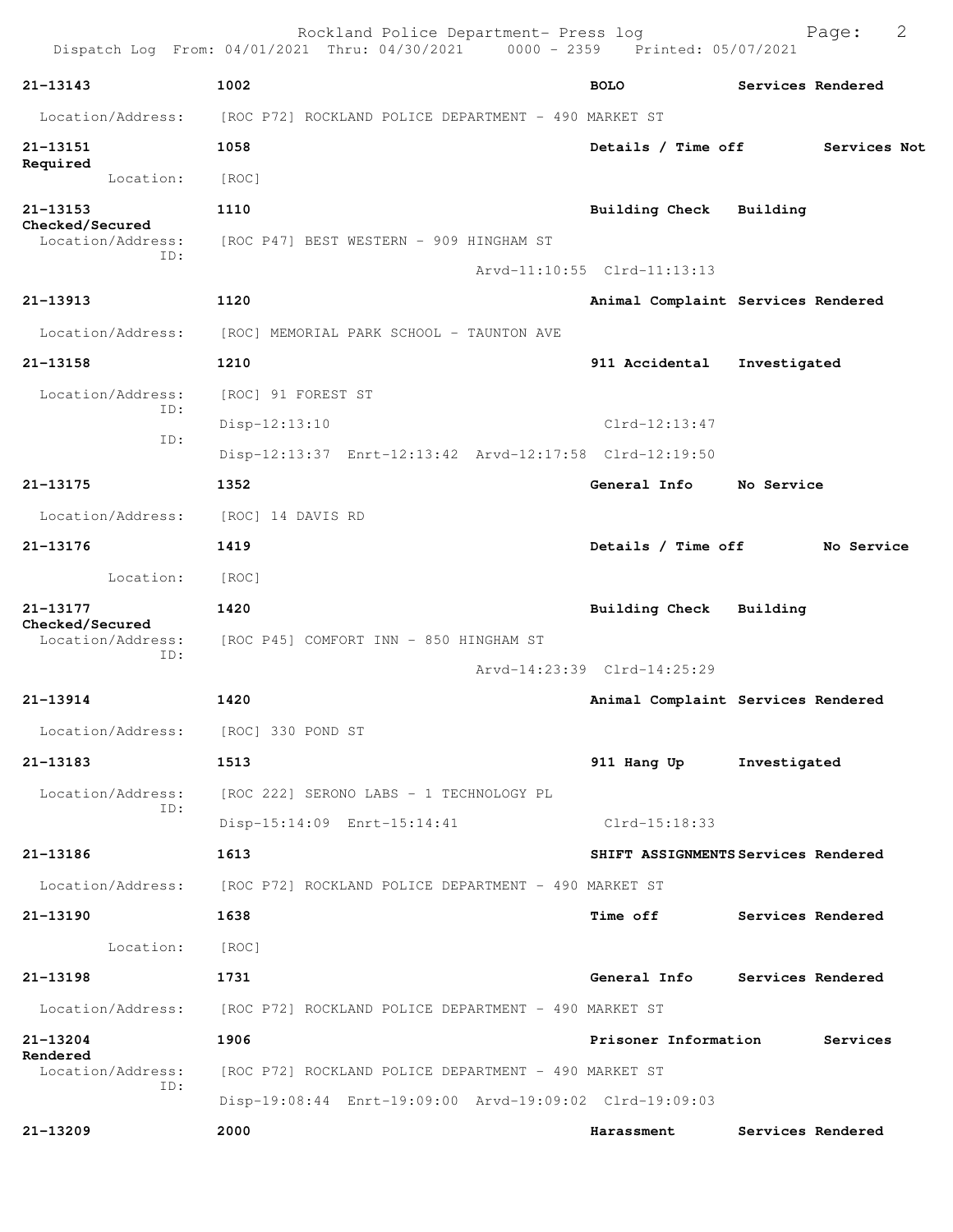|                                             | Rockland Police Department- Press log<br>Dispatch Log From: 04/01/2021 Thru: 04/30/2021 0000 - 2359 Printed: 05/07/2021 |                                     |              | Page:             | 2 |
|---------------------------------------------|-------------------------------------------------------------------------------------------------------------------------|-------------------------------------|--------------|-------------------|---|
| $21 - 13143$                                | 1002                                                                                                                    | <b>BOLO</b>                         |              | Services Rendered |   |
| Location/Address:                           | [ROC P72] ROCKLAND POLICE DEPARTMENT - 490 MARKET ST                                                                    |                                     |              |                   |   |
| 21-13151                                    | 1058                                                                                                                    | Details / Time off                  |              | Services Not      |   |
| Required<br>Location:                       | [ROC]                                                                                                                   |                                     |              |                   |   |
| 21-13153                                    | 1110                                                                                                                    | Building Check Building             |              |                   |   |
| Checked/Secured<br>Location/Address:<br>ID: | [ROC P47] BEST WESTERN - 909 HINGHAM ST                                                                                 |                                     |              |                   |   |
|                                             |                                                                                                                         | Arvd-11:10:55 Clrd-11:13:13         |              |                   |   |
| 21-13913                                    | 1120                                                                                                                    | Animal Complaint Services Rendered  |              |                   |   |
| Location/Address:                           | [ROC] MEMORIAL PARK SCHOOL - TAUNTON AVE                                                                                |                                     |              |                   |   |
| 21-13158                                    | 1210                                                                                                                    | 911 Accidental                      | Investigated |                   |   |
| Location/Address:<br>ID:                    | [ROC] 91 FOREST ST                                                                                                      |                                     |              |                   |   |
| ID:                                         | $Disp-12:13:10$                                                                                                         | $Clrd-12:13:47$                     |              |                   |   |
|                                             | Disp-12:13:37 Enrt-12:13:42 Arvd-12:17:58 Clrd-12:19:50                                                                 |                                     |              |                   |   |
| 21-13175                                    | 1352                                                                                                                    | General Info                        | No Service   |                   |   |
| Location/Address:                           | [ROC] 14 DAVIS RD                                                                                                       |                                     |              |                   |   |
| 21-13176                                    | 1419                                                                                                                    | Details / Time off                  |              | No Service        |   |
| Location:                                   | [ROC]                                                                                                                   |                                     |              |                   |   |
| 21-13177<br>Checked/Secured                 | 1420                                                                                                                    | Building Check Building             |              |                   |   |
| Location/Address:<br>ID:                    | [ROC P45] COMFORT INN - 850 HINGHAM ST                                                                                  |                                     |              |                   |   |
|                                             |                                                                                                                         | Arvd-14:23:39 Clrd-14:25:29         |              |                   |   |
| $21 - 13914$                                | 1420                                                                                                                    | Animal Complaint Services Rendered  |              |                   |   |
| Location/Address: [ROC] 330 POND ST         |                                                                                                                         |                                     |              |                   |   |
| 21-13183                                    | 1513                                                                                                                    | 911 Hang Up                         | Investigated |                   |   |
| Location/Address:<br>ID:                    | [ROC 222] SERONO LABS - 1 TECHNOLOGY PL                                                                                 |                                     |              |                   |   |
|                                             | Disp-15:14:09 Enrt-15:14:41                                                                                             | Clrd-15:18:33                       |              |                   |   |
| 21-13186                                    | 1613                                                                                                                    | SHIFT ASSIGNMENTS Services Rendered |              |                   |   |
| Location/Address:                           | [ROC P72] ROCKLAND POLICE DEPARTMENT - 490 MARKET ST                                                                    |                                     |              |                   |   |
| 21-13190                                    | 1638                                                                                                                    | Time off                            |              | Services Rendered |   |
| Location:                                   | [ROC]                                                                                                                   |                                     |              |                   |   |
| 21-13198                                    | 1731                                                                                                                    | General Info                        |              | Services Rendered |   |
| Location/Address:                           | [ROC P72] ROCKLAND POLICE DEPARTMENT - 490 MARKET ST                                                                    |                                     |              |                   |   |
| 21-13204<br>Rendered                        | 1906                                                                                                                    | Prisoner Information                |              | Services          |   |
| Location/Address:<br>ID:                    | [ROC P72] ROCKLAND POLICE DEPARTMENT - 490 MARKET ST<br>Disp-19:08:44 Enrt-19:09:00 Arvd-19:09:02 Clrd-19:09:03         |                                     |              |                   |   |
| 21-13209                                    | 2000                                                                                                                    | Harassment                          |              | Services Rendered |   |
|                                             |                                                                                                                         |                                     |              |                   |   |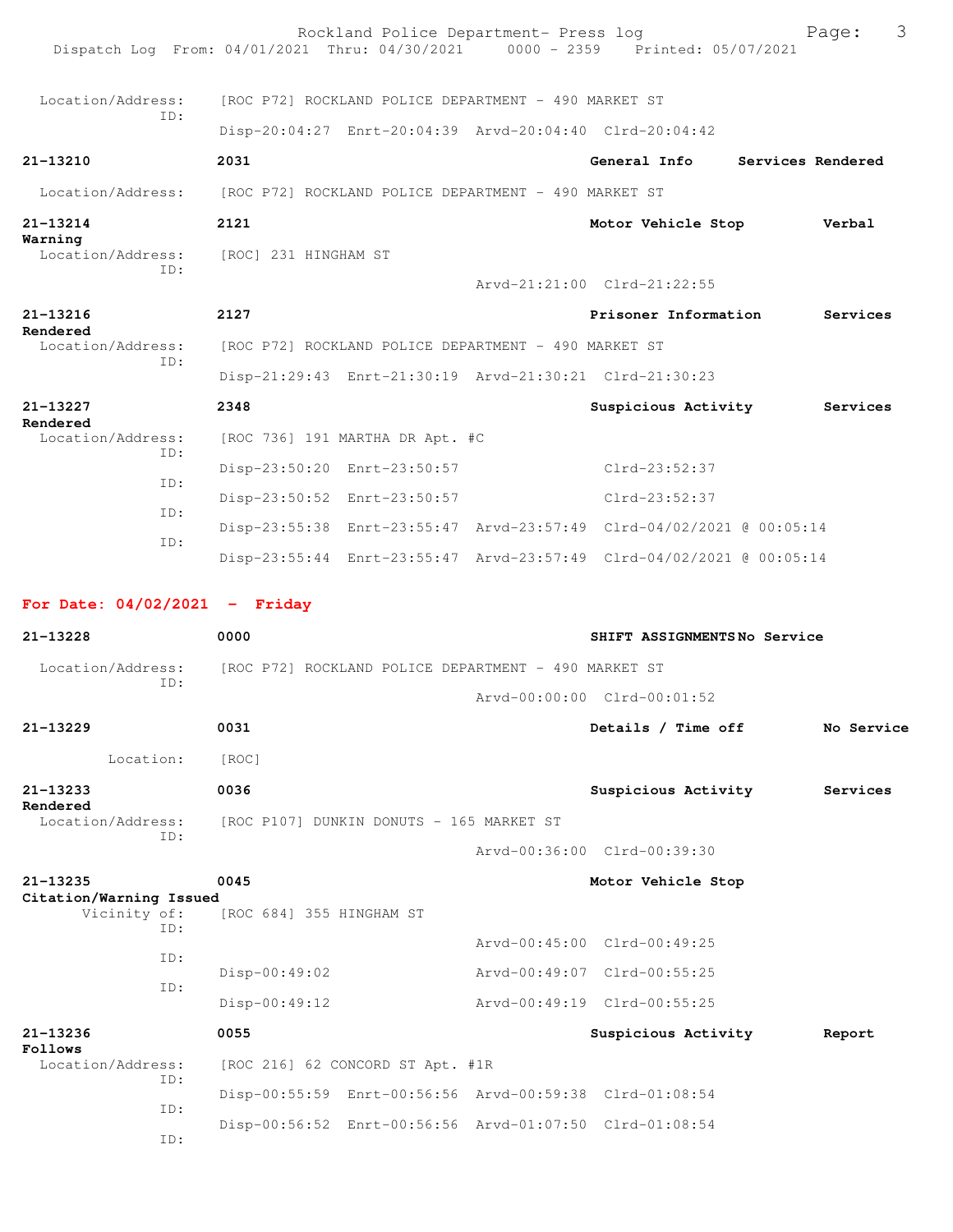| Dispatch Log From: 04/01/2021 Thru: 04/30/2021 0000 - 2359 Printed: 05/07/2021 |                                                      | Rockland Police Department- Press log                |                                                                      |                   | 3<br>Page: |
|--------------------------------------------------------------------------------|------------------------------------------------------|------------------------------------------------------|----------------------------------------------------------------------|-------------------|------------|
| Location/Address:                                                              |                                                      | [ROC P72] ROCKLAND POLICE DEPARTMENT - 490 MARKET ST |                                                                      |                   |            |
| TD:                                                                            |                                                      |                                                      | Disp-20:04:27 Enrt-20:04:39 Arvd-20:04:40 Clrd-20:04:42              |                   |            |
| $21 - 13210$                                                                   | 2031                                                 |                                                      | General Info                                                         | Services Rendered |            |
| Location/Address:                                                              | [ROC P72] ROCKLAND POLICE DEPARTMENT - 490 MARKET ST |                                                      |                                                                      |                   |            |
| 21-13214                                                                       | 2121                                                 |                                                      | Motor Vehicle Stop                                                   |                   | Verbal     |
| Warning<br>Location/Address: [ROC] 231 HINGHAM ST                              |                                                      |                                                      |                                                                      |                   |            |
| ID:                                                                            |                                                      |                                                      | Arvd-21:21:00 Clrd-21:22:55                                          |                   |            |
| 21-13216                                                                       | 2127                                                 |                                                      | Prisoner Information                                                 |                   | Services   |
| Rendered<br>Location/Address:                                                  |                                                      | [ROC P72] ROCKLAND POLICE DEPARTMENT - 490 MARKET ST |                                                                      |                   |            |
| TD:                                                                            |                                                      |                                                      | Disp-21:29:43 Enrt-21:30:19 Arvd-21:30:21 Clrd-21:30:23              |                   |            |
| 21-13227                                                                       | 2348                                                 |                                                      | Suspicious Activity                                                  |                   | Services   |
| Rendered<br>Location/Address:                                                  |                                                      | [ROC 736] 191 MARTHA DR Apt. #C                      |                                                                      |                   |            |
| TD:                                                                            |                                                      | Disp-23:50:20 Enrt-23:50:57                          | Clrd-23:52:37                                                        |                   |            |
| ID:                                                                            |                                                      | Disp-23:50:52 Enrt-23:50:57                          | Clrd-23:52:37                                                        |                   |            |
| TD:                                                                            |                                                      |                                                      | Disp-23:55:38 Enrt-23:55:47 Arvd-23:57:49 Clrd-04/02/2021 @ 00:05:14 |                   |            |
| ID:                                                                            |                                                      |                                                      | Disp-23:55:44 Enrt-23:55:47 Arvd-23:57:49 Clrd-04/02/2021 @ 00:05:14 |                   |            |
| For Date: $04/02/2021$ - Friday                                                |                                                      |                                                      |                                                                      |                   |            |
| $21 - 13228$                                                                   | 0000                                                 |                                                      | SHIFT ASSIGNMENTSNo Service                                          |                   |            |
| Location/Address:                                                              |                                                      | [ROC P72] ROCKLAND POLICE DEPARTMENT - 490 MARKET ST |                                                                      |                   |            |
| TD:                                                                            |                                                      |                                                      | Arvd-00:00:00 Clrd-00:01:52                                          |                   |            |
| 21-13229                                                                       | 0031                                                 |                                                      | Details / Time off                                                   |                   | No Service |
| Location:                                                                      | [ROC]                                                |                                                      |                                                                      |                   |            |
| 21-13233                                                                       | 0036                                                 |                                                      | Suspicious Activity                                                  |                   | Services   |
| Rendered<br>Location/Address:                                                  |                                                      | [ROC P107] DUNKIN DONUTS - 165 MARKET ST             |                                                                      |                   |            |
| ID:                                                                            |                                                      |                                                      | Arvd-00:36:00 Clrd-00:39:30                                          |                   |            |
| 21-13235                                                                       | 0045                                                 |                                                      | Motor Vehicle Stop                                                   |                   |            |
| Citation/Warning Issued<br>Vicinity of:<br>ID:                                 | [ROC 684] 355 HINGHAM ST                             |                                                      |                                                                      |                   |            |
| ID:                                                                            |                                                      |                                                      | Arvd-00:45:00 Clrd-00:49:25                                          |                   |            |
| ID:                                                                            | $Disp-00:49:02$                                      |                                                      | Arvd-00:49:07 Clrd-00:55:25                                          |                   |            |
|                                                                                | Disp-00:49:12                                        |                                                      | Arvd-00:49:19 Clrd-00:55:25                                          |                   |            |
| 21-13236<br>Follows                                                            | 0055                                                 |                                                      | Suspicious Activity                                                  |                   | Report     |
| Location/Address:<br>ID:                                                       |                                                      | [ROC 216] 62 CONCORD ST Apt. #1R                     |                                                                      |                   |            |
| ID:                                                                            |                                                      |                                                      | Disp-00:55:59 Enrt-00:56:56 Arvd-00:59:38 Clrd-01:08:54              |                   |            |
| ID:                                                                            |                                                      |                                                      | Disp-00:56:52 Enrt-00:56:56 Arvd-01:07:50 Clrd-01:08:54              |                   |            |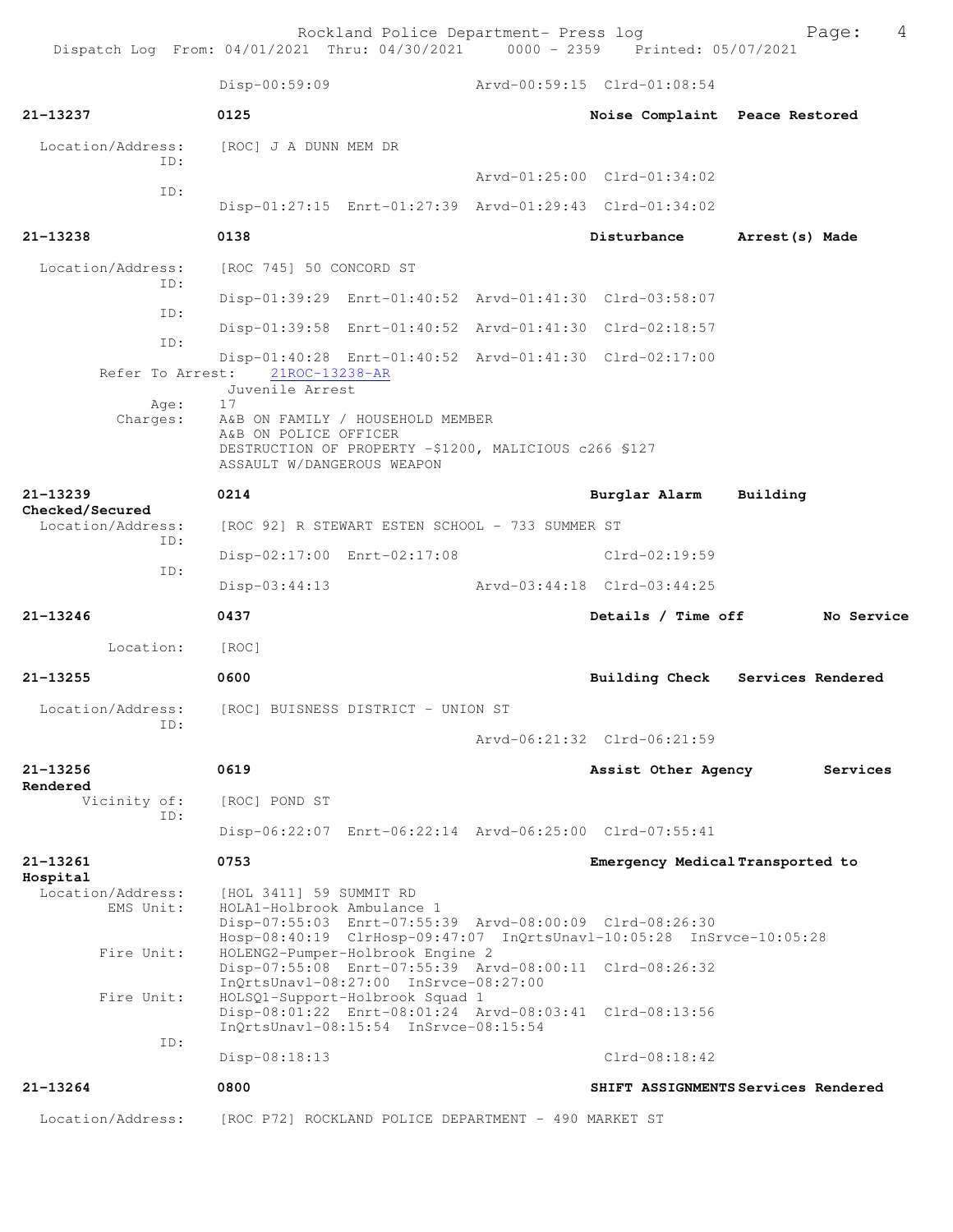Rockland Police Department- Press log entitled and Page: 4

Dispatch Log From: 04/01/2021 Thru: 04/30/2021 0000 - 2359 Printed: 05/07/2021

|                                             | Disp-00:59:09                                                                                                                                          |  | Arvd-00:59:15 Clrd-01:08:54                                                                                                     |                                     |
|---------------------------------------------|--------------------------------------------------------------------------------------------------------------------------------------------------------|--|---------------------------------------------------------------------------------------------------------------------------------|-------------------------------------|
| 21-13237                                    | 0125                                                                                                                                                   |  | Noise Complaint Peace Restored                                                                                                  |                                     |
| Location/Address:<br>ID:                    | [ROC] J A DUNN MEM DR                                                                                                                                  |  |                                                                                                                                 |                                     |
| ID:                                         |                                                                                                                                                        |  | Arvd-01:25:00 Clrd-01:34:02                                                                                                     |                                     |
|                                             |                                                                                                                                                        |  | Disp-01:27:15 Enrt-01:27:39 Arvd-01:29:43 Clrd-01:34:02                                                                         |                                     |
| $21 - 13238$                                | 0138                                                                                                                                                   |  | Disturbance                                                                                                                     | Arrest(s) Made                      |
| Location/Address:                           | [ROC 745] 50 CONCORD ST                                                                                                                                |  |                                                                                                                                 |                                     |
| ID:                                         |                                                                                                                                                        |  | Disp-01:39:29 Enrt-01:40:52 Arvd-01:41:30 Clrd-03:58:07                                                                         |                                     |
| ID:                                         |                                                                                                                                                        |  | Disp-01:39:58 Enrt-01:40:52 Arvd-01:41:30 Clrd-02:18:57                                                                         |                                     |
| ID:<br>Refer To Arrest:                     | 21ROC-13238-AR                                                                                                                                         |  | Disp-01:40:28 Enrt-01:40:52 Arvd-01:41:30 Clrd-02:17:00                                                                         |                                     |
|                                             | Juvenile Arrest                                                                                                                                        |  |                                                                                                                                 |                                     |
| Age:<br>Charges:                            | 17<br>A&B ON FAMILY / HOUSEHOLD MEMBER<br>A&B ON POLICE OFFICER<br>DESTRUCTION OF PROPERTY -\$1200, MALICIOUS c266 \$127<br>ASSAULT W/DANGEROUS WEAPON |  |                                                                                                                                 |                                     |
| 21-13239                                    | 0214                                                                                                                                                   |  | Burglar Alarm                                                                                                                   | Building                            |
| Checked/Secured<br>Location/Address:<br>ID: | [ROC 92] R STEWART ESTEN SCHOOL - 733 SUMMER ST                                                                                                        |  |                                                                                                                                 |                                     |
|                                             | Disp-02:17:00 Enrt-02:17:08                                                                                                                            |  | Clrd-02:19:59                                                                                                                   |                                     |
| ID:                                         | Disp-03:44:13                                                                                                                                          |  | Arvd-03:44:18 Clrd-03:44:25                                                                                                     |                                     |
| 21-13246                                    | 0437                                                                                                                                                   |  | Details / Time off                                                                                                              | No Service                          |
| Location:                                   | [ROC]                                                                                                                                                  |  |                                                                                                                                 |                                     |
| 21-13255                                    | 0600                                                                                                                                                   |  |                                                                                                                                 | Building Check Services Rendered    |
| Location/Address:                           | [ROC] BUISNESS DISTRICT - UNION ST                                                                                                                     |  |                                                                                                                                 |                                     |
| ID:                                         |                                                                                                                                                        |  | Arvd-06:21:32 Clrd-06:21:59                                                                                                     |                                     |
| 21-13256<br>Rendered                        | 0619                                                                                                                                                   |  | Assist Other Agency                                                                                                             | Services                            |
| Vicinity of:<br>ID:                         | [ROC] POND ST                                                                                                                                          |  |                                                                                                                                 |                                     |
|                                             |                                                                                                                                                        |  | Disp-06:22:07 Enrt-06:22:14 Arvd-06:25:00 Clrd-07:55:41                                                                         |                                     |
| $21 - 13261$<br>Hospital                    | 0753                                                                                                                                                   |  | Emergency Medical Transported to                                                                                                |                                     |
| Location/Address:<br>EMS Unit:              | [HOL 3411] 59 SUMMIT RD<br>HOLA1-Holbrook Ambulance 1                                                                                                  |  | Disp-07:55:03 Enrt-07:55:39 Arvd-08:00:09 Clrd-08:26:30                                                                         |                                     |
| Fire Unit:                                  | HOLENG2-Pumper-Holbrook Engine 2                                                                                                                       |  | Hosp-08:40:19 ClrHosp-09:47:07 InQrtsUnavl-10:05:28 InSrvce-10:05:28<br>Disp-07:55:08 Enrt-07:55:39 Arvd-08:00:11 Clrd-08:26:32 |                                     |
| Fire Unit:                                  | InQrtsUnavl-08:27:00 InSrvce-08:27:00<br>HOLSQ1-Support-Holbrook Squad 1<br>InQrtsUnavl-08:15:54 InSrvce-08:15:54                                      |  | Disp-08:01:22 Enrt-08:01:24 Arvd-08:03:41 Clrd-08:13:56                                                                         |                                     |
| ID:                                         | Disp-08:18:13                                                                                                                                          |  | $Clrd-08:18:42$                                                                                                                 |                                     |
|                                             |                                                                                                                                                        |  |                                                                                                                                 |                                     |
| 21-13264                                    | 0800                                                                                                                                                   |  |                                                                                                                                 | SHIFT ASSIGNMENTS Services Rendered |
| Location/Address:                           | [ROC P72] ROCKLAND POLICE DEPARTMENT - 490 MARKET ST                                                                                                   |  |                                                                                                                                 |                                     |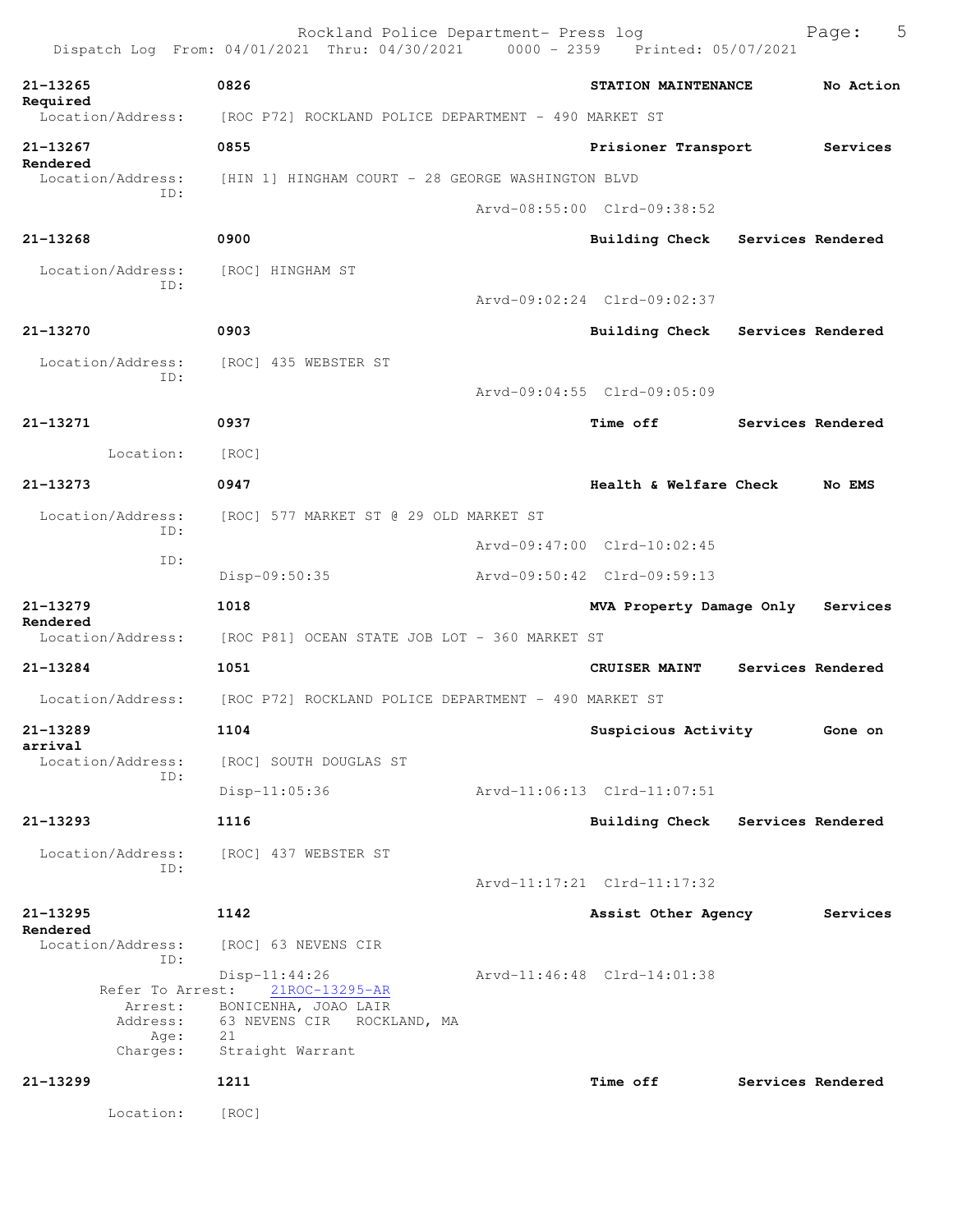|                                                             | Rockland Police Department- Press log<br>Dispatch Log From: 04/01/2021 Thru: 04/30/2021 0000 - 2359 Printed: 05/07/2021 |                             |                   | 5<br>Page:        |
|-------------------------------------------------------------|-------------------------------------------------------------------------------------------------------------------------|-----------------------------|-------------------|-------------------|
| 21-13265                                                    | 0826                                                                                                                    | STATION MAINTENANCE         |                   | No Action         |
| Required<br>Location/Address:                               | [ROC P72] ROCKLAND POLICE DEPARTMENT - 490 MARKET ST                                                                    |                             |                   |                   |
| 21-13267                                                    | 0855                                                                                                                    | Prisioner Transport         |                   | Services          |
| Rendered<br>Location/Address:                               | [HIN 1] HINGHAM COURT - 28 GEORGE WASHINGTON BLVD                                                                       |                             |                   |                   |
| ID:                                                         |                                                                                                                         | Arvd-08:55:00 Clrd-09:38:52 |                   |                   |
| $21 - 13268$                                                | 0900                                                                                                                    | Building Check              | Services Rendered |                   |
| Location/Address:                                           | [ROC] HINGHAM ST                                                                                                        |                             |                   |                   |
| ID:                                                         |                                                                                                                         | Arvd-09:02:24 Clrd-09:02:37 |                   |                   |
| 21-13270                                                    | 0903                                                                                                                    | Building Check              | Services Rendered |                   |
| Location/Address:                                           | [ROC] 435 WEBSTER ST                                                                                                    |                             |                   |                   |
| ID:                                                         |                                                                                                                         | Arvd-09:04:55 Clrd-09:05:09 |                   |                   |
| 21-13271                                                    | 0937                                                                                                                    | Time off                    |                   | Services Rendered |
| Location:                                                   | [ROC]                                                                                                                   |                             |                   |                   |
| $21 - 13273$                                                | 0947                                                                                                                    | Health & Welfare Check      |                   | No EMS            |
| Location/Address:<br>ID:                                    | [ROC] 577 MARKET ST @ 29 OLD MARKET ST                                                                                  |                             |                   |                   |
| ID:                                                         |                                                                                                                         | Arvd-09:47:00 Clrd-10:02:45 |                   |                   |
|                                                             | Disp-09:50:35                                                                                                           | Arvd-09:50:42 Clrd-09:59:13 |                   |                   |
| 21-13279<br>Rendered                                        | 1018                                                                                                                    | MVA Property Damage Only    |                   | Services          |
| Location/Address:                                           | [ROC P81] OCEAN STATE JOB LOT - 360 MARKET ST                                                                           |                             |                   |                   |
| 21-13284                                                    | 1051                                                                                                                    | CRUISER MAINT               |                   | Services Rendered |
| Location/Address:                                           | [ROC P72] ROCKLAND POLICE DEPARTMENT - 490 MARKET ST                                                                    |                             |                   |                   |
| 21-13289<br>arrival                                         | 1104                                                                                                                    | Suspicious Activity         |                   | Gone on           |
| Location/Address:<br>ID:                                    | [ROC] SOUTH DOUGLAS ST                                                                                                  |                             |                   |                   |
|                                                             | Disp-11:05:36                                                                                                           | Arvd-11:06:13 Clrd-11:07:51 |                   |                   |
| 21-13293                                                    | 1116                                                                                                                    | Building Check              | Services Rendered |                   |
| Location/Address:<br>ID:                                    | [ROC] 437 WEBSTER ST                                                                                                    |                             |                   |                   |
|                                                             |                                                                                                                         | Arvd-11:17:21 Clrd-11:17:32 |                   |                   |
| 21-13295<br>Rendered                                        | 1142                                                                                                                    | Assist Other Agency         |                   | Services          |
| Location/Address:<br>ID:                                    | [ROC] 63 NEVENS CIR                                                                                                     |                             |                   |                   |
| Refer To Arrest:<br>Arrest:<br>Address:<br>Age:<br>Charges: | $Disp-11:44:26$<br>21ROC-13295-AR<br>BONICENHA, JOAO LAIR<br>63 NEVENS CIR<br>ROCKLAND, MA<br>21<br>Straight Warrant    | Arvd-11:46:48 Clrd-14:01:38 |                   |                   |
| 21-13299                                                    | 1211                                                                                                                    | Time off                    |                   | Services Rendered |
| Location:                                                   | [ROC]                                                                                                                   |                             |                   |                   |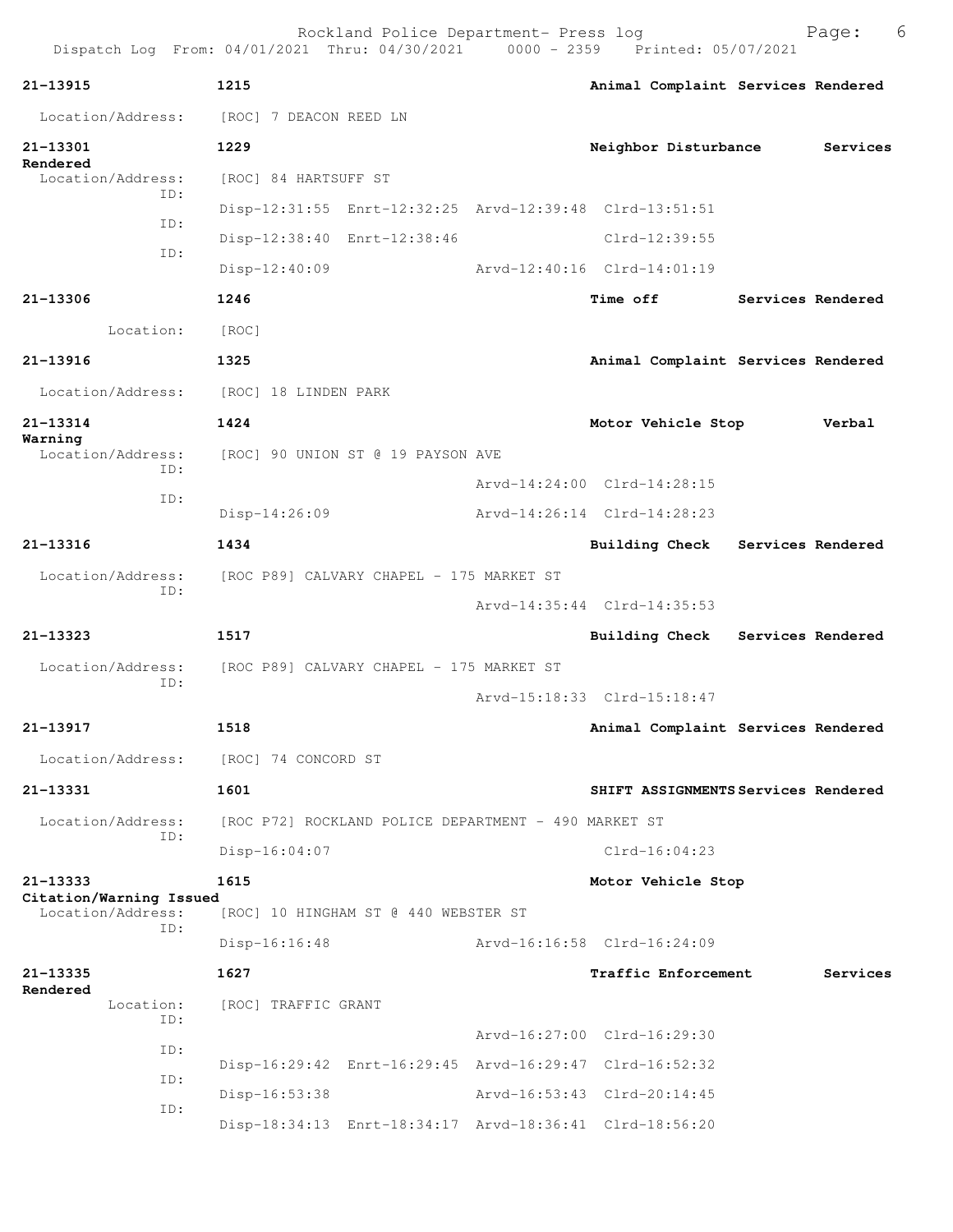|                                              | Rockland Police Department- Press log<br>Dispatch Log From: 04/01/2021 Thru: 04/30/2021 0000 - 2359 Printed: 05/07/2021 |                                     |                   | Page:             | 6 |
|----------------------------------------------|-------------------------------------------------------------------------------------------------------------------------|-------------------------------------|-------------------|-------------------|---|
| 21-13915                                     | 1215                                                                                                                    | Animal Complaint Services Rendered  |                   |                   |   |
| Location/Address:                            | [ROC] 7 DEACON REED LN                                                                                                  |                                     |                   |                   |   |
| 21-13301<br>Rendered                         | 1229                                                                                                                    | Neighbor Disturbance                |                   | Services          |   |
| Location/Address:<br>TD:                     | [ROC] 84 HARTSUFF ST                                                                                                    |                                     |                   |                   |   |
| ID:                                          | Disp-12:31:55 Enrt-12:32:25 Arvd-12:39:48 Clrd-13:51:51                                                                 |                                     |                   |                   |   |
| ID:                                          | Disp-12:38:40 Enrt-12:38:46                                                                                             | Clrd-12:39:55                       |                   |                   |   |
|                                              | $Disp-12:40:09$                                                                                                         | Arvd-12:40:16 Clrd-14:01:19         |                   |                   |   |
| 21-13306                                     | 1246                                                                                                                    | <b>Time off</b>                     |                   | Services Rendered |   |
| Location:                                    | [ROC]                                                                                                                   |                                     |                   |                   |   |
| 21-13916                                     | 1325                                                                                                                    | Animal Complaint Services Rendered  |                   |                   |   |
|                                              | Location/Address: [ROC] 18 LINDEN PARK                                                                                  |                                     |                   |                   |   |
| 21-13314<br>Warning                          | 1424                                                                                                                    | Motor Vehicle Stop                  |                   | Verbal            |   |
| Location/Address:<br>TD:                     | [ROC] 90 UNION ST @ 19 PAYSON AVE                                                                                       |                                     |                   |                   |   |
| TD:                                          |                                                                                                                         | Arvd-14:24:00 Clrd-14:28:15         |                   |                   |   |
|                                              | $Disp-14:26:09$                                                                                                         | Arvd-14:26:14 Clrd-14:28:23         |                   |                   |   |
| 21-13316                                     | 1434                                                                                                                    | <b>Building Check</b>               | Services Rendered |                   |   |
| Location/Address:                            | [ROC P89] CALVARY CHAPEL - 175 MARKET ST                                                                                |                                     |                   |                   |   |
| ID:                                          |                                                                                                                         | Arvd-14:35:44 Clrd-14:35:53         |                   |                   |   |
| $21 - 13323$                                 | 1517                                                                                                                    | Building Check Services Rendered    |                   |                   |   |
| Location/Address:                            | [ROC P89] CALVARY CHAPEL - 175 MARKET ST                                                                                |                                     |                   |                   |   |
| ID:                                          |                                                                                                                         | Arvd-15:18:33 Clrd-15:18:47         |                   |                   |   |
| 21-13917                                     | 1518                                                                                                                    | Animal Complaint Services Rendered  |                   |                   |   |
| Location/Address:                            | [ROC] 74 CONCORD ST                                                                                                     |                                     |                   |                   |   |
| 21-13331                                     | 1601                                                                                                                    | SHIFT ASSIGNMENTS Services Rendered |                   |                   |   |
| Location/Address:                            | [ROC P72] ROCKLAND POLICE DEPARTMENT - 490 MARKET ST                                                                    |                                     |                   |                   |   |
| ID:                                          | $Disp-16:04:07$                                                                                                         | $Clrd-16:04:23$                     |                   |                   |   |
| 21-13333                                     | 1615                                                                                                                    | Motor Vehicle Stop                  |                   |                   |   |
| Citation/Warning Issued<br>Location/Address: | [ROC] 10 HINGHAM ST @ 440 WEBSTER ST                                                                                    |                                     |                   |                   |   |
| TD:                                          | $Disp-16:16:48$                                                                                                         | Arvd-16:16:58 Clrd-16:24:09         |                   |                   |   |
| 21-13335                                     | 1627                                                                                                                    | Traffic Enforcement                 |                   | Services          |   |
| Rendered<br>Location:                        | [ROC] TRAFFIC GRANT                                                                                                     |                                     |                   |                   |   |
| ID:                                          |                                                                                                                         | Arvd-16:27:00 Clrd-16:29:30         |                   |                   |   |
| ID:                                          | Disp-16:29:42 Enrt-16:29:45 Arvd-16:29:47 Clrd-16:52:32                                                                 |                                     |                   |                   |   |
| ID:                                          | Disp-16:53:38                                                                                                           | Arvd-16:53:43 Clrd-20:14:45         |                   |                   |   |
| ID:                                          | Disp-18:34:13 Enrt-18:34:17 Arvd-18:36:41 Clrd-18:56:20                                                                 |                                     |                   |                   |   |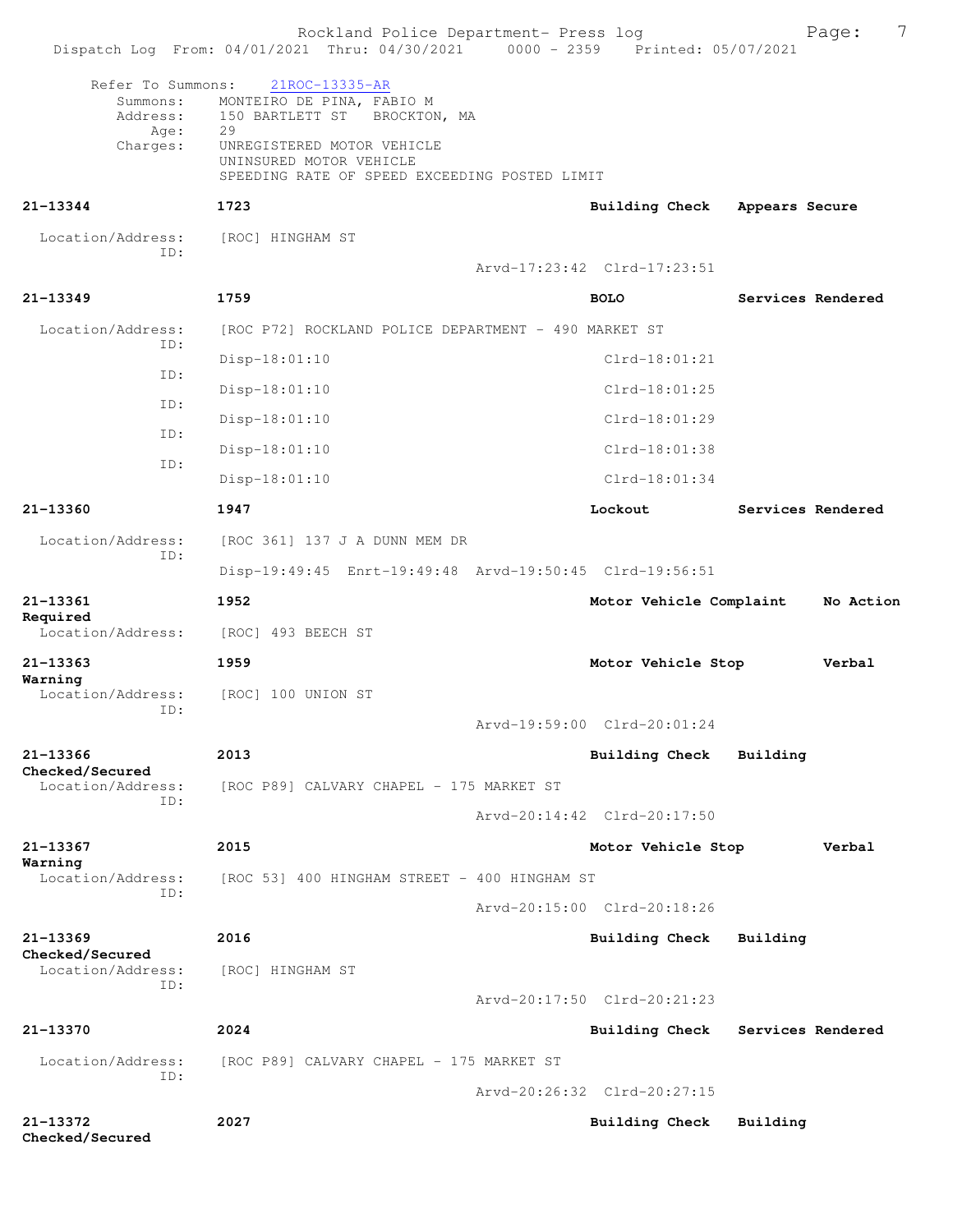|                                                   | Rockland Police Department- Press log<br>Dispatch Log From: 04/01/2021 Thru: 04/30/2021 0000 - 2359 Printed: 05/07/2021 |                             | 7<br>Page:        |
|---------------------------------------------------|-------------------------------------------------------------------------------------------------------------------------|-----------------------------|-------------------|
| Refer To Summons:<br>Summons:<br>Address:<br>Age: | 21ROC-13335-AR<br>MONTEIRO DE PINA, FABIO M<br>150 BARTLETT ST<br>BROCKTON, MA<br>29                                    |                             |                   |
| Charges:                                          | UNREGISTERED MOTOR VEHICLE<br>UNINSURED MOTOR VEHICLE<br>SPEEDING RATE OF SPEED EXCEEDING POSTED LIMIT                  |                             |                   |
| 21-13344                                          | 1723                                                                                                                    | Building Check              | Appears Secure    |
| Location/Address:                                 | [ROC] HINGHAM ST                                                                                                        |                             |                   |
| TD:                                               |                                                                                                                         | Arvd-17:23:42 Clrd-17:23:51 |                   |
| 21-13349                                          | 1759                                                                                                                    | <b>BOLO</b>                 | Services Rendered |
| Location/Address:                                 | [ROC P72] ROCKLAND POLICE DEPARTMENT - 490 MARKET ST                                                                    |                             |                   |
| ID:<br>ID:                                        | Disp-18:01:10                                                                                                           | $Clrd-18:01:21$             |                   |
| ID:                                               | $Disp-18:01:10$                                                                                                         | $Clrd-18:01:25$             |                   |
| ID:                                               | $Disp-18:01:10$                                                                                                         | Clrd-18:01:29               |                   |
| ID:                                               | Disp-18:01:10                                                                                                           | $Clrd-18:01:38$             |                   |
|                                                   | $Disp-18:01:10$                                                                                                         | $Clrd-18:01:34$             |                   |
| 21-13360                                          | 1947                                                                                                                    | Lockout                     | Services Rendered |
| Location/Address:<br>ID:                          | [ROC 361] 137 J A DUNN MEM DR                                                                                           |                             |                   |
|                                                   | Disp-19:49:45 Enrt-19:49:48 Arvd-19:50:45 Clrd-19:56:51                                                                 |                             |                   |
| 21-13361                                          | 1952                                                                                                                    | Motor Vehicle Complaint     | No Action         |
| Required<br>Location/Address:                     | [ROC] 493 BEECH ST                                                                                                      |                             |                   |
| 21-13363                                          | 1959                                                                                                                    | Motor Vehicle Stop          | Verbal            |
| Warning<br>Location/Address:                      | [ROC] 100 UNION ST                                                                                                      |                             |                   |
| ID:                                               |                                                                                                                         | Arvd-19:59:00 Clrd-20:01:24 |                   |
| 21-13366                                          | 2013                                                                                                                    | Building Check              | Building          |
| Checked/Secured<br>Location/Address:              | [ROC P89] CALVARY CHAPEL - 175 MARKET ST                                                                                |                             |                   |
| TD:                                               |                                                                                                                         | Arvd-20:14:42 Clrd-20:17:50 |                   |
| 21-13367                                          | 2015                                                                                                                    | Motor Vehicle Stop          | Verbal            |
| Warning<br>Location/Address:                      | [ROC 53] 400 HINGHAM STREET - 400 HINGHAM ST                                                                            |                             |                   |
| TD:                                               |                                                                                                                         | Arvd-20:15:00 Clrd-20:18:26 |                   |
| 21-13369                                          | 2016                                                                                                                    | <b>Building Check</b>       | Building          |
| Checked/Secured<br>Location/Address:              | [ROC] HINGHAM ST                                                                                                        |                             |                   |
| ID:                                               |                                                                                                                         | Arvd-20:17:50 Clrd-20:21:23 |                   |
| 21-13370                                          | 2024                                                                                                                    | <b>Building Check</b>       | Services Rendered |
| Location/Address:                                 | [ROC P89] CALVARY CHAPEL - 175 MARKET ST                                                                                |                             |                   |
| ID:                                               |                                                                                                                         | Arvd-20:26:32 Clrd-20:27:15 |                   |
| 21-13372<br>Checked/Secured                       | 2027                                                                                                                    | <b>Building Check</b>       | Building          |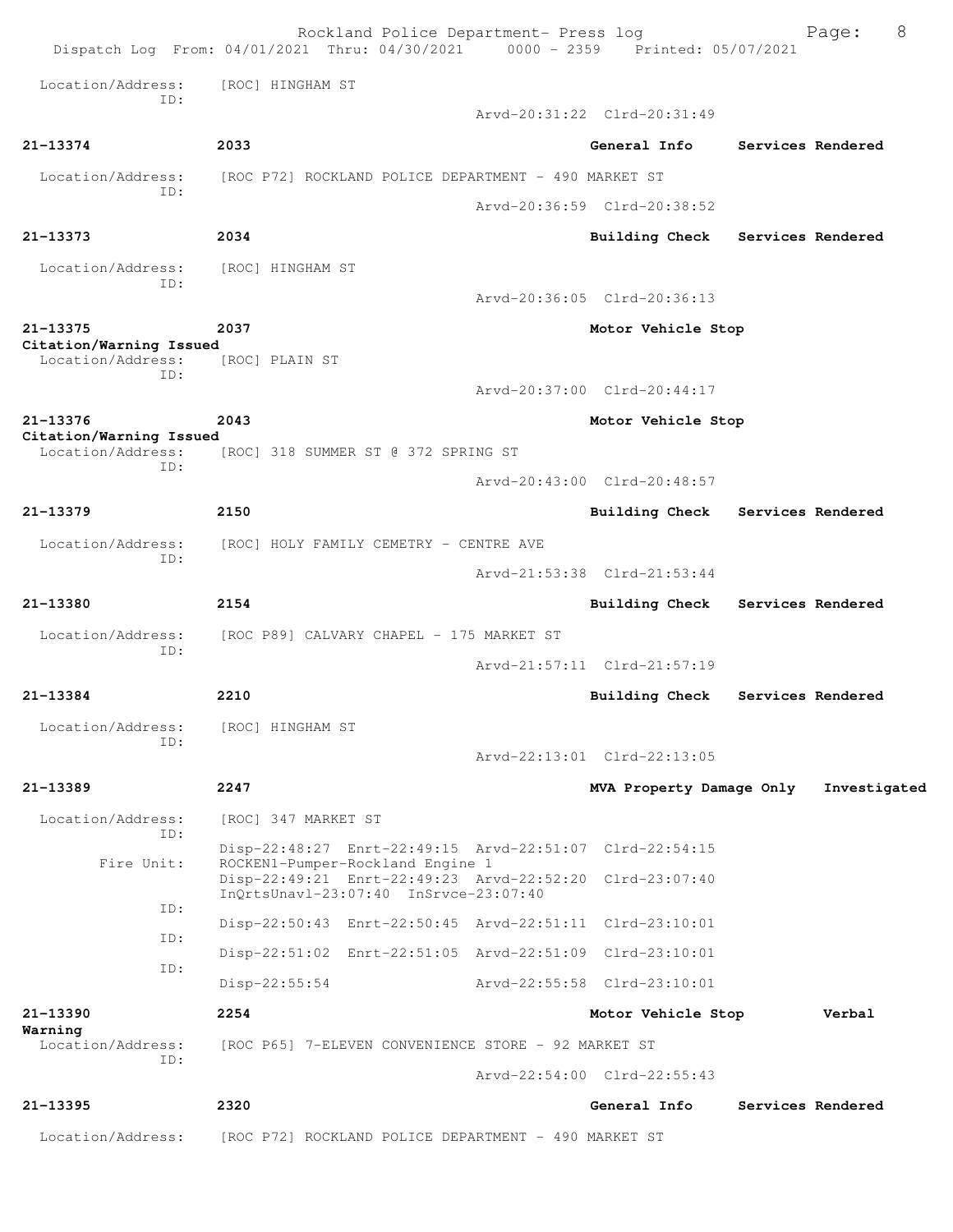| Dispatch Log From: 04/01/2021 Thru: 04/30/2021 |                                                                                                  | Rockland Police Department- Press log | 0000 - 2359 Printed: 05/07/2021 | Page:             | 8 |
|------------------------------------------------|--------------------------------------------------------------------------------------------------|---------------------------------------|---------------------------------|-------------------|---|
| Location/Address:<br>TD:                       | [ROC] HINGHAM ST                                                                                 |                                       |                                 |                   |   |
|                                                |                                                                                                  |                                       | Arvd-20:31:22 Clrd-20:31:49     |                   |   |
| 21-13374                                       | 2033                                                                                             |                                       | General Info                    | Services Rendered |   |
| Location/Address:<br>ID:                       | [ROC P72] ROCKLAND POLICE DEPARTMENT - 490 MARKET ST                                             |                                       |                                 |                   |   |
|                                                |                                                                                                  |                                       | Arvd-20:36:59 Clrd-20:38:52     |                   |   |
| 21-13373                                       | 2034                                                                                             |                                       | Building Check                  | Services Rendered |   |
| Location/Address:<br>ID:                       | [ROC] HINGHAM ST                                                                                 |                                       |                                 |                   |   |
|                                                |                                                                                                  |                                       | Arvd-20:36:05 Clrd-20:36:13     |                   |   |
| 21-13375                                       | 2037                                                                                             |                                       | Motor Vehicle Stop              |                   |   |
| Citation/Warning Issued<br>Location/Address:   | [ROC] PLAIN ST                                                                                   |                                       |                                 |                   |   |
| ID:                                            |                                                                                                  |                                       | Arvd-20:37:00 Clrd-20:44:17     |                   |   |
| 21-13376                                       | 2043                                                                                             |                                       | Motor Vehicle Stop              |                   |   |
| Citation/Warning Issued<br>Location/Address:   | [ROC] 318 SUMMER ST @ 372 SPRING ST                                                              |                                       |                                 |                   |   |
| ID:                                            |                                                                                                  |                                       | Arvd-20:43:00 Clrd-20:48:57     |                   |   |
| 21-13379                                       | 2150                                                                                             |                                       | <b>Building Check</b>           | Services Rendered |   |
| Location/Address:                              | [ROC] HOLY FAMILY CEMETRY - CENTRE AVE                                                           |                                       |                                 |                   |   |
| ID:                                            |                                                                                                  |                                       | Arvd-21:53:38 Clrd-21:53:44     |                   |   |
| 21-13380                                       | 2154                                                                                             |                                       | <b>Building Check</b>           | Services Rendered |   |
| Location/Address:                              | [ROC P89] CALVARY CHAPEL - 175 MARKET ST                                                         |                                       |                                 |                   |   |
| ID:                                            |                                                                                                  |                                       | Arvd-21:57:11 Clrd-21:57:19     |                   |   |
| 21-13384                                       | 2210                                                                                             |                                       | <b>Building Check</b>           | Services Rendered |   |
| Location/Address:                              | [ROC] HINGHAM ST                                                                                 |                                       |                                 |                   |   |
| ID:                                            |                                                                                                  |                                       | Arvd-22:13:01 Clrd-22:13:05     |                   |   |
| 21-13389                                       | 2247                                                                                             |                                       | MVA Property Damage Only        | Investigated      |   |
|                                                |                                                                                                  |                                       |                                 |                   |   |
| Location/Address:<br>ID:                       | [ROC] 347 MARKET ST                                                                              |                                       |                                 |                   |   |
| Fire Unit:                                     | Disp-22:48:27 Enrt-22:49:15 Arvd-22:51:07 Clrd-22:54:15<br>ROCKEN1-Pumper-Rockland Engine 1      |                                       |                                 |                   |   |
|                                                | Disp-22:49:21 Enrt-22:49:23 Arvd-22:52:20 Clrd-23:07:40<br>InOrtsUnavl-23:07:40 InSrvce-23:07:40 |                                       |                                 |                   |   |
| ID:                                            | Disp-22:50:43 Enrt-22:50:45 Arvd-22:51:11 Clrd-23:10:01                                          |                                       |                                 |                   |   |
| ID:                                            | Disp-22:51:02 Enrt-22:51:05 Arvd-22:51:09 Clrd-23:10:01                                          |                                       |                                 |                   |   |
| ID:                                            | $Disp-22:55:54$                                                                                  |                                       | Arvd-22:55:58 Clrd-23:10:01     |                   |   |
| 21-13390                                       | 2254                                                                                             |                                       | Motor Vehicle Stop              | Verbal            |   |
| Warning<br>Location/Address:                   | [ROC P65] 7-ELEVEN CONVENIENCE STORE - 92 MARKET ST                                              |                                       |                                 |                   |   |
| TD:                                            |                                                                                                  |                                       | Arvd-22:54:00 Clrd-22:55:43     |                   |   |
| 21-13395                                       | 2320                                                                                             |                                       | General Info                    | Services Rendered |   |
| Location/Address:                              | [ROC P72] ROCKLAND POLICE DEPARTMENT - 490 MARKET ST                                             |                                       |                                 |                   |   |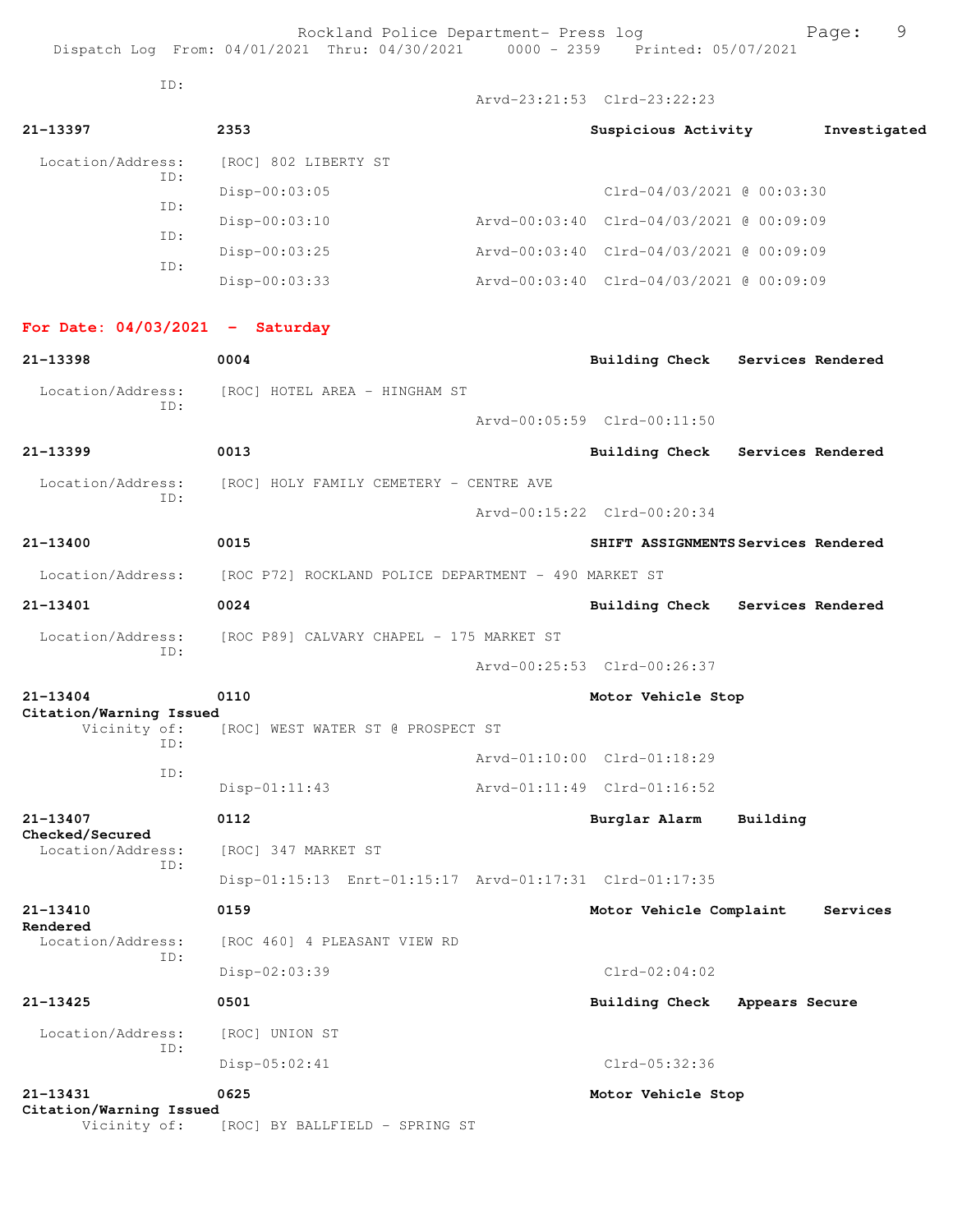Rockland Police Department- Press log Page: 9

Dispatch Log From: 04/01/2021 Thru: 04/30/2021 0000 - 2359 Printed: 05/07/2021

ID:

Arvd-23:21:53 Clrd-23:22:23

| 21-13397                 | 2353                                 | Suspicious Activity                      | Investigated      |
|--------------------------|--------------------------------------|------------------------------------------|-------------------|
| Location/Address:<br>ID: | [ROC] 802 LIBERTY ST                 |                                          |                   |
| ID:                      | $Disp-00:03:05$                      | Clrd-04/03/2021 @ 00:03:30               |                   |
| ID:                      | $Disp-00:03:10$                      | Arvd-00:03:40 Clrd-04/03/2021 @ 00:09:09 |                   |
| ID:                      | $Disp-00:03:25$                      | Arvd-00:03:40 Clrd-04/03/2021 @ 00:09:09 |                   |
|                          | $Disp-00:03:33$                      | Arvd-00:03:40 Clrd-04/03/2021 @ 00:09:09 |                   |
| For Date: 04/03/2021     | Saturday<br>$\overline{\phantom{a}}$ |                                          |                   |
| 21-13398                 | 0004                                 | Building Check                           | Services Rendered |

| Location/Address:<br>ID: |      |  | [ROC] HOTEL AREA - HINGHAM ST |                                         |                                     |                   |
|--------------------------|------|--|-------------------------------|-----------------------------------------|-------------------------------------|-------------------|
|                          |      |  |                               | Arvd-00:05:59 Clrd-00:11:50             |                                     |                   |
| $21 - 13399$             | 0013 |  |                               |                                         | Building Check                      | Services Rendered |
| Location/Address:<br>TD: |      |  |                               | [ROC] HOLY FAMILY CEMETERY - CENTRE AVE |                                     |                   |
|                          |      |  |                               | Arvd-00:15:22 Clrd-00:20:34             |                                     |                   |
| 21-13400                 | 0015 |  |                               |                                         | SHIFT ASSIGNMENTS Services Rendered |                   |

Location/Address: [ROC P72] ROCKLAND POLICE DEPARTMENT - 490 MARKET ST **21-13401 0024 Building Check Services Rendered** Location/Address: [ROC P89] CALVARY CHAPEL - 175 MARKET ST ID:

Arvd-00:25:53 Clrd-00:26:37

| 21-13404                |     | 0110                                           | Motor Vehicle Stop          |
|-------------------------|-----|------------------------------------------------|-----------------------------|
| Citation/Warning Issued |     |                                                |                             |
|                         | TD: | Vicinity of: [ROC] WEST WATER ST @ PROSPECT ST |                             |
|                         | TD: |                                                | Arvd-01:10:00 Clrd-01:18:29 |
|                         |     | $Disp-01:11:43$                                | Arvd-01:11:49 Clrd-01:16:52 |

**21-13407 0112 Burglar Alarm Building Checked/Secured**  Location/Address: [ROC] 347 MARKET ST ID:

Disp-01:15:13 Enrt-01:15:17 Arvd-01:17:31 Clrd-01:17:35

| 21-13410<br>Rendered     | 0159                         | Motor Vehicle Complaint          | Services |
|--------------------------|------------------------------|----------------------------------|----------|
| Location/Address:<br>ID: | [ROC 460] 4 PLEASANT VIEW RD |                                  |          |
|                          | $Disp-02:03:39$              | $Clrd-02:04:02$                  |          |
| 21-13425                 | 0501                         | Building Check<br>Appears Secure |          |
| Location/Address:<br>ID: | [ROC] UNION ST               |                                  |          |
|                          | Disp-05:02:41                | $Clrd-05:32:36$                  |          |

**21-13431 0625 Motor Vehicle Stop Citation/Warning Issued** 

Vicinity of: [ROC] BY BALLFIELD - SPRING ST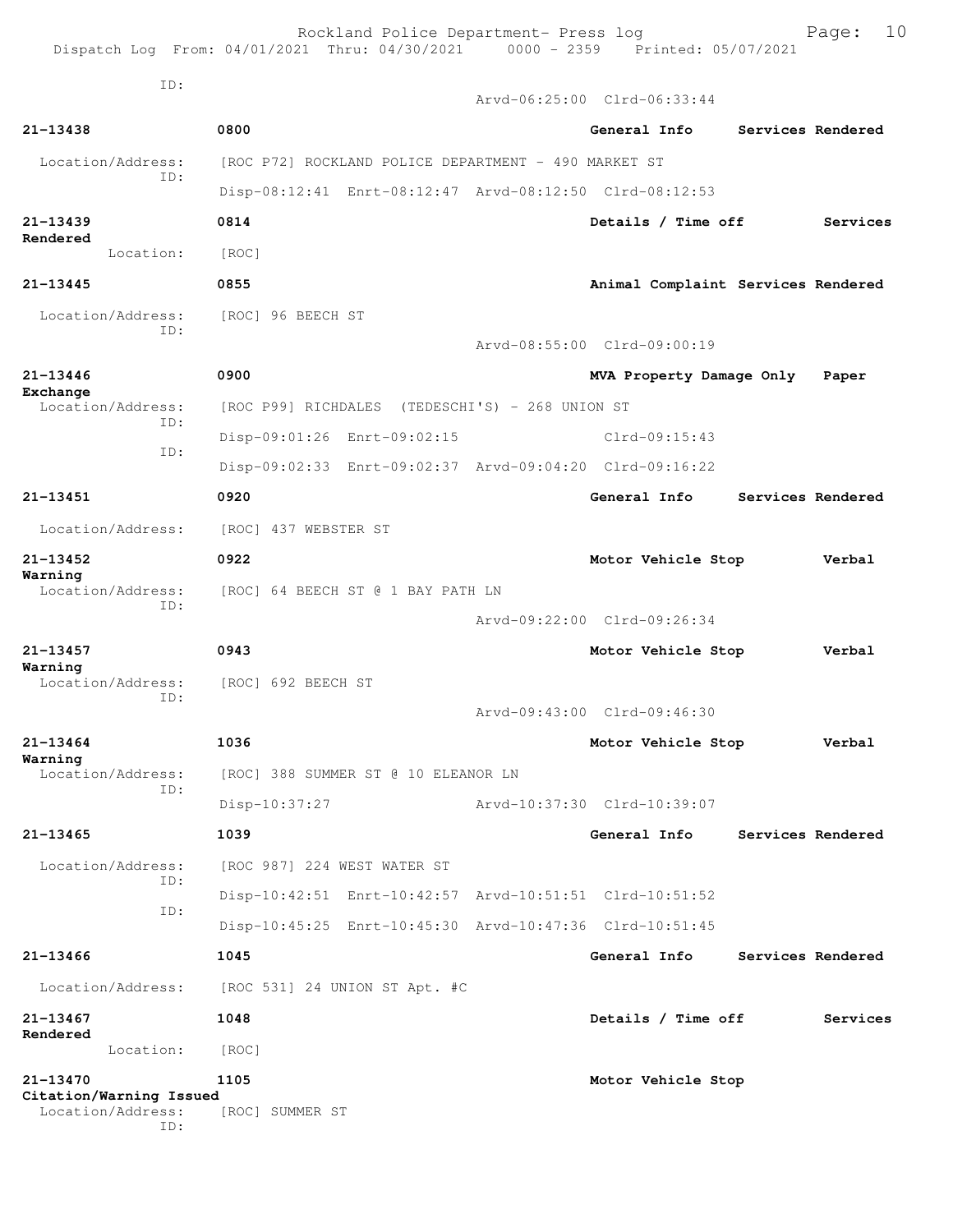Rockland Police Department- Press log entitled and Page: 10

ID:

|                                                     |                                                         |  | Arvd-06:25:00 Clrd-06:33:44        |  |                   |  |
|-----------------------------------------------------|---------------------------------------------------------|--|------------------------------------|--|-------------------|--|
| 21-13438                                            | 0800                                                    |  | General Info                       |  | Services Rendered |  |
| Location/Address:<br>TD:                            | [ROC P72] ROCKLAND POLICE DEPARTMENT - 490 MARKET ST    |  |                                    |  |                   |  |
|                                                     | Disp-08:12:41 Enrt-08:12:47 Arvd-08:12:50 Clrd-08:12:53 |  |                                    |  |                   |  |
| $21 - 13439$                                        | 0814                                                    |  | Details / Time off                 |  | Services          |  |
| Rendered<br>Location:                               | [ROC]                                                   |  |                                    |  |                   |  |
| $21 - 13445$                                        | 0855                                                    |  | Animal Complaint Services Rendered |  |                   |  |
| Location/Address:                                   | [ROC] 96 BEECH ST                                       |  |                                    |  |                   |  |
| ID:                                                 |                                                         |  | Arvd-08:55:00 Clrd-09:00:19        |  |                   |  |
| 21-13446                                            | 0900                                                    |  | MVA Property Damage Only           |  | Paper             |  |
| Exchange<br>Location/Address:                       | [ROC P99] RICHDALES (TEDESCHI'S) - 268 UNION ST         |  |                                    |  |                   |  |
| ID:                                                 | Disp-09:01:26 Enrt-09:02:15                             |  | $Clrd-09:15:43$                    |  |                   |  |
| ID:                                                 | Disp-09:02:33 Enrt-09:02:37 Arvd-09:04:20 Clrd-09:16:22 |  |                                    |  |                   |  |
| 21-13451                                            | 0920                                                    |  | General Info                       |  | Services Rendered |  |
| Location/Address:                                   | [ROC] 437 WEBSTER ST                                    |  |                                    |  |                   |  |
| 21-13452                                            | 0922                                                    |  | Motor Vehicle Stop                 |  | Verbal            |  |
| Warning<br>Location/Address:                        | [ROC] 64 BEECH ST @ 1 BAY PATH LN                       |  |                                    |  |                   |  |
| TD:                                                 |                                                         |  | Arvd-09:22:00 Clrd-09:26:34        |  |                   |  |
| 21-13457                                            | 0943                                                    |  | Motor Vehicle Stop                 |  | Verbal            |  |
| Warning<br>Location/Address:                        | [ROC] 692 BEECH ST                                      |  |                                    |  |                   |  |
| ID:                                                 |                                                         |  | Arvd-09:43:00 Clrd-09:46:30        |  |                   |  |
| $21 - 13464$                                        | 1036                                                    |  | Motor Vehicle Stop                 |  | Verbal            |  |
| Warning<br>Location/Address:                        | [ROC] 388 SUMMER ST @ 10 ELEANOR LN                     |  |                                    |  |                   |  |
| ID:                                                 | Disp-10:37:27                                           |  | Arvd-10:37:30 Clrd-10:39:07        |  |                   |  |
| 21-13465                                            | 1039                                                    |  | General Info                       |  | Services Rendered |  |
| Location/Address:                                   | [ROC 987] 224 WEST WATER ST                             |  |                                    |  |                   |  |
| ID:                                                 | Disp-10:42:51 Enrt-10:42:57 Arvd-10:51:51 Clrd-10:51:52 |  |                                    |  |                   |  |
| ID:                                                 | Disp-10:45:25 Enrt-10:45:30 Arvd-10:47:36 Clrd-10:51:45 |  |                                    |  |                   |  |
| 21-13466                                            | 1045                                                    |  | General Info                       |  | Services Rendered |  |
| Location/Address:                                   | [ROC 531] 24 UNION ST Apt. #C                           |  |                                    |  |                   |  |
| 21-13467<br>Rendered                                | 1048                                                    |  | Details / Time off                 |  | Services          |  |
| Location:                                           | [ROC]                                                   |  |                                    |  |                   |  |
| 21-13470                                            | 1105                                                    |  | Motor Vehicle Stop                 |  |                   |  |
| Citation/Warning Issued<br>Location/Address:<br>ID: | [ROC] SUMMER ST                                         |  |                                    |  |                   |  |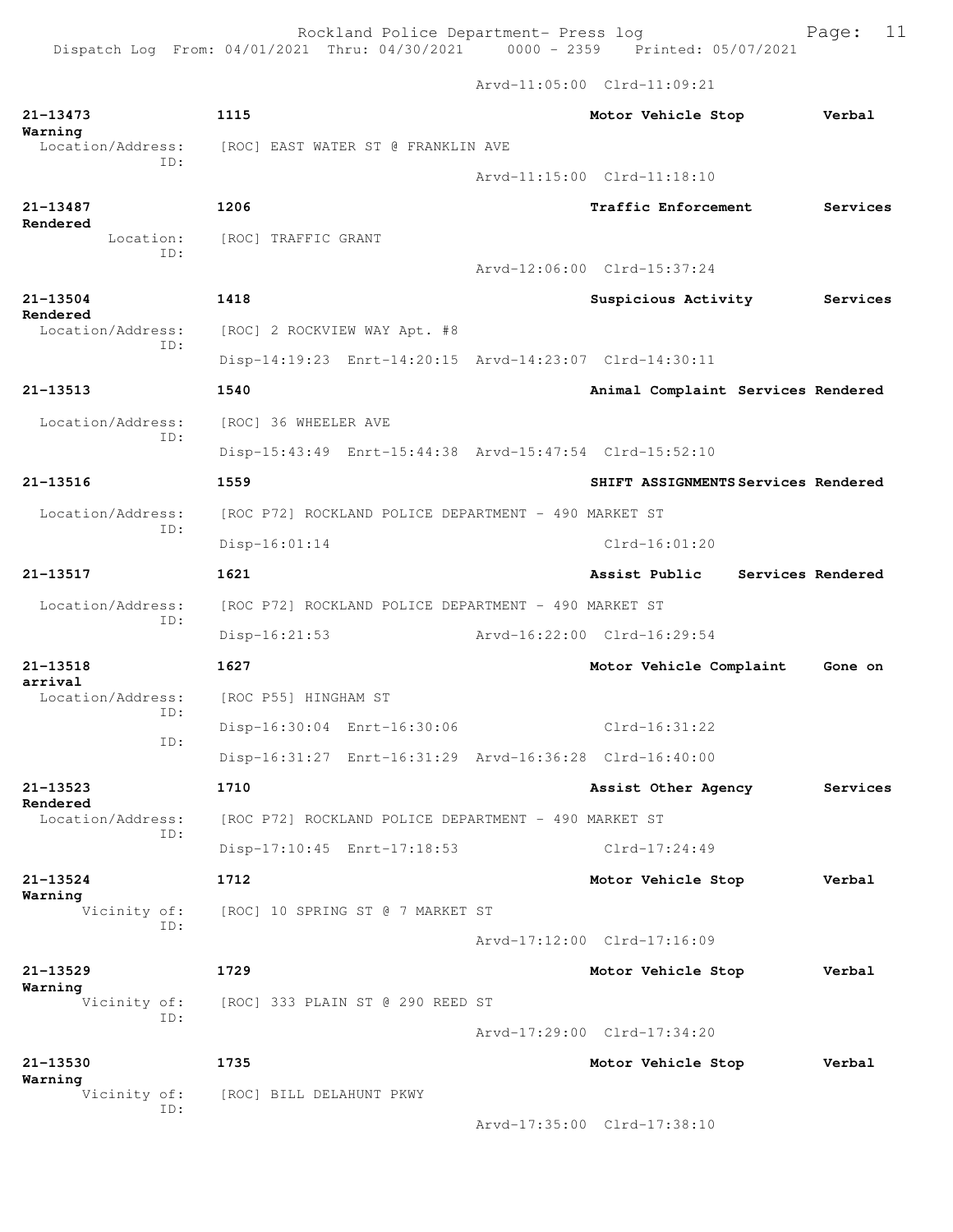Rockland Police Department- Press log entitled Page: 11

Dispatch Log From: 04/01/2021 Thru: 04/30/2021 0000 - 2359 Printed: 05/07/2021

Arvd-11:05:00 Clrd-11:09:21

| 21-13473<br>Warning           | 1115                                                    |  | Motor Vehicle Stop                  | Verbal            |  |  |
|-------------------------------|---------------------------------------------------------|--|-------------------------------------|-------------------|--|--|
| Location/Address:<br>TD:      | [ROC] EAST WATER ST @ FRANKLIN AVE                      |  |                                     |                   |  |  |
|                               |                                                         |  | Arvd-11:15:00 Clrd-11:18:10         |                   |  |  |
| 21-13487<br>Rendered          | 1206                                                    |  | Traffic Enforcement                 | Services          |  |  |
| Location:<br>TD:              | [ROC] TRAFFIC GRANT                                     |  |                                     |                   |  |  |
|                               |                                                         |  | Arvd-12:06:00 Clrd-15:37:24         |                   |  |  |
| 21-13504<br>Rendered          | 1418                                                    |  | Suspicious Activity                 | Services          |  |  |
| Location/Address:<br>TD:      | [ROC] 2 ROCKVIEW WAY Apt. #8                            |  |                                     |                   |  |  |
|                               | Disp-14:19:23 Enrt-14:20:15 Arvd-14:23:07 Clrd-14:30:11 |  |                                     |                   |  |  |
| 21-13513                      | 1540                                                    |  | Animal Complaint Services Rendered  |                   |  |  |
| Location/Address:             | [ROC] 36 WHEELER AVE                                    |  |                                     |                   |  |  |
| ID:                           | Disp-15:43:49 Enrt-15:44:38 Arvd-15:47:54 Clrd-15:52:10 |  |                                     |                   |  |  |
| $21 - 13516$                  | 1559                                                    |  | SHIFT ASSIGNMENTS Services Rendered |                   |  |  |
| Location/Address:             | [ROC P72] ROCKLAND POLICE DEPARTMENT - 490 MARKET ST    |  |                                     |                   |  |  |
| ID:                           | Disp-16:01:14                                           |  | $Clrd-16:01:20$                     |                   |  |  |
| 21-13517                      | 1621                                                    |  | Assist Public                       | Services Rendered |  |  |
| Location/Address:             | [ROC P72] ROCKLAND POLICE DEPARTMENT - 490 MARKET ST    |  |                                     |                   |  |  |
| TD:                           | $Disp-16:21:53$                                         |  | Arvd-16:22:00 Clrd-16:29:54         |                   |  |  |
| 21-13518                      | 1627                                                    |  | Motor Vehicle Complaint             | Gone on           |  |  |
| arrival<br>Location/Address:  | [ROC P55] HINGHAM ST                                    |  |                                     |                   |  |  |
| ID:                           | Disp-16:30:04 Enrt-16:30:06                             |  | $Clrd-16:31:22$                     |                   |  |  |
| ID:                           | Disp-16:31:27 Enrt-16:31:29 Arvd-16:36:28 Clrd-16:40:00 |  |                                     |                   |  |  |
| 21-13523                      | 1710                                                    |  | Assist Other Agency                 | Services          |  |  |
| Rendered<br>Location/Address: | [ROC P72] ROCKLAND POLICE DEPARTMENT - 490 MARKET ST    |  |                                     |                   |  |  |
| ID:                           | Disp-17:10:45 Enrt-17:18:53                             |  | $Clrd-17:24:49$                     |                   |  |  |
| 21-13524                      | 1712                                                    |  | Motor Vehicle Stop                  | Verbal            |  |  |
| Warning<br>Vicinity of:       | [ROC] 10 SPRING ST @ 7 MARKET ST                        |  |                                     |                   |  |  |
| ID:                           |                                                         |  | Arvd-17:12:00 Clrd-17:16:09         |                   |  |  |
| 21-13529                      | 1729                                                    |  | Motor Vehicle Stop                  | Verbal            |  |  |
| Warning<br>Vicinity of:       | [ROC] 333 PLAIN ST @ 290 REED ST                        |  |                                     |                   |  |  |
| ID:                           |                                                         |  | Arvd-17:29:00 Clrd-17:34:20         |                   |  |  |
| 21-13530                      | 1735                                                    |  | Motor Vehicle Stop                  | Verbal            |  |  |
| Warning<br>Vicinity of:       | [ROC] BILL DELAHUNT PKWY                                |  |                                     |                   |  |  |
| ID:                           |                                                         |  | Arvd-17:35:00 Clrd-17:38:10         |                   |  |  |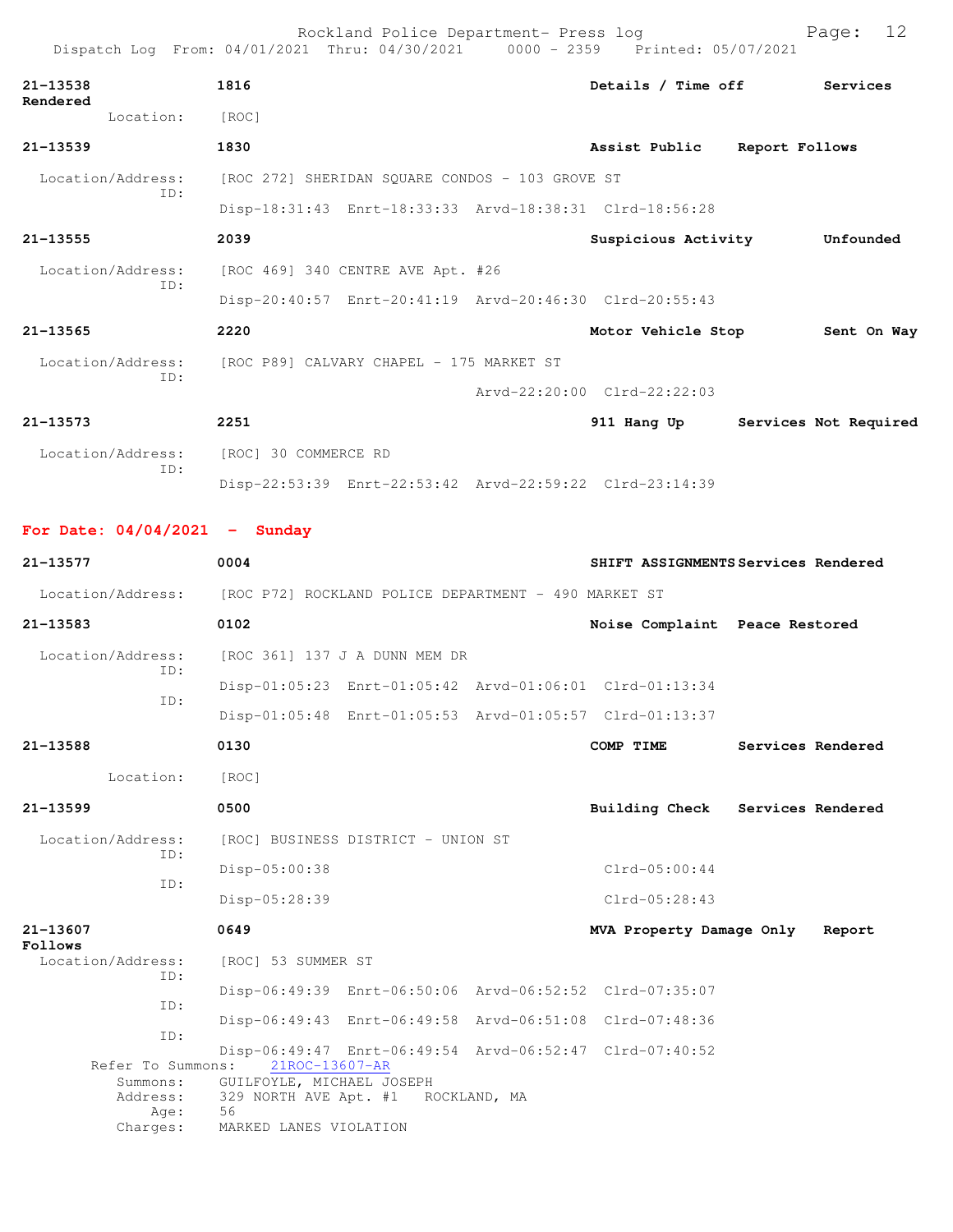|                          | Rockland Police Department- Press log<br>Dispatch Log From: 04/01/2021 Thru: 04/30/2021 0000 - 2359 Printed: 05/07/2021 |                              |                       | Page: 12    |  |
|--------------------------|-------------------------------------------------------------------------------------------------------------------------|------------------------------|-----------------------|-------------|--|
| 21-13538                 | 1816                                                                                                                    | Details / Time off Services  |                       |             |  |
| Rendered<br>Location:    | $\lceil \text{ROC} \rceil$                                                                                              |                              |                       |             |  |
| $21 - 13539$             | 1830                                                                                                                    | Assist Public Report Follows |                       |             |  |
| ID:                      | Location/Address: [ROC 272] SHERIDAN SQUARE CONDOS - 103 GROVE ST                                                       |                              |                       |             |  |
|                          | Disp-18:31:43 Enrt-18:33:33 Arvd-18:38:31 Clrd-18:56:28                                                                 |                              |                       |             |  |
| 21-13555                 | 2039                                                                                                                    | Suspicious Activity          |                       | Unfounded   |  |
| Location/Address:<br>ID: | [ROC 469] 340 CENTRE AVE Apt. #26                                                                                       |                              |                       |             |  |
|                          | Disp-20:40:57 Enrt-20:41:19 Arvd-20:46:30 Clrd-20:55:43                                                                 |                              |                       |             |  |
| $21 - 13565$             | 2220                                                                                                                    | Motor Vehicle Stop           |                       | Sent On Way |  |
| TD:                      | Location/Address: [ROC P89] CALVARY CHAPEL - 175 MARKET ST                                                              |                              |                       |             |  |
|                          |                                                                                                                         | Arvd-22:20:00 Clrd-22:22:03  |                       |             |  |
| $21 - 13573$             | 2251                                                                                                                    | 911 Hang Up                  | Services Not Required |             |  |
| TD:                      | Location/Address: [ROC] 30 COMMERCE RD                                                                                  |                              |                       |             |  |
|                          | Disp-22:53:39 Enrt-22:53:42 Arvd-22:59:22 Clrd-23:14:39                                                                 |                              |                       |             |  |
| . <i>. .</i>             |                                                                                                                         |                              |                       |             |  |

**For Date: 04/04/2021 - Sunday**

| 21-13577                                          | 0004                                                                                                                                               | SHIFT ASSIGNMENTS Services Rendered |                                |                   |
|---------------------------------------------------|----------------------------------------------------------------------------------------------------------------------------------------------------|-------------------------------------|--------------------------------|-------------------|
| Location/Address:                                 | [ROC P72] ROCKLAND POLICE DEPARTMENT - 490 MARKET ST                                                                                               |                                     |                                |                   |
| 21-13583                                          | 0102                                                                                                                                               |                                     | Noise Complaint Peace Restored |                   |
| Location/Address:<br>TD:                          | [ROC 361] 137 J A DUNN MEM DR                                                                                                                      |                                     |                                |                   |
| TD:                                               | Disp-01:05:23 Enrt-01:05:42 Arvd-01:06:01 Clrd-01:13:34                                                                                            |                                     |                                |                   |
|                                                   | Disp-01:05:48 Enrt-01:05:53 Arvd-01:05:57 Clrd-01:13:37                                                                                            |                                     |                                |                   |
| 21-13588                                          | 0130                                                                                                                                               |                                     | COMP TIME                      | Services Rendered |
| Location:                                         | [ROC]                                                                                                                                              |                                     |                                |                   |
| $21 - 13599$                                      | 0500                                                                                                                                               |                                     | Building Check                 | Services Rendered |
| Location/Address:                                 | [ROC] BUSINESS DISTRICT - UNION ST                                                                                                                 |                                     |                                |                   |
| ID:                                               | Disp-05:00:38                                                                                                                                      |                                     | $Clrd-05:00:44$                |                   |
| ID:                                               | Disp-05:28:39                                                                                                                                      |                                     | $Clrd-05:28:43$                |                   |
| 21-13607<br>Follows                               | 0649                                                                                                                                               |                                     | MVA Property Damage Only       | Report            |
| Location/Address:<br>ID:                          | [ROC] 53 SUMMER ST                                                                                                                                 |                                     |                                |                   |
| TD:                                               | Disp-06:49:39 Enrt-06:50:06 Arvd-06:52:52 Clrd-07:35:07                                                                                            |                                     |                                |                   |
| TD:                                               | Disp-06:49:43 Enrt-06:49:58 Arvd-06:51:08 Clrd-07:48:36                                                                                            |                                     |                                |                   |
| Refer To Summons:<br>Summons:<br>Address:<br>Age: | Disp-06:49:47 Enrt-06:49:54 Arvd-06:52:47 Clrd-07:40:52<br>21ROC-13607-AR<br>GUILFOYLE, MICHAEL JOSEPH<br>329 NORTH AVE Apt. #1 ROCKLAND, MA<br>56 |                                     |                                |                   |
| Charges:                                          | MARKED LANES VIOLATION                                                                                                                             |                                     |                                |                   |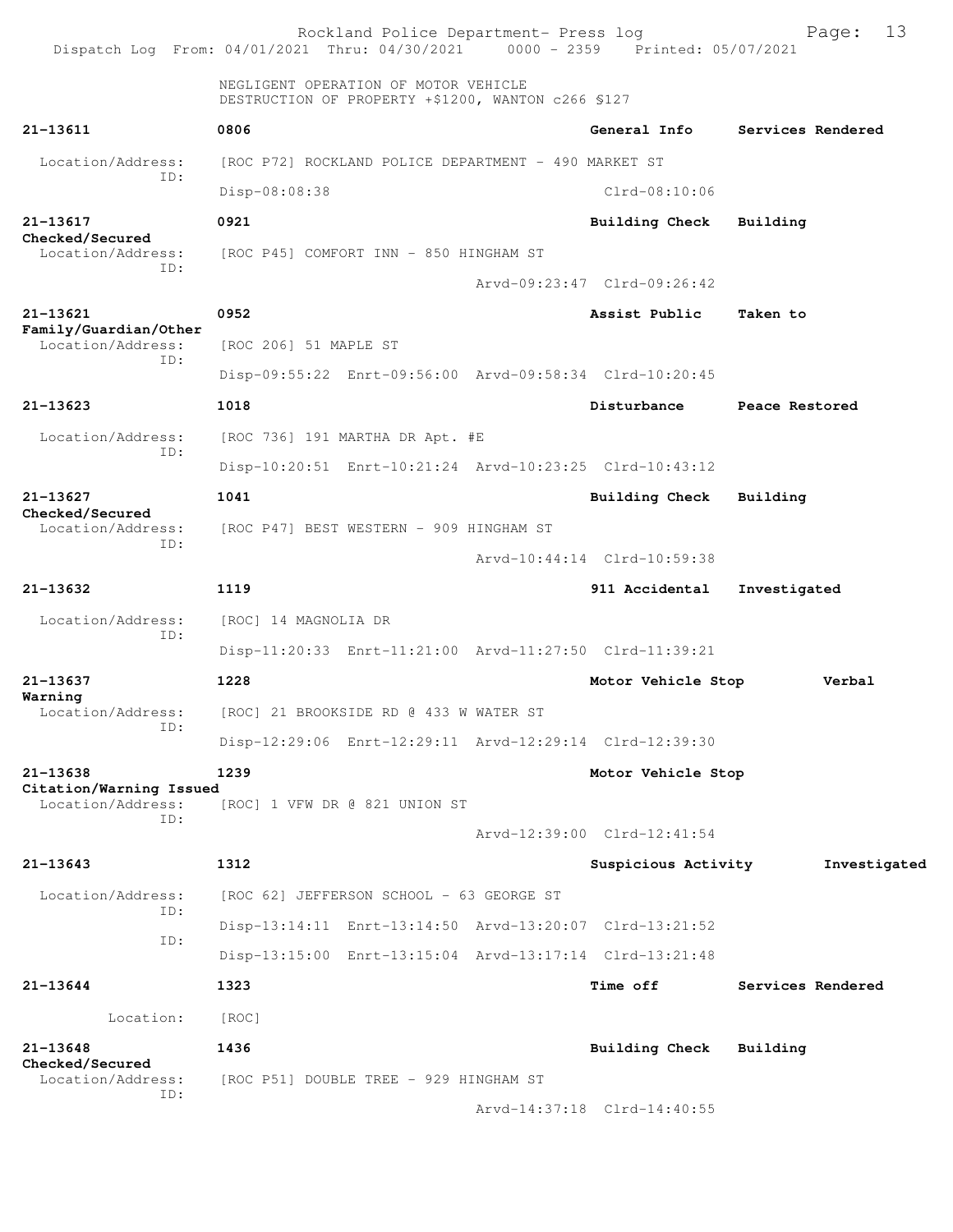Rockland Police Department- Press log Fage: 13<br>21 Thru: 04/30/2021 0000 - 2359 Printed: 05/07/2021 Dispatch Log From:  $04/01/2021$  Thru:  $04/30/2021$  NEGLIGENT OPERATION OF MOTOR VEHICLE DESTRUCTION OF PROPERTY +\$1200, WANTON c266 §127 **21-13611 0806 General Info Services Rendered** Location/Address: [ROC P72] ROCKLAND POLICE DEPARTMENT - 490 MARKET ST ID: Disp-08:08:38 Clrd-08:10:06 **21-13617 0921 Building Check Building Checked/Secured**  Location/Address: [ROC P45] COMFORT INN - 850 HINGHAM ST ID: Arvd-09:23:47 Clrd-09:26:42 **21-13621 0952 Assist Public Taken to Family/Guardian/Other**  Location/Address: [ROC 206] 51 MAPLE ST ID: Disp-09:55:22 Enrt-09:56:00 Arvd-09:58:34 Clrd-10:20:45 **21-13623 1018 Disturbance Peace Restored** Location/Address: [ROC 736] 191 MARTHA DR Apt. #E ID: Disp-10:20:51 Enrt-10:21:24 Arvd-10:23:25 Clrd-10:43:12 **21-13627 1041 Building Check Building Checked/Secured**  Location/Address: [ROC P47] BEST WESTERN - 909 HINGHAM ST ID: Arvd-10:44:14 Clrd-10:59:38 **21-13632 1119 911 Accidental Investigated** Location/Address: [ROC] 14 MAGNOLIA DR ID: Disp-11:20:33 Enrt-11:21:00 Arvd-11:27:50 Clrd-11:39:21 **21-13637 1228 Motor Vehicle Stop Verbal Warning**  Location/Address: [ROC] 21 BROOKSIDE RD @ 433 W WATER ST ID: Disp-12:29:06 Enrt-12:29:11 Arvd-12:29:14 Clrd-12:39:30 **21-13638 1239 Motor Vehicle Stop Citation/Warning Issued**  Location/Address: [ROC] 1 VFW DR @ 821 UNION ST ID: Arvd-12:39:00 Clrd-12:41:54 **21-13643 1312 Suspicious Activity Investigated** Location/Address: [ROC 62] JEFFERSON SCHOOL - 63 GEORGE ST ID: Disp-13:14:11 Enrt-13:14:50 Arvd-13:20:07 Clrd-13:21:52 ID: Disp-13:15:00 Enrt-13:15:04 Arvd-13:17:14 Clrd-13:21:48 **21-13644 1323 Time off Services Rendered** Location: [ROC] **21-13648 1436 Building Check Building Checked/Secured**  Location/Address: [ROC P51] DOUBLE TREE - 929 HINGHAM ST ID: Arvd-14:37:18 Clrd-14:40:55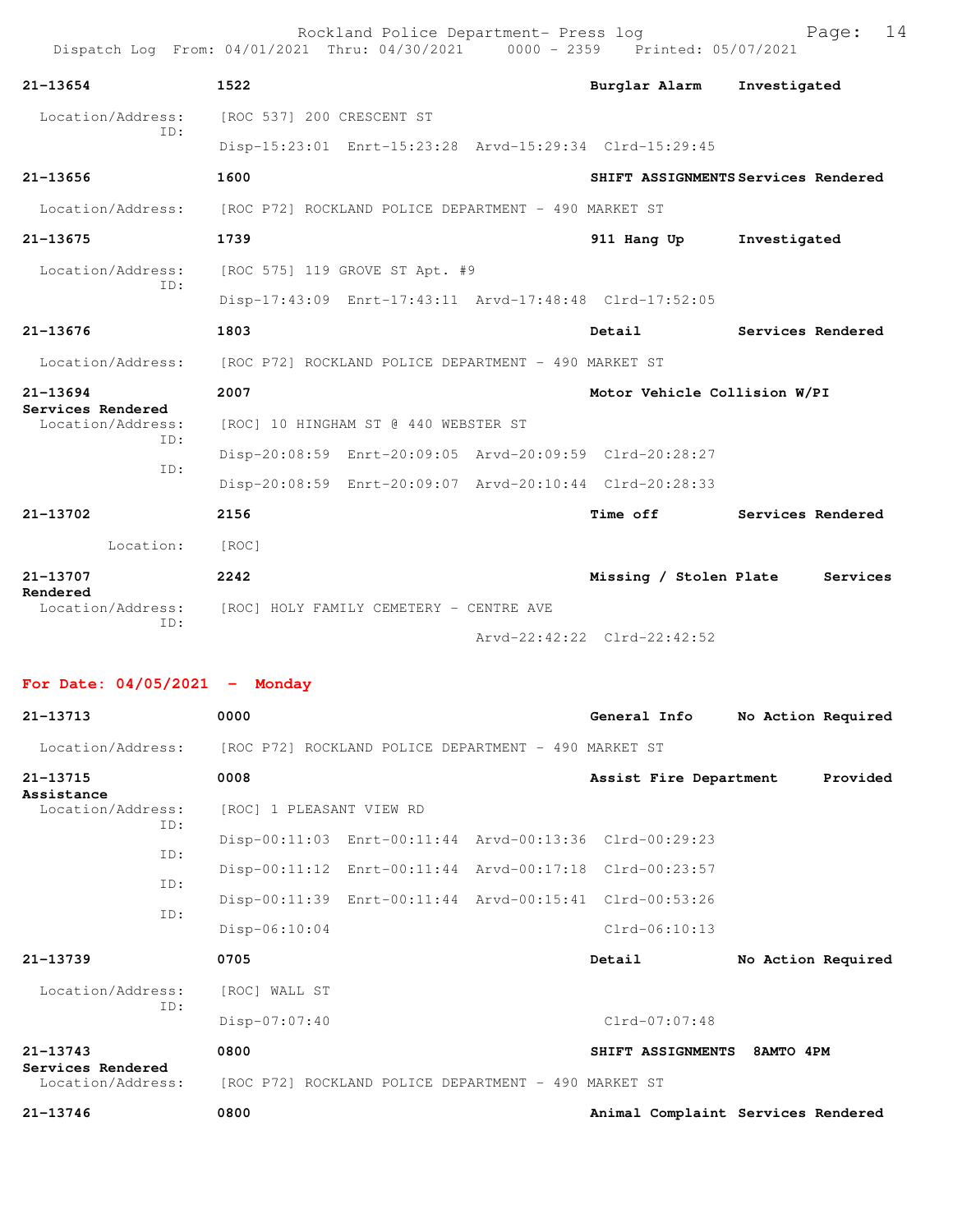|                                        | Rockland Police Department- Press log<br>Dispatch Log From: 04/01/2021 Thru: 04/30/2021 0000 - 2359 Printed: 05/07/2021 |                                     | 14<br>Page:                         |
|----------------------------------------|-------------------------------------------------------------------------------------------------------------------------|-------------------------------------|-------------------------------------|
| $21 - 13654$                           | 1522                                                                                                                    | Burglar Alarm                       | Investigated                        |
| Location/Address:<br>TD:               | [ROC 537] 200 CRESCENT ST                                                                                               |                                     |                                     |
|                                        | Disp-15:23:01 Enrt-15:23:28 Arvd-15:29:34 Clrd-15:29:45                                                                 |                                     |                                     |
| $21 - 13656$                           | 1600                                                                                                                    |                                     | SHIFT ASSIGNMENTS Services Rendered |
| Location/Address:                      | [ROC P72] ROCKLAND POLICE DEPARTMENT - 490 MARKET ST                                                                    |                                     |                                     |
| $21 - 13675$                           | 1739                                                                                                                    | 911 Hang Up                         | Investigated                        |
| Location/Address:                      | [ROC 575] 119 GROVE ST Apt. #9                                                                                          |                                     |                                     |
| TD:                                    | Disp-17:43:09 Enrt-17:43:11 Arvd-17:48:48 Clrd-17:52:05                                                                 |                                     |                                     |
| $21 - 13676$                           | 1803                                                                                                                    | Detail                              | Services Rendered                   |
| Location/Address:                      | [ROC P72] ROCKLAND POLICE DEPARTMENT - 490 MARKET ST                                                                    |                                     |                                     |
| $21 - 13694$                           | 2007                                                                                                                    | Motor Vehicle Collision W/PI        |                                     |
| Services Rendered<br>Location/Address: | [ROC] 10 HINGHAM ST @ 440 WEBSTER ST                                                                                    |                                     |                                     |
| ID:                                    | Disp-20:08:59 Enrt-20:09:05 Arvd-20:09:59 Clrd-20:28:27                                                                 |                                     |                                     |
| TD:                                    | Disp-20:08:59 Enrt-20:09:07 Arvd-20:10:44 Clrd-20:28:33                                                                 |                                     |                                     |
| 21-13702                               | 2156                                                                                                                    | Time off                            | Services Rendered                   |
| Location:                              | [ROC]                                                                                                                   |                                     |                                     |
| 21-13707                               | 2242                                                                                                                    | Missing / Stolen Plate              | Services                            |
| Rendered<br>Location/Address:          | [ROC] HOLY FAMILY CEMETERY - CENTRE AVE                                                                                 |                                     |                                     |
| ID:                                    |                                                                                                                         | $Arvd-22:42:22 \quad C1rd-22:42:52$ |                                     |

**For Date: 04/05/2021 - Monday**

| 21-13713                          | 0000                                                    | General Info<br>No Action Required |
|-----------------------------------|---------------------------------------------------------|------------------------------------|
| Location/Address:                 | [ROC P72] ROCKLAND POLICE DEPARTMENT - 490 MARKET ST    |                                    |
| 21-13715<br>Assistance            | 0008                                                    | Provided<br>Assist Fire Department |
| Location/Address:<br>ID:          | [ROC] 1 PLEASANT VIEW RD                                |                                    |
| TD:                               | Disp-00:11:03 Enrt-00:11:44 Arvd-00:13:36 Clrd-00:29:23 |                                    |
| ID:                               | Disp-00:11:12 Enrt-00:11:44 Arvd-00:17:18 Clrd-00:23:57 |                                    |
| ID:                               | Disp-00:11:39 Enrt-00:11:44 Arvd-00:15:41 Clrd-00:53:26 |                                    |
|                                   | $Disp-06:10:04$                                         | $Clrd-06:10:13$                    |
| $21 - 13739$                      | 0705                                                    | Detail<br>No Action Required       |
| Location/Address:<br>TD:          | [ROC] WALL ST                                           |                                    |
|                                   | Disp-07:07:40                                           | $Clrd-07:07:48$                    |
| $21 - 13743$<br>Services Rendered | 0800                                                    | SHIFT ASSIGNMENTS 8AMTO 4PM        |
| Location/Address:                 | [ROC P72] ROCKLAND POLICE DEPARTMENT - 490 MARKET ST    |                                    |
| $21 - 13746$                      | 0800                                                    | Animal Complaint Services Rendered |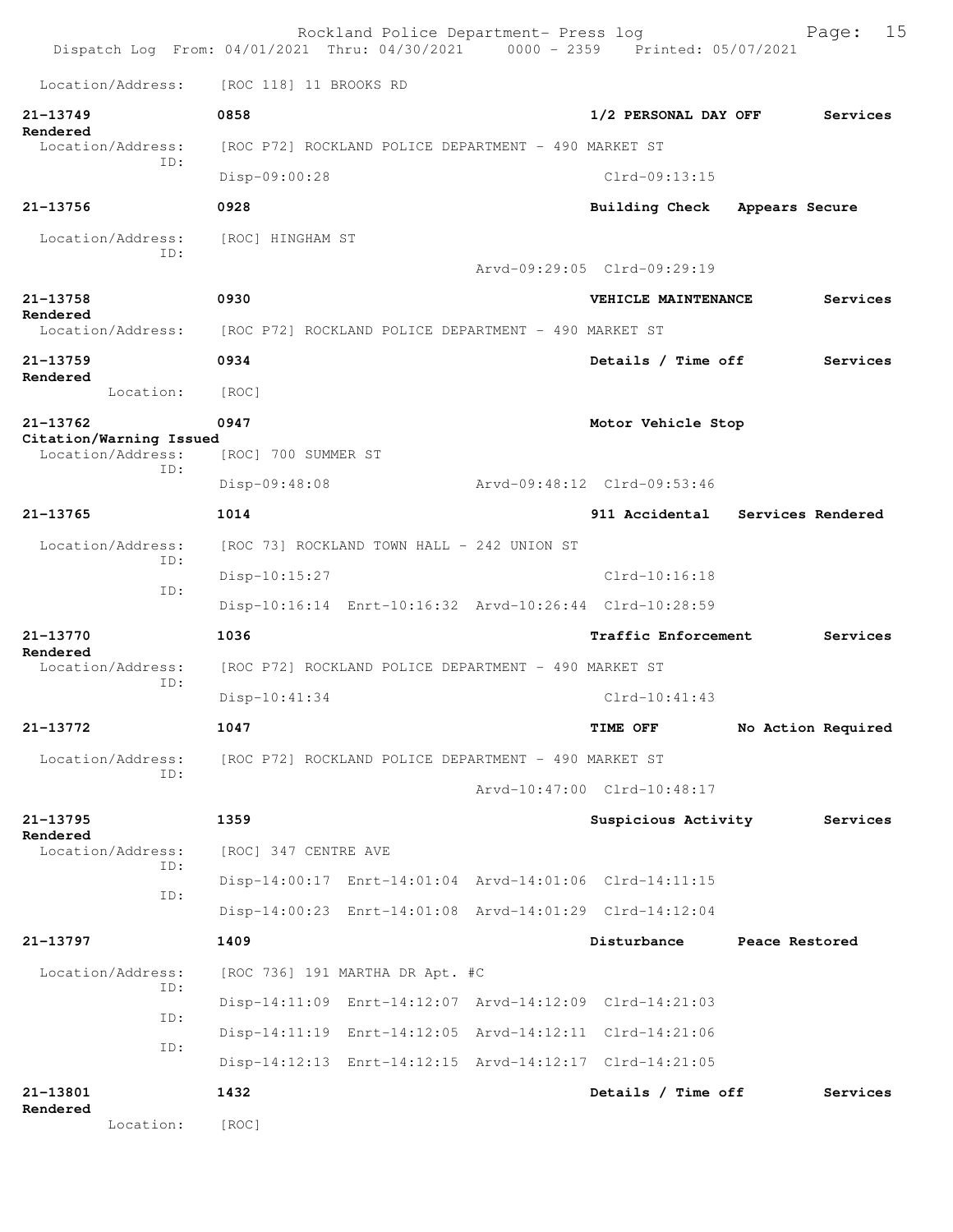|                                              | Rockland Police Department- Press log<br>Dispatch Log From: 04/01/2021 Thru: 04/30/2021 0000 - 2359 Printed: 05/07/2021 |                                         | 15<br>Page:        |
|----------------------------------------------|-------------------------------------------------------------------------------------------------------------------------|-----------------------------------------|--------------------|
| Location/Address:                            | [ROC 118] 11 BROOKS RD                                                                                                  |                                         |                    |
| 21-13749                                     | 0858                                                                                                                    | 1/2 PERSONAL DAY OFF                    | Services           |
| Rendered<br>Location/Address:                | [ROC P72] ROCKLAND POLICE DEPARTMENT - 490 MARKET ST                                                                    |                                         |                    |
| TD:                                          | Disp-09:00:28                                                                                                           | $Clrd-09:13:15$                         |                    |
| 21-13756                                     | 0928                                                                                                                    | <b>Building Check</b><br>Appears Secure |                    |
| Location/Address:                            | [ROC] HINGHAM ST                                                                                                        |                                         |                    |
| TD:                                          |                                                                                                                         | Arvd-09:29:05 Clrd-09:29:19             |                    |
| 21-13758                                     | 0930                                                                                                                    | VEHICLE MAINTENANCE                     | Services           |
| Rendered<br>Location/Address:                | [ROC P72] ROCKLAND POLICE DEPARTMENT - 490 MARKET ST                                                                    |                                         |                    |
| $21 - 13759$                                 | 0934                                                                                                                    | Details / Time off                      | Services           |
| Rendered<br>Location:                        | [ROC]                                                                                                                   |                                         |                    |
| 21-13762                                     | 0947                                                                                                                    | Motor Vehicle Stop                      |                    |
| Citation/Warning Issued<br>Location/Address: | [ROC] 700 SUMMER ST                                                                                                     |                                         |                    |
| TD:                                          | Disp-09:48:08                                                                                                           | Arvd-09:48:12 Clrd-09:53:46             |                    |
| $21 - 13765$                                 | 1014                                                                                                                    | 911 Accidental Services Rendered        |                    |
| Location/Address:                            | [ROC 73] ROCKLAND TOWN HALL - 242 UNION ST                                                                              |                                         |                    |
| TD:                                          | $Disp-10:15:27$                                                                                                         | $Clrd-10:16:18$                         |                    |
| ID:                                          | Disp-10:16:14 Enrt-10:16:32 Arvd-10:26:44 Clrd-10:28:59                                                                 |                                         |                    |
| $21 - 13770$                                 | 1036                                                                                                                    | Traffic Enforcement                     | Services           |
| Rendered<br>Location/Address:                | [ROC P72] ROCKLAND POLICE DEPARTMENT - 490 MARKET ST                                                                    |                                         |                    |
| TD:                                          | $Disp-10:41:34$                                                                                                         | $C1rd-10:41:43$                         |                    |
| 21-13772                                     | 1047                                                                                                                    | <b>TIME OFF</b>                         | No Action Required |
| Location/Address:                            | [ROC P72] ROCKLAND POLICE DEPARTMENT - 490 MARKET ST                                                                    |                                         |                    |
| ID:                                          |                                                                                                                         | Arvd-10:47:00 Clrd-10:48:17             |                    |
| 21-13795                                     | 1359                                                                                                                    | Suspicious Activity                     | Services           |
| Rendered<br>Location/Address:                | [ROC] 347 CENTRE AVE                                                                                                    |                                         |                    |
| ID:                                          | Disp-14:00:17 Enrt-14:01:04 Arvd-14:01:06 Clrd-14:11:15                                                                 |                                         |                    |
| ID:                                          | Disp-14:00:23 Enrt-14:01:08 Arvd-14:01:29 Clrd-14:12:04                                                                 |                                         |                    |
| 21-13797                                     | 1409                                                                                                                    | Disturbance                             | Peace Restored     |
|                                              |                                                                                                                         |                                         |                    |
| Location/Address:<br>ID:                     | [ROC 736] 191 MARTHA DR Apt. #C                                                                                         |                                         |                    |
| ID:                                          | Disp-14:11:09 Enrt-14:12:07 Arvd-14:12:09 Clrd-14:21:03                                                                 |                                         |                    |
| ID:                                          | Disp-14:11:19 Enrt-14:12:05 Arvd-14:12:11 Clrd-14:21:06<br>Disp-14:12:13 Enrt-14:12:15 Arvd-14:12:17 Clrd-14:21:05      |                                         |                    |
| 21-13801                                     | 1432                                                                                                                    | Details / Time off                      | Services           |
| Rendered                                     |                                                                                                                         |                                         |                    |
| Location:                                    | [ROC]                                                                                                                   |                                         |                    |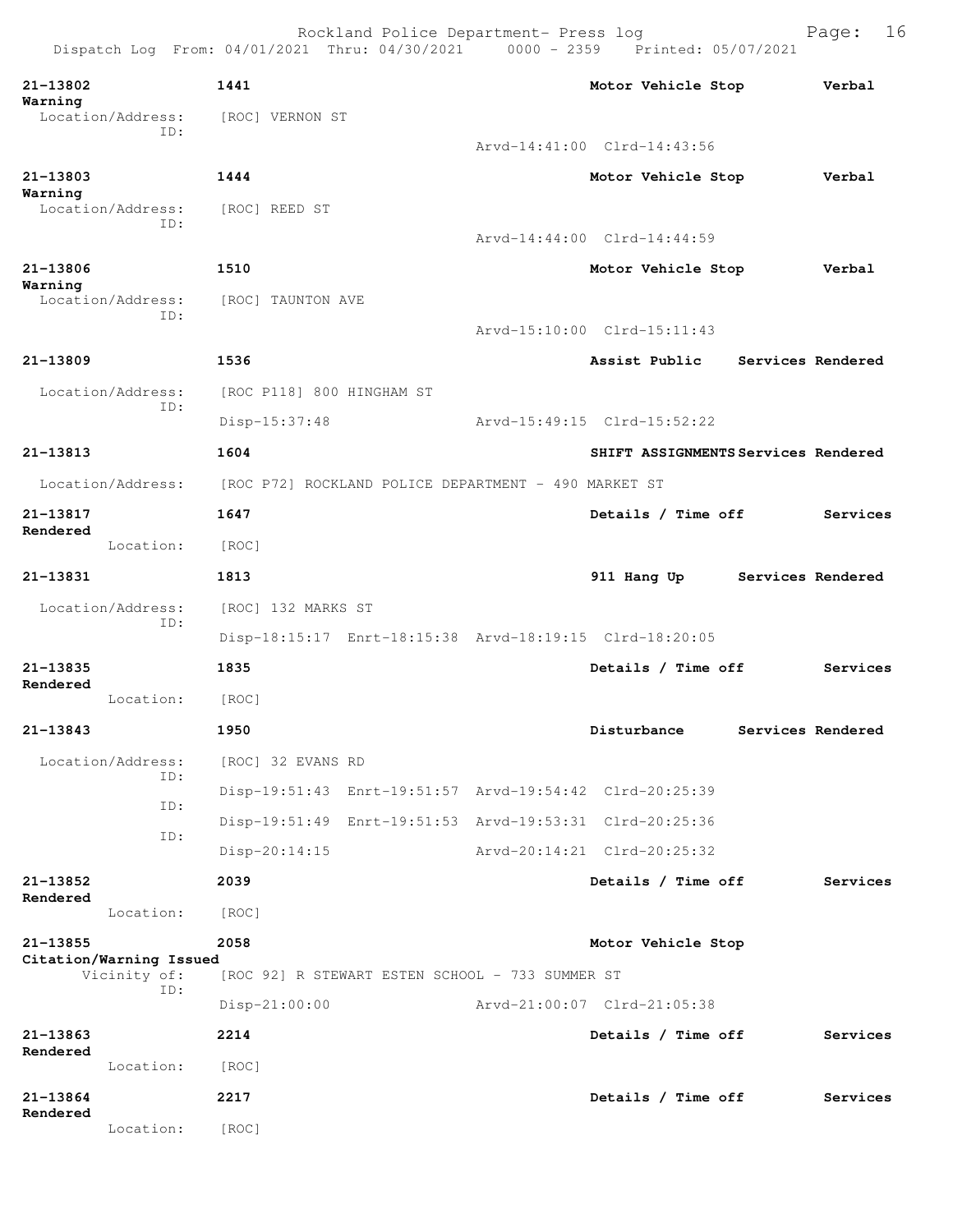Dispatch Log From: 04/01/2021 Thru: 04/30/2021 0000 - 2359 Printed: 05/07/2021 **21-13802 1441 Motor Vehicle Stop Verbal Warning**  Location/Address: [ROC] VERNON ST ID: Arvd-14:41:00 Clrd-14:43:56 **21-13803 1444 Motor Vehicle Stop Verbal Warning**  Location/Address: [ROC] REED ST ID: Arvd-14:44:00 Clrd-14:44:59 **21-13806 1510 Motor Vehicle Stop Verbal Warning**  Location/Address: [ROC] TAUNTON AVE ID: Arvd-15:10:00 Clrd-15:11:43 **21-13809 1536 Assist Public Services Rendered** Location/Address: [ROC P118] 800 HINGHAM ST ID: Disp-15:37:48 Arvd-15:49:15 Clrd-15:52:22 **21-13813 1604 SHIFT ASSIGNMENTS Services Rendered** Location/Address: [ROC P72] ROCKLAND POLICE DEPARTMENT - 490 MARKET ST **21-13817 1647 Details / Time off Services Rendered**  Location: [ROC] **21-13831 1813 911 Hang Up Services Rendered** Location/Address: [ROC] 132 MARKS ST ID: Disp-18:15:17 Enrt-18:15:38 Arvd-18:19:15 Clrd-18:20:05 **21-13835 1835 Details / Time off Services Rendered**  Location: [ROC] **21-13843 1950 Disturbance Services Rendered** Location/Address: [ROC] 32 EVANS RD ID: Disp-19:51:43 Enrt-19:51:57 Arvd-19:54:42 Clrd-20:25:39 ID: Disp-19:51:49 Enrt-19:51:53 Arvd-19:53:31 Clrd-20:25:36 ID: Disp-20:14:15 Arvd-20:14:21 Clrd-20:25:32 **21-13852 2039 Details / Time off Services Rendered**  Location: [ROC] **21-13855 2058 Motor Vehicle Stop Citation/Warning Issued**  Vicinity of: [ROC 92] R STEWART ESTEN SCHOOL - 733 SUMMER ST ID: Disp-21:00:00 Arvd-21:00:07 Clrd-21:05:38 **21-13863 2214 Details / Time off Services Rendered**  Location: [ROC] **21-13864 2217 Details / Time off Services Rendered**  Location: [ROC]

Rockland Police Department- Press log Page: 16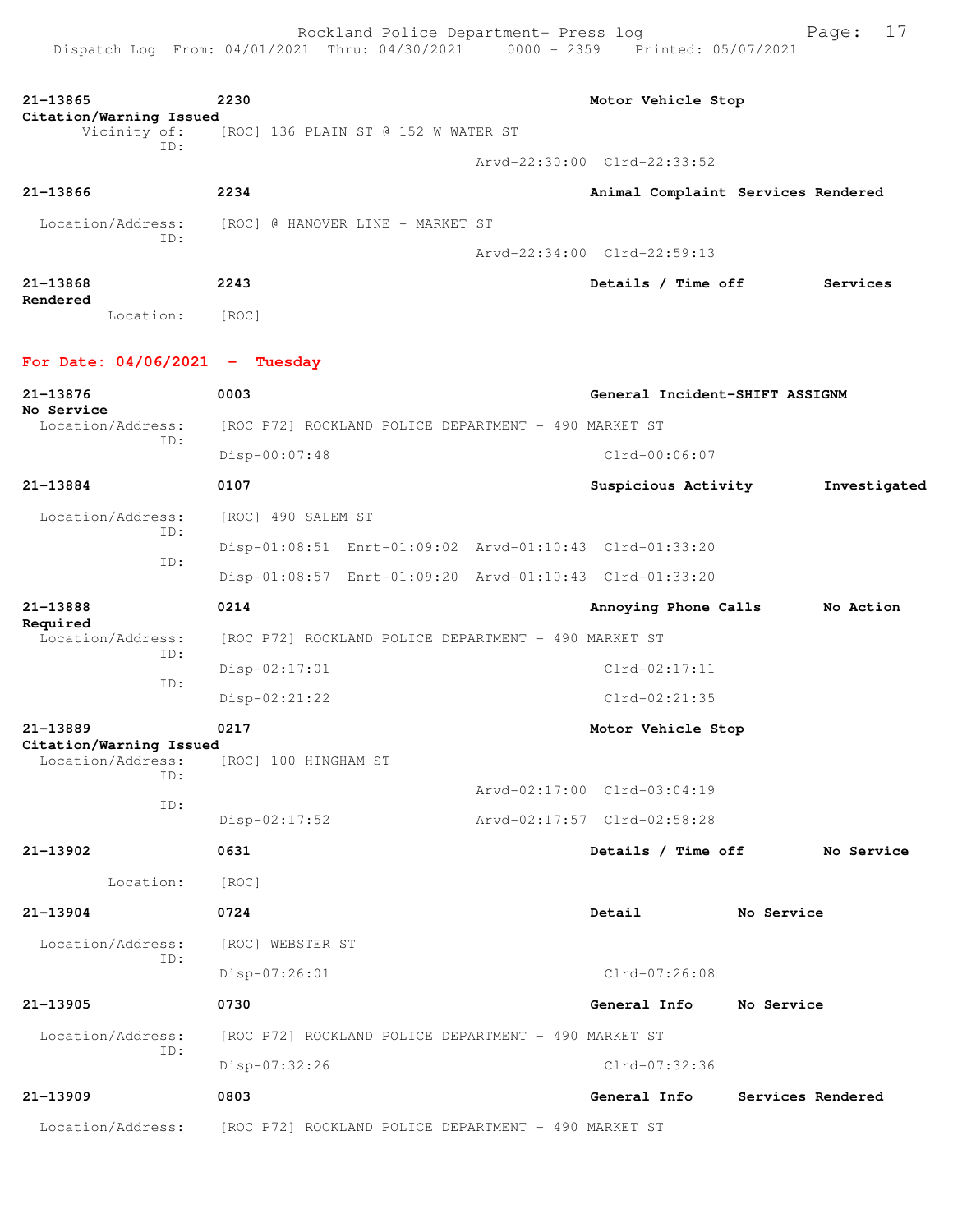| 21-13865<br>Citation/Warning Issued                 | 2230                                                    | Motor Vehicle Stop                 |                   |              |
|-----------------------------------------------------|---------------------------------------------------------|------------------------------------|-------------------|--------------|
| Vicinity of:                                        | [ROC] 136 PLAIN ST @ 152 W WATER ST                     |                                    |                   |              |
| ID:                                                 |                                                         | Arvd-22:30:00 Clrd-22:33:52        |                   |              |
| 21-13866                                            | 2234                                                    | Animal Complaint Services Rendered |                   |              |
| Location/Address:                                   | [ROC] @ HANOVER LINE - MARKET ST                        |                                    |                   |              |
| ID:                                                 |                                                         | Arvd-22:34:00 Clrd-22:59:13        |                   |              |
| $21 - 13868$                                        | 2243                                                    | Details / Time off                 |                   | Services     |
| Rendered<br>Location:                               | [ROC]                                                   |                                    |                   |              |
| For Date: $04/06/2021$ - Tuesday                    |                                                         |                                    |                   |              |
| 21-13876<br>No Service                              | 0003                                                    | General Incident-SHIFT ASSIGNM     |                   |              |
| Location/Address:                                   | [ROC P72] ROCKLAND POLICE DEPARTMENT - 490 MARKET ST    |                                    |                   |              |
| ID:                                                 | $Disp-00:07:48$                                         | $Clrd-00:06:07$                    |                   |              |
| 21-13884                                            | 0107                                                    | Suspicious Activity                |                   | Investigated |
| Location/Address:                                   | [ROC] 490 SALEM ST                                      |                                    |                   |              |
| ID:                                                 | Disp-01:08:51 Enrt-01:09:02 Arvd-01:10:43 Clrd-01:33:20 |                                    |                   |              |
| ID:                                                 | Disp-01:08:57 Enrt-01:09:20 Arvd-01:10:43 Clrd-01:33:20 |                                    |                   |              |
| 21-13888                                            | 0214                                                    | Annoying Phone Calls               |                   | No Action    |
| Required<br>Location/Address:                       | [ROC P72] ROCKLAND POLICE DEPARTMENT - 490 MARKET ST    |                                    |                   |              |
| ID:                                                 | $Disp-02:17:01$                                         | $Clrd-02:17:11$                    |                   |              |
| ID:                                                 | $Disp-02:21:22$                                         | $Clrd-02:21:35$                    |                   |              |
| 21-13889                                            | 0217                                                    | Motor Vehicle Stop                 |                   |              |
| Citation/Warning Issued<br>Location/Address:<br>ID: | [ROC] 100 HINGHAM ST                                    |                                    |                   |              |
| ID:                                                 |                                                         | Arvd-02:17:00 Clrd-03:04:19        |                   |              |
|                                                     | $Disp-02:17:52$                                         | Arvd-02:17:57 Clrd-02:58:28        |                   |              |
| 21-13902                                            | 0631                                                    | Details / Time off                 |                   | No Service   |
| Location:                                           | [ROC]                                                   |                                    |                   |              |
| 21-13904                                            | 0724                                                    | Detail                             | No Service        |              |
| Location/Address:                                   | [ROC] WEBSTER ST                                        |                                    |                   |              |
| ID:                                                 | Disp-07:26:01                                           | Clrd-07:26:08                      |                   |              |
| 21-13905                                            | 0730                                                    | General Info                       | No Service        |              |
| Location/Address:                                   | [ROC P72] ROCKLAND POLICE DEPARTMENT - 490 MARKET ST    |                                    |                   |              |
| ID:                                                 | Disp-07:32:26                                           | Clrd-07:32:36                      |                   |              |
| 21-13909                                            | 0803                                                    | General Info                       | Services Rendered |              |
| Location/Address:                                   | [ROC P72] ROCKLAND POLICE DEPARTMENT - 490 MARKET ST    |                                    |                   |              |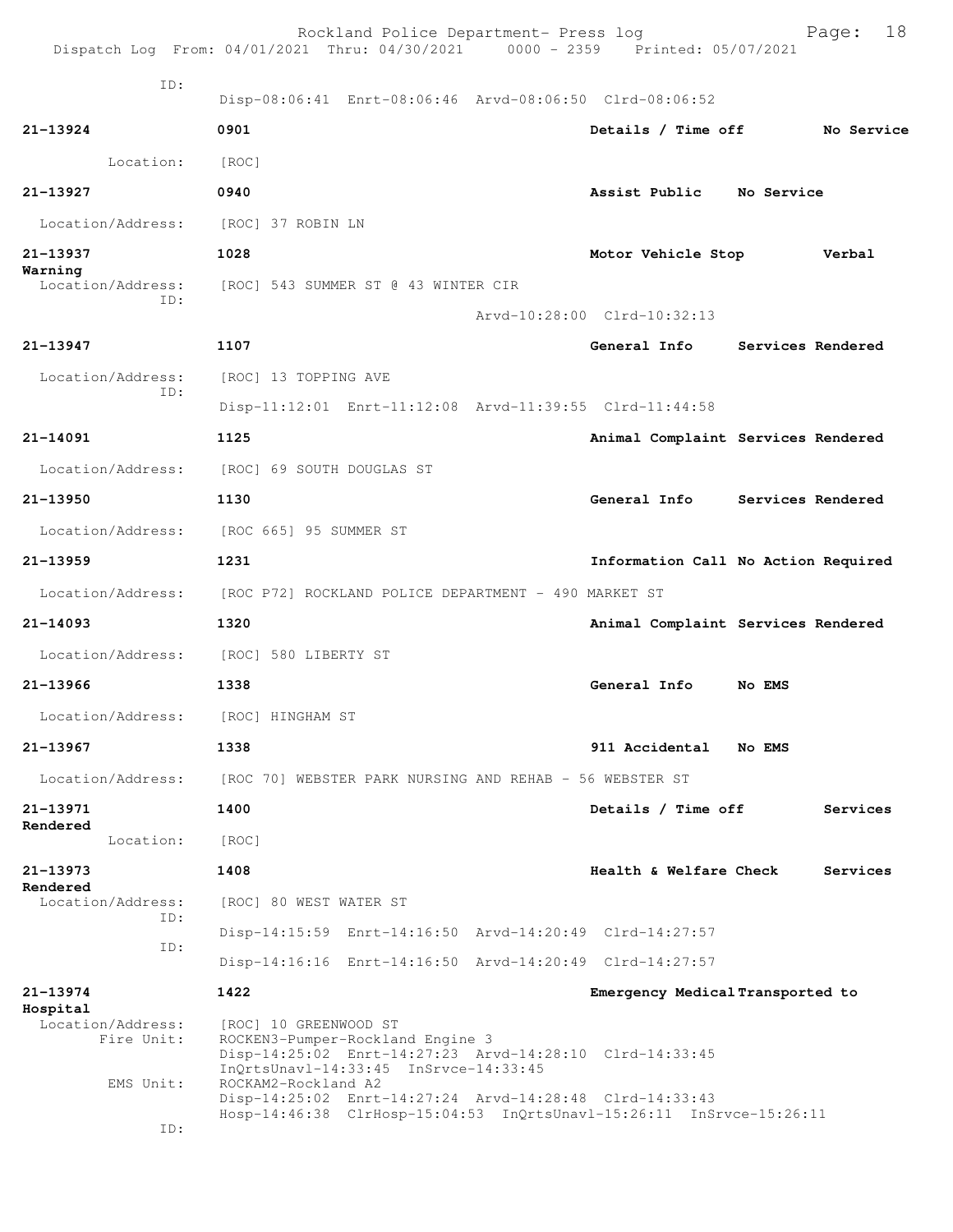|                                                          |                                                                                  | Rockland Police Department- Press log<br>Dispatch Log From: 04/01/2021 Thru: 04/30/2021 0000 - 2359 Printed: 05/07/2021         |                                  | 18<br>Page:                         |
|----------------------------------------------------------|----------------------------------------------------------------------------------|---------------------------------------------------------------------------------------------------------------------------------|----------------------------------|-------------------------------------|
| ID:                                                      |                                                                                  | Disp-08:06:41 Enrt-08:06:46 Arvd-08:06:50 Clrd-08:06:52                                                                         |                                  |                                     |
| 21-13924                                                 | 0901                                                                             |                                                                                                                                 | Details / Time off               | No Service                          |
| Location:                                                | [ROC]                                                                            |                                                                                                                                 |                                  |                                     |
| 21-13927                                                 | 0940                                                                             |                                                                                                                                 | Assist Public No Service         |                                     |
| Location/Address:                                        | [ROC] 37 ROBIN LN                                                                |                                                                                                                                 |                                  |                                     |
| 21-13937                                                 | 1028                                                                             |                                                                                                                                 | Motor Vehicle Stop               | Verbal                              |
| Warning<br>Location/Address:                             | [ROC] 543 SUMMER ST @ 43 WINTER CIR                                              |                                                                                                                                 |                                  |                                     |
| TD:                                                      |                                                                                  |                                                                                                                                 | Arvd-10:28:00 Clrd-10:32:13      |                                     |
| 21-13947                                                 | 1107                                                                             |                                                                                                                                 |                                  | General Info Services Rendered      |
| Location/Address:                                        | [ROC] 13 TOPPING AVE                                                             |                                                                                                                                 |                                  |                                     |
| ID:                                                      |                                                                                  | Disp-11:12:01 Enrt-11:12:08 Arvd-11:39:55 Clrd-11:44:58                                                                         |                                  |                                     |
| $21 - 14091$                                             | 1125                                                                             |                                                                                                                                 |                                  | Animal Complaint Services Rendered  |
|                                                          | Location/Address: [ROC] 69 SOUTH DOUGLAS ST                                      |                                                                                                                                 |                                  |                                     |
| 21-13950                                                 | 1130                                                                             |                                                                                                                                 | General Info                     | Services Rendered                   |
| Location/Address:                                        | [ROC 665] 95 SUMMER ST                                                           |                                                                                                                                 |                                  |                                     |
| $21 - 13959$                                             | 1231                                                                             |                                                                                                                                 |                                  | Information Call No Action Required |
| Location/Address:                                        |                                                                                  | [ROC P72] ROCKLAND POLICE DEPARTMENT - 490 MARKET ST                                                                            |                                  |                                     |
| 21-14093                                                 | 1320                                                                             |                                                                                                                                 |                                  | Animal Complaint Services Rendered  |
|                                                          | Location/Address: [ROC] 580 LIBERTY ST                                           |                                                                                                                                 |                                  |                                     |
| 21-13966                                                 | 1338                                                                             |                                                                                                                                 | General Info                     | No EMS                              |
| Location/Address:                                        | [ROC] HINGHAM ST                                                                 |                                                                                                                                 |                                  |                                     |
| 21-13967                                                 | 1338                                                                             |                                                                                                                                 | 911 Accidental                   | No EMS                              |
| Location/Address:                                        |                                                                                  | [ROC 70] WEBSTER PARK NURSING AND REHAB - 56 WEBSTER ST                                                                         |                                  |                                     |
| 21-13971                                                 | 1400                                                                             |                                                                                                                                 | Details / Time off               | Services                            |
| Rendered<br>Location:                                    | [ROC]                                                                            |                                                                                                                                 |                                  |                                     |
| 21-13973                                                 | 1408                                                                             |                                                                                                                                 | Health & Welfare Check           | Services                            |
| Rendered<br>Location/Address:                            | [ROC] 80 WEST WATER ST                                                           |                                                                                                                                 |                                  |                                     |
| ID:                                                      |                                                                                  | Disp-14:15:59 Enrt-14:16:50 Arvd-14:20:49 Clrd-14:27:57                                                                         |                                  |                                     |
| ID:                                                      |                                                                                  | Disp-14:16:16 Enrt-14:16:50 Arvd-14:20:49 Clrd-14:27:57                                                                         |                                  |                                     |
| 21-13974                                                 | 1422                                                                             |                                                                                                                                 | Emergency Medical Transported to |                                     |
| Hospital<br>Location/Address:<br>Fire Unit:<br>EMS Unit: | [ROC] 10 GREENWOOD ST<br>ROCKEN3-Pumper-Rockland Engine 3<br>ROCKAM2-Rockland A2 | Disp-14:25:02 Enrt-14:27:23 Arvd-14:28:10 Clrd-14:33:45<br>InQrtsUnavl-14:33:45 InSrvce-14:33:45                                |                                  |                                     |
| ID:                                                      |                                                                                  | Disp-14:25:02 Enrt-14:27:24 Arvd-14:28:48 Clrd-14:33:43<br>Hosp-14:46:38 ClrHosp-15:04:53 InQrtsUnavl-15:26:11 InSrvce-15:26:11 |                                  |                                     |
|                                                          |                                                                                  |                                                                                                                                 |                                  |                                     |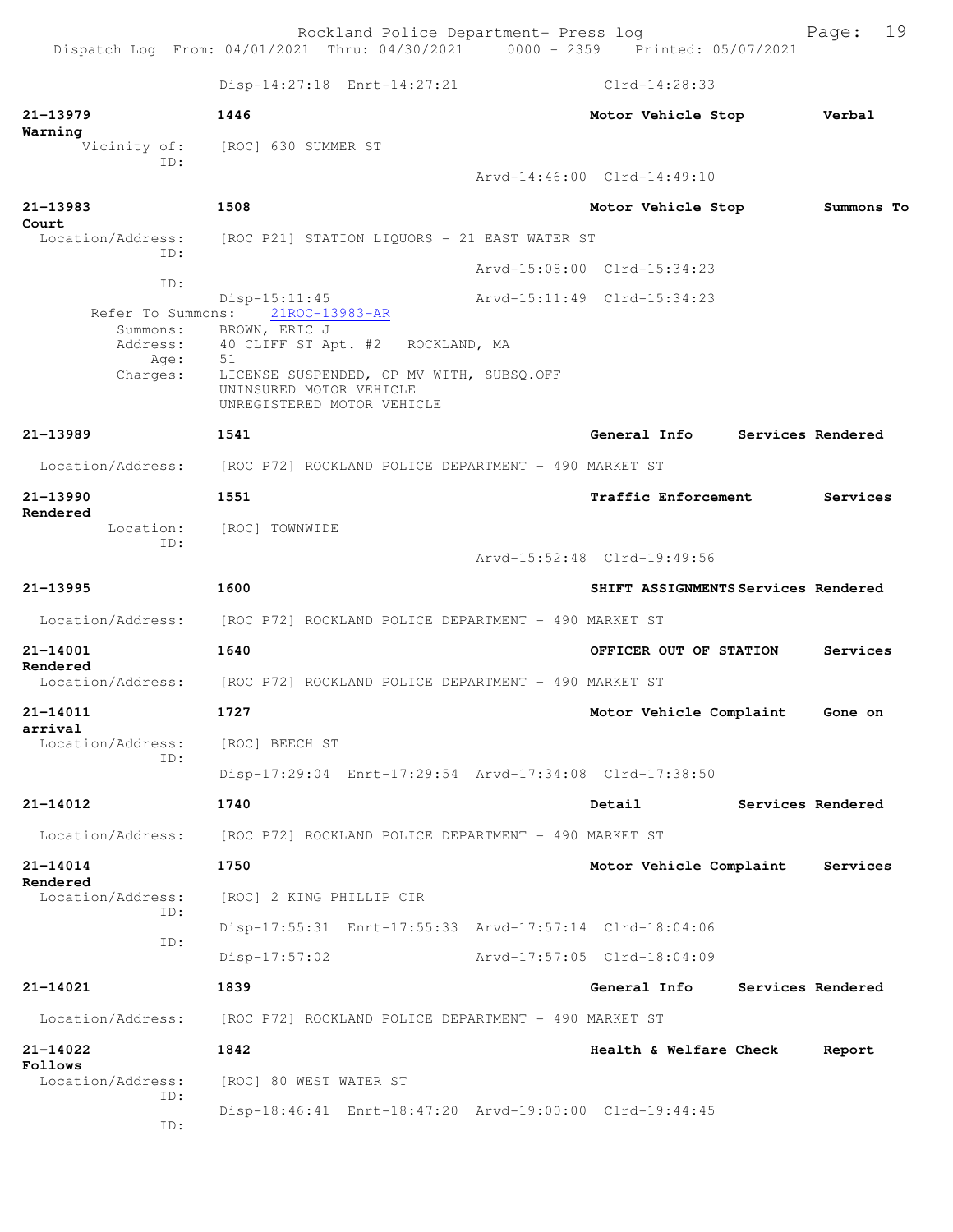Rockland Police Department- Press log entitled and Page: 19 Dispatch Log From: 04/01/2021 Thru: 04/30/2021 0000 - 2359 Printed: 05/07/2021

|                                      | Disp-14:27:18 Enrt-14:27:21                                                                       | $Clrd-14:28:33$                     |                   |                   |
|--------------------------------------|---------------------------------------------------------------------------------------------------|-------------------------------------|-------------------|-------------------|
| 21-13979                             | 1446                                                                                              | Motor Vehicle Stop                  |                   | Verbal            |
| Warning<br>Vicinity of:              | [ROC] 630 SUMMER ST                                                                               |                                     |                   |                   |
| ID:                                  |                                                                                                   | Arvd-14:46:00 Clrd-14:49:10         |                   |                   |
| 21-13983                             | 1508                                                                                              | Motor Vehicle Stop                  |                   | Summons To        |
| Court<br>Location/Address:           | [ROC P21] STATION LIQUORS - 21 EAST WATER ST                                                      |                                     |                   |                   |
| TD:                                  |                                                                                                   | Arvd-15:08:00 Clrd-15:34:23         |                   |                   |
| ID:<br>Refer To Summons:<br>Summons: | $Disp-15:11:45$<br>21ROC-13983-AR<br>BROWN, ERIC J                                                | Arvd-15:11:49 Clrd-15:34:23         |                   |                   |
| Address:<br>Age:                     | 40 CLIFF ST Apt. #2<br>ROCKLAND, MA<br>51                                                         |                                     |                   |                   |
| Charges:                             | LICENSE SUSPENDED, OP MV WITH, SUBSQ.OFF<br>UNINSURED MOTOR VEHICLE<br>UNREGISTERED MOTOR VEHICLE |                                     |                   |                   |
| 21-13989                             | 1541                                                                                              | General Info                        | Services Rendered |                   |
| Location/Address:                    | [ROC P72] ROCKLAND POLICE DEPARTMENT - 490 MARKET ST                                              |                                     |                   |                   |
| 21-13990                             | 1551                                                                                              | <b>Traffic Enforcement</b>          |                   | Services          |
| Rendered<br>Location:<br>TD:         | [ROC] TOWNWIDE                                                                                    | Arvd-15:52:48 Clrd-19:49:56         |                   |                   |
| 21-13995                             | 1600                                                                                              | SHIFT ASSIGNMENTS Services Rendered |                   |                   |
| Location/Address:                    | [ROC P72] ROCKLAND POLICE DEPARTMENT - 490 MARKET ST                                              |                                     |                   |                   |
| 21-14001                             | 1640                                                                                              | OFFICER OUT OF STATION              |                   | Services          |
| Rendered<br>Location/Address:        | [ROC P72] ROCKLAND POLICE DEPARTMENT - 490 MARKET ST                                              |                                     |                   |                   |
| 21-14011                             | 1727                                                                                              | Motor Vehicle Complaint             |                   | Gone on           |
| arrival<br>Location/Address:         | [ROC] BEECH ST                                                                                    |                                     |                   |                   |
| ID:                                  | Disp-17:29:04 Enrt-17:29:54 Arvd-17:34:08 Clrd-17:38:50                                           |                                     |                   |                   |
| 21-14012                             | 1740                                                                                              | Detail                              |                   | Services Rendered |
| Location/Address:                    | [ROC P72] ROCKLAND POLICE DEPARTMENT - 490 MARKET ST                                              |                                     |                   |                   |
| $21 - 14014$                         | 1750                                                                                              | Motor Vehicle Complaint             |                   | Services          |
| Rendered<br>Location/Address:        | [ROC] 2 KING PHILLIP CIR                                                                          |                                     |                   |                   |
| ID:                                  | Disp-17:55:31 Enrt-17:55:33 Arvd-17:57:14 Clrd-18:04:06                                           |                                     |                   |                   |
| ID:                                  | $Disp-17:57:02$                                                                                   | Arvd-17:57:05 Clrd-18:04:09         |                   |                   |
| 21-14021                             | 1839                                                                                              | General Info                        |                   | Services Rendered |
| Location/Address:                    | [ROC P72] ROCKLAND POLICE DEPARTMENT - 490 MARKET ST                                              |                                     |                   |                   |
| 21-14022                             | 1842                                                                                              | Health & Welfare Check              |                   | Report            |
| Follows<br>Location/Address:         | [ROC] 80 WEST WATER ST                                                                            |                                     |                   |                   |
| ID:<br>ID:                           | Disp-18:46:41 Enrt-18:47:20 Arvd-19:00:00 Clrd-19:44:45                                           |                                     |                   |                   |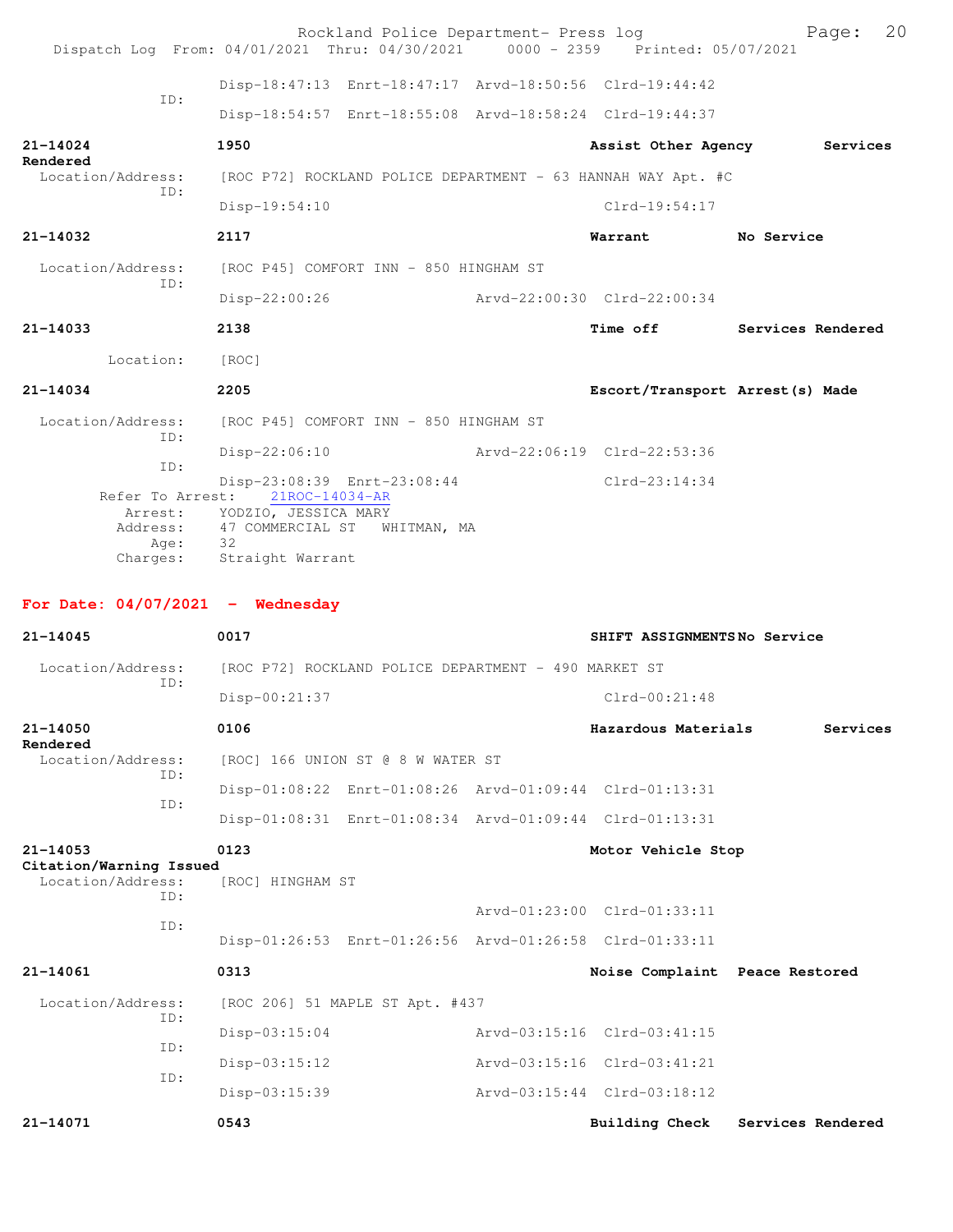| Dispatch Log From: 04/01/2021 Thru: 04/30/2021 0000 - 2359 Printed: 05/07/2021 |                                                                                                                                                                   |  | Rockland Police Department- Press log                        | Page: 20                        |
|--------------------------------------------------------------------------------|-------------------------------------------------------------------------------------------------------------------------------------------------------------------|--|--------------------------------------------------------------|---------------------------------|
| ID:                                                                            |                                                                                                                                                                   |  | Disp-18:47:13 Enrt-18:47:17 Arvd-18:50:56 Clrd-19:44:42      |                                 |
|                                                                                |                                                                                                                                                                   |  | Disp-18:54:57 Enrt-18:55:08 Arvd-18:58:24 Clrd-19:44:37      |                                 |
| 21-14024                                                                       | 1950                                                                                                                                                              |  |                                                              | Assist Other Agency Services    |
| Rendered<br>Location/Address:                                                  |                                                                                                                                                                   |  | [ROC P72] ROCKLAND POLICE DEPARTMENT - 63 HANNAH WAY Apt. #C |                                 |
| ID:                                                                            | Disp-19:54:10                                                                                                                                                     |  | $Clrd-19:54:17$                                              |                                 |
| 21-14032                                                                       | 2117                                                                                                                                                              |  | Warrant No Service                                           |                                 |
| Location/Address:                                                              | [ROC P45] COMFORT INN - 850 HINGHAM ST                                                                                                                            |  |                                                              |                                 |
| TD:                                                                            | Disp-22:00:26                                                                                                                                                     |  | Arvd-22:00:30 Clrd-22:00:34                                  |                                 |
| 21-14033                                                                       | 2138                                                                                                                                                              |  |                                                              | Time off Services Rendered      |
| Location: [ROC]                                                                |                                                                                                                                                                   |  |                                                              |                                 |
| 21-14034                                                                       | 2205                                                                                                                                                              |  |                                                              | Escort/Transport Arrest(s) Made |
| Location/Address:                                                              | [ROC P45] COMFORT INN - 850 HINGHAM ST                                                                                                                            |  |                                                              |                                 |
| ID:                                                                            | $Disp-22:06:10$                                                                                                                                                   |  | Arvd-22:06:19 Clrd-22:53:36                                  |                                 |
| ID:<br>Address:<br>Age:                                                        | Disp-23:08:39 Enrt-23:08:44<br>Refer To Arrest: 21ROC-14034-AR<br>Arrest: YODZIO, JESSICA MARY<br>47 COMMERCIAL ST WHITMAN, MA<br>32<br>Charges: Straight Warrant |  | $Clrd-23:14:34$                                              |                                 |
|                                                                                |                                                                                                                                                                   |  |                                                              |                                 |
| For Date: $04/07/2021$ - Wednesday                                             |                                                                                                                                                                   |  |                                                              |                                 |
| 21-14045                                                                       | 0017                                                                                                                                                              |  | SHIFT ASSIGNMENTSNo Service                                  |                                 |
| Location/Address:                                                              | [ROC P72] ROCKLAND POLICE DEPARTMENT - 490 MARKET ST                                                                                                              |  |                                                              |                                 |
| TD:                                                                            | Disp-00:21:37                                                                                                                                                     |  | $Clrd-00:21:48$                                              |                                 |
| 21-14050                                                                       | 0106                                                                                                                                                              |  | Hazardous Materials                                          | Services                        |
| Rendered<br>Location/Address:                                                  | [ROC] 166 UNION ST @ 8 W WATER ST                                                                                                                                 |  |                                                              |                                 |
| ID:                                                                            |                                                                                                                                                                   |  | Disp-01:08:22 Enrt-01:08:26 Arvd-01:09:44 Clrd-01:13:31      |                                 |
| ID:                                                                            |                                                                                                                                                                   |  | Disp-01:08:31 Enrt-01:08:34 Arvd-01:09:44 Clrd-01:13:31      |                                 |
| 21-14053                                                                       | 0123                                                                                                                                                              |  | Motor Vehicle Stop                                           |                                 |
| Citation/Warning Issued<br>Location/Address:<br>ID:                            | [ROC] HINGHAM ST                                                                                                                                                  |  |                                                              |                                 |
| ID:                                                                            |                                                                                                                                                                   |  | Arvd-01:23:00 Clrd-01:33:11                                  |                                 |
|                                                                                |                                                                                                                                                                   |  | Disp-01:26:53 Enrt-01:26:56 Arvd-01:26:58 Clrd-01:33:11      |                                 |
| 21-14061                                                                       | 0313                                                                                                                                                              |  | Noise Complaint Peace Restored                               |                                 |
| Location/Address:<br>ID:                                                       | [ROC 206] 51 MAPLE ST Apt. #437                                                                                                                                   |  |                                                              |                                 |
| ID:                                                                            | $Disp-03:15:04$                                                                                                                                                   |  | Arvd-03:15:16 Clrd-03:41:15                                  |                                 |
|                                                                                | $Disp-03:15:12$                                                                                                                                                   |  | Arvd-03:15:16 Clrd-03:41:21                                  |                                 |
| ID:                                                                            | Disp-03:15:39                                                                                                                                                     |  | Arvd-03:15:44 Clrd-03:18:12                                  |                                 |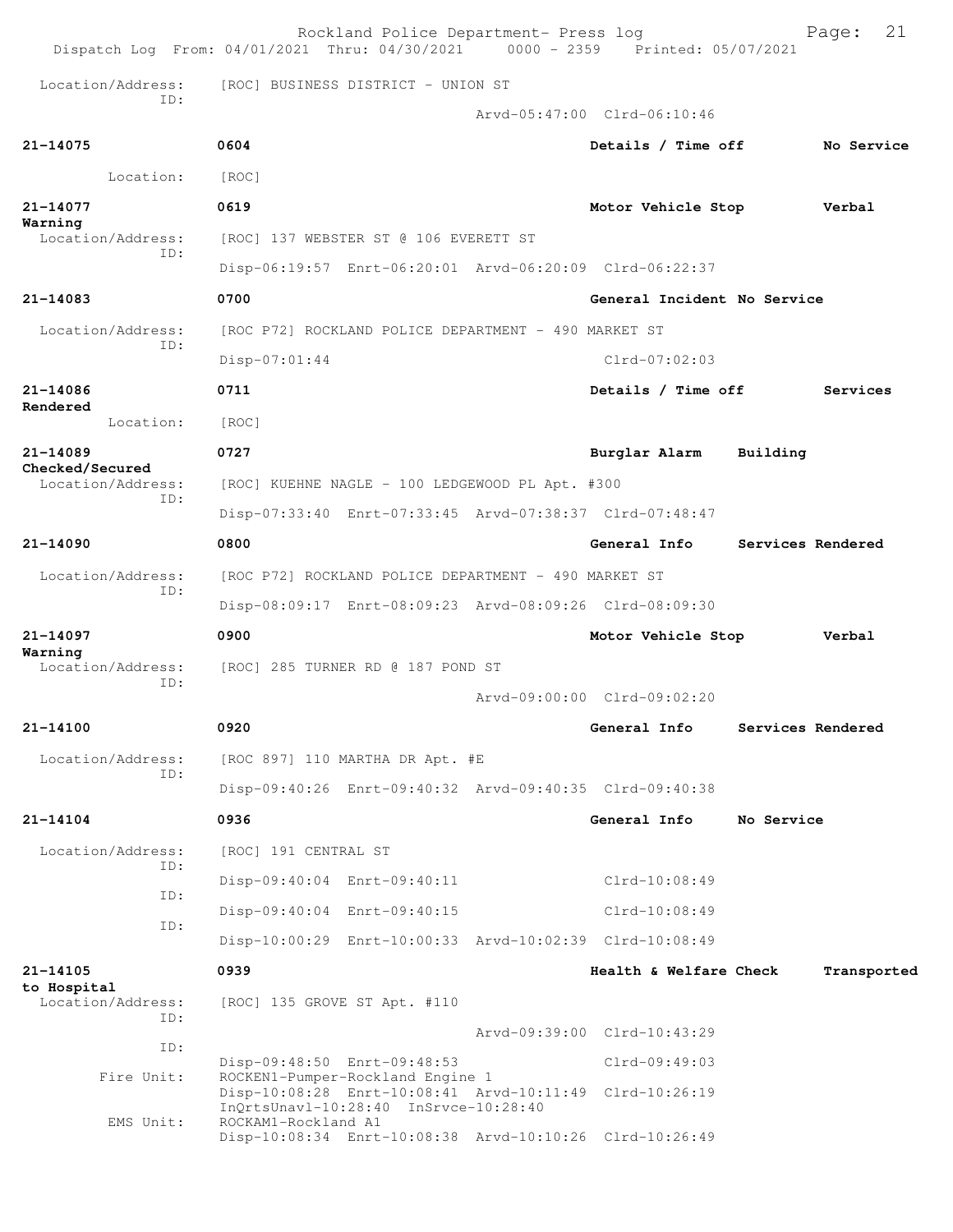|                 |                          |                                   | Rockland Police Department- Press log                                     |  | Dispatch Log From: 04/01/2021 Thru: 04/30/2021 0000 - 2359 Printed: 05/07/2021 |            | 21<br>Page:       |
|-----------------|--------------------------|-----------------------------------|---------------------------------------------------------------------------|--|--------------------------------------------------------------------------------|------------|-------------------|
|                 | Location/Address:<br>TD: |                                   | [ROC] BUSINESS DISTRICT - UNION ST                                        |  |                                                                                |            |                   |
|                 |                          |                                   |                                                                           |  | Arvd-05:47:00 Clrd-06:10:46                                                    |            |                   |
| 21-14075        |                          | 0604                              |                                                                           |  | Details / Time off                                                             |            | No Service        |
|                 | Location:                | [ROC]                             |                                                                           |  |                                                                                |            |                   |
| 21-14077        |                          | 0619                              |                                                                           |  | Motor Vehicle Stop                                                             |            | Verbal            |
| Warning         | Location/Address:        |                                   | [ROC] 137 WEBSTER ST @ 106 EVERETT ST                                     |  |                                                                                |            |                   |
|                 | TD:                      |                                   |                                                                           |  | Disp-06:19:57 Enrt-06:20:01 Arvd-06:20:09 Clrd-06:22:37                        |            |                   |
| $21 - 14083$    |                          | 0700                              |                                                                           |  | General Incident No Service                                                    |            |                   |
|                 | Location/Address:        |                                   | [ROC P72] ROCKLAND POLICE DEPARTMENT - 490 MARKET ST                      |  |                                                                                |            |                   |
|                 | ID:                      | Disp-07:01:44                     |                                                                           |  | $Clrd-07:02:03$                                                                |            |                   |
| 21-14086        |                          | 0711                              |                                                                           |  | Details / Time off                                                             |            | Services          |
| Rendered        | Location:                | [ROC]                             |                                                                           |  |                                                                                |            |                   |
| 21-14089        |                          | 0727                              |                                                                           |  | Burglar Alarm                                                                  | Building   |                   |
| Checked/Secured | Location/Address:        |                                   | [ROC] KUEHNE NAGLE - 100 LEDGEWOOD PL Apt. #300                           |  |                                                                                |            |                   |
|                 | TD:                      |                                   |                                                                           |  | Disp-07:33:40 Enrt-07:33:45 Arvd-07:38:37 Clrd-07:48:47                        |            |                   |
| 21-14090        |                          | 0800                              |                                                                           |  | General Info                                                                   |            | Services Rendered |
|                 | Location/Address:        |                                   | [ROC P72] ROCKLAND POLICE DEPARTMENT - 490 MARKET ST                      |  |                                                                                |            |                   |
|                 | TD:                      |                                   |                                                                           |  | Disp-08:09:17 Enrt-08:09:23 Arvd-08:09:26 Clrd-08:09:30                        |            |                   |
| 21-14097        |                          | 0900                              |                                                                           |  | Motor Vehicle Stop                                                             |            | Verbal            |
| Warning         | Location/Address:        | [ROC] 285 TURNER RD @ 187 POND ST |                                                                           |  |                                                                                |            |                   |
|                 | TD:                      |                                   |                                                                           |  | Arvd-09:00:00 Clrd-09:02:20                                                    |            |                   |
| 21-14100        |                          | 0920                              |                                                                           |  | General Info                                                                   |            | Services Rendered |
|                 | Location/Address:        |                                   | [ROC 897] 110 MARTHA DR Apt. #E                                           |  |                                                                                |            |                   |
|                 | TD:                      |                                   |                                                                           |  | Disp-09:40:26 Enrt-09:40:32 Arvd-09:40:35 Clrd-09:40:38                        |            |                   |
| 21-14104        |                          | 0936                              |                                                                           |  | General Info                                                                   | No Service |                   |
|                 | Location/Address:        | [ROC] 191 CENTRAL ST              |                                                                           |  |                                                                                |            |                   |
|                 | ID:                      |                                   | Disp-09:40:04 Enrt-09:40:11                                               |  | Clrd-10:08:49                                                                  |            |                   |
|                 | ID:                      |                                   | Disp-09:40:04 Enrt-09:40:15                                               |  | $Clrd-10:08:49$                                                                |            |                   |
|                 | ID:                      |                                   |                                                                           |  | Disp-10:00:29 Enrt-10:00:33 Arvd-10:02:39 Clrd-10:08:49                        |            |                   |
| 21-14105        |                          | 0939                              |                                                                           |  | Health & Welfare Check                                                         |            | Transported       |
| to Hospital     | Location/Address:        |                                   | [ROC] 135 GROVE ST Apt. #110                                              |  |                                                                                |            |                   |
|                 | ID:                      |                                   |                                                                           |  | Arvd-09:39:00 Clrd-10:43:29                                                    |            |                   |
|                 | ID:                      |                                   | Disp-09:48:50 Enrt-09:48:53                                               |  | $Clrd-09:49:03$                                                                |            |                   |
|                 | Fire Unit:               |                                   | ROCKEN1-Pumper-Rockland Engine 1<br>InQrtsUnavl-10:28:40 InSrvce-10:28:40 |  | Disp-10:08:28 Enrt-10:08:41 Arvd-10:11:49 Clrd-10:26:19                        |            |                   |
|                 | EMS Unit:                | ROCKAM1-Rockland A1               |                                                                           |  | Disp-10:08:34 Enrt-10:08:38 Arvd-10:10:26 Clrd-10:26:49                        |            |                   |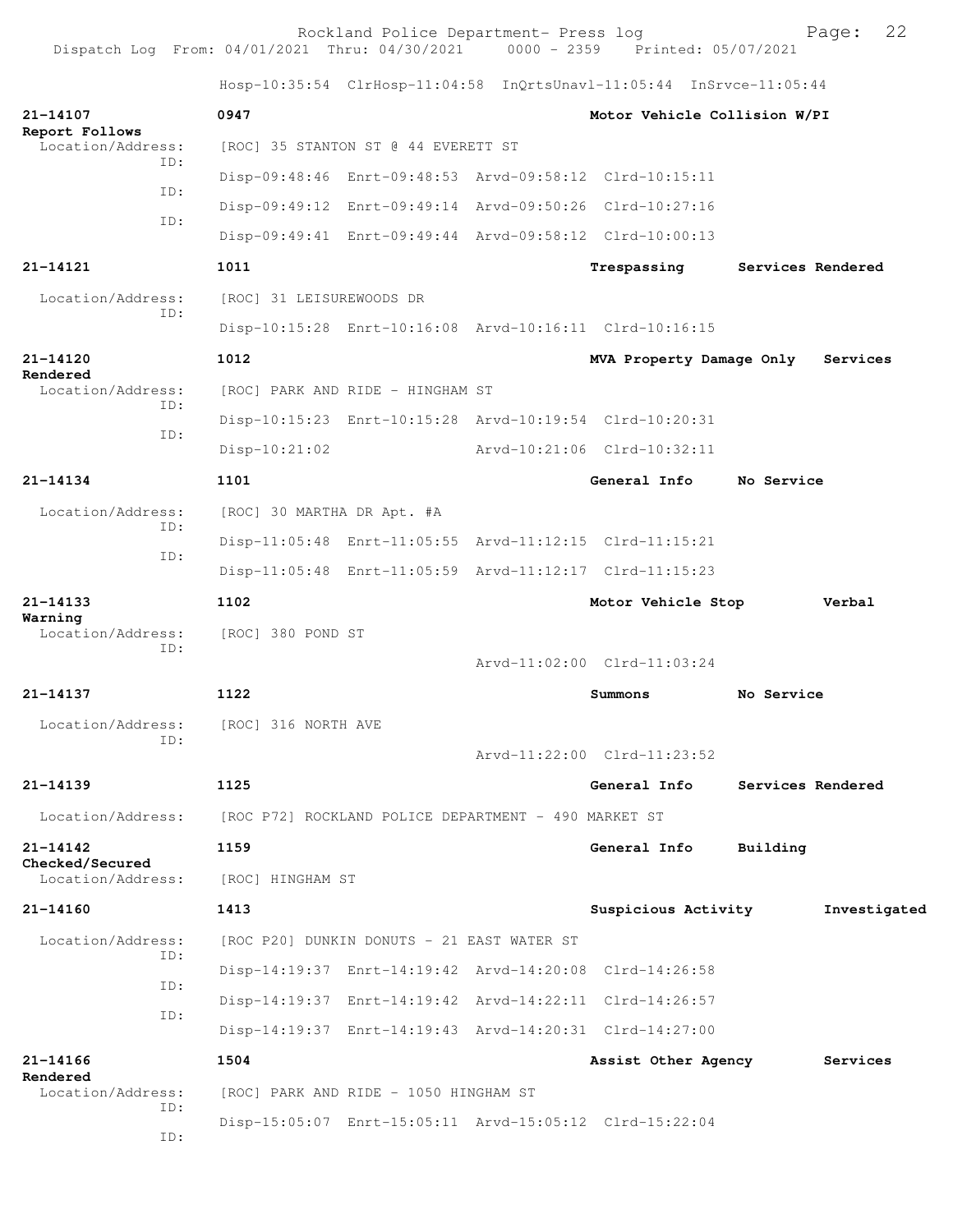Rockland Police Department- Press log Fage: 22<br>21 Thru: 04/30/2021 0000 - 2359 Printed: 05/07/2021 Dispatch Log From:  $04/01/2021$  Thru:  $04/30/2021$ 

 Hosp-10:35:54 ClrHosp-11:04:58 InQrtsUnavl-11:05:44 InSrvce-11:05:44 **21-14107 0947 Motor Vehicle Collision W/PI Report Follows**  Location/Address: [ROC] 35 STANTON ST @ 44 EVERETT ST ID: Disp-09:48:46 Enrt-09:48:53 Arvd-09:58:12 Clrd-10:15:11 ID: Disp-09:49:12 Enrt-09:49:14 Arvd-09:50:26 Clrd-10:27:16 ID: Disp-09:49:41 Enrt-09:49:44 Arvd-09:58:12 Clrd-10:00:13 **21-14121 1011 Trespassing Services Rendered** Location/Address: [ROC] 31 LEISUREWOODS DR ID: Disp-10:15:28 Enrt-10:16:08 Arvd-10:16:11 Clrd-10:16:15 **21-14120 1012 MVA Property Damage Only Services Rendered**  Location/Address: [ROC] PARK AND RIDE - HINGHAM ST ID: Disp-10:15:23 Enrt-10:15:28 Arvd-10:19:54 Clrd-10:20:31 ID: Disp-10:21:02 Arvd-10:21:06 Clrd-10:32:11 **21-14134 1101 General Info No Service** Location/Address: [ROC] 30 MARTHA DR Apt. #A ID: Disp-11:05:48 Enrt-11:05:55 Arvd-11:12:15 Clrd-11:15:21 ID: Disp-11:05:48 Enrt-11:05:59 Arvd-11:12:17 Clrd-11:15:23 **21-14133 1102 Motor Vehicle Stop Verbal Warning**  Location/Address: [ROC] 380 POND ST ID: Arvd-11:02:00 Clrd-11:03:24 **21-14137 1122 Summons No Service** Location/Address: [ROC] 316 NORTH AVE ID: Arvd-11:22:00 Clrd-11:23:52 **21-14139 1125 General Info Services Rendered** Location/Address: [ROC P72] ROCKLAND POLICE DEPARTMENT - 490 MARKET ST **21-14142 1159 General Info Building Checked/Secured**  Location/Address: [ROC] HINGHAM ST **21-14160 1413 Suspicious Activity Investigated** Location/Address: [ROC P20] DUNKIN DONUTS - 21 EAST WATER ST ID: Disp-14:19:37 Enrt-14:19:42 Arvd-14:20:08 Clrd-14:26:58 ID: Disp-14:19:37 Enrt-14:19:42 Arvd-14:22:11 Clrd-14:26:57 ID: Disp-14:19:37 Enrt-14:19:43 Arvd-14:20:31 Clrd-14:27:00 **21-14166 1504 Assist Other Agency Services Rendered**  Location/Address: [ROC] PARK AND RIDE - 1050 HINGHAM ST ID: Disp-15:05:07 Enrt-15:05:11 Arvd-15:05:12 Clrd-15:22:04 ID: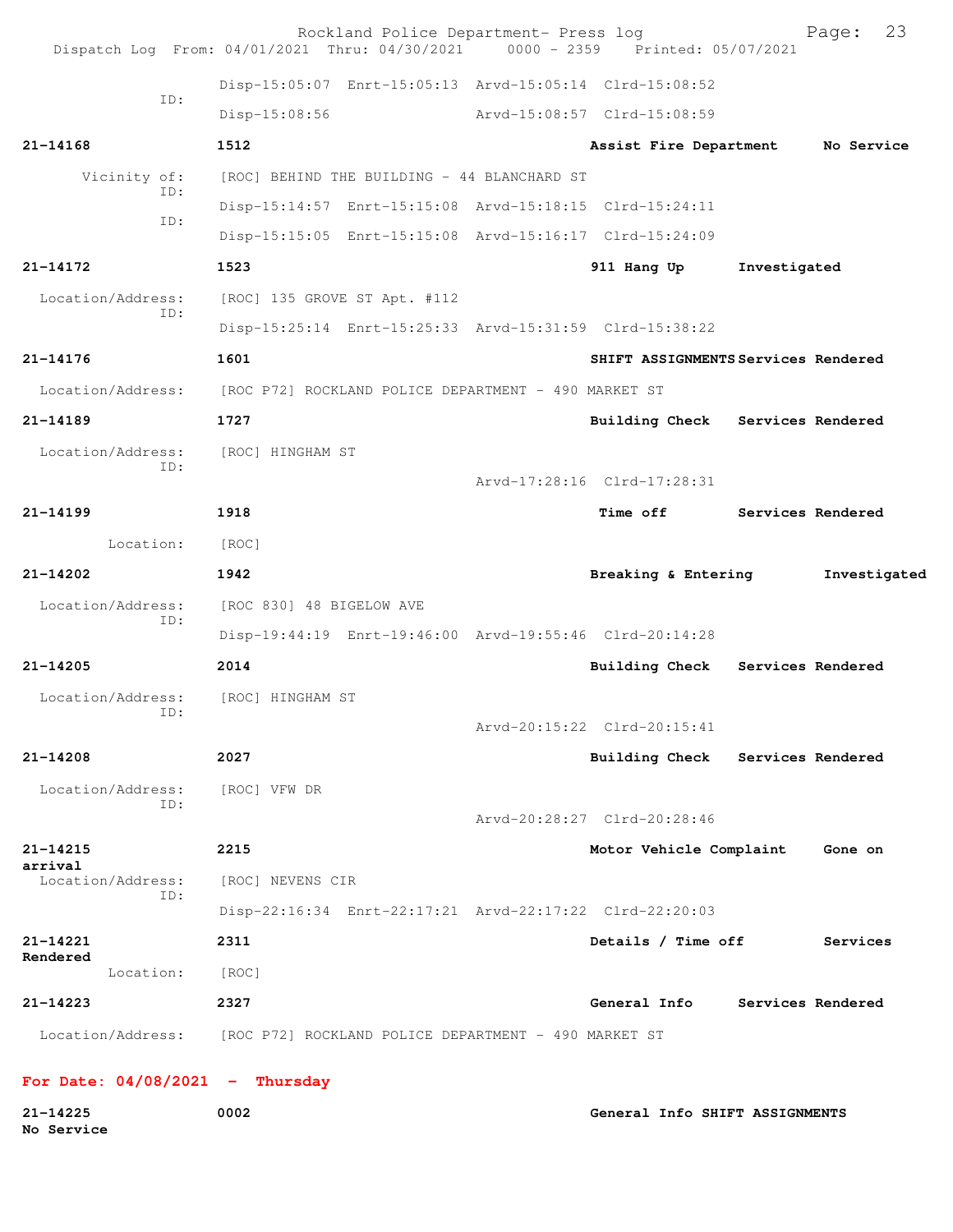| Dispatch Log From: 04/01/2021 Thru: 04/30/2021 0000 - 2359 Printed: 05/07/2021 |                                                         | Rockland Police Department- Press log |                                     |              | 23<br>Page:       |
|--------------------------------------------------------------------------------|---------------------------------------------------------|---------------------------------------|-------------------------------------|--------------|-------------------|
|                                                                                | Disp-15:05:07 Enrt-15:05:13 Arvd-15:05:14 Clrd-15:08:52 |                                       |                                     |              |                   |
| ID:                                                                            | $Disp-15:08:56$                                         |                                       | Arvd-15:08:57 Clrd-15:08:59         |              |                   |
| $21 - 14168$                                                                   | 1512                                                    |                                       | Assist Fire Department              |              | No Service        |
| Vicinity of:                                                                   | [ROC] BEHIND THE BUILDING - 44 BLANCHARD ST             |                                       |                                     |              |                   |
| ID:                                                                            | Disp-15:14:57 Enrt-15:15:08 Arvd-15:18:15 Clrd-15:24:11 |                                       |                                     |              |                   |
| ID:                                                                            | Disp-15:15:05 Enrt-15:15:08 Arvd-15:16:17 Clrd-15:24:09 |                                       |                                     |              |                   |
| 21-14172                                                                       | 1523                                                    |                                       | 911 Hang Up                         | Investigated |                   |
| Location/Address:                                                              | [ROC] 135 GROVE ST Apt. #112                            |                                       |                                     |              |                   |
| ID:                                                                            | Disp-15:25:14 Enrt-15:25:33 Arvd-15:31:59 Clrd-15:38:22 |                                       |                                     |              |                   |
| 21-14176                                                                       | 1601                                                    |                                       | SHIFT ASSIGNMENTS Services Rendered |              |                   |
| Location/Address:                                                              | [ROC P72] ROCKLAND POLICE DEPARTMENT - 490 MARKET ST    |                                       |                                     |              |                   |
| 21-14189                                                                       | 1727                                                    |                                       | Building Check Services Rendered    |              |                   |
| Location/Address:                                                              | [ROC] HINGHAM ST                                        |                                       |                                     |              |                   |
| ID:                                                                            |                                                         |                                       | Arvd-17:28:16 Clrd-17:28:31         |              |                   |
| $21 - 14199$                                                                   | 1918                                                    |                                       | <b>Time off</b>                     |              | Services Rendered |
| Location:                                                                      | [ROC]                                                   |                                       |                                     |              |                   |
| 21-14202                                                                       | 1942                                                    |                                       | Breaking & Entering                 |              | Investigated      |
| Location/Address:                                                              | [ROC 830] 48 BIGELOW AVE                                |                                       |                                     |              |                   |
| ID:                                                                            | Disp-19:44:19 Enrt-19:46:00 Arvd-19:55:46 Clrd-20:14:28 |                                       |                                     |              |                   |
| 21-14205                                                                       | 2014                                                    |                                       | <b>Building Check</b>               |              | Services Rendered |
| Location/Address:                                                              | [ROC] HINGHAM ST                                        |                                       |                                     |              |                   |
| ID:                                                                            |                                                         |                                       | Arvd-20:15:22 Clrd-20:15:41         |              |                   |
| 21-14208                                                                       | 2027                                                    |                                       | Building Check Services Rendered    |              |                   |
| Location/Address:                                                              | [ROC] VFW DR                                            |                                       |                                     |              |                   |
| TD:                                                                            |                                                         |                                       | Arvd-20:28:27 Clrd-20:28:46         |              |                   |
| 21-14215                                                                       | 2215                                                    |                                       | Motor Vehicle Complaint             |              | Gone on           |
| arrival<br>Location/Address:                                                   | [ROC] NEVENS CIR                                        |                                       |                                     |              |                   |
| ID:                                                                            | Disp-22:16:34 Enrt-22:17:21 Arvd-22:17:22 Clrd-22:20:03 |                                       |                                     |              |                   |
| 21-14221                                                                       | 2311                                                    |                                       | Details / Time off                  |              | Services          |
| Rendered<br>Location:                                                          | [ROC]                                                   |                                       |                                     |              |                   |
| 21-14223                                                                       | 2327                                                    |                                       | General Info                        |              | Services Rendered |
| Location/Address: [ROC P72] ROCKLAND POLICE DEPARTMENT - 490 MARKET ST         |                                                         |                                       |                                     |              |                   |
|                                                                                |                                                         |                                       |                                     |              |                   |
| For Date: $04/08/2021$ - Thursday                                              |                                                         |                                       |                                     |              |                   |

**21-14225 0002 General Info SHIFT ASSIGNMENTS No Service**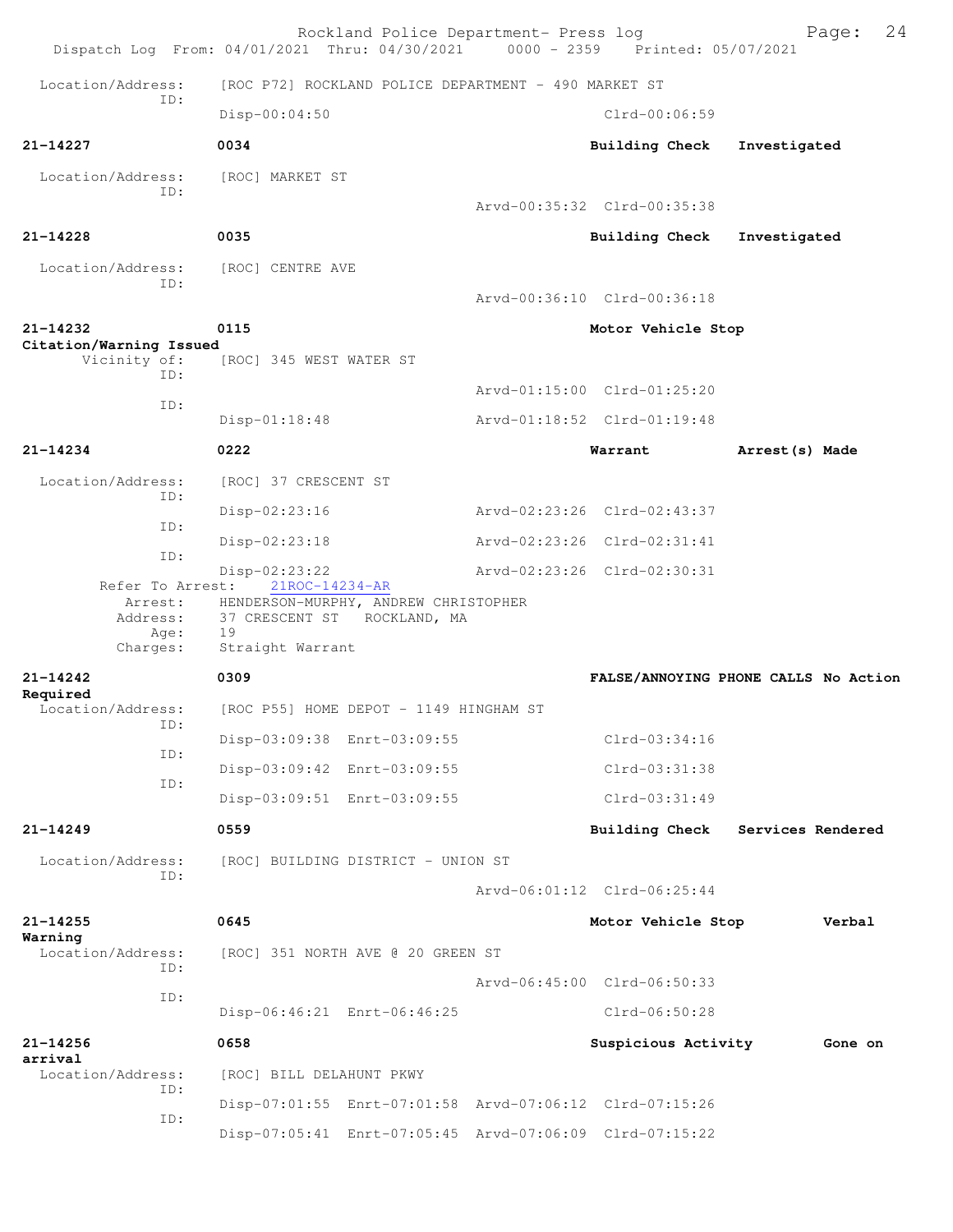| Dispatch Log From: 04/01/2021 Thru: 04/30/2021 |                             | Rockland Police Department- Press log                | 0000 - 2359 Printed: 05/07/2021                         | 24<br>Page:                          |
|------------------------------------------------|-----------------------------|------------------------------------------------------|---------------------------------------------------------|--------------------------------------|
| Location/Address:<br>TD:                       |                             | [ROC P72] ROCKLAND POLICE DEPARTMENT - 490 MARKET ST |                                                         |                                      |
|                                                | Disp-00:04:50               |                                                      | $Clrd-00:06:59$                                         |                                      |
| 21-14227                                       | 0034                        |                                                      | Building Check                                          | Investigated                         |
| Location/Address:                              | [ROC] MARKET ST             |                                                      |                                                         |                                      |
| ID:                                            |                             |                                                      | Arvd-00:35:32 Clrd-00:35:38                             |                                      |
| $21 - 14228$                                   | 0035                        |                                                      | Building Check                                          | Investigated                         |
| Location/Address:                              | [ROC] CENTRE AVE            |                                                      |                                                         |                                      |
| ID:                                            |                             |                                                      | Arvd-00:36:10 Clrd-00:36:18                             |                                      |
| 21-14232                                       | 0115                        |                                                      | Motor Vehicle Stop                                      |                                      |
| Citation/Warning Issued<br>Vicinity of:        | [ROC] 345 WEST WATER ST     |                                                      |                                                         |                                      |
| TD:                                            |                             |                                                      | Arvd-01:15:00 Clrd-01:25:20                             |                                      |
| TD:                                            | $Disp-01:18:48$             |                                                      | Arvd-01:18:52 Clrd-01:19:48                             |                                      |
| 21-14234                                       | 0222                        |                                                      | Warrant                                                 | Arrest (s) Made                      |
| Location/Address:                              | [ROC] 37 CRESCENT ST        |                                                      |                                                         |                                      |
| ID:                                            | Disp-02:23:16               |                                                      | Arvd-02:23:26 Clrd-02:43:37                             |                                      |
| ID:                                            | $Disp-02:23:18$             |                                                      | Arvd-02:23:26 Clrd-02:31:41                             |                                      |
| ID:                                            | Disp-02:23:22               |                                                      | Arvd-02:23:26 Clrd-02:30:31                             |                                      |
| Refer To Arrest:<br>Arrest:                    | 21ROC-14234-AR              | HENDERSON-MURPHY, ANDREW CHRISTOPHER                 |                                                         |                                      |
| Address:<br>Age:                               | 19                          | 37 CRESCENT ST ROCKLAND, MA                          |                                                         |                                      |
| Charges:                                       | Straight Warrant            |                                                      |                                                         |                                      |
| $21 - 14242$<br>Required                       | 0309                        |                                                      |                                                         | FALSE/ANNOYING PHONE CALLS No Action |
| Location/Address:<br>ID:                       |                             | [ROC P55] HOME DEPOT - 1149 HINGHAM ST               |                                                         |                                      |
| ID:                                            | Disp-03:09:38 Enrt-03:09:55 |                                                      | Clrd-03:34:16                                           |                                      |
| ID:                                            | Disp-03:09:42 Enrt-03:09:55 |                                                      | Clrd-03:31:38                                           |                                      |
|                                                | Disp-03:09:51 Enrt-03:09:55 |                                                      | $Clrd-03:31:49$                                         |                                      |
| $21 - 14249$                                   | 0559                        |                                                      | <b>Building Check</b>                                   | Services Rendered                    |
| Location/Address:<br>ID:                       |                             | [ROC] BUILDING DISTRICT - UNION ST                   |                                                         |                                      |
|                                                |                             |                                                      | Arvd-06:01:12 Clrd-06:25:44                             |                                      |
| 21-14255<br>Warning                            | 0645                        |                                                      | Motor Vehicle Stop                                      | Verbal                               |
| Location/Address:<br>TD:                       |                             | [ROC] 351 NORTH AVE @ 20 GREEN ST                    |                                                         |                                      |
| ID:                                            |                             |                                                      | Arvd-06:45:00 Clrd-06:50:33                             |                                      |
|                                                | Disp-06:46:21 Enrt-06:46:25 |                                                      | Clrd-06:50:28                                           |                                      |
| 21-14256                                       | 0658                        |                                                      | Suspicious Activity                                     | Gone on                              |
| arrival<br>Location/Address:                   | [ROC] BILL DELAHUNT PKWY    |                                                      |                                                         |                                      |
| ID:                                            |                             |                                                      | Disp-07:01:55 Enrt-07:01:58 Arvd-07:06:12 Clrd-07:15:26 |                                      |
| ID:                                            |                             |                                                      | Disp-07:05:41 Enrt-07:05:45 Arvd-07:06:09 Clrd-07:15:22 |                                      |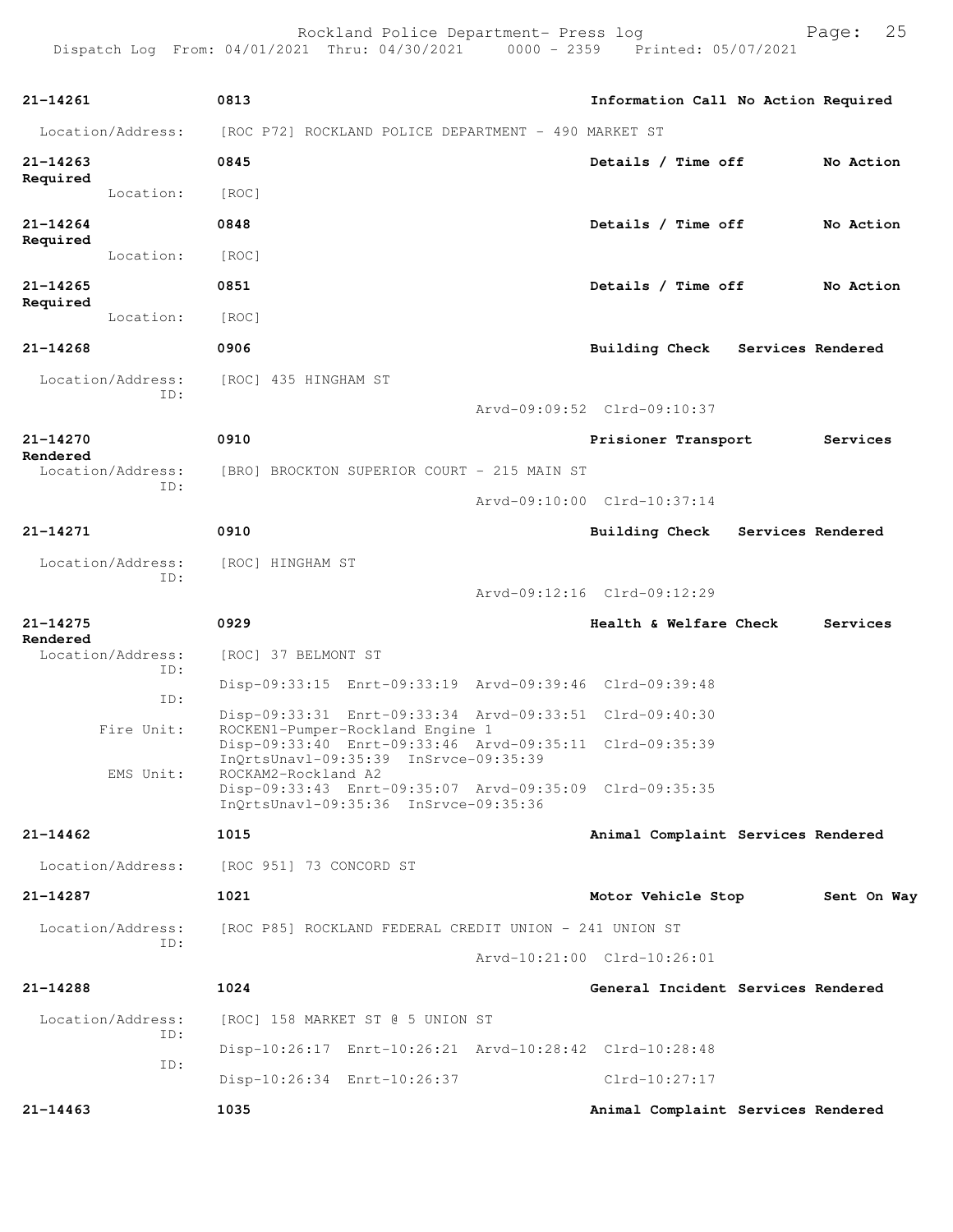Rockland Police Department- Press log entitled and Page: 25

| 21-14261                      | 0813                                                                                                                                 | Information Call No Action Required |                   |
|-------------------------------|--------------------------------------------------------------------------------------------------------------------------------------|-------------------------------------|-------------------|
| Location/Address:             | [ROC P72] ROCKLAND POLICE DEPARTMENT - 490 MARKET ST                                                                                 |                                     |                   |
| 21-14263                      | 0845                                                                                                                                 | Details / Time off                  | No Action         |
| Required<br>Location:         | [ROC]                                                                                                                                |                                     |                   |
| 21-14264                      | 0848                                                                                                                                 | Details / Time off                  | No Action         |
| Required<br>Location:         | [ROC]                                                                                                                                |                                     |                   |
| 21-14265                      | 0851                                                                                                                                 | Details / Time off                  | No Action         |
| Required<br>Location:         | [ROC]                                                                                                                                |                                     |                   |
| 21-14268                      | 0906                                                                                                                                 | <b>Building Check</b>               | Services Rendered |
| Location/Address:<br>ID:      | [ROC] 435 HINGHAM ST                                                                                                                 | Arvd-09:09:52 Clrd-09:10:37         |                   |
| 21-14270                      | 0910                                                                                                                                 | Prisioner Transport                 | Services          |
| Rendered<br>Location/Address: | [BRO] BROCKTON SUPERIOR COURT - 215 MAIN ST                                                                                          |                                     |                   |
| ID:                           |                                                                                                                                      | Arvd-09:10:00 Clrd-10:37:14         |                   |
| 21-14271                      | 0910                                                                                                                                 |                                     | Services Rendered |
|                               |                                                                                                                                      | Building Check                      |                   |
| Location/Address:<br>ID:      | [ROC] HINGHAM ST                                                                                                                     | Arvd-09:12:16 Clrd-09:12:29         |                   |
| 21-14275<br>Rendered          | 0929                                                                                                                                 | Health & Welfare Check              | Services          |
| Location/Address:             | [ROC] 37 BELMONT ST                                                                                                                  |                                     |                   |
| ID:<br>ID:                    | Disp-09:33:15 Enrt-09:33:19 Arvd-09:39:46 Clrd-09:39:48                                                                              |                                     |                   |
| Fire Unit:                    | Disp-09:33:31 Enrt-09:33:34 Arvd-09:33:51 Clrd-09:40:30                                                                              |                                     |                   |
|                               | ROCKEN1-Pumper-Rockland Engine 1<br>Disp-09:33:40 Enrt-09:33:46 Arvd-09:35:11 Clrd-09:35:39<br>InOrtsUnav1-09:35:39 InSrvce-09:35:39 |                                     |                   |
| EMS Unit:                     | ROCKAM2-Rockland A2<br>Disp-09:33:43 Enrt-09:35:07 Arvd-09:35:09 Clrd-09:35:35<br>InQrtsUnavl-09:35:36 InSrvce-09:35:36              |                                     |                   |
| 21-14462                      | 1015                                                                                                                                 | Animal Complaint Services Rendered  |                   |
| Location/Address:             | [ROC 951] 73 CONCORD ST                                                                                                              |                                     |                   |
| 21-14287                      | 1021                                                                                                                                 | Motor Vehicle Stop                  | Sent On Way       |
| Location/Address:             | [ROC P85] ROCKLAND FEDERAL CREDIT UNION - 241 UNION ST                                                                               |                                     |                   |
| ID:                           |                                                                                                                                      | Arvd-10:21:00 Clrd-10:26:01         |                   |
| 21-14288                      | 1024                                                                                                                                 | General Incident Services Rendered  |                   |
| Location/Address:             | [ROC] 158 MARKET ST @ 5 UNION ST                                                                                                     |                                     |                   |
| ID:                           | Disp-10:26:17 Enrt-10:26:21 Arvd-10:28:42 Clrd-10:28:48                                                                              |                                     |                   |
| ID:                           | Disp-10:26:34 Enrt-10:26:37                                                                                                          | Clrd-10:27:17                       |                   |
| 21-14463                      | 1035                                                                                                                                 | Animal Complaint Services Rendered  |                   |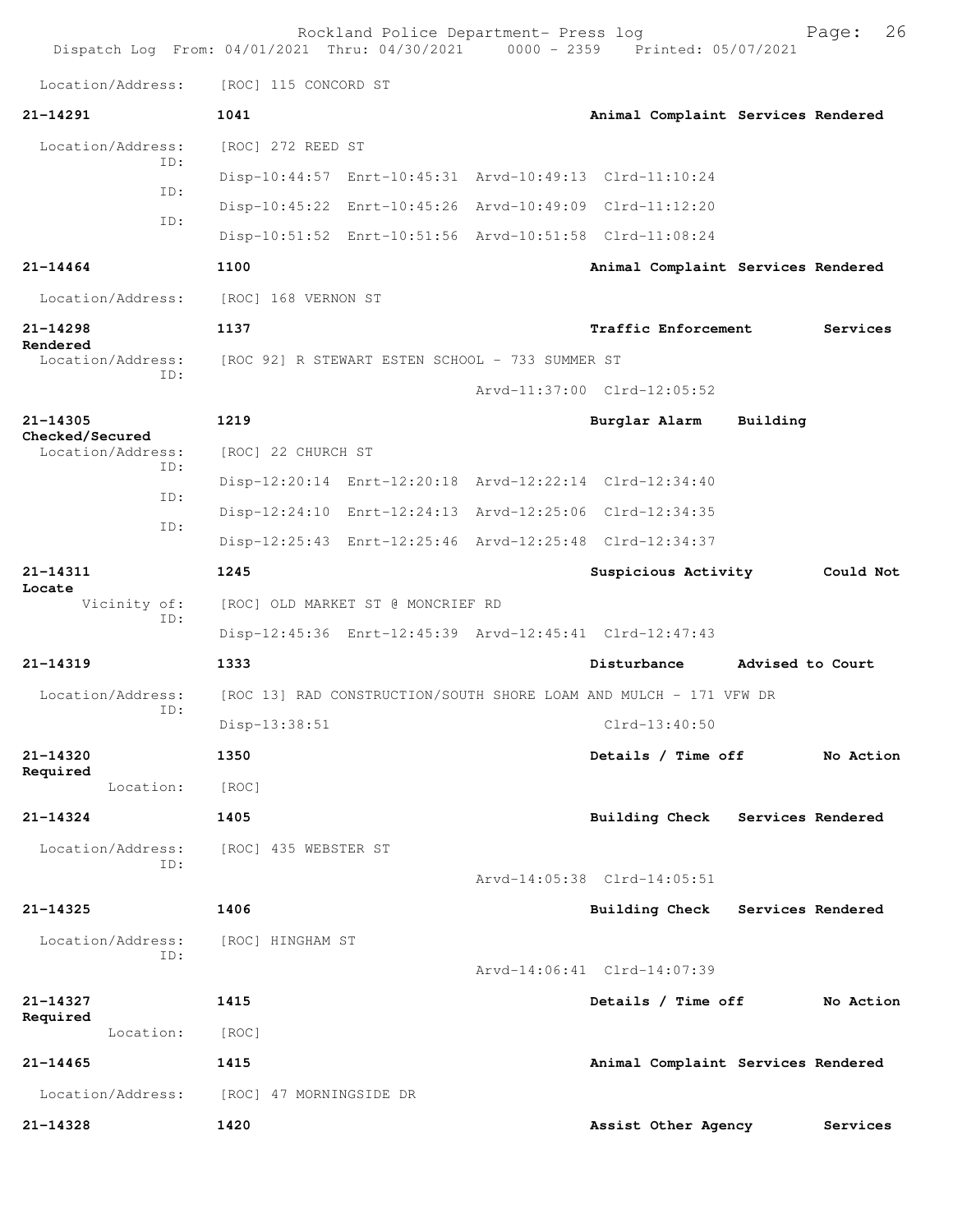|                             | Rockland Police Department- Press log<br>Dispatch Log From: 04/01/2021 Thru: 04/30/2021 0000 - 2359 Printed: 05/07/2021 |                             | 26<br>Page:                        |
|-----------------------------|-------------------------------------------------------------------------------------------------------------------------|-----------------------------|------------------------------------|
| Location/Address:           | [ROC] 115 CONCORD ST                                                                                                    |                             |                                    |
| 21-14291                    | 1041                                                                                                                    |                             | Animal Complaint Services Rendered |
| Location/Address:           | [ROC] 272 REED ST                                                                                                       |                             |                                    |
| TD:                         | Disp-10:44:57 Enrt-10:45:31 Arvd-10:49:13 Clrd-11:10:24                                                                 |                             |                                    |
| ID:                         | Disp-10:45:22 Enrt-10:45:26 Arvd-10:49:09 Clrd-11:12:20                                                                 |                             |                                    |
| ID:                         | Disp-10:51:52 Enrt-10:51:56 Arvd-10:51:58 Clrd-11:08:24                                                                 |                             |                                    |
| $21 - 14464$                | 1100                                                                                                                    |                             | Animal Complaint Services Rendered |
| Location/Address:           | [ROC] 168 VERNON ST                                                                                                     |                             |                                    |
| 21-14298<br>Rendered        | 1137                                                                                                                    | Traffic Enforcement         | Services                           |
| Location/Address:<br>ID:    | [ROC 92] R STEWART ESTEN SCHOOL - 733 SUMMER ST                                                                         |                             |                                    |
|                             |                                                                                                                         | Arvd-11:37:00 Clrd-12:05:52 |                                    |
| 21-14305<br>Checked/Secured | 1219                                                                                                                    | Burglar Alarm               | Building                           |
| Location/Address:<br>ID:    | [ROC] 22 CHURCH ST                                                                                                      |                             |                                    |
| ID:                         | Disp-12:20:14 Enrt-12:20:18 Arvd-12:22:14 Clrd-12:34:40                                                                 |                             |                                    |
| ID:                         | Disp-12:24:10 Enrt-12:24:13 Arvd-12:25:06 Clrd-12:34:35                                                                 |                             |                                    |
|                             | Disp-12:25:43 Enrt-12:25:46 Arvd-12:25:48 Clrd-12:34:37                                                                 |                             |                                    |
| 21-14311<br>Locate          | 1245                                                                                                                    | Suspicious Activity         | Could Not                          |
| Vicinity of:<br>ID:         | [ROC] OLD MARKET ST @ MONCRIEF RD                                                                                       |                             |                                    |
|                             | Disp-12:45:36 Enrt-12:45:39 Arvd-12:45:41 Clrd-12:47:43                                                                 |                             |                                    |
| $21 - 14319$                | 1333                                                                                                                    | Disturbance                 | Advised to Court                   |
| Location/Address:<br>ID:    | [ROC 13] RAD CONSTRUCTION/SOUTH SHORE LOAM AND MULCH - 171 VFW DR                                                       |                             |                                    |
|                             | Disp-13:38:51                                                                                                           | $C1rd-13:40:50$             |                                    |
| 21-14320<br>Required        | 1350                                                                                                                    | Details / Time off          | No Action                          |
| Location:                   | [ROC]                                                                                                                   |                             |                                    |
| $21 - 14324$                | 1405                                                                                                                    |                             | Building Check Services Rendered   |
| Location/Address:<br>ID:    | [ROC] 435 WEBSTER ST                                                                                                    |                             |                                    |
|                             |                                                                                                                         | Arvd-14:05:38 Clrd-14:05:51 |                                    |
| 21-14325                    | 1406                                                                                                                    | Building Check              | Services Rendered                  |
| Location/Address:<br>TD:    | [ROC] HINGHAM ST                                                                                                        |                             |                                    |
|                             |                                                                                                                         | Arvd-14:06:41 Clrd-14:07:39 |                                    |
| 21-14327<br>Required        | 1415                                                                                                                    | Details / Time off          | No Action                          |
| Location:                   | [ROC]                                                                                                                   |                             |                                    |
| $21 - 14465$                | 1415                                                                                                                    |                             | Animal Complaint Services Rendered |
| Location/Address:           | [ROC] 47 MORNINGSIDE DR                                                                                                 |                             |                                    |
| 21-14328                    | 1420                                                                                                                    | Assist Other Agency         | Services                           |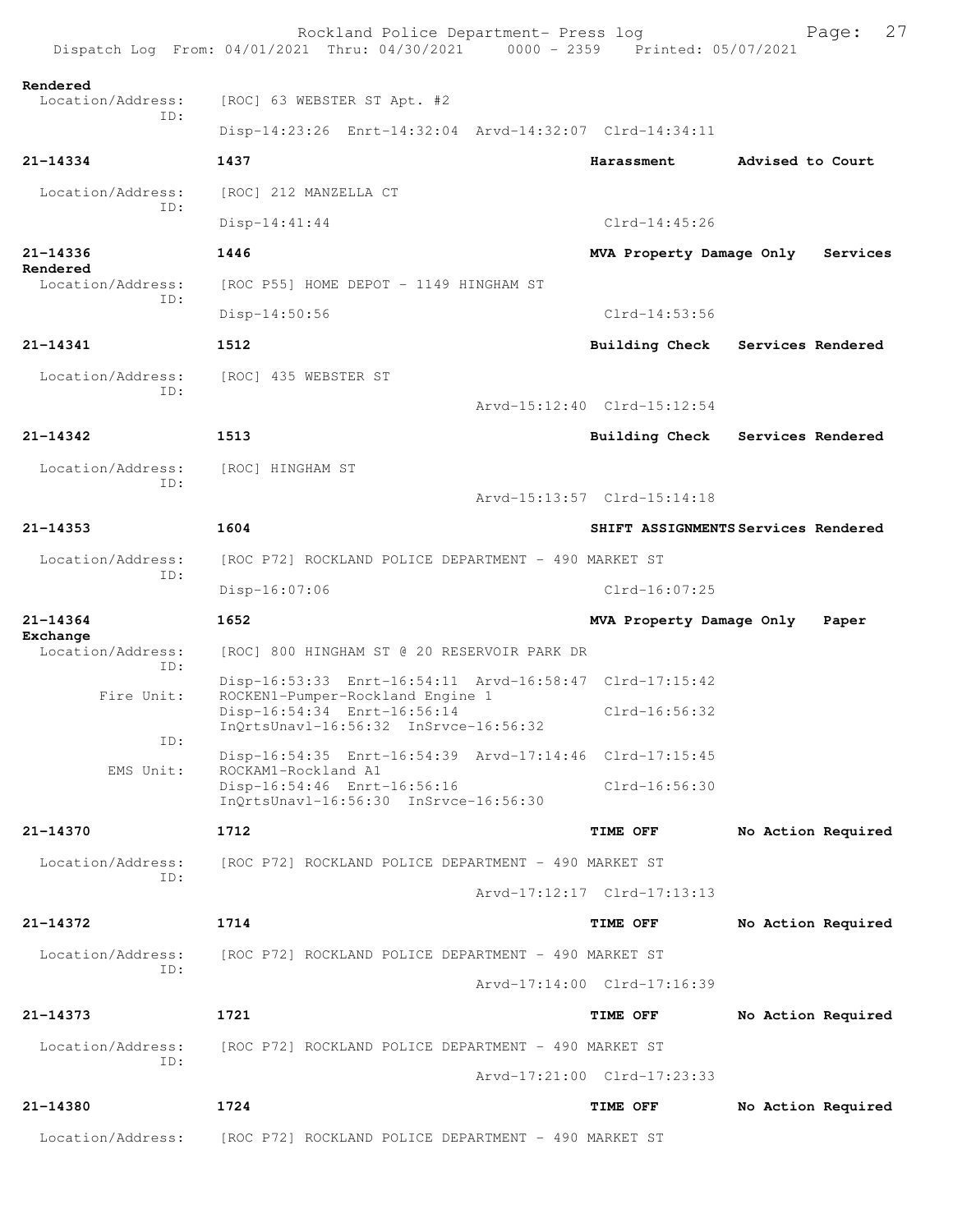|                               | Rockland Police Department- Press log<br>Dispatch Log From: 04/01/2021 Thru: 04/30/2021 0000 - 2359 Printed: 05/07/2021 |                                     | 27<br>Page:        |
|-------------------------------|-------------------------------------------------------------------------------------------------------------------------|-------------------------------------|--------------------|
| Rendered<br>Location/Address: | [ROC] 63 WEBSTER ST Apt. #2                                                                                             |                                     |                    |
| TD:                           | Disp-14:23:26 Enrt-14:32:04 Arvd-14:32:07 Clrd-14:34:11                                                                 |                                     |                    |
| 21-14334                      | 1437                                                                                                                    | Harassment                          | Advised to Court   |
| Location/Address:             | [ROC] 212 MANZELLA CT                                                                                                   |                                     |                    |
| TD:                           | $Disp-14:41:44$                                                                                                         | $C1rd-14:45:26$                     |                    |
| 21-14336<br>Rendered          | 1446                                                                                                                    | MVA Property Damage Only            | Services           |
| Location/Address:<br>TD:      | [ROC P55] HOME DEPOT - 1149 HINGHAM ST                                                                                  |                                     |                    |
|                               | $Disp-14:50:56$                                                                                                         | $Clrd-14:53:56$                     |                    |
| 21-14341                      | 1512                                                                                                                    | Building Check                      | Services Rendered  |
| Location/Address:<br>TD:      | [ROC] 435 WEBSTER ST                                                                                                    |                                     |                    |
|                               |                                                                                                                         | Arvd-15:12:40 Clrd-15:12:54         |                    |
| 21-14342                      | 1513                                                                                                                    | Building Check                      | Services Rendered  |
| Location/Address:<br>ID:      | [ROC] HINGHAM ST                                                                                                        |                                     |                    |
|                               |                                                                                                                         | Arvd-15:13:57 Clrd-15:14:18         |                    |
| $21 - 14353$                  | 1604                                                                                                                    | SHIFT ASSIGNMENTS Services Rendered |                    |
| Location/Address:<br>TD:      | [ROC P72] ROCKLAND POLICE DEPARTMENT - 490 MARKET ST                                                                    |                                     |                    |
|                               | Disp-16:07:06                                                                                                           | Clrd-16:07:25                       |                    |
| 21-14364<br>Exchange          | 1652                                                                                                                    | MVA Property Damage Only            | Paper              |
| Location/Address:<br>TD:      | [ROC] 800 HINGHAM ST @ 20 RESERVOIR PARK DR                                                                             |                                     |                    |
| Fire Unit:                    | Disp-16:53:33 Enrt-16:54:11 Arvd-16:58:47 Clrd-17:15:42<br>ROCKEN1-Pumper-Rockland Engine 1                             |                                     |                    |
|                               | Disp-16:54:34 Enrt-16:56:14<br>InQrtsUnavl-16:56:32 InSrvce-16:56:32                                                    | $C1rd-16:56:32$                     |                    |
| ID:<br>EMS Unit:              | Disp-16:54:35 Enrt-16:54:39 Arvd-17:14:46 Clrd-17:15:45<br>ROCKAM1-Rockland A1                                          |                                     |                    |
|                               | Disp-16:54:46 Enrt-16:56:16<br>InOrtsUnavl-16:56:30 InSrvce-16:56:30                                                    | Clrd-16:56:30                       |                    |
| 21-14370                      | 1712                                                                                                                    | TIME OFF                            | No Action Required |
| Location/Address:<br>ID:      | [ROC P72] ROCKLAND POLICE DEPARTMENT - 490 MARKET ST                                                                    |                                     |                    |
|                               |                                                                                                                         | Arvd-17:12:17 Clrd-17:13:13         |                    |
| $21 - 14372$                  | 1714                                                                                                                    | TIME OFF                            | No Action Required |
| Location/Address:<br>TD:      | [ROC P72] ROCKLAND POLICE DEPARTMENT - 490 MARKET ST                                                                    |                                     |                    |
|                               |                                                                                                                         | Arvd-17:14:00 Clrd-17:16:39         |                    |
| 21-14373                      | 1721                                                                                                                    | TIME OFF                            | No Action Required |
| Location/Address:             | [ROC P72] ROCKLAND POLICE DEPARTMENT - 490 MARKET ST                                                                    |                                     |                    |
| ID:                           |                                                                                                                         | Arvd-17:21:00 Clrd-17:23:33         |                    |
| 21-14380                      |                                                                                                                         |                                     |                    |
|                               | 1724                                                                                                                    | TIME OFF                            | No Action Required |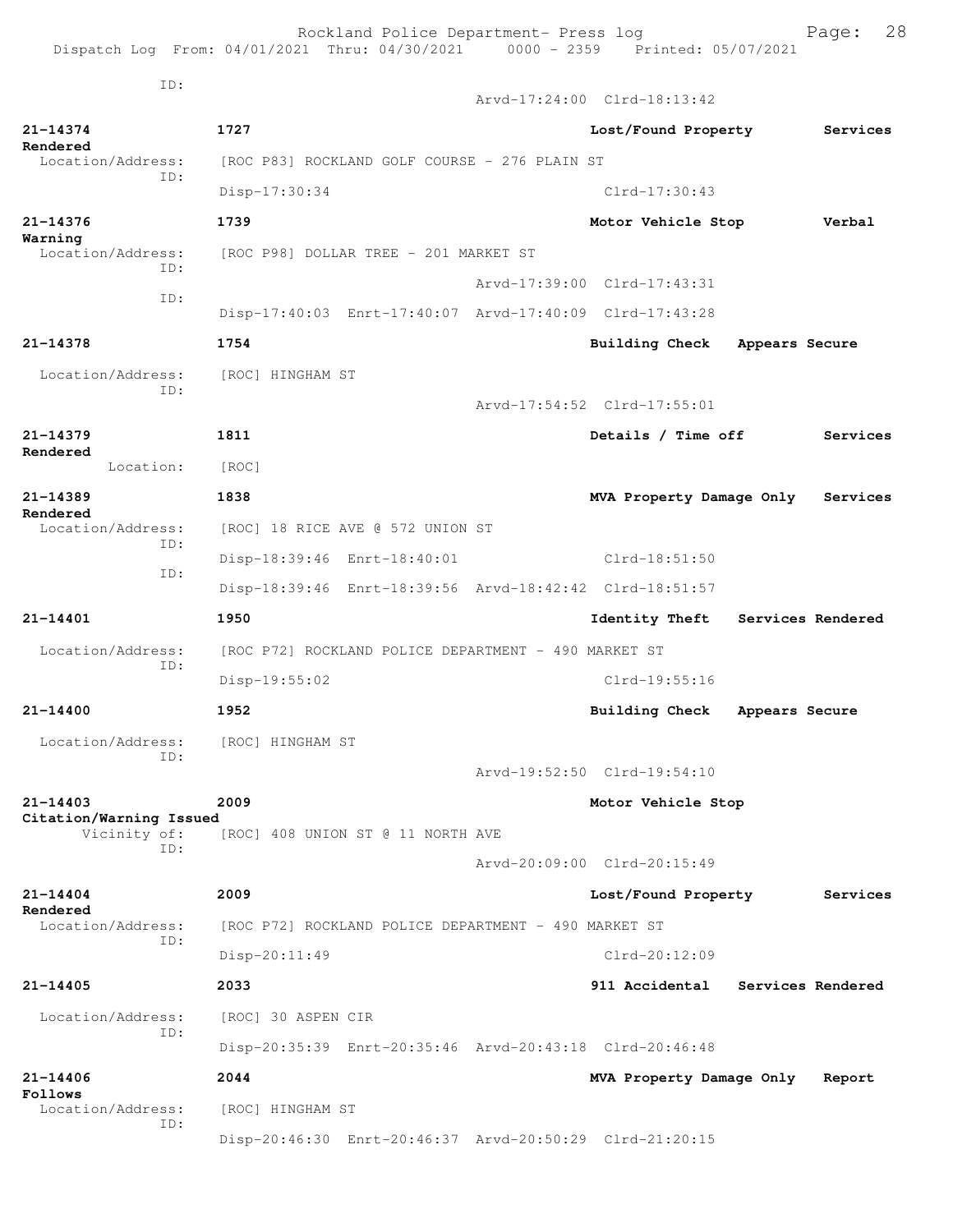Dispatch Log From: 04/01/2021 Thru: 04/30/2021 0000 - 2359 Printed: 05/07/2021 ID: Arvd-17:24:00 Clrd-18:13:42 **21-14374 1727 Lost/Found Property Services Rendered**<br>Location/Address: [ROC P83] ROCKLAND GOLF COURSE - 276 PLAIN ST ID: Disp-17:30:34 Clrd-17:30:43 **21-14376 1739 Motor Vehicle Stop Verbal Warning**  Location/Address: [ROC P98] DOLLAR TREE - 201 MARKET ST ID: Arvd-17:39:00 Clrd-17:43:31 ID: Disp-17:40:03 Enrt-17:40:07 Arvd-17:40:09 Clrd-17:43:28 **21-14378 1754 Building Check Appears Secure** Location/Address: [ROC] HINGHAM ST ID: Arvd-17:54:52 Clrd-17:55:01 **21-14379 1811 Details / Time off Services Rendered**  Location: [ROC] **21-14389 1838 MVA Property Damage Only Services Rendered**  Location/Address: [ROC] 18 RICE AVE @ 572 UNION ST ID: Disp-18:39:46 Enrt-18:40:01 Clrd-18:51:50 ID: Disp-18:39:46 Enrt-18:39:56 Arvd-18:42:42 Clrd-18:51:57 **21-14401 1950 Identity Theft Services Rendered** Location/Address: [ROC P72] ROCKLAND POLICE DEPARTMENT - 490 MARKET ST ID: Disp-19:55:02 Clrd-19:55:16 **21-14400 1952 Building Check Appears Secure** Location/Address: [ROC] HINGHAM ST ID: Arvd-19:52:50 Clrd-19:54:10 **21-14403 2009 Motor Vehicle Stop Citation/Warning Issued**  [ROC] 408 UNION ST @ 11 NORTH AVE ID: Arvd-20:09:00 Clrd-20:15:49 **21-14404 2009 Lost/Found Property Services Rendered**  Location/Address: [ROC P72] ROCKLAND POLICE DEPARTMENT - 490 MARKET ST ID: Disp-20:11:49 Clrd-20:12:09 **21-14405 2033 911 Accidental Services Rendered** Location/Address: [ROC] 30 ASPEN CIR ID: Disp-20:35:39 Enrt-20:35:46 Arvd-20:43:18 Clrd-20:46:48 **21-14406 2044 MVA Property Damage Only Report Follows**  Location/Address: [ROC] HINGHAM ST

Disp-20:46:30 Enrt-20:46:37 Arvd-20:50:29 Clrd-21:20:15

ID:

Rockland Police Department- Press log Fage: 28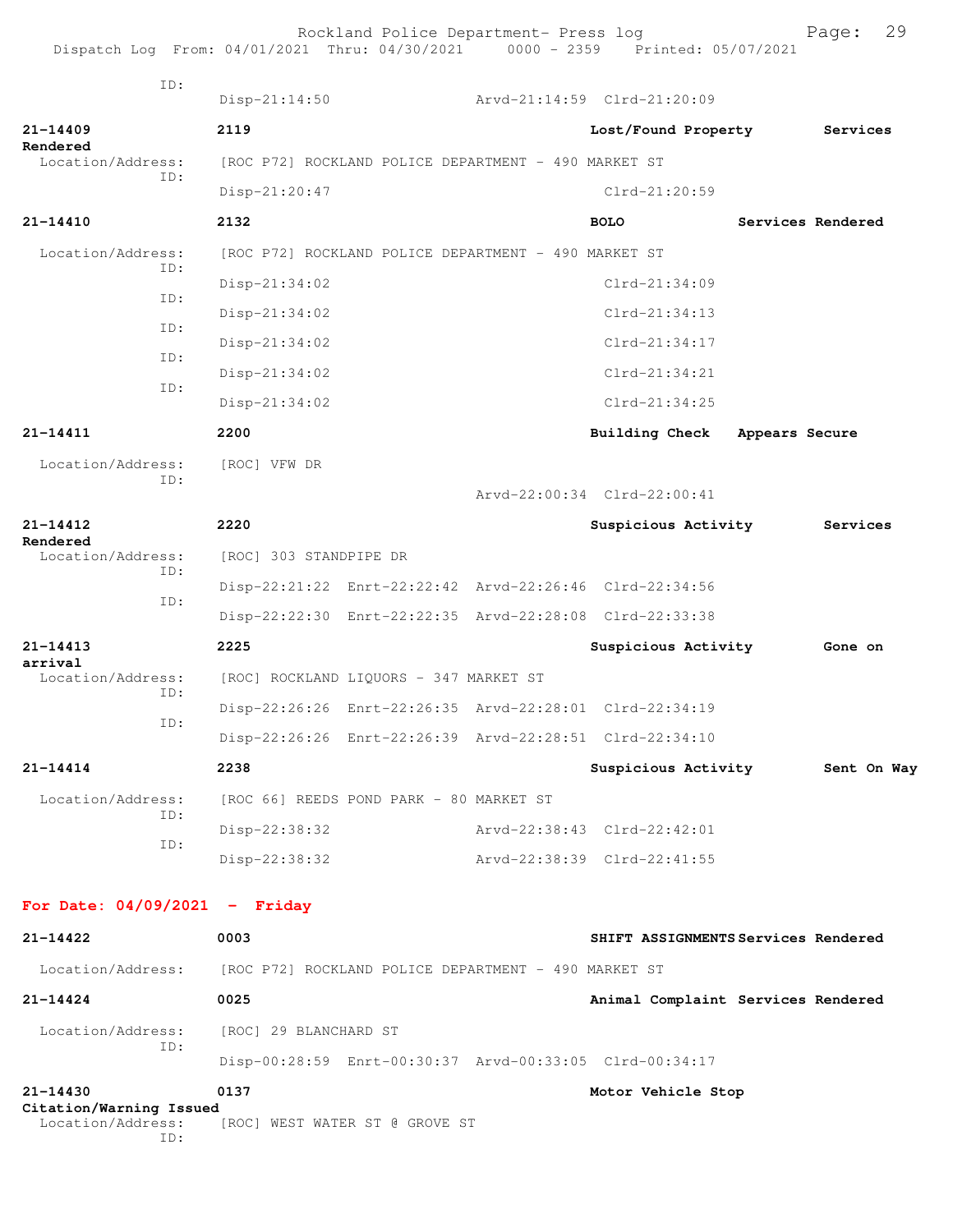| Dispatch Log From: 04/01/2021 Thru: 04/30/2021 0000 - 2359 Printed: 05/07/2021 |                                                      | Rockland Police Department- Press log   |                                                         |                   | Page:       | 29 |
|--------------------------------------------------------------------------------|------------------------------------------------------|-----------------------------------------|---------------------------------------------------------|-------------------|-------------|----|
| ID:                                                                            | $Disp-21:14:50$                                      |                                         | Arvd-21:14:59 Clrd-21:20:09                             |                   |             |    |
| $21 - 14409$                                                                   | 2119                                                 |                                         | Lost/Found Property Services                            |                   |             |    |
| Rendered<br>Location/Address:                                                  | [ROC P72] ROCKLAND POLICE DEPARTMENT - 490 MARKET ST |                                         |                                                         |                   |             |    |
| ID:                                                                            | Disp-21:20:47                                        |                                         | Clrd-21:20:59                                           |                   |             |    |
| 21-14410                                                                       | 2132                                                 |                                         | <b>BOLO</b>                                             | Services Rendered |             |    |
| Location/Address:                                                              | [ROC P72] ROCKLAND POLICE DEPARTMENT - 490 MARKET ST |                                         |                                                         |                   |             |    |
| TD:                                                                            | Disp-21:34:02                                        |                                         | $Clrd-21:34:09$                                         |                   |             |    |
| ID:                                                                            | $Disp-21:34:02$                                      |                                         | $Clrd-21:34:13$                                         |                   |             |    |
| ID:                                                                            | $Disp-21:34:02$                                      |                                         | $Clrd-21:34:17$                                         |                   |             |    |
| ID:                                                                            | Disp-21:34:02                                        |                                         | $Clrd-21:34:21$                                         |                   |             |    |
| ID:                                                                            | Disp-21:34:02                                        |                                         | $Clrd-21:34:25$                                         |                   |             |    |
| $21 - 14411$                                                                   | 2200                                                 |                                         | <b>Building Check</b>                                   | Appears Secure    |             |    |
| Location/Address:                                                              | [ROC] VFW DR                                         |                                         |                                                         |                   |             |    |
| ID:                                                                            |                                                      |                                         | Arvd-22:00:34 Clrd-22:00:41                             |                   |             |    |
| $21 - 14412$                                                                   | 2220                                                 |                                         | Suspicious Activity                                     |                   | Services    |    |
| Rendered<br>Location/Address:                                                  | [ROC] 303 STANDPIPE DR                               |                                         |                                                         |                   |             |    |
| ID:                                                                            |                                                      |                                         | Disp-22:21:22 Enrt-22:22:42 Arvd-22:26:46 Clrd-22:34:56 |                   |             |    |
| ID:                                                                            |                                                      |                                         | Disp-22:22:30 Enrt-22:22:35 Arvd-22:28:08 Clrd-22:33:38 |                   |             |    |
| $21 - 14413$                                                                   | 2225                                                 |                                         | Suspicious Activity                                     |                   | Gone on     |    |
| arrival<br>Location/Address:                                                   |                                                      | [ROC] ROCKLAND LIQUORS - 347 MARKET ST  |                                                         |                   |             |    |
| ID:                                                                            |                                                      |                                         | Disp-22:26:26 Enrt-22:26:35 Arvd-22:28:01 Clrd-22:34:19 |                   |             |    |
| ID:                                                                            |                                                      |                                         | Disp-22:26:26 Enrt-22:26:39 Arvd-22:28:51 Clrd-22:34:10 |                   |             |    |
| $21 - 14414$                                                                   | 2238                                                 |                                         | Suspicious Activity                                     |                   | Sent On Way |    |
| Location/Address:                                                              |                                                      | [ROC 66] REEDS POND PARK - 80 MARKET ST |                                                         |                   |             |    |
| ID:                                                                            | Disp-22:38:32                                        |                                         | Arvd-22:38:43 Clrd-22:42:01                             |                   |             |    |
| ID:                                                                            | Disp-22:38:32                                        |                                         | Arvd-22:38:39 Clrd-22:41:55                             |                   |             |    |
| For Date: $04/09/2021 -$ Friday                                                |                                                      |                                         |                                                         |                   |             |    |
| 21-14422                                                                       | 0003                                                 |                                         | SHIFT ASSIGNMENTS Services Rendered                     |                   |             |    |
| Location/Address:                                                              | [ROC P72] ROCKLAND POLICE DEPARTMENT - 490 MARKET ST |                                         |                                                         |                   |             |    |
| $21 - 14424$                                                                   | 0025                                                 |                                         | Animal Complaint Services Rendered                      |                   |             |    |
| Location/Address:<br>ID:                                                       | [ROC] 29 BLANCHARD ST                                |                                         |                                                         |                   |             |    |
|                                                                                |                                                      |                                         | Disp-00:28:59 Enrt-00:30:37 Arvd-00:33:05 Clrd-00:34:17 |                   |             |    |
| 21-14430<br>Citation/Warning Issued<br>Location/Address:<br>ID:                | 0137                                                 | [ROC] WEST WATER ST @ GROVE ST          | Motor Vehicle Stop                                      |                   |             |    |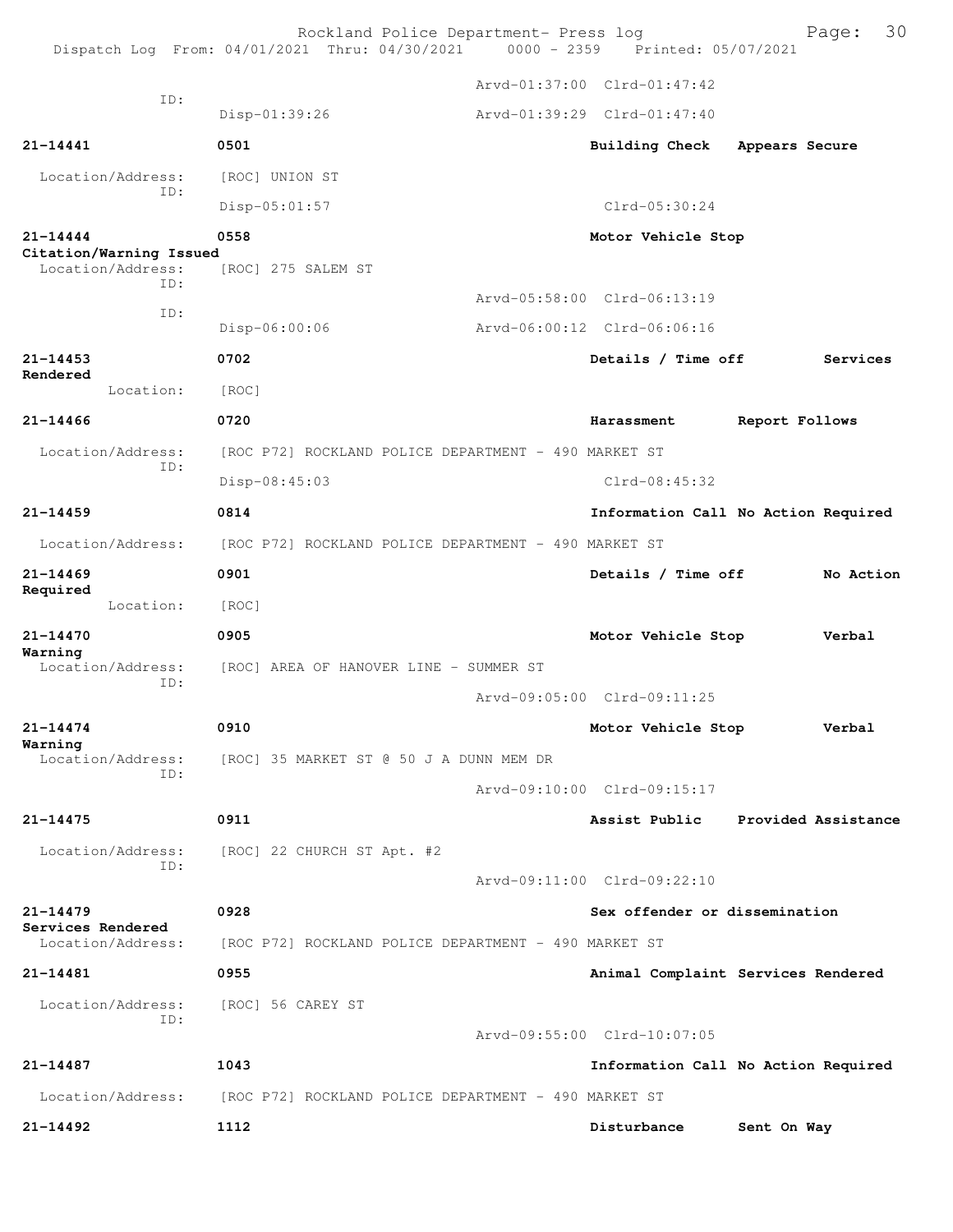|                                                     | Rockland Police Department- Press log<br>Dispatch Log From: 04/01/2021 Thru: 04/30/2021 | 0000 - 2359 Printed: 05/07/2021     |                | Page: 30            |
|-----------------------------------------------------|-----------------------------------------------------------------------------------------|-------------------------------------|----------------|---------------------|
|                                                     |                                                                                         | Arvd-01:37:00 Clrd-01:47:42         |                |                     |
| ID:                                                 | Disp-01:39:26                                                                           | Arvd-01:39:29 Clrd-01:47:40         |                |                     |
| $21 - 14441$                                        | 0501                                                                                    | Building Check                      | Appears Secure |                     |
| Location/Address:                                   | [ROC] UNION ST                                                                          |                                     |                |                     |
| ID:                                                 | Disp-05:01:57                                                                           | $Clrd-05:30:24$                     |                |                     |
| $21 - 14444$                                        | 0558                                                                                    | Motor Vehicle Stop                  |                |                     |
| Citation/Warning Issued<br>Location/Address:<br>TD: | [ROC] 275 SALEM ST                                                                      |                                     |                |                     |
| ID:                                                 |                                                                                         | Arvd-05:58:00 Clrd-06:13:19         |                |                     |
|                                                     | Disp-06:00:06                                                                           | Arvd-06:00:12 Clrd-06:06:16         |                |                     |
| $21 - 14453$<br>Rendered                            | 0702                                                                                    | Details / Time off                  |                | Services            |
| Location:                                           | [ROC]                                                                                   |                                     |                |                     |
| $21 - 14466$                                        | 0720                                                                                    | Harassment                          | Report Follows |                     |
| Location/Address:<br>ID:                            | [ROC P72] ROCKLAND POLICE DEPARTMENT - 490 MARKET ST                                    |                                     |                |                     |
|                                                     | Disp-08:45:03                                                                           | $Clrd-08:45:32$                     |                |                     |
| $21 - 14459$                                        | 0814                                                                                    | Information Call No Action Required |                |                     |
| Location/Address:                                   | [ROC P72] ROCKLAND POLICE DEPARTMENT - 490 MARKET ST                                    |                                     |                |                     |
| $21 - 14469$<br>Required                            | 0901                                                                                    | Details / Time off                  |                | No Action           |
| Location:                                           | [ROC]                                                                                   |                                     |                |                     |
| 21-14470                                            | 0905                                                                                    | Motor Vehicle Stop                  |                | Verbal              |
| Warning<br>Location/Address:<br>TD:                 | [ROC] AREA OF HANOVER LINE - SUMMER ST                                                  |                                     |                |                     |
|                                                     |                                                                                         | Arvd-09:05:00 Clrd-09:11:25         |                |                     |
| $21 - 14474$<br>Warning                             | 0910                                                                                    | Motor Vehicle Stop                  |                | Verbal              |
| Location/Address:<br>ID:                            | [ROC] 35 MARKET ST @ 50 J A DUNN MEM DR                                                 |                                     |                |                     |
|                                                     |                                                                                         | Arvd-09:10:00 Clrd-09:15:17         |                |                     |
| $21 - 14475$                                        | 0911                                                                                    | Assist Public                       |                | Provided Assistance |
| Location/Address:<br>ID:                            | [ROC] 22 CHURCH ST Apt. #2                                                              |                                     |                |                     |
|                                                     |                                                                                         | Arvd-09:11:00 Clrd-09:22:10         |                |                     |
| $21 - 14479$<br>Services Rendered                   | 0928                                                                                    | Sex offender or dissemination       |                |                     |
| Location/Address:                                   | [ROC P72] ROCKLAND POLICE DEPARTMENT - 490 MARKET ST                                    |                                     |                |                     |
| 21-14481                                            | 0955                                                                                    | Animal Complaint Services Rendered  |                |                     |
| Location/Address:<br>ID:                            | [ROC] 56 CAREY ST                                                                       |                                     |                |                     |
|                                                     |                                                                                         | Arvd-09:55:00 Clrd-10:07:05         |                |                     |
| 21-14487                                            | 1043                                                                                    | Information Call No Action Required |                |                     |
| Location/Address:                                   | [ROC P72] ROCKLAND POLICE DEPARTMENT - 490 MARKET ST                                    |                                     |                |                     |
| $21 - 14492$                                        | 1112                                                                                    | Disturbance                         | Sent On Way    |                     |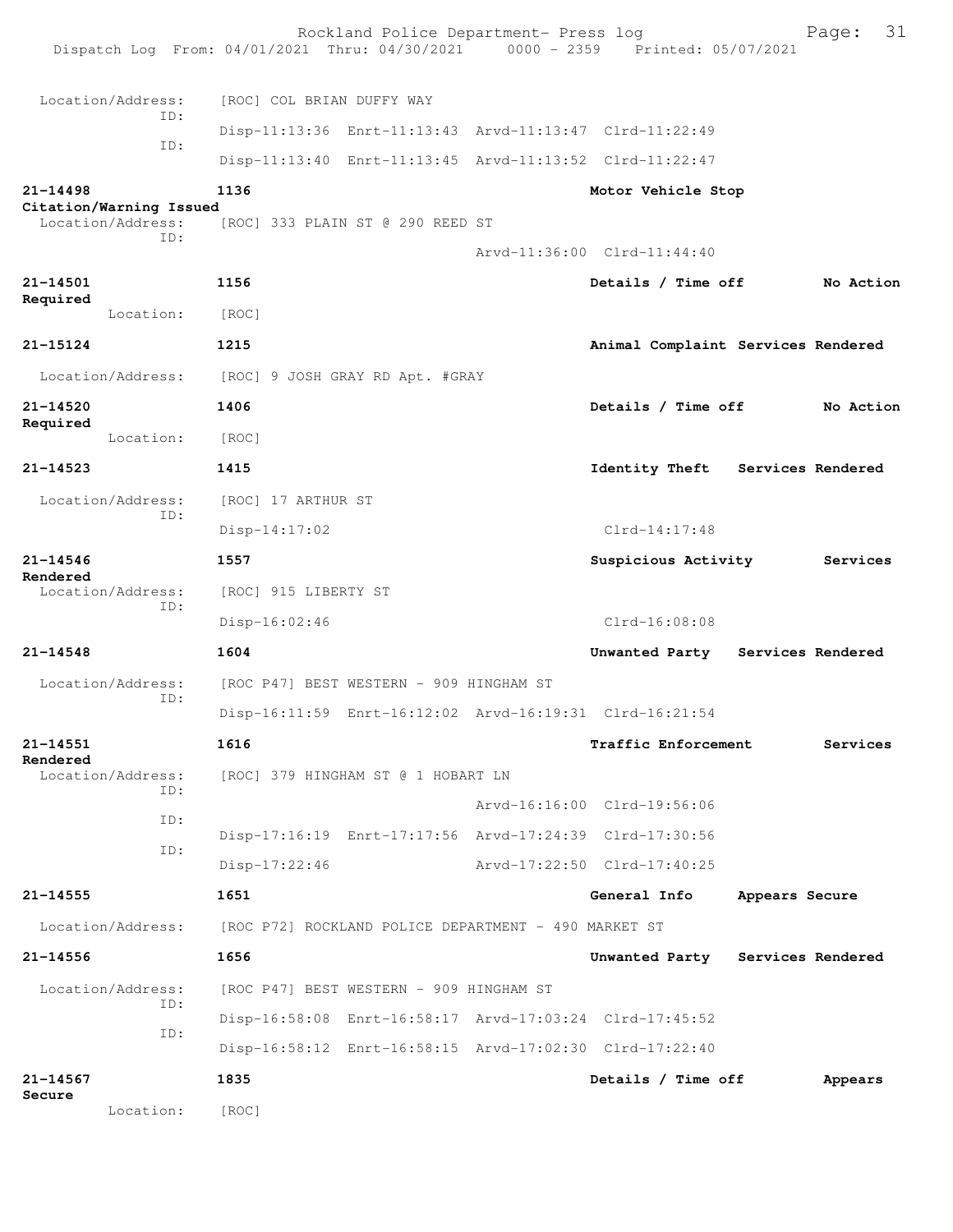|                                              | Rockland Police Department- Press log<br>Dispatch Log From: 04/01/2021 Thru: 04/30/2021 0000 - 2359 Printed: 05/07/2021 |                                    |                | 31<br>Page: |
|----------------------------------------------|-------------------------------------------------------------------------------------------------------------------------|------------------------------------|----------------|-------------|
| Location/Address:                            | [ROC] COL BRIAN DUFFY WAY                                                                                               |                                    |                |             |
| ID:                                          | Disp-11:13:36 Enrt-11:13:43 Arvd-11:13:47 Clrd-11:22:49                                                                 |                                    |                |             |
| ID:                                          | Disp-11:13:40 Enrt-11:13:45 Arvd-11:13:52 Clrd-11:22:47                                                                 |                                    |                |             |
| $21 - 14498$                                 | 1136                                                                                                                    | Motor Vehicle Stop                 |                |             |
| Citation/Warning Issued<br>Location/Address: | [ROC] 333 PLAIN ST @ 290 REED ST                                                                                        |                                    |                |             |
| ID:                                          |                                                                                                                         | Arvd-11:36:00 Clrd-11:44:40        |                |             |
| 21-14501                                     | 1156                                                                                                                    | Details / Time off                 |                | No Action   |
| Required<br>Location:                        | [ROC]                                                                                                                   |                                    |                |             |
| 21-15124                                     | 1215                                                                                                                    | Animal Complaint Services Rendered |                |             |
| Location/Address:                            | [ROC] 9 JOSH GRAY RD Apt. #GRAY                                                                                         |                                    |                |             |
| 21-14520                                     | 1406                                                                                                                    | Details / Time off                 |                | No Action   |
| Required<br>Location:                        | [ROC]                                                                                                                   |                                    |                |             |
| $21 - 14523$                                 | 1415                                                                                                                    | Identity Theft Services Rendered   |                |             |
| Location/Address:                            | [ROC] 17 ARTHUR ST                                                                                                      |                                    |                |             |
| TD:                                          | $Disp-14:17:02$                                                                                                         | $Clrd-14:17:48$                    |                |             |
| $21 - 14546$                                 | 1557                                                                                                                    | Suspicious Activity                |                | Services    |
| Rendered<br>Location/Address:<br>ID:         | [ROC] 915 LIBERTY ST                                                                                                    |                                    |                |             |
|                                              | Disp-16:02:46                                                                                                           | $Clrd-16:08:08$                    |                |             |
| $21 - 14548$                                 | 1604                                                                                                                    | Unwanted Party Services Rendered   |                |             |
| Location/Address:<br>TD:                     | [ROC P47] BEST WESTERN - 909 HINGHAM ST                                                                                 |                                    |                |             |
|                                              | Disp-16:11:59 Enrt-16:12:02 Arvd-16:19:31 Clrd-16:21:54                                                                 |                                    |                |             |
| 21-14551<br>Rendered                         | 1616                                                                                                                    | <b>Traffic Enforcement</b>         |                | Services    |
| Location/Address:<br>TD:                     | [ROC] 379 HINGHAM ST @ 1 HOBART LN                                                                                      |                                    |                |             |
| ID:                                          |                                                                                                                         | Arvd-16:16:00 Clrd-19:56:06        |                |             |
| ID:                                          | Disp-17:16:19 Enrt-17:17:56 Arvd-17:24:39 Clrd-17:30:56                                                                 |                                    |                |             |
|                                              | $Disp-17:22:46$                                                                                                         | Arvd-17:22:50 Clrd-17:40:25        |                |             |
| $21 - 14555$                                 | 1651                                                                                                                    | General Info                       | Appears Secure |             |
|                                              | Location/Address: [ROC P72] ROCKLAND POLICE DEPARTMENT - 490 MARKET ST                                                  |                                    |                |             |
| 21-14556                                     | 1656                                                                                                                    | Unwanted Party Services Rendered   |                |             |
| Location/Address:<br>ID:                     | [ROC P47] BEST WESTERN - 909 HINGHAM ST                                                                                 |                                    |                |             |
| ID:                                          | Disp-16:58:08 Enrt-16:58:17 Arvd-17:03:24 Clrd-17:45:52                                                                 |                                    |                |             |
|                                              | Disp-16:58:12 Enrt-16:58:15 Arvd-17:02:30 Clrd-17:22:40                                                                 |                                    |                |             |
| 21-14567<br>Secure                           | 1835                                                                                                                    | Details / Time off                 |                | Appears     |
| Location:                                    | [ROC]                                                                                                                   |                                    |                |             |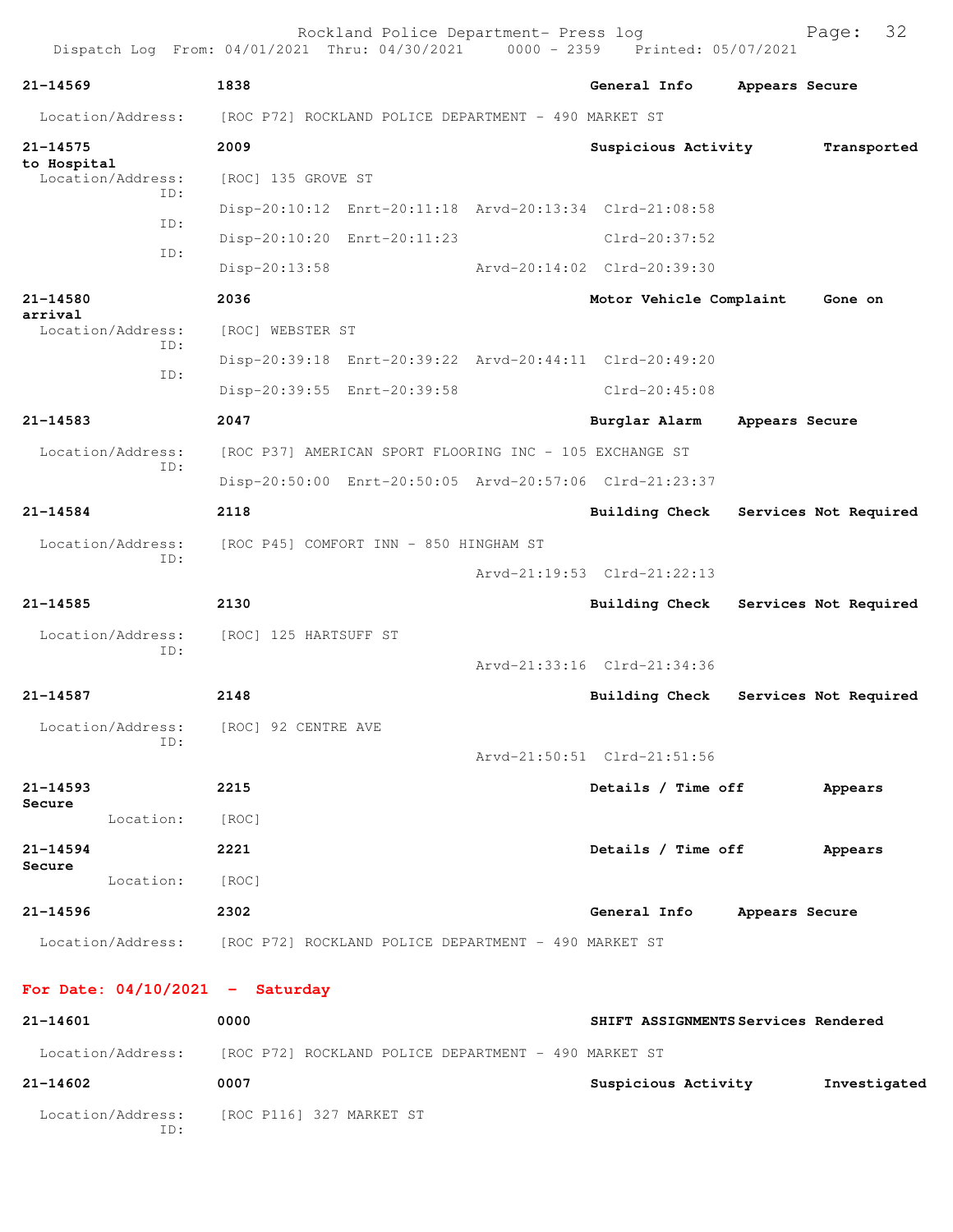| 21-14569                 | 1838                                                                   |  | General Info                | Appears Secure        |             |  |
|--------------------------|------------------------------------------------------------------------|--|-----------------------------|-----------------------|-------------|--|
| Location/Address:        | [ROC P72] ROCKLAND POLICE DEPARTMENT - 490 MARKET ST                   |  |                             |                       |             |  |
| 21-14575<br>to Hospital  | 2009                                                                   |  | Suspicious Activity         |                       | Transported |  |
| Location/Address:<br>ID: | [ROC] 135 GROVE ST                                                     |  |                             |                       |             |  |
| ID:                      | Disp-20:10:12 Enrt-20:11:18 Arvd-20:13:34 Clrd-21:08:58                |  |                             |                       |             |  |
| ID:                      | Disp-20:10:20 Enrt-20:11:23                                            |  | Clrd-20:37:52               |                       |             |  |
|                          | $Disp-20:13:58$                                                        |  | Arvd-20:14:02 Clrd-20:39:30 |                       |             |  |
| 21-14580<br>arrival      | 2036                                                                   |  | Motor Vehicle Complaint     |                       | Gone on     |  |
| Location/Address:        | [ROC] WEBSTER ST                                                       |  |                             |                       |             |  |
| ID:                      | Disp-20:39:18 Enrt-20:39:22 Arvd-20:44:11 Clrd-20:49:20                |  |                             |                       |             |  |
| ID:                      | Disp-20:39:55 Enrt-20:39:58                                            |  | $Clrd-20:45:08$             |                       |             |  |
| 21-14583                 | 2047                                                                   |  | Burglar Alarm               | Appears Secure        |             |  |
| Location/Address:        | [ROC P37] AMERICAN SPORT FLOORING INC - 105 EXCHANGE ST                |  |                             |                       |             |  |
| ID:                      | Disp-20:50:00 Enrt-20:50:05 Arvd-20:57:06 Clrd-21:23:37                |  |                             |                       |             |  |
| 21-14584                 | 2118                                                                   |  | <b>Building Check</b>       | Services Not Required |             |  |
| Location/Address:        | [ROC P45] COMFORT INN - 850 HINGHAM ST                                 |  |                             |                       |             |  |
| ID:                      |                                                                        |  | Arvd-21:19:53 Clrd-21:22:13 |                       |             |  |
| 21-14585                 | 2130                                                                   |  | <b>Building Check</b>       | Services Not Required |             |  |
| Location/Address:        | [ROC] 125 HARTSUFF ST                                                  |  |                             |                       |             |  |
| ID:                      |                                                                        |  | Arvd-21:33:16 Clrd-21:34:36 |                       |             |  |
| 21-14587                 | 2148                                                                   |  | <b>Building Check</b>       | Services Not Required |             |  |
|                          | Location/Address: [ROC] 92 CENTRE AVE                                  |  |                             |                       |             |  |
| ID:                      |                                                                        |  | Arvd-21:50:51 Clrd-21:51:56 |                       |             |  |
| 21-14593                 | 2215                                                                   |  | Details / Time off          |                       | Appears     |  |
| Secure                   |                                                                        |  |                             |                       |             |  |
| Location:                | [ROC]                                                                  |  |                             |                       |             |  |
| 21-14594<br>Secure       | 2221                                                                   |  | Details / Time off          |                       | Appears     |  |
| Location:                | [ROC]                                                                  |  |                             |                       |             |  |
| 21-14596                 | 2302                                                                   |  | General Info Appears Secure |                       |             |  |
|                          | Location/Address: [ROC P72] ROCKLAND POLICE DEPARTMENT - 490 MARKET ST |  |                             |                       |             |  |

| 21-14601                 | 0000                                                 | SHIFT ASSIGNMENTS Services Rendered |              |
|--------------------------|------------------------------------------------------|-------------------------------------|--------------|
| Location/Address:        | [ROC P72] ROCKLAND POLICE DEPARTMENT - 490 MARKET ST |                                     |              |
| 21-14602                 | 0007                                                 | Suspicious Activity                 | Investigated |
| Location/Address:<br>ID: | [ROC P116] 327 MARKET ST                             |                                     |              |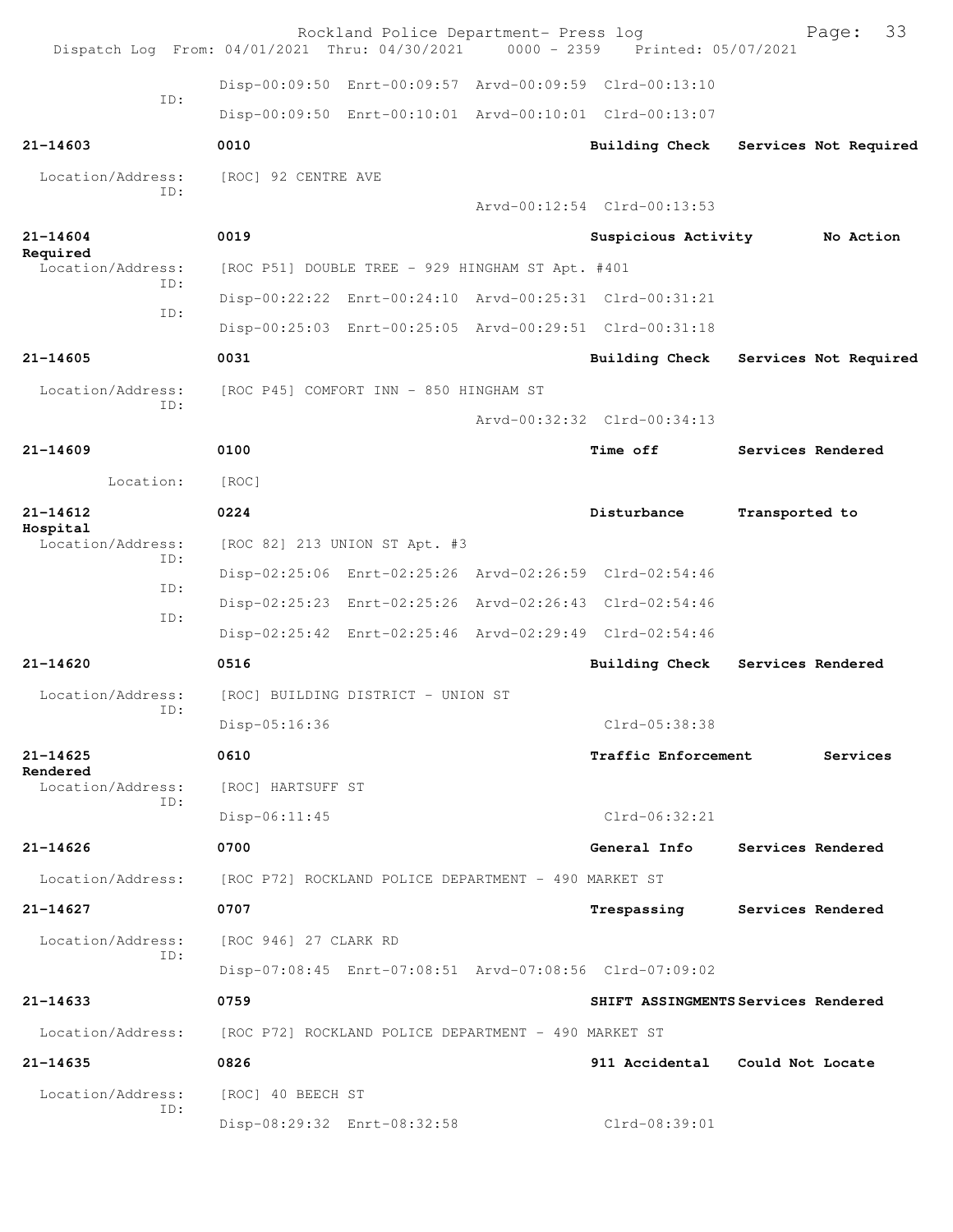| Dispatch Log From: 04/01/2021 Thru: 04/30/2021 |                       | Rockland Police Department- Press log                | $0000 - 2359$ | Printed: 05/07/2021                                     | 33<br>Page:                         |
|------------------------------------------------|-----------------------|------------------------------------------------------|---------------|---------------------------------------------------------|-------------------------------------|
|                                                |                       |                                                      |               | Disp-00:09:50 Enrt-00:09:57 Arvd-00:09:59 Clrd-00:13:10 |                                     |
| ID:                                            |                       |                                                      |               | Disp-00:09:50 Enrt-00:10:01 Arvd-00:10:01 Clrd-00:13:07 |                                     |
| $21 - 14603$                                   | 0010                  |                                                      |               | Building Check                                          | Services Not Required               |
| Location/Address:<br>ID:                       | [ROC] 92 CENTRE AVE   |                                                      |               | Arvd-00:12:54 Clrd-00:13:53                             |                                     |
| $21 - 14604$                                   | 0019                  |                                                      |               | Suspicious Activity                                     | No Action                           |
| Required                                       |                       |                                                      |               |                                                         |                                     |
| Location/Address:<br>TD:                       |                       | [ROC P51] DOUBLE TREE - 929 HINGHAM ST Apt. #401     |               |                                                         |                                     |
| ID:                                            |                       |                                                      |               | Disp-00:22:22 Enrt-00:24:10 Arvd-00:25:31 Clrd-00:31:21 |                                     |
|                                                |                       |                                                      |               | Disp-00:25:03 Enrt-00:25:05 Arvd-00:29:51 Clrd-00:31:18 |                                     |
| $21 - 14605$                                   | 0031                  |                                                      |               | <b>Building Check</b>                                   | Services Not Required               |
| Location/Address:<br>ID:                       |                       | [ROC P45] COMFORT INN - 850 HINGHAM ST               |               |                                                         |                                     |
|                                                |                       |                                                      |               | Arvd-00:32:32 Clrd-00:34:13                             |                                     |
| $21 - 14609$                                   | 0100                  |                                                      |               | Time off                                                | Services Rendered                   |
| Location:                                      | [ROC]                 |                                                      |               |                                                         |                                     |
| $21 - 14612$<br>Hospital                       | 0224                  |                                                      |               | Disturbance                                             | Transported to                      |
| Location/Address:<br>ID:                       |                       | [ROC 82] 213 UNION ST Apt. #3                        |               |                                                         |                                     |
| ID:                                            |                       |                                                      |               | Disp-02:25:06 Enrt-02:25:26 Arvd-02:26:59 Clrd-02:54:46 |                                     |
| ID:                                            |                       |                                                      |               | Disp-02:25:23 Enrt-02:25:26 Arvd-02:26:43 Clrd-02:54:46 |                                     |
|                                                |                       |                                                      |               | Disp-02:25:42 Enrt-02:25:46 Arvd-02:29:49 Clrd-02:54:46 |                                     |
| 21-14620                                       | 0516                  |                                                      |               | Building Check                                          | Services Rendered                   |
| Location/Address:                              |                       | [ROC] BUILDING DISTRICT - UNION ST                   |               |                                                         |                                     |
| ID:                                            | Disp-05:16:36         |                                                      |               | Clrd-05:38:38                                           |                                     |
| $21 - 14625$                                   | 0610                  |                                                      |               | <b>Traffic Enforcement</b>                              | Services                            |
| Rendered<br>Location/Address:                  | [ROC] HARTSUFF ST     |                                                      |               |                                                         |                                     |
| TD:                                            | Disp-06:11:45         |                                                      |               | $Clrd-06:32:21$                                         |                                     |
| $21 - 14626$                                   | 0700                  |                                                      |               | General Info                                            | Services Rendered                   |
| Location/Address:                              |                       | [ROC P72] ROCKLAND POLICE DEPARTMENT - 490 MARKET ST |               |                                                         |                                     |
| $21 - 14627$                                   | 0707                  |                                                      |               | Trespassing                                             | Services Rendered                   |
| Location/Address:                              | [ROC 946] 27 CLARK RD |                                                      |               |                                                         |                                     |
| ID:                                            |                       |                                                      |               | Disp-07:08:45 Enrt-07:08:51 Arvd-07:08:56 Clrd-07:09:02 |                                     |
| $21 - 14633$                                   | 0759                  |                                                      |               |                                                         | SHIFT ASSINGMENTS Services Rendered |
| Location/Address:                              |                       | [ROC P72] ROCKLAND POLICE DEPARTMENT - 490 MARKET ST |               |                                                         |                                     |
| $21 - 14635$                                   | 0826                  |                                                      |               | 911 Accidental                                          | Could Not Locate                    |
| Location/Address:                              | [ROC] 40 BEECH ST     |                                                      |               |                                                         |                                     |
| ID:                                            |                       | Disp-08:29:32 Enrt-08:32:58                          |               | Clrd-08:39:01                                           |                                     |
|                                                |                       |                                                      |               |                                                         |                                     |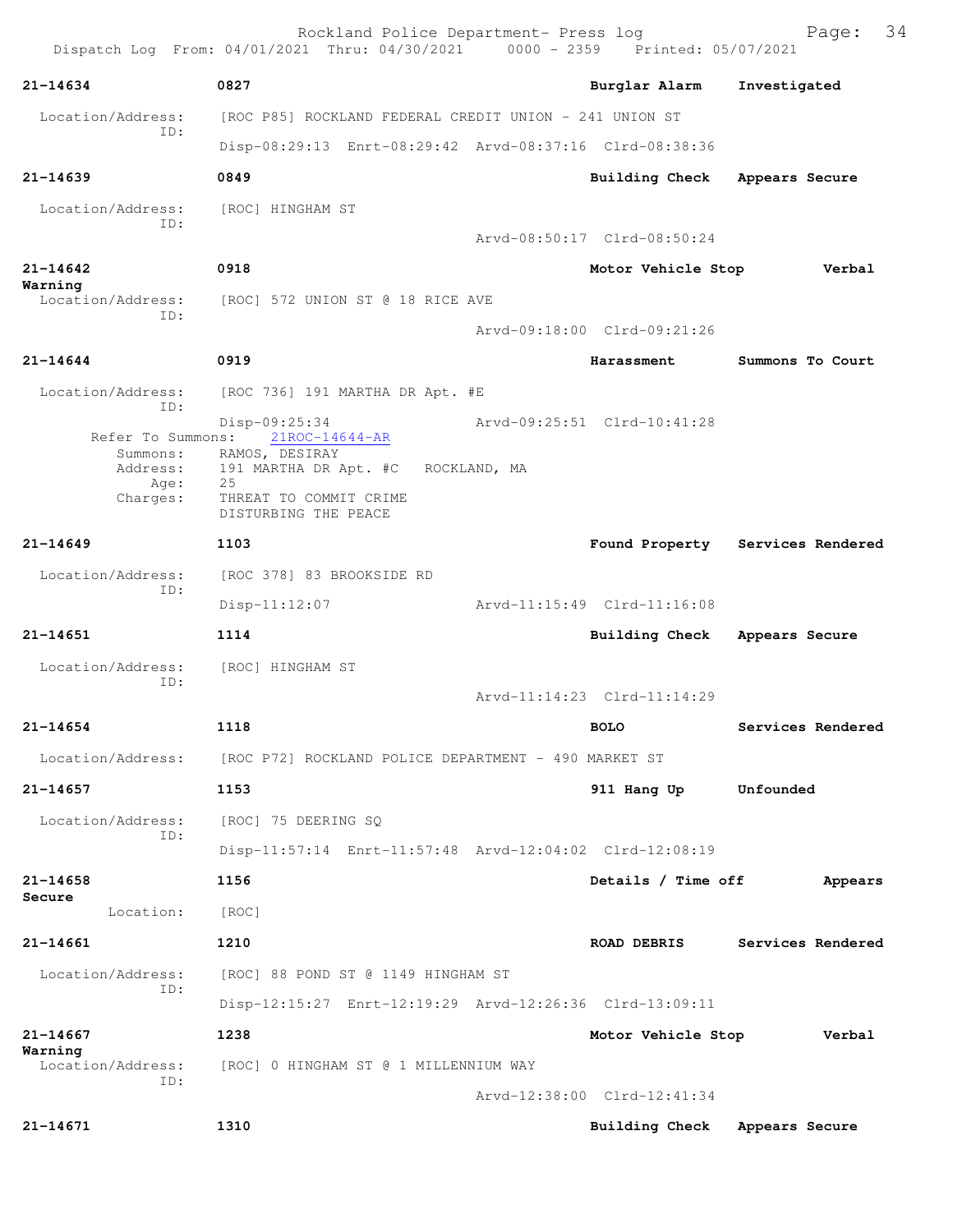|                          | Rockland Police Department- Press log<br>Dispatch Log From: 04/01/2021 Thru: 04/30/2021 0000 - 2359 Printed: 05/07/2021 |              |                             | 34<br>Page:                      |
|--------------------------|-------------------------------------------------------------------------------------------------------------------------|--------------|-----------------------------|----------------------------------|
| 21-14634                 | 0827                                                                                                                    |              | Burglar Alarm               | Investigated                     |
| Location/Address:        | [ROC P85] ROCKLAND FEDERAL CREDIT UNION - 241 UNION ST                                                                  |              |                             |                                  |
| ID:                      | Disp-08:29:13 Enrt-08:29:42 Arvd-08:37:16 Clrd-08:38:36                                                                 |              |                             |                                  |
| $21 - 14639$             | 0849                                                                                                                    |              | Building Check              | Appears Secure                   |
| Location/Address:<br>TD: | [ROC] HINGHAM ST                                                                                                        |              |                             |                                  |
|                          |                                                                                                                         |              | Arvd-08:50:17 Clrd-08:50:24 |                                  |
| $21 - 14642$<br>Warning  | 0918                                                                                                                    |              | Motor Vehicle Stop          | Verbal                           |
| Location/Address:<br>ID: | [ROC] 572 UNION ST @ 18 RICE AVE                                                                                        |              |                             |                                  |
|                          |                                                                                                                         |              | Arvd-09:18:00 Clrd-09:21:26 |                                  |
| $21 - 14644$             | 0919                                                                                                                    |              | Harassment                  | Summons To Court                 |
| Location/Address:<br>ID: | [ROC 736] 191 MARTHA DR Apt. #E                                                                                         |              |                             |                                  |
| Refer To Summons:        | Disp-09:25:34<br>21ROC-14644-AR                                                                                         |              | Arvd-09:25:51 Clrd-10:41:28 |                                  |
| Summons:<br>Address:     | RAMOS, DESIRAY<br>191 MARTHA DR Apt. #C                                                                                 | ROCKLAND, MA |                             |                                  |
| Age:<br>Charges:         | 25<br>THREAT TO COMMIT CRIME                                                                                            |              |                             |                                  |
|                          | DISTURBING THE PEACE                                                                                                    |              |                             |                                  |
| $21 - 14649$             | 1103                                                                                                                    |              |                             | Found Property Services Rendered |
| Location/Address:<br>ID: | [ROC 378] 83 BROOKSIDE RD                                                                                               |              |                             |                                  |
|                          | $Disp-11:12:07$                                                                                                         |              | Arvd-11:15:49 Clrd-11:16:08 |                                  |
| $21 - 14651$             | 1114                                                                                                                    |              | Building Check              | Appears Secure                   |
| Location/Address:<br>ID: | [ROC] HINGHAM ST                                                                                                        |              |                             |                                  |
|                          |                                                                                                                         |              | Arvd-11:14:23 Clrd-11:14:29 |                                  |
| $21 - 14654$             | 1118                                                                                                                    |              | <b>BOLO</b>                 | Services Rendered                |
| Location/Address:        | [ROC P72] ROCKLAND POLICE DEPARTMENT - 490 MARKET ST                                                                    |              |                             |                                  |
| 21-14657                 | 1153                                                                                                                    |              | 911 Hang Up                 | Unfounded                        |
| Location/Address:<br>ID: | [ROC] 75 DEERING SQ                                                                                                     |              |                             |                                  |
|                          | Disp-11:57:14 Enrt-11:57:48 Arvd-12:04:02 Clrd-12:08:19                                                                 |              |                             |                                  |
| $21 - 14658$<br>Secure   | 1156                                                                                                                    |              | Details / Time off          | Appears                          |
| Location:                | [ROC]                                                                                                                   |              |                             |                                  |
| 21-14661                 | 1210                                                                                                                    |              | <b>ROAD DEBRIS</b>          | Services Rendered                |
| Location/Address:<br>TD: | [ROC] 88 POND ST @ 1149 HINGHAM ST                                                                                      |              |                             |                                  |
|                          | Disp-12:15:27 Enrt-12:19:29 Arvd-12:26:36 Clrd-13:09:11                                                                 |              |                             |                                  |
| 21-14667<br>Warning      | 1238                                                                                                                    |              | Motor Vehicle Stop          | Verbal                           |
| Location/Address:<br>ID: | [ROC] 0 HINGHAM ST @ 1 MILLENNIUM WAY                                                                                   |              |                             |                                  |
|                          |                                                                                                                         |              | Arvd-12:38:00 Clrd-12:41:34 |                                  |
| 21-14671                 | 1310                                                                                                                    |              | <b>Building Check</b>       | Appears Secure                   |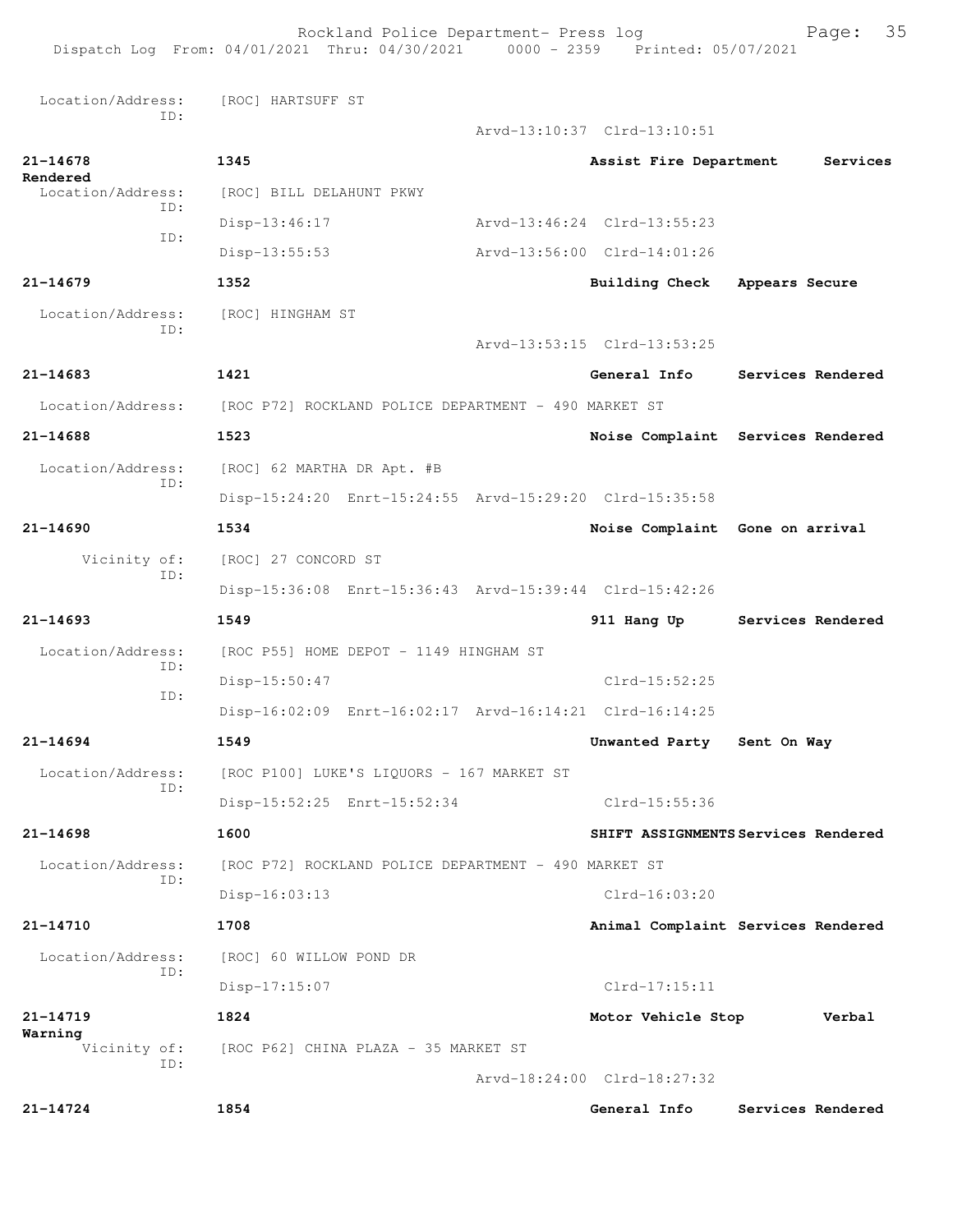Rockland Police Department- Press log Fage: 35 Dispatch Log From: 04/01/2021 Thru: 04/30/2021 0000 - 2359 Printed: 05/07/2021 Location/Address: [ROC] HARTSUFF ST ID: Arvd-13:10:37 Clrd-13:10:51 **21-14678 1345 Assist Fire Department Services Rendered**  Location/Address: [ROC] BILL DELAHUNT PKWY ID: Disp-13:46:17 Arvd-13:46:24 Clrd-13:55:23 ID: Disp-13:55:53 Arvd-13:56:00 Clrd-14:01:26 **21-14679 1352 Building Check Appears Secure** Location/Address: [ROC] HINGHAM ST ID: Arvd-13:53:15 Clrd-13:53:25 **21-14683 1421 General Info Services Rendered** Location/Address: [ROC P72] ROCKLAND POLICE DEPARTMENT - 490 MARKET ST **21-14688 1523 Noise Complaint Services Rendered** Location/Address: [ROC] 62 MARTHA DR Apt. #B ID: Disp-15:24:20 Enrt-15:24:55 Arvd-15:29:20 Clrd-15:35:58 **21-14690 1534 Noise Complaint Gone on arrival** Vicinity of: [ROC] 27 CONCORD ST ID: Disp-15:36:08 Enrt-15:36:43 Arvd-15:39:44 Clrd-15:42:26 **21-14693 1549 911 Hang Up Services Rendered** Location/Address: [ROC P55] HOME DEPOT - 1149 HINGHAM ST ID: Disp-15:50:47 Clrd-15:52:25 ID: Disp-16:02:09 Enrt-16:02:17 Arvd-16:14:21 Clrd-16:14:25 **21-14694 1549 Unwanted Party Sent On Way** Location/Address: [ROC P100] LUKE'S LIQUORS - 167 MARKET ST ID: Disp-15:52:25 Enrt-15:52:34 Clrd-15:55:36 **21-14698 1600 SHIFT ASSIGNMENTS Services Rendered** Location/Address: [ROC P72] ROCKLAND POLICE DEPARTMENT - 490 MARKET ST ID: Disp-16:03:13 Clrd-16:03:20 **21-14710 1708 Animal Complaint Services Rendered** Location/Address: [ROC] 60 WILLOW POND DR ID: Disp-17:15:07 Clrd-17:15:11 **21-14719 1824 Motor Vehicle Stop Verbal Warning**<br>Vicinity of: [ROC P62] CHINA PLAZA - 35 MARKET ST ID: Arvd-18:24:00 Clrd-18:27:32 **21-14724 1854 General Info Services Rendered**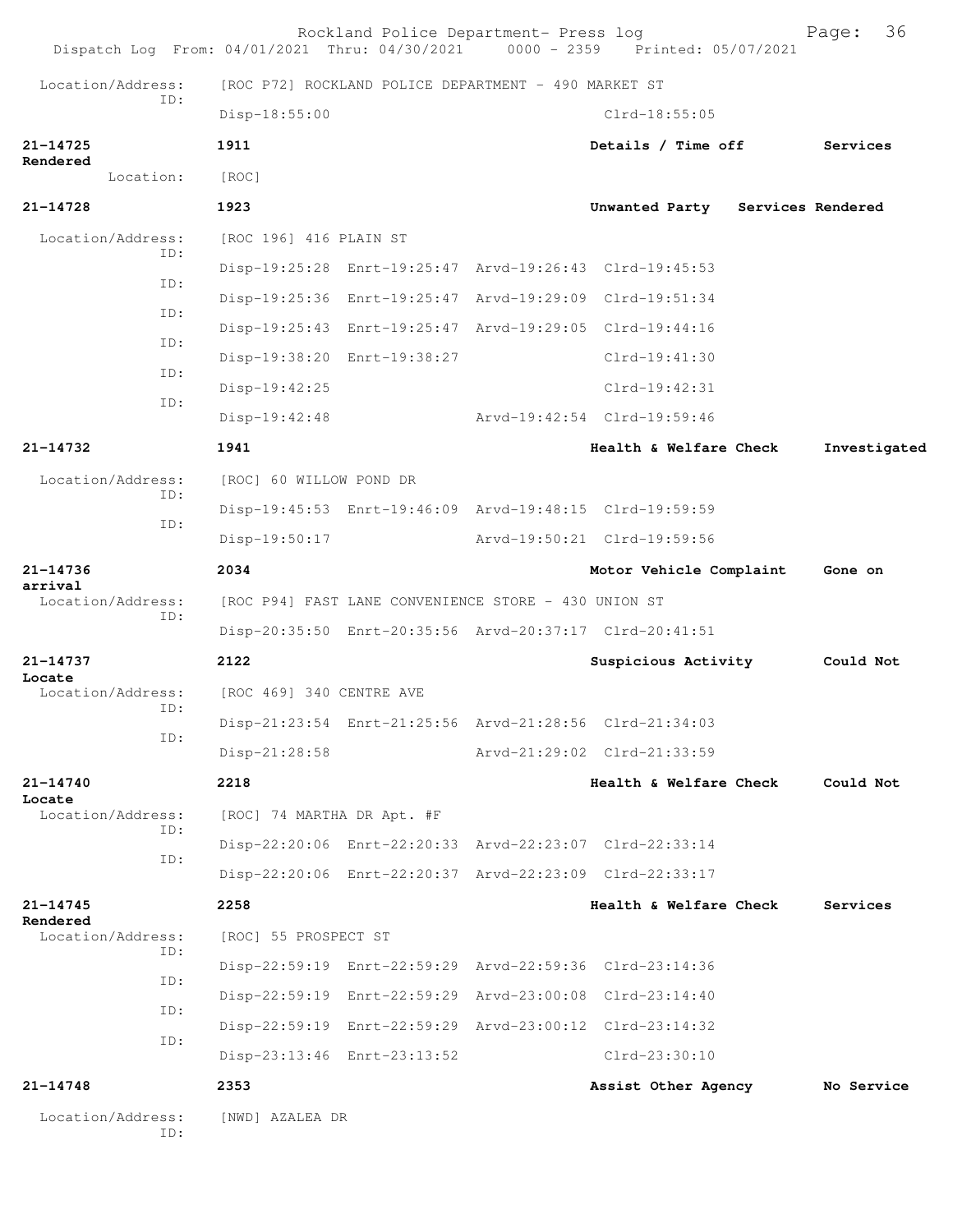|                               |                   |                                                      | Rockland Police Department- Press log                   |  | Dispatch Log From: 04/01/2021 Thru: 04/30/2021 0000 - 2359 Printed: 05/07/2021 | 36<br>Page:  |
|-------------------------------|-------------------|------------------------------------------------------|---------------------------------------------------------|--|--------------------------------------------------------------------------------|--------------|
| Location/Address:<br>ID:      |                   | [ROC P72] ROCKLAND POLICE DEPARTMENT - 490 MARKET ST |                                                         |  |                                                                                |              |
|                               |                   | Disp-18:55:00                                        |                                                         |  | $Clrd-18:55:05$                                                                |              |
| 21-14725                      |                   | 1911                                                 |                                                         |  | Details / Time off                                                             | Services     |
| Rendered<br>Location:         |                   | [ROC]                                                |                                                         |  |                                                                                |              |
| $21 - 14728$                  |                   | 1923                                                 |                                                         |  | Unwanted Party Services Rendered                                               |              |
| Location/Address:             |                   | [ROC 196] 416 PLAIN ST                               |                                                         |  |                                                                                |              |
|                               | ID:<br>ID:<br>ID: |                                                      | Disp-19:25:28 Enrt-19:25:47 Arvd-19:26:43 Clrd-19:45:53 |  |                                                                                |              |
|                               |                   |                                                      | Disp-19:25:36 Enrt-19:25:47 Arvd-19:29:09 Clrd-19:51:34 |  |                                                                                |              |
|                               |                   |                                                      | Disp-19:25:43 Enrt-19:25:47 Arvd-19:29:05 Clrd-19:44:16 |  |                                                                                |              |
|                               | ID:               |                                                      | Disp-19:38:20 Enrt-19:38:27                             |  | $Clrd-19:41:30$                                                                |              |
|                               | ID:<br>ID:        | Disp-19:42:25                                        |                                                         |  | $Clrd-19:42:31$                                                                |              |
|                               |                   | $Disp-19:42:48$                                      |                                                         |  | Arvd-19:42:54 Clrd-19:59:46                                                    |              |
| 21-14732                      |                   | 1941                                                 |                                                         |  | Health & Welfare Check                                                         | Investigated |
| Location/Address:             |                   | [ROC] 60 WILLOW POND DR                              |                                                         |  |                                                                                |              |
|                               | ID:<br>ID:        |                                                      | Disp-19:45:53 Enrt-19:46:09 Arvd-19:48:15 Clrd-19:59:59 |  |                                                                                |              |
|                               |                   | Disp-19:50:17                                        |                                                         |  | Arvd-19:50:21 Clrd-19:59:56                                                    |              |
| 21-14736                      |                   | 2034                                                 |                                                         |  | Motor Vehicle Complaint                                                        | Gone on      |
| arrival<br>Location/Address:  | ID:               | [ROC P94] FAST LANE CONVENIENCE STORE - 430 UNION ST |                                                         |  |                                                                                |              |
|                               |                   |                                                      |                                                         |  | Disp-20:35:50 Enrt-20:35:56 Arvd-20:37:17 Clrd-20:41:51                        |              |
| 21-14737                      |                   | 2122                                                 |                                                         |  | Suspicious Activity                                                            | Could Not    |
| Locate<br>Location/Address:   | ID:<br>ID:        | [ROC 469] 340 CENTRE AVE                             |                                                         |  |                                                                                |              |
|                               |                   |                                                      | Disp-21:23:54 Enrt-21:25:56 Arvd-21:28:56 Clrd-21:34:03 |  |                                                                                |              |
|                               |                   | $Disp-21:28:58$                                      |                                                         |  | Arvd-21:29:02 Clrd-21:33:59                                                    |              |
| 21-14740                      |                   | 2218                                                 |                                                         |  | Health & Welfare Check                                                         | Could Not    |
| Locate<br>Location/Address:   | ID:<br>ID:        | [ROC] 74 MARTHA DR Apt. #F                           |                                                         |  |                                                                                |              |
|                               |                   |                                                      |                                                         |  | Disp-22:20:06 Enrt-22:20:33 Arvd-22:23:07 Clrd-22:33:14                        |              |
|                               |                   |                                                      |                                                         |  | Disp-22:20:06 Enrt-22:20:37 Arvd-22:23:09 Clrd-22:33:17                        |              |
| $21 - 14745$                  |                   | 2258                                                 |                                                         |  | Health & Welfare Check                                                         | Services     |
| Rendered<br>Location/Address: |                   | [ROC] 55 PROSPECT ST                                 |                                                         |  |                                                                                |              |
|                               | ID:               |                                                      |                                                         |  | Disp-22:59:19 Enrt-22:59:29 Arvd-22:59:36 Clrd-23:14:36                        |              |
|                               | ID:<br>ID:<br>ID: |                                                      | Disp-22:59:19 Enrt-22:59:29 Arvd-23:00:08 Clrd-23:14:40 |  |                                                                                |              |
|                               |                   |                                                      |                                                         |  | Disp-22:59:19 Enrt-22:59:29 Arvd-23:00:12 Clrd-23:14:32                        |              |
|                               |                   |                                                      | Disp-23:13:46 Enrt-23:13:52                             |  | $Clrd-23:30:10$                                                                |              |
| $21 - 14748$                  |                   | 2353                                                 |                                                         |  | Assist Other Agency                                                            | No Service   |
| Location/Address:             | ID:               | [NWD] AZALEA DR                                      |                                                         |  |                                                                                |              |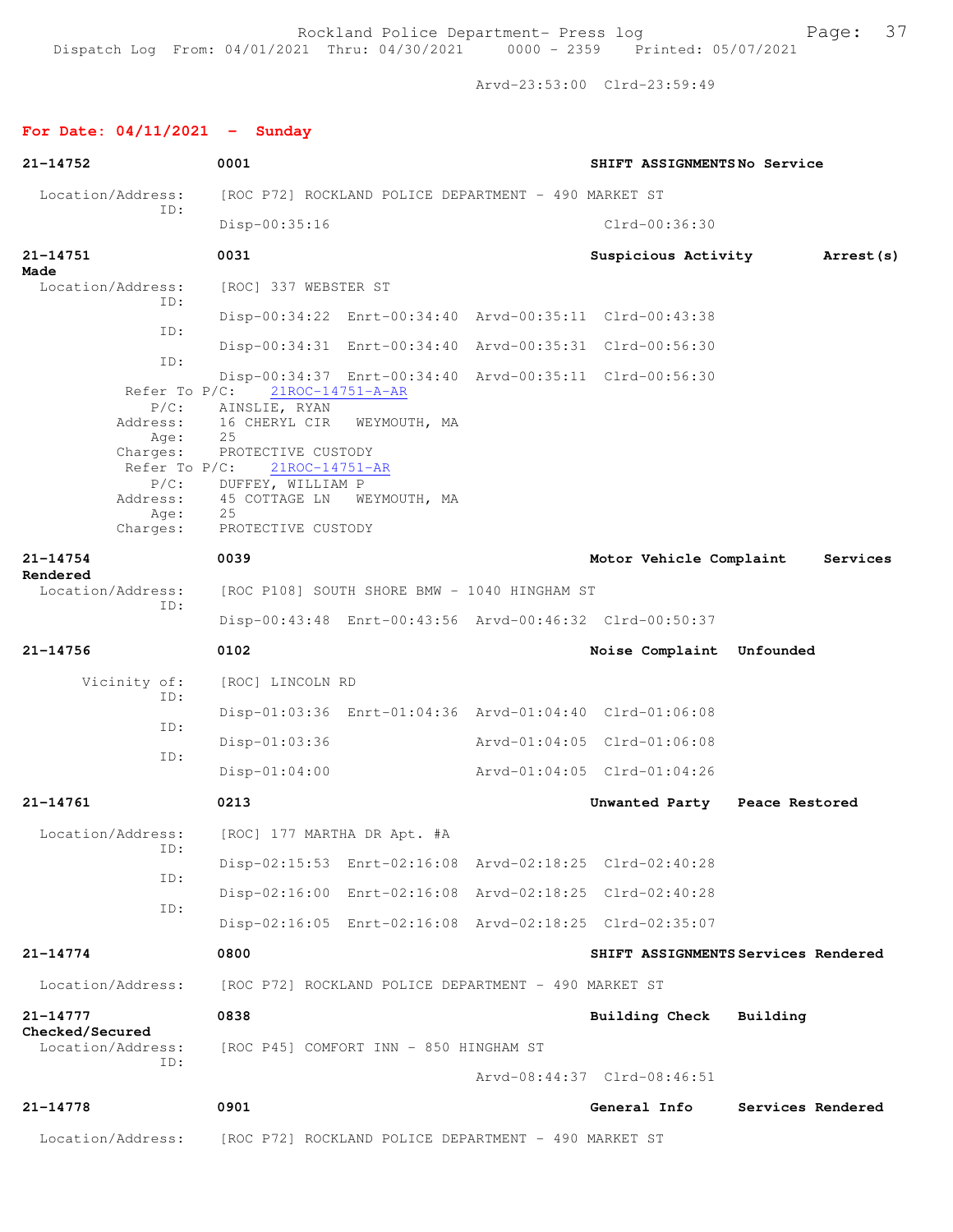Arvd-23:53:00 Clrd-23:59:49

## **For Date: 04/11/2021 - Sunday**

| 21-14752                                | 0001                                                      |                                                         | SHIFT ASSIGNMENTSNo Service   |                                     |
|-----------------------------------------|-----------------------------------------------------------|---------------------------------------------------------|-------------------------------|-------------------------------------|
| Location/Address:<br>ID:                |                                                           | [ROC P72] ROCKLAND POLICE DEPARTMENT - 490 MARKET ST    |                               |                                     |
|                                         | Disp-00:35:16                                             |                                                         | $Clrd-00:36:30$               |                                     |
| $21 - 14751$<br>Made                    | 0031                                                      |                                                         | Suspicious Activity           | Arrest (s)                          |
| Location/Address:<br>ID:                | [ROC] 337 WEBSTER ST                                      |                                                         |                               |                                     |
| ID:                                     |                                                           | Disp-00:34:22 Enrt-00:34:40 Arvd-00:35:11 Clrd-00:43:38 |                               |                                     |
| ID:                                     |                                                           | Disp-00:34:31 Enrt-00:34:40 Arvd-00:35:31 Clrd-00:56:30 |                               |                                     |
| Refer To $P/C$ :                        | 21ROC-14751-A-AR                                          | Disp-00:34:37 Enrt-00:34:40 Arvd-00:35:11 Clrd-00:56:30 |                               |                                     |
| $P/C$ :<br>Address:<br>Age:             | AINSLIE, RYAN<br>16 CHERYL CIR<br>25                      | WEYMOUTH, MA                                            |                               |                                     |
| Charges:<br>Refer To $P/C$ :<br>$P/C$ : | PROTECTIVE CUSTODY<br>21ROC-14751-AR<br>DUFFEY, WILLIAM P |                                                         |                               |                                     |
| Address:<br>Age:                        | 45 COTTAGE LN<br>25                                       | WEYMOUTH, MA                                            |                               |                                     |
| Charges:                                | PROTECTIVE CUSTODY                                        |                                                         |                               |                                     |
| $21 - 14754$<br>Rendered                | 0039                                                      |                                                         | Motor Vehicle Complaint       | Services                            |
| Location/Address:<br>ID:                |                                                           | [ROC P108] SOUTH SHORE BMW - 1040 HINGHAM ST            |                               |                                     |
|                                         |                                                           | Disp-00:43:48 Enrt-00:43:56 Arvd-00:46:32 Clrd-00:50:37 |                               |                                     |
| $21 - 14756$                            | 0102                                                      |                                                         | Noise Complaint Unfounded     |                                     |
| Vicinity of:<br>ID:                     | [ROC] LINCOLN RD                                          |                                                         |                               |                                     |
| ID:                                     |                                                           | Disp-01:03:36 Enrt-01:04:36 Arvd-01:04:40 Clrd-01:06:08 |                               |                                     |
| ID:                                     | Disp-01:03:36                                             |                                                         | Arvd-01:04:05 Clrd-01:06:08   |                                     |
|                                         | $Disp-01:04:00$                                           |                                                         | Arvd-01:04:05 Clrd-01:04:26   |                                     |
| $21 - 14761$                            | 0213                                                      |                                                         | Unwanted Party Peace Restored |                                     |
| Location/Address:<br>ID:                | [ROC] 177 MARTHA DR Apt. #A                               |                                                         |                               |                                     |
| ID:                                     |                                                           | Disp-02:15:53 Enrt-02:16:08 Arvd-02:18:25 Clrd-02:40:28 |                               |                                     |
| ID:                                     |                                                           | Disp-02:16:00 Enrt-02:16:08 Arvd-02:18:25 Clrd-02:40:28 |                               |                                     |
|                                         |                                                           | Disp-02:16:05 Enrt-02:16:08 Arvd-02:18:25 Clrd-02:35:07 |                               |                                     |
| $21 - 14774$                            | 0800                                                      |                                                         |                               | SHIFT ASSIGNMENTS Services Rendered |
| Location/Address:                       |                                                           | [ROC P72] ROCKLAND POLICE DEPARTMENT - 490 MARKET ST    |                               |                                     |
| $21 - 14777$<br>Checked/Secured         | 0838                                                      |                                                         | <b>Building Check</b>         | Building                            |
| Location/Address:                       | [ROC P45] COMFORT INN - 850 HINGHAM ST                    |                                                         |                               |                                     |
| ID:                                     |                                                           |                                                         | Arvd-08:44:37 Clrd-08:46:51   |                                     |
| $21 - 14778$                            | 0901                                                      |                                                         | General Info                  | Services Rendered                   |
| Location/Address:                       |                                                           | [ROC P72] ROCKLAND POLICE DEPARTMENT - 490 MARKET ST    |                               |                                     |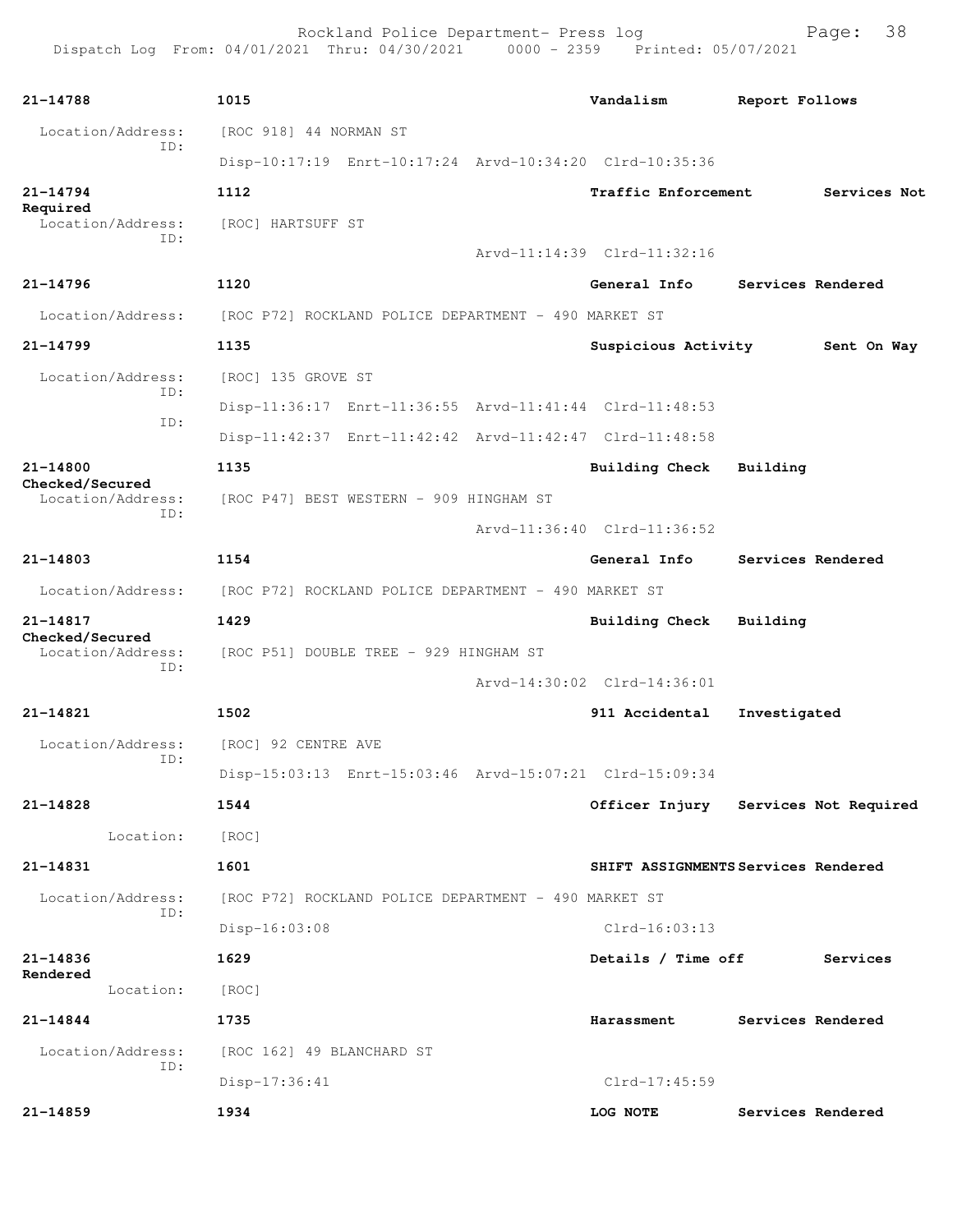Rockland Police Department- Press log entitled and Page: 38

| 21-14788                             | 1015                                                    | Vandalism                   | Report Follows                       |
|--------------------------------------|---------------------------------------------------------|-----------------------------|--------------------------------------|
| Location/Address:                    | [ROC 918] 44 NORMAN ST                                  |                             |                                      |
| ID:                                  | Disp-10:17:19 Enrt-10:17:24 Arvd-10:34:20 Clrd-10:35:36 |                             |                                      |
| $21 - 14794$                         | 1112                                                    | Traffic Enforcement         | Services Not                         |
| Required<br>Location/Address:        | [ROC] HARTSUFF ST                                       |                             |                                      |
| ID:                                  |                                                         | Arvd-11:14:39 Clrd-11:32:16 |                                      |
| $21 - 14796$                         | 1120                                                    | General Info                | Services Rendered                    |
| Location/Address:                    | [ROC P72] ROCKLAND POLICE DEPARTMENT - 490 MARKET ST    |                             |                                      |
| $21 - 14799$                         | 1135                                                    | Suspicious Activity         | Sent On Way                          |
| Location/Address:                    | [ROC] 135 GROVE ST                                      |                             |                                      |
| ID:                                  | Disp-11:36:17 Enrt-11:36:55 Arvd-11:41:44 Clrd-11:48:53 |                             |                                      |
| ID:                                  | Disp-11:42:37 Enrt-11:42:42 Arvd-11:42:47 Clrd-11:48:58 |                             |                                      |
| 21-14800                             | 1135                                                    | <b>Building Check</b>       | Building                             |
| Checked/Secured<br>Location/Address: | [ROC P47] BEST WESTERN - 909 HINGHAM ST                 |                             |                                      |
| ID:                                  |                                                         | Arvd-11:36:40 Clrd-11:36:52 |                                      |
| 21-14803                             | 1154                                                    | General Info                | Services Rendered                    |
| Location/Address:                    | [ROC P72] ROCKLAND POLICE DEPARTMENT - 490 MARKET ST    |                             |                                      |
| 21-14817                             | 1429                                                    | Building Check Building     |                                      |
| Checked/Secured<br>Location/Address: | [ROC P51] DOUBLE TREE - 929 HINGHAM ST                  |                             |                                      |
| ID:                                  |                                                         | Arvd-14:30:02 Clrd-14:36:01 |                                      |
| 21-14821                             | 1502                                                    | 911 Accidental              | Investigated                         |
| Location/Address:                    | [ROC] 92 CENTRE AVE                                     |                             |                                      |
| ID:                                  | Disp-15:03:13 Enrt-15:03:46 Arvd-15:07:21 Clrd-15:09:34 |                             |                                      |
| 21-14828                             | 1544                                                    |                             | Officer Injury Services Not Required |
| Location:                            | [ROC]                                                   |                             |                                      |
| 21-14831                             | 1601                                                    |                             | SHIFT ASSIGNMENTS Services Rendered  |
| Location/Address:                    | [ROC P72] ROCKLAND POLICE DEPARTMENT - 490 MARKET ST    |                             |                                      |
| ID:                                  | Disp-16:03:08                                           | $Clrd-16:03:13$             |                                      |
| 21-14836                             | 1629                                                    | Details / Time off          | Services                             |
| Rendered<br>Location:                | [ROC]                                                   |                             |                                      |
| 21-14844                             | 1735                                                    | Harassment                  | Services Rendered                    |
| Location/Address:                    | [ROC 162] 49 BLANCHARD ST                               |                             |                                      |
| ID:                                  | Disp-17:36:41                                           | $Clrd-17:45:59$             |                                      |
| 21-14859                             | 1934                                                    | LOG NOTE                    | Services Rendered                    |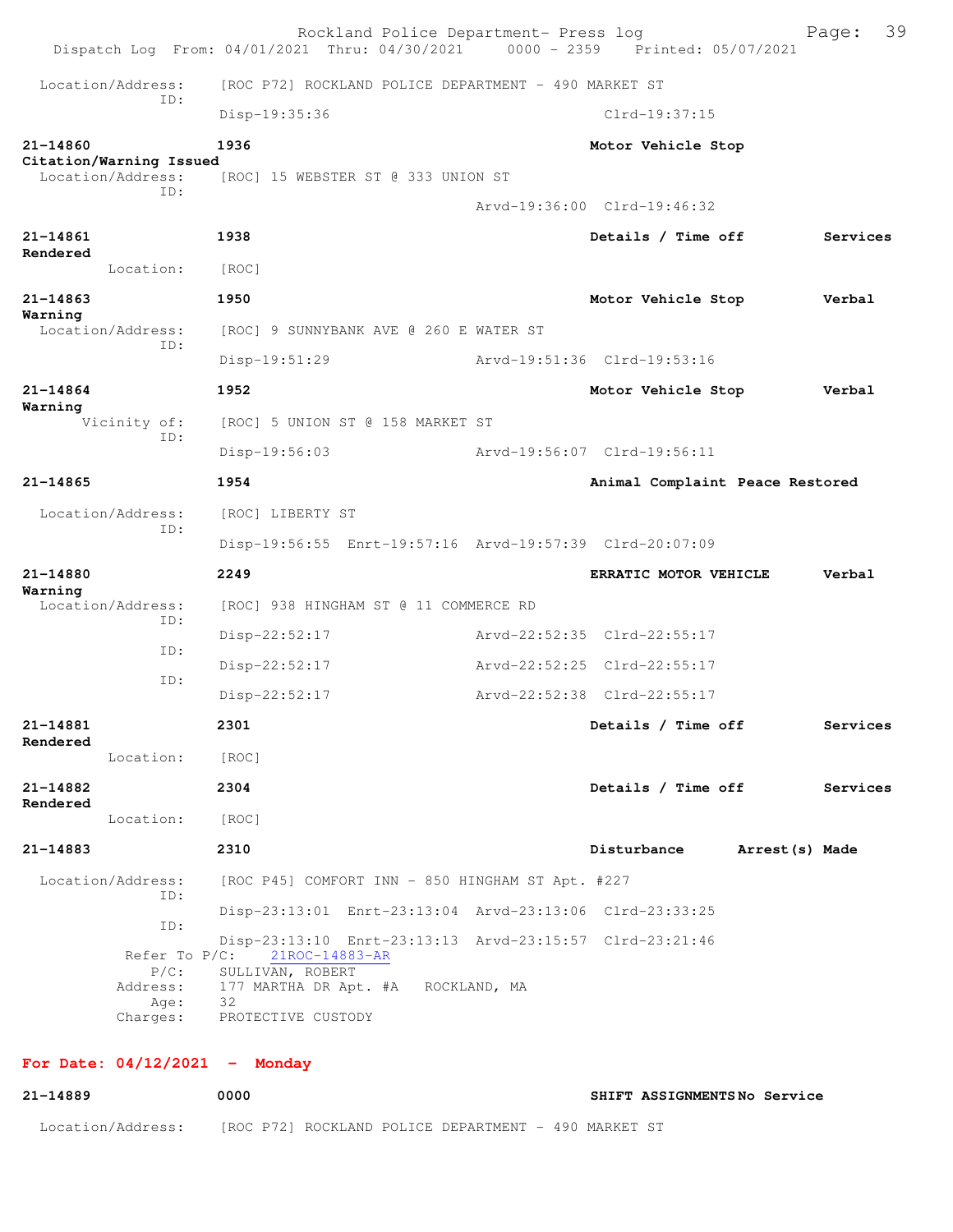|              |                                                        | Rockland Police Department- Press log<br>Dispatch Log From: 04/01/2021 Thru: 04/30/2021 0000 - 2359 Printed: 05/07/2021                   |                                 | 39<br>Page: |
|--------------|--------------------------------------------------------|-------------------------------------------------------------------------------------------------------------------------------------------|---------------------------------|-------------|
|              | Location/Address:                                      | [ROC P72] ROCKLAND POLICE DEPARTMENT - 490 MARKET ST                                                                                      |                                 |             |
|              | TD:                                                    | Disp-19:35:36                                                                                                                             | $Clrd-19:37:15$                 |             |
| 21-14860     |                                                        | 1936                                                                                                                                      | Motor Vehicle Stop              |             |
|              | Citation/Warning Issued<br>Location/Address:           | [ROC] 15 WEBSTER ST @ 333 UNION ST                                                                                                        |                                 |             |
|              | TD:                                                    |                                                                                                                                           | Arvd-19:36:00 Clrd-19:46:32     |             |
| $21 - 14861$ |                                                        | 1938                                                                                                                                      | Details / Time off              | Services    |
| Rendered     | Location:                                              | [ROC]                                                                                                                                     |                                 |             |
| $21 - 14863$ |                                                        | 1950                                                                                                                                      | Motor Vehicle Stop              | Verbal      |
| Warning      | Location/Address:                                      | [ROC] 9 SUNNYBANK AVE @ 260 E WATER ST                                                                                                    |                                 |             |
|              | ID:                                                    | Disp-19:51:29                                                                                                                             | Arvd-19:51:36 Clrd-19:53:16     |             |
| $21 - 14864$ |                                                        | 1952                                                                                                                                      | Motor Vehicle Stop              | Verbal      |
| Warning      | Vicinity of:                                           | [ROC] 5 UNION ST @ 158 MARKET ST                                                                                                          |                                 |             |
|              | ID:                                                    | Disp-19:56:03                                                                                                                             | Arvd-19:56:07 Clrd-19:56:11     |             |
| 21-14865     |                                                        | 1954                                                                                                                                      | Animal Complaint Peace Restored |             |
|              | Location/Address:                                      | [ROC] LIBERTY ST                                                                                                                          |                                 |             |
|              | TD:                                                    | Disp-19:56:55 Enrt-19:57:16 Arvd-19:57:39 Clrd-20:07:09                                                                                   |                                 |             |
| 21-14880     |                                                        | 2249                                                                                                                                      | ERRATIC MOTOR VEHICLE           | Verbal      |
| Warning      | Location/Address:                                      | [ROC] 938 HINGHAM ST @ 11 COMMERCE RD                                                                                                     |                                 |             |
|              | ID:                                                    | Disp-22:52:17                                                                                                                             | Arvd-22:52:35 Clrd-22:55:17     |             |
|              | ID:                                                    | Disp-22:52:17                                                                                                                             | Arvd-22:52:25 Clrd-22:55:17     |             |
|              | ID:                                                    | Disp-22:52:17                                                                                                                             | Arvd-22:52:38 Clrd-22:55:17     |             |
| 21-14881     |                                                        | 2301                                                                                                                                      | Details / Time off              | Services    |
| Rendered     | Location:                                              | [ROC]                                                                                                                                     |                                 |             |
| 21-14882     |                                                        | 2304                                                                                                                                      | Details / Time off              | Services    |
| Rendered     | Location:                                              | [ROC]                                                                                                                                     |                                 |             |
| 21-14883     |                                                        | 2310                                                                                                                                      | Disturbance<br>Arrest(s) Made   |             |
|              | Location/Address:                                      | [ROC P45] COMFORT INN - 850 HINGHAM ST Apt. #227                                                                                          |                                 |             |
|              | ID:                                                    |                                                                                                                                           |                                 |             |
|              | ID:<br>Refer To $P/C$ :<br>$P/C$ :<br>Address:<br>Age: | Disp-23:13:10 Enrt-23:13:13 Arvd-23:15:57 Clrd-23:21:46<br>21ROC-14883-AR<br>SULLIVAN, ROBERT<br>177 MARTHA DR Apt. #A ROCKLAND, MA<br>32 |                                 |             |
|              | Charges:                                               | PROTECTIVE CUSTODY                                                                                                                        |                                 |             |

## **For Date: 04/12/2021 - Monday**

| 21-14889          | 0000                                                 | SHIFT ASSIGNMENTSNo Service |  |
|-------------------|------------------------------------------------------|-----------------------------|--|
| Location/Address: | [ROC P72] ROCKLAND POLICE DEPARTMENT - 490 MARKET ST |                             |  |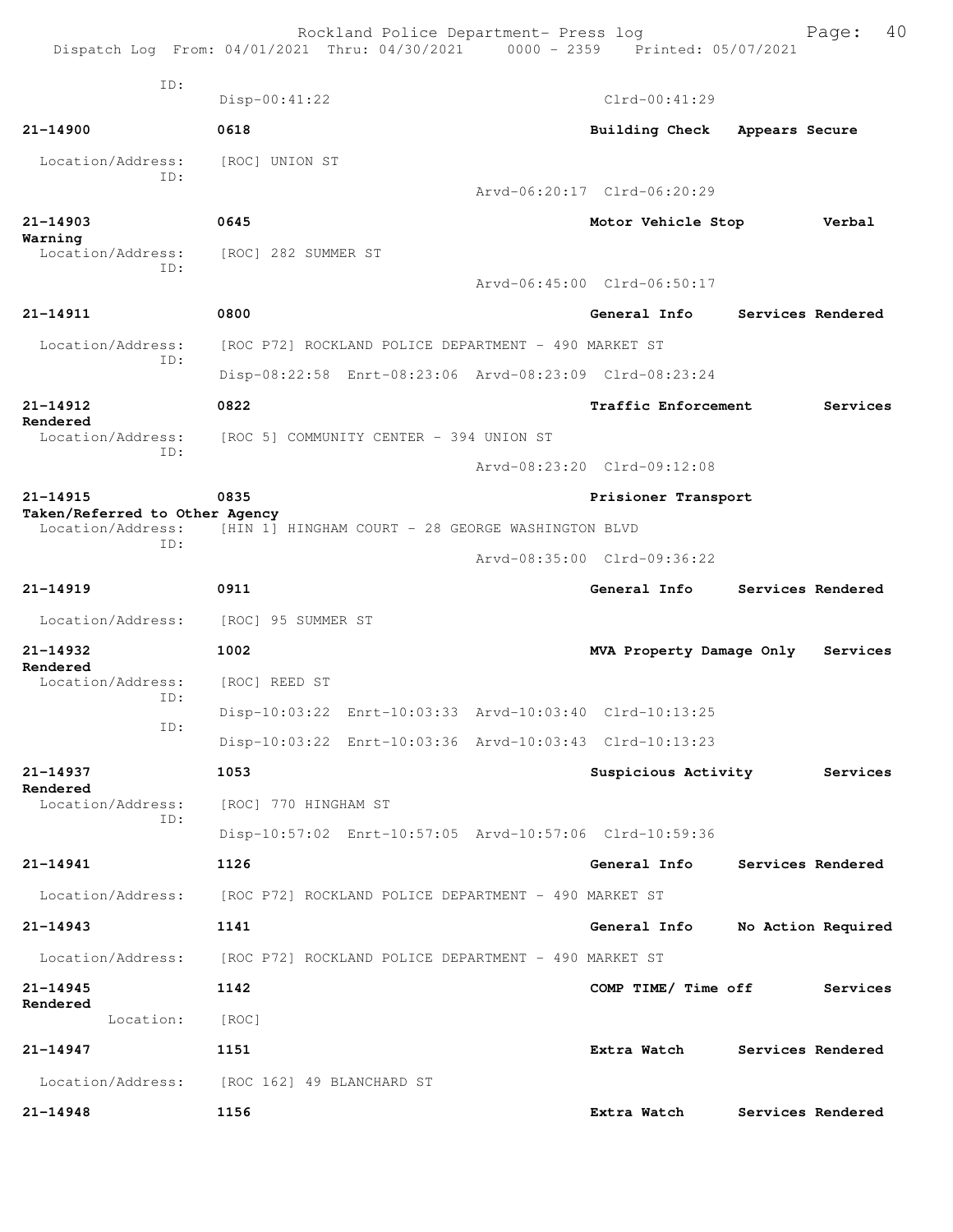|                                                     | Dispatch Log From: 04/01/2021 Thru: 04/30/2021 0000 - 2359 Printed: 05/07/2021 | Rockland Police Department- Press log             | 40<br>Page:        |
|-----------------------------------------------------|--------------------------------------------------------------------------------|---------------------------------------------------|--------------------|
| TD:                                                 | $Disp-00:41:22$                                                                | $Clrd-00:41:29$                                   |                    |
| 21-14900                                            | 0618                                                                           | Building Check                                    | Appears Secure     |
| Location/Address:<br>TD:                            | [ROC] UNION ST                                                                 |                                                   |                    |
| 21-14903                                            | 0645                                                                           | Arvd-06:20:17 Clrd-06:20:29<br>Motor Vehicle Stop | Verbal             |
| Warning<br>Location/Address:<br>ID:                 | [ROC] 282 SUMMER ST                                                            |                                                   |                    |
|                                                     |                                                                                | Arvd-06:45:00 Clrd-06:50:17                       |                    |
| 21-14911                                            | 0800                                                                           | General Info                                      | Services Rendered  |
| Location/Address:<br>TD:                            | [ROC P72] ROCKLAND POLICE DEPARTMENT - 490 MARKET ST                           |                                                   |                    |
|                                                     | Disp-08:22:58 Enrt-08:23:06 Arvd-08:23:09 Clrd-08:23:24                        |                                                   |                    |
| 21-14912<br>Rendered                                | 0822                                                                           | Traffic Enforcement                               | Services           |
|                                                     | Location/Address: [ROC 5] COMMUNITY CENTER - 394 UNION ST                      |                                                   |                    |
| ID:                                                 |                                                                                | Arvd-08:23:20 Clrd-09:12:08                       |                    |
| 21-14915                                            | 0835                                                                           | Prisioner Transport                               |                    |
| Taken/Referred to Other Agency<br>Location/Address: | [HIN 1] HINGHAM COURT - 28 GEORGE WASHINGTON BLVD                              |                                                   |                    |
| ID:                                                 |                                                                                | Arvd-08:35:00 Clrd-09:36:22                       |                    |
| $21 - 14919$                                        | 0911                                                                           | General Info                                      | Services Rendered  |
| Location/Address:                                   | [ROC] 95 SUMMER ST                                                             |                                                   |                    |
|                                                     |                                                                                |                                                   |                    |
| 21-14932                                            | 1002                                                                           | MVA Property Damage Only                          | Services           |
| Rendered<br>Location/Address:                       | [ROC] REED ST                                                                  |                                                   |                    |
| ID:                                                 | Disp-10:03:22 Enrt-10:03:33 Arvd-10:03:40 Clrd-10:13:25                        |                                                   |                    |
| ID:                                                 | Disp-10:03:22 Enrt-10:03:36 Arvd-10:03:43 Clrd-10:13:23                        |                                                   |                    |
| 21-14937                                            | 1053                                                                           | Suspicious Activity                               | Services           |
| Rendered<br>Location/Address:                       | [ROC] 770 HINGHAM ST                                                           |                                                   |                    |
| ID:                                                 | Disp-10:57:02 Enrt-10:57:05 Arvd-10:57:06 Clrd-10:59:36                        |                                                   |                    |
| $21 - 14941$                                        | 1126                                                                           | General Info                                      | Services Rendered  |
| Location/Address:                                   | [ROC P72] ROCKLAND POLICE DEPARTMENT - 490 MARKET ST                           |                                                   |                    |
| 21-14943                                            | 1141                                                                           | General Info                                      | No Action Required |
| Location/Address:                                   | [ROC P72] ROCKLAND POLICE DEPARTMENT - 490 MARKET ST                           |                                                   |                    |
| 21-14945                                            | 1142                                                                           | COMP TIME/ Time off                               | Services           |
| Rendered<br>Location:                               | [ROC]                                                                          |                                                   |                    |
| 21-14947                                            | 1151                                                                           | Extra Watch                                       | Services Rendered  |
| Location/Address:                                   | [ROC 162] 49 BLANCHARD ST                                                      |                                                   |                    |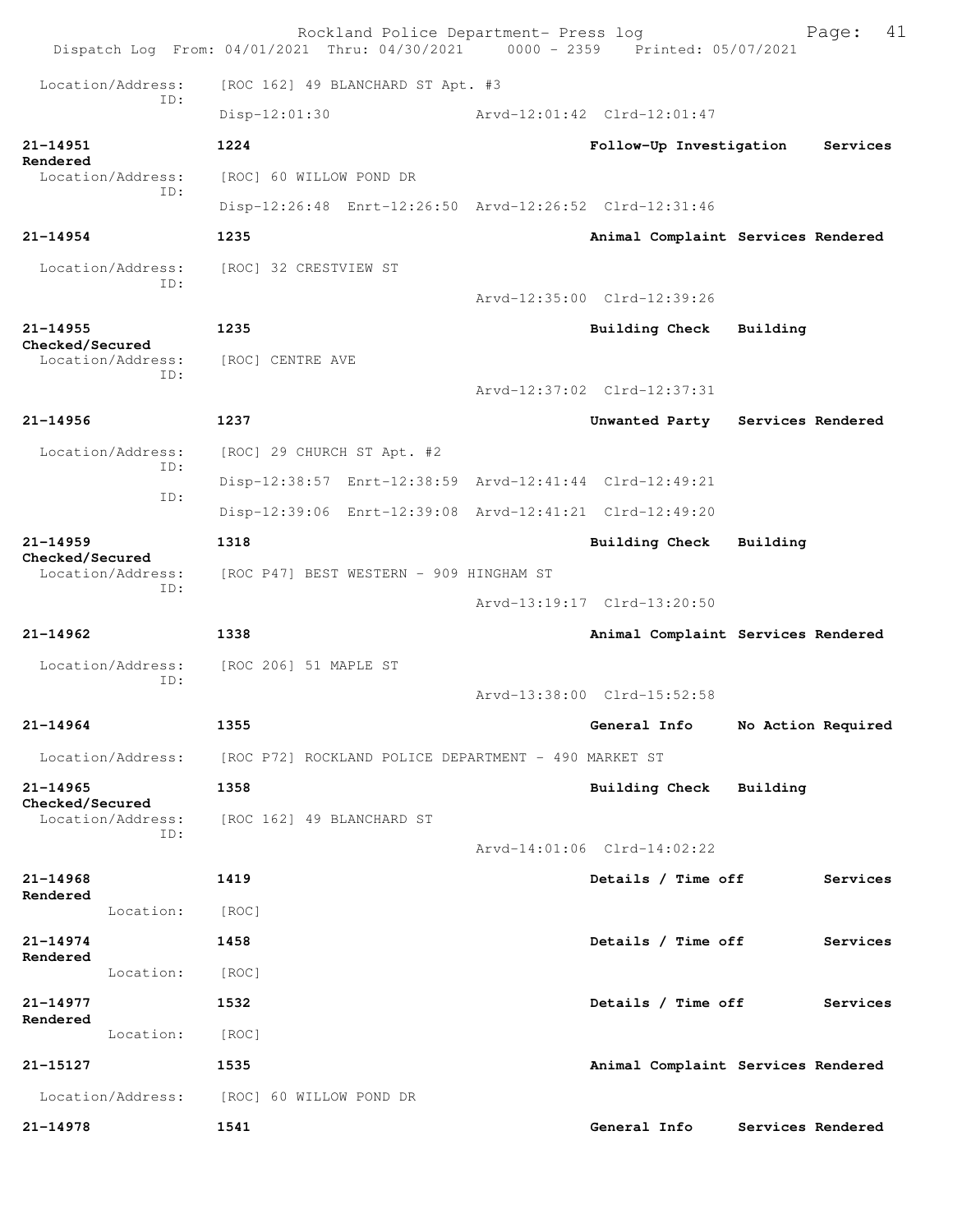|                                 | Rockland Police Department- Press log<br>Dispatch Log From: 04/01/2021 Thru: 04/30/2021 0000 - 2359 Printed: 05/07/2021 | 41<br>Page:                         |
|---------------------------------|-------------------------------------------------------------------------------------------------------------------------|-------------------------------------|
| Location/Address:               | [ROC 162] 49 BLANCHARD ST Apt. #3                                                                                       |                                     |
| ID:                             | Disp-12:01:30                                                                                                           | Arvd-12:01:42 Clrd-12:01:47         |
| $21 - 14951$                    | 1224                                                                                                                    | Follow-Up Investigation<br>Services |
| Rendered<br>Location/Address:   | [ROC] 60 WILLOW POND DR                                                                                                 |                                     |
| ID:                             | Disp-12:26:48 Enrt-12:26:50 Arvd-12:26:52 Clrd-12:31:46                                                                 |                                     |
| $21 - 14954$                    | 1235                                                                                                                    | Animal Complaint Services Rendered  |
| Location/Address:<br>ID:        | [ROC] 32 CRESTVIEW ST                                                                                                   |                                     |
|                                 |                                                                                                                         | Arvd-12:35:00 Clrd-12:39:26         |
| $21 - 14955$<br>Checked/Secured | 1235                                                                                                                    | <b>Building Check</b><br>Building   |
| Location/Address:<br>ID:        | [ROC] CENTRE AVE                                                                                                        |                                     |
|                                 |                                                                                                                         | Arvd-12:37:02 Clrd-12:37:31         |
| $21 - 14956$                    | 1237                                                                                                                    | Unwanted Party Services Rendered    |
| Location/Address:<br>ID:        | [ROC] 29 CHURCH ST Apt. #2                                                                                              |                                     |
| ID:                             | Disp-12:38:57 Enrt-12:38:59 Arvd-12:41:44 Clrd-12:49:21                                                                 |                                     |
|                                 | Disp-12:39:06 Enrt-12:39:08 Arvd-12:41:21 Clrd-12:49:20                                                                 |                                     |
| $21 - 14959$<br>Checked/Secured | 1318                                                                                                                    | <b>Building Check</b><br>Building   |
| Location/Address:<br>TD:        | [ROC P47] BEST WESTERN - 909 HINGHAM ST                                                                                 |                                     |
|                                 |                                                                                                                         | Arvd-13:19:17 Clrd-13:20:50         |
| $21 - 14962$                    | 1338                                                                                                                    | Animal Complaint Services Rendered  |
| Location/Address:<br>ID:        | [ROC 206] 51 MAPLE ST                                                                                                   |                                     |
|                                 |                                                                                                                         | Arvd-13:38:00 Clrd-15:52:58         |
| $21 - 14964$                    | 1355                                                                                                                    | General Info<br>No Action Required  |
| Location/Address:               | [ROC P72] ROCKLAND POLICE DEPARTMENT - 490 MARKET ST                                                                    |                                     |
| $21 - 14965$<br>Checked/Secured | 1358                                                                                                                    | Building Check<br>Building          |
| Location/Address:<br>ID:        | [ROC 162] 49 BLANCHARD ST                                                                                               |                                     |
|                                 |                                                                                                                         | Arvd-14:01:06 Clrd-14:02:22         |
| 21-14968<br>Rendered            | 1419                                                                                                                    | Details / Time off<br>Services      |
| Location:                       | [ROC]                                                                                                                   |                                     |
| 21-14974<br>Rendered            | 1458                                                                                                                    | Details / Time off<br>Services      |
| Location:                       | [ROC]                                                                                                                   |                                     |
| 21-14977<br>Rendered            | 1532                                                                                                                    | Details / Time off<br>Services      |
| Location:                       | [ROC]                                                                                                                   |                                     |
| 21-15127                        | 1535                                                                                                                    | Animal Complaint Services Rendered  |
| Location/Address:               | [ROC] 60 WILLOW POND DR                                                                                                 |                                     |
| 21-14978                        | 1541                                                                                                                    | General Info<br>Services Rendered   |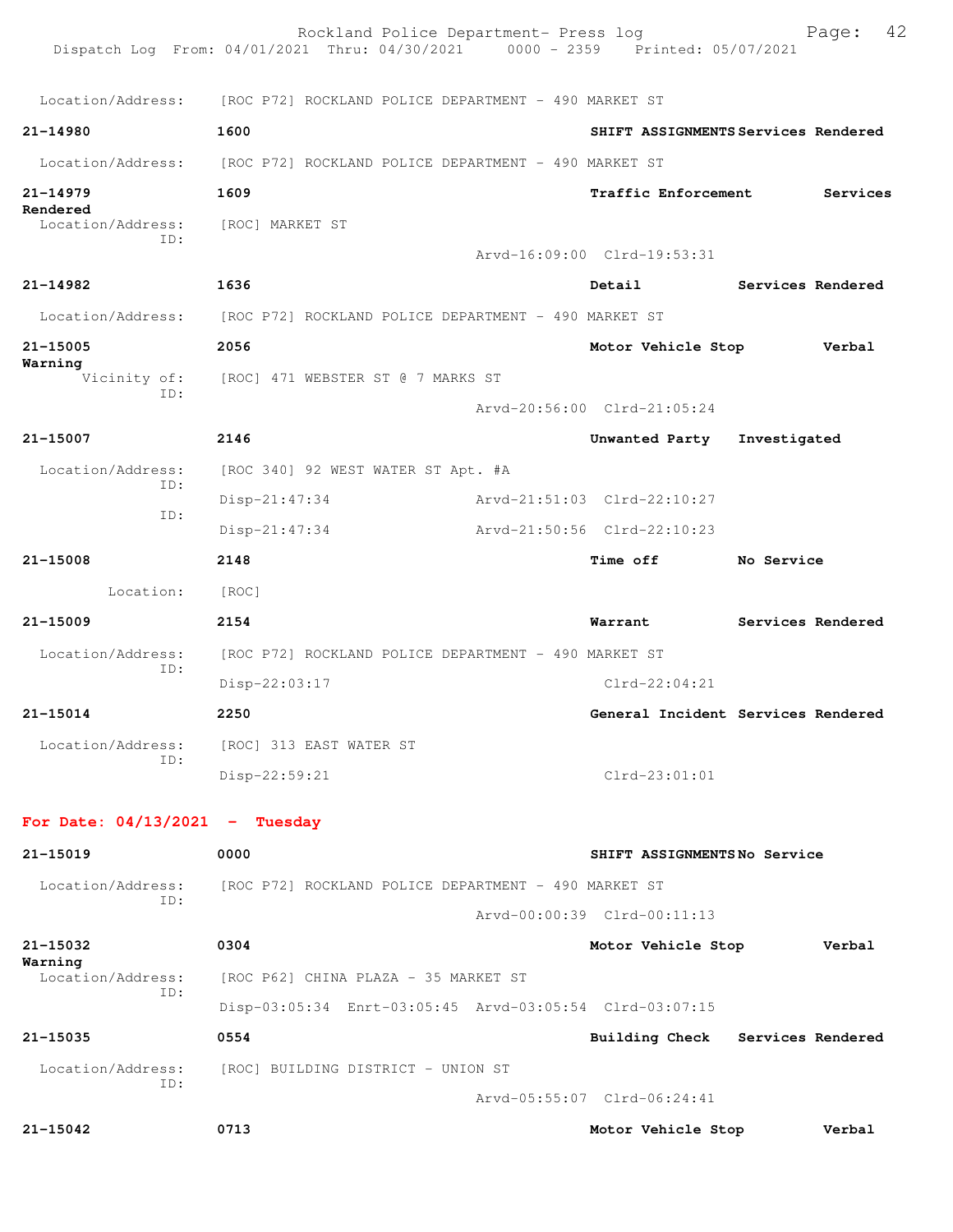|                                     | Rockland Police Department- Press log<br>Dispatch Log From: 04/01/2021 Thru: 04/30/2021 0000 - 2359 Printed: 05/07/2021 |                             | 42<br>Page:                         |
|-------------------------------------|-------------------------------------------------------------------------------------------------------------------------|-----------------------------|-------------------------------------|
|                                     | Location/Address: [ROC P72] ROCKLAND POLICE DEPARTMENT - 490 MARKET ST                                                  |                             |                                     |
| 21-14980                            | 1600                                                                                                                    |                             | SHIFT ASSIGNMENTS Services Rendered |
| Location/Address:                   | [ROC P72] ROCKLAND POLICE DEPARTMENT - 490 MARKET ST                                                                    |                             |                                     |
| $21 - 14979$                        | 1609                                                                                                                    | <b>Traffic Enforcement</b>  | Services                            |
| Rendered<br>Location/Address:       | [ROC] MARKET ST                                                                                                         |                             |                                     |
| ID:                                 |                                                                                                                         | Arvd-16:09:00 Clrd-19:53:31 |                                     |
| 21-14982                            | 1636                                                                                                                    | Detail                      | Services Rendered                   |
|                                     | Location/Address: [ROC P72] ROCKLAND POLICE DEPARTMENT - 490 MARKET ST                                                  |                             |                                     |
| $21 - 15005$<br>Warning             | 2056                                                                                                                    | Motor Vehicle Stop          | Verbal                              |
| ID:                                 | Vicinity of: [ROC] 471 WEBSTER ST @ 7 MARKS ST                                                                          |                             |                                     |
|                                     |                                                                                                                         | Arvd-20:56:00 Clrd-21:05:24 |                                     |
| 21-15007                            | 2146                                                                                                                    | Unwanted Party              | Investigated                        |
| Location/Address:<br>ID:            | [ROC 340] 92 WEST WATER ST Apt. #A                                                                                      |                             |                                     |
| ID:                                 | $Disp-21:47:34$                                                                                                         | Arvd-21:51:03 Clrd-22:10:27 |                                     |
|                                     | $Disp-21:47:34$                                                                                                         | Arvd-21:50:56 Clrd-22:10:23 |                                     |
| 21-15008                            | 2148                                                                                                                    | <b>Time off</b>             | No Service                          |
| Location:                           | [ROC]                                                                                                                   |                             |                                     |
| $21 - 15009$                        | 2154                                                                                                                    | Warrant                     | Services Rendered                   |
| Location/Address:                   | [ROC P72] ROCKLAND POLICE DEPARTMENT - 490 MARKET ST                                                                    |                             |                                     |
| ID:                                 | Disp-22:03:17                                                                                                           | $Clrd-22:04:21$             |                                     |
| $21 - 15014$                        | 2250                                                                                                                    |                             | General Incident Services Rendered  |
| Location/Address:                   | [ROC] 313 EAST WATER ST                                                                                                 |                             |                                     |
| ID:                                 | Disp-22:59:21                                                                                                           | $Clrd-23:01:01$             |                                     |
| For Date: $04/13/2021$ - Tuesday    |                                                                                                                         |                             |                                     |
| 21-15019                            | 0000                                                                                                                    | SHIFT ASSIGNMENTSNo Service |                                     |
| Location/Address:<br>ID:            | [ROC P72] ROCKLAND POLICE DEPARTMENT - 490 MARKET ST                                                                    |                             |                                     |
|                                     |                                                                                                                         | Arvd-00:00:39 Clrd-00:11:13 |                                     |
| 21-15032                            | 0304                                                                                                                    | Motor Vehicle Stop          | Verbal                              |
| Warning<br>Location/Address:<br>TD: | [ROC P62] CHINA PLAZA - 35 MARKET ST                                                                                    |                             |                                     |
|                                     | Disp-03:05:34 Enrt-03:05:45 Arvd-03:05:54 Clrd-03:07:15                                                                 |                             |                                     |
| 21-15035                            | 0554                                                                                                                    |                             | Building Check Services Rendered    |
| Location/Address:<br>TD:            | [ROC] BUILDING DISTRICT - UNION ST                                                                                      |                             |                                     |
|                                     |                                                                                                                         | Arvd-05:55:07 Clrd-06:24:41 |                                     |
| 21-15042                            | 0713                                                                                                                    | Motor Vehicle Stop          | Verbal                              |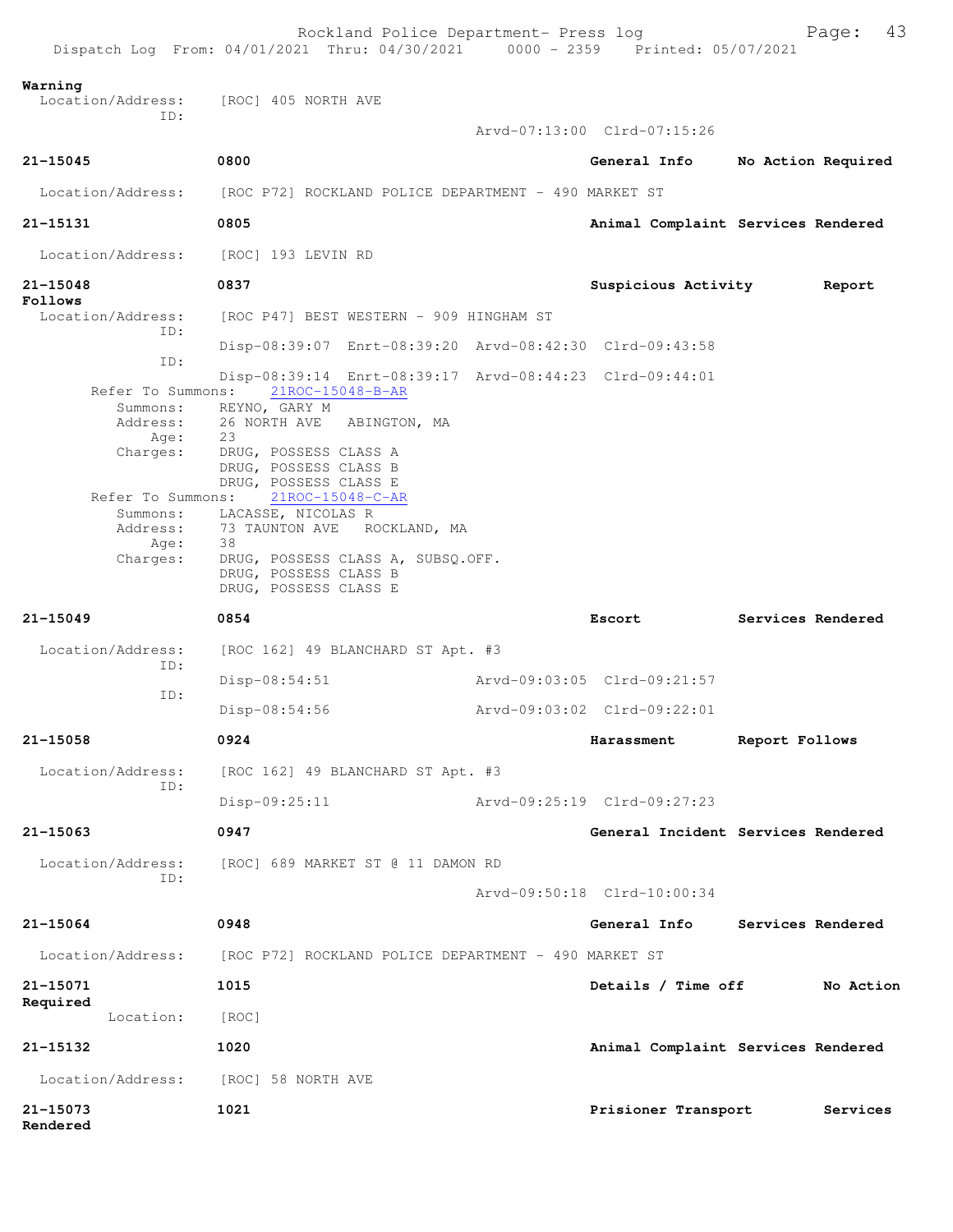|                              | Rockland Police Department- Press log<br>Dispatch Log From: 04/01/2021 Thru: 04/30/2021 0000 - 2359 Printed: 05/07/2021 |                             | 43<br>Page:                        |
|------------------------------|-------------------------------------------------------------------------------------------------------------------------|-----------------------------|------------------------------------|
| Warning<br>Location/Address: | [ROC] 405 NORTH AVE                                                                                                     |                             |                                    |
| ID:                          |                                                                                                                         | Arvd-07:13:00 Clrd-07:15:26 |                                    |
| $21 - 15045$                 | 0800                                                                                                                    | General Info                | No Action Required                 |
| Location/Address:            | [ROC P72] ROCKLAND POLICE DEPARTMENT - 490 MARKET ST                                                                    |                             |                                    |
| 21-15131                     | 0805                                                                                                                    |                             | Animal Complaint Services Rendered |
| Location/Address:            | [ROC] 193 LEVIN RD                                                                                                      |                             |                                    |
| 21-15048<br>Follows          | 0837                                                                                                                    | <b>Suspicious Activity</b>  | Report                             |
| Location/Address:<br>ID:     | [ROC P47] BEST WESTERN - 909 HINGHAM ST                                                                                 |                             |                                    |
| ID:                          | Disp-08:39:07 Enrt-08:39:20 Arvd-08:42:30 Clrd-09:43:58                                                                 |                             |                                    |
| Refer To Summons:            | Disp-08:39:14 Enrt-08:39:17 Arvd-08:44:23 Clrd-09:44:01<br>21ROC-15048-B-AR                                             |                             |                                    |
| Summons:<br>Address:         | REYNO, GARY M<br>26 NORTH AVE ABINGTON, MA                                                                              |                             |                                    |
| Age:                         | 23                                                                                                                      |                             |                                    |
| Charges:                     | DRUG, POSSESS CLASS A<br>DRUG, POSSESS CLASS B<br>DRUG, POSSESS CLASS E                                                 |                             |                                    |
| Refer To Summons:            | 21ROC-15048-C-AR                                                                                                        |                             |                                    |
| Address:                     | Summons: LACASSE, NICOLAS R<br>73 TAUNTON AVE ROCKLAND, MA                                                              |                             |                                    |
| Age:<br>Charges:             | 38<br>DRUG, POSSESS CLASS A, SUBSQ.OFF.                                                                                 |                             |                                    |
|                              | DRUG, POSSESS CLASS B<br>DRUG, POSSESS CLASS E                                                                          |                             |                                    |
| $21 - 15049$                 | 0854                                                                                                                    | Escort                      | Services Rendered                  |
| Location/Address:<br>ID:     | $[ROC 162]$ 49 BLANCHARD ST Apt. #3                                                                                     |                             |                                    |
| ID:                          | $Disp-08:54:51$                                                                                                         | Arvd-09:03:05 Clrd-09:21:57 |                                    |
|                              | $Disp-08:54:56$                                                                                                         | Arvd-09:03:02 Clrd-09:22:01 |                                    |
| 21-15058                     | 0924                                                                                                                    | Harassment                  | Report Follows                     |
| Location/Address:<br>ID:     | [ROC 162] 49 BLANCHARD ST Apt. #3                                                                                       |                             |                                    |
|                              | $Disp-09:25:11$                                                                                                         | Arvd-09:25:19 Clrd-09:27:23 |                                    |
| 21-15063                     | 0947                                                                                                                    |                             | General Incident Services Rendered |
| Location/Address:<br>TD:     | [ROC] 689 MARKET ST @ 11 DAMON RD                                                                                       |                             |                                    |
|                              |                                                                                                                         | Arvd-09:50:18 Clrd-10:00:34 |                                    |
| $21 - 15064$                 | 0948                                                                                                                    | General Info                | Services Rendered                  |
| Location/Address:            | [ROC P72] ROCKLAND POLICE DEPARTMENT - 490 MARKET ST                                                                    |                             |                                    |
| 21-15071<br>Required         | 1015                                                                                                                    | Details / Time off          | No Action                          |
| Location:                    | [ROC]                                                                                                                   |                             |                                    |
| 21-15132                     | 1020                                                                                                                    |                             | Animal Complaint Services Rendered |
| Location/Address:            | [ROC] 58 NORTH AVE                                                                                                      |                             |                                    |
| 21-15073<br>Rendered         | 1021                                                                                                                    | Prisioner Transport         | Services                           |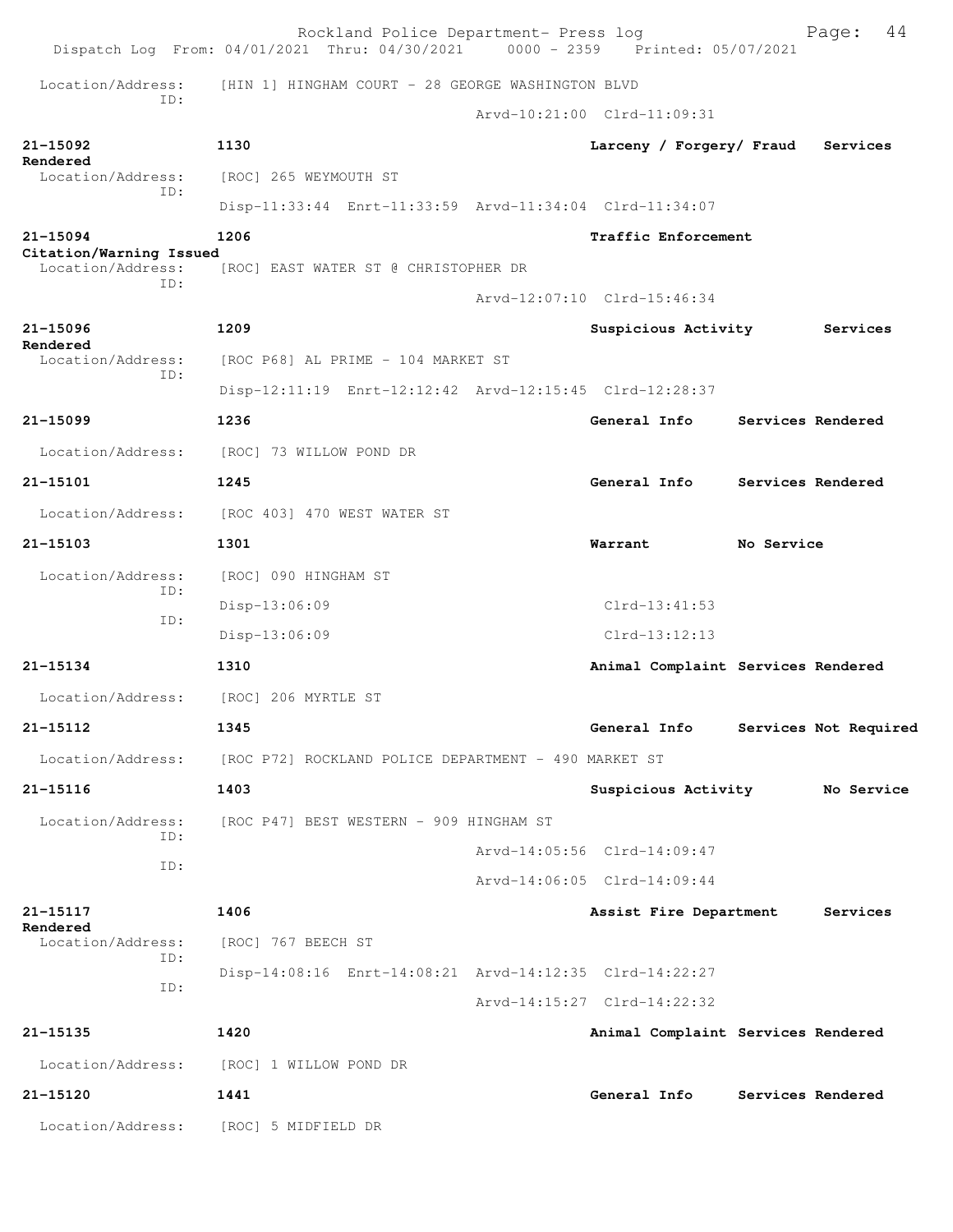|                                              | Rockland Police Department- Press log<br>Dispatch Log From: 04/01/2021 Thru: 04/30/2021 0000 - 2359 Printed: 05/07/2021 |                                    |            | 44<br>Page:           |
|----------------------------------------------|-------------------------------------------------------------------------------------------------------------------------|------------------------------------|------------|-----------------------|
| Location/Address:                            | [HIN 1] HINGHAM COURT - 28 GEORGE WASHINGTON BLVD                                                                       |                                    |            |                       |
| ID:                                          |                                                                                                                         | Arvd-10:21:00 Clrd-11:09:31        |            |                       |
| 21-15092                                     | 1130                                                                                                                    | Larceny / Forgery/ Fraud           |            | Services              |
| Rendered<br>Location/Address:                | [ROC] 265 WEYMOUTH ST                                                                                                   |                                    |            |                       |
| ID:                                          | Disp-11:33:44 Enrt-11:33:59 Arvd-11:34:04 Clrd-11:34:07                                                                 |                                    |            |                       |
| 21-15094                                     | 1206                                                                                                                    | Traffic Enforcement                |            |                       |
| Citation/Warning Issued<br>Location/Address: | [ROC] EAST WATER ST @ CHRISTOPHER DR                                                                                    |                                    |            |                       |
| ID:                                          |                                                                                                                         | Arvd-12:07:10 Clrd-15:46:34        |            |                       |
| 21-15096                                     | 1209                                                                                                                    | Suspicious Activity                |            | Services              |
| Rendered<br>Location/Address:                | [ROC P68] AL PRIME - 104 MARKET ST                                                                                      |                                    |            |                       |
| ID:                                          | Disp-12:11:19 Enrt-12:12:42 Arvd-12:15:45 Clrd-12:28:37                                                                 |                                    |            |                       |
| $21 - 15099$                                 | 1236                                                                                                                    | General Info                       |            | Services Rendered     |
| Location/Address:                            | [ROC] 73 WILLOW POND DR                                                                                                 |                                    |            |                       |
| 21-15101                                     | 1245                                                                                                                    | General Info                       |            | Services Rendered     |
| Location/Address:                            | [ROC 403] 470 WEST WATER ST                                                                                             |                                    |            |                       |
| $21 - 15103$                                 | 1301                                                                                                                    | Warrant                            | No Service |                       |
| Location/Address:                            | [ROC] 090 HINGHAM ST                                                                                                    |                                    |            |                       |
| ID:                                          | Disp-13:06:09                                                                                                           | $Clrd-13:41:53$                    |            |                       |
| ID:                                          | Disp-13:06:09                                                                                                           | $Clrd-13:12:13$                    |            |                       |
| 21-15134                                     | 1310                                                                                                                    | Animal Complaint Services Rendered |            |                       |
| Location/Address:                            | [ROC] 206 MYRTLE ST                                                                                                     |                                    |            |                       |
| 21-15112                                     | 1345                                                                                                                    | General Info                       |            | Services Not Required |
| Location/Address:                            | [ROC P72] ROCKLAND POLICE DEPARTMENT - 490 MARKET ST                                                                    |                                    |            |                       |
| 21-15116                                     | 1403                                                                                                                    | Suspicious Activity No Service     |            |                       |
| Location/Address:                            | [ROC P47] BEST WESTERN - 909 HINGHAM ST                                                                                 |                                    |            |                       |
| ID:                                          |                                                                                                                         | Arvd-14:05:56 Clrd-14:09:47        |            |                       |
| ID:                                          |                                                                                                                         | Arvd-14:06:05 Clrd-14:09:44        |            |                       |
| 21-15117<br>Rendered                         | 1406                                                                                                                    | Assist Fire Department             |            | Services              |
| Location/Address:<br>ID:                     | [ROC] 767 BEECH ST                                                                                                      |                                    |            |                       |
| ID:                                          | Disp-14:08:16 Enrt-14:08:21 Arvd-14:12:35 Clrd-14:22:27                                                                 |                                    |            |                       |
|                                              |                                                                                                                         | Arvd-14:15:27 Clrd-14:22:32        |            |                       |
| 21-15135                                     | 1420                                                                                                                    | Animal Complaint Services Rendered |            |                       |
| Location/Address:                            | [ROC] 1 WILLOW POND DR                                                                                                  |                                    |            |                       |
| 21-15120                                     | 1441                                                                                                                    | General Info                       |            | Services Rendered     |
| Location/Address:                            | [ROC] 5 MIDFIELD DR                                                                                                     |                                    |            |                       |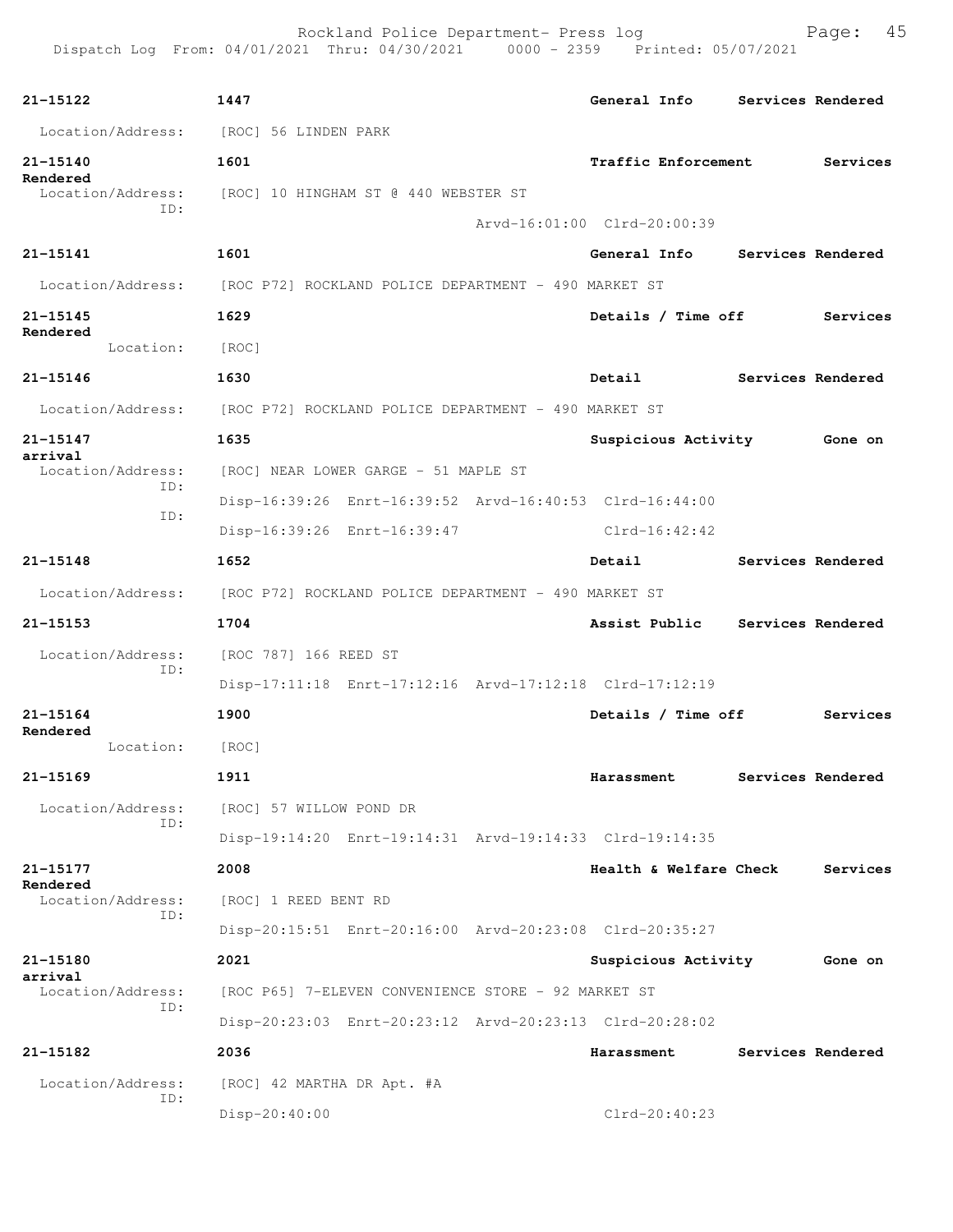Rockland Police Department- Press log entitled and Page: 45

| 21-15122                                                               | 1447                                 |                                                         |                             |            | General Info           | Services Rendered |
|------------------------------------------------------------------------|--------------------------------------|---------------------------------------------------------|-----------------------------|------------|------------------------|-------------------|
| Location/Address: [ROC] 56 LINDEN PARK                                 |                                      |                                                         |                             |            |                        |                   |
| 21-15140                                                               | 1601                                 |                                                         |                             |            | Traffic Enforcement    | Services          |
| Rendered<br>Location/Address:                                          | [ROC] 10 HINGHAM ST @ 440 WEBSTER ST |                                                         |                             |            |                        |                   |
| ID:                                                                    |                                      |                                                         | Arvd-16:01:00 Clrd-20:00:39 |            |                        |                   |
| 21-15141                                                               | 1601                                 |                                                         |                             |            | General Info           | Services Rendered |
| Location/Address: [ROC P72] ROCKLAND POLICE DEPARTMENT - 490 MARKET ST |                                      |                                                         |                             |            |                        |                   |
| 21-15145                                                               | 1629                                 |                                                         |                             |            | Details / Time off     | Services          |
| Rendered<br>Location:                                                  | [ROC]                                |                                                         |                             |            |                        |                   |
| 21-15146                                                               | 1630                                 |                                                         |                             | Detail     |                        | Services Rendered |
| Location/Address: [ROC P72] ROCKLAND POLICE DEPARTMENT - 490 MARKET ST |                                      |                                                         |                             |            |                        |                   |
| 21-15147                                                               | 1635                                 |                                                         |                             |            | Suspicious Activity    | Gone on           |
| arrival<br>Location/Address:                                           | [ROC] NEAR LOWER GARGE - 51 MAPLE ST |                                                         |                             |            |                        |                   |
| ID:                                                                    |                                      | Disp-16:39:26 Enrt-16:39:52 Arvd-16:40:53 Clrd-16:44:00 |                             |            |                        |                   |
| ID:                                                                    |                                      | Disp-16:39:26 Enrt-16:39:47                             |                             |            | Clrd-16:42:42          |                   |
| 21-15148                                                               | 1652                                 |                                                         |                             | Detail     |                        | Services Rendered |
| Location/Address: [ROC P72] ROCKLAND POLICE DEPARTMENT - 490 MARKET ST |                                      |                                                         |                             |            |                        |                   |
| 21-15153                                                               | 1704                                 |                                                         |                             |            | Assist Public          | Services Rendered |
| Location/Address:                                                      | [ROC 787] 166 REED ST                |                                                         |                             |            |                        |                   |
| ID:                                                                    |                                      | Disp-17:11:18 Enrt-17:12:16 Arvd-17:12:18 Clrd-17:12:19 |                             |            |                        |                   |
| 21-15164                                                               | 1900                                 |                                                         |                             |            | Details / Time off     | Services          |
| Rendered<br>Location:                                                  | [ROC]                                |                                                         |                             |            |                        |                   |
| 21-15169                                                               | 1911                                 |                                                         |                             |            | Harassment             | Services Rendered |
| Location/Address:                                                      | [ROC] 57 WILLOW POND DR              |                                                         |                             |            |                        |                   |
| ID:                                                                    |                                      | Disp-19:14:20 Enrt-19:14:31 Arvd-19:14:33 Clrd-19:14:35 |                             |            |                        |                   |
| 21–15177                                                               | 2008                                 |                                                         |                             |            | Health & Welfare Check | Services          |
| Rendered<br>Location/Address:                                          | [ROC] 1 REED BENT RD                 |                                                         |                             |            |                        |                   |
| ID:                                                                    |                                      | Disp-20:15:51 Enrt-20:16:00 Arvd-20:23:08 Clrd-20:35:27 |                             |            |                        |                   |
| 21-15180                                                               | 2021                                 |                                                         |                             |            | Suspicious Activity    | Gone on           |
| arrival<br>Location/Address:                                           |                                      | [ROC P65] 7-ELEVEN CONVENIENCE STORE - 92 MARKET ST     |                             |            |                        |                   |
| ID:                                                                    |                                      | Disp-20:23:03 Enrt-20:23:12 Arvd-20:23:13 Clrd-20:28:02 |                             |            |                        |                   |
| 21-15182                                                               | 2036                                 |                                                         |                             | Harassment |                        | Services Rendered |
| Location/Address:                                                      | [ROC] 42 MARTHA DR Apt. #A           |                                                         |                             |            |                        |                   |
| ID:                                                                    | Disp-20:40:00                        |                                                         |                             |            | Clrd-20:40:23          |                   |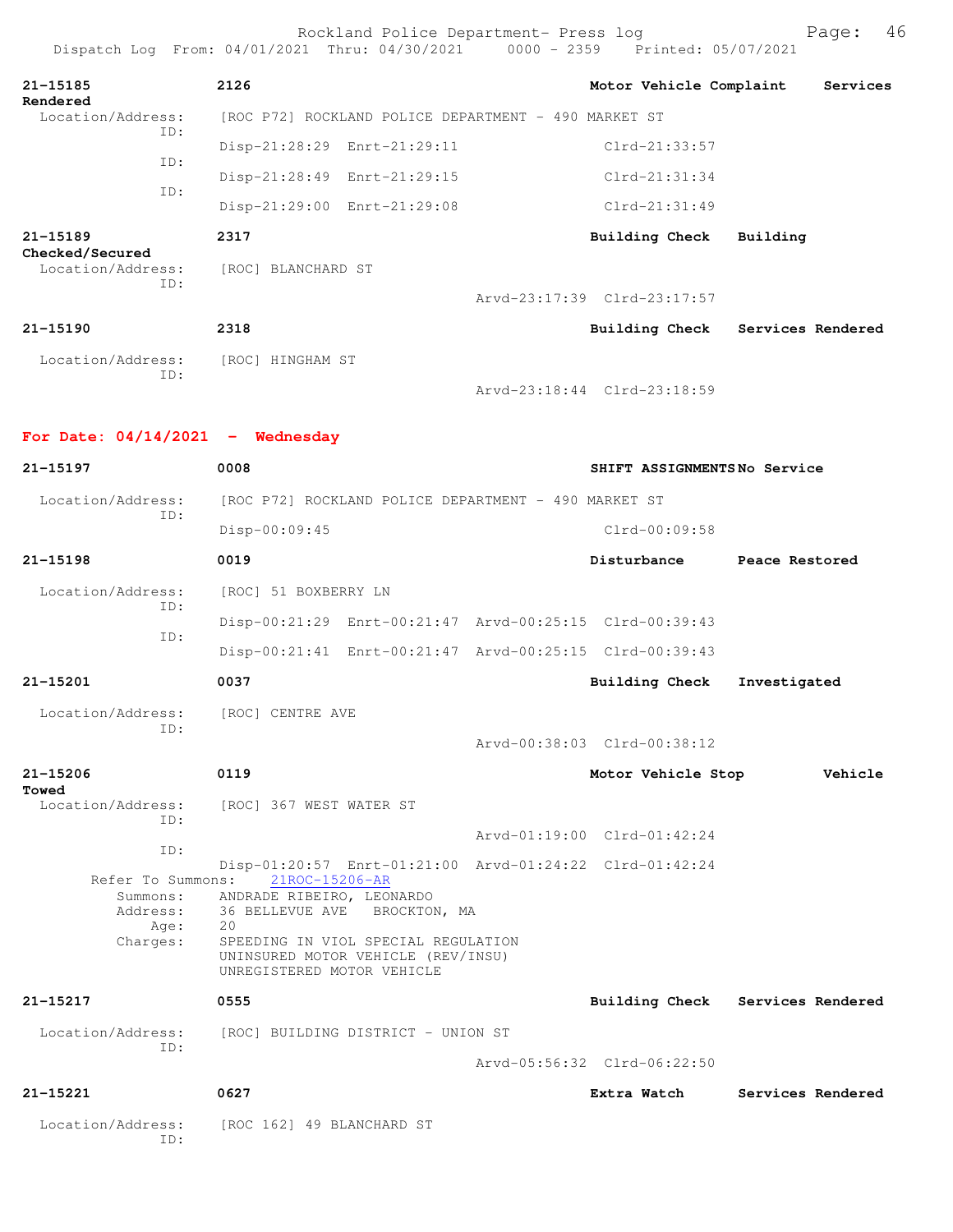|                                           | Rockland Police Department- Press log<br>Dispatch Log From: 04/01/2021 Thru: 04/30/2021 0000 - 2359 Printed: 05/07/2021 |                                  |                   | 46<br>Page: |
|-------------------------------------------|-------------------------------------------------------------------------------------------------------------------------|----------------------------------|-------------------|-------------|
| 21-15185<br>Rendered                      | 2126                                                                                                                    | Motor Vehicle Complaint          |                   | Services    |
| Location/Address:<br>ID:                  | [ROC P72] ROCKLAND POLICE DEPARTMENT - 490 MARKET ST                                                                    |                                  |                   |             |
|                                           | Disp-21:28:29 Enrt-21:29:11                                                                                             | Clrd-21:33:57                    |                   |             |
| ID:                                       | Disp-21:28:49 Enrt-21:29:15                                                                                             | $Clrd-21:31:34$                  |                   |             |
| ID:                                       | Disp-21:29:00 Enrt-21:29:08                                                                                             | $Clrd-21:31:49$                  |                   |             |
| $21 - 15189$                              | 2317                                                                                                                    | Building Check                   | Building          |             |
| Checked/Secured<br>Location/Address:      | [ROC] BLANCHARD ST                                                                                                      |                                  |                   |             |
| ID:                                       |                                                                                                                         | Arvd-23:17:39 Clrd-23:17:57      |                   |             |
| $21 - 15190$                              | 2318                                                                                                                    | Building Check Services Rendered |                   |             |
| Location/Address: [ROC] HINGHAM ST        |                                                                                                                         |                                  |                   |             |
| ID:                                       |                                                                                                                         | Arvd-23:18:44 Clrd-23:18:59      |                   |             |
| For Date: $04/14/2021$ - Wednesday        |                                                                                                                         |                                  |                   |             |
| 21-15197                                  | 0008                                                                                                                    | SHIFT ASSIGNMENTSNo Service      |                   |             |
| Location/Address:                         | [ROC P72] ROCKLAND POLICE DEPARTMENT - 490 MARKET ST                                                                    |                                  |                   |             |
| ID:                                       | $Disp-00:09:45$                                                                                                         | Clrd-00:09:58                    |                   |             |
| $21 - 15198$                              | 0019                                                                                                                    | Disturbance                      | Peace Restored    |             |
| Location/Address:<br>ID:                  | [ROC] 51 BOXBERRY LN                                                                                                    |                                  |                   |             |
| ID:                                       | Disp-00:21:29 Enrt-00:21:47 Arvd-00:25:15 Clrd-00:39:43                                                                 |                                  |                   |             |
|                                           | Disp-00:21:41 Enrt-00:21:47 Arvd-00:25:15 Clrd-00:39:43                                                                 |                                  |                   |             |
| 21-15201                                  | 0037                                                                                                                    | Building Check                   | Investigated      |             |
| Location/Address:                         | [ROC] CENTRE AVE                                                                                                        |                                  |                   |             |
| ID:                                       |                                                                                                                         | Arvd-00:38:03 Clrd-00:38:12      |                   |             |
| 21-15206                                  | 0119                                                                                                                    | Motor Vehicle Stop               |                   | Vehicle     |
| Towed<br>Location/Address:                | [ROC] 367 WEST WATER ST                                                                                                 |                                  |                   |             |
| ID:                                       |                                                                                                                         | Arvd-01:19:00 Clrd-01:42:24      |                   |             |
| ID:                                       | Disp-01:20:57 Enrt-01:21:00 Arvd-01:24:22 Clrd-01:42:24                                                                 |                                  |                   |             |
| Refer To Summons:<br>Summons:<br>Address: | 21ROC-15206-AR<br>ANDRADE RIBEIRO, LEONARDO<br>36 BELLEVUE AVE BROCKTON, MA                                             |                                  |                   |             |
| Age:<br>Charges:                          | 20<br>SPEEDING IN VIOL SPECIAL REGULATION<br>UNINSURED MOTOR VEHICLE (REV/INSU)<br>UNREGISTERED MOTOR VEHICLE           |                                  |                   |             |
| 21-15217                                  | 0555                                                                                                                    | Building Check Services Rendered |                   |             |
| Location/Address:<br>ID:                  | [ROC] BUILDING DISTRICT - UNION ST                                                                                      |                                  |                   |             |
|                                           |                                                                                                                         | Arvd-05:56:32 Clrd-06:22:50      |                   |             |
| 21-15221                                  | 0627                                                                                                                    | Extra Watch                      | Services Rendered |             |
| Location/Address:<br>ID:                  | [ROC 162] 49 BLANCHARD ST                                                                                               |                                  |                   |             |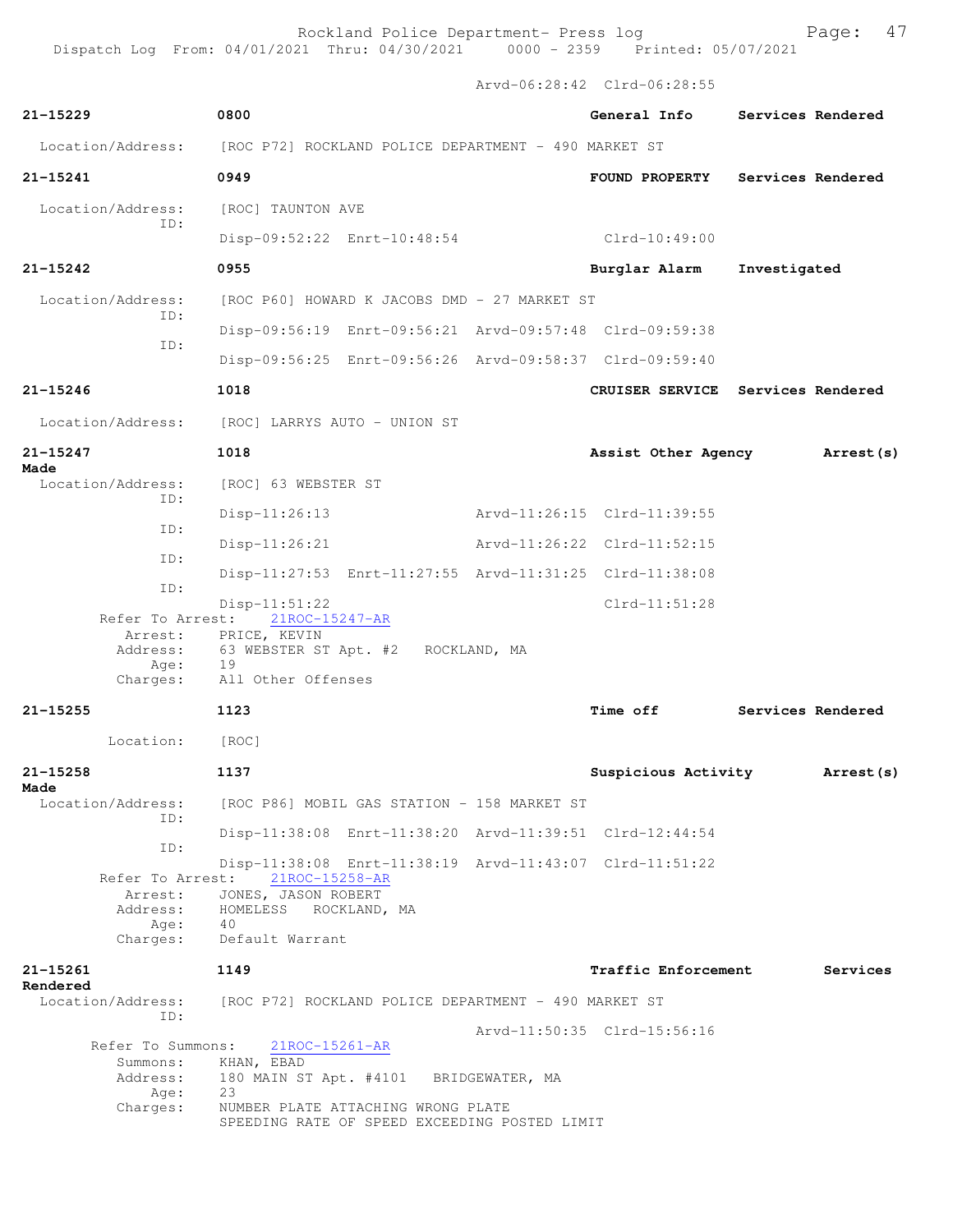Rockland Police Department- Press log entitled and Page: 47

Arvd-06:28:42 Clrd-06:28:55

| $21 - 15229$                     | 0800                                                                                       | General Info                | Services Rendered                 |
|----------------------------------|--------------------------------------------------------------------------------------------|-----------------------------|-----------------------------------|
| Location/Address:                | [ROC P72] ROCKLAND POLICE DEPARTMENT - 490 MARKET ST                                       |                             |                                   |
| 21-15241                         | 0949                                                                                       | FOUND PROPERTY              | Services Rendered                 |
| Location/Address:<br>TD:         | [ROC] TAUNTON AVE                                                                          |                             |                                   |
|                                  | Disp-09:52:22 Enrt-10:48:54                                                                | Clrd-10:49:00               |                                   |
| $21 - 15242$                     | 0955                                                                                       | Burglar Alarm               | Investigated                      |
| Location/Address:                | [ROC P60] HOWARD K JACOBS DMD - 27 MARKET ST                                               |                             |                                   |
| ID:<br>ID:                       | Disp-09:56:19 Enrt-09:56:21 Arvd-09:57:48 Clrd-09:59:38                                    |                             |                                   |
|                                  | Disp-09:56:25 Enrt-09:56:26 Arvd-09:58:37 Clrd-09:59:40                                    |                             |                                   |
| $21 - 15246$                     | 1018                                                                                       |                             | CRUISER SERVICE Services Rendered |
| Location/Address:                | [ROC] LARRYS AUTO - UNION ST                                                               |                             |                                   |
| $21 - 15247$<br>Made             | 1018                                                                                       | Assist Other Agency         | Arrest (s)                        |
| Location/Address:                | [ROC] 63 WEBSTER ST                                                                        |                             |                                   |
| ID:                              | $Disp-11:26:13$                                                                            | Arvd-11:26:15 Clrd-11:39:55 |                                   |
| TD:                              | $Disp-11:26:21$                                                                            | Arvd-11:26:22 Clrd-11:52:15 |                                   |
| ID:                              |                                                                                            |                             |                                   |
| ID:                              | Disp-11:27:53 Enrt-11:27:55 Arvd-11:31:25 Clrd-11:38:08                                    |                             |                                   |
| Refer To Arrest:                 | $Disp-11:51:22$<br>21ROC-15247-AR                                                          | $Clrd-11:51:28$             |                                   |
| Arrest:                          | PRICE, KEVIN                                                                               |                             |                                   |
| Address:<br>Age:                 | 63 WEBSTER ST Apt. #2<br>ROCKLAND, MA<br>19                                                |                             |                                   |
| Charges:                         | All Other Offenses                                                                         |                             |                                   |
| $21 - 15255$                     | 1123                                                                                       | <b>Time off</b>             | Services Rendered                 |
| Location:                        | [ROC]                                                                                      |                             |                                   |
| $21 - 15258$                     | 1137                                                                                       | Suspicious Activity         | Arrest (s)                        |
| Made<br>Location/Address:<br>TD: | [ROC P86] MOBIL GAS STATION - 158 MARKET ST                                                |                             |                                   |
|                                  | Disp-11:38:08 Enrt-11:38:20 Arvd-11:39:51 Clrd-12:44:54                                    |                             |                                   |
| ID:                              | Disp-11:38:08 Enrt-11:38:19 Arvd-11:43:07 Clrd-11:51:22<br>Refer To Arrest: 21ROC-15258-AR |                             |                                   |
| Arrest:<br>Address:              | JONES, JASON ROBERT<br>HOMELESS<br>ROCKLAND, MA                                            |                             |                                   |
| Age:<br>Charges:                 | 40<br>Default Warrant                                                                      |                             |                                   |
| 21-15261                         | 1149                                                                                       | <b>Traffic Enforcement</b>  | Services                          |
| Rendered<br>Location/Address:    | [ROC P72] ROCKLAND POLICE DEPARTMENT - 490 MARKET ST                                       |                             |                                   |
| ID:                              |                                                                                            | Arvd-11:50:35 Clrd-15:56:16 |                                   |
| Refer To Summons:                | 21ROC-15261-AR                                                                             |                             |                                   |
| Summons:<br>Address:<br>Age:     | KHAN, EBAD<br>180 MAIN ST Apt. #4101 BRIDGEWATER, MA<br>23                                 |                             |                                   |
| Charges:                         | NUMBER PLATE ATTACHING WRONG PLATE<br>SPEEDING RATE OF SPEED EXCEEDING POSTED LIMIT        |                             |                                   |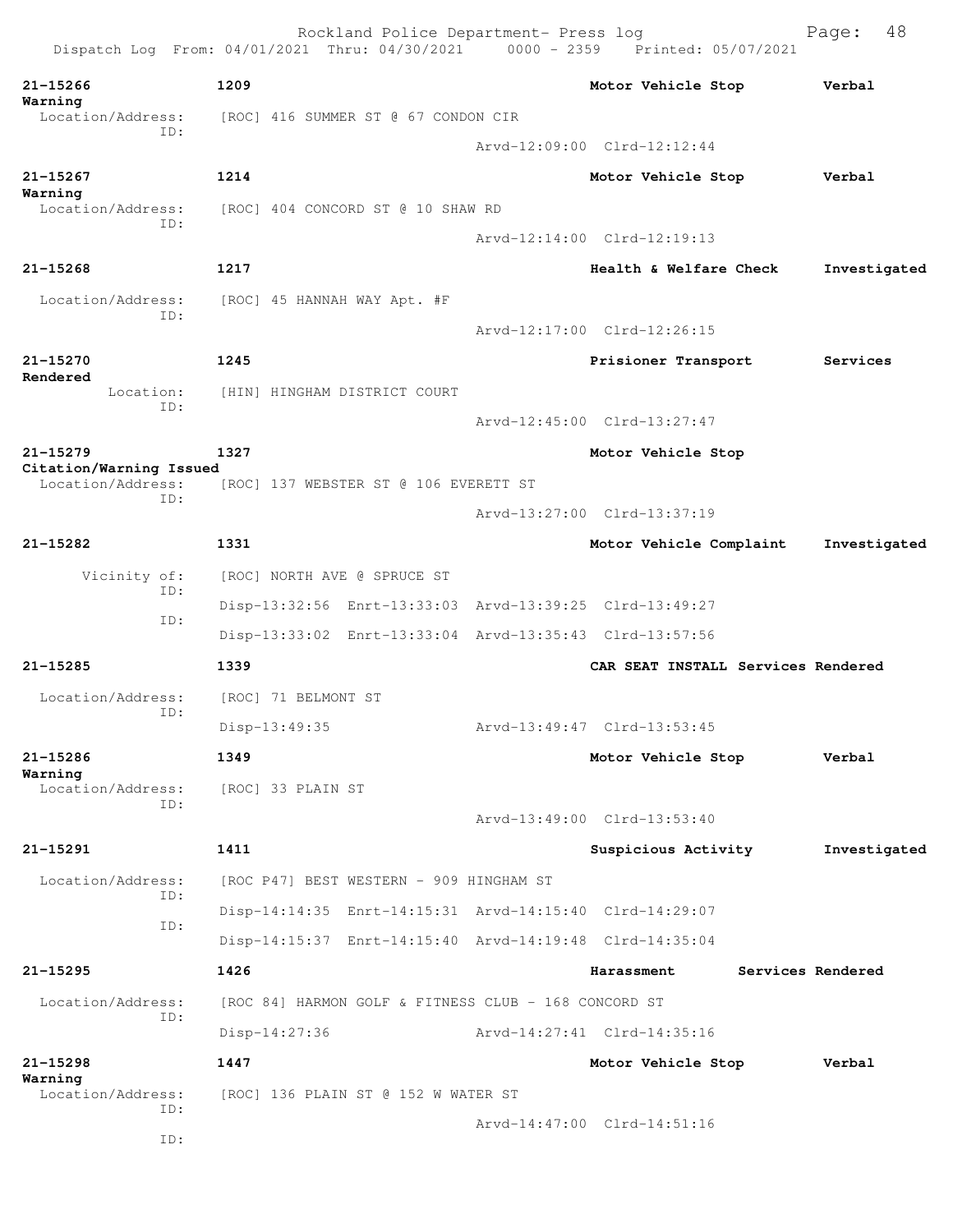|                              | Rockland Police Department- Press log<br>Dispatch Log From: 04/01/2021 Thru: 04/30/2021 0000 - 2359 Printed: 05/07/2021 |                                    | 48<br>Page:       |
|------------------------------|-------------------------------------------------------------------------------------------------------------------------|------------------------------------|-------------------|
| $21 - 15266$                 | 1209                                                                                                                    | Motor Vehicle Stop                 | Verbal            |
| Warning<br>Location/Address: | [ROC] 416 SUMMER ST @ 67 CONDON CIR                                                                                     |                                    |                   |
| ID:                          |                                                                                                                         | Arvd-12:09:00 Clrd-12:12:44        |                   |
| $21 - 15267$                 | 1214                                                                                                                    | Motor Vehicle Stop                 | Verbal            |
| Warning<br>Location/Address: | [ROC] 404 CONCORD ST @ 10 SHAW RD                                                                                       |                                    |                   |
| ID:                          |                                                                                                                         | Arvd-12:14:00 Clrd-12:19:13        |                   |
| $21 - 15268$                 | 1217                                                                                                                    | Health & Welfare Check             | Investigated      |
| Location/Address:            | [ROC] 45 HANNAH WAY Apt. #F                                                                                             |                                    |                   |
| ID:                          |                                                                                                                         | Arvd-12:17:00 Clrd-12:26:15        |                   |
| 21-15270                     | 1245                                                                                                                    | Prisioner Transport                | Services          |
| Rendered<br>Location:        | [HIN] HINGHAM DISTRICT COURT                                                                                            |                                    |                   |
| ID:                          |                                                                                                                         | Arvd-12:45:00 Clrd-13:27:47        |                   |
| $21 - 15279$                 | 1327                                                                                                                    | Motor Vehicle Stop                 |                   |
| Citation/Warning Issued      |                                                                                                                         |                                    |                   |
| Location/Address:<br>ID:     | [ROC] 137 WEBSTER ST @ 106 EVERETT ST                                                                                   |                                    |                   |
|                              |                                                                                                                         | Arvd-13:27:00 Clrd-13:37:19        |                   |
| 21-15282                     | 1331                                                                                                                    | Motor Vehicle Complaint            | Investigated      |
| Vicinity of:<br>ID:          | [ROC] NORTH AVE @ SPRUCE ST                                                                                             |                                    |                   |
| ID:                          | Disp-13:32:56 Enrt-13:33:03 Arvd-13:39:25 Clrd-13:49:27                                                                 |                                    |                   |
|                              | Disp-13:33:02 Enrt-13:33:04 Arvd-13:35:43 Clrd-13:57:56                                                                 |                                    |                   |
| 21-15285                     | 1339                                                                                                                    | CAR SEAT INSTALL Services Rendered |                   |
| Location/Address:<br>ID:     | [ROC] 71 BELMONT ST                                                                                                     |                                    |                   |
|                              | Disp-13:49:35                                                                                                           | Arvd-13:49:47 Clrd-13:53:45        |                   |
| $21 - 15286$<br>Warning      | 1349                                                                                                                    | Motor Vehicle Stop                 | Verbal            |
| Location/Address:<br>TD:     | [ROC] 33 PLAIN ST                                                                                                       |                                    |                   |
|                              |                                                                                                                         | Arvd-13:49:00 Clrd-13:53:40        |                   |
| 21-15291                     | 1411                                                                                                                    | Suspicious Activity                | Investigated      |
| Location/Address:<br>ID:     | [ROC P47] BEST WESTERN - 909 HINGHAM ST                                                                                 |                                    |                   |
| ID:                          | Disp-14:14:35 Enrt-14:15:31 Arvd-14:15:40 Clrd-14:29:07                                                                 |                                    |                   |
|                              | Disp-14:15:37 Enrt-14:15:40 Arvd-14:19:48 Clrd-14:35:04                                                                 |                                    |                   |
| $21 - 15295$                 | 1426                                                                                                                    | Harassment                         | Services Rendered |
| Location/Address:            | [ROC 84] HARMON GOLF & FITNESS CLUB - 168 CONCORD ST                                                                    |                                    |                   |
| ID:                          | $Disp-14:27:36$                                                                                                         | Arvd-14:27:41 Clrd-14:35:16        |                   |
| $21 - 15298$                 | 1447                                                                                                                    | Motor Vehicle Stop                 | Verbal            |
| Warning<br>Location/Address: | [ROC] 136 PLAIN ST @ 152 W WATER ST                                                                                     |                                    |                   |
| ID:                          |                                                                                                                         | Arvd-14:47:00 Clrd-14:51:16        |                   |
| ID:                          |                                                                                                                         |                                    |                   |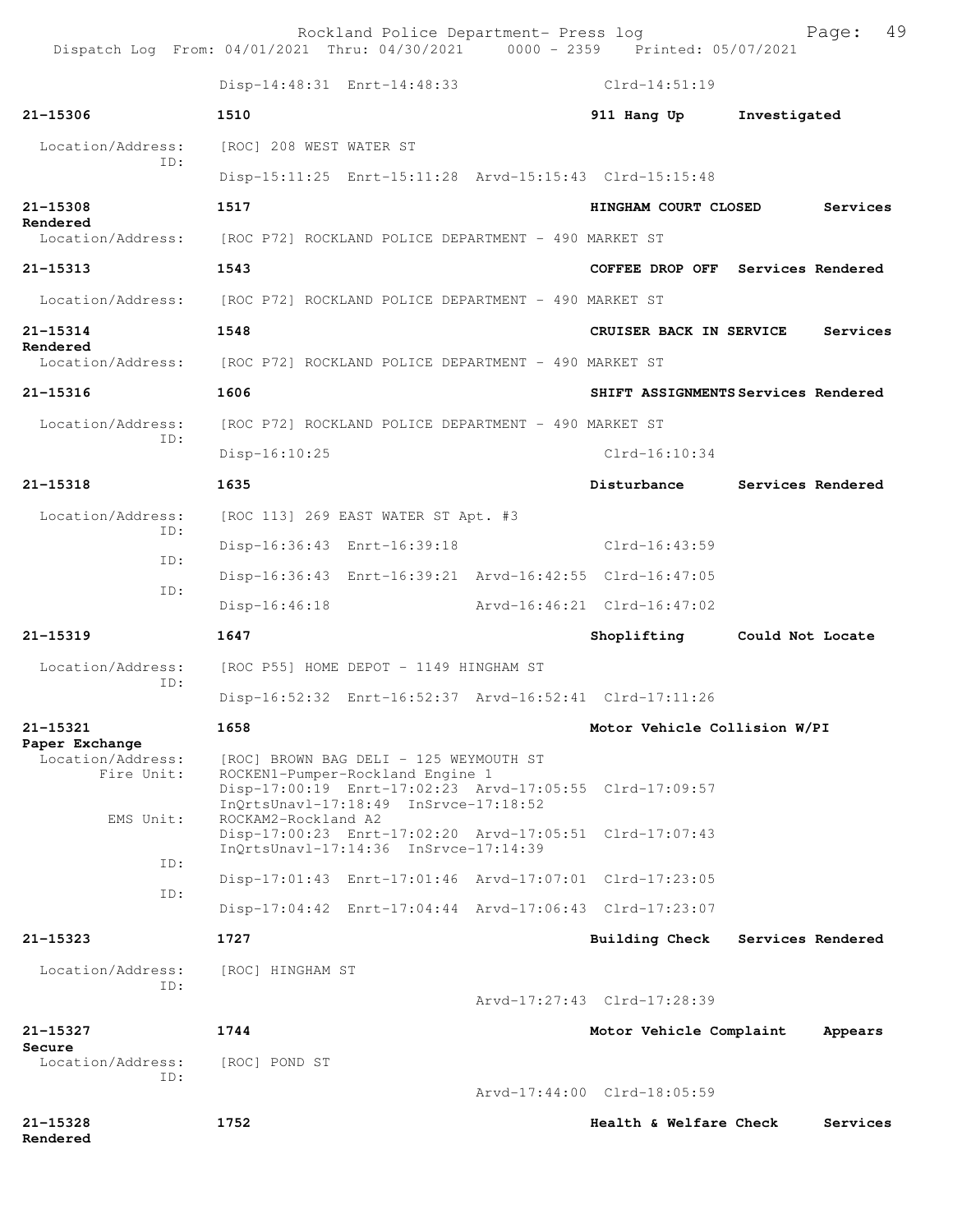|                                     | Rockland Police Department- Press log<br>Dispatch Log From: 04/01/2021 Thru: 04/30/2021 0000 - 2359 Printed: 05/07/2021              | 49<br>Page:                                |
|-------------------------------------|--------------------------------------------------------------------------------------------------------------------------------------|--------------------------------------------|
|                                     | Disp-14:48:31 Enrt-14:48:33                                                                                                          | Clrd-14:51:19                              |
| 21-15306                            | 1510                                                                                                                                 | 911 Hang Up<br>Investigated                |
| Location/Address:                   | [ROC] 208 WEST WATER ST                                                                                                              |                                            |
| TD:                                 | Disp-15:11:25 Enrt-15:11:28 Arvd-15:15:43 Clrd-15:15:48                                                                              |                                            |
| 21-15308                            | 1517                                                                                                                                 | HINGHAM COURT CLOSED<br>Services           |
| Rendered<br>Location/Address:       | [ROC P72] ROCKLAND POLICE DEPARTMENT - 490 MARKET ST                                                                                 |                                            |
| 21-15313                            | 1543                                                                                                                                 | COFFEE DROP OFF Services Rendered          |
|                                     | Location/Address: [ROC P72] ROCKLAND POLICE DEPARTMENT - 490 MARKET ST                                                               |                                            |
| 21-15314                            | 1548                                                                                                                                 | CRUISER BACK IN SERVICE<br>Services        |
| Rendered                            | Location/Address: [ROC P72] ROCKLAND POLICE DEPARTMENT - 490 MARKET ST                                                               |                                            |
| $21 - 15316$                        | 1606                                                                                                                                 | SHIFT ASSIGNMENTS Services Rendered        |
| Location/Address:                   | [ROC P72] ROCKLAND POLICE DEPARTMENT - 490 MARKET ST                                                                                 |                                            |
| ID:                                 | $Disp-16:10:25$                                                                                                                      | $Clrd-16:10:34$                            |
| $21 - 15318$                        | 1635                                                                                                                                 | Disturbance Services Rendered              |
| Location/Address:                   | [ROC 113] 269 EAST WATER ST Apt. #3                                                                                                  |                                            |
| TD:                                 | Disp-16:36:43 Enrt-16:39:18 Clrd-16:43:59                                                                                            |                                            |
| ID:                                 | Disp-16:36:43 Enrt-16:39:21 Arvd-16:42:55 Clrd-16:47:05                                                                              |                                            |
| ID:                                 | $Disp-16:46:18$<br>Arvd-16:46:21 Clrd-16:47:02                                                                                       |                                            |
| $21 - 15319$                        | 1647                                                                                                                                 | Shoplifting Could Not Locate               |
| Location/Address:<br>TD:            | [ROC P55] HOME DEPOT - 1149 HINGHAM ST                                                                                               |                                            |
|                                     | Disp-16:52:32 Enrt-16:52:37 Arvd-16:52:41 Clrd-17:11:26                                                                              |                                            |
| 21-15321                            | 1658                                                                                                                                 | Motor Vehicle Collision W/PI               |
| Paper Exchange<br>Location/Address: | [ROC] BROWN BAG DELI - 125 WEYMOUTH ST                                                                                               |                                            |
| Fire Unit:                          | ROCKEN1-Pumper-Rockland Engine 1<br>Disp-17:00:19 Enrt-17:02:23 Arvd-17:05:55 Clrd-17:09:57<br>InOrtsUnav1-17:18:49 InSrvce-17:18:52 |                                            |
| EMS Unit:                           | ROCKAM2-Rockland A2<br>Disp-17:00:23 Enrt-17:02:20 Arvd-17:05:51 Clrd-17:07:43<br>InQrtsUnavl-17:14:36 InSrvce-17:14:39              |                                            |
| ID:<br>ID:                          | Disp-17:01:43 Enrt-17:01:46 Arvd-17:07:01 Clrd-17:23:05                                                                              |                                            |
|                                     | Disp-17:04:42 Enrt-17:04:44 Arvd-17:06:43 Clrd-17:23:07                                                                              |                                            |
| 21-15323                            | 1727                                                                                                                                 | Services Rendered<br><b>Building Check</b> |
| Location/Address:<br>TD:            | [ROC] HINGHAM ST                                                                                                                     |                                            |
|                                     |                                                                                                                                      | Arvd-17:27:43 Clrd-17:28:39                |
| 21-15327<br>Secure                  | 1744                                                                                                                                 | Motor Vehicle Complaint<br>Appears         |
| Location/Address:<br>ID:            | [ROC] POND ST                                                                                                                        |                                            |
|                                     |                                                                                                                                      | Arvd-17:44:00 Clrd-18:05:59                |
| 21-15328<br>Rendered                | 1752                                                                                                                                 | Health & Welfare Check<br>Services         |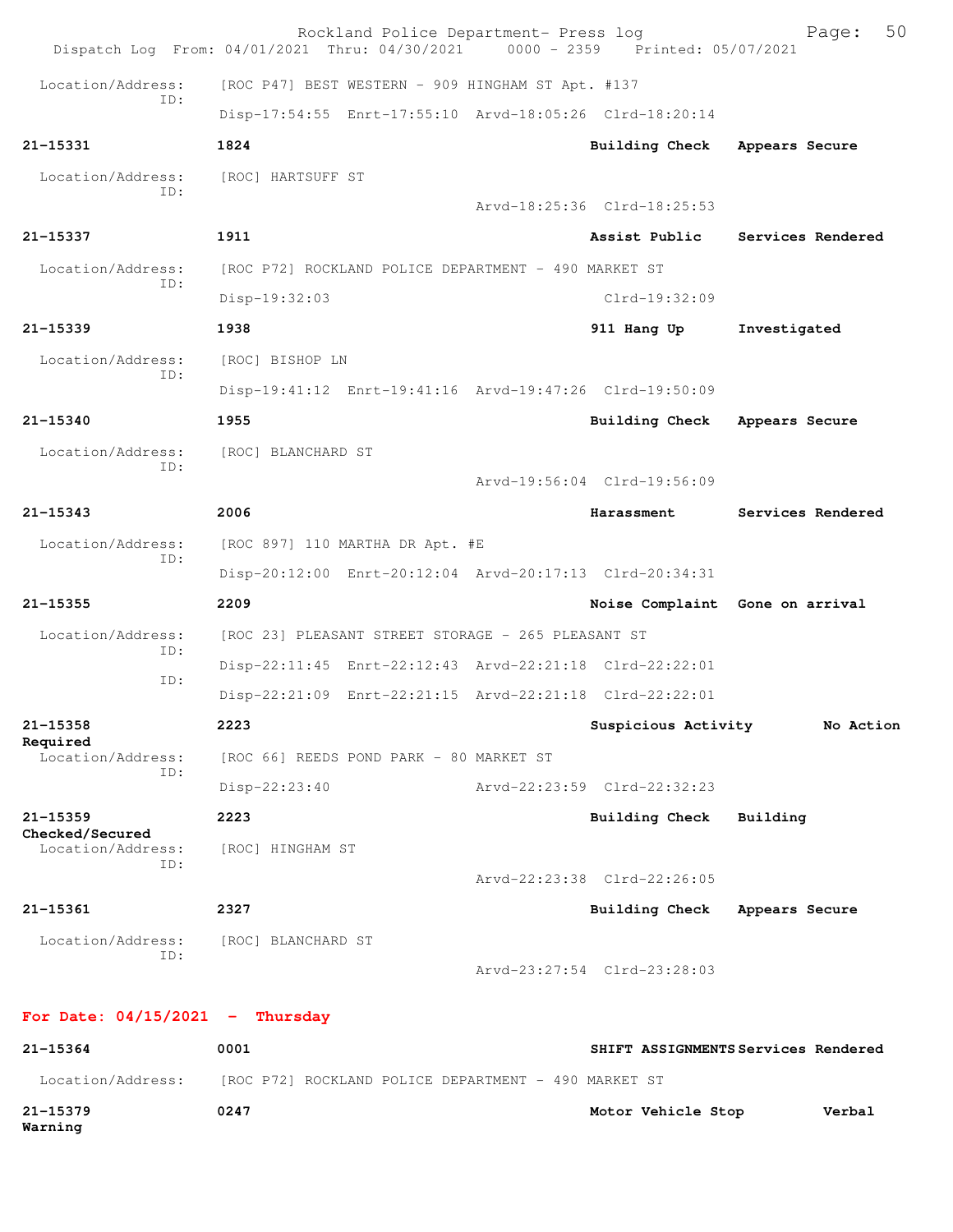|                                   | Rockland Police Department- Press log<br>Dispatch Log From: 04/01/2021 Thru: 04/30/2021 | 0000 - 2359 Printed: 05/07/2021 | 50<br>Page:                         |
|-----------------------------------|-----------------------------------------------------------------------------------------|---------------------------------|-------------------------------------|
| Location/Address:                 | [ROC P47] BEST WESTERN - 909 HINGHAM ST Apt. #137                                       |                                 |                                     |
| ID:                               | Disp-17:54:55 Enrt-17:55:10 Arvd-18:05:26 Clrd-18:20:14                                 |                                 |                                     |
| 21-15331                          | 1824                                                                                    | Building Check                  | Appears Secure                      |
| Location/Address:                 | [ROC] HARTSUFF ST                                                                       |                                 |                                     |
| TD:                               |                                                                                         | Arvd-18:25:36 Clrd-18:25:53     |                                     |
| 21-15337                          | 1911                                                                                    | Assist Public                   | Services Rendered                   |
| Location/Address:                 | [ROC P72] ROCKLAND POLICE DEPARTMENT - 490 MARKET ST                                    |                                 |                                     |
| TD:                               | Disp-19:32:03                                                                           | $Clrd-19:32:09$                 |                                     |
| $21 - 15339$                      | 1938                                                                                    | 911 Hang Up                     | Investigated                        |
| Location/Address:                 | [ROC] BISHOP LN                                                                         |                                 |                                     |
| ID:                               | Disp-19:41:12 Enrt-19:41:16 Arvd-19:47:26 Clrd-19:50:09                                 |                                 |                                     |
| $21 - 15340$                      | 1955                                                                                    | <b>Building Check</b>           | Appears Secure                      |
| Location/Address:                 | [ROC] BLANCHARD ST                                                                      |                                 |                                     |
| TD:                               |                                                                                         | Arvd-19:56:04 Clrd-19:56:09     |                                     |
| $21 - 15343$                      | 2006                                                                                    | Harassment                      | Services Rendered                   |
| Location/Address:<br>TD:          | [ROC 897] 110 MARTHA DR Apt. #E                                                         |                                 |                                     |
|                                   | Disp-20:12:00 Enrt-20:12:04 Arvd-20:17:13 Clrd-20:34:31                                 |                                 |                                     |
| 21-15355                          | 2209                                                                                    |                                 | Noise Complaint Gone on arrival     |
| Location/Address:<br>ID:          | [ROC 23] PLEASANT STREET STORAGE - 265 PLEASANT ST                                      |                                 |                                     |
| ID:                               | Disp-22:11:45 Enrt-22:12:43 Arvd-22:21:18 Clrd-22:22:01                                 |                                 |                                     |
|                                   | Disp-22:21:09 Enrt-22:21:15 Arvd-22:21:18 Clrd-22:22:01                                 |                                 |                                     |
| 21-15358<br>Required              | 2223                                                                                    | Suspicious Activity             | No Action                           |
| Location/Address:<br>ID:          | [ROC 66] REEDS POND PARK - 80 MARKET ST                                                 |                                 |                                     |
|                                   | Disp-22:23:40                                                                           | Arvd-22:23:59 Clrd-22:32:23     |                                     |
| $21 - 15359$<br>Checked/Secured   | 2223                                                                                    | Building Check                  | Building                            |
| Location/Address:<br>ID:          | [ROC] HINGHAM ST                                                                        |                                 |                                     |
|                                   |                                                                                         | Arvd-22:23:38 Clrd-22:26:05     |                                     |
| 21-15361                          | 2327                                                                                    | Building Check                  | Appears Secure                      |
| Location/Address:<br>ID:          | [ROC] BLANCHARD ST                                                                      |                                 |                                     |
|                                   |                                                                                         | Arvd-23:27:54 Clrd-23:28:03     |                                     |
| For Date: $04/15/2021$ - Thursday |                                                                                         |                                 |                                     |
| 21-15364                          | 0001                                                                                    |                                 | SHIFT ASSIGNMENTS Services Rendered |
| Location/Address:                 | [ROC P72] ROCKLAND POLICE DEPARTMENT - 490 MARKET ST                                    |                                 |                                     |
| 21-15379<br>Warning               | 0247                                                                                    | Motor Vehicle Stop              | Verbal                              |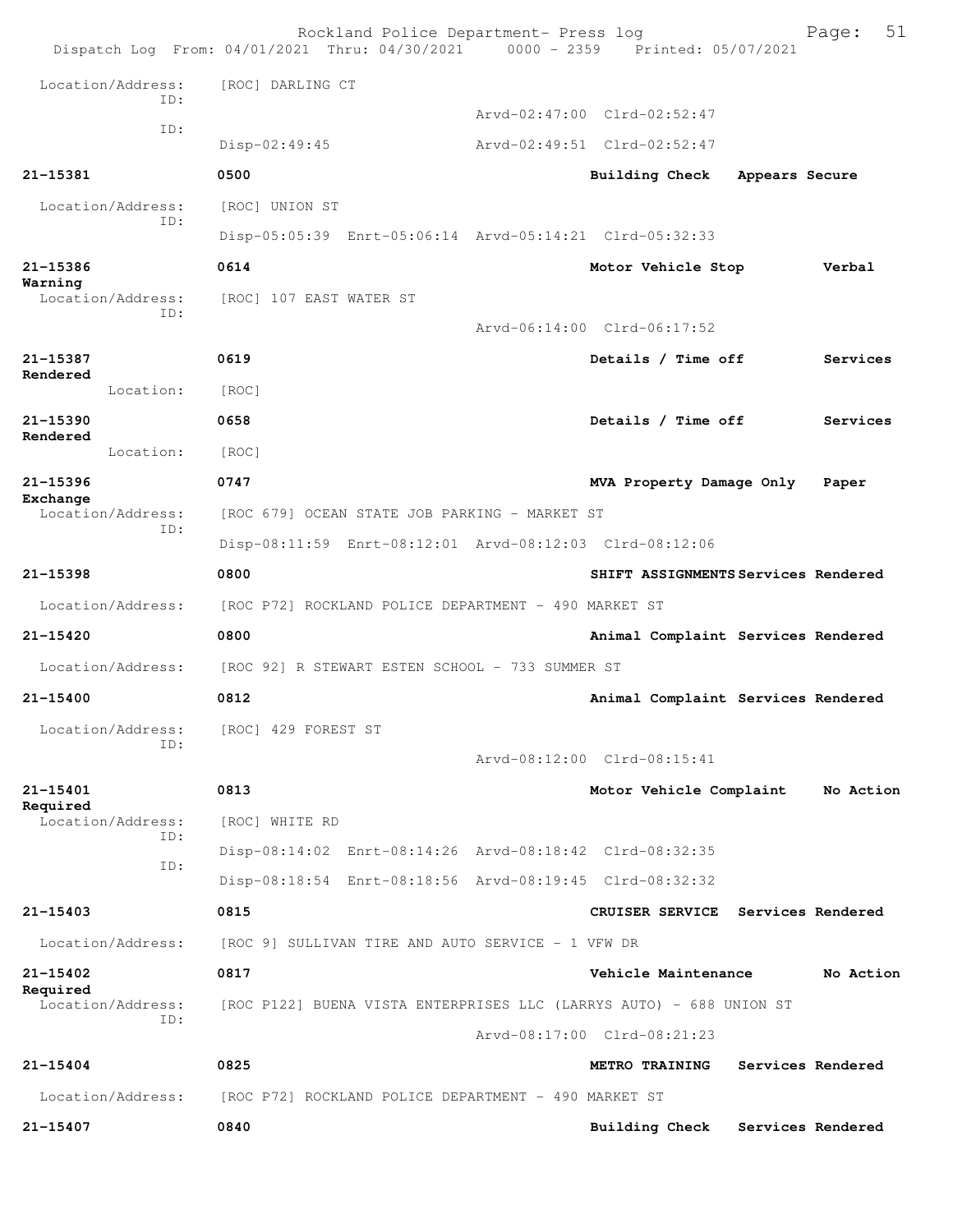|                                     | Rockland Police Department- Press log<br>Dispatch Log From: 04/01/2021 Thru: 04/30/2021 0000 - 2359 Printed: 05/07/2021 |                                     | 51<br>Page:       |
|-------------------------------------|-------------------------------------------------------------------------------------------------------------------------|-------------------------------------|-------------------|
| Location/Address:                   | [ROC] DARLING CT                                                                                                        |                                     |                   |
| TD:                                 |                                                                                                                         | Arvd-02:47:00 Clrd-02:52:47         |                   |
| ID:                                 | Disp-02:49:45                                                                                                           | Arvd-02:49:51 Clrd-02:52:47         |                   |
| $21 - 15381$                        | 0500                                                                                                                    | Building Check                      | Appears Secure    |
| Location/Address:                   | [ROC] UNION ST                                                                                                          |                                     |                   |
| ID:                                 | Disp-05:05:39 Enrt-05:06:14 Arvd-05:14:21 Clrd-05:32:33                                                                 |                                     |                   |
| 21-15386                            | 0614                                                                                                                    | Motor Vehicle Stop                  | Verbal            |
| Warning<br>Location/Address:<br>ID: | [ROC] 107 EAST WATER ST                                                                                                 | Arvd-06:14:00 Clrd-06:17:52         |                   |
| 21-15387                            | 0619                                                                                                                    | Details / Time off                  | Services          |
| Rendered<br>Location:               |                                                                                                                         |                                     |                   |
| 21-15390                            | [ROC]<br>0658                                                                                                           | Details / Time off                  | Services          |
| Rendered<br>Location:               |                                                                                                                         |                                     |                   |
| 21-15396                            | [ROC]<br>0747                                                                                                           |                                     |                   |
| Exchange<br>Location/Address:       |                                                                                                                         | MVA Property Damage Only            | Paper             |
| TD:                                 | [ROC 679] OCEAN STATE JOB PARKING - MARKET ST<br>Disp-08:11:59 Enrt-08:12:01 Arvd-08:12:03 Clrd-08:12:06                |                                     |                   |
| 21-15398                            | 0800                                                                                                                    | SHIFT ASSIGNMENTS Services Rendered |                   |
| Location/Address:                   | [ROC P72] ROCKLAND POLICE DEPARTMENT - 490 MARKET ST                                                                    |                                     |                   |
| $21 - 15420$                        | 0800                                                                                                                    | Animal Complaint Services Rendered  |                   |
| Location/Address:                   | [ROC 92] R STEWART ESTEN SCHOOL - 733 SUMMER ST                                                                         |                                     |                   |
| 21-15400                            | 0812                                                                                                                    | Animal Complaint Services Rendered  |                   |
| Location/Address:                   | [ROC] 429 FOREST ST                                                                                                     |                                     |                   |
| ID:                                 |                                                                                                                         | Arvd-08:12:00 Clrd-08:15:41         |                   |
| 21-15401                            | 0813                                                                                                                    | Motor Vehicle Complaint             | No Action         |
| Required<br>Location/Address:       | [ROC] WHITE RD                                                                                                          |                                     |                   |
| ID:                                 | Disp-08:14:02 Enrt-08:14:26 Arvd-08:18:42 Clrd-08:32:35                                                                 |                                     |                   |
| ID:                                 | Disp-08:18:54 Enrt-08:18:56 Arvd-08:19:45 Clrd-08:32:32                                                                 |                                     |                   |
| $21 - 15403$                        | 0815                                                                                                                    | CRUISER SERVICE Services Rendered   |                   |
| Location/Address:                   | $[ROC 9]$ SULLIVAN TIRE AND AUTO SERVICE - 1 VFW DR                                                                     |                                     |                   |
| 21-15402                            | 0817                                                                                                                    | Vehicle Maintenance                 | No Action         |
| Required<br>Location/Address:       | [ROC P122] BUENA VISTA ENTERPRISES LLC (LARRYS AUTO) - 688 UNION ST                                                     |                                     |                   |
| ID:                                 |                                                                                                                         | Arvd-08:17:00 Clrd-08:21:23         |                   |
| $21 - 15404$                        | 0825                                                                                                                    | <b>METRO TRAINING</b>               | Services Rendered |
| Location/Address:                   | [ROC P72] ROCKLAND POLICE DEPARTMENT - 490 MARKET ST                                                                    |                                     |                   |
| 21-15407                            | 0840                                                                                                                    | <b>Building Check</b>               | Services Rendered |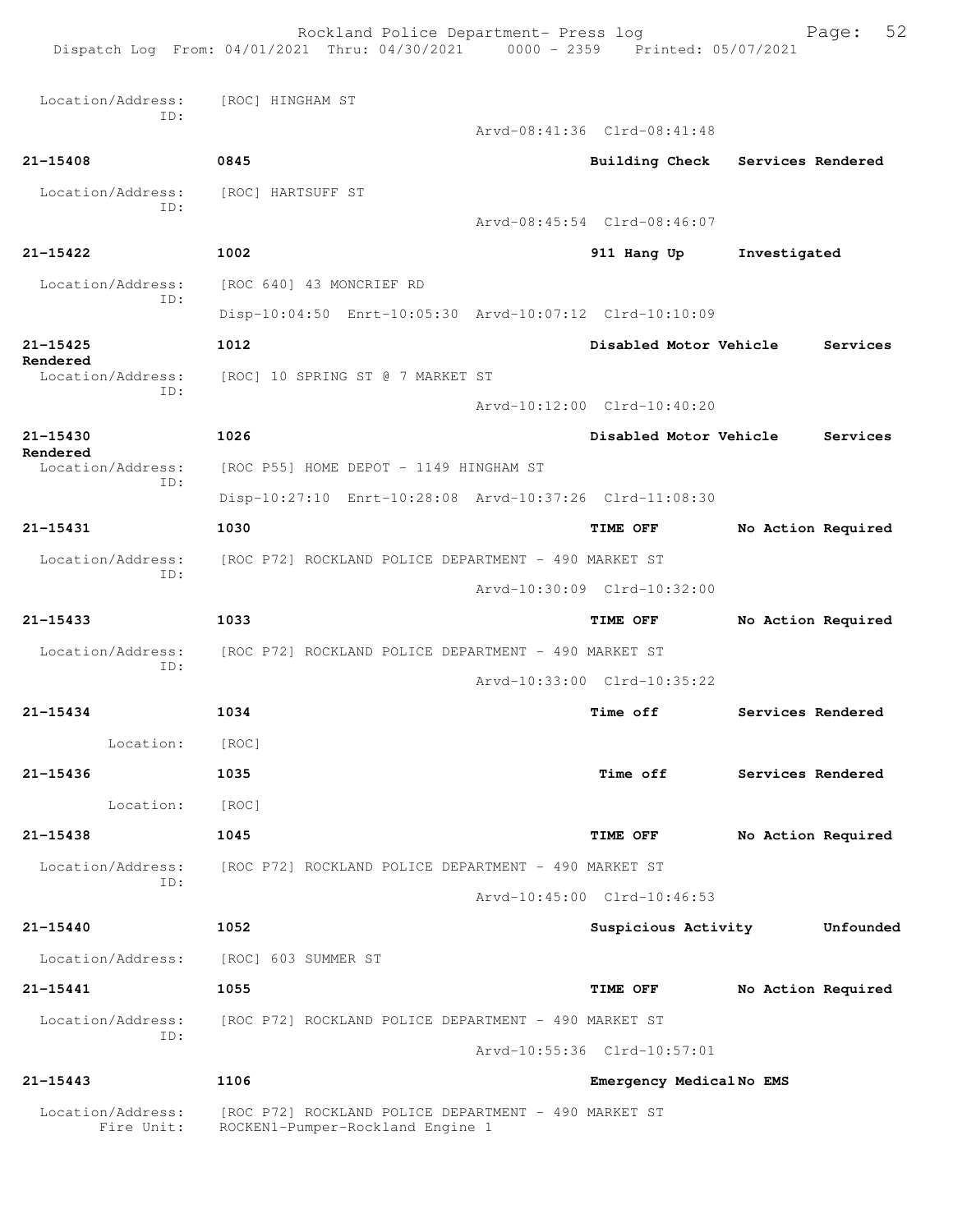|                                           | Rockland Police Department- Press log<br>Dispatch Log From: 04/01/2021 Thru: 04/30/2021 0000 - 2359 Printed: 05/07/2021 |                             | 52<br>Page:                      |
|-------------------------------------------|-------------------------------------------------------------------------------------------------------------------------|-----------------------------|----------------------------------|
| Location/Address: [ROC] HINGHAM ST<br>ID: |                                                                                                                         |                             |                                  |
|                                           |                                                                                                                         | Arvd-08:41:36 Clrd-08:41:48 |                                  |
| $21 - 15408$                              | 0845                                                                                                                    |                             | Building Check Services Rendered |
| Location/Address:<br>ID:                  | [ROC] HARTSUFF ST                                                                                                       |                             |                                  |
|                                           |                                                                                                                         | Arvd-08:45:54 Clrd-08:46:07 |                                  |
| 21-15422                                  | 1002                                                                                                                    | 911 Hang Up                 | Investigated                     |
| Location/Address:<br>ID:                  | [ROC 640] 43 MONCRIEF RD                                                                                                |                             |                                  |
|                                           | Disp-10:04:50 Enrt-10:05:30 Arvd-10:07:12 Clrd-10:10:09                                                                 |                             |                                  |
| $21 - 15425$                              | 1012                                                                                                                    | Disabled Motor Vehicle      | Services                         |
| Rendered<br>Location/Address:             | [ROC] 10 SPRING ST @ 7 MARKET ST                                                                                        |                             |                                  |
| ID:                                       |                                                                                                                         | Arvd-10:12:00 Clrd-10:40:20 |                                  |
| 21-15430                                  | 1026                                                                                                                    | Disabled Motor Vehicle      | Services                         |
| Rendered<br>Location/Address:             | [ROC P55] HOME DEPOT - 1149 HINGHAM ST                                                                                  |                             |                                  |
| ID:                                       | Disp-10:27:10 Enrt-10:28:08 Arvd-10:37:26 Clrd-11:08:30                                                                 |                             |                                  |
| 21-15431                                  | 1030                                                                                                                    | <b>TIME OFF</b>             | No Action Required               |
|                                           | Location/Address: [ROC P72] ROCKLAND POLICE DEPARTMENT - 490 MARKET ST                                                  |                             |                                  |
| ID:                                       |                                                                                                                         | Arvd-10:30:09 Clrd-10:32:00 |                                  |
| $21 - 15433$                              | 1033                                                                                                                    | <b>TIME OFF</b>             | No Action Required               |
|                                           | Location/Address: [ROC P72] ROCKLAND POLICE DEPARTMENT - 490 MARKET ST                                                  |                             |                                  |
| ID:                                       |                                                                                                                         | Arvd-10:33:00 Clrd-10:35:22 |                                  |
| 21-15434                                  | 1034                                                                                                                    | Time off                    | Services Rendered                |
| Location:                                 | [ROC]                                                                                                                   |                             |                                  |
| 21-15436                                  | 1035                                                                                                                    | <b>Time off</b>             | Services Rendered                |
| Location:                                 | [ROC]                                                                                                                   |                             |                                  |
| $21 - 15438$                              | 1045                                                                                                                    | <b>TIME OFF</b>             | No Action Required               |
|                                           | Location/Address: [ROC P72] ROCKLAND POLICE DEPARTMENT - 490 MARKET ST                                                  |                             |                                  |
| ID:                                       |                                                                                                                         | Arvd-10:45:00 Clrd-10:46:53 |                                  |
| 21-15440                                  | 1052                                                                                                                    | Suspicious Activity         | Unfounded                        |
|                                           | Location/Address: [ROC] 603 SUMMER ST                                                                                   |                             |                                  |
| $21 - 15441$                              | 1055                                                                                                                    | <b>TIME OFF</b>             | No Action Required               |
| Location/Address:                         | [ROC P72] ROCKLAND POLICE DEPARTMENT - 490 MARKET ST                                                                    |                             |                                  |
| ID:                                       |                                                                                                                         | Arvd-10:55:36 Clrd-10:57:01 |                                  |
| $21 - 15443$                              | 1106                                                                                                                    | Emergency MedicalNo EMS     |                                  |
| Location/Address:<br>Fire Unit:           | [ROC P72] ROCKLAND POLICE DEPARTMENT - 490 MARKET ST<br>ROCKEN1-Pumper-Rockland Engine 1                                |                             |                                  |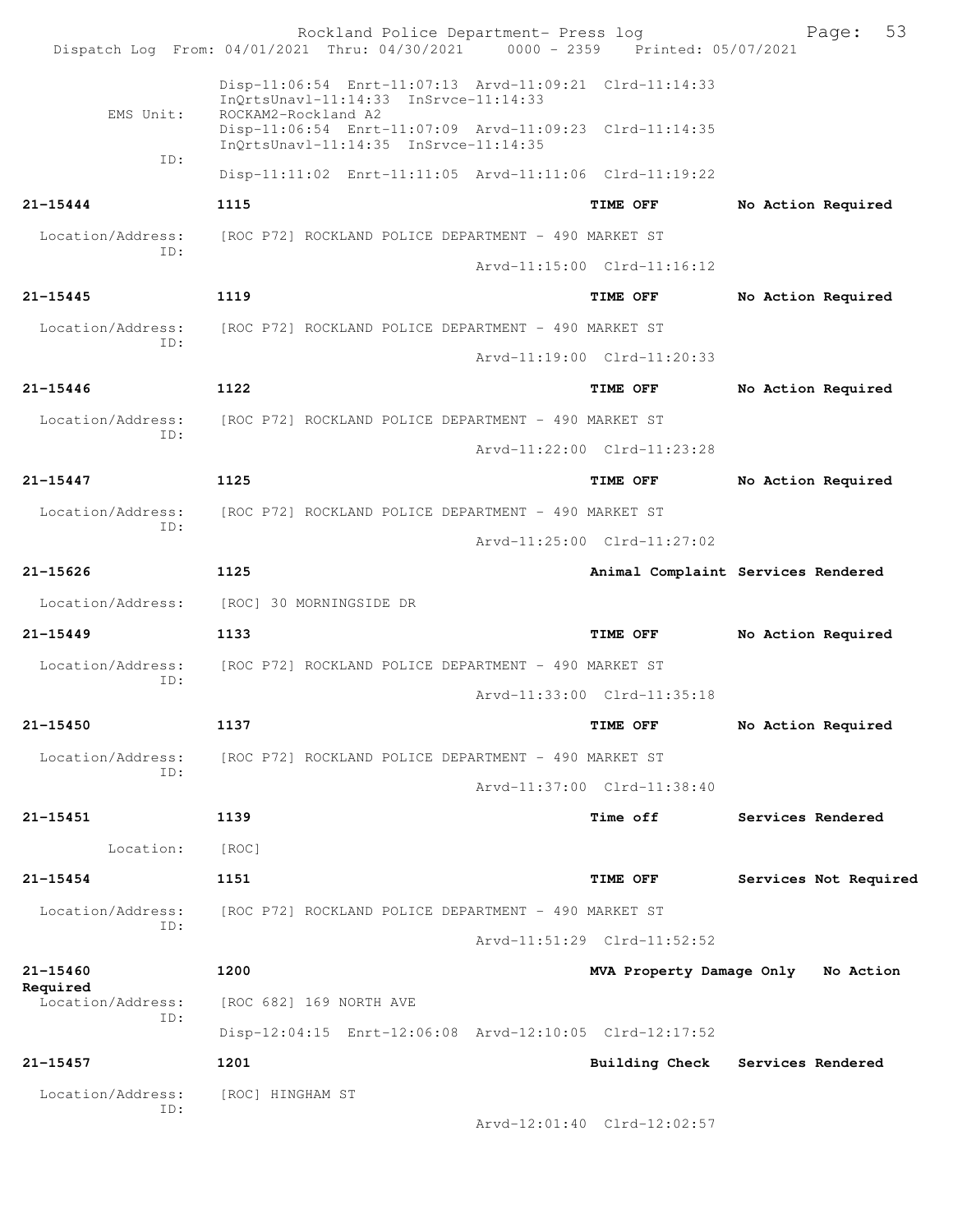|                          | Rockland Police Department- Press log<br>Dispatch Log From: 04/01/2021 Thru: 04/30/2021 0000 - 2359 Printed: 05/07/2021 |                             | 53<br>Page:                        |
|--------------------------|-------------------------------------------------------------------------------------------------------------------------|-----------------------------|------------------------------------|
|                          |                                                                                                                         |                             |                                    |
| EMS Unit:                | Disp-11:06:54 Enrt-11:07:13 Arvd-11:09:21 Clrd-11:14:33<br>InQrtsUnavl-11:14:33 InSrvce-11:14:33<br>ROCKAM2-Rockland A2 |                             |                                    |
|                          | Disp-11:06:54 Enrt-11:07:09 Arvd-11:09:23 Clrd-11:14:35<br>InQrtsUnavl-11:14:35 InSrvce-11:14:35                        |                             |                                    |
| ID:                      | Disp-11:11:02 Enrt-11:11:05 Arvd-11:11:06 Clrd-11:19:22                                                                 |                             |                                    |
| 21-15444                 | 1115                                                                                                                    | TIME OFF                    | No Action Required                 |
| Location/Address:        | [ROC P72] ROCKLAND POLICE DEPARTMENT - 490 MARKET ST                                                                    |                             |                                    |
| TD:                      |                                                                                                                         | Arvd-11:15:00 Clrd-11:16:12 |                                    |
| 21-15445                 | 1119                                                                                                                    | TIME OFF                    | No Action Required                 |
| Location/Address:<br>ID: | [ROC P72] ROCKLAND POLICE DEPARTMENT - 490 MARKET ST                                                                    |                             |                                    |
|                          |                                                                                                                         | Arvd-11:19:00 Clrd-11:20:33 |                                    |
| 21-15446                 | 1122                                                                                                                    | TIME OFF                    | No Action Required                 |
| Location/Address:<br>ID: | [ROC P72] ROCKLAND POLICE DEPARTMENT - 490 MARKET ST                                                                    |                             |                                    |
|                          |                                                                                                                         | Arvd-11:22:00 Clrd-11:23:28 |                                    |
| 21-15447                 | 1125                                                                                                                    | TIME OFF                    | No Action Required                 |
| Location/Address:<br>ID: | [ROC P72] ROCKLAND POLICE DEPARTMENT - 490 MARKET ST                                                                    |                             |                                    |
|                          |                                                                                                                         | Arvd-11:25:00 Clrd-11:27:02 |                                    |
| 21-15626                 | 1125                                                                                                                    |                             | Animal Complaint Services Rendered |
| Location/Address:        | [ROC] 30 MORNINGSIDE DR                                                                                                 |                             |                                    |
| 21-15449                 | 1133                                                                                                                    | TIME OFF                    | No Action Required                 |
| Location/Address:<br>ID: | [ROC P72] ROCKLAND POLICE DEPARTMENT - 490 MARKET ST                                                                    |                             |                                    |
|                          |                                                                                                                         | Arvd-11:33:00 Clrd-11:35:18 |                                    |
| 21-15450                 | 1137                                                                                                                    | TIME OFF                    | No Action Required                 |
| Location/Address:<br>ID: | [ROC P72] ROCKLAND POLICE DEPARTMENT - 490 MARKET ST                                                                    |                             |                                    |
|                          |                                                                                                                         | Arvd-11:37:00 Clrd-11:38:40 |                                    |
| 21-15451                 | 1139                                                                                                                    | Time off                    | Services Rendered                  |
| Location:                | [ROC]                                                                                                                   |                             |                                    |
| 21-15454                 | 1151                                                                                                                    | TIME OFF                    | Services Not Required              |
| Location/Address:<br>ID: | [ROC P72] ROCKLAND POLICE DEPARTMENT - 490 MARKET ST                                                                    |                             |                                    |
|                          |                                                                                                                         | Arvd-11:51:29 Clrd-11:52:52 |                                    |
| 21-15460<br>Required     | 1200                                                                                                                    |                             | MVA Property Damage Only No Action |
| Location/Address:<br>ID: | [ROC 682] 169 NORTH AVE                                                                                                 |                             |                                    |
|                          | Disp-12:04:15 Enrt-12:06:08 Arvd-12:10:05 Clrd-12:17:52                                                                 |                             |                                    |
| 21-15457                 | 1201                                                                                                                    | <b>Building Check</b>       | Services Rendered                  |
| Location/Address:<br>ID: | [ROC] HINGHAM ST                                                                                                        |                             |                                    |
|                          |                                                                                                                         | Arvd-12:01:40 Clrd-12:02:57 |                                    |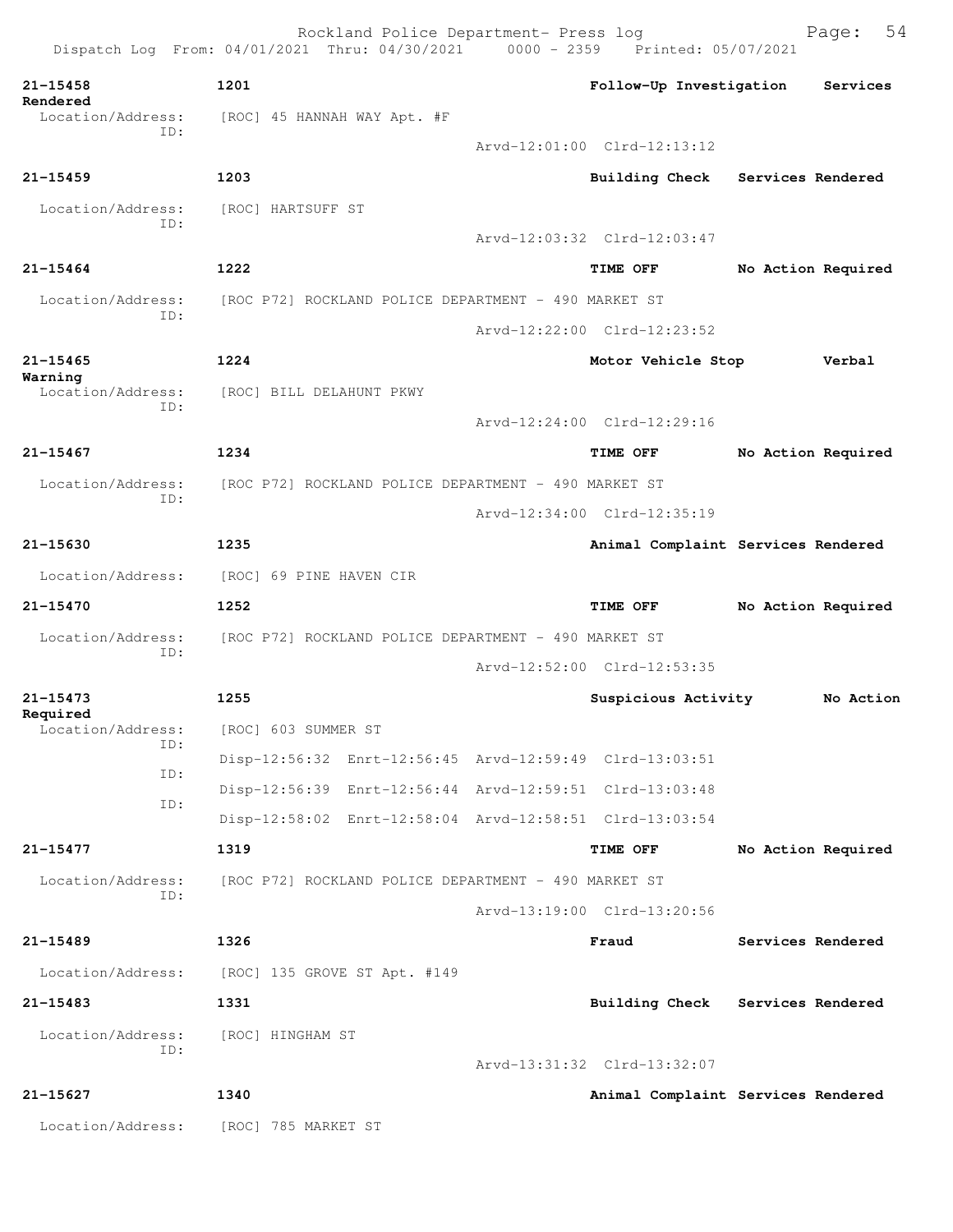|                               | Rockland Police Department- Press log<br>Dispatch Log From: 04/01/2021 Thru: 04/30/2021 0000 - 2359 Printed: 05/07/2021 |                             | 54<br>Page:                        |
|-------------------------------|-------------------------------------------------------------------------------------------------------------------------|-----------------------------|------------------------------------|
| $21 - 15458$                  | 1201                                                                                                                    | Follow-Up Investigation     | Services                           |
| Rendered<br>Location/Address: | [ROC] 45 HANNAH WAY Apt. #F                                                                                             |                             |                                    |
| TD:                           |                                                                                                                         | Arvd-12:01:00 Clrd-12:13:12 |                                    |
| $21 - 15459$                  | 1203                                                                                                                    | Building Check              | <b>Services Rendered</b>           |
| Location/Address:             | [ROC] HARTSUFF ST                                                                                                       |                             |                                    |
| ID:                           |                                                                                                                         | Arvd-12:03:32 Clrd-12:03:47 |                                    |
| $21 - 15464$                  | 1222                                                                                                                    | TIME OFF                    | No Action Required                 |
| Location/Address:             | [ROC P72] ROCKLAND POLICE DEPARTMENT - 490 MARKET ST                                                                    |                             |                                    |
| ID:                           |                                                                                                                         | Arvd-12:22:00 Clrd-12:23:52 |                                    |
| $21 - 15465$                  | 1224                                                                                                                    | Motor Vehicle Stop          | Verbal                             |
| Warning<br>Location/Address:  | [ROC] BILL DELAHUNT PKWY                                                                                                |                             |                                    |
| TD:                           |                                                                                                                         | Arvd-12:24:00 Clrd-12:29:16 |                                    |
| $21 - 15467$                  | 1234                                                                                                                    | TIME OFF                    | No Action Required                 |
| Location/Address:             | [ROC P72] ROCKLAND POLICE DEPARTMENT - 490 MARKET ST                                                                    |                             |                                    |
| ID:                           |                                                                                                                         | Arvd-12:34:00 Clrd-12:35:19 |                                    |
| $21 - 15630$                  | 1235                                                                                                                    |                             | Animal Complaint Services Rendered |
| Location/Address:             | [ROC] 69 PINE HAVEN CIR                                                                                                 |                             |                                    |
| 21-15470                      | 1252                                                                                                                    | TIME OFF                    | No Action Required                 |
| Location/Address:             | [ROC P72] ROCKLAND POLICE DEPARTMENT - 490 MARKET ST                                                                    |                             |                                    |
| TD:                           |                                                                                                                         | Arvd-12:52:00 Clrd-12:53:35 |                                    |
| $21 - 15473$                  | 1255                                                                                                                    | Suspicious Activity         | No Action                          |
| Required<br>Location/Address: | [ROC] 603 SUMMER ST                                                                                                     |                             |                                    |
| ID:                           | Disp-12:56:32 Enrt-12:56:45 Arvd-12:59:49 Clrd-13:03:51                                                                 |                             |                                    |
| ID:                           | Disp-12:56:39 Enrt-12:56:44 Arvd-12:59:51 Clrd-13:03:48                                                                 |                             |                                    |
| ID:                           | Disp-12:58:02 Enrt-12:58:04 Arvd-12:58:51 Clrd-13:03:54                                                                 |                             |                                    |
| 21-15477                      | 1319                                                                                                                    | TIME OFF                    | No Action Required                 |
| Location/Address:             | [ROC P72] ROCKLAND POLICE DEPARTMENT - 490 MARKET ST                                                                    |                             |                                    |
| ID:                           |                                                                                                                         | Arvd-13:19:00 Clrd-13:20:56 |                                    |
| 21-15489                      | 1326                                                                                                                    |                             | Services Rendered                  |
|                               |                                                                                                                         | Fraud                       |                                    |
| Location/Address:             | [ROC] 135 GROVE ST Apt. #149                                                                                            |                             |                                    |
| 21-15483                      | 1331                                                                                                                    | <b>Building Check</b>       | Services Rendered                  |
| Location/Address:<br>ID:      | [ROC] HINGHAM ST                                                                                                        |                             |                                    |
|                               |                                                                                                                         | Arvd-13:31:32 Clrd-13:32:07 |                                    |
| $21 - 15627$                  | 1340                                                                                                                    |                             | Animal Complaint Services Rendered |
| Location/Address:             | [ROC] 785 MARKET ST                                                                                                     |                             |                                    |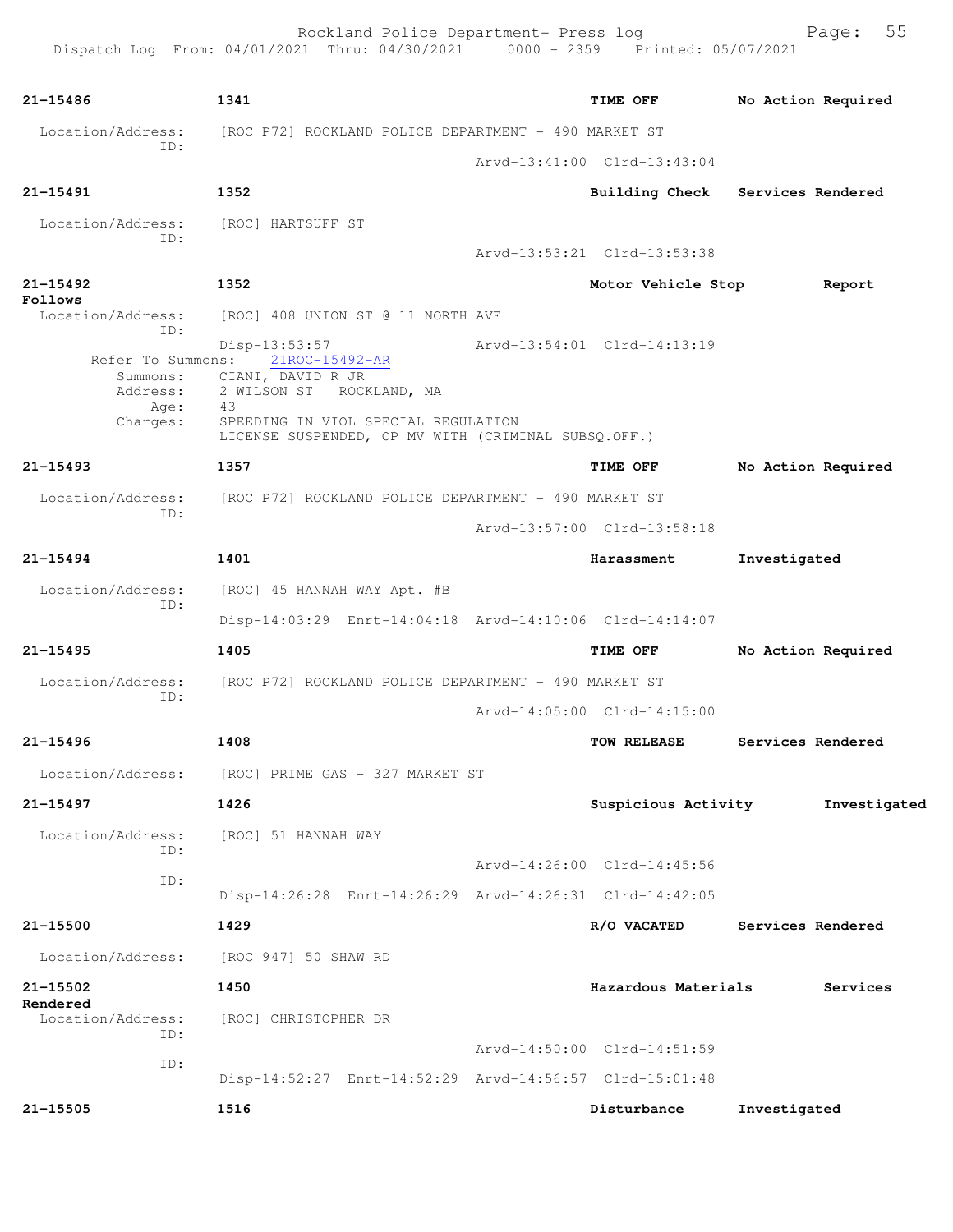Rockland Police Department- Press log Freed Page: 55 Dispatch Log From: 04/01/2021 Thru: 04/30/2021 0000 - 2359 Printed: 05/07/2021 **21-15486 1341 TIME OFF No Action Required** Location/Address: [ROC P72] ROCKLAND POLICE DEPARTMENT - 490 MARKET ST ID: Arvd-13:41:00 Clrd-13:43:04 **21-15491 1352 Building Check Services Rendered** Location/Address: [ROC] HARTSUFF ST ID: Arvd-13:53:21 Clrd-13:53:38 **21-15492 1352 Motor Vehicle Stop Report Follows**  Location/Address: [ROC] 408 UNION ST @ 11 NORTH AVE ID: Disp-13:53:57 Arvd-13:54:01 Clrd-14:13:19<br>Refer To Summons: 21ROC-15492-AR Arvd-13:54:01 Clrd-14:13:19 Refer To Summons: 21ROC-15492-AR Summons: CIANI, DAVID R JR Address: 2 WILSON ST ROCKLAND, MA Age: 43 Charges: SPEEDING IN VIOL SPECIAL REGULATION LICENSE SUSPENDED, OP MV WITH (CRIMINAL SUBSQ.OFF.) **21-15493 1357 TIME OFF No Action Required** Location/Address: [ROC P72] ROCKLAND POLICE DEPARTMENT - 490 MARKET ST ID: Arvd-13:57:00 Clrd-13:58:18 **21-15494 1401 Harassment Investigated** Location/Address: [ROC] 45 HANNAH WAY Apt. #B ID: Disp-14:03:29 Enrt-14:04:18 Arvd-14:10:06 Clrd-14:14:07 **21-15495 1405 TIME OFF No Action Required** Location/Address: [ROC P72] ROCKLAND POLICE DEPARTMENT - 490 MARKET ST ID: Arvd-14:05:00 Clrd-14:15:00 **21-15496 1408 TOW RELEASE Services Rendered** Location/Address: [ROC] PRIME GAS - 327 MARKET ST **21-15497 1426 Suspicious Activity Investigated** Location/Address: [ROC] 51 HANNAH WAY ID: Arvd-14:26:00 Clrd-14:45:56 ID: Disp-14:26:28 Enrt-14:26:29 Arvd-14:26:31 Clrd-14:42:05 **21-15500 1429 R/O VACATED Services Rendered** Location/Address: [ROC 947] 50 SHAW RD **21-15502 1450 Hazardous Materials Services Rendered**  Location/Address: [ROC] CHRISTOPHER DR ID: Arvd-14:50:00 Clrd-14:51:59 ID: Disp-14:52:27 Enrt-14:52:29 Arvd-14:56:57 Clrd-15:01:48 **21-15505 1516 Disturbance Investigated**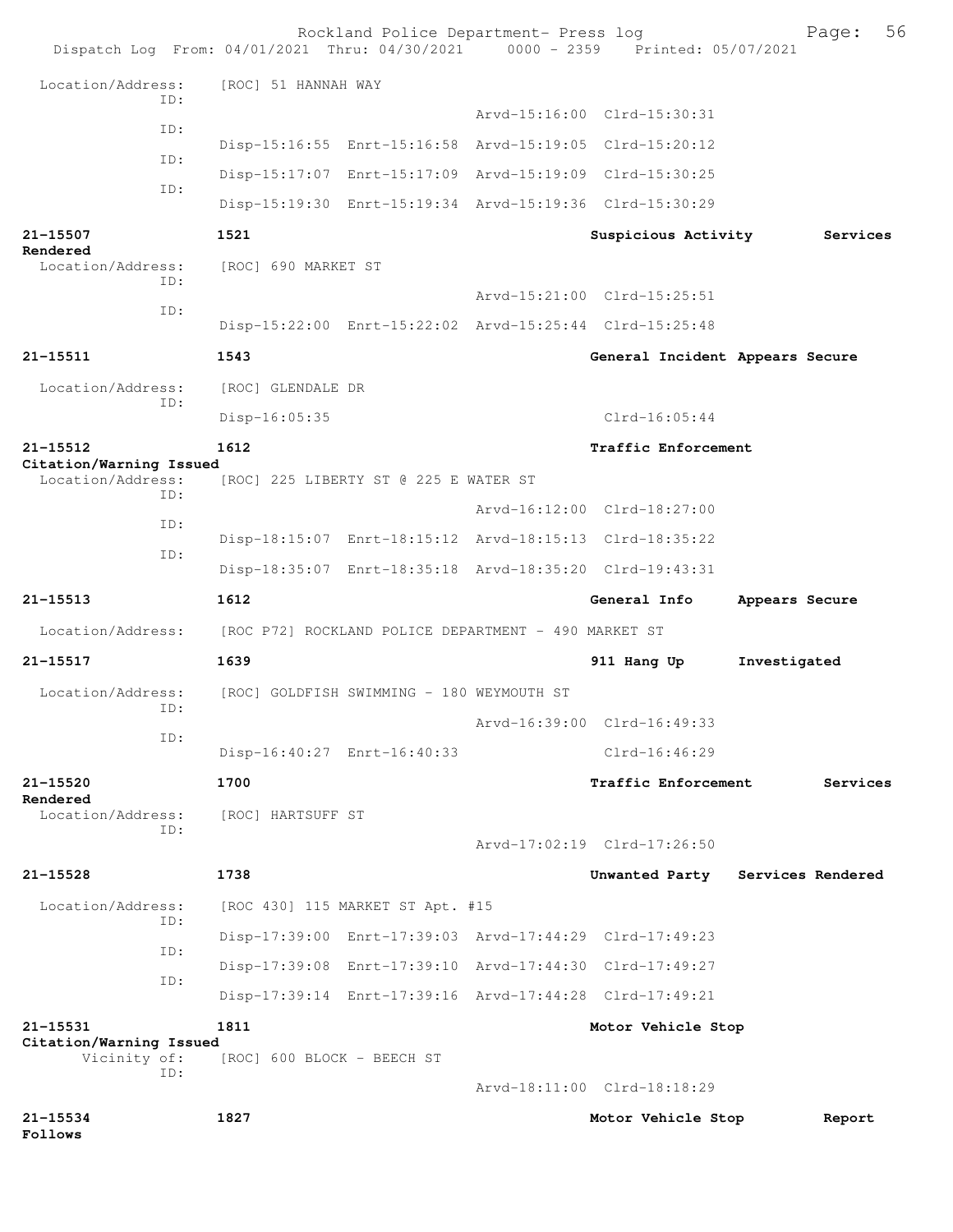| Dispatch Log From: 04/01/2021 Thru: 04/30/2021 0000 - 2359 Printed: 05/07/2021 |                                                      | Rockland Police Department- Press log                   |                                 | 56<br>Page:                      |
|--------------------------------------------------------------------------------|------------------------------------------------------|---------------------------------------------------------|---------------------------------|----------------------------------|
| Location/Address:                                                              | [ROC] 51 HANNAH WAY                                  |                                                         |                                 |                                  |
| ID:                                                                            |                                                      |                                                         | Arvd-15:16:00 Clrd-15:30:31     |                                  |
| ID:                                                                            |                                                      | Disp-15:16:55 Enrt-15:16:58 Arvd-15:19:05 Clrd-15:20:12 |                                 |                                  |
| ID:                                                                            |                                                      | Disp-15:17:07 Enrt-15:17:09 Arvd-15:19:09 Clrd-15:30:25 |                                 |                                  |
| ID:                                                                            |                                                      | Disp-15:19:30 Enrt-15:19:34 Arvd-15:19:36 Clrd-15:30:29 |                                 |                                  |
| 21-15507                                                                       | 1521                                                 |                                                         | Suspicious Activity             | Services                         |
| Rendered<br>Location/Address:                                                  | [ROC] 690 MARKET ST                                  |                                                         |                                 |                                  |
| ID:                                                                            |                                                      |                                                         | Arvd-15:21:00 Clrd-15:25:51     |                                  |
| ID:                                                                            |                                                      | Disp-15:22:00 Enrt-15:22:02 Arvd-15:25:44 Clrd-15:25:48 |                                 |                                  |
| 21-15511                                                                       | 1543                                                 |                                                         | General Incident Appears Secure |                                  |
| Location/Address:                                                              | [ROC] GLENDALE DR                                    |                                                         |                                 |                                  |
| ID:                                                                            | Disp-16:05:35                                        |                                                         | $Clrd-16:05:44$                 |                                  |
| 21-15512                                                                       | 1612                                                 |                                                         | Traffic Enforcement             |                                  |
| Citation/Warning Issued<br>Location/Address:                                   |                                                      | [ROC] 225 LIBERTY ST @ 225 E WATER ST                   |                                 |                                  |
| TD:                                                                            |                                                      |                                                         | Arvd-16:12:00 Clrd-18:27:00     |                                  |
| ID:                                                                            |                                                      | Disp-18:15:07 Enrt-18:15:12 Arvd-18:15:13 Clrd-18:35:22 |                                 |                                  |
| ID:                                                                            |                                                      | Disp-18:35:07 Enrt-18:35:18 Arvd-18:35:20 Clrd-19:43:31 |                                 |                                  |
| 21-15513                                                                       | 1612                                                 |                                                         | General Info                    | Appears Secure                   |
| Location/Address:                                                              | [ROC P72] ROCKLAND POLICE DEPARTMENT - 490 MARKET ST |                                                         |                                 |                                  |
| 21-15517                                                                       | 1639                                                 |                                                         | 911 Hang Up                     | Investigated                     |
| Location/Address:<br>ID:                                                       |                                                      | [ROC] GOLDFISH SWIMMING - 180 WEYMOUTH ST               |                                 |                                  |
|                                                                                |                                                      |                                                         | Arvd-16:39:00 Clrd-16:49:33     |                                  |
| ID:                                                                            |                                                      | Disp-16:40:27 Enrt-16:40:33                             | $Clrd-16:46:29$                 |                                  |
| 21-15520                                                                       | 1700                                                 |                                                         | <b>Traffic Enforcement</b>      | Services                         |
| Rendered<br>Location/Address:                                                  | [ROC] HARTSUFF ST                                    |                                                         |                                 |                                  |
| ID:                                                                            |                                                      |                                                         | Arvd-17:02:19 Clrd-17:26:50     |                                  |
| 21-15528                                                                       | 1738                                                 |                                                         |                                 | Unwanted Party Services Rendered |
| Location/Address:                                                              |                                                      | [ROC 430] 115 MARKET ST Apt. #15                        |                                 |                                  |
| ID:                                                                            |                                                      | Disp-17:39:00 Enrt-17:39:03 Arvd-17:44:29 Clrd-17:49:23 |                                 |                                  |
| ID:                                                                            |                                                      | Disp-17:39:08 Enrt-17:39:10 Arvd-17:44:30 Clrd-17:49:27 |                                 |                                  |
| ID:                                                                            |                                                      | Disp-17:39:14 Enrt-17:39:16 Arvd-17:44:28 Clrd-17:49:21 |                                 |                                  |
| 21-15531                                                                       | 1811                                                 |                                                         | Motor Vehicle Stop              |                                  |
| Citation/Warning Issued<br>Vicinity of:                                        | [ROC] 600 BLOCK - BEECH ST                           |                                                         |                                 |                                  |
| ID:                                                                            |                                                      |                                                         |                                 |                                  |
|                                                                                |                                                      |                                                         | Arvd-18:11:00 Clrd-18:18:29     |                                  |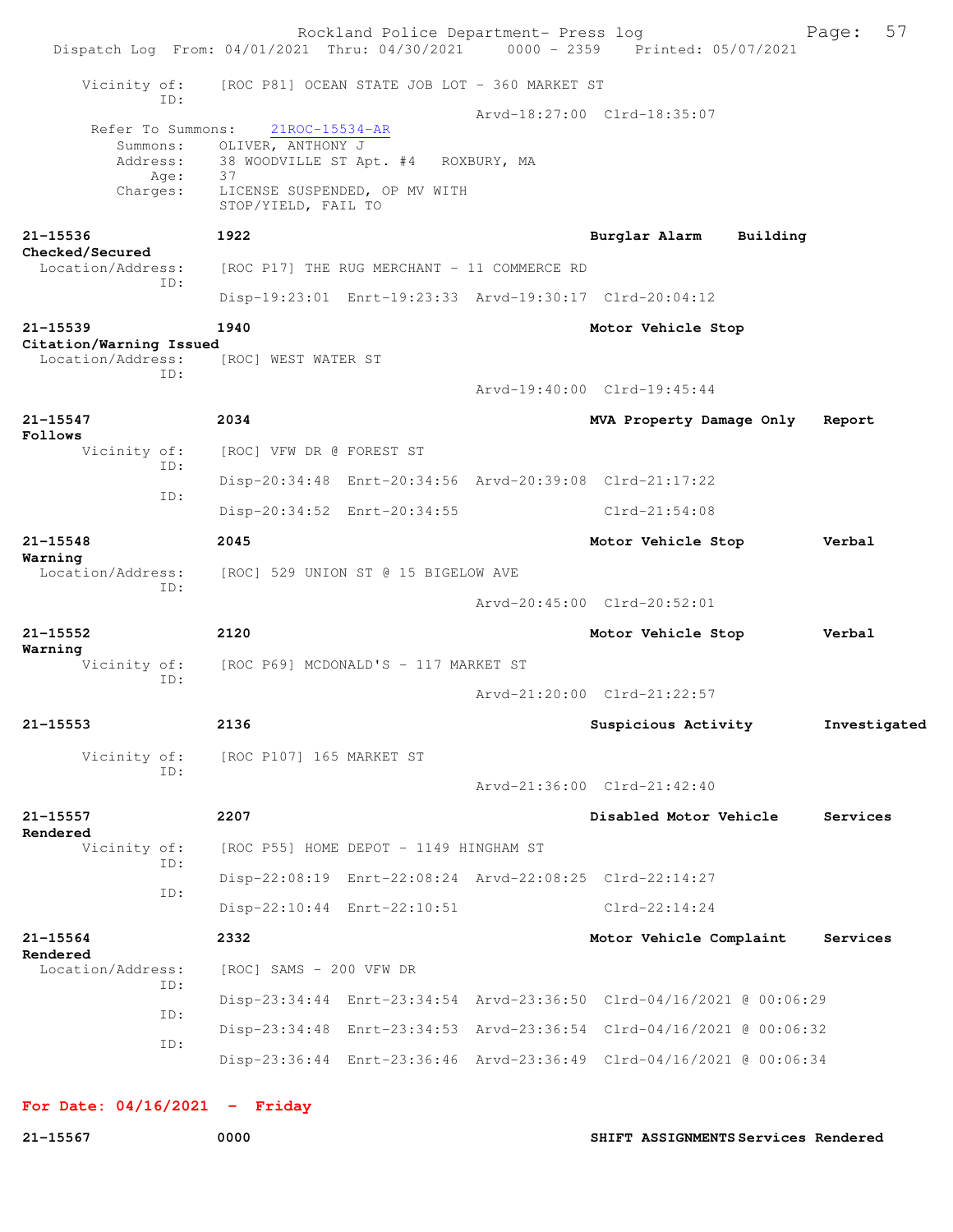|                                              |                             | Dispatch Log From: 04/01/2021 Thru: 04/30/2021 | Rockland Police Department- Press log         | $0000 - 2359$ | Printed: 05/07/2021                                                  |          | Page:        | 57 |
|----------------------------------------------|-----------------------------|------------------------------------------------|-----------------------------------------------|---------------|----------------------------------------------------------------------|----------|--------------|----|
| Vicinity of:                                 |                             |                                                | [ROC P81] OCEAN STATE JOB LOT - 360 MARKET ST |               |                                                                      |          |              |    |
| Refer To Summons:                            | ID:<br>Summons:<br>Address: | 21ROC-15534-AR<br>OLIVER, ANTHONY J            | 38 WOODVILLE ST Apt. #4 ROXBURY, MA           |               | Arvd-18:27:00 Clrd-18:35:07                                          |          |              |    |
| Charges:                                     | Age:                        | 37<br>STOP/YIELD, FAIL TO                      | LICENSE SUSPENDED, OP MV WITH                 |               |                                                                      |          |              |    |
| 21-15536<br>Checked/Secured                  |                             | 1922                                           |                                               |               | Burglar Alarm                                                        | Building |              |    |
| Location/Address:                            | ID:                         |                                                | [ROC P17] THE RUG MERCHANT - 11 COMMERCE RD   |               |                                                                      |          |              |    |
|                                              |                             |                                                |                                               |               | Disp-19:23:01 Enrt-19:23:33 Arvd-19:30:17 Clrd-20:04:12              |          |              |    |
| 21-15539                                     |                             | 1940                                           |                                               |               | Motor Vehicle Stop                                                   |          |              |    |
| Citation/Warning Issued<br>Location/Address: |                             | [ROC] WEST WATER ST                            |                                               |               |                                                                      |          |              |    |
|                                              | ID:                         |                                                |                                               |               | Arvd-19:40:00 Clrd-19:45:44                                          |          |              |    |
| $21 - 15547$                                 |                             | 2034                                           |                                               |               | MVA Property Damage Only                                             |          | Report       |    |
| Follows<br>Vicinity of:                      |                             | [ROC] VFW DR @ FOREST ST                       |                                               |               |                                                                      |          |              |    |
|                                              | ID:                         |                                                |                                               |               | Disp-20:34:48 Enrt-20:34:56 Arvd-20:39:08 Clrd-21:17:22              |          |              |    |
|                                              | ID:                         |                                                | Disp-20:34:52 Enrt-20:34:55                   |               | $Clrd-21:54:08$                                                      |          |              |    |
| 21-15548                                     |                             | 2045                                           |                                               |               | Motor Vehicle Stop                                                   |          | Verbal       |    |
| Warning<br>Location/Address:                 |                             | [ROC] 529 UNION ST @ 15 BIGELOW AVE            |                                               |               |                                                                      |          |              |    |
|                                              | ID:                         |                                                |                                               |               | Arvd-20:45:00 Clrd-20:52:01                                          |          |              |    |
| 21-15552<br>Warning                          |                             | 2120                                           |                                               |               | Motor Vehicle Stop                                                   |          | Verbal       |    |
| Vicinity of:                                 | ID:                         |                                                | [ROC P69] MCDONALD'S - 117 MARKET ST          |               |                                                                      |          |              |    |
|                                              |                             |                                                |                                               |               | Arvd-21:20:00 Clrd-21:22:57                                          |          |              |    |
| $21 - 15553$                                 |                             | 2136                                           |                                               |               | Suspicious Activity                                                  |          | Investigated |    |
| Vicinity of:                                 | ID:                         | [ROC P107] 165 MARKET ST                       |                                               |               |                                                                      |          |              |    |
|                                              |                             |                                                |                                               |               | Arvd-21:36:00 Clrd-21:42:40                                          |          |              |    |
| $21 - 15557$<br>Rendered                     |                             | 2207                                           |                                               |               | Disabled Motor Vehicle                                               |          | Services     |    |
| Vicinity of:                                 | ID:                         |                                                | [ROC P55] HOME DEPOT - 1149 HINGHAM ST        |               |                                                                      |          |              |    |
|                                              | ID:                         |                                                |                                               |               | Disp-22:08:19 Enrt-22:08:24 Arvd-22:08:25 Clrd-22:14:27              |          |              |    |
|                                              |                             |                                                | Disp-22:10:44 Enrt-22:10:51                   |               | $Clrd-22:14:24$                                                      |          |              |    |
| 21-15564                                     |                             | 2332                                           |                                               |               | Motor Vehicle Complaint                                              |          | Services     |    |
| Rendered<br>Location/Address:                |                             | [ROC] SAMS - 200 VFW DR                        |                                               |               |                                                                      |          |              |    |
|                                              | ID:                         |                                                |                                               |               | Disp-23:34:44 Enrt-23:34:54 Arvd-23:36:50 Clrd-04/16/2021 @ 00:06:29 |          |              |    |
|                                              | ID:                         |                                                |                                               |               | Disp-23:34:48 Enrt-23:34:53 Arvd-23:36:54 Clrd-04/16/2021 @ 00:06:32 |          |              |    |
|                                              | ID:                         |                                                |                                               |               | Disp-23:36:44 Enrt-23:36:46 Arvd-23:36:49 Clrd-04/16/2021 @ 00:06:34 |          |              |    |
|                                              |                             |                                                |                                               |               |                                                                      |          |              |    |

**For Date: 04/16/2021 - Friday**

**21-15567 0000 SHIFT ASSIGNMENTS Services Rendered**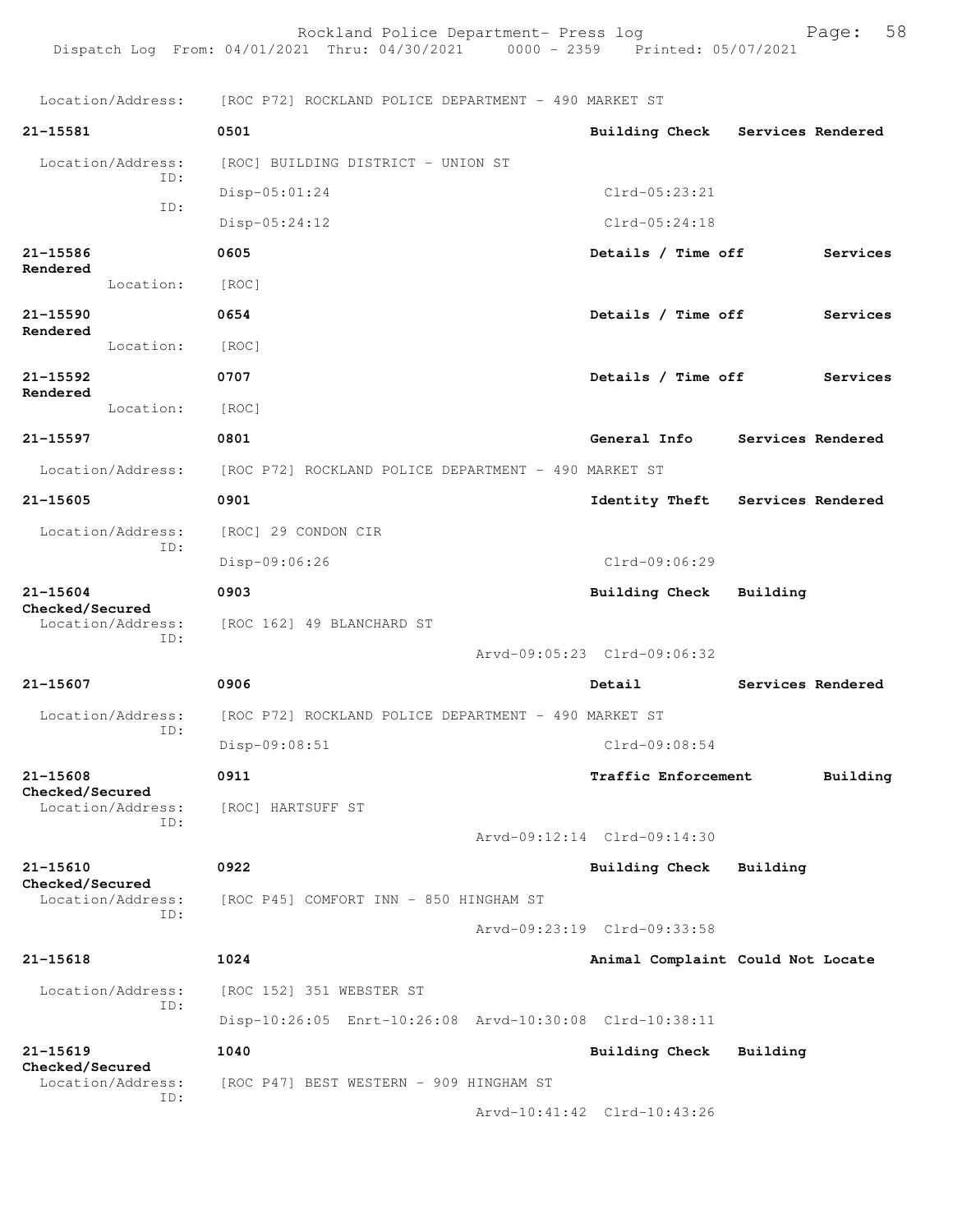Rockland Police Department- Press log entitled and Page: 58 Dispatch Log From: 04/01/2021 Thru: 04/30/2021 0000 - 2359 Printed: 05/07/2021

Location/Address: [ROC P72] ROCKLAND POLICE DEPARTMENT - 490 MARKET ST

| 21-15581                        |                          | 0501                                                    | <b>Building Check</b>             |          | Services Rendered |
|---------------------------------|--------------------------|---------------------------------------------------------|-----------------------------------|----------|-------------------|
|                                 | Location/Address:<br>ID: | [ROC] BUILDING DISTRICT - UNION ST                      |                                   |          |                   |
|                                 | ID:                      | Disp-05:01:24                                           | $Clrd-05:23:21$                   |          |                   |
|                                 |                          | $Disp-05:24:12$                                         | $Clrd-05:24:18$                   |          |                   |
| 21-15586<br>Rendered            |                          | 0605                                                    | Details / Time off                |          | Services          |
|                                 | Location:                | [ROC]                                                   |                                   |          |                   |
| $21 - 15590$<br>Rendered        |                          | 0654                                                    | Details / Time off                |          | Services          |
|                                 | Location:                | [ROC]                                                   |                                   |          |                   |
| 21-15592<br>Rendered            |                          | 0707                                                    | Details / Time off                |          | Services          |
|                                 | Location:                | [ROC]                                                   |                                   |          |                   |
| 21-15597                        |                          | 0801                                                    | General Info                      |          | Services Rendered |
|                                 | Location/Address:        | [ROC P72] ROCKLAND POLICE DEPARTMENT - 490 MARKET ST    |                                   |          |                   |
| 21-15605                        |                          | 0901                                                    | Identity Theft                    |          | Services Rendered |
|                                 | Location/Address:<br>ID: | [ROC] 29 CONDON CIR                                     |                                   |          |                   |
|                                 |                          | Disp-09:06:26                                           | Clrd-09:06:29                     |          |                   |
| 21-15604<br>Checked/Secured     |                          | 0903                                                    | <b>Building Check</b>             | Building |                   |
|                                 | Location/Address:<br>ID: | [ROC 162] 49 BLANCHARD ST                               |                                   |          |                   |
|                                 |                          |                                                         | Arvd-09:05:23 Clrd-09:06:32       |          |                   |
| 21-15607                        |                          | 0906                                                    | Detail                            |          | Services Rendered |
|                                 | Location/Address:<br>ID: | [ROC P72] ROCKLAND POLICE DEPARTMENT - 490 MARKET ST    |                                   |          |                   |
|                                 |                          | Disp-09:08:51                                           | $Clrd-09:08:54$                   |          |                   |
| 21-15608<br>Checked/Secured     |                          | 0911                                                    | Traffic Enforcement               |          | Building          |
|                                 | Location/Address:<br>ID: | [ROC] HARTSUFF ST                                       |                                   |          |                   |
|                                 |                          |                                                         | Arvd-09:12:14 Clrd-09:14:30       |          |                   |
| $21 - 15610$<br>Checked/Secured |                          | 0922                                                    | <b>Building Check</b>             | Building |                   |
|                                 | Location/Address:<br>ID: | [ROC P45] COMFORT INN - 850 HINGHAM ST                  |                                   |          |                   |
|                                 |                          |                                                         | Arvd-09:23:19 Clrd-09:33:58       |          |                   |
| 21-15618                        |                          | 1024                                                    | Animal Complaint Could Not Locate |          |                   |
|                                 | Location/Address:<br>ID: | [ROC 152] 351 WEBSTER ST                                |                                   |          |                   |
|                                 |                          | Disp-10:26:05 Enrt-10:26:08 Arvd-10:30:08 Clrd-10:38:11 |                                   |          |                   |
| 21-15619<br>Checked/Secured     |                          | 1040                                                    | Building Check                    | Building |                   |
|                                 | Location/Address:<br>ID: | [ROC P47] BEST WESTERN - 909 HINGHAM ST                 |                                   |          |                   |
|                                 |                          |                                                         | Arvd-10:41:42 Clrd-10:43:26       |          |                   |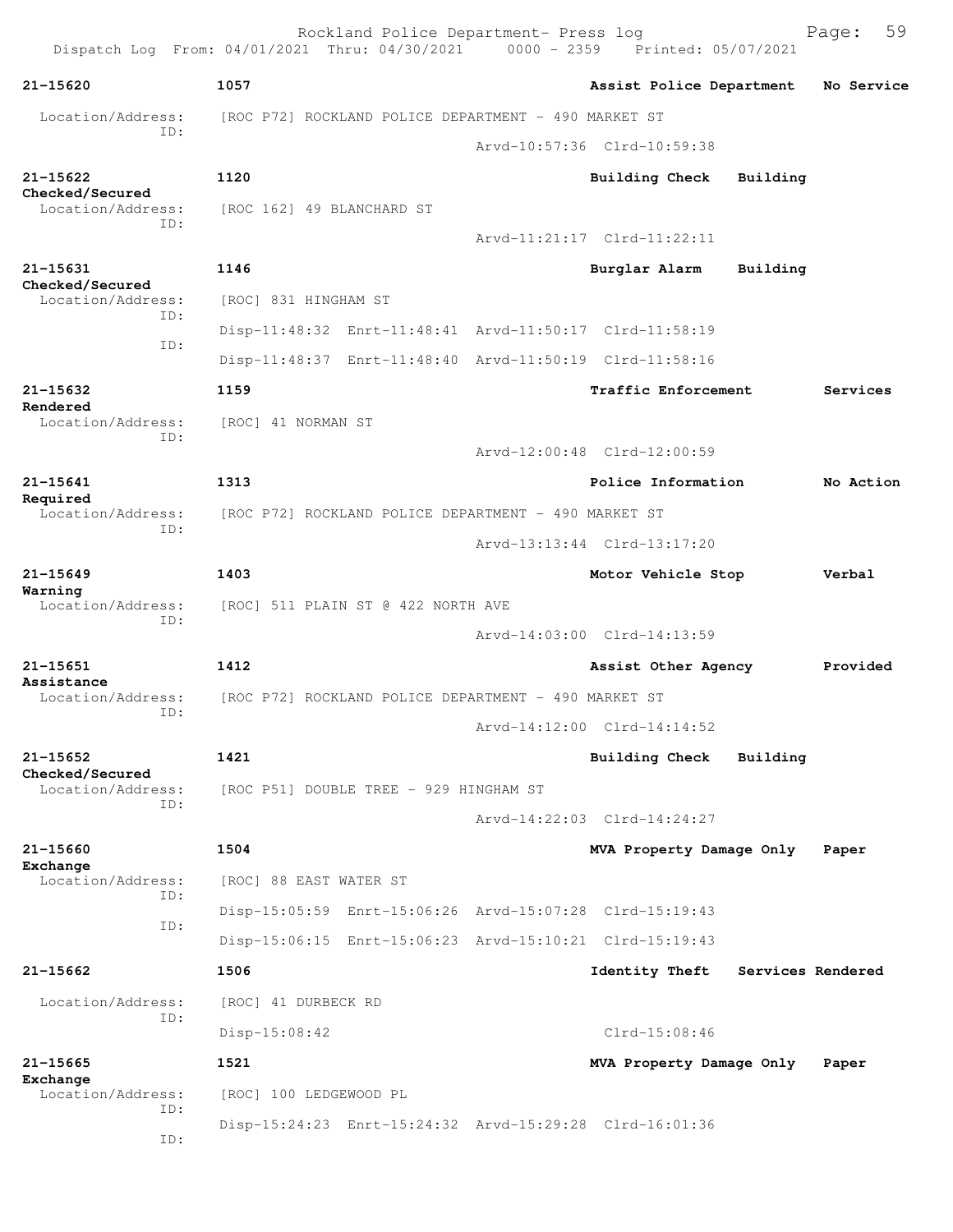Rockland Police Department- Press log Freed Page: 59 Dispatch Log From: 04/01/2021 Thru: 04/30/2021 0000 - 2359 Printed: 05/07/2021 **21-15620 1057 Assist Police Department No Service** Location/Address: [ROC P72] ROCKLAND POLICE DEPARTMENT - 490 MARKET ST ID: Arvd-10:57:36 Clrd-10:59:38 **21-15622 1120 Building Check Building Checked/Secured**  [ROC 162] 49 BLANCHARD ST ID: Arvd-11:21:17 Clrd-11:22:11 **21-15631 1146 Burglar Alarm Building Checked/Secured**  Location/Address: [ROC] 831 HINGHAM ST ID: Disp-11:48:32 Enrt-11:48:41 Arvd-11:50:17 Clrd-11:58:19 ID: Disp-11:48:37 Enrt-11:48:40 Arvd-11:50:19 Clrd-11:58:16 **21-15632 1159 Traffic Enforcement Services Rendered**  Location/Address: [ROC] 41 NORMAN ST ID: Arvd-12:00:48 Clrd-12:00:59 **21-15641 1313 Police Information No Action Required**  Location/Address: [ROC P72] ROCKLAND POLICE DEPARTMENT - 490 MARKET ST ID: Arvd-13:13:44 Clrd-13:17:20 **21-15649 1403 Motor Vehicle Stop Verbal Warning**  Location/Address: [ROC] 511 PLAIN ST @ 422 NORTH AVE ID: Arvd-14:03:00 Clrd-14:13:59 **21-15651 1412 Assist Other Agency Provided Assistance**  Location/Address: [ROC P72] ROCKLAND POLICE DEPARTMENT - 490 MARKET ST ID: Arvd-14:12:00 Clrd-14:14:52 **21-15652 1421 Building Check Building Checked/Secured**  Location/Address: [ROC P51] DOUBLE TREE - 929 HINGHAM ST ID: Arvd-14:22:03 Clrd-14:24:27 **21-15660 1504 MVA Property Damage Only Paper Exchange**  Location/Address: [ROC] 88 EAST WATER ST ID: Disp-15:05:59 Enrt-15:06:26 Arvd-15:07:28 Clrd-15:19:43 ID: Disp-15:06:15 Enrt-15:06:23 Arvd-15:10:21 Clrd-15:19:43 **21-15662 1506 Identity Theft Services Rendered** Location/Address: [ROC] 41 DURBECK RD ID: Disp-15:08:42 Clrd-15:08:46 **21-15665 1521 MVA Property Damage Only Paper Exchange**  Location/Address: [ROC] 100 LEDGEWOOD PL ID: Disp-15:24:23 Enrt-15:24:32 Arvd-15:29:28 Clrd-16:01:36 ID: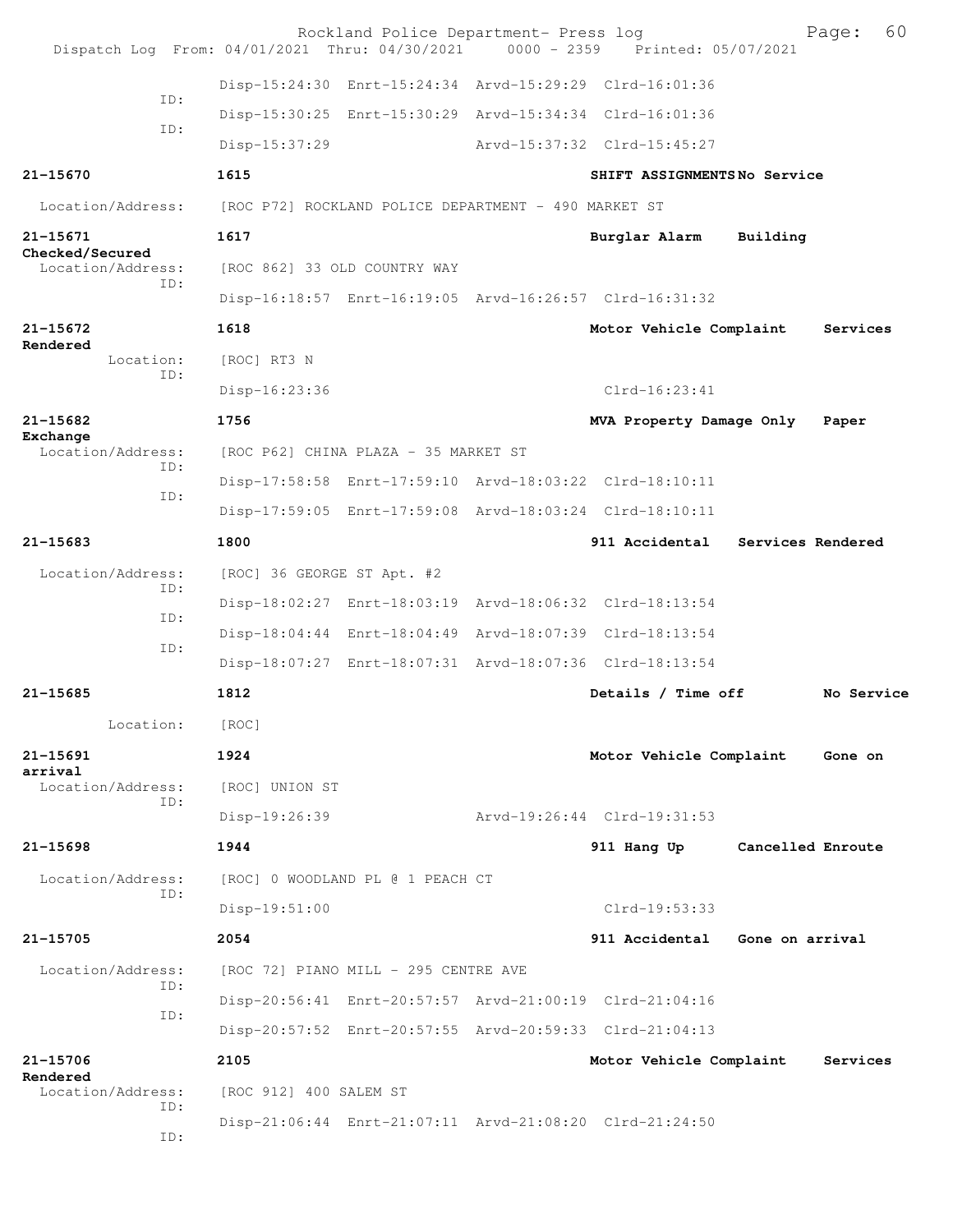| Dispatch Log From: 04/01/2021 Thru: 04/30/2021 0000 - 2359 Printed: 05/07/2021 |                              | Rockland Police Department- Press log                |                                                         |                   | 60<br>Page: |
|--------------------------------------------------------------------------------|------------------------------|------------------------------------------------------|---------------------------------------------------------|-------------------|-------------|
| TD:                                                                            |                              |                                                      | Disp-15:24:30 Enrt-15:24:34 Arvd-15:29:29 Clrd-16:01:36 |                   |             |
| ID:                                                                            |                              |                                                      | Disp-15:30:25 Enrt-15:30:29 Arvd-15:34:34 Clrd-16:01:36 |                   |             |
|                                                                                | $Disp-15:37:29$              |                                                      | Arvd-15:37:32 Clrd-15:45:27                             |                   |             |
| 21-15670                                                                       | 1615                         |                                                      | SHIFT ASSIGNMENTSNo Service                             |                   |             |
| Location/Address:                                                              |                              | [ROC P72] ROCKLAND POLICE DEPARTMENT - 490 MARKET ST |                                                         |                   |             |
| 21-15671                                                                       | 1617                         |                                                      | Burglar Alarm                                           | Building          |             |
| Checked/Secured<br>Location/Address:                                           | [ROC 862] 33 OLD COUNTRY WAY |                                                      |                                                         |                   |             |
| TD:                                                                            |                              |                                                      | Disp-16:18:57 Enrt-16:19:05 Arvd-16:26:57 Clrd-16:31:32 |                   |             |
| 21-15672                                                                       | 1618                         |                                                      | Motor Vehicle Complaint                                 |                   | Services    |
| Rendered<br>Location:                                                          | [ROC] RT3 N                  |                                                      |                                                         |                   |             |
| TD:                                                                            | Disp-16:23:36                |                                                      | $C1rd-16:23:41$                                         |                   |             |
| $21 - 15682$                                                                   | 1756                         |                                                      | MVA Property Damage Only                                |                   | Paper       |
| Exchange<br>Location/Address:<br>ID:                                           |                              | [ROC P62] CHINA PLAZA - 35 MARKET ST                 |                                                         |                   |             |
| ID:                                                                            |                              |                                                      | Disp-17:58:58 Enrt-17:59:10 Arvd-18:03:22 Clrd-18:10:11 |                   |             |
|                                                                                |                              |                                                      | Disp-17:59:05 Enrt-17:59:08 Arvd-18:03:24 Clrd-18:10:11 |                   |             |
| $21 - 15683$                                                                   | 1800                         |                                                      | 911 Accidental                                          | Services Rendered |             |
| Location/Address:<br>ID:                                                       | [ROC] 36 GEORGE ST Apt. #2   |                                                      |                                                         |                   |             |
| ID:                                                                            |                              |                                                      | Disp-18:02:27 Enrt-18:03:19 Arvd-18:06:32 Clrd-18:13:54 |                   |             |
| ID:                                                                            |                              |                                                      | Disp-18:04:44 Enrt-18:04:49 Arvd-18:07:39 Clrd-18:13:54 |                   |             |
|                                                                                |                              |                                                      | Disp-18:07:27 Enrt-18:07:31 Arvd-18:07:36 Clrd-18:13:54 |                   |             |
| 21-15685                                                                       | 1812                         |                                                      | Details / Time off                                      |                   | No Service  |
| Location:                                                                      | [ROC]                        |                                                      |                                                         |                   |             |
| 21-15691<br>arrival                                                            | 1924                         |                                                      | Motor Vehicle Complaint                                 |                   | Gone on     |
| Location/Address:<br>ID:                                                       | [ROC] UNION ST               |                                                      |                                                         |                   |             |
|                                                                                | Disp-19:26:39                |                                                      | Arvd-19:26:44 Clrd-19:31:53                             |                   |             |
| $21 - 15698$                                                                   | 1944                         |                                                      | 911 Hang Up                                             | Cancelled Enroute |             |
| Location/Address:<br>ID:                                                       |                              | [ROC] 0 WOODLAND PL @ 1 PEACH CT                     |                                                         |                   |             |
|                                                                                | Disp-19:51:00                |                                                      | Clrd-19:53:33                                           |                   |             |
| 21-15705                                                                       | 2054                         |                                                      | 911 Accidental Gone on arrival                          |                   |             |
| Location/Address:<br>ID:                                                       |                              | [ROC 72] PIANO MILL - 295 CENTRE AVE                 |                                                         |                   |             |
| ID:                                                                            |                              |                                                      | Disp-20:56:41 Enrt-20:57:57 Arvd-21:00:19 Clrd-21:04:16 |                   |             |
|                                                                                |                              |                                                      | Disp-20:57:52 Enrt-20:57:55 Arvd-20:59:33 Clrd-21:04:13 |                   |             |
| 21-15706<br>Rendered                                                           | 2105                         |                                                      | Motor Vehicle Complaint                                 |                   | Services    |
| Location/Address:<br>ID:                                                       | [ROC 912] 400 SALEM ST       |                                                      |                                                         |                   |             |
| ID:                                                                            |                              |                                                      | Disp-21:06:44 Enrt-21:07:11 Arvd-21:08:20 Clrd-21:24:50 |                   |             |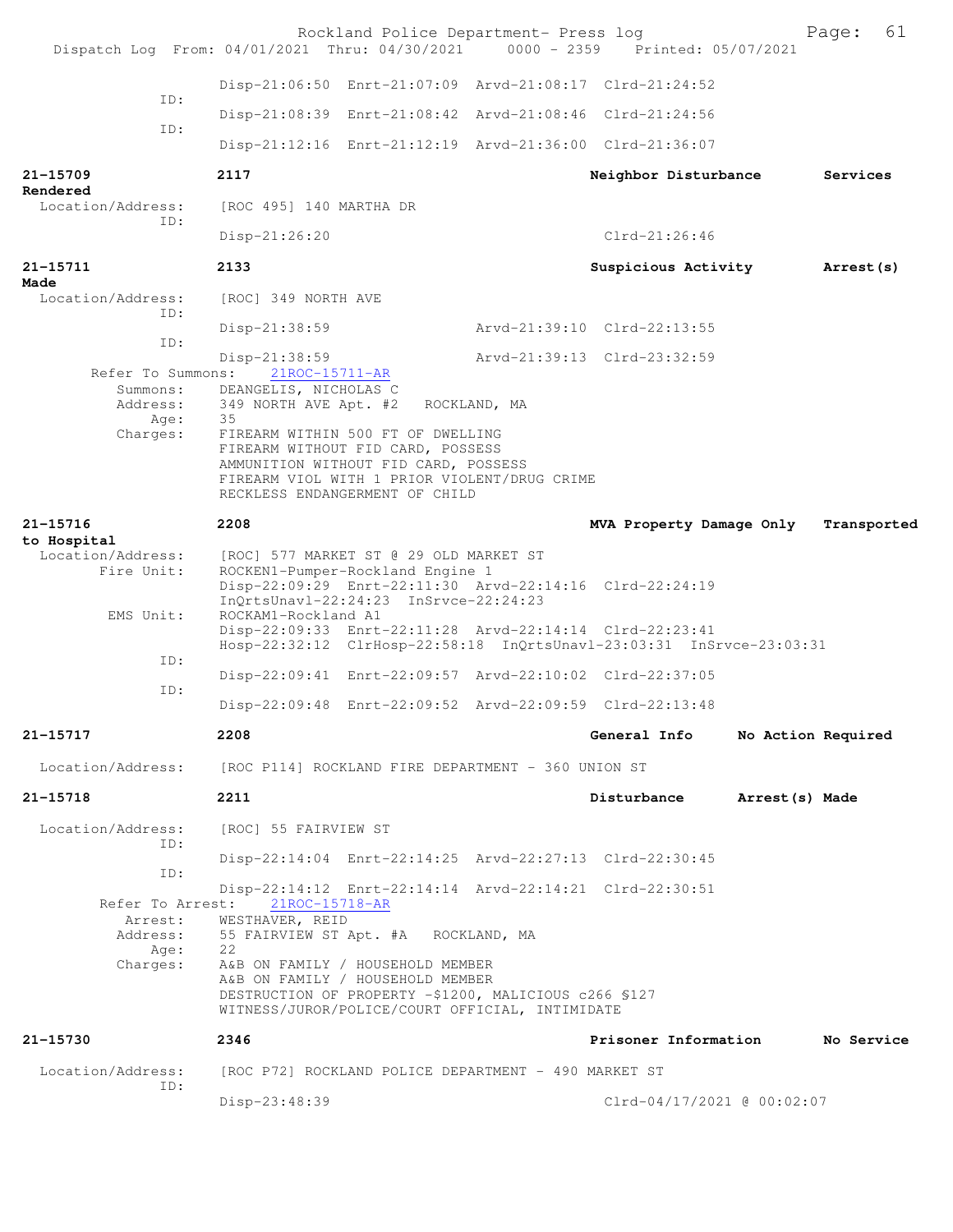| Dispatch Log From: 04/01/2021 Thru: 04/30/2021 0000 - 2359 Printed: 05/07/2021 |                                                      | Rockland Police Department- Press log                                                                                                                                                                                   |              |                                                                                                                                 |                    | Page:       | 61 |
|--------------------------------------------------------------------------------|------------------------------------------------------|-------------------------------------------------------------------------------------------------------------------------------------------------------------------------------------------------------------------------|--------------|---------------------------------------------------------------------------------------------------------------------------------|--------------------|-------------|----|
|                                                                                |                                                      |                                                                                                                                                                                                                         |              | Disp-21:06:50 Enrt-21:07:09 Arvd-21:08:17 Clrd-21:24:52                                                                         |                    |             |    |
| ID:                                                                            |                                                      |                                                                                                                                                                                                                         |              | Disp-21:08:39 Enrt-21:08:42 Arvd-21:08:46 Clrd-21:24:56                                                                         |                    |             |    |
| ID:                                                                            |                                                      |                                                                                                                                                                                                                         |              | Disp-21:12:16 Enrt-21:12:19 Arvd-21:36:00 Clrd-21:36:07                                                                         |                    |             |    |
| 21-15709                                                                       | 2117                                                 |                                                                                                                                                                                                                         |              |                                                                                                                                 |                    | Services    |    |
| Rendered                                                                       |                                                      |                                                                                                                                                                                                                         |              | Neighbor Disturbance                                                                                                            |                    |             |    |
| Location/Address:<br>ID:                                                       | [ROC 495] 140 MARTHA DR                              |                                                                                                                                                                                                                         |              |                                                                                                                                 |                    |             |    |
|                                                                                | Disp-21:26:20                                        |                                                                                                                                                                                                                         |              | $Clrd-21:26:46$                                                                                                                 |                    |             |    |
| 21-15711<br>Made                                                               | 2133                                                 |                                                                                                                                                                                                                         |              | Suspicious Activity                                                                                                             |                    | Arrest (s)  |    |
| Location/Address:<br>ID:                                                       | [ROC] 349 NORTH AVE                                  |                                                                                                                                                                                                                         |              |                                                                                                                                 |                    |             |    |
| ID:                                                                            | $Disp-21:38:59$                                      |                                                                                                                                                                                                                         |              | Arvd-21:39:10 Clrd-22:13:55                                                                                                     |                    |             |    |
| Refer To Summons:                                                              | Disp-21:38:59<br>$21ROC-15711-AR$                    |                                                                                                                                                                                                                         |              | Arvd-21:39:13 Clrd-23:32:59                                                                                                     |                    |             |    |
| Summons:<br>Address:<br>Age:<br>Charges:                                       | DEANGELIS, NICHOLAS C<br>349 NORTH AVE Apt. #2<br>35 | FIREARM WITHIN 500 FT OF DWELLING<br>FIREARM WITHOUT FID CARD, POSSESS<br>AMMUNITION WITHOUT FID CARD, POSSESS<br>FIREARM VIOL WITH 1 PRIOR VIOLENT/DRUG CRIME<br>RECKLESS ENDANGERMENT OF CHILD                        | ROCKLAND, MA |                                                                                                                                 |                    |             |    |
| 21-15716                                                                       | 2208                                                 |                                                                                                                                                                                                                         |              | MVA Property Damage Only                                                                                                        |                    | Transported |    |
| to Hospital<br>Location/Address:<br>Fire Unit:                                 |                                                      | [ROC] 577 MARKET ST @ 29 OLD MARKET ST<br>ROCKEN1-Pumper-Rockland Engine 1<br>InQrtsUnavl-22:24:23 InSrvce-22:24:23                                                                                                     |              | Disp-22:09:29 Enrt-22:11:30 Arvd-22:14:16 Clrd-22:24:19                                                                         |                    |             |    |
| EMS Unit:                                                                      | ROCKAM1-Rockland A1                                  |                                                                                                                                                                                                                         |              | Disp-22:09:33 Enrt-22:11:28 Arvd-22:14:14 Clrd-22:23:41<br>Hosp-22:32:12 ClrHosp-22:58:18 InQrtsUnavl-23:03:31 InSrvce-23:03:31 |                    |             |    |
| ID:                                                                            |                                                      |                                                                                                                                                                                                                         |              | Disp-22:09:41 Enrt-22:09:57 Arvd-22:10:02 Clrd-22:37:05                                                                         |                    |             |    |
| ID:                                                                            |                                                      |                                                                                                                                                                                                                         |              | Disp-22:09:48 Enrt-22:09:52 Arvd-22:09:59 Clrd-22:13:48                                                                         |                    |             |    |
| 21-15717                                                                       | 2208                                                 |                                                                                                                                                                                                                         |              | General Info                                                                                                                    | No Action Required |             |    |
| Location/Address:                                                              | [ROC P114] ROCKLAND FIRE DEPARTMENT - 360 UNION ST   |                                                                                                                                                                                                                         |              |                                                                                                                                 |                    |             |    |
| 21-15718                                                                       | 2211                                                 |                                                                                                                                                                                                                         |              | Disturbance                                                                                                                     | Arrest(s) Made     |             |    |
| Location/Address:                                                              | [ROC] 55 FAIRVIEW ST                                 |                                                                                                                                                                                                                         |              |                                                                                                                                 |                    |             |    |
| ID:                                                                            |                                                      |                                                                                                                                                                                                                         |              | Disp-22:14:04 Enrt-22:14:25 Arvd-22:27:13 Clrd-22:30:45                                                                         |                    |             |    |
| ID:                                                                            |                                                      |                                                                                                                                                                                                                         |              | Disp-22:14:12 Enrt-22:14:14 Arvd-22:14:21 Clrd-22:30:51                                                                         |                    |             |    |
| Refer To Arrest:<br>Arrest:<br>Address:<br>Age:<br>Charges:                    | 21ROC-15718-AR<br>WESTHAVER, REID<br>22              | 55 FAIRVIEW ST Apt. #A ROCKLAND, MA<br>A&B ON FAMILY / HOUSEHOLD MEMBER<br>A&B ON FAMILY / HOUSEHOLD MEMBER<br>DESTRUCTION OF PROPERTY -\$1200, MALICIOUS c266 \$127<br>WITNESS/JUROR/POLICE/COURT OFFICIAL, INTIMIDATE |              |                                                                                                                                 |                    |             |    |
| 21-15730                                                                       | 2346                                                 |                                                                                                                                                                                                                         |              | Prisoner Information                                                                                                            |                    | No Service  |    |
| Location/Address:<br>ID:                                                       |                                                      | [ROC P72] ROCKLAND POLICE DEPARTMENT - 490 MARKET ST                                                                                                                                                                    |              |                                                                                                                                 |                    |             |    |
|                                                                                | Disp-23:48:39                                        |                                                                                                                                                                                                                         |              | Clrd-04/17/2021 @ 00:02:07                                                                                                      |                    |             |    |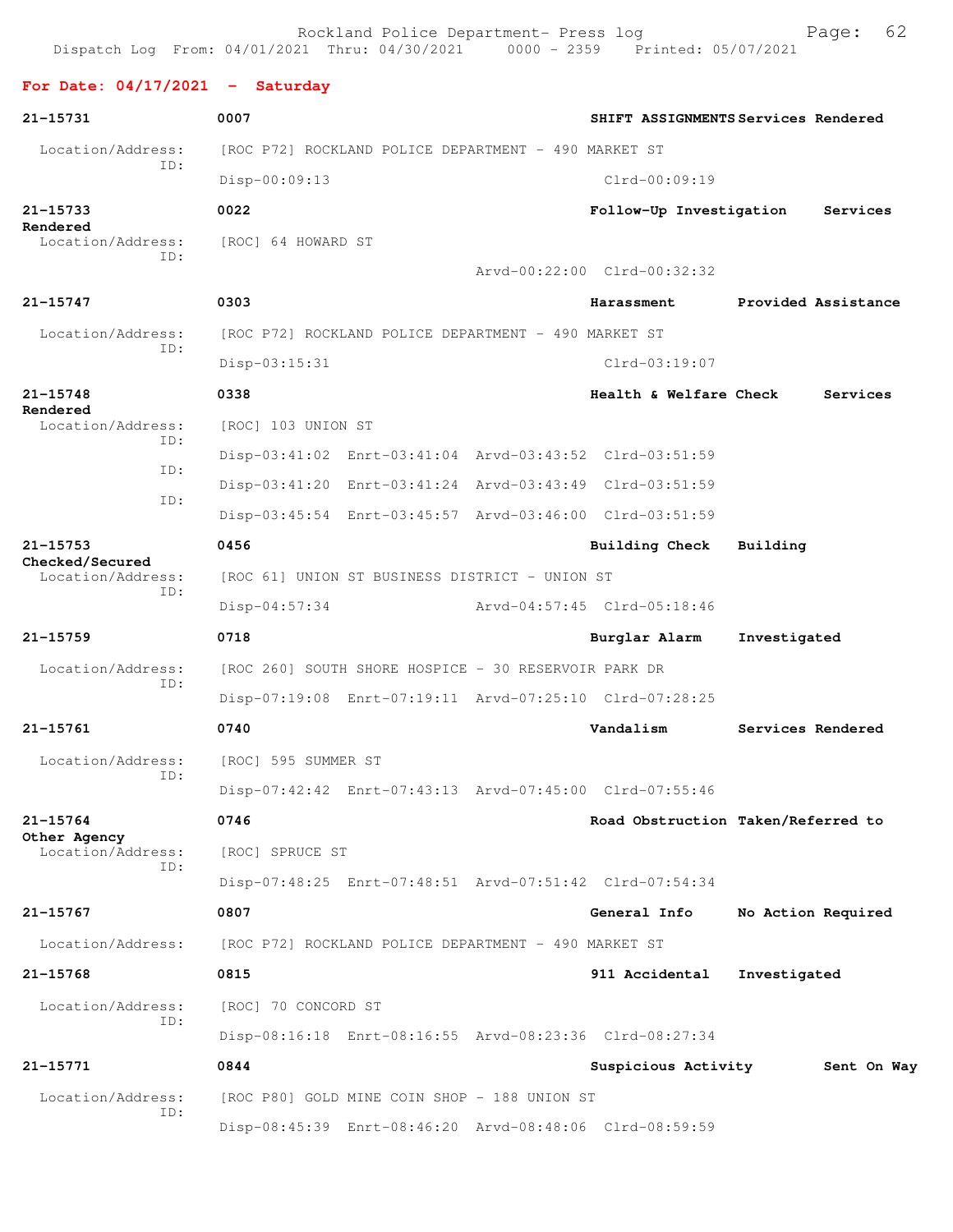Rockland Police Department- Press log Page: 62 Dispatch Log From: 04/01/2021 Thru: 04/30/2021 **For Date: 04/17/2021 - Saturday 21-15731 0007 SHIFT ASSIGNMENTS Services Rendered** Location/Address: [ROC P72] ROCKLAND POLICE DEPARTMENT - 490 MARKET ST ID: Disp-00:09:13 Clrd-00:09:19 **21-15733 0022 Follow-Up Investigation Services Rendered**  Location/Address: [ROC] 64 HOWARD ST ID: Arvd-00:22:00 Clrd-00:32:32 **21-15747 0303 Harassment Provided Assistance** Location/Address: [ROC P72] ROCKLAND POLICE DEPARTMENT - 490 MARKET ST ID: Disp-03:15:31 Clrd-03:19:07 **21-15748 0338 Health & Welfare Check Services Rendered**  Location/Address: [ROC] 103 UNION ST ID: Disp-03:41:02 Enrt-03:41:04 Arvd-03:43:52 Clrd-03:51:59 ID: Disp-03:41:20 Enrt-03:41:24 Arvd-03:43:49 Clrd-03:51:59 ID: Disp-03:45:54 Enrt-03:45:57 Arvd-03:46:00 Clrd-03:51:59 **21-15753 0456 Building Check Building Checked/Secured**  Location/Address: [ROC 61] UNION ST BUSINESS DISTRICT - UNION ST ID: Disp-04:57:34 Arvd-04:57:45 Clrd-05:18:46 **21-15759 0718 Burglar Alarm Investigated** Location/Address: [ROC 260] SOUTH SHORE HOSPICE - 30 RESERVOIR PARK DR ID: Disp-07:19:08 Enrt-07:19:11 Arvd-07:25:10 Clrd-07:28:25 **21-15761 0740 Vandalism Services Rendered** Location/Address: [ROC] 595 SUMMER ST ID: Disp-07:42:42 Enrt-07:43:13 Arvd-07:45:00 Clrd-07:55:46 **21-15764 0746 Road Obstruction Taken/Referred to Other Agency**  Location/Address: [ROC] SPRUCE ST ID: Disp-07:48:25 Enrt-07:48:51 Arvd-07:51:42 Clrd-07:54:34 **21-15767 0807 General Info No Action Required** Location/Address: [ROC P72] ROCKLAND POLICE DEPARTMENT - 490 MARKET ST **21-15768 0815 911 Accidental Investigated** Location/Address: [ROC] 70 CONCORD ST ID: Disp-08:16:18 Enrt-08:16:55 Arvd-08:23:36 Clrd-08:27:34 **21-15771 0844 Suspicious Activity Sent On Way** Location/Address: [ROC P80] GOLD MINE COIN SHOP - 188 UNION ST ID:

Disp-08:45:39 Enrt-08:46:20 Arvd-08:48:06 Clrd-08:59:59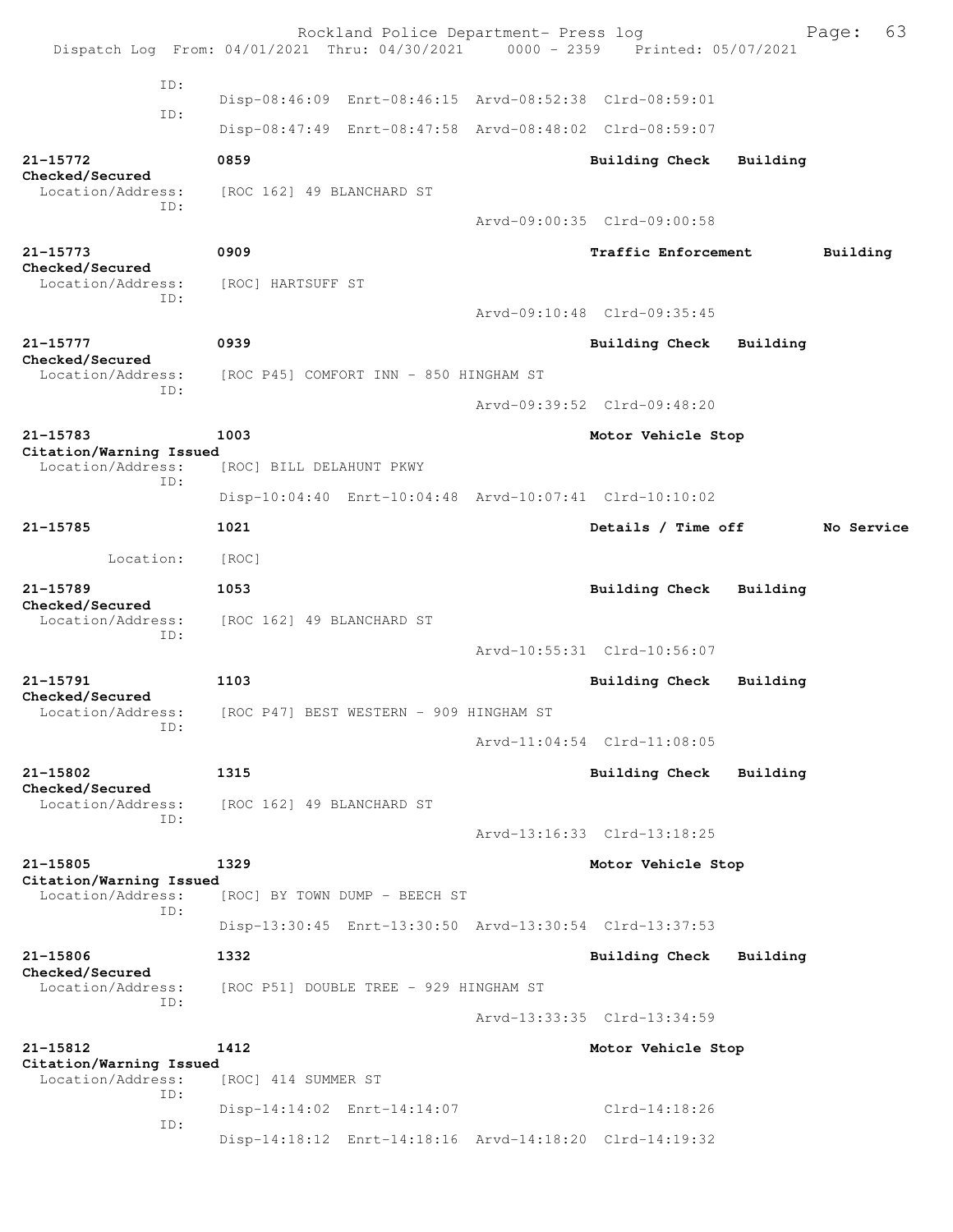|                                              | Rockland Police Department- Press log<br>Dispatch Log From: 04/01/2021 Thru: 04/30/2021 0000 - 2359 Printed: 05/07/2021 |  |                             |          | 63<br>Page: |  |
|----------------------------------------------|-------------------------------------------------------------------------------------------------------------------------|--|-----------------------------|----------|-------------|--|
| TD:                                          |                                                                                                                         |  |                             |          |             |  |
| ID:                                          | Disp-08:46:09 Enrt-08:46:15 Arvd-08:52:38 Clrd-08:59:01                                                                 |  |                             |          |             |  |
|                                              | Disp-08:47:49 Enrt-08:47:58 Arvd-08:48:02 Clrd-08:59:07                                                                 |  |                             |          |             |  |
| 21-15772                                     | 0859                                                                                                                    |  | Building Check              | Building |             |  |
| Checked/Secured<br>Location/Address:         | [ROC 162] 49 BLANCHARD ST                                                                                               |  |                             |          |             |  |
| ID:                                          |                                                                                                                         |  | Arvd-09:00:35 Clrd-09:00:58 |          |             |  |
| 21-15773                                     | 0909                                                                                                                    |  | Traffic Enforcement         |          | Building    |  |
| Checked/Secured<br>Location/Address:         | [ROC] HARTSUFF ST                                                                                                       |  |                             |          |             |  |
| ID:                                          |                                                                                                                         |  | Arvd-09:10:48 Clrd-09:35:45 |          |             |  |
| $21 - 15777$                                 | 0939                                                                                                                    |  | Building Check              | Building |             |  |
| Checked/Secured<br>Location/Address:         | [ROC P45] COMFORT INN - 850 HINGHAM ST                                                                                  |  |                             |          |             |  |
| ID:                                          |                                                                                                                         |  | Arvd-09:39:52 Clrd-09:48:20 |          |             |  |
|                                              |                                                                                                                         |  |                             |          |             |  |
| 21-15783<br>Citation/Warning Issued          | 1003                                                                                                                    |  | Motor Vehicle Stop          |          |             |  |
| Location/Address:<br>TD:                     | [ROC] BILL DELAHUNT PKWY                                                                                                |  |                             |          |             |  |
|                                              | Disp-10:04:40 Enrt-10:04:48 Arvd-10:07:41 Clrd-10:10:02                                                                 |  |                             |          |             |  |
| 21-15785                                     | 1021                                                                                                                    |  | Details / Time off          |          | No Service  |  |
| Location:                                    | [ROC]                                                                                                                   |  |                             |          |             |  |
| $21 - 15789$<br>Checked/Secured              | 1053                                                                                                                    |  | <b>Building Check</b>       | Building |             |  |
| Location/Address:<br>ID:                     | [ROC 162] 49 BLANCHARD ST                                                                                               |  |                             |          |             |  |
|                                              |                                                                                                                         |  | Arvd-10:55:31 Clrd-10:56:07 |          |             |  |
| 21-15791                                     | 1103                                                                                                                    |  | Building Check              | Building |             |  |
| Checked/Secured<br>Location/Address:         | [ROC P47] BEST WESTERN - 909 HINGHAM ST                                                                                 |  |                             |          |             |  |
| ID:                                          |                                                                                                                         |  | Arvd-11:04:54 Clrd-11:08:05 |          |             |  |
| $21 - 15802$                                 | 1315                                                                                                                    |  | <b>Building Check</b>       | Building |             |  |
| Checked/Secured<br>Location/Address:         | [ROC 162] 49 BLANCHARD ST                                                                                               |  |                             |          |             |  |
| TD:                                          |                                                                                                                         |  | Arvd-13:16:33 Clrd-13:18:25 |          |             |  |
| 21-15805                                     | 1329                                                                                                                    |  | Motor Vehicle Stop          |          |             |  |
| Citation/Warning Issued<br>Location/Address: | [ROC] BY TOWN DUMP - BEECH ST                                                                                           |  |                             |          |             |  |
| TD:                                          | Disp-13:30:45 Enrt-13:30:50 Arvd-13:30:54 Clrd-13:37:53                                                                 |  |                             |          |             |  |
| 21-15806                                     | 1332                                                                                                                    |  | <b>Building Check</b>       | Building |             |  |
| Checked/Secured                              | [ROC P51] DOUBLE TREE - 929 HINGHAM ST                                                                                  |  |                             |          |             |  |
| Location/Address:<br>ID:                     |                                                                                                                         |  |                             |          |             |  |
|                                              |                                                                                                                         |  | Arvd-13:33:35 Clrd-13:34:59 |          |             |  |
| 21-15812<br>Citation/Warning Issued          | 1412                                                                                                                    |  | Motor Vehicle Stop          |          |             |  |
| Location/Address:<br>ID:                     | [ROC] 414 SUMMER ST                                                                                                     |  |                             |          |             |  |
| ID:                                          | Disp-14:14:02 Enrt-14:14:07                                                                                             |  | $Clrd-14:18:26$             |          |             |  |
|                                              | Disp-14:18:12 Enrt-14:18:16 Arvd-14:18:20 Clrd-14:19:32                                                                 |  |                             |          |             |  |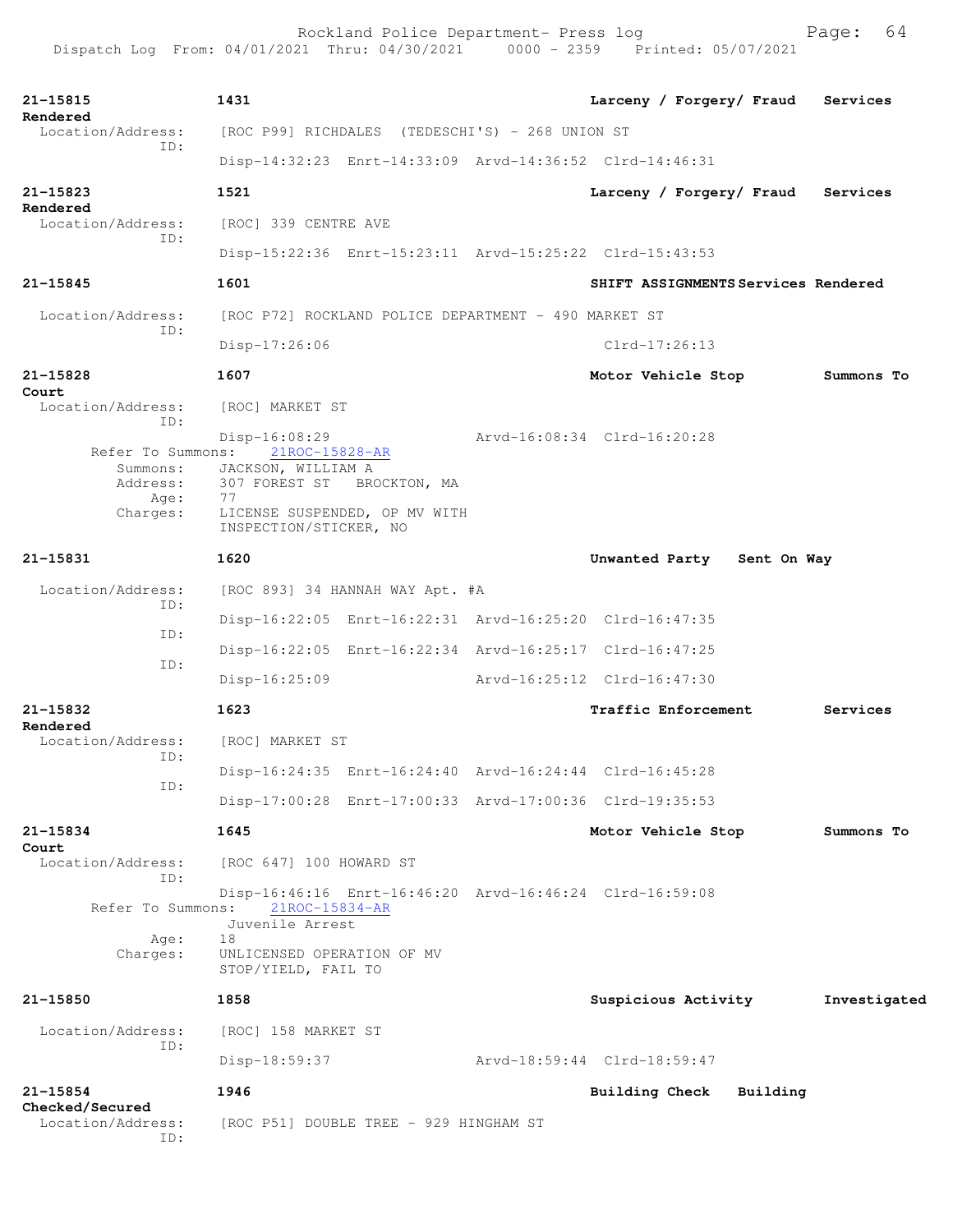Rockland Police Department- Press log Fage: 64 Dispatch Log From: 04/01/2021 Thru: 04/30/2021 0000 - 2359 Printed: 05/07/2021 **21-15815 1431 Larceny / Forgery/ Fraud Services Rendered**<br>Location/Address: [ROC P99] RICHDALES (TEDESCHI'S) - 268 UNION ST ID: Disp-14:32:23 Enrt-14:33:09 Arvd-14:36:52 Clrd-14:46:31 **21-15823 1521 Larceny / Forgery/ Fraud Services Rendered**  [ROC] 339 CENTRE AVE ID: Disp-15:22:36 Enrt-15:23:11 Arvd-15:25:22 Clrd-15:43:53 **21-15845 1601 SHIFT ASSIGNMENTS Services Rendered** Location/Address: [ROC P72] ROCKLAND POLICE DEPARTMENT - 490 MARKET ST ID: Disp-17:26:06 Clrd-17:26:13 **21-15828 1607 Motor Vehicle Stop Summons To Court**  Location/Address: [ROC] MARKET ST ID: Disp-16:08:29 Arvd-16:08:34 Clrd-16:20:28 Refer To Summons: 21ROC-15828-AR Summons: JACKSON, WILLIAM A Address: 307 FOREST ST BROCKTON, MA<br>Age: 77 Age:<br>:Charges LICENSE SUSPENDED, OP MV WITH INSPECTION/STICKER, NO **21-15831 1620 Unwanted Party Sent On Way** Location/Address: [ROC 893] 34 HANNAH WAY Apt. #A ID: Disp-16:22:05 Enrt-16:22:31 Arvd-16:25:20 Clrd-16:47:35 ID: Disp-16:22:05 Enrt-16:22:34 Arvd-16:25:17 Clrd-16:47:25 ID: Disp-16:25:09 Arvd-16:25:12 Clrd-16:47:30 **21-15832 1623 Traffic Enforcement Services Rendered**  Location/Address: [ROC] MARKET ST ID: Disp-16:24:35 Enrt-16:24:40 Arvd-16:24:44 Clrd-16:45:28 ID: Disp-17:00:28 Enrt-17:00:33 Arvd-17:00:36 Clrd-19:35:53 **21-15834 1645 Motor Vehicle Stop Summons To Court**  Location/Address: [ROC 647] 100 HOWARD ST ID: Disp-16:46:16 Enrt-16:46:20 Arvd-16:46:24 Clrd-16:59:08 Refer To Summons: Juvenile Arrest Age: 18 Charges: UNLICENSED OPERATION OF MV STOP/YIELD, FAIL TO **21-15850 1858 Suspicious Activity Investigated** Location/Address: [ROC] 158 MARKET ST ID: Disp-18:59:37 Arvd-18:59:44 Clrd-18:59:47 **21-15854 1946 Building Check Building**

**Checked/Secured**  ID:

[ROC P51] DOUBLE TREE - 929 HINGHAM ST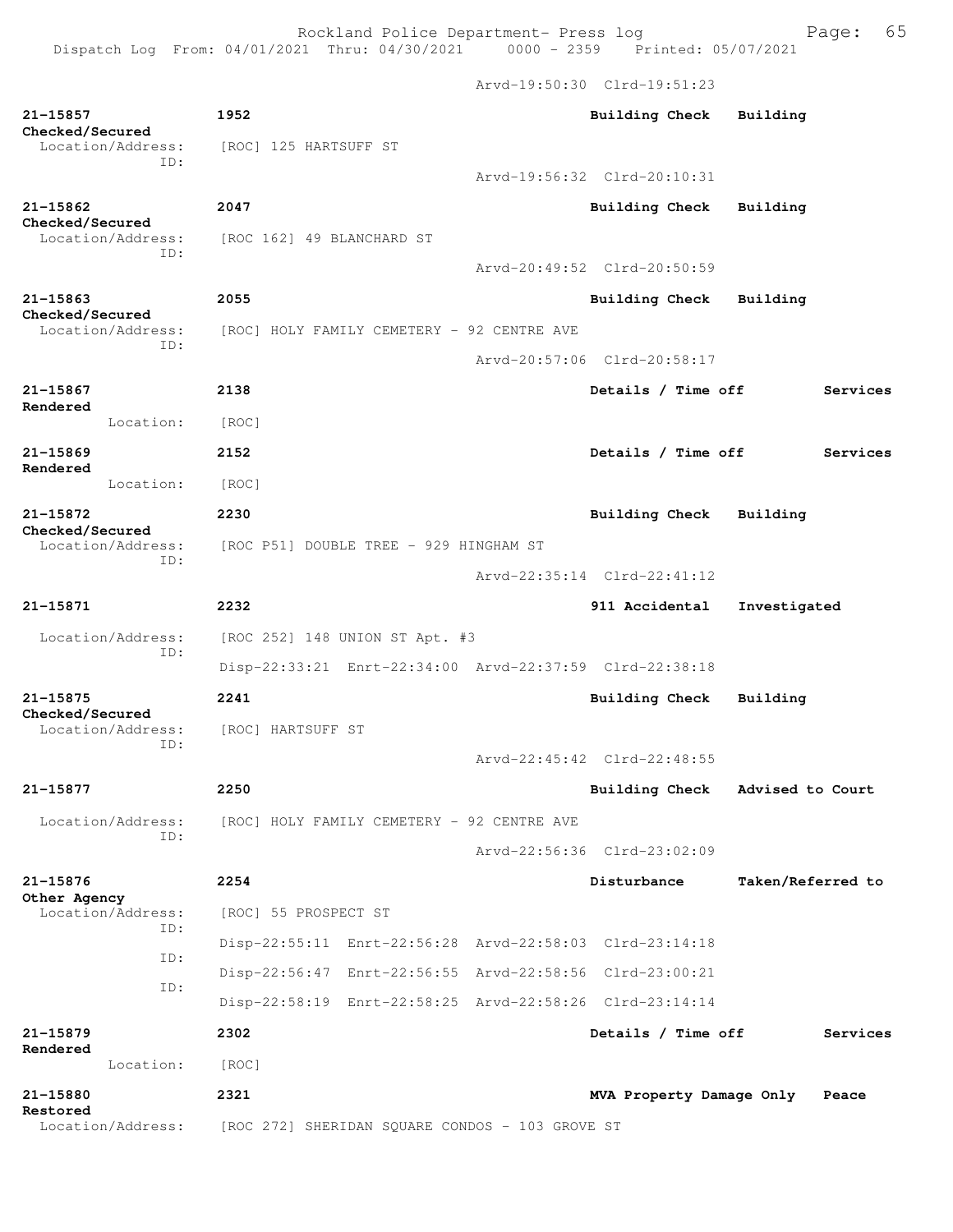Dispatch Log From:  $04/01/2021$  Thru:  $04/30/2021$  0000 - 2359 Arvd-19:50:30 Clrd-19:51:23

**21-15857 1952 Building Check Building Checked/Secured**  [ROC] 125 HARTSUFF ST ID: Arvd-19:56:32 Clrd-20:10:31 **21-15862 2047 Building Check Building Checked/Secured**  Location/Address: [ROC 162] 49 BLANCHARD ST ID: Arvd-20:49:52 Clrd-20:50:59 **21-15863 2055 Building Check Building Checked/Secured**  Location/Address: [ROC] HOLY FAMILY CEMETERY - 92 CENTRE AVE ID: Arvd-20:57:06 Clrd-20:58:17 **21-15867 2138 Details / Time off Services Rendered**  Location: [ROC] **21-15869 2152 Details / Time off Services Rendered**  Location: [ROC] **21-15872 2230 Building Check Building Checked/Secured**  Location/Address: [ROC P51] DOUBLE TREE - 929 HINGHAM ST ID: Arvd-22:35:14 Clrd-22:41:12 **21-15871 2232 911 Accidental Investigated** Location/Address: [ROC 252] 148 UNION ST Apt. #3 ID: Disp-22:33:21 Enrt-22:34:00 Arvd-22:37:59 Clrd-22:38:18 **21-15875 2241 Building Check Building Checked/Secured**  Location/Address: [ROC] HARTSUFF ST ID: Arvd-22:45:42 Clrd-22:48:55 **21-15877 2250 Building Check Advised to Court** Location/Address: [ROC] HOLY FAMILY CEMETERY - 92 CENTRE AVE ID: Arvd-22:56:36 Clrd-23:02:09 **21-15876 2254 Disturbance Taken/Referred to Other Agency**  Location/Address: [ROC] 55 PROSPECT ST ID: Disp-22:55:11 Enrt-22:56:28 Arvd-22:58:03 Clrd-23:14:18 ID: Disp-22:56:47 Enrt-22:56:55 Arvd-22:58:56 Clrd-23:00:21 ID: Disp-22:58:19 Enrt-22:58:25 Arvd-22:58:26 Clrd-23:14:14 **21-15879 2302 Details / Time off Services Rendered**  Location: [ROC] **21-15880 2321 MVA Property Damage Only Peace Restored**  [ROC 272] SHERIDAN SQUARE CONDOS - 103 GROVE ST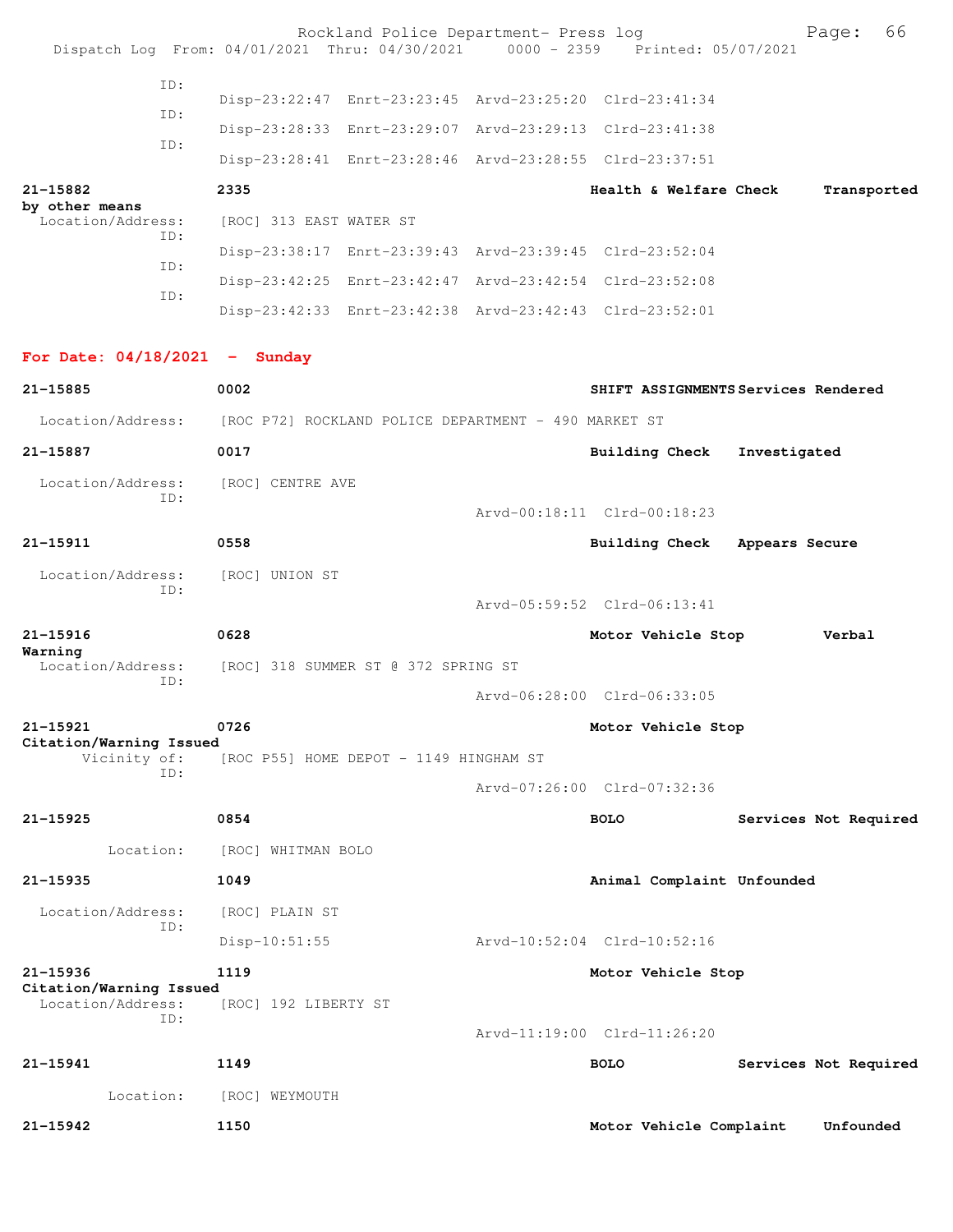|                                              |     |                         | Rockland Police Department- Press log                | Dispatch Log From: 04/01/2021 Thru: 04/30/2021 0000 - 2359 Printed: 05/07/2021 | 66<br>Page:                         |
|----------------------------------------------|-----|-------------------------|------------------------------------------------------|--------------------------------------------------------------------------------|-------------------------------------|
|                                              | ID: |                         |                                                      |                                                                                |                                     |
|                                              | ID: |                         |                                                      | Disp-23:22:47 Enrt-23:23:45 Arvd-23:25:20 Clrd-23:41:34                        |                                     |
|                                              |     |                         | Disp-23:28:33 Enrt-23:29:07                          | Arvd-23:29:13 Clrd-23:41:38                                                    |                                     |
|                                              | ID: |                         |                                                      | Disp-23:28:41 Enrt-23:28:46 Arvd-23:28:55 Clrd-23:37:51                        |                                     |
| 21-15882                                     |     | 2335                    |                                                      | Health & Welfare Check                                                         | Transported                         |
| by other means<br>Location/Address:          |     | [ROC] 313 EAST WATER ST |                                                      |                                                                                |                                     |
|                                              | ID: |                         |                                                      | Disp-23:38:17 Enrt-23:39:43 Arvd-23:39:45 Clrd-23:52:04                        |                                     |
|                                              | ID: |                         |                                                      | Disp-23:42:25 Enrt-23:42:47 Arvd-23:42:54 Clrd-23:52:08                        |                                     |
|                                              | ID: |                         |                                                      | Disp-23:42:33 Enrt-23:42:38 Arvd-23:42:43 Clrd-23:52:01                        |                                     |
| For Date: $04/18/2021$ - Sunday              |     |                         |                                                      |                                                                                |                                     |
| 21-15885                                     |     | 0002                    |                                                      |                                                                                | SHIFT ASSIGNMENTS Services Rendered |
| Location/Address:                            |     |                         | [ROC P72] ROCKLAND POLICE DEPARTMENT - 490 MARKET ST |                                                                                |                                     |
| 21-15887                                     |     | 0017                    |                                                      | <b>Building Check</b>                                                          | Investigated                        |
| Location/Address:                            |     | [ROC] CENTRE AVE        |                                                      |                                                                                |                                     |
|                                              | ID: |                         |                                                      | Arvd-00:18:11 Clrd-00:18:23                                                    |                                     |
| $21 - 15911$                                 |     | 0558                    |                                                      | <b>Building Check</b>                                                          | Appears Secure                      |
| Location/Address:                            | ID: | [ROC] UNION ST          |                                                      |                                                                                |                                     |
|                                              |     |                         |                                                      | Arvd-05:59:52 Clrd-06:13:41                                                    |                                     |
| 21-15916<br>Warning                          |     | 0628                    |                                                      | Motor Vehicle Stop                                                             | Verbal                              |
| Location/Address:                            | ID: |                         | [ROC] 318 SUMMER ST @ 372 SPRING ST                  |                                                                                |                                     |
|                                              |     |                         |                                                      | Arvd-06:28:00 Clrd-06:33:05                                                    |                                     |
| 21-15921                                     |     | 0726                    |                                                      | Motor Vehicle Stop                                                             |                                     |
| Citation/Warning Issued<br>Vicinity of:      |     |                         | [ROC P55] HOME DEPOT - 1149 HINGHAM ST               |                                                                                |                                     |
|                                              | ID: |                         |                                                      | Arvd-07:26:00 Clrd-07:32:36                                                    |                                     |
| $21 - 15925$                                 |     | 0854                    |                                                      | <b>BOLO</b>                                                                    | Services Not Required               |
| Location:                                    |     | [ROC] WHITMAN BOLO      |                                                      |                                                                                |                                     |
| 21-15935                                     |     | 1049                    |                                                      | Animal Complaint Unfounded                                                     |                                     |
| Location/Address:                            |     | [ROC] PLAIN ST          |                                                      |                                                                                |                                     |
|                                              | ID: | $Disp-10:51:55$         |                                                      | Arvd-10:52:04 Clrd-10:52:16                                                    |                                     |
| 21-15936                                     |     | 1119                    |                                                      | Motor Vehicle Stop                                                             |                                     |
| Citation/Warning Issued<br>Location/Address: |     | [ROC] 192 LIBERTY ST    |                                                      |                                                                                |                                     |
|                                              | ID: |                         |                                                      | Arvd-11:19:00 Clrd-11:26:20                                                    |                                     |
| 21-15941                                     |     | 1149                    |                                                      | <b>BOLO</b>                                                                    | Services Not Required               |
| Location:                                    |     | [ROC] WEYMOUTH          |                                                      |                                                                                |                                     |
| 21-15942                                     |     | 1150                    |                                                      | Motor Vehicle Complaint                                                        | Unfounded                           |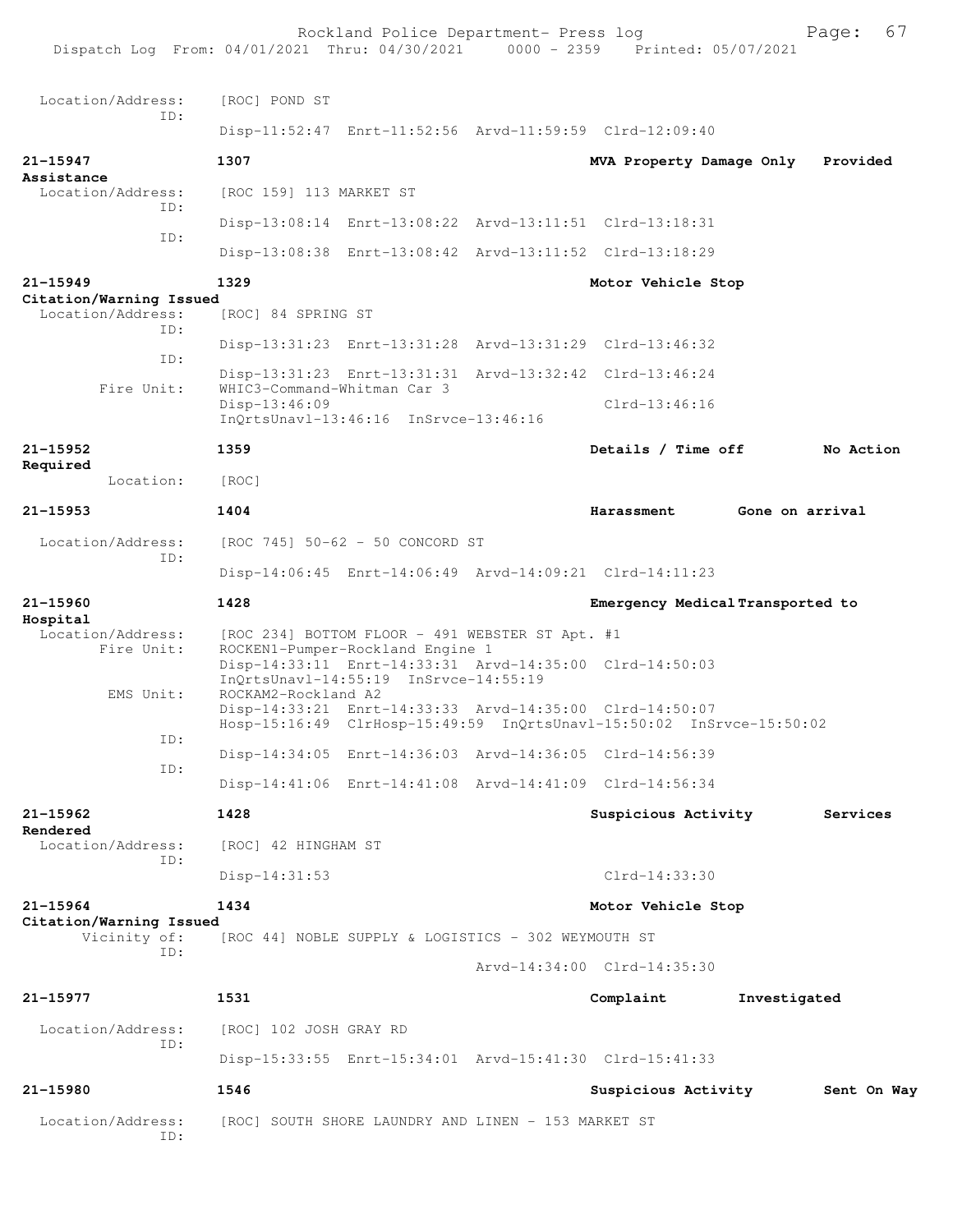Rockland Police Department- Press log France 2359 Page: 67<br>21 Thru: 04/30/2021 0000 - 2359 Printed: 05/07/2021 Dispatch Log From: 04/01/2021 Thru: 04/30/2021 Location/Address: [ROC] POND ST ID: Disp-11:52:47 Enrt-11:52:56 Arvd-11:59:59 Clrd-12:09:40 **21-15947 1307 MVA Property Damage Only Provided Assistance**  Location/Address: [ROC 159] 113 MARKET ST ID: Disp-13:08:14 Enrt-13:08:22 Arvd-13:11:51 Clrd-13:18:31 ID: Disp-13:08:38 Enrt-13:08:42 Arvd-13:11:52 Clrd-13:18:29 **21-15949 1329 Motor Vehicle Stop Citation/Warning Issued**  Location/Address: [ROC] 84 SPRING ST ID: Disp-13:31:23 Enrt-13:31:28 Arvd-13:31:29 Clrd-13:46:32 ID: Disp-13:31:23 Enrt-13:31:31 Arvd-13:32:42 Clrd-13:46:24 Fire Unit: WHIC3-Command-Whitman Car 3 Disp-13:46:09 Clrd-13:46:16 InQrtsUnavl-13:46:16 InSrvce-13:46:16 **21-15952 1359 Details / Time off No Action Required**  Location: [ROC] **21-15953 1404 Harassment Gone on arrival** Location/Address: [ROC 745] 50-62 - 50 CONCORD ST ID: Disp-14:06:45 Enrt-14:06:49 Arvd-14:09:21 Clrd-14:11:23 **21-15960 1428 Emergency Medical Transported to Hospital**  Location/Address: [ROC 234] BOTTOM FLOOR - 491 WEBSTER ST Apt. #1<br>Fire Unit: ROCKEN1-Pumper-Rockland Engine 1 ROCKEN1-Pumper-Rockland Engine 1 Disp-14:33:11 Enrt-14:33:31 Arvd-14:35:00 Clrd-14:50:03 InQrtsUnavl-14:55:19 InSrvce-14:55:19 EMS Unit: ROCKAM2-Rockland A2 Disp-14:33:21 Enrt-14:33:33 Arvd-14:35:00 Clrd-14:50:07 Hosp-15:16:49 ClrHosp-15:49:59 InQrtsUnavl-15:50:02 InSrvce-15:50:02 ID: Disp-14:34:05 Enrt-14:36:03 Arvd-14:36:05 Clrd-14:56:39 ID: Disp-14:41:06 Enrt-14:41:08 Arvd-14:41:09 Clrd-14:56:34 **21-15962 1428 Suspicious Activity Services Rendered**<br>Location/Address: [ROC] 42 HINGHAM ST ID: Disp-14:31:53 Clrd-14:33:30 **21-15964 1434 Motor Vehicle Stop Citation/Warning Issued**  Vicinity of: [ROC 44] NOBLE SUPPLY & LOGISTICS - 302 WEYMOUTH ST ID: Arvd-14:34:00 Clrd-14:35:30 **21-15977 1531 Complaint Investigated** Location/Address: [ROC] 102 JOSH GRAY RD ID: Disp-15:33:55 Enrt-15:34:01 Arvd-15:41:30 Clrd-15:41:33 **21-15980 1546 Suspicious Activity Sent On Way** Location/Address: [ROC] SOUTH SHORE LAUNDRY AND LINEN - 153 MARKET ST ID: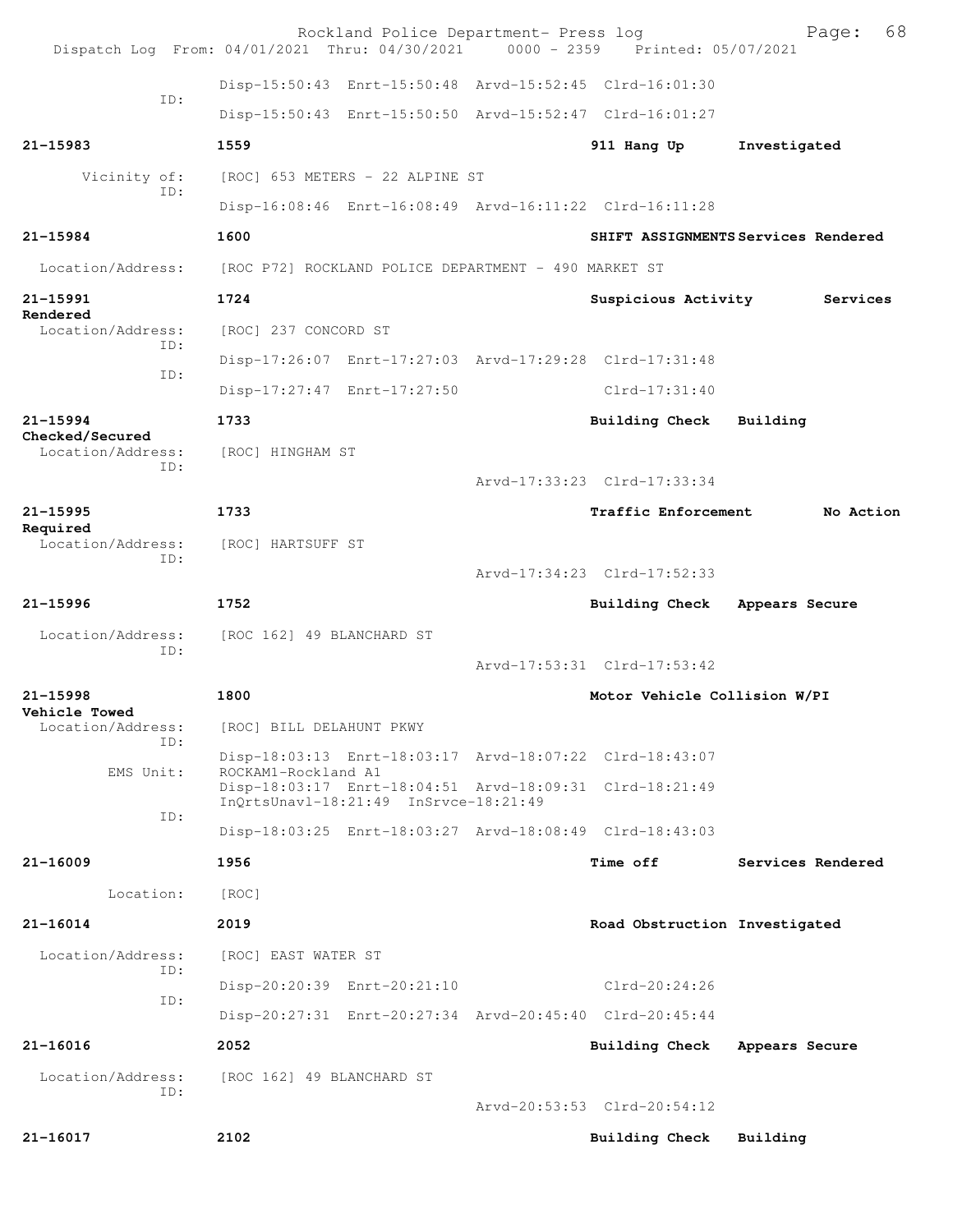| Dispatch Log From: 04/01/2021 Thru: 04/30/2021 |                                                      |                                       | Rockland Police Department- Press log | 0000 - 2359 Printed: 05/07/2021                         | 68<br>Page:                         |
|------------------------------------------------|------------------------------------------------------|---------------------------------------|---------------------------------------|---------------------------------------------------------|-------------------------------------|
|                                                |                                                      |                                       |                                       | Disp-15:50:43 Enrt-15:50:48 Arvd-15:52:45 Clrd-16:01:30 |                                     |
| ID:                                            |                                                      |                                       |                                       | Disp-15:50:43 Enrt-15:50:50 Arvd-15:52:47 Clrd-16:01:27 |                                     |
| 21-15983                                       | 1559                                                 |                                       |                                       | 911 Hang Up                                             | Investigated                        |
| Vicinity of:                                   |                                                      | [ROC] 653 METERS - 22 ALPINE ST       |                                       |                                                         |                                     |
| TD:                                            |                                                      |                                       |                                       | Disp-16:08:46 Enrt-16:08:49 Arvd-16:11:22 Clrd-16:11:28 |                                     |
| 21-15984                                       | 1600                                                 |                                       |                                       |                                                         | SHIFT ASSIGNMENTS Services Rendered |
| Location/Address:                              | [ROC P72] ROCKLAND POLICE DEPARTMENT - 490 MARKET ST |                                       |                                       |                                                         |                                     |
| 21-15991                                       | 1724                                                 |                                       |                                       | Suspicious Activity                                     | Services                            |
| Rendered<br>Location/Address:                  | [ROC] 237 CONCORD ST                                 |                                       |                                       |                                                         |                                     |
| TD:                                            |                                                      |                                       |                                       | Disp-17:26:07 Enrt-17:27:03 Arvd-17:29:28 Clrd-17:31:48 |                                     |
| ID:                                            | Disp-17:27:47 Enrt-17:27:50                          |                                       |                                       | $Clrd-17:31:40$                                         |                                     |
| $21 - 15994$                                   | 1733                                                 |                                       |                                       | Building Check                                          | Building                            |
| Checked/Secured<br>Location/Address:           | [ROC] HINGHAM ST                                     |                                       |                                       |                                                         |                                     |
| TD:                                            |                                                      |                                       |                                       | Arvd-17:33:23 Clrd-17:33:34                             |                                     |
| 21-15995                                       | 1733                                                 |                                       |                                       | <b>Traffic Enforcement</b>                              | No Action                           |
| Required<br>Location/Address:                  | [ROC] HARTSUFF ST                                    |                                       |                                       |                                                         |                                     |
| ID:                                            |                                                      |                                       |                                       | Arvd-17:34:23 Clrd-17:52:33                             |                                     |
| 21-15996                                       | 1752                                                 |                                       |                                       | <b>Building Check</b>                                   | Appears Secure                      |
| Location/Address:                              |                                                      |                                       |                                       |                                                         |                                     |
|                                                | [ROC 162] 49 BLANCHARD ST                            |                                       |                                       |                                                         |                                     |
| ID:                                            |                                                      |                                       |                                       | Arvd-17:53:31 Clrd-17:53:42                             |                                     |
| $21 - 15998$                                   | 1800                                                 |                                       |                                       | Motor Vehicle Collision W/PI                            |                                     |
| Vehicle Towed<br>Location/Address:             | [ROC] BILL DELAHUNT PKWY                             |                                       |                                       |                                                         |                                     |
| TD:                                            |                                                      |                                       |                                       | Disp-18:03:13 Enrt-18:03:17 Arvd-18:07:22 Clrd-18:43:07 |                                     |
| EMS Unit:                                      | ROCKAM1-Rockland A1                                  |                                       |                                       | Disp-18:03:17 Enrt-18:04:51 Arvd-18:09:31 Clrd-18:21:49 |                                     |
| ID:                                            |                                                      | InOrtsUnavl-18:21:49 InSrvce-18:21:49 |                                       |                                                         |                                     |
|                                                |                                                      |                                       |                                       | Disp-18:03:25 Enrt-18:03:27 Arvd-18:08:49 Clrd-18:43:03 |                                     |
| 21-16009                                       | 1956                                                 |                                       |                                       | <b>Time off</b>                                         | Services Rendered                   |
| Location:                                      | [ROC]                                                |                                       |                                       |                                                         |                                     |
| $21 - 16014$                                   | 2019                                                 |                                       |                                       | Road Obstruction Investigated                           |                                     |
| Location/Address:<br>ID:                       | [ROC] EAST WATER ST                                  |                                       |                                       |                                                         |                                     |
| ID:                                            |                                                      | Disp-20:20:39 Enrt-20:21:10           |                                       | Clrd-20:24:26                                           |                                     |
|                                                |                                                      |                                       |                                       | Disp-20:27:31 Enrt-20:27:34 Arvd-20:45:40 Clrd-20:45:44 |                                     |
| $21 - 16016$                                   | 2052                                                 |                                       |                                       | Building Check                                          | Appears Secure                      |
| Location/Address:<br>ID:                       | [ROC 162] 49 BLANCHARD ST                            |                                       |                                       |                                                         |                                     |
| 21-16017                                       | 2102                                                 |                                       |                                       | Arvd-20:53:53 Clrd-20:54:12<br>Building Check           | Building                            |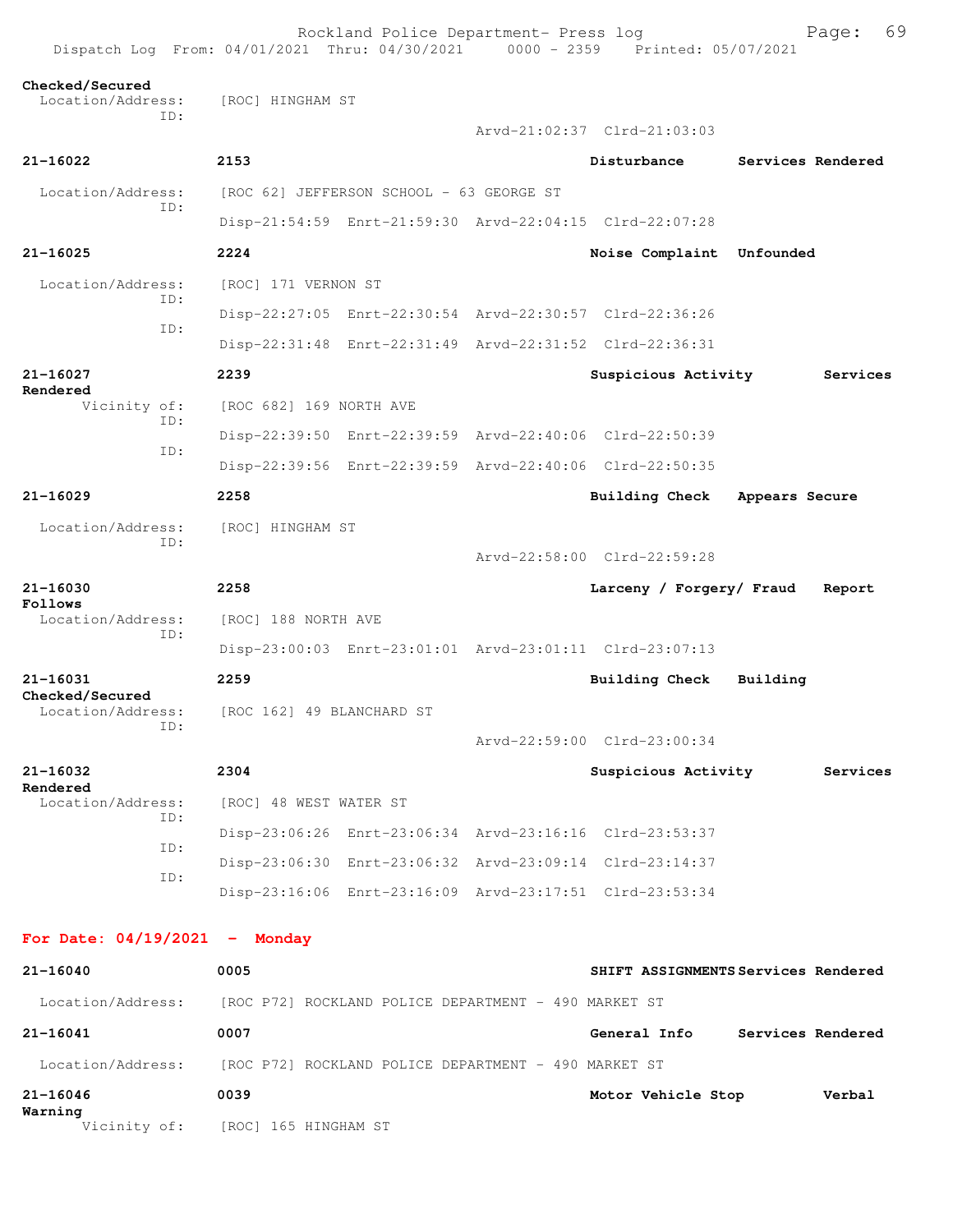Rockland Police Department- Press log Freed Page: 69 Dispatch Log From: 04/01/2021 Thru: 04/30/2021 0000 - 2359 Printed: 05/07/2021 **Checked/Secured**  Location/Address: [ROC] HINGHAM ST ID: Arvd-21:02:37 Clrd-21:03:03 **21-16022 2153 Disturbance Services Rendered** Location/Address: [ROC 62] JEFFERSON SCHOOL - 63 GEORGE ST ID: Disp-21:54:59 Enrt-21:59:30 Arvd-22:04:15 Clrd-22:07:28 **21-16025 2224 Noise Complaint Unfounded**  Location/Address: [ROC] 171 VERNON ST ID: Disp-22:27:05 Enrt-22:30:54 Arvd-22:30:57 Clrd-22:36:26 ID: Disp-22:31:48 Enrt-22:31:49 Arvd-22:31:52 Clrd-22:36:31 **21-16027 2239 Suspicious Activity Services Rendered**  Vicinity of: [ROC 682] 169 NORTH AVE ID: Disp-22:39:50 Enrt-22:39:59 Arvd-22:40:06 Clrd-22:50:39 ID: Disp-22:39:56 Enrt-22:39:59 Arvd-22:40:06 Clrd-22:50:35 **21-16029 2258 Building Check Appears Secure** Location/Address: [ROC] HINGHAM ST ID: Arvd-22:58:00 Clrd-22:59:28 **21-16030 2258 Larceny / Forgery/ Fraud Report Follows**  Location/Address: [ROC] 188 NORTH AVE ID: Disp-23:00:03 Enrt-23:01:01 Arvd-23:01:11 Clrd-23:07:13 **21-16031 2259 Building Check Building Checked/Secured**  Location/Address: [ROC 162] 49 BLANCHARD ST ID: Arvd-22:59:00 Clrd-23:00:34 **21-16032 2304 Suspicious Activity Services Rendered**  Location/Address: [ROC] 48 WEST WATER ST ID: Disp-23:06:26 Enrt-23:06:34 Arvd-23:16:16 Clrd-23:53:37 ID: Disp-23:06:30 Enrt-23:06:32 Arvd-23:09:14 Clrd-23:14:37 ID: Disp-23:16:06 Enrt-23:16:09 Arvd-23:17:51 Clrd-23:53:34 **For Date: 04/19/2021 - Monday 21-16040 0005 SHIFT ASSIGNMENTS Services Rendered** Location/Address: [ROC P72] ROCKLAND POLICE DEPARTMENT - 490 MARKET ST

**21-16041 0007 General Info Services Rendered** Location/Address: [ROC P72] ROCKLAND POLICE DEPARTMENT - 490 MARKET ST **21-16046 0039 Motor Vehicle Stop Verbal Warning** 

Vicinity of: [ROC] 165 HINGHAM ST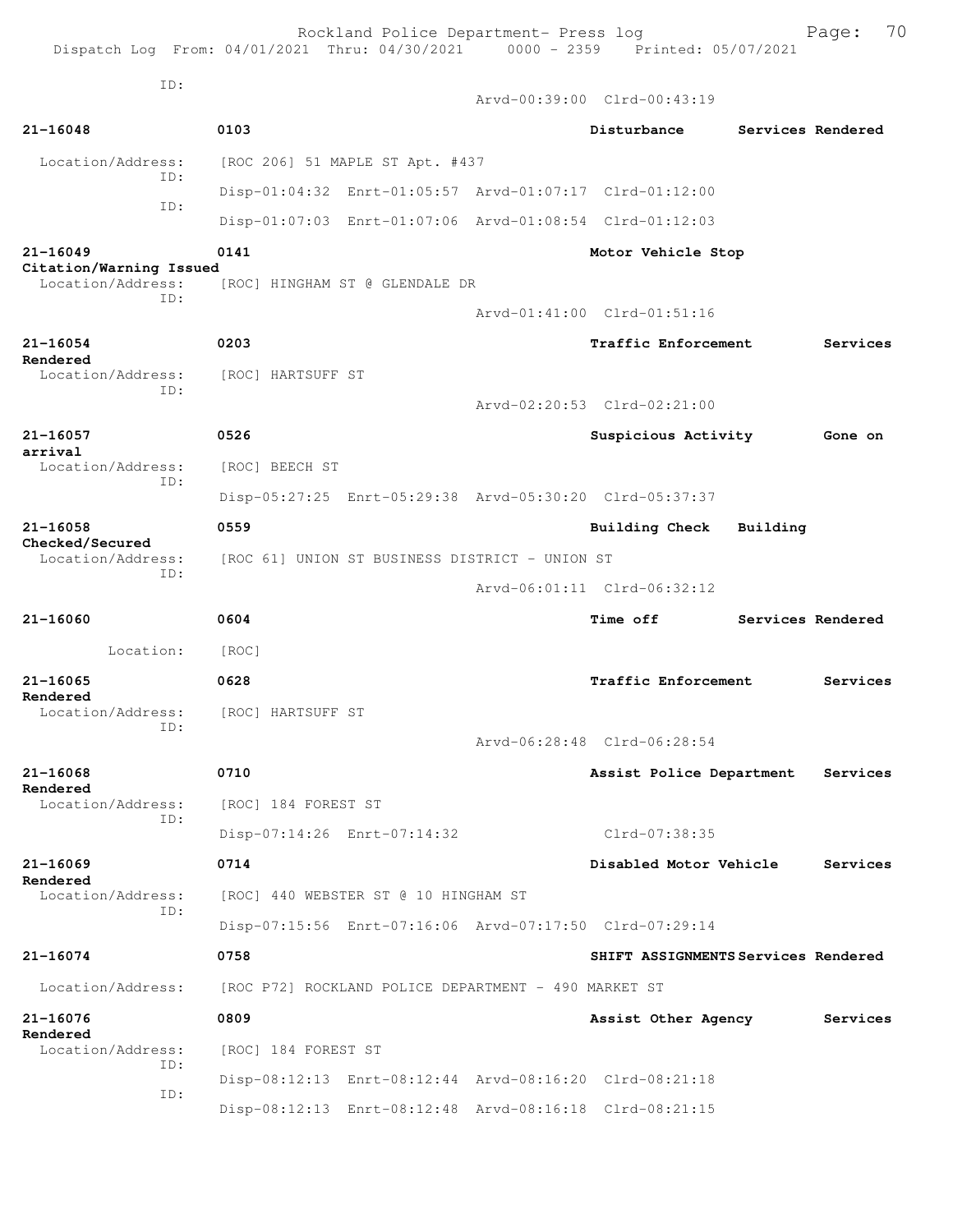| Dispatch Log From: 04/01/2021 Thru: 04/30/2021 0000 - 2359 Printed: 05/07/2021 |                                                      | Rockland Police Department- Press log |  |                                                         |          | 70<br>Page:       |
|--------------------------------------------------------------------------------|------------------------------------------------------|---------------------------------------|--|---------------------------------------------------------|----------|-------------------|
| ID:                                                                            |                                                      |                                       |  | Arvd-00:39:00 Clrd-00:43:19                             |          |                   |
| $21 - 16048$                                                                   | 0103                                                 |                                       |  | Disturbance                                             |          | Services Rendered |
| Location/Address:                                                              |                                                      | [ROC 206] 51 MAPLE ST Apt. #437       |  |                                                         |          |                   |
| TD:                                                                            |                                                      |                                       |  | Disp-01:04:32 Enrt-01:05:57 Arvd-01:07:17 Clrd-01:12:00 |          |                   |
| TD:                                                                            |                                                      |                                       |  | Disp-01:07:03 Enrt-01:07:06 Arvd-01:08:54 Clrd-01:12:03 |          |                   |
| $21 - 16049$                                                                   | 0141                                                 |                                       |  | Motor Vehicle Stop                                      |          |                   |
| Citation/Warning Issued<br>Location/Address:                                   |                                                      | [ROC] HINGHAM ST @ GLENDALE DR        |  |                                                         |          |                   |
| ID:                                                                            |                                                      |                                       |  | Arvd-01:41:00 Clrd-01:51:16                             |          |                   |
| $21 - 16054$                                                                   | 0203                                                 |                                       |  | <b>Traffic Enforcement</b>                              |          | Services          |
| Rendered<br>Location/Address:                                                  | [ROC] HARTSUFF ST                                    |                                       |  |                                                         |          |                   |
| ID:                                                                            |                                                      |                                       |  | Arvd-02:20:53 Clrd-02:21:00                             |          |                   |
| $21 - 16057$                                                                   | 0526                                                 |                                       |  | Suspicious Activity                                     |          | Gone on           |
| arrival<br>Location/Address:                                                   | [ROC] BEECH ST                                       |                                       |  |                                                         |          |                   |
| TD:                                                                            |                                                      |                                       |  | Disp-05:27:25 Enrt-05:29:38 Arvd-05:30:20 Clrd-05:37:37 |          |                   |
| 21-16058                                                                       | 0559                                                 |                                       |  | Building Check                                          | Building |                   |
| Checked/Secured<br>Location/Address:                                           | [ROC 61] UNION ST BUSINESS DISTRICT - UNION ST       |                                       |  |                                                         |          |                   |
| ID:                                                                            |                                                      |                                       |  | Arvd-06:01:11 Clrd-06:32:12                             |          |                   |
| $21 - 16060$                                                                   | 0604                                                 |                                       |  | <b>Time off</b>                                         |          | Services Rendered |
| Location:                                                                      | [ROC]                                                |                                       |  |                                                         |          |                   |
| 21-16065                                                                       | 0628                                                 |                                       |  | Traffic Enforcement                                     |          | Services          |
| Rendered<br>Location/Address:                                                  | [ROC] HARTSUFF ST                                    |                                       |  |                                                         |          |                   |
| ID:                                                                            |                                                      |                                       |  | Arvd-06:28:48 Clrd-06:28:54                             |          |                   |
| 21-16068                                                                       | 0710                                                 |                                       |  | Assist Police Department                                |          | Services          |
| Rendered<br>Location/Address:                                                  | [ROC] 184 FOREST ST                                  |                                       |  |                                                         |          |                   |
| ID:                                                                            | Disp-07:14:26 Enrt-07:14:32                          |                                       |  | Clrd-07:38:35                                           |          |                   |
| $21 - 16069$                                                                   | 0714                                                 |                                       |  | Disabled Motor Vehicle                                  |          | Services          |
| Rendered<br>Location/Address:                                                  |                                                      | [ROC] 440 WEBSTER ST @ 10 HINGHAM ST  |  |                                                         |          |                   |
| ID:                                                                            |                                                      |                                       |  | Disp-07:15:56 Enrt-07:16:06 Arvd-07:17:50 Clrd-07:29:14 |          |                   |
| 21-16074                                                                       | 0758                                                 |                                       |  | SHIFT ASSIGNMENTS Services Rendered                     |          |                   |
| Location/Address:                                                              | [ROC P72] ROCKLAND POLICE DEPARTMENT - 490 MARKET ST |                                       |  |                                                         |          |                   |
| 21-16076                                                                       | 0809                                                 |                                       |  | Assist Other Agency                                     |          | Services          |
| Rendered<br>Location/Address:                                                  | [ROC] 184 FOREST ST                                  |                                       |  |                                                         |          |                   |
| ID:                                                                            |                                                      |                                       |  | Disp-08:12:13 Enrt-08:12:44 Arvd-08:16:20 Clrd-08:21:18 |          |                   |
| ID:                                                                            |                                                      |                                       |  | Disp-08:12:13 Enrt-08:12:48 Arvd-08:16:18 Clrd-08:21:15 |          |                   |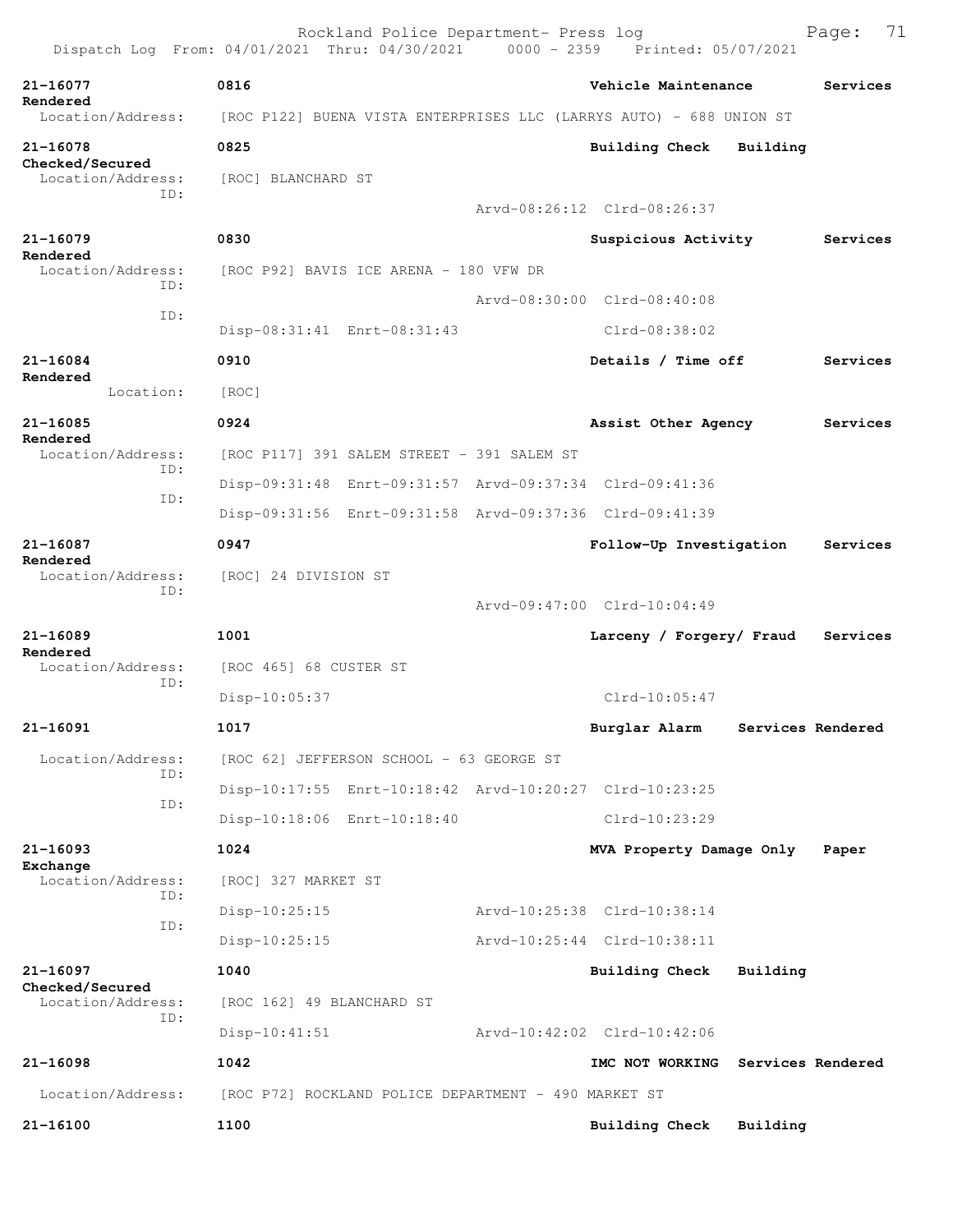|                                      | Rockland Police Department- Press log<br>Dispatch Log From: 04/01/2021 Thru: 04/30/2021 0000 - 2359 Printed: 05/07/2021 |  |                                   |                   | 71<br>Page: |  |  |
|--------------------------------------|-------------------------------------------------------------------------------------------------------------------------|--|-----------------------------------|-------------------|-------------|--|--|
| $21 - 16077$                         | 0816                                                                                                                    |  | Vehicle Maintenance               |                   | Services    |  |  |
| Rendered<br>Location/Address:        | [ROC P122] BUENA VISTA ENTERPRISES LLC (LARRYS AUTO) - 688 UNION ST                                                     |  |                                   |                   |             |  |  |
| 21-16078                             | 0825                                                                                                                    |  | Building Check                    | Building          |             |  |  |
| Checked/Secured<br>Location/Address: | [ROC] BLANCHARD ST                                                                                                      |  |                                   |                   |             |  |  |
| TD:                                  |                                                                                                                         |  | Arvd-08:26:12 Clrd-08:26:37       |                   |             |  |  |
| 21-16079                             | 0830                                                                                                                    |  | Suspicious Activity               |                   | Services    |  |  |
| Rendered<br>Location/Address:        | [ROC P92] BAVIS ICE ARENA - 180 VFW DR                                                                                  |  |                                   |                   |             |  |  |
| TD:                                  |                                                                                                                         |  | Arvd-08:30:00 Clrd-08:40:08       |                   |             |  |  |
| ID:                                  | Disp-08:31:41 Enrt-08:31:43                                                                                             |  | $Clrd-08:38:02$                   |                   |             |  |  |
| $21 - 16084$                         | 0910                                                                                                                    |  | Details / Time off                |                   | Services    |  |  |
| Rendered<br>Location:                | [ROC]                                                                                                                   |  |                                   |                   |             |  |  |
| $21 - 16085$                         | 0924                                                                                                                    |  | Assist Other Agency               |                   | Services    |  |  |
| Rendered<br>Location/Address:        | [ROC P117] 391 SALEM STREET - 391 SALEM ST                                                                              |  |                                   |                   |             |  |  |
| ID:                                  | Disp-09:31:48 Enrt-09:31:57 Arvd-09:37:34 Clrd-09:41:36                                                                 |  |                                   |                   |             |  |  |
| ID:                                  | Disp-09:31:56 Enrt-09:31:58 Arvd-09:37:36 Clrd-09:41:39                                                                 |  |                                   |                   |             |  |  |
| $21 - 16087$                         | 0947                                                                                                                    |  | Follow-Up Investigation           |                   | Services    |  |  |
| Rendered<br>Location/Address:        | [ROC] 24 DIVISION ST                                                                                                    |  |                                   |                   |             |  |  |
| TD:                                  |                                                                                                                         |  | Arvd-09:47:00 Clrd-10:04:49       |                   |             |  |  |
| $21 - 16089$                         | 1001                                                                                                                    |  | Larceny / Forgery/ Fraud          |                   | Services    |  |  |
| Rendered<br>Location/Address:        | [ROC 465] 68 CUSTER ST                                                                                                  |  |                                   |                   |             |  |  |
| TD:                                  | Disp-10:05:37                                                                                                           |  | $Clrd-10:05:47$                   |                   |             |  |  |
| 21-16091                             | 1017                                                                                                                    |  | Burglar Alarm                     | Services Rendered |             |  |  |
| Location/Address:                    | [ROC 62] JEFFERSON SCHOOL - 63 GEORGE ST                                                                                |  |                                   |                   |             |  |  |
| ID:                                  | Disp-10:17:55 Enrt-10:18:42 Arvd-10:20:27 Clrd-10:23:25                                                                 |  |                                   |                   |             |  |  |
| ID:                                  | Disp-10:18:06 Enrt-10:18:40                                                                                             |  | Clrd-10:23:29                     |                   |             |  |  |
| 21-16093                             | 1024                                                                                                                    |  | MVA Property Damage Only          |                   | Paper       |  |  |
| Exchange<br>Location/Address:        | [ROC] 327 MARKET ST                                                                                                     |  |                                   |                   |             |  |  |
| ID:                                  | Disp-10:25:15                                                                                                           |  | Arvd-10:25:38 Clrd-10:38:14       |                   |             |  |  |
| ID:                                  | $Disp-10:25:15$                                                                                                         |  | Arvd-10:25:44 Clrd-10:38:11       |                   |             |  |  |
| 21-16097                             | 1040                                                                                                                    |  | Building Check                    | Building          |             |  |  |
| Checked/Secured<br>Location/Address: | [ROC 162] 49 BLANCHARD ST                                                                                               |  |                                   |                   |             |  |  |
| ID:                                  | $Disp-10:41:51$                                                                                                         |  | Arvd-10:42:02 Clrd-10:42:06       |                   |             |  |  |
| 21-16098                             | 1042                                                                                                                    |  | IMC NOT WORKING Services Rendered |                   |             |  |  |
| Location/Address:                    | [ROC P72] ROCKLAND POLICE DEPARTMENT - 490 MARKET ST                                                                    |  |                                   |                   |             |  |  |
| 21-16100                             | 1100                                                                                                                    |  | Building Check                    | Building          |             |  |  |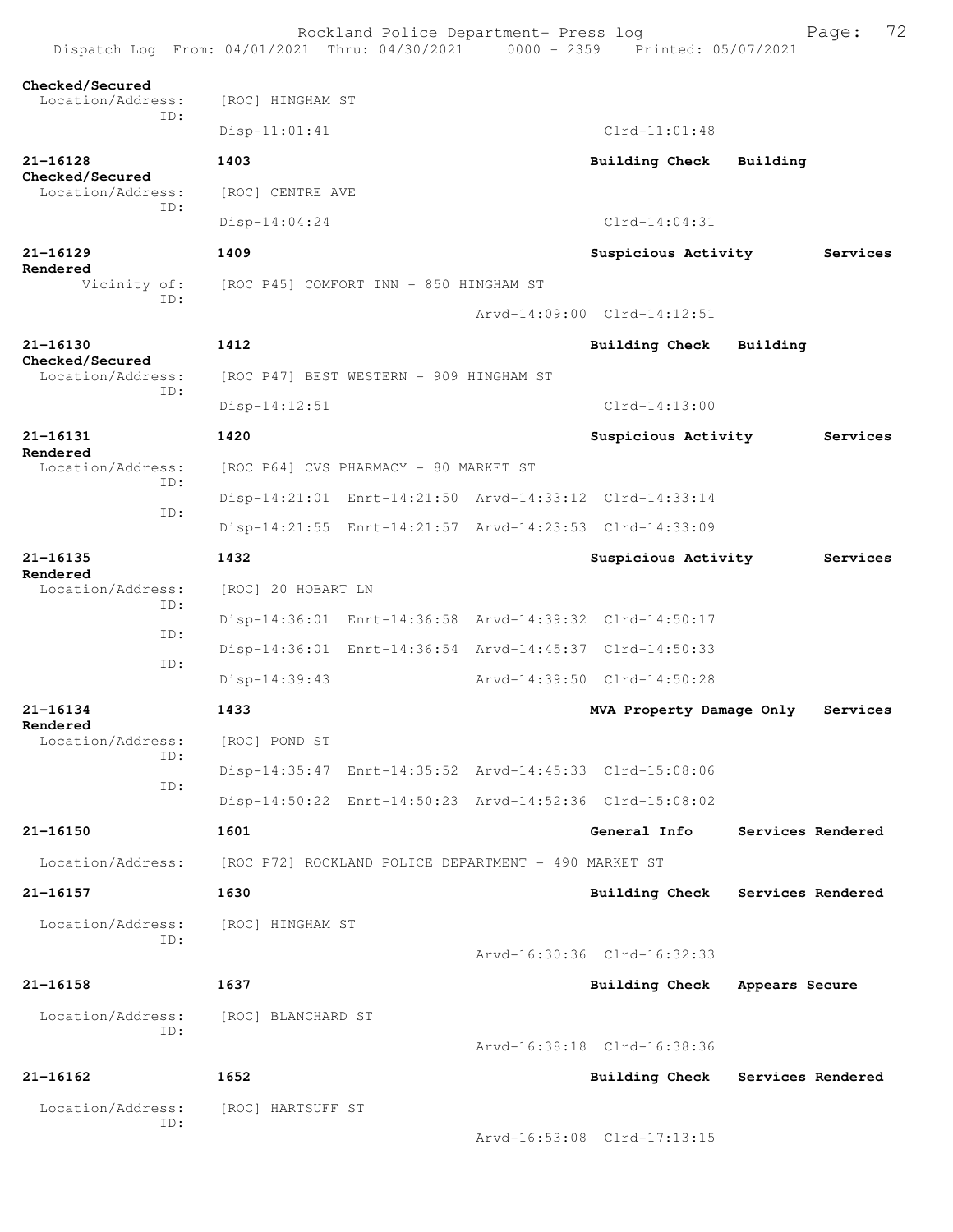| Dispatch Log From: 04/01/2021 Thru: 04/30/2021 0000 - 2359 Printed: 05/07/2021 |                                                      | Rockland Police Department- Press log   |  |                                                         |                   | 72<br>Page: |  |
|--------------------------------------------------------------------------------|------------------------------------------------------|-----------------------------------------|--|---------------------------------------------------------|-------------------|-------------|--|
| Checked/Secured<br>Location/Address:                                           | [ROC] HINGHAM ST                                     |                                         |  |                                                         |                   |             |  |
| ID:                                                                            | $Disp-11:01:41$                                      |                                         |  | $Clrd-11:01:48$                                         |                   |             |  |
| $21 - 16128$                                                                   | 1403                                                 |                                         |  | <b>Building Check</b>                                   | Building          |             |  |
| Checked/Secured<br>Location/Address:<br>TD:                                    | [ROC] CENTRE AVE                                     |                                         |  |                                                         |                   |             |  |
|                                                                                | $Disp-14:04:24$                                      |                                         |  | $Clrd-14:04:31$                                         |                   |             |  |
| $21 - 16129$                                                                   | 1409                                                 |                                         |  | Suspicious Activity                                     |                   | Services    |  |
| Rendered<br>Vicinity of:                                                       |                                                      | [ROC P45] COMFORT INN - 850 HINGHAM ST  |  |                                                         |                   |             |  |
| TD:                                                                            |                                                      |                                         |  | Arvd-14:09:00 Clrd-14:12:51                             |                   |             |  |
| $21 - 16130$                                                                   | 1412                                                 |                                         |  | <b>Building Check</b>                                   | Building          |             |  |
| Checked/Secured<br>Location/Address:                                           |                                                      | [ROC P47] BEST WESTERN - 909 HINGHAM ST |  |                                                         |                   |             |  |
| ID:                                                                            | Disp-14:12:51                                        |                                         |  | $C1rd-14:13:00$                                         |                   |             |  |
| 21-16131                                                                       | 1420                                                 |                                         |  | Suspicious Activity                                     |                   | Services    |  |
| Rendered<br>Location/Address:                                                  |                                                      | [ROC P64] CVS PHARMACY - 80 MARKET ST   |  |                                                         |                   |             |  |
| TD:                                                                            |                                                      |                                         |  | Disp-14:21:01 Enrt-14:21:50 Arvd-14:33:12 Clrd-14:33:14 |                   |             |  |
| ID:                                                                            |                                                      |                                         |  | Disp-14:21:55 Enrt-14:21:57 Arvd-14:23:53 Clrd-14:33:09 |                   |             |  |
| $21 - 16135$                                                                   | 1432                                                 |                                         |  | Suspicious Activity                                     |                   | Services    |  |
| Rendered<br>Location/Address:                                                  | [ROC] 20 HOBART LN                                   |                                         |  |                                                         |                   |             |  |
| TD:                                                                            |                                                      |                                         |  | Disp-14:36:01 Enrt-14:36:58 Arvd-14:39:32 Clrd-14:50:17 |                   |             |  |
| ID:                                                                            |                                                      |                                         |  | Disp-14:36:01 Enrt-14:36:54 Arvd-14:45:37 Clrd-14:50:33 |                   |             |  |
| ID:                                                                            | $Disp-14:39:43$                                      |                                         |  | Arvd-14:39:50 Clrd-14:50:28                             |                   |             |  |
| 21-16134                                                                       | 1433                                                 |                                         |  | MVA Property Damage Only                                |                   | Services    |  |
| Rendered<br>Location/Address:                                                  | [ROC] POND ST                                        |                                         |  |                                                         |                   |             |  |
| ID:                                                                            |                                                      |                                         |  | Disp-14:35:47 Enrt-14:35:52 Arvd-14:45:33 Clrd-15:08:06 |                   |             |  |
| ID:                                                                            |                                                      |                                         |  | Disp-14:50:22 Enrt-14:50:23 Arvd-14:52:36 Clrd-15:08:02 |                   |             |  |
| 21-16150                                                                       | 1601                                                 |                                         |  | General Info                                            | Services Rendered |             |  |
| Location/Address:                                                              | [ROC P72] ROCKLAND POLICE DEPARTMENT - 490 MARKET ST |                                         |  |                                                         |                   |             |  |
| 21-16157                                                                       | 1630                                                 |                                         |  | Building Check                                          | Services Rendered |             |  |
| Location/Address:                                                              | [ROC] HINGHAM ST                                     |                                         |  |                                                         |                   |             |  |
| ID:                                                                            |                                                      |                                         |  | Arvd-16:30:36 Clrd-16:32:33                             |                   |             |  |
| 21-16158                                                                       | 1637                                                 |                                         |  | <b>Building Check</b>                                   | Appears Secure    |             |  |
| Location/Address:                                                              | [ROC] BLANCHARD ST                                   |                                         |  |                                                         |                   |             |  |
| ID:                                                                            |                                                      |                                         |  | Arvd-16:38:18 Clrd-16:38:36                             |                   |             |  |
| $21 - 16162$                                                                   | 1652                                                 |                                         |  | Building Check                                          | Services Rendered |             |  |
| Location/Address:                                                              | [ROC] HARTSUFF ST                                    |                                         |  |                                                         |                   |             |  |
| ID:                                                                            |                                                      |                                         |  | Arvd-16:53:08 Clrd-17:13:15                             |                   |             |  |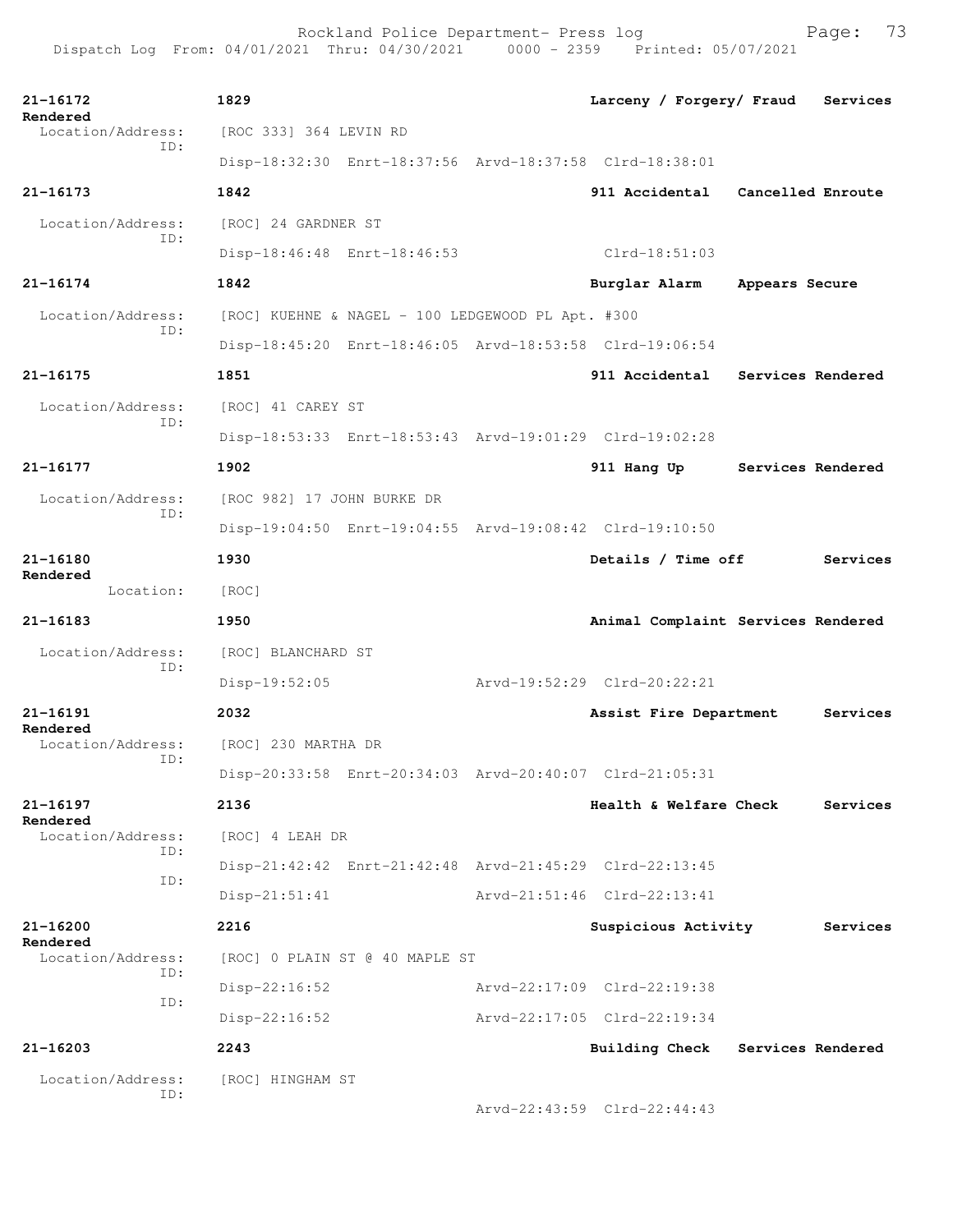Rockland Police Department- Press log Fage: 73 Dispatch Log From: 04/01/2021 Thru: 04/30/2021 0000 - 2359 Printed: 05/07/2021

**21-16172 1829 Larceny / Forgery/ Fraud Services Rendered**  Location/Address: [ROC 333] 364 LEVIN RD ID: Disp-18:32:30 Enrt-18:37:56 Arvd-18:37:58 Clrd-18:38:01 **21-16173 1842 911 Accidental Cancelled Enroute** Location/Address: [ROC] 24 GARDNER ST ID: Disp-18:46:48 Enrt-18:46:53 Clrd-18:51:03 **21-16174 1842 Burglar Alarm Appears Secure** Location/Address: [ROC] KUEHNE & NAGEL - 100 LEDGEWOOD PL Apt. #300 ID: Disp-18:45:20 Enrt-18:46:05 Arvd-18:53:58 Clrd-19:06:54 **21-16175 1851 911 Accidental Services Rendered** Location/Address: [ROC] 41 CAREY ST ID: Disp-18:53:33 Enrt-18:53:43 Arvd-19:01:29 Clrd-19:02:28 **21-16177 1902 911 Hang Up Services Rendered** Location/Address: [ROC 982] 17 JOHN BURKE DR ID: Disp-19:04:50 Enrt-19:04:55 Arvd-19:08:42 Clrd-19:10:50 **21-16180 1930 Details / Time off Services Rendered**  Location: [ROC] **21-16183 1950 Animal Complaint Services Rendered** Location/Address: [ROC] BLANCHARD ST ID: Disp-19:52:05 Arvd-19:52:29 Clrd-20:22:21 **21-16191 2032 Assist Fire Department Services Rendered**  [ROC] 230 MARTHA DR ID: Disp-20:33:58 Enrt-20:34:03 Arvd-20:40:07 Clrd-21:05:31 **21-16197 2136 Health & Welfare Check Services Rendered**  Location/Address: [ROC] 4 LEAH DR ID: Disp-21:42:42 Enrt-21:42:48 Arvd-21:45:29 Clrd-22:13:45 ID: Disp-21:51:41 Arvd-21:51:46 Clrd-22:13:41 **21-16200 2216 Suspicious Activity Services Rendered**<br>Location/Address: [ROC] 0 PLAIN ST @ 40 MAPLE ST ID: Disp-22:16:52 Arvd-22:17:09 Clrd-22:19:38 ID: Disp-22:16:52 Arvd-22:17:05 Clrd-22:19:34 **21-16203 2243 Building Check Services Rendered** Location/Address: [ROC] HINGHAM ST ID: Arvd-22:43:59 Clrd-22:44:43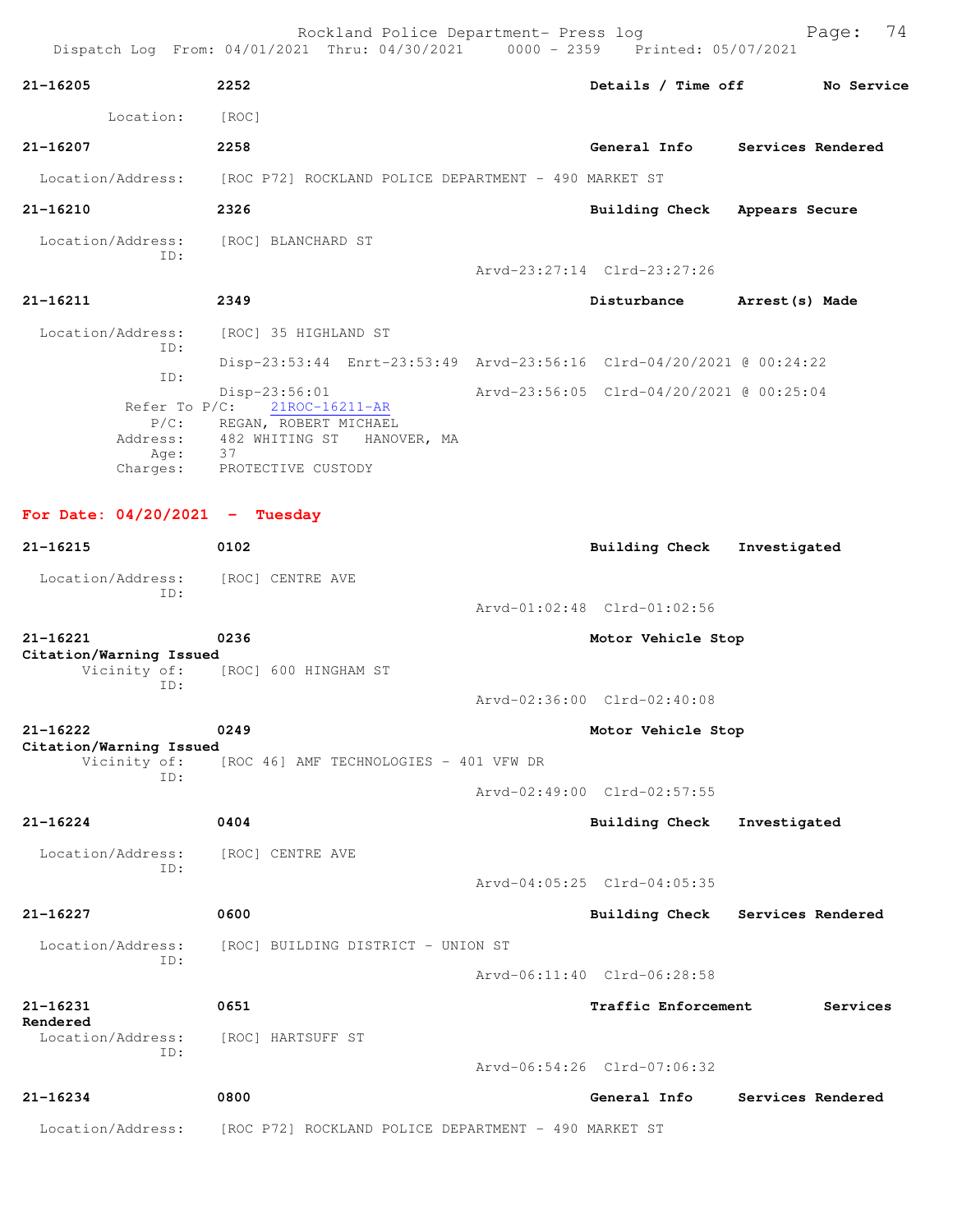Rockland Police Department- Press log Fage: 74 Dispatch Log From: 04/01/2021 Thru: 04/30/2021 0000 - 2359 Printed: 05/07/2021 **21-16205 2252 Details / Time off No Service** Location: [ROC] **21-16207 2258 General Info Services Rendered** Location/Address: [ROC P72] ROCKLAND POLICE DEPARTMENT - 490 MARKET ST **21-16210 2326 Building Check Appears Secure** Location/Address: [ROC] BLANCHARD ST ID: Arvd-23:27:14 Clrd-23:27:26 **21-16211 2349 Disturbance Arrest(s) Made** Location/Address: [ROC] 35 HIGHLAND ST ID: Disp-23:53:44 Enrt-23:53:49 Arvd-23:56:16 Clrd-04/20/2021 @ 00:24:22 ID: Disp-23:56:01 Arvd-23:56:05 Clrd-04/20/2021 @ 00:25:04 Refer To P/C:  $21ROC-16211-AR$  P/C: REGAN, ROBERT MICHAEL Address: 482 WHITING ST HANOVER, MA Age: Charges: PROTECTIVE CUSTODY **For Date: 04/20/2021 - Tuesday 21-16215 0102 Building Check Investigated** Location/Address: [ROC] CENTRE AVE ID: Arvd-01:02:48 Clrd-01:02:56 **21-16221 0236 Motor Vehicle Stop Citation/Warning Issued**  Vicinity of: [ROC] 600 HINGHAM ST ID: Arvd-02:36:00 Clrd-02:40:08 **21-16222 0249 Motor Vehicle Stop Citation/Warning Issued**  Vicinity of: [ROC 46] AMF TECHNOLOGIES - 401 VFW DR ID: Arvd-02:49:00 Clrd-02:57:55 **21-16224 0404 Building Check Investigated** Location/Address: [ROC] CENTRE AVE ID: Arvd-04:05:25 Clrd-04:05:35 **21-16227 0600 Building Check Services Rendered** Location/Address: [ROC] BUILDING DISTRICT - UNION ST ID: Arvd-06:11:40 Clrd-06:28:58 **21-16231 0651 Traffic Enforcement Services Rendered**  Location/Address: [ROC] HARTSUFF ST ID: Arvd-06:54:26 Clrd-07:06:32 **21-16234 0800 General Info Services Rendered**

Location/Address: [ROC P72] ROCKLAND POLICE DEPARTMENT - 490 MARKET ST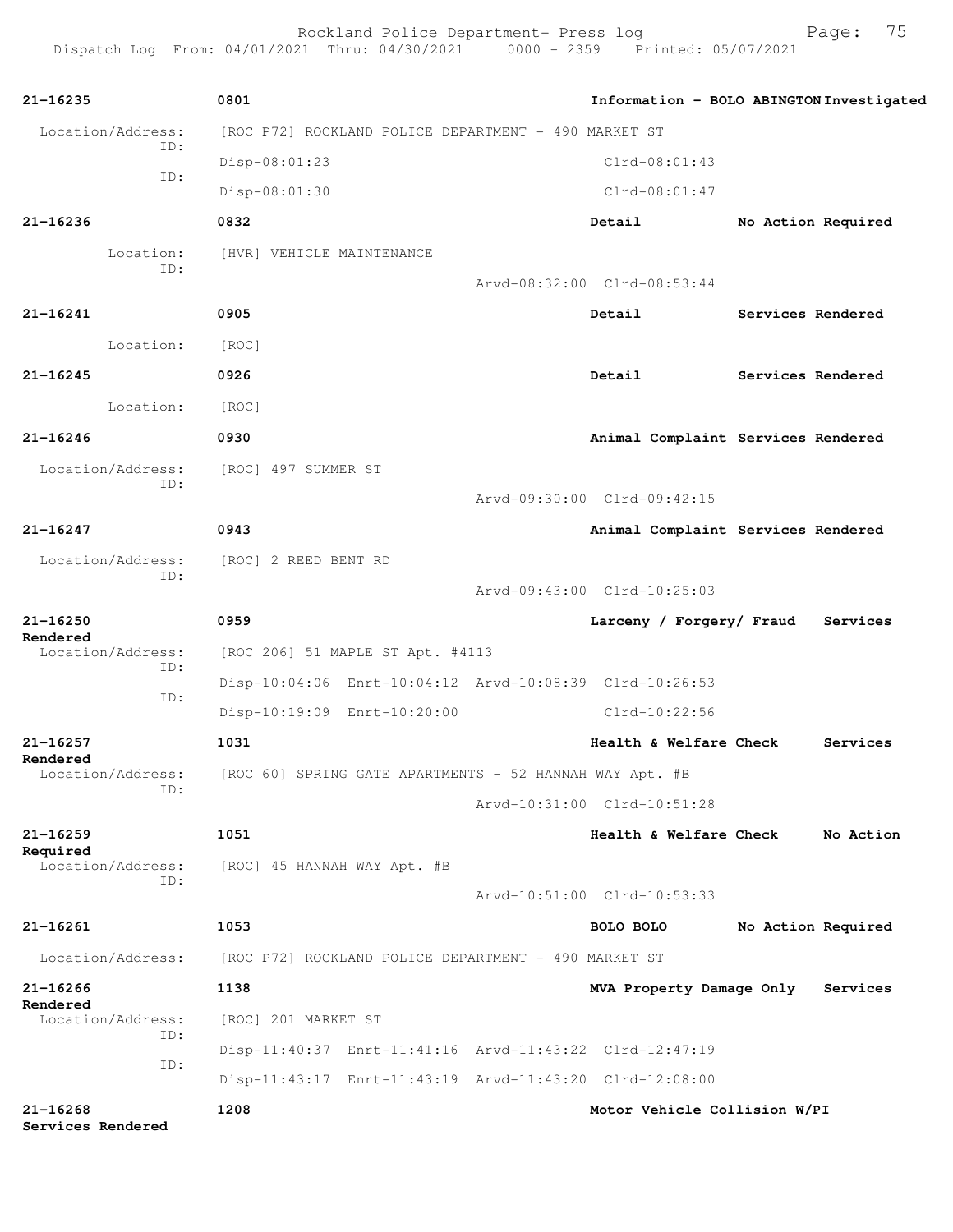Rockland Police Department- Press log Frank Page: 75 Dispatch Log From: 04/01/2021 Thru: 04/30/2021 0000 - 2359 Printed: 05/07/2021

**21-16235 0801 Information - BOLO ABINGTON Investigated** Location/Address: [ROC P72] ROCKLAND POLICE DEPARTMENT - 490 MARKET ST ID: Disp-08:01:23 Clrd-08:01:43 ID: Disp-08:01:30 Clrd-08:01:47 **21-16236 0832 Detail No Action Required** Location: [HVR] VEHICLE MAINTENANCE ID: Arvd-08:32:00 Clrd-08:53:44 **21-16241 0905 Detail Services Rendered** Location: [ROC] **21-16245 0926 Detail Services Rendered** Location: [ROC] **21-16246 0930 Animal Complaint Services Rendered** Location/Address: [ROC] 497 SUMMER ST ID: Arvd-09:30:00 Clrd-09:42:15 **21-16247 0943 Animal Complaint Services Rendered** Location/Address: [ROC] 2 REED BENT RD ID: Arvd-09:43:00 Clrd-10:25:03 **21-16250 0959 Larceny / Forgery/ Fraud Services Rendered**  Location/Address: [ROC 206] 51 MAPLE ST Apt. #4113 ID: Disp-10:04:06 Enrt-10:04:12 Arvd-10:08:39 Clrd-10:26:53 ID: Disp-10:19:09 Enrt-10:20:00 Clrd-10:22:56 **21-16257 1031 Health & Welfare Check Services Rendered**  Location/Address: [ROC 60] SPRING GATE APARTMENTS - 52 HANNAH WAY Apt. #B ID: Arvd-10:31:00 Clrd-10:51:28 **21-16259 1051 Health & Welfare Check No Action Required**  Location/Address: [ROC] 45 HANNAH WAY Apt. #B ID: Arvd-10:51:00 Clrd-10:53:33 **21-16261 1053 BOLO BOLO No Action Required** Location/Address: [ROC P72] ROCKLAND POLICE DEPARTMENT - 490 MARKET ST **21-16266 1138 MVA Property Damage Only Services Rendered**  Location/Address: [ROC] 201 MARKET ST ID: Disp-11:40:37 Enrt-11:41:16 Arvd-11:43:22 Clrd-12:47:19 ID: Disp-11:43:17 Enrt-11:43:19 Arvd-11:43:20 Clrd-12:08:00 **21-16268 1208 Motor Vehicle Collision W/PI Services Rendered**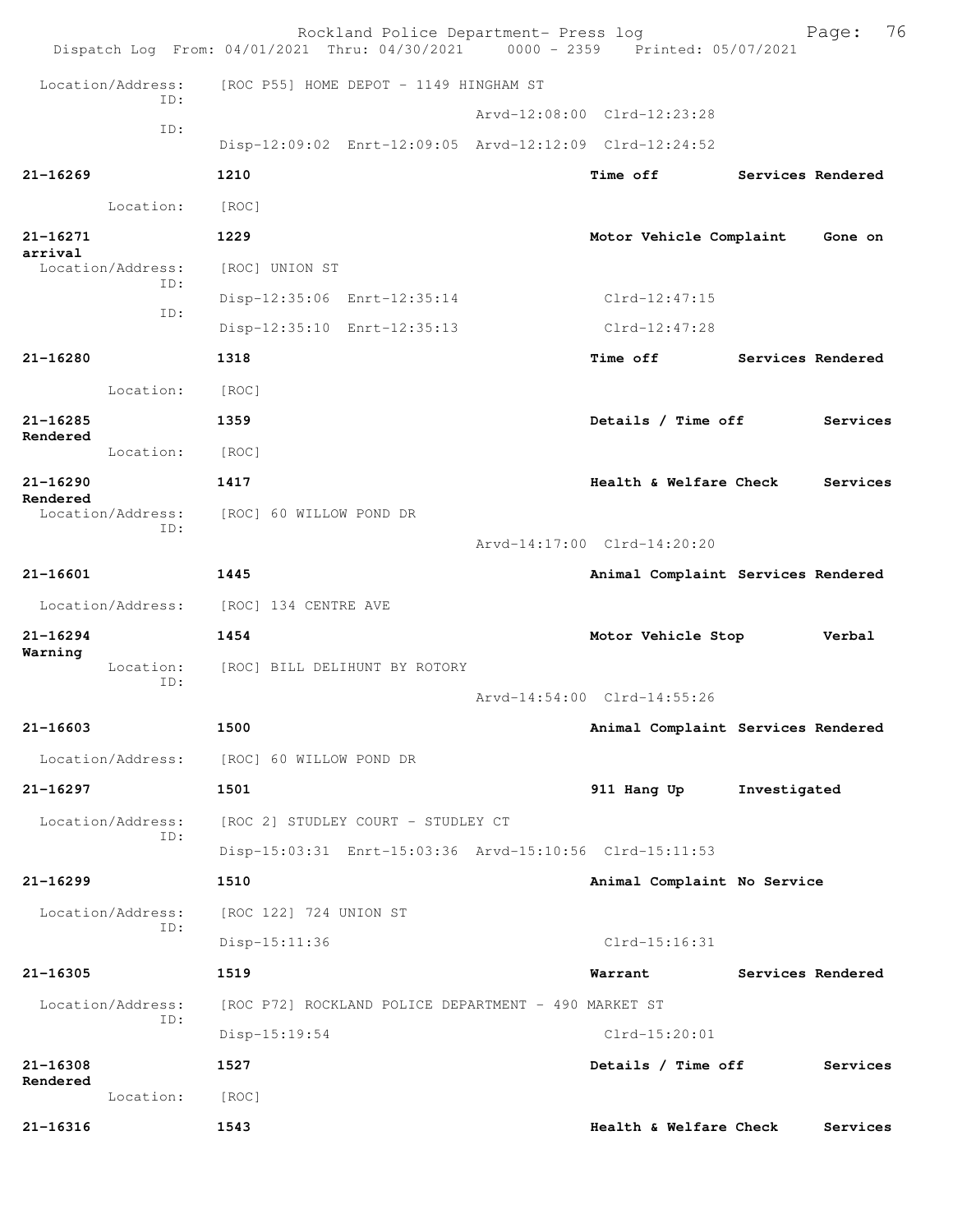|                               | Rockland Police Department- Press log<br>Dispatch Log From: 04/01/2021 Thru: 04/30/2021 0000 - 2359 Printed: 05/07/2021 |                             | 76<br>Page:                        |
|-------------------------------|-------------------------------------------------------------------------------------------------------------------------|-----------------------------|------------------------------------|
| Location/Address:             | [ROC P55] HOME DEPOT - 1149 HINGHAM ST                                                                                  |                             |                                    |
| TD:                           |                                                                                                                         | Arvd-12:08:00 Clrd-12:23:28 |                                    |
| ID:                           | Disp-12:09:02 Enrt-12:09:05 Arvd-12:12:09 Clrd-12:24:52                                                                 |                             |                                    |
| $21 - 16269$                  | 1210                                                                                                                    | <b>Time off</b>             | Services Rendered                  |
| Location:                     | [ROC]                                                                                                                   |                             |                                    |
| 21-16271                      | 1229                                                                                                                    | Motor Vehicle Complaint     | Gone on                            |
| arrival<br>Location/Address:  | [ROC] UNION ST                                                                                                          |                             |                                    |
| ID:<br>ID:                    | Disp-12:35:06 Enrt-12:35:14                                                                                             | $Clrd-12:47:15$             |                                    |
|                               | Disp-12:35:10 Enrt-12:35:13                                                                                             | $Clrd-12:47:28$             |                                    |
| 21-16280                      | 1318                                                                                                                    | <b>Time off</b>             | Services Rendered                  |
| Location:                     | [ROC]                                                                                                                   |                             |                                    |
| $21 - 16285$                  | 1359                                                                                                                    | Details / Time off          | Services                           |
| Rendered<br>Location:         | [ROC]                                                                                                                   |                             |                                    |
| $21 - 16290$                  | 1417                                                                                                                    | Health & Welfare Check      | Services                           |
| Rendered<br>Location/Address: | [ROC] 60 WILLOW POND DR                                                                                                 |                             |                                    |
| ID:                           |                                                                                                                         | Arvd-14:17:00 Clrd-14:20:20 |                                    |
| 21-16601                      | 1445                                                                                                                    |                             | Animal Complaint Services Rendered |
| Location/Address:             | [ROC] 134 CENTRE AVE                                                                                                    |                             |                                    |
| $21 - 16294$                  | 1454                                                                                                                    | Motor Vehicle Stop          | Verbal                             |
| Warning<br>Location:          | [ROC] BILL DELIHUNT BY ROTORY                                                                                           |                             |                                    |
| ID:                           |                                                                                                                         | Arvd-14:54:00 Clrd-14:55:26 |                                    |
| 21-16603                      | 1500                                                                                                                    |                             | Animal Complaint Services Rendered |
| Location/Address:             | [ROC] 60 WILLOW POND DR                                                                                                 |                             |                                    |
| $21 - 16297$                  | 1501                                                                                                                    | 911 Hang Up                 | Investigated                       |
| Location/Address:             | [ROC 2] STUDLEY COURT - STUDLEY CT                                                                                      |                             |                                    |
| ID:                           | Disp-15:03:31 Enrt-15:03:36 Arvd-15:10:56 Clrd-15:11:53                                                                 |                             |                                    |
| $21 - 16299$                  | 1510                                                                                                                    | Animal Complaint No Service |                                    |
| Location/Address:             | [ROC 122] 724 UNION ST                                                                                                  |                             |                                    |
| ID:                           | $Disp-15:11:36$                                                                                                         | $Clrd-15:16:31$             |                                    |
| 21-16305                      | 1519                                                                                                                    | Warrant                     | Services Rendered                  |
| Location/Address:             | [ROC P72] ROCKLAND POLICE DEPARTMENT - 490 MARKET ST                                                                    |                             |                                    |
| ID:                           | $Disp-15:19:54$                                                                                                         | $Clrd-15:20:01$             |                                    |
| 21-16308                      | 1527                                                                                                                    | Details / Time off          | Services                           |
| Rendered<br>Location:         | [ROC]                                                                                                                   |                             |                                    |
| 21-16316                      | 1543                                                                                                                    | Health & Welfare Check      | Services                           |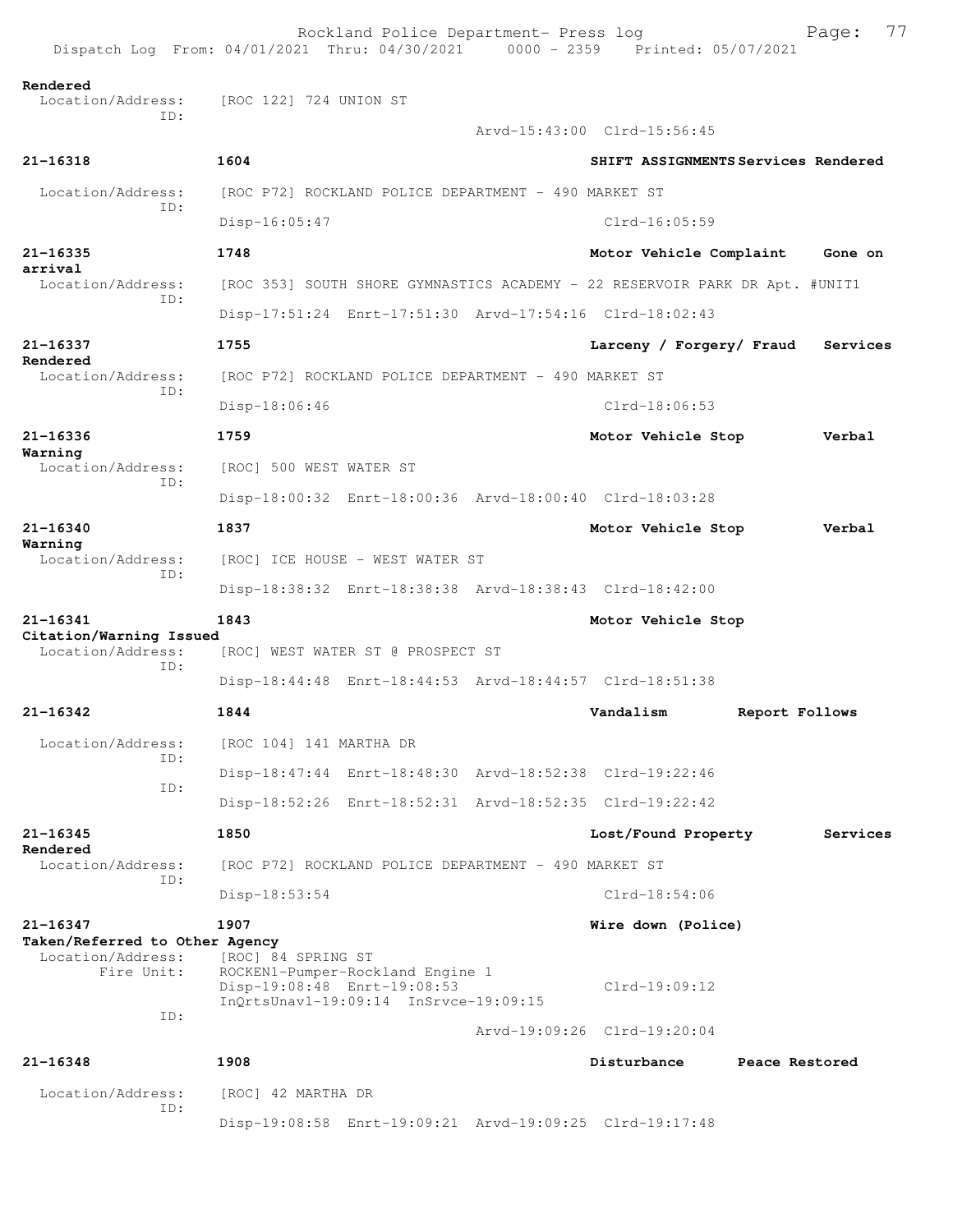| Dispatch Log From: 04/01/2021 Thru: 04/30/2021 0000 - 2359 Printed: 05/07/2021 |                                                   | Rockland Police Department- Press log                                     |                                                                             |                | 77<br>Page: |  |
|--------------------------------------------------------------------------------|---------------------------------------------------|---------------------------------------------------------------------------|-----------------------------------------------------------------------------|----------------|-------------|--|
| Rendered<br>Location/Address:                                                  | [ROC 122] 724 UNION ST                            |                                                                           |                                                                             |                |             |  |
| TD:                                                                            |                                                   |                                                                           | Arvd-15:43:00 Clrd-15:56:45                                                 |                |             |  |
| 21-16318                                                                       | 1604                                              |                                                                           | SHIFT ASSIGNMENTS Services Rendered                                         |                |             |  |
| Location/Address:                                                              |                                                   | [ROC P72] ROCKLAND POLICE DEPARTMENT - 490 MARKET ST                      |                                                                             |                |             |  |
| ID:                                                                            | Disp-16:05:47                                     |                                                                           | $Clrd-16:05:59$                                                             |                |             |  |
| $21 - 16335$                                                                   | 1748                                              |                                                                           | Motor Vehicle Complaint                                                     |                | Gone on     |  |
| arrival<br>Location/Address:                                                   |                                                   |                                                                           | [ROC 353] SOUTH SHORE GYMNASTICS ACADEMY - 22 RESERVOIR PARK DR Apt. #UNIT1 |                |             |  |
| ID:                                                                            |                                                   |                                                                           | Disp-17:51:24 Enrt-17:51:30 Arvd-17:54:16 Clrd-18:02:43                     |                |             |  |
| 21-16337                                                                       | 1755                                              |                                                                           | Larceny / Forgery/ Fraud                                                    |                | Services    |  |
| Rendered<br>Location/Address:                                                  |                                                   | [ROC P72] ROCKLAND POLICE DEPARTMENT - 490 MARKET ST                      |                                                                             |                |             |  |
| ID:                                                                            | $Disp-18:06:46$                                   |                                                                           | $Clrd-18:06:53$                                                             |                |             |  |
| 21-16336                                                                       | 1759                                              |                                                                           | Motor Vehicle Stop                                                          |                | Verbal      |  |
| Warning<br>Location/Address:                                                   | [ROC] 500 WEST WATER ST                           |                                                                           |                                                                             |                |             |  |
| ID:                                                                            |                                                   |                                                                           | Disp-18:00:32 Enrt-18:00:36 Arvd-18:00:40 Clrd-18:03:28                     |                |             |  |
| $21 - 16340$<br>Warning<br>Location/Address:<br>ID:                            | 1837                                              |                                                                           | Motor Vehicle Stop                                                          |                | Verbal      |  |
|                                                                                |                                                   | [ROC] ICE HOUSE - WEST WATER ST                                           |                                                                             |                |             |  |
|                                                                                |                                                   |                                                                           | Disp-18:38:32 Enrt-18:38:38 Arvd-18:38:43 Clrd-18:42:00                     |                |             |  |
| $21 - 16341$<br>Citation/Warning Issued                                        | 1843                                              |                                                                           | Motor Vehicle Stop                                                          |                |             |  |
| Location/Address:<br>ID:                                                       |                                                   | [ROC] WEST WATER ST @ PROSPECT ST                                         |                                                                             |                |             |  |
|                                                                                |                                                   |                                                                           | Disp-18:44:48 Enrt-18:44:53 Arvd-18:44:57 Clrd-18:51:38                     |                |             |  |
| 21-16342                                                                       | 1844                                              |                                                                           | Vandalism                                                                   | Report Follows |             |  |
| Location/Address:<br>TD:                                                       | [ROC 104] 141 MARTHA DR                           |                                                                           |                                                                             |                |             |  |
| ID:                                                                            |                                                   |                                                                           | Disp-18:47:44 Enrt-18:48:30 Arvd-18:52:38 Clrd-19:22:46                     |                |             |  |
|                                                                                |                                                   |                                                                           | Disp-18:52:26 Enrt-18:52:31 Arvd-18:52:35 Clrd-19:22:42                     |                |             |  |
| $21 - 16345$<br>Rendered                                                       | 1850                                              |                                                                           | Lost/Found Property                                                         |                | Services    |  |
| Location/Address:<br>TD:                                                       |                                                   | [ROC P72] ROCKLAND POLICE DEPARTMENT - 490 MARKET ST                      |                                                                             |                |             |  |
|                                                                                | Disp-18:53:54                                     |                                                                           | $Clrd-18:54:06$                                                             |                |             |  |
| 21-16347<br>Taken/Referred to Other Agency                                     | 1907                                              |                                                                           | Wire down (Police)                                                          |                |             |  |
| Location/Address:<br>Fire Unit:<br>ID:                                         | [ROC] 84 SPRING ST<br>Disp-19:08:48 Enrt-19:08:53 | ROCKEN1-Pumper-Rockland Engine 1<br>InOrtsUnavl-19:09:14 InSrvce-19:09:15 | $Clrd-19:09:12$                                                             |                |             |  |
|                                                                                |                                                   |                                                                           | Arvd-19:09:26 Clrd-19:20:04                                                 |                |             |  |
| $21 - 16348$                                                                   | 1908                                              |                                                                           | Disturbance                                                                 | Peace Restored |             |  |
| Location/Address:<br>ID:                                                       | [ROC] 42 MARTHA DR                                |                                                                           |                                                                             |                |             |  |
|                                                                                |                                                   |                                                                           | Disp-19:08:58 Enrt-19:09:21 Arvd-19:09:25 Clrd-19:17:48                     |                |             |  |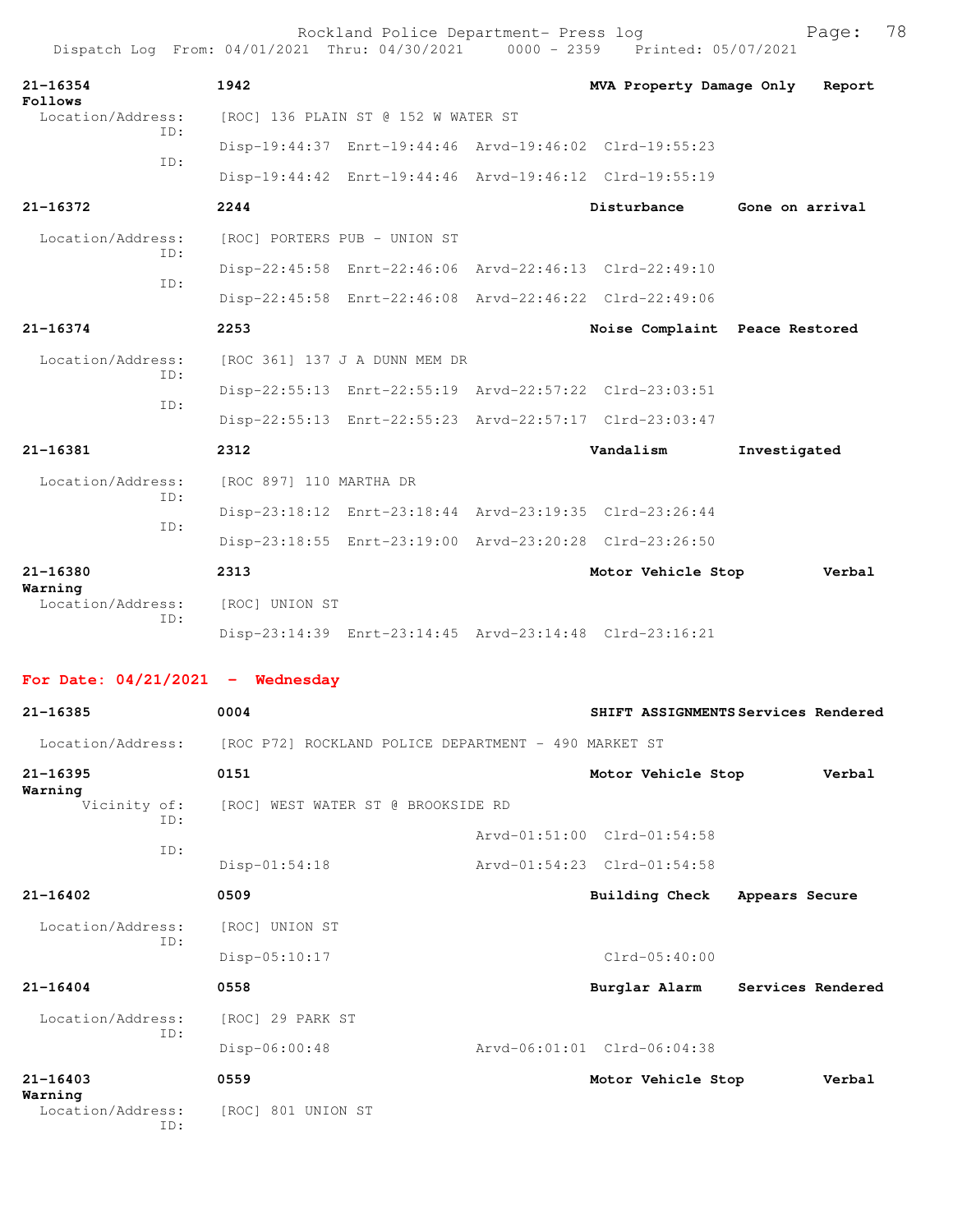| Dispatch Log From: 04/01/2021 Thru: 04/30/2021 0000 - 2359 Printed: 05/07/2021 |                              | Rockland Police Department- Press log                |                                                         | 78<br>Page:                         |
|--------------------------------------------------------------------------------|------------------------------|------------------------------------------------------|---------------------------------------------------------|-------------------------------------|
| 21-16354<br>Follows                                                            | 1942                         |                                                      | MVA Property Damage Only                                | Report                              |
| Location/Address:                                                              |                              | [ROC] 136 PLAIN ST @ 152 W WATER ST                  |                                                         |                                     |
| TD:                                                                            |                              |                                                      | Disp-19:44:37 Enrt-19:44:46 Arvd-19:46:02 Clrd-19:55:23 |                                     |
| TD:                                                                            |                              |                                                      | Disp-19:44:42 Enrt-19:44:46 Arvd-19:46:12 Clrd-19:55:19 |                                     |
| $21 - 16372$                                                                   | 2244                         |                                                      | Disturbance                                             | Gone on arrival                     |
| Location/Address:                                                              | [ROC] PORTERS PUB - UNION ST |                                                      |                                                         |                                     |
| ID:                                                                            |                              |                                                      | Disp-22:45:58 Enrt-22:46:06 Arvd-22:46:13 Clrd-22:49:10 |                                     |
| ID:                                                                            |                              |                                                      | Disp-22:45:58 Enrt-22:46:08 Arvd-22:46:22 Clrd-22:49:06 |                                     |
| $21 - 16374$                                                                   | 2253                         |                                                      | Noise Complaint Peace Restored                          |                                     |
| Location/Address:                                                              |                              | [ROC 361] 137 J A DUNN MEM DR                        |                                                         |                                     |
| ID:                                                                            |                              |                                                      | Disp-22:55:13 Enrt-22:55:19 Arvd-22:57:22 Clrd-23:03:51 |                                     |
| ID:                                                                            |                              |                                                      | Disp-22:55:13 Enrt-22:55:23 Arvd-22:57:17 Clrd-23:03:47 |                                     |
| 21-16381                                                                       | 2312                         |                                                      | Vandalism                                               | Investigated                        |
| Location/Address:                                                              | [ROC 897] 110 MARTHA DR      |                                                      |                                                         |                                     |
| ID:                                                                            |                              |                                                      | Disp-23:18:12 Enrt-23:18:44 Arvd-23:19:35 Clrd-23:26:44 |                                     |
| ID:                                                                            |                              |                                                      | Disp-23:18:55 Enrt-23:19:00 Arvd-23:20:28 Clrd-23:26:50 |                                     |
| $21 - 16380$                                                                   | 2313                         |                                                      | Motor Vehicle Stop                                      | Verbal                              |
| Warning<br>Location/Address:                                                   | [ROC] UNION ST               |                                                      |                                                         |                                     |
| ID:                                                                            |                              |                                                      | Disp-23:14:39 Enrt-23:14:45 Arvd-23:14:48 Clrd-23:16:21 |                                     |
| For Date: $04/21/2021$ - Wednesday                                             |                              |                                                      |                                                         |                                     |
| 21-16385                                                                       | 0004                         |                                                      |                                                         | SHIFT ASSIGNMENTS Services Rendered |
| Location/Address:                                                              |                              | [ROC P72] ROCKLAND POLICE DEPARTMENT - 490 MARKET ST |                                                         |                                     |
| 21-16395                                                                       | 0151                         |                                                      | Motor Vehicle Stop                                      | Verbal                              |
| Warning<br>Vicinity of:                                                        |                              | [ROC] WEST WATER ST @ BROOKSIDE RD                   |                                                         |                                     |
| ID:                                                                            |                              |                                                      | Arvd-01:51:00 Clrd-01:54:58                             |                                     |
| ID:                                                                            | Disp-01:54:18                |                                                      | Arvd-01:54:23 Clrd-01:54:58                             |                                     |
| $21 - 16402$                                                                   | 0509                         |                                                      | <b>Building Check</b>                                   | Appears Secure                      |
| Location/Address:                                                              | [ROC] UNION ST               |                                                      |                                                         |                                     |
| ID:                                                                            | Disp-05:10:17                |                                                      | $Clrd-05:40:00$                                         |                                     |
| 21-16404                                                                       | 0558                         |                                                      | Burglar Alarm                                           | Services Rendered                   |
| Location/Address:                                                              | [ROC] 29 PARK ST             |                                                      |                                                         |                                     |
| ID:                                                                            | Disp-06:00:48                |                                                      | Arvd-06:01:01 Clrd-06:04:38                             |                                     |
| 21-16403                                                                       | 0559                         |                                                      | Motor Vehicle Stop                                      | Verbal                              |
| Warning<br>Location/Address:<br>ID:                                            | [ROC] 801 UNION ST           |                                                      |                                                         |                                     |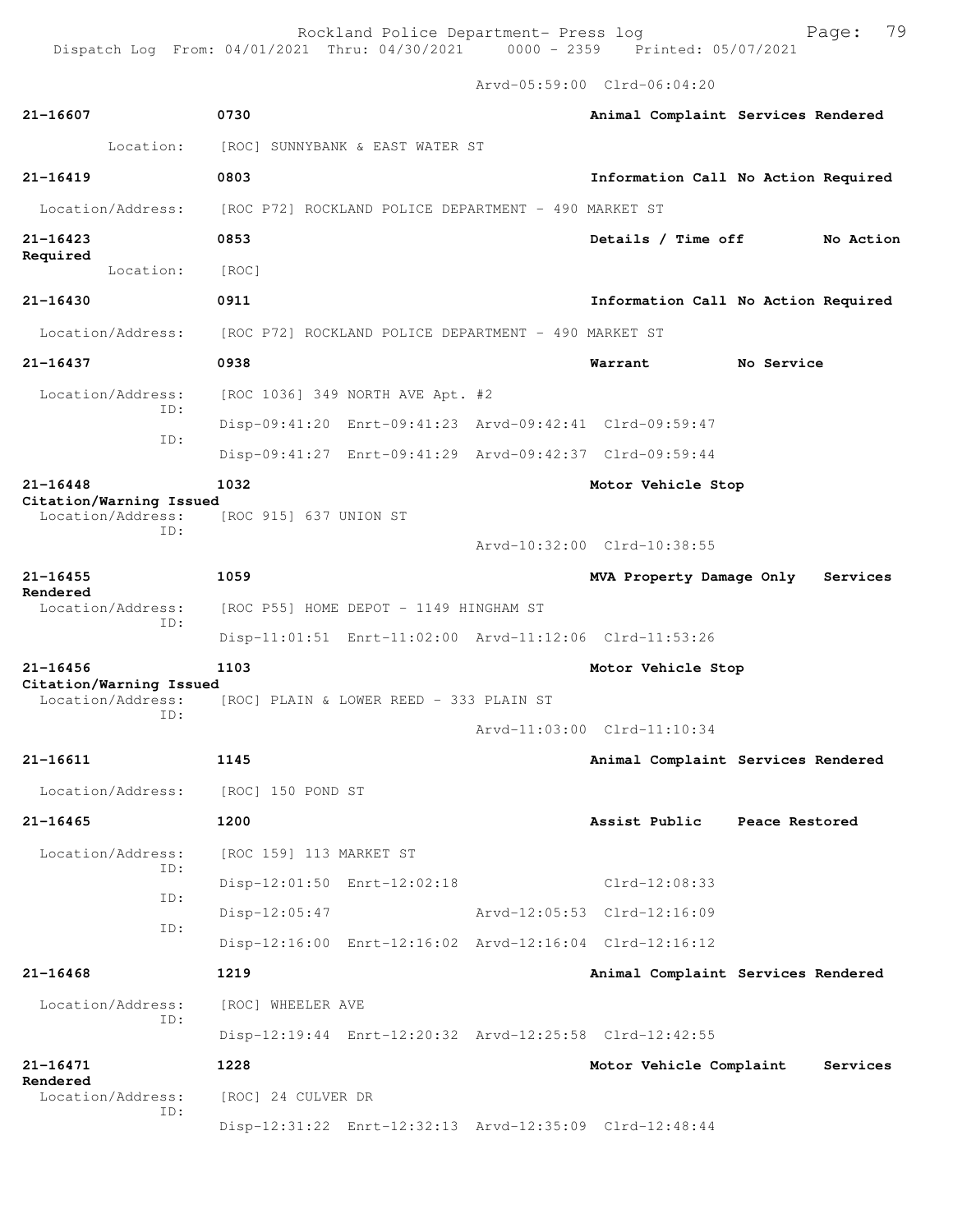Arvd-05:59:00 Clrd-06:04:20

| 21-16607                                            | 0730                                                    |                             | Animal Complaint Services Rendered  |
|-----------------------------------------------------|---------------------------------------------------------|-----------------------------|-------------------------------------|
| Location:                                           | [ROC] SUNNYBANK & EAST WATER ST                         |                             |                                     |
| $21 - 16419$                                        | 0803                                                    |                             | Information Call No Action Required |
| Location/Address:                                   | [ROC P72] ROCKLAND POLICE DEPARTMENT - 490 MARKET ST    |                             |                                     |
| $21 - 16423$                                        | 0853                                                    | Details / Time off          | No Action                           |
| Required<br>Location:                               | [ROC]                                                   |                             |                                     |
| $21 - 16430$                                        | 0911                                                    |                             | Information Call No Action Required |
| Location/Address:                                   | [ROC P72] ROCKLAND POLICE DEPARTMENT - 490 MARKET ST    |                             |                                     |
| 21-16437                                            | 0938                                                    | Warrant                     | No Service                          |
| Location/Address:                                   | [ROC 1036] 349 NORTH AVE Apt. #2                        |                             |                                     |
| ID:                                                 | Disp-09:41:20 Enrt-09:41:23 Arvd-09:42:41 Clrd-09:59:47 |                             |                                     |
| ID:                                                 | Disp-09:41:27 Enrt-09:41:29 Arvd-09:42:37 Clrd-09:59:44 |                             |                                     |
| $21 - 16448$                                        | 1032                                                    | Motor Vehicle Stop          |                                     |
| Citation/Warning Issued<br>Location/Address:<br>ID: | [ROC 915] 637 UNION ST                                  |                             |                                     |
|                                                     |                                                         | Arvd-10:32:00 Clrd-10:38:55 |                                     |
| $21 - 16455$<br>Rendered                            | 1059                                                    | MVA Property Damage Only    | Services                            |
| Location/Address:<br>TD:                            | [ROC P55] HOME DEPOT - 1149 HINGHAM ST                  |                             |                                     |
|                                                     | Disp-11:01:51 Enrt-11:02:00 Arvd-11:12:06 Clrd-11:53:26 |                             |                                     |
| $21 - 16456$<br>Citation/Warning Issued             | 1103                                                    | Motor Vehicle Stop          |                                     |
| Location/Address:<br>ID:                            | [ROC] PLAIN & LOWER REED - 333 PLAIN ST                 |                             |                                     |
|                                                     |                                                         | Arvd-11:03:00 Clrd-11:10:34 |                                     |
| 21-16611                                            | 1145                                                    |                             | Animal Complaint Services Rendered  |
| Location/Address:                                   | [ROC] 150 POND ST                                       |                             |                                     |
| $21 - 16465$                                        | 1200                                                    | Assist Public               | Peace Restored                      |
| Location/Address:<br>TD:                            | [ROC 159] 113 MARKET ST                                 |                             |                                     |
| ID:                                                 | Disp-12:01:50 Enrt-12:02:18                             | $Clrd-12:08:33$             |                                     |
| ID:                                                 | Disp-12:05:47                                           | Arvd-12:05:53 Clrd-12:16:09 |                                     |
|                                                     | Disp-12:16:00 Enrt-12:16:02 Arvd-12:16:04 Clrd-12:16:12 |                             |                                     |
| $21 - 16468$                                        | 1219                                                    |                             | Animal Complaint Services Rendered  |
| Location/Address:<br>ID:                            | [ROC] WHEELER AVE                                       |                             |                                     |
|                                                     | Disp-12:19:44 Enrt-12:20:32 Arvd-12:25:58 Clrd-12:42:55 |                             |                                     |
| $21 - 16471$<br>Rendered                            | 1228                                                    | Motor Vehicle Complaint     | Services                            |
| Location/Address:<br>ID:                            | [ROC] 24 CULVER DR                                      |                             |                                     |
|                                                     | Disp-12:31:22 Enrt-12:32:13 Arvd-12:35:09 Clrd-12:48:44 |                             |                                     |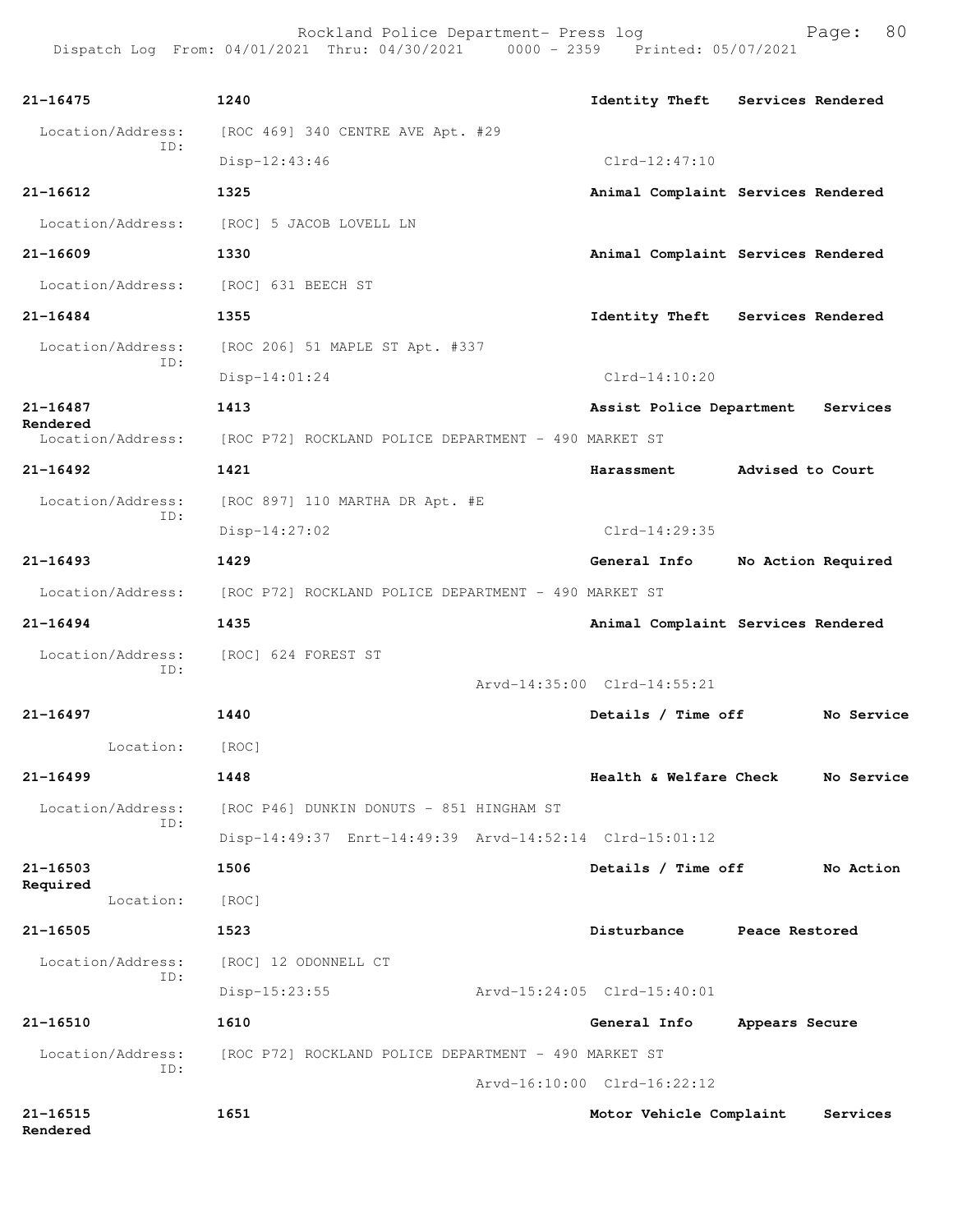Rockland Police Department- Press log entitled and Page: 80 Dispatch Log From: 04/01/2021 Thru: 04/30/2021 0000 - 2359 Printed: 05/07/2021

| $21 - 16475$                  | 1240                                                                   |                             | Identity Theft Services Rendered   |
|-------------------------------|------------------------------------------------------------------------|-----------------------------|------------------------------------|
| Location/Address:             | [ROC 469] 340 CENTRE AVE Apt. #29                                      |                             |                                    |
| ID:                           | Disp-12:43:46                                                          | $Clrd-12:47:10$             |                                    |
| $21 - 16612$                  | 1325                                                                   |                             | Animal Complaint Services Rendered |
|                               | Location/Address: [ROC] 5 JACOB LOVELL LN                              |                             |                                    |
| 21-16609                      | 1330                                                                   |                             | Animal Complaint Services Rendered |
|                               | Location/Address: [ROC] 631 BEECH ST                                   |                             |                                    |
| $21 - 16484$                  | 1355                                                                   |                             | Identity Theft Services Rendered   |
| Location/Address:             | [ROC 206] 51 MAPLE ST Apt. #337                                        |                             |                                    |
| ID:                           | Disp-14:01:24                                                          | $Clrd-14:10:20$             |                                    |
| $21 - 16487$                  | 1413                                                                   | Assist Police Department    | Services                           |
| Rendered<br>Location/Address: | [ROC P72] ROCKLAND POLICE DEPARTMENT - 490 MARKET ST                   |                             |                                    |
| $21 - 16492$                  | 1421                                                                   | <b>Harassment</b>           | Advised to Court                   |
| Location/Address:             | [ROC 897] 110 MARTHA DR Apt. #E                                        |                             |                                    |
| ID:                           | $Disp-14:27:02$                                                        | $Clrd-14:29:35$             |                                    |
| $21 - 16493$                  | 1429                                                                   | General Info                | No Action Required                 |
|                               | Location/Address: [ROC P72] ROCKLAND POLICE DEPARTMENT - 490 MARKET ST |                             |                                    |
| $21 - 16494$                  | 1435                                                                   |                             | Animal Complaint Services Rendered |
| Location/Address:             | [ROC] 624 FOREST ST                                                    |                             |                                    |
| ID:                           |                                                                        | Arvd-14:35:00 Clrd-14:55:21 |                                    |
| $21 - 16497$                  | 1440                                                                   | Details / Time off          | No Service                         |
| Location: [ROC]               |                                                                        |                             |                                    |
| 21-16499                      | 1448                                                                   | Health & Welfare Check      | No Service                         |
| Location/Address:             | [ROC P46] DUNKIN DONUTS - 851 HINGHAM ST                               |                             |                                    |
| ID:                           | Disp-14:49:37 Enrt-14:49:39 Arvd-14:52:14 Clrd-15:01:12                |                             |                                    |
| $21 - 16503$                  | 1506                                                                   | Details / Time off          | No Action                          |
| Required<br>Location:         | [ROC]                                                                  |                             |                                    |
| $21 - 16505$                  | 1523                                                                   | Disturbance                 | Peace Restored                     |
| Location/Address:             | [ROC] 12 ODONNELL CT                                                   |                             |                                    |
| ID:                           | Disp-15:23:55                                                          | Arvd-15:24:05 Clrd-15:40:01 |                                    |
| 21-16510                      | 1610                                                                   | General Info                | Appears Secure                     |
| Location/Address:             | [ROC P72] ROCKLAND POLICE DEPARTMENT - 490 MARKET ST                   |                             |                                    |
| ID:                           |                                                                        | Arvd-16:10:00 Clrd-16:22:12 |                                    |
| 21-16515<br>Rendered          | 1651                                                                   | Motor Vehicle Complaint     | Services                           |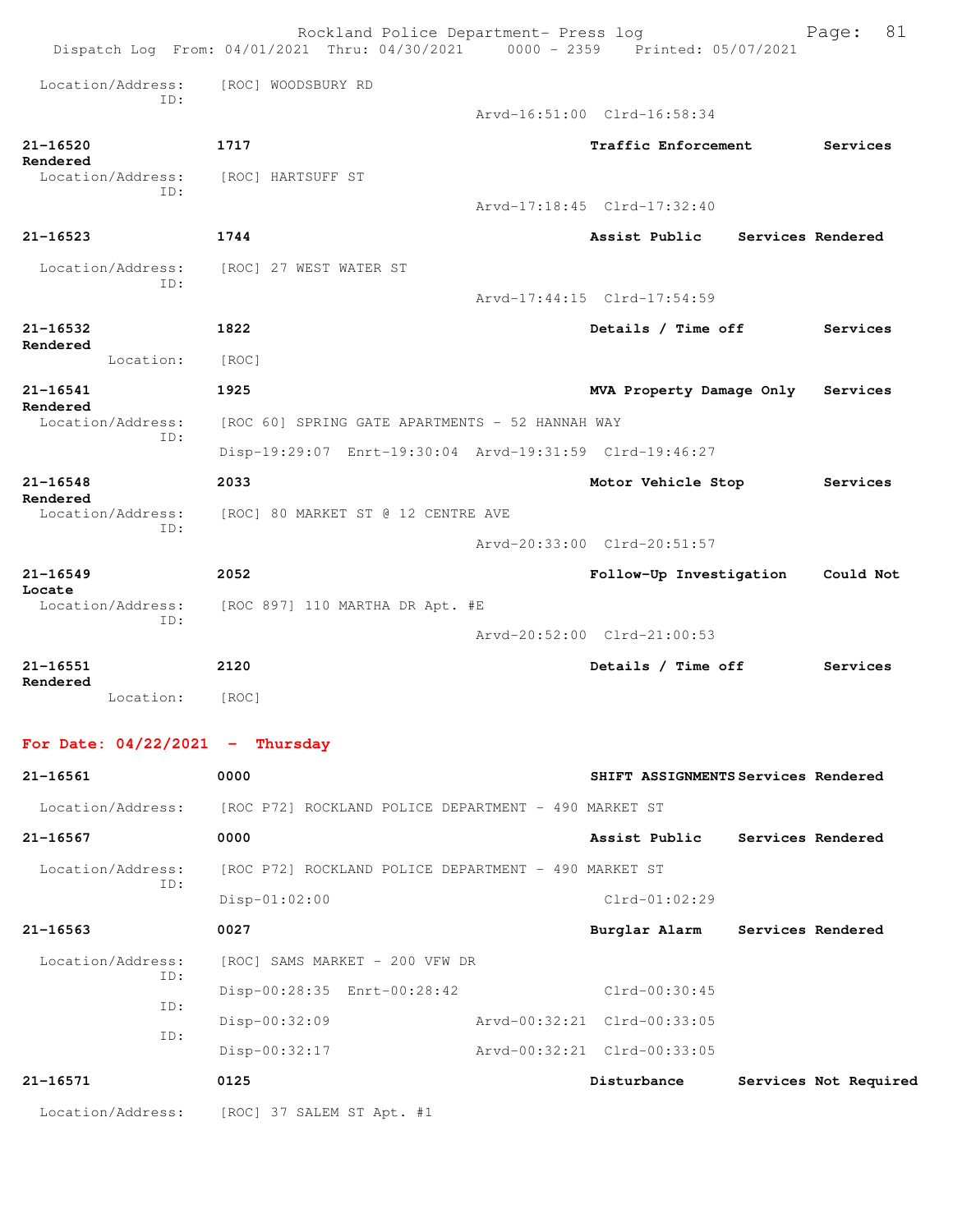|                                   | Rockland Police Department- Press log<br>Dispatch Log From: 04/01/2021 Thru: 04/30/2021 0000 - 2359 Printed: 05/07/2021 |  |                                     |                   | 81<br>Page:           |  |
|-----------------------------------|-------------------------------------------------------------------------------------------------------------------------|--|-------------------------------------|-------------------|-----------------------|--|
| Location/Address:<br>TD:          | [ROC] WOODSBURY RD                                                                                                      |  | Arvd-16:51:00 Clrd-16:58:34         |                   |                       |  |
|                                   |                                                                                                                         |  |                                     |                   |                       |  |
| 21-16520<br>Rendered              | 1717                                                                                                                    |  | Traffic Enforcement                 |                   | Services              |  |
| Location/Address:<br>ID:          | [ROC] HARTSUFF ST                                                                                                       |  | Arvd-17:18:45 Clrd-17:32:40         |                   |                       |  |
| $21 - 16523$                      | 1744                                                                                                                    |  | Assist Public                       | Services Rendered |                       |  |
| Location/Address:<br>ID:          | [ROC] 27 WEST WATER ST                                                                                                  |  |                                     |                   |                       |  |
|                                   |                                                                                                                         |  | Arvd-17:44:15 Clrd-17:54:59         |                   |                       |  |
| $21 - 16532$<br>Rendered          | 1822                                                                                                                    |  | Details / Time off                  |                   | Services              |  |
| Location:                         | [ROC]                                                                                                                   |  |                                     |                   |                       |  |
| 21-16541<br>Rendered              | 1925                                                                                                                    |  | MVA Property Damage Only            |                   | Services              |  |
| Location/Address:<br>ID:          | [ROC 60] SPRING GATE APARTMENTS - 52 HANNAH WAY                                                                         |  |                                     |                   |                       |  |
|                                   | Disp-19:29:07 Enrt-19:30:04 Arvd-19:31:59 Clrd-19:46:27                                                                 |  |                                     |                   |                       |  |
| $21 - 16548$<br>Rendered          | 2033                                                                                                                    |  | Motor Vehicle Stop                  |                   | Services              |  |
| Location/Address:<br>TD:          | [ROC] 80 MARKET ST @ 12 CENTRE AVE                                                                                      |  |                                     |                   |                       |  |
|                                   |                                                                                                                         |  | Arvd-20:33:00 Clrd-20:51:57         |                   |                       |  |
| $21 - 16549$                      | 2052                                                                                                                    |  | Follow-Up Investigation             |                   | Could Not             |  |
| Locate<br>Location/Address:       | [ROC 897] 110 MARTHA DR Apt. #E                                                                                         |  |                                     |                   |                       |  |
| ID:                               |                                                                                                                         |  | Arvd-20:52:00 Clrd-21:00:53         |                   |                       |  |
| $21 - 16551$                      | 2120                                                                                                                    |  | Details / Time off                  |                   | Services              |  |
| Rendered<br>Location:             | [ROC]                                                                                                                   |  |                                     |                   |                       |  |
| For Date: $04/22/2021$ - Thursday |                                                                                                                         |  |                                     |                   |                       |  |
| 21-16561                          | 0000                                                                                                                    |  | SHIFT ASSIGNMENTS Services Rendered |                   |                       |  |
| Location/Address:                 | [ROC P72] ROCKLAND POLICE DEPARTMENT - 490 MARKET ST                                                                    |  |                                     |                   |                       |  |
| $21 - 16567$                      | 0000                                                                                                                    |  | Assist Public                       | Services Rendered |                       |  |
| Location/Address:                 | [ROC P72] ROCKLAND POLICE DEPARTMENT - 490 MARKET ST                                                                    |  |                                     |                   |                       |  |
| ID:                               | $Disp-01:02:00$                                                                                                         |  | $C1rd-01:02:29$                     |                   |                       |  |
| $21 - 16563$                      | 0027                                                                                                                    |  | Burglar Alarm                       | Services Rendered |                       |  |
| Location/Address:                 | [ROC] SAMS MARKET - 200 VFW DR                                                                                          |  |                                     |                   |                       |  |
| ID:                               | Disp-00:28:35 Enrt-00:28:42                                                                                             |  | Clrd-00:30:45                       |                   |                       |  |
| ID:                               | Disp-00:32:09                                                                                                           |  | Arvd-00:32:21 Clrd-00:33:05         |                   |                       |  |
| ID:                               | Disp-00:32:17                                                                                                           |  | Arvd-00:32:21 Clrd-00:33:05         |                   |                       |  |
| 21-16571                          | 0125                                                                                                                    |  | Disturbance                         |                   | Services Not Required |  |
|                                   | Location/Address: [ROC] 37 SALEM ST Apt. #1                                                                             |  |                                     |                   |                       |  |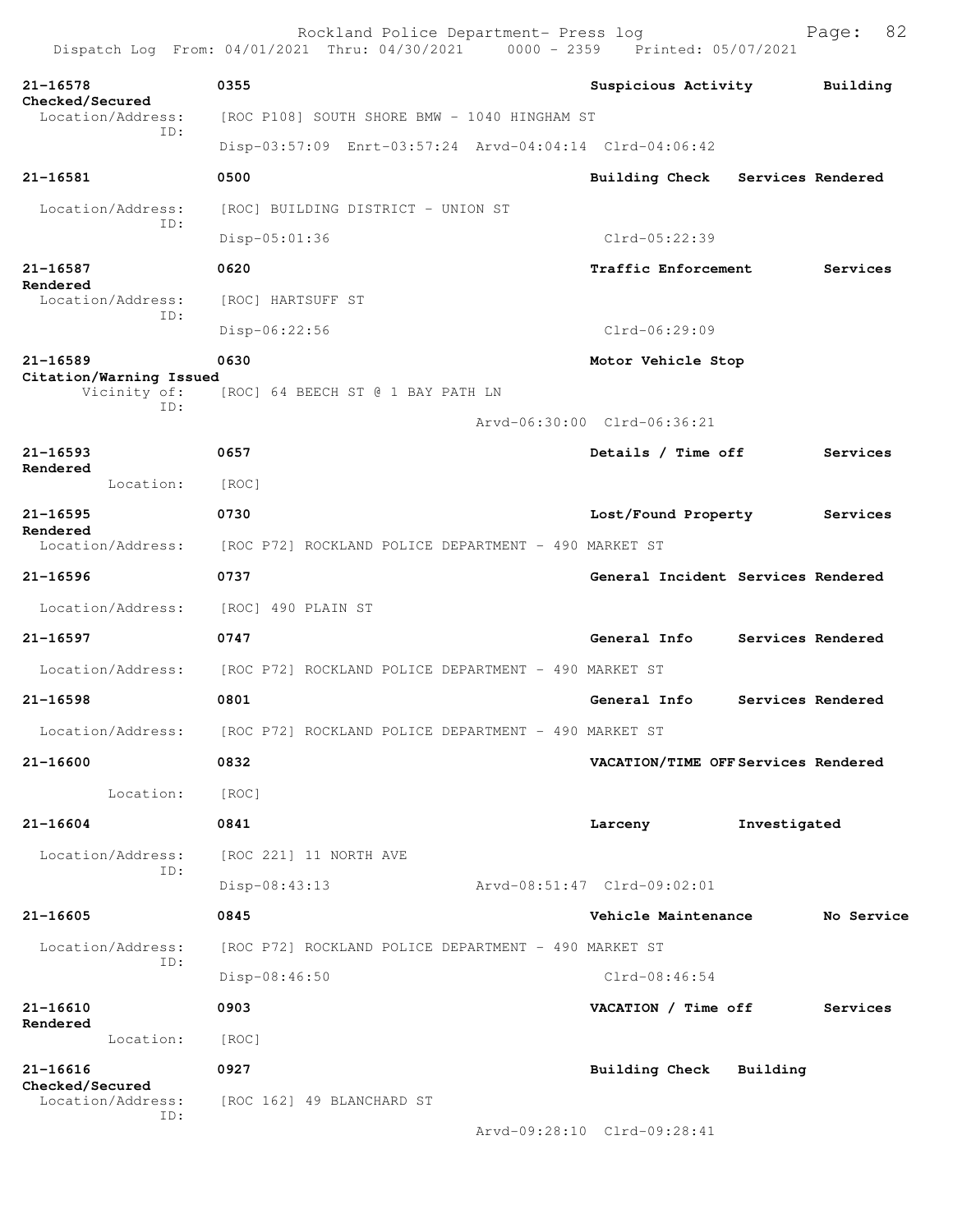Rockland Police Department- Press log Bookland Police Department- Press log<br>21 Thru: 04/30/2021 0000 - 2359 Printed: 05/07/2021 Dispatch Log From: 04/01/2021 Thru: 04/30/2021 **21-16578 0355 Suspicious Activity Building Checked/Secured**  Location/Address: [ROC P108] SOUTH SHORE BMW - 1040 HINGHAM ST ID: Disp-03:57:09 Enrt-03:57:24 Arvd-04:04:14 Clrd-04:06:42 **21-16581 0500 Building Check Services Rendered** Location/Address: [ROC] BUILDING DISTRICT - UNION ST ID: Disp-05:01:36 Clrd-05:22:39 **21-16587 0620 Traffic Enforcement Services Rendered**  Location/Address: [ROC] HARTSUFF ST ID: Disp-06:22:56 Clrd-06:29:09 **21-16589 0630 Motor Vehicle Stop Citation/Warning Issued**  Vicinity of: [ROC] 64 BEECH ST @ 1 BAY PATH LN ID: Arvd-06:30:00 Clrd-06:36:21 **21-16593 0657 Details / Time off Services Rendered**  Location: [ROC] **21-16595 0730 Lost/Found Property Services Rendered**  [ROC P72] ROCKLAND POLICE DEPARTMENT - 490 MARKET ST **21-16596 0737 General Incident Services Rendered** Location/Address: [ROC] 490 PLAIN ST **21-16597 0747 General Info Services Rendered** Location/Address: [ROC P72] ROCKLAND POLICE DEPARTMENT - 490 MARKET ST **21-16598 0801 General Info Services Rendered** Location/Address: [ROC P72] ROCKLAND POLICE DEPARTMENT - 490 MARKET ST **21-16600 0832 VACATION/TIME OFF Services Rendered** Location: [ROC] **21-16604 0841 Larceny Investigated** Location/Address: [ROC 221] 11 NORTH AVE ID: Disp-08:43:13 Arvd-08:51:47 Clrd-09:02:01 **21-16605 0845 Vehicle Maintenance No Service** Location/Address: [ROC P72] ROCKLAND POLICE DEPARTMENT - 490 MARKET ST ID: Disp-08:46:50 Clrd-08:46:54 **21-16610 0903 VACATION / Time off Services Rendered**  Location: [ROC] **21-16616 0927 Building Check Building Checked/Secured**  Location/Address: [ROC 162] 49 BLANCHARD ST ID: Arvd-09:28:10 Clrd-09:28:41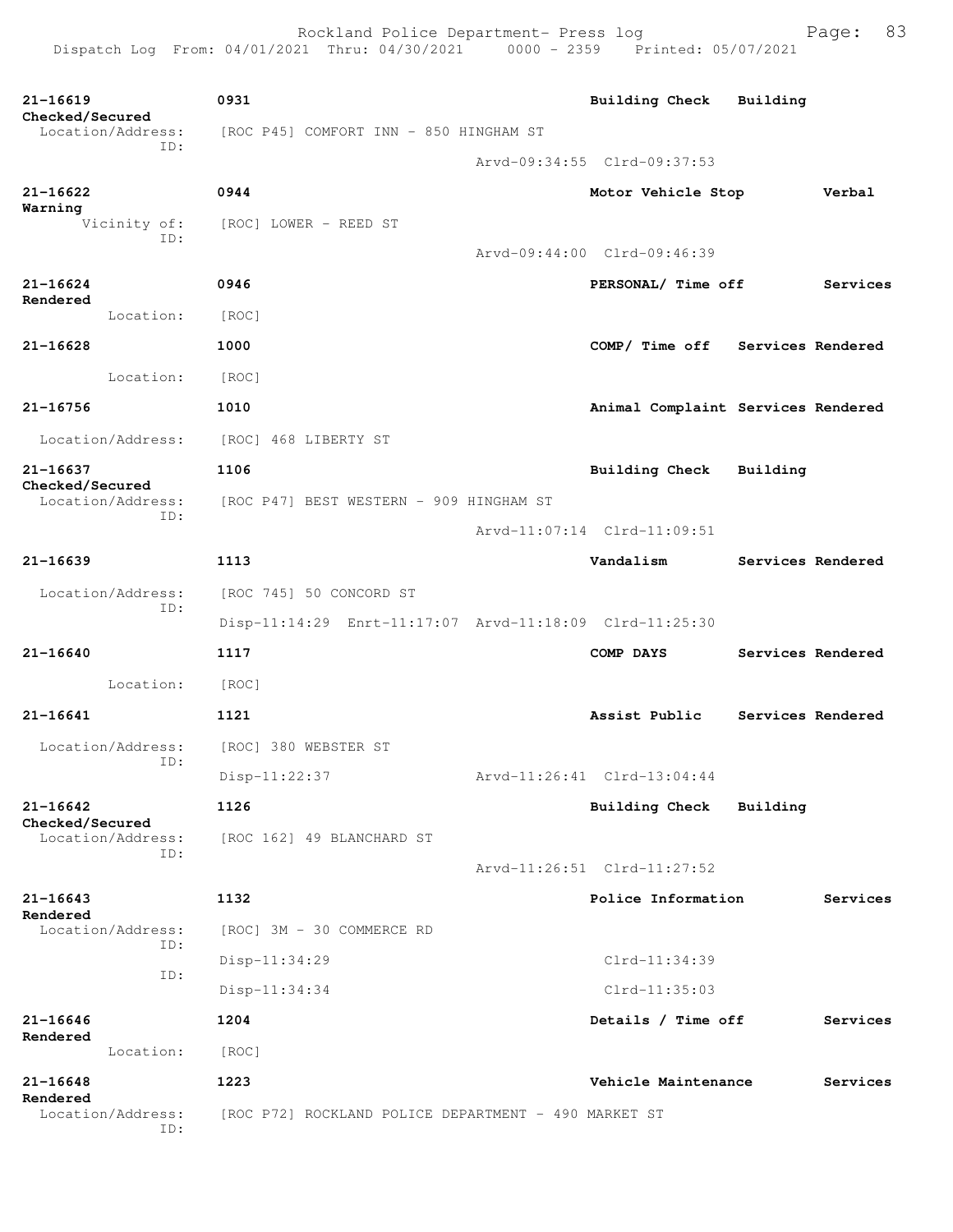| 21-16619<br>Checked/Secured          | 0931                                                    | <b>Building Check</b>              | Building          |                   |
|--------------------------------------|---------------------------------------------------------|------------------------------------|-------------------|-------------------|
| Location/Address:<br>ID:             | [ROC P45] COMFORT INN - 850 HINGHAM ST                  |                                    |                   |                   |
|                                      |                                                         | Arvd-09:34:55 Clrd-09:37:53        |                   |                   |
| 21-16622<br>Warning                  | 0944                                                    | Motor Vehicle Stop                 |                   | Verbal            |
| Vicinity of:<br>ID:                  | [ROC] LOWER - REED ST                                   |                                    |                   |                   |
|                                      |                                                         | Arvd-09:44:00 Clrd-09:46:39        |                   |                   |
| 21-16624                             | 0946                                                    | PERSONAL/ Time off                 |                   | Services          |
| Rendered<br>Location:                | [ROC]                                                   |                                    |                   |                   |
| $21 - 16628$                         | 1000                                                    | COMP/ Time off Services Rendered   |                   |                   |
| Location:                            | [ROC]                                                   |                                    |                   |                   |
| 21-16756                             | 1010                                                    | Animal Complaint Services Rendered |                   |                   |
| Location/Address:                    | [ROC] 468 LIBERTY ST                                    |                                    |                   |                   |
| 21-16637                             | 1106                                                    | Building Check Building            |                   |                   |
| Checked/Secured<br>Location/Address: | [ROC P47] BEST WESTERN - 909 HINGHAM ST                 |                                    |                   |                   |
| ID:                                  |                                                         | Arvd-11:07:14 Clrd-11:09:51        |                   |                   |
| $21 - 16639$                         | 1113                                                    | Vandalism                          | Services Rendered |                   |
| Location/Address:                    | [ROC 745] 50 CONCORD ST                                 |                                    |                   |                   |
| ID:                                  | Disp-11:14:29 Enrt-11:17:07 Arvd-11:18:09 Clrd-11:25:30 |                                    |                   |                   |
| 21-16640                             | 1117                                                    | COMP DAYS                          |                   | Services Rendered |
| Location:                            | [ROC]                                                   |                                    |                   |                   |
| 21-16641                             | 1121                                                    | Assist Public                      | Services Rendered |                   |
| Location/Address:                    | [ROC] 380 WEBSTER ST                                    |                                    |                   |                   |
| ID:                                  | Disp-11:22:37                                           | Arvd-11:26:41 Clrd-13:04:44        |                   |                   |
| 21-16642                             | 1126                                                    | Building Check                     | Building          |                   |
| Checked/Secured<br>Location/Address: | [ROC 162] 49 BLANCHARD ST                               |                                    |                   |                   |
| ID:                                  |                                                         | Arvd-11:26:51 Clrd-11:27:52        |                   |                   |
| 21-16643                             | 1132                                                    | Police Information                 |                   | Services          |
| Rendered<br>Location/Address:        | [ROC] 3M - 30 COMMERCE RD                               |                                    |                   |                   |
| ID:                                  | $Disp-11:34:29$                                         | Clrd-11:34:39                      |                   |                   |
| ID:                                  | $Disp-11:34:34$                                         | $Clrd-11:35:03$                    |                   |                   |
| 21-16646                             | 1204                                                    | Details / Time off                 |                   | Services          |
| Rendered<br>Location:                | [ROC]                                                   |                                    |                   |                   |
| $21 - 16648$                         | 1223                                                    | Vehicle Maintenance                |                   | Services          |
| Rendered<br>Location/Address:        | [ROC P72] ROCKLAND POLICE DEPARTMENT - 490 MARKET ST    |                                    |                   |                   |
| ID:                                  |                                                         |                                    |                   |                   |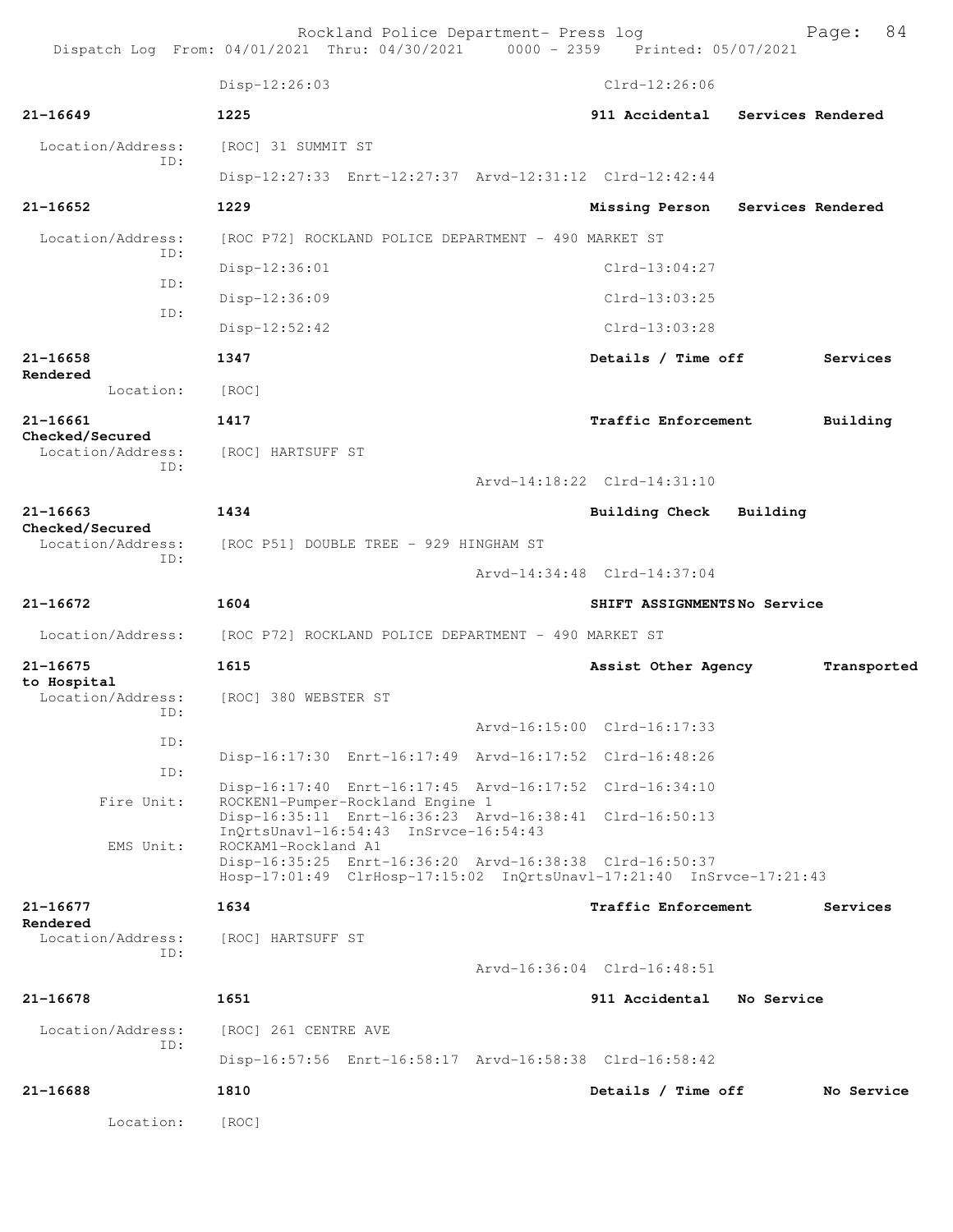| Dispatch Log From: 04/01/2021 Thru: 04/30/2021 0000 - 2359 Printed: 05/07/2021 |                                                      | Rockland Police Department- Press log                |                                                                                                                                 |                   | 84<br>Page: |
|--------------------------------------------------------------------------------|------------------------------------------------------|------------------------------------------------------|---------------------------------------------------------------------------------------------------------------------------------|-------------------|-------------|
|                                                                                | Disp-12:26:03                                        |                                                      | $Clrd-12:26:06$                                                                                                                 |                   |             |
| $21 - 16649$                                                                   | 1225                                                 |                                                      | 911 Accidental                                                                                                                  | Services Rendered |             |
| Location/Address:                                                              | [ROC] 31 SUMMIT ST                                   |                                                      |                                                                                                                                 |                   |             |
| TD:                                                                            |                                                      |                                                      | Disp-12:27:33 Enrt-12:27:37 Arvd-12:31:12 Clrd-12:42:44                                                                         |                   |             |
| 21-16652                                                                       | 1229                                                 |                                                      | Missing Person                                                                                                                  | Services Rendered |             |
| Location/Address:                                                              |                                                      | [ROC P72] ROCKLAND POLICE DEPARTMENT - 490 MARKET ST |                                                                                                                                 |                   |             |
| ID:                                                                            | Disp-12:36:01                                        |                                                      | $Clrd-13:04:27$                                                                                                                 |                   |             |
| ID:                                                                            | Disp-12:36:09                                        |                                                      | $Clrd-13:03:25$                                                                                                                 |                   |             |
| ID:                                                                            | $Disp-12:52:42$                                      |                                                      | $Clrd-13:03:28$                                                                                                                 |                   |             |
| 21-16658                                                                       | 1347                                                 |                                                      | Details / Time off                                                                                                              |                   | Services    |
| Rendered<br>Location:                                                          | [ROC]                                                |                                                      |                                                                                                                                 |                   |             |
| 21-16661                                                                       | 1417                                                 |                                                      | Traffic Enforcement                                                                                                             |                   | Building    |
| Checked/Secured<br>Location/Address:                                           | [ROC] HARTSUFF ST                                    |                                                      |                                                                                                                                 |                   |             |
| ID:                                                                            |                                                      |                                                      | Arvd-14:18:22 Clrd-14:31:10                                                                                                     |                   |             |
| $21 - 16663$                                                                   | 1434                                                 |                                                      | Building Check                                                                                                                  | Building          |             |
| Checked/Secured<br>Location/Address:                                           |                                                      | [ROC P51] DOUBLE TREE - 929 HINGHAM ST               |                                                                                                                                 |                   |             |
| ID:                                                                            |                                                      |                                                      | Arvd-14:34:48 Clrd-14:37:04                                                                                                     |                   |             |
| 21-16672                                                                       | 1604                                                 |                                                      | SHIFT ASSIGNMENTSNo Service                                                                                                     |                   |             |
| Location/Address:                                                              | [ROC P72] ROCKLAND POLICE DEPARTMENT - 490 MARKET ST |                                                      |                                                                                                                                 |                   |             |
| 21-16675                                                                       | 1615                                                 |                                                      | Assist Other Agency                                                                                                             |                   | Transported |
| to Hospital<br>Location/Address:                                               | [ROC] 380 WEBSTER ST                                 |                                                      |                                                                                                                                 |                   |             |
| ID:                                                                            |                                                      |                                                      | Arvd-16:15:00 Clrd-16:17:33                                                                                                     |                   |             |
| ID:                                                                            |                                                      |                                                      | Disp-16:17:30 Enrt-16:17:49 Arvd-16:17:52 Clrd-16:48:26                                                                         |                   |             |
| ID:                                                                            |                                                      |                                                      | Disp-16:17:40 Enrt-16:17:45 Arvd-16:17:52 Clrd-16:34:10                                                                         |                   |             |
| Fire Unit:                                                                     |                                                      | ROCKEN1-Pumper-Rockland Engine 1                     | Disp-16:35:11 Enrt-16:36:23 Arvd-16:38:41 Clrd-16:50:13                                                                         |                   |             |
| EMS Unit:                                                                      | ROCKAM1-Rockland A1                                  | InQrtsUnavl-16:54:43 InSrvce-16:54:43                |                                                                                                                                 |                   |             |
|                                                                                |                                                      |                                                      | Disp-16:35:25 Enrt-16:36:20 Arvd-16:38:38 Clrd-16:50:37<br>Hosp-17:01:49 ClrHosp-17:15:02 InQrtsUnavl-17:21:40 InSrvce-17:21:43 |                   |             |
| 21-16677                                                                       | 1634                                                 |                                                      | Traffic Enforcement                                                                                                             |                   | Services    |
| Rendered<br>Location/Address:                                                  | [ROC] HARTSUFF ST                                    |                                                      |                                                                                                                                 |                   |             |
| TD:                                                                            |                                                      |                                                      | Arvd-16:36:04 Clrd-16:48:51                                                                                                     |                   |             |
| $21 - 16678$                                                                   | 1651                                                 |                                                      | 911 Accidental                                                                                                                  | No Service        |             |
| Location/Address:                                                              | [ROC] 261 CENTRE AVE                                 |                                                      |                                                                                                                                 |                   |             |
| ID:                                                                            |                                                      |                                                      | Disp-16:57:56 Enrt-16:58:17 Arvd-16:58:38 Clrd-16:58:42                                                                         |                   |             |
| 21-16688                                                                       | 1810                                                 |                                                      | Details / Time off                                                                                                              |                   | No Service  |
| Location:                                                                      | [ROC]                                                |                                                      |                                                                                                                                 |                   |             |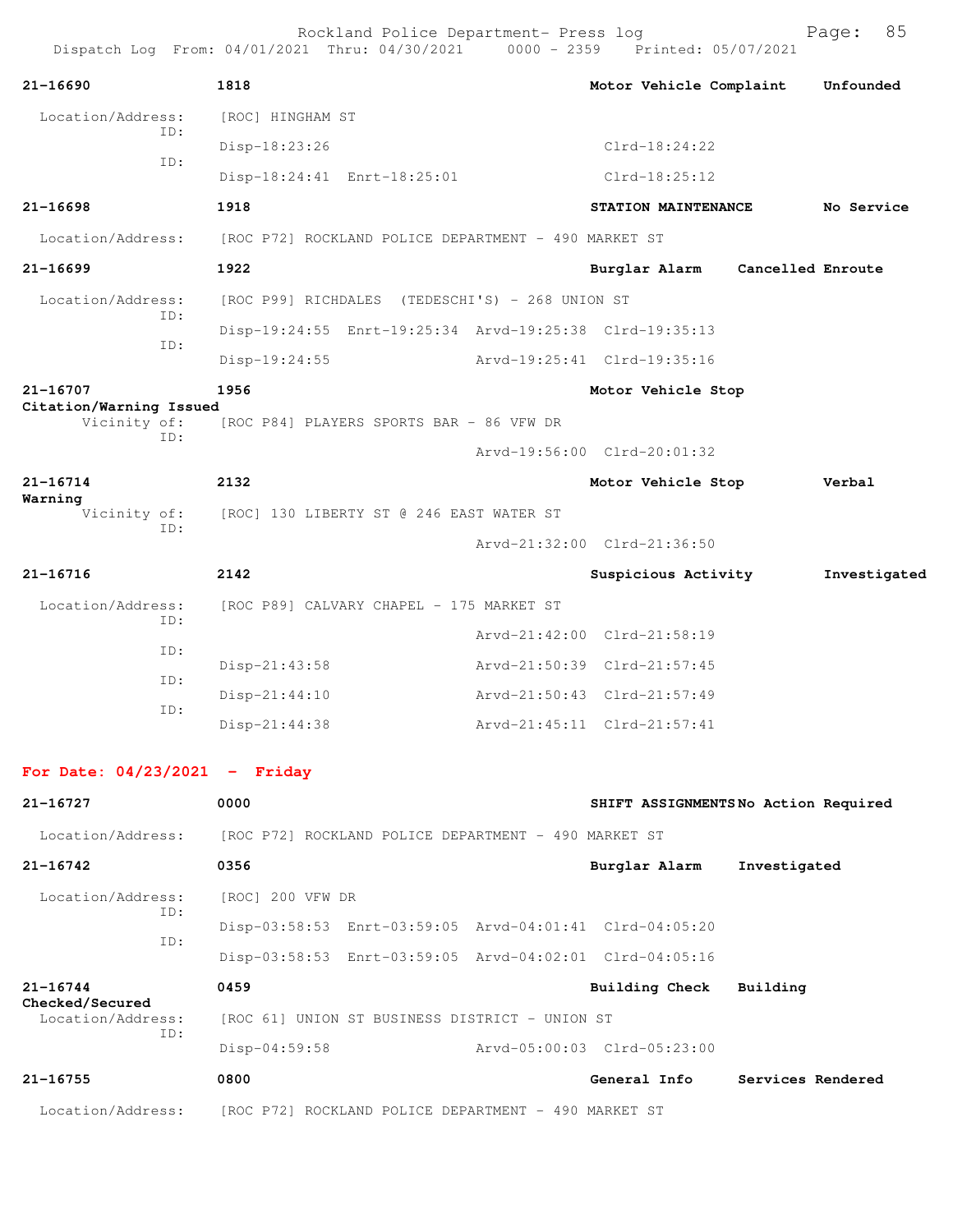|                                      |            |                  | Rockland Police Department- Press log                | Dispatch Log From: 04/01/2021 Thru: 04/30/2021 0000 - 2359 Printed: 05/07/2021 |                   | 85<br>Page:  |
|--------------------------------------|------------|------------------|------------------------------------------------------|--------------------------------------------------------------------------------|-------------------|--------------|
| $21 - 16690$                         |            | 1818             |                                                      | Motor Vehicle Complaint                                                        |                   | Unfounded    |
| Location/Address:                    |            | [ROC] HINGHAM ST |                                                      |                                                                                |                   |              |
|                                      | ID:        | Disp-18:23:26    |                                                      | $Clrd-18:24:22$                                                                |                   |              |
|                                      | ID:        |                  | Disp-18:24:41 Enrt-18:25:01                          | $Clrd-18:25:12$                                                                |                   |              |
| 21-16698                             |            | 1918             |                                                      | STATION MAINTENANCE                                                            |                   | No Service   |
| Location/Address:                    |            |                  | [ROC P72] ROCKLAND POLICE DEPARTMENT - 490 MARKET ST |                                                                                |                   |              |
| 21-16699                             |            | 1922             |                                                      | Burglar Alarm                                                                  | Cancelled Enroute |              |
| Location/Address:                    |            |                  | [ROC P99] RICHDALES (TEDESCHI'S) - 268 UNION ST      |                                                                                |                   |              |
|                                      | ID:<br>ID: |                  |                                                      | Disp-19:24:55 Enrt-19:25:34 Arvd-19:25:38 Clrd-19:35:13                        |                   |              |
|                                      |            | $Disp-19:24:55$  |                                                      | Arvd-19:25:41 Clrd-19:35:16                                                    |                   |              |
| 21-16707<br>Citation/Warning Issued  |            | 1956             |                                                      | Motor Vehicle Stop                                                             |                   |              |
| Vicinity of:                         | ID:        |                  | [ROC P84] PLAYERS SPORTS BAR - 86 VFW DR             |                                                                                |                   |              |
|                                      |            |                  |                                                      | Arvd-19:56:00 Clrd-20:01:32                                                    |                   |              |
| 21-16714<br>Warning                  |            | 2132             |                                                      | Motor Vehicle Stop                                                             |                   | Verbal       |
| Vicinity of:<br>ID:                  |            |                  | [ROC] 130 LIBERTY ST @ 246 EAST WATER ST             |                                                                                |                   |              |
|                                      |            |                  |                                                      | Arvd-21:32:00 Clrd-21:36:50                                                    |                   |              |
| 21-16716                             |            | 2142             |                                                      | Suspicious Activity                                                            |                   | Investigated |
| Location/Address:                    | ID:        |                  | [ROC P89] CALVARY CHAPEL - 175 MARKET ST             |                                                                                |                   |              |
|                                      | ID:        |                  |                                                      | Arvd-21:42:00 Clrd-21:58:19                                                    |                   |              |
|                                      | ID:        | Disp-21:43:58    |                                                      | Arvd-21:50:39 Clrd-21:57:45                                                    |                   |              |
|                                      | ID:        | Disp-21:44:10    |                                                      | Arvd-21:50:43 Clrd-21:57:49                                                    |                   |              |
|                                      |            | Disp-21:44:38    |                                                      | Arvd-21:45:11 Clrd-21:57:41                                                    |                   |              |
| For Date: $04/23/2021$ - Friday      |            |                  |                                                      |                                                                                |                   |              |
| 21-16727                             |            | 0000             |                                                      | SHIFT ASSIGNMENTSNo Action Required                                            |                   |              |
| Location/Address:                    |            |                  | [ROC P72] ROCKLAND POLICE DEPARTMENT - 490 MARKET ST |                                                                                |                   |              |
| $21 - 16742$                         |            | 0356             |                                                      | Burglar Alarm                                                                  | Investigated      |              |
| Location/Address:                    |            | [ROC] 200 VFW DR |                                                      |                                                                                |                   |              |
|                                      | ID:        |                  |                                                      | Disp-03:58:53 Enrt-03:59:05 Arvd-04:01:41 Clrd-04:05:20                        |                   |              |
|                                      | ID:        |                  |                                                      | Disp-03:58:53 Enrt-03:59:05 Arvd-04:02:01 Clrd-04:05:16                        |                   |              |
| $21 - 16744$                         |            | 0459             |                                                      | <b>Building Check</b>                                                          | Building          |              |
| Checked/Secured<br>Location/Address: |            |                  | [ROC 61] UNION ST BUSINESS DISTRICT - UNION ST       |                                                                                |                   |              |
| ID:                                  |            | $Disp-04:59:58$  |                                                      | Arvd-05:00:03 Clrd-05:23:00                                                    |                   |              |

**21-16755 0800 General Info Services Rendered**

Location/Address: [ROC P72] ROCKLAND POLICE DEPARTMENT - 490 MARKET ST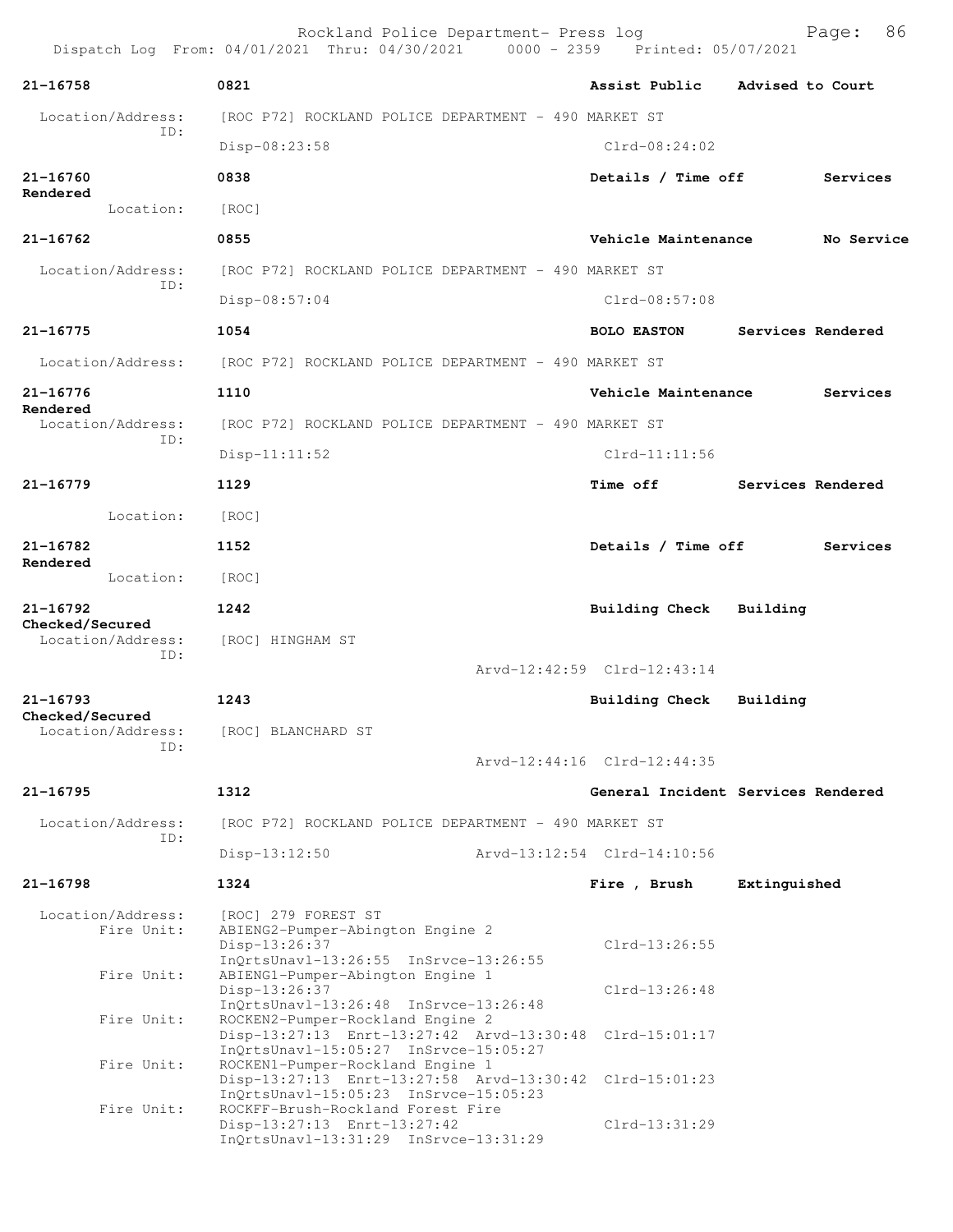Rockland Police Department- Press log Page: 86 Dispatch Log From: 04/01/2021 Thru: 04/30/2021 0000 - 2359 Printed: 05/07/2021 **21-16758 0821 Assist Public Advised to Court** Location/Address: [ROC P72] ROCKLAND POLICE DEPARTMENT - 490 MARKET ST ID: Disp-08:23:58 Clrd-08:24:02 **21-16760 0838 Details / Time off Services Rendered**  Location: [ROC] **21-16762 0855 Vehicle Maintenance No Service** Location/Address: [ROC P72] ROCKLAND POLICE DEPARTMENT - 490 MARKET ST ID: Disp-08:57:04 Clrd-08:57:08 **21-16775 1054 BOLO EASTON Services Rendered** Location/Address: [ROC P72] ROCKLAND POLICE DEPARTMENT - 490 MARKET ST **21-16776 1110 Vehicle Maintenance Services Rendered**  Location/Address: [ROC P72] ROCKLAND POLICE DEPARTMENT - 490 MARKET ST ID: Disp-11:11:52 Clrd-11:11:56 **21-16779 1129 Time off Services Rendered** Location: [ROC] **21-16782 1152 Details / Time off Services Rendered**  Location: [ROC] **21-16792 1242 Building Check Building Checked/Secured**  Location/Address: [ROC] HINGHAM ST ID: Arvd-12:42:59 Clrd-12:43:14 **21-16793 1243 Building Check Building Checked/Secured**  Location/Address: [ROC] BLANCHARD ST ID: Arvd-12:44:16 Clrd-12:44:35 **21-16795 1312 General Incident Services Rendered** Location/Address: [ROC P72] ROCKLAND POLICE DEPARTMENT - 490 MARKET ST ID: Disp-13:12:50 Arvd-13:12:54 Clrd-14:10:56 **21-16798 1324 Fire , Brush Extinguished** Location/Address: [ROC] 279 FOREST ST<br>Fire Unit: ABIENG2-Pumper-Abino ABIENG2-Pumper-Abington Engine 2 Disp-13:26:37 Clrd-13:26:55 InQrtsUnavl-13:26:55 InSrvce-13:26:55<br>Fire Unit: ABTENG1-Pumper-Abington Engine 1 ABIENG1-Pumper-Abington Engine 1 Disp-13:26:37 Clrd-13:26:48 InQrtsUnavl-13:26:48 InSrvce-13:26:48<br>Fire Unit: ROCKEN2-Pumper-Rockland Engine 2 ROCKEN2-Pumper-Rockland Engine 2 Disp-13:27:13 Enrt-13:27:42 Arvd-13:30:48 Clrd-15:01:17 InQrtsUnavl-15:05:27 InSrvce-15:05:27 Fire Unit: ROCKEN1-Pumper-Rockland Engine 1 Disp-13:27:13 Enrt-13:27:58 Arvd-13:30:42 Clrd-15:01:23 InQrtsUnavl-15:05:23 InSrvce-15:05:23<br>Fire Unit: ROCKFF-Brush-Rockland Forest Fire ROCKFF-Brush-Rockland Forest Fire Disp-13:27:13 Enrt-13:27:42 Clrd-13:31:29 InQrtsUnavl-13:31:29 InSrvce-13:31:29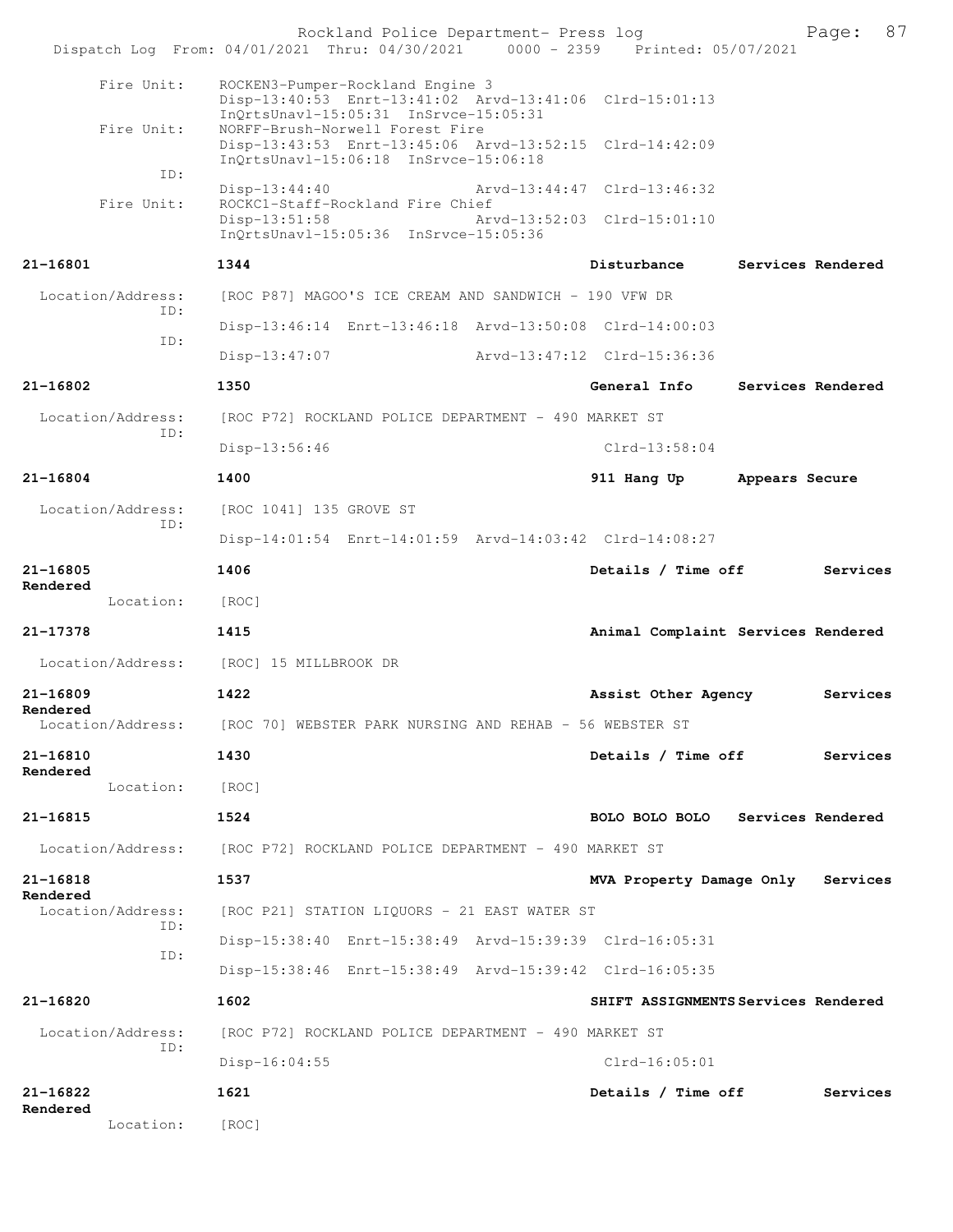|                               | Rockland Police Department- Press log<br>Dispatch Log From: 04/01/2021 Thru: 04/30/2021 0000 - 2359 Printed: 05/07/2021              | 87<br>Page:                          |
|-------------------------------|--------------------------------------------------------------------------------------------------------------------------------------|--------------------------------------|
|                               |                                                                                                                                      |                                      |
| Fire Unit:                    | ROCKEN3-Pumper-Rockland Engine 3<br>Disp-13:40:53 Enrt-13:41:02 Arvd-13:41:06 Clrd-15:01:13<br>InQrtsUnavl-15:05:31 InSrvce-15:05:31 |                                      |
| Fire Unit:                    | NORFF-Brush-Norwell Forest Fire<br>Disp-13:43:53 Enrt-13:45:06 Arvd-13:52:15 Clrd-14:42:09<br>InQrtsUnavl-15:06:18 InSrvce-15:06:18  |                                      |
| ID:                           | $Disp-13:44:40$                                                                                                                      | Arvd-13:44:47 Clrd-13:46:32          |
| Fire Unit:                    | ROCKC1-Staff-Rockland Fire Chief<br>$Disp-13:51:58$                                                                                  | Arvd-13:52:03 Clrd-15:01:10          |
|                               | InQrtsUnavl-15:05:36 InSrvce-15:05:36                                                                                                |                                      |
| 21-16801                      | 1344                                                                                                                                 | Disturbance<br>Services Rendered     |
| Location/Address:             | [ROC P87] MAGOO'S ICE CREAM AND SANDWICH - 190 VFW DR                                                                                |                                      |
| TD:                           | Disp-13:46:14 Enrt-13:46:18 Arvd-13:50:08 Clrd-14:00:03                                                                              |                                      |
| ID:                           | $Disp-13:47:07$                                                                                                                      | Arvd-13:47:12 Clrd-15:36:36          |
| $21 - 16802$                  | 1350                                                                                                                                 | General Info<br>Services Rendered    |
| Location/Address:<br>TD:      | [ROC P72] ROCKLAND POLICE DEPARTMENT - 490 MARKET ST                                                                                 |                                      |
|                               | $Disp-13:56:46$                                                                                                                      | $Clrd-13:58:04$                      |
| $21 - 16804$                  | 1400                                                                                                                                 | 911 Hang Up<br>Appears Secure        |
| Location/Address:<br>TD:      | [ROC 1041] 135 GROVE ST                                                                                                              |                                      |
|                               | Disp-14:01:54 Enrt-14:01:59 Arvd-14:03:42 Clrd-14:08:27                                                                              |                                      |
| 21-16805                      | 1406                                                                                                                                 | Details / Time off<br>Services       |
| Rendered<br>Location:         | [ROC]                                                                                                                                |                                      |
| 21-17378                      | 1415                                                                                                                                 | Animal Complaint Services Rendered   |
| Location/Address:             | [ROC] 15 MILLBROOK DR                                                                                                                |                                      |
| 21-16809                      | 1422                                                                                                                                 | Assist Other Agency<br>Services      |
| Rendered<br>Location/Address: | [ROC 70] WEBSTER PARK NURSING AND REHAB - 56 WEBSTER ST                                                                              |                                      |
| 21-16810                      | 1430                                                                                                                                 | Details / Time off<br>Services       |
| Rendered<br>Location:         | [ROC]                                                                                                                                |                                      |
| 21-16815                      | 1524                                                                                                                                 | BOLO BOLO BOLO Services Rendered     |
| Location/Address:             | [ROC P72] ROCKLAND POLICE DEPARTMENT - 490 MARKET ST                                                                                 |                                      |
| 21-16818                      | 1537                                                                                                                                 | MVA Property Damage Only<br>Services |
| Rendered<br>Location/Address: | [ROC P21] STATION LIQUORS - 21 EAST WATER ST                                                                                         |                                      |
| ID:                           | Disp-15:38:40 Enrt-15:38:49 Arvd-15:39:39 Clrd-16:05:31                                                                              |                                      |
| ID:                           | Disp-15:38:46 Enrt-15:38:49 Arvd-15:39:42 Clrd-16:05:35                                                                              |                                      |
| 21-16820                      | 1602                                                                                                                                 | SHIFT ASSIGNMENTS Services Rendered  |
|                               |                                                                                                                                      |                                      |
| Location/Address:             | [ROC P72] ROCKLAND POLICE DEPARTMENT - 490 MARKET ST                                                                                 |                                      |
| ID:                           | Disp-16:04:55                                                                                                                        | $Clrd-16:05:01$                      |
| 21-16822<br>Rendered          | 1621                                                                                                                                 | Details / Time off<br>Services       |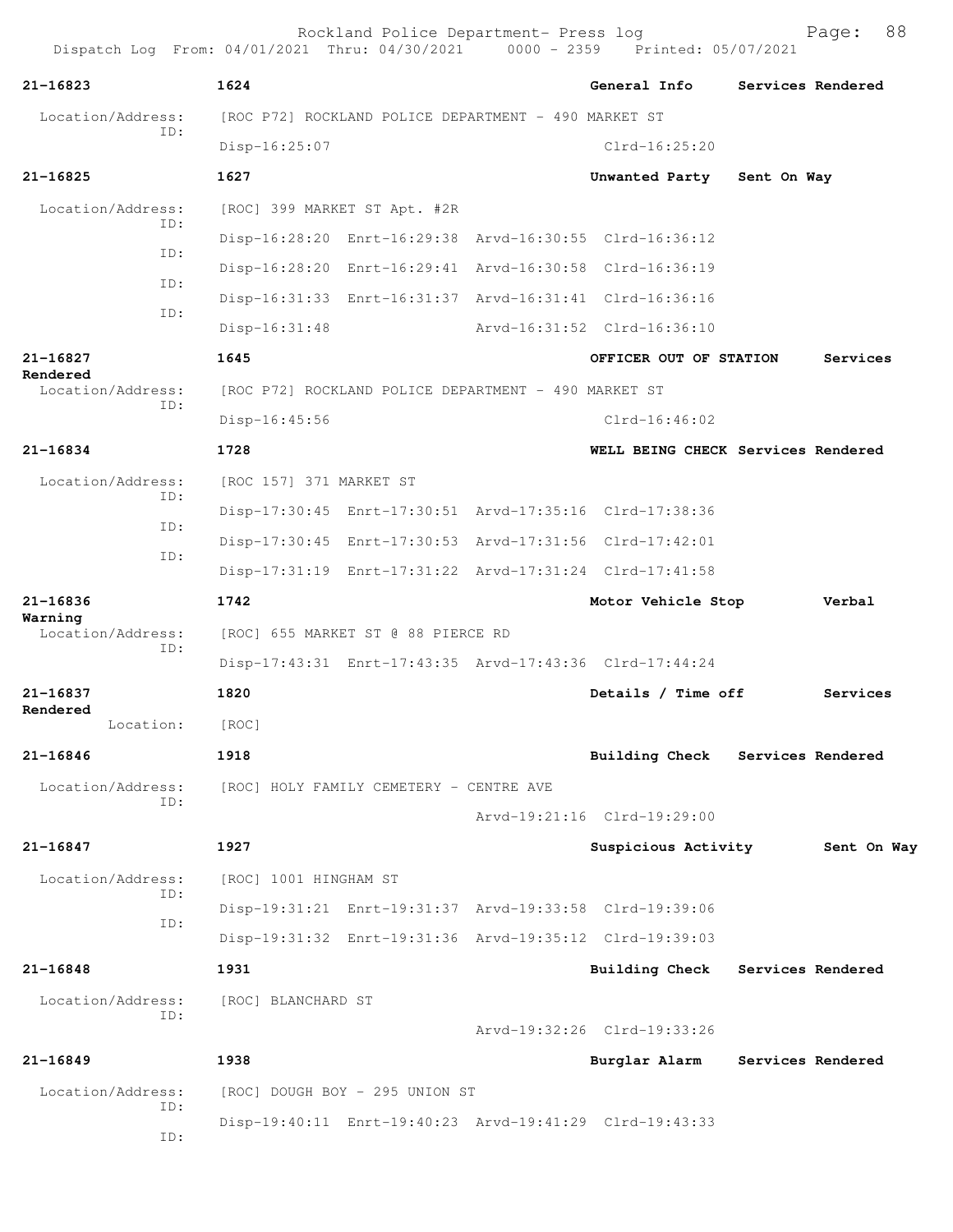| 21-16823                      | 1624                                                    | General Info                | Services Rendered                  |
|-------------------------------|---------------------------------------------------------|-----------------------------|------------------------------------|
| Location/Address:             | [ROC P72] ROCKLAND POLICE DEPARTMENT - 490 MARKET ST    |                             |                                    |
| ID:                           | $Disp-16:25:07$                                         | $Clrd-16:25:20$             |                                    |
| 21-16825                      | 1627                                                    | Unwanted Party              | Sent On Way                        |
| Location/Address:             | [ROC] 399 MARKET ST Apt. #2R                            |                             |                                    |
| ID:                           | Disp-16:28:20 Enrt-16:29:38 Arvd-16:30:55 Clrd-16:36:12 |                             |                                    |
| ID:                           | Disp-16:28:20 Enrt-16:29:41 Arvd-16:30:58 Clrd-16:36:19 |                             |                                    |
| ID:                           | Disp-16:31:33 Enrt-16:31:37 Arvd-16:31:41 Clrd-16:36:16 |                             |                                    |
| ID:                           | $Disp-16:31:48$                                         | Arvd-16:31:52 Clrd-16:36:10 |                                    |
| 21-16827                      | 1645                                                    | OFFICER OUT OF STATION      | Services                           |
| Rendered<br>Location/Address: | [ROC P72] ROCKLAND POLICE DEPARTMENT - 490 MARKET ST    |                             |                                    |
| ID:                           | $Disp-16:45:56$                                         | $Clrd-16:46:02$             |                                    |
| 21-16834                      | 1728                                                    |                             | WELL BEING CHECK Services Rendered |
| Location/Address:             | [ROC 157] 371 MARKET ST                                 |                             |                                    |
| ID:                           | Disp-17:30:45 Enrt-17:30:51 Arvd-17:35:16 Clrd-17:38:36 |                             |                                    |
| ID:                           | Disp-17:30:45 Enrt-17:30:53 Arvd-17:31:56 Clrd-17:42:01 |                             |                                    |
| ID:                           | Disp-17:31:19 Enrt-17:31:22 Arvd-17:31:24 Clrd-17:41:58 |                             |                                    |
| $21 - 16836$                  | 1742                                                    | Motor Vehicle Stop          | Verbal                             |
| Warning<br>Location/Address:  | [ROC] 655 MARKET ST @ 88 PIERCE RD                      |                             |                                    |
| ID:                           | Disp-17:43:31 Enrt-17:43:35 Arvd-17:43:36 Clrd-17:44:24 |                             |                                    |
| 21-16837                      | 1820                                                    | Details / Time off          | Services                           |
| Rendered<br>Location:         | [ROC]                                                   |                             |                                    |
| 21-16846                      | 1918                                                    | <b>Building Check</b>       | Services Rendered                  |
| Location/Address:             | [ROC] HOLY FAMILY CEMETERY - CENTRE AVE                 |                             |                                    |
| ID:                           |                                                         | Arvd-19:21:16 Clrd-19:29:00 |                                    |
| 21-16847                      | 1927                                                    | Suspicious Activity         | Sent On Way                        |
| Location/Address:             | [ROC] 1001 HINGHAM ST                                   |                             |                                    |
| ID:                           | Disp-19:31:21 Enrt-19:31:37 Arvd-19:33:58 Clrd-19:39:06 |                             |                                    |
| ID:                           | Disp-19:31:32 Enrt-19:31:36 Arvd-19:35:12 Clrd-19:39:03 |                             |                                    |
| $21 - 16848$                  | 1931                                                    | <b>Building Check</b>       | Services Rendered                  |
| Location/Address:             | [ROC] BLANCHARD ST                                      |                             |                                    |
| ID:                           |                                                         | Arvd-19:32:26 Clrd-19:33:26 |                                    |
| $21 - 16849$                  | 1938                                                    | Burglar Alarm               | Services Rendered                  |
| Location/Address:             | [ROC] DOUGH BOY - 295 UNION ST                          |                             |                                    |
| ID:<br>ID:                    | Disp-19:40:11 Enrt-19:40:23 Arvd-19:41:29 Clrd-19:43:33 |                             |                                    |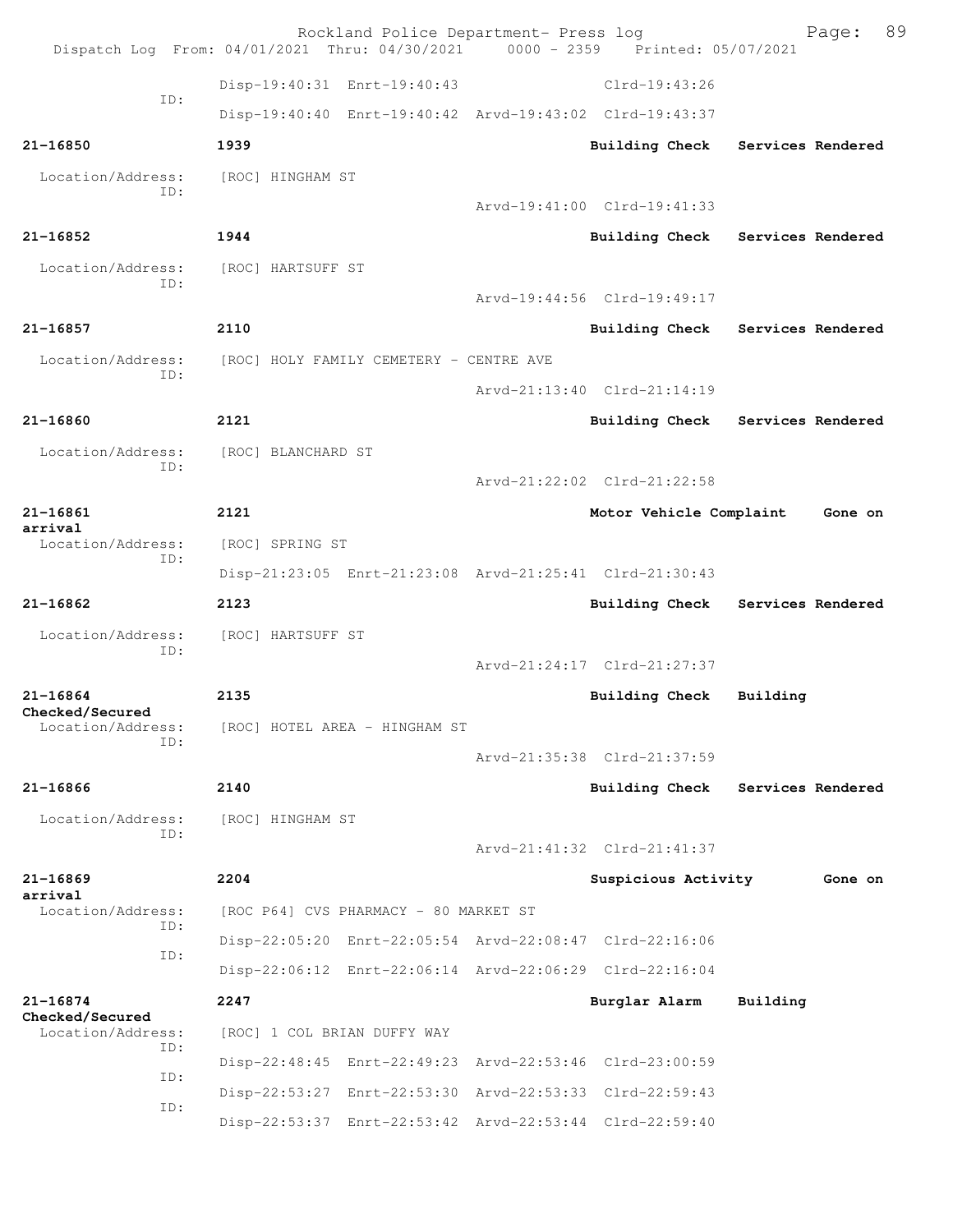|                                 | Rockland Police Department- Press log<br>Dispatch Log From: 04/01/2021 Thru: 04/30/2021 0000 - 2359 Printed: 05/07/2021 |                             | 89<br>Page:                      |
|---------------------------------|-------------------------------------------------------------------------------------------------------------------------|-----------------------------|----------------------------------|
|                                 | Disp-19:40:31 Enrt-19:40:43                                                                                             | $Clrd-19:43:26$             |                                  |
| TD:                             | Disp-19:40:40 Enrt-19:40:42 Arvd-19:43:02 Clrd-19:43:37                                                                 |                             |                                  |
| 21-16850                        | 1939                                                                                                                    | <b>Building Check</b>       | Services Rendered                |
| Location/Address:               | [ROC] HINGHAM ST                                                                                                        |                             |                                  |
| ID:                             |                                                                                                                         | Arvd-19:41:00 Clrd-19:41:33 |                                  |
| $21 - 16852$                    | 1944                                                                                                                    | <b>Building Check</b>       | Services Rendered                |
| Location/Address:<br>ID:        | [ROC] HARTSUFF ST                                                                                                       |                             |                                  |
|                                 |                                                                                                                         | Arvd-19:44:56 Clrd-19:49:17 |                                  |
| 21-16857                        | 2110                                                                                                                    |                             | Building Check Services Rendered |
| Location/Address:<br>TD:        | [ROC] HOLY FAMILY CEMETERY - CENTRE AVE                                                                                 |                             |                                  |
|                                 |                                                                                                                         | Arvd-21:13:40 Clrd-21:14:19 |                                  |
| $21 - 16860$                    | 2121                                                                                                                    | <b>Building Check</b>       | Services Rendered                |
| Location/Address:<br>ID:        | [ROC] BLANCHARD ST                                                                                                      |                             |                                  |
|                                 |                                                                                                                         | Arvd-21:22:02 Clrd-21:22:58 |                                  |
| $21 - 16861$<br>arrival         | 2121                                                                                                                    | Motor Vehicle Complaint     | Gone on                          |
| Location/Address:<br>ID:        | [ROC] SPRING ST                                                                                                         |                             |                                  |
|                                 | Disp-21:23:05 Enrt-21:23:08 Arvd-21:25:41 Clrd-21:30:43                                                                 |                             |                                  |
| 21-16862                        | 2123                                                                                                                    | <b>Building Check</b>       | Services Rendered                |
| Location/Address:<br>ID:        | [ROC] HARTSUFF ST                                                                                                       |                             |                                  |
|                                 |                                                                                                                         | Arvd-21:24:17 Clrd-21:27:37 |                                  |
| $21 - 16864$<br>Checked/Secured | 2135                                                                                                                    | Building Check              | Building                         |
| Location/Address:<br>ID:        | [ROC] HOTEL AREA - HINGHAM ST                                                                                           |                             |                                  |
|                                 |                                                                                                                         | Arvd-21:35:38 Clrd-21:37:59 |                                  |
| 21-16866                        | 2140                                                                                                                    | <b>Building Check</b>       | Services Rendered                |
| Location/Address:<br>ID:        | [ROC] HINGHAM ST                                                                                                        |                             |                                  |
|                                 |                                                                                                                         | Arvd-21:41:32 Clrd-21:41:37 |                                  |
| $21 - 16869$<br>arrival         | 2204                                                                                                                    | Suspicious Activity         | Gone on                          |
| Location/Address:<br>ID:        | [ROC P64] CVS PHARMACY - 80 MARKET ST                                                                                   |                             |                                  |
| ID:                             | Disp-22:05:20 Enrt-22:05:54 Arvd-22:08:47 Clrd-22:16:06                                                                 |                             |                                  |
|                                 | Disp-22:06:12 Enrt-22:06:14 Arvd-22:06:29 Clrd-22:16:04                                                                 |                             |                                  |
| 21-16874<br>Checked/Secured     | 2247                                                                                                                    | Burglar Alarm               | Building                         |
| Location/Address:<br>ID:        | [ROC] 1 COL BRIAN DUFFY WAY                                                                                             |                             |                                  |
| ID:                             | Disp-22:48:45 Enrt-22:49:23 Arvd-22:53:46 Clrd-23:00:59                                                                 |                             |                                  |
| ID:                             | Disp-22:53:27 Enrt-22:53:30 Arvd-22:53:33 Clrd-22:59:43                                                                 |                             |                                  |
|                                 | Disp-22:53:37 Enrt-22:53:42 Arvd-22:53:44 Clrd-22:59:40                                                                 |                             |                                  |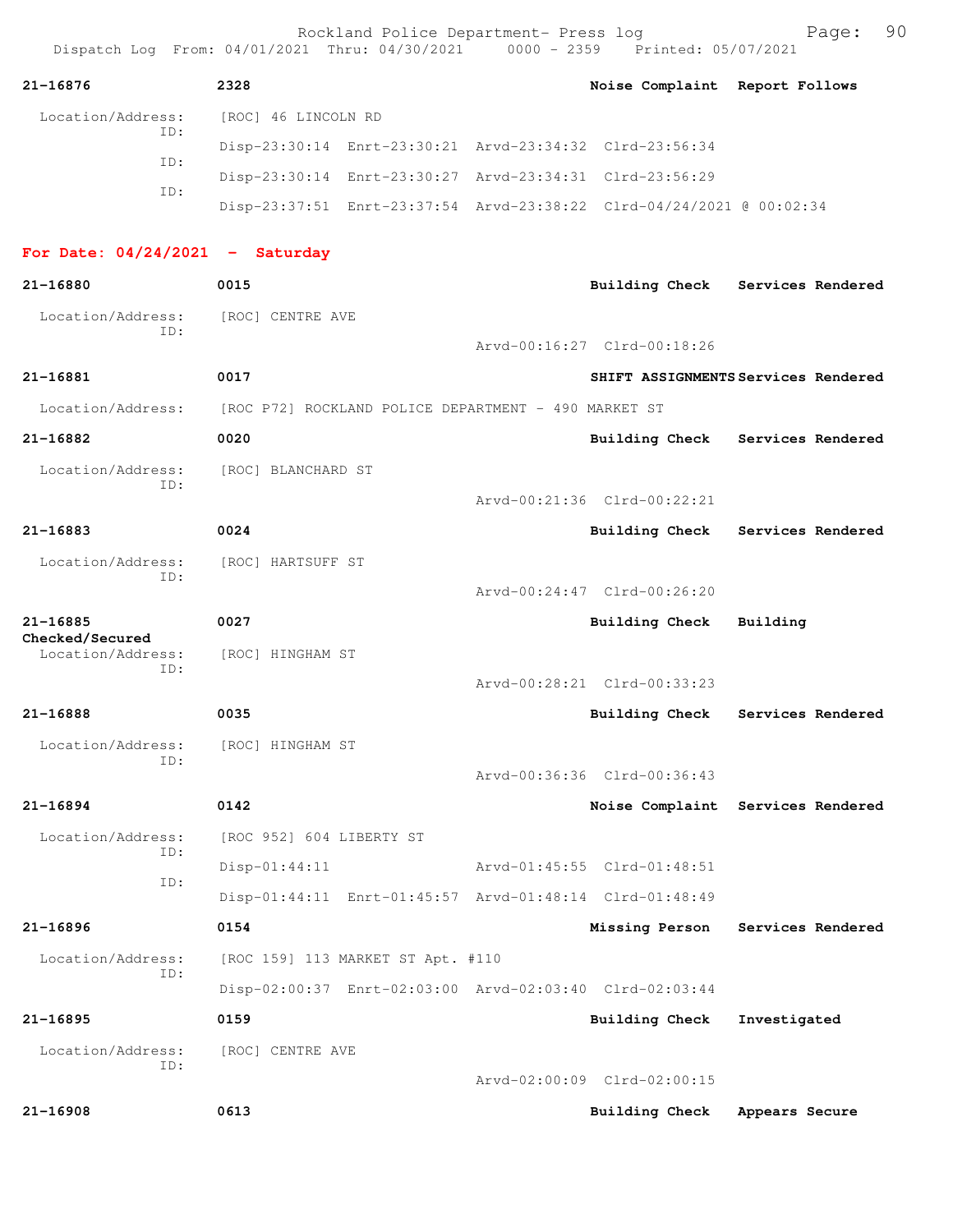|                                      |     |                          | Rockland Police Department- Press log                   | Dispatch Log From: 04/01/2021 Thru: 04/30/2021 0000 - 2359 Printed: 05/07/2021 | Page:                               | 90 |
|--------------------------------------|-----|--------------------------|---------------------------------------------------------|--------------------------------------------------------------------------------|-------------------------------------|----|
| 21-16876                             |     | 2328                     |                                                         | Noise Complaint Report Follows                                                 |                                     |    |
| Location/Address:                    | ID: | [ROC] 46 LINCOLN RD      |                                                         |                                                                                |                                     |    |
|                                      | ID: |                          |                                                         | Disp-23:30:14 Enrt-23:30:21 Arvd-23:34:32 Clrd-23:56:34                        |                                     |    |
|                                      | TD: |                          | Disp-23:30:14 Enrt-23:30:27 Arvd-23:34:31 Clrd-23:56:29 |                                                                                |                                     |    |
|                                      |     |                          |                                                         | Disp-23:37:51 Enrt-23:37:54 Arvd-23:38:22 Clrd-04/24/2021 @ 00:02:34           |                                     |    |
| For Date: $04/24/2021$ - Saturday    |     |                          |                                                         |                                                                                |                                     |    |
| 21-16880                             |     | 0015                     |                                                         |                                                                                | Building Check Services Rendered    |    |
| Location/Address:                    | ID: | [ROC] CENTRE AVE         |                                                         | Arvd-00:16:27 Clrd-00:18:26                                                    |                                     |    |
| 21-16881                             |     | 0017                     |                                                         |                                                                                | SHIFT ASSIGNMENTS Services Rendered |    |
| Location/Address:                    |     |                          | [ROC P72] ROCKLAND POLICE DEPARTMENT - 490 MARKET ST    |                                                                                |                                     |    |
| 21-16882                             |     | 0020                     |                                                         |                                                                                | Building Check Services Rendered    |    |
| Location/Address:                    |     | [ROC] BLANCHARD ST       |                                                         |                                                                                |                                     |    |
|                                      | ID: |                          |                                                         | Arvd-00:21:36 Clrd-00:22:21                                                    |                                     |    |
| 21-16883                             |     | 0024                     |                                                         | Building Check                                                                 | Services Rendered                   |    |
| Location/Address:                    |     | [ROC] HARTSUFF ST        |                                                         |                                                                                |                                     |    |
|                                      | ID: |                          |                                                         | Arvd-00:24:47 Clrd-00:26:20                                                    |                                     |    |
| $21 - 16885$                         |     | 0027                     |                                                         | <b>Building Check</b>                                                          | Building                            |    |
| Checked/Secured<br>Location/Address: |     | [ROC] HINGHAM ST         |                                                         |                                                                                |                                     |    |
|                                      | ID: |                          |                                                         | Arvd-00:28:21 Clrd-00:33:23                                                    |                                     |    |
| 21-16888                             |     | 0035                     |                                                         | <b>Building Check</b>                                                          | Services Rendered                   |    |
| Location/Address:                    |     | [ROC] HINGHAM ST         |                                                         |                                                                                |                                     |    |
|                                      | ID: |                          |                                                         | Arvd-00:36:36 Clrd-00:36:43                                                    |                                     |    |
| $21 - 16894$                         |     | 0142                     |                                                         |                                                                                | Noise Complaint Services Rendered   |    |
| Location/Address:                    |     | [ROC 952] 604 LIBERTY ST |                                                         |                                                                                |                                     |    |
|                                      | TD: | $Disp-01:44:11$          |                                                         | Arvd-01:45:55 Clrd-01:48:51                                                    |                                     |    |
|                                      | ID: |                          |                                                         | Disp-01:44:11 Enrt-01:45:57 Arvd-01:48:14 Clrd-01:48:49                        |                                     |    |
| 21-16896                             |     | 0154                     |                                                         | Missing Person                                                                 | Services Rendered                   |    |
| Location/Address:                    |     |                          | [ROC 159] 113 MARKET ST Apt. #110                       |                                                                                |                                     |    |
|                                      | ID: |                          |                                                         | Disp-02:00:37 Enrt-02:03:00 Arvd-02:03:40 Clrd-02:03:44                        |                                     |    |
| 21-16895                             |     | 0159                     |                                                         | <b>Building Check</b>                                                          | Investigated                        |    |
| Location/Address:                    | ID: | [ROC] CENTRE AVE         |                                                         |                                                                                |                                     |    |
|                                      |     |                          |                                                         | Arvd-02:00:09 Clrd-02:00:15                                                    |                                     |    |
| $21 - 16908$                         |     | 0613                     |                                                         | <b>Building Check</b>                                                          | Appears Secure                      |    |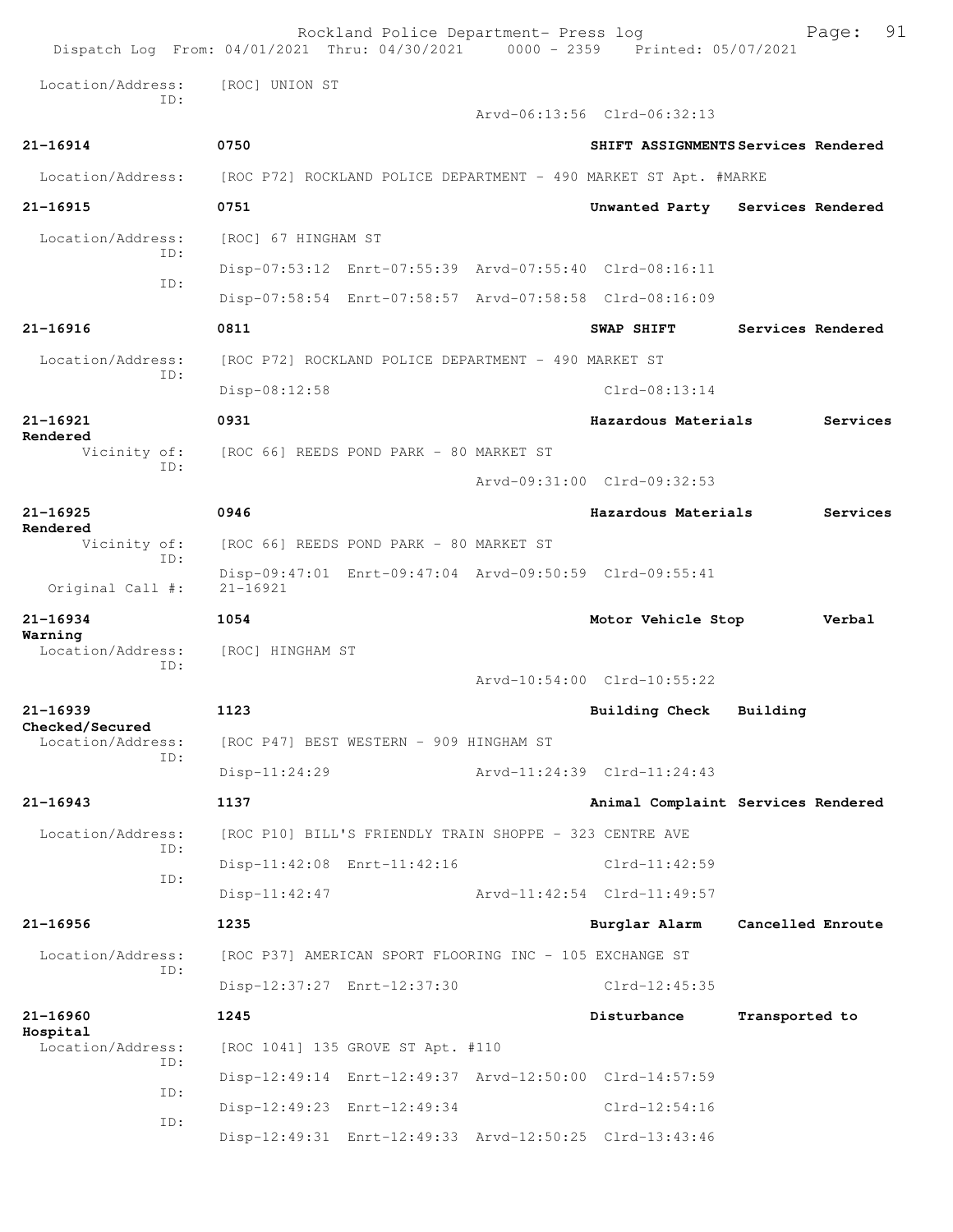|                                     | Rockland Police Department- Press log<br>Dispatch Log From: 04/01/2021 Thru: 04/30/2021 0000 - 2359 Printed: 05/07/2021 |                             | 91<br>Page:                         |
|-------------------------------------|-------------------------------------------------------------------------------------------------------------------------|-----------------------------|-------------------------------------|
| Location/Address:<br>TD:            | [ROC] UNION ST                                                                                                          |                             |                                     |
|                                     |                                                                                                                         | Arvd-06:13:56 Clrd-06:32:13 |                                     |
| 21-16914                            | 0750                                                                                                                    |                             | SHIFT ASSIGNMENTS Services Rendered |
| Location/Address:                   | [ROC P72] ROCKLAND POLICE DEPARTMENT - 490 MARKET ST Apt. #MARKE                                                        |                             |                                     |
| 21-16915                            | 0751                                                                                                                    |                             | Unwanted Party Services Rendered    |
| Location/Address:<br>TD:            | [ROC] 67 HINGHAM ST                                                                                                     |                             |                                     |
| TD:                                 | Disp-07:53:12 Enrt-07:55:39 Arvd-07:55:40 Clrd-08:16:11                                                                 |                             |                                     |
|                                     | Disp-07:58:54 Enrt-07:58:57 Arvd-07:58:58 Clrd-08:16:09                                                                 |                             |                                     |
| 21-16916                            | 0811                                                                                                                    | SWAP SHIFT                  | Services Rendered                   |
| Location/Address:<br>TD:            | [ROC P72] ROCKLAND POLICE DEPARTMENT - 490 MARKET ST                                                                    |                             |                                     |
|                                     | Disp-08:12:58                                                                                                           | $Clrd-08:13:14$             |                                     |
| 21-16921<br>Rendered                | 0931                                                                                                                    | Hazardous Materials         | Services                            |
| Vicinity of:<br>ID:                 | [ROC 66] REEDS POND PARK - 80 MARKET ST                                                                                 |                             |                                     |
|                                     |                                                                                                                         | Arvd-09:31:00 Clrd-09:32:53 |                                     |
| $21 - 16925$<br>Rendered            | 0946                                                                                                                    | Hazardous Materials         | Services                            |
| Vicinity of:<br>TD:                 | [ROC 66] REEDS POND PARK - 80 MARKET ST                                                                                 |                             |                                     |
| Original Call #:                    | Disp-09:47:01 Enrt-09:47:04 Arvd-09:50:59 Clrd-09:55:41<br>$21 - 16921$                                                 |                             |                                     |
| 21-16934                            | 1054                                                                                                                    | Motor Vehicle Stop          | Verbal                              |
| Warning<br>Location/Address:<br>ID: | [ROC] HINGHAM ST                                                                                                        |                             |                                     |
|                                     |                                                                                                                         | Arvd-10:54:00 Clrd-10:55:22 |                                     |
| $21 - 16939$<br>Checked/Secured     | 1123                                                                                                                    | Building Check              | Building                            |
| Location/Address:<br>ID:            | [ROC P47] BEST WESTERN - 909 HINGHAM ST                                                                                 |                             |                                     |
|                                     | $Disp-11:24:29$                                                                                                         | Arvd-11:24:39 Clrd-11:24:43 |                                     |
| $21 - 16943$                        | 1137                                                                                                                    |                             | Animal Complaint Services Rendered  |
| Location/Address:<br>ID:            | [ROC P10] BILL'S FRIENDLY TRAIN SHOPPE - 323 CENTRE AVE                                                                 |                             |                                     |
| ID:                                 | Disp-11:42:08 Enrt-11:42:16                                                                                             | $Clrd-11:42:59$             |                                     |
|                                     | $Disp-11:42:47$                                                                                                         | Arvd-11:42:54 Clrd-11:49:57 |                                     |
| 21-16956                            | 1235                                                                                                                    | Burglar Alarm               | Cancelled Enroute                   |
| Location/Address:<br>ID:            | [ROC P37] AMERICAN SPORT FLOORING INC - 105 EXCHANGE ST                                                                 |                             |                                     |
|                                     | Disp-12:37:27 Enrt-12:37:30                                                                                             | $Clrd-12:45:35$             |                                     |
| 21-16960<br>Hospital                | 1245                                                                                                                    | Disturbance                 | Transported to                      |
| Location/Address:<br>ID:            | [ROC 1041] 135 GROVE ST Apt. #110                                                                                       |                             |                                     |
| ID:                                 | Disp-12:49:14 Enrt-12:49:37 Arvd-12:50:00 Clrd-14:57:59                                                                 |                             |                                     |
| ID:                                 | Disp-12:49:23 Enrt-12:49:34                                                                                             | $Clrd-12:54:16$             |                                     |
|                                     | Disp-12:49:31 Enrt-12:49:33 Arvd-12:50:25 Clrd-13:43:46                                                                 |                             |                                     |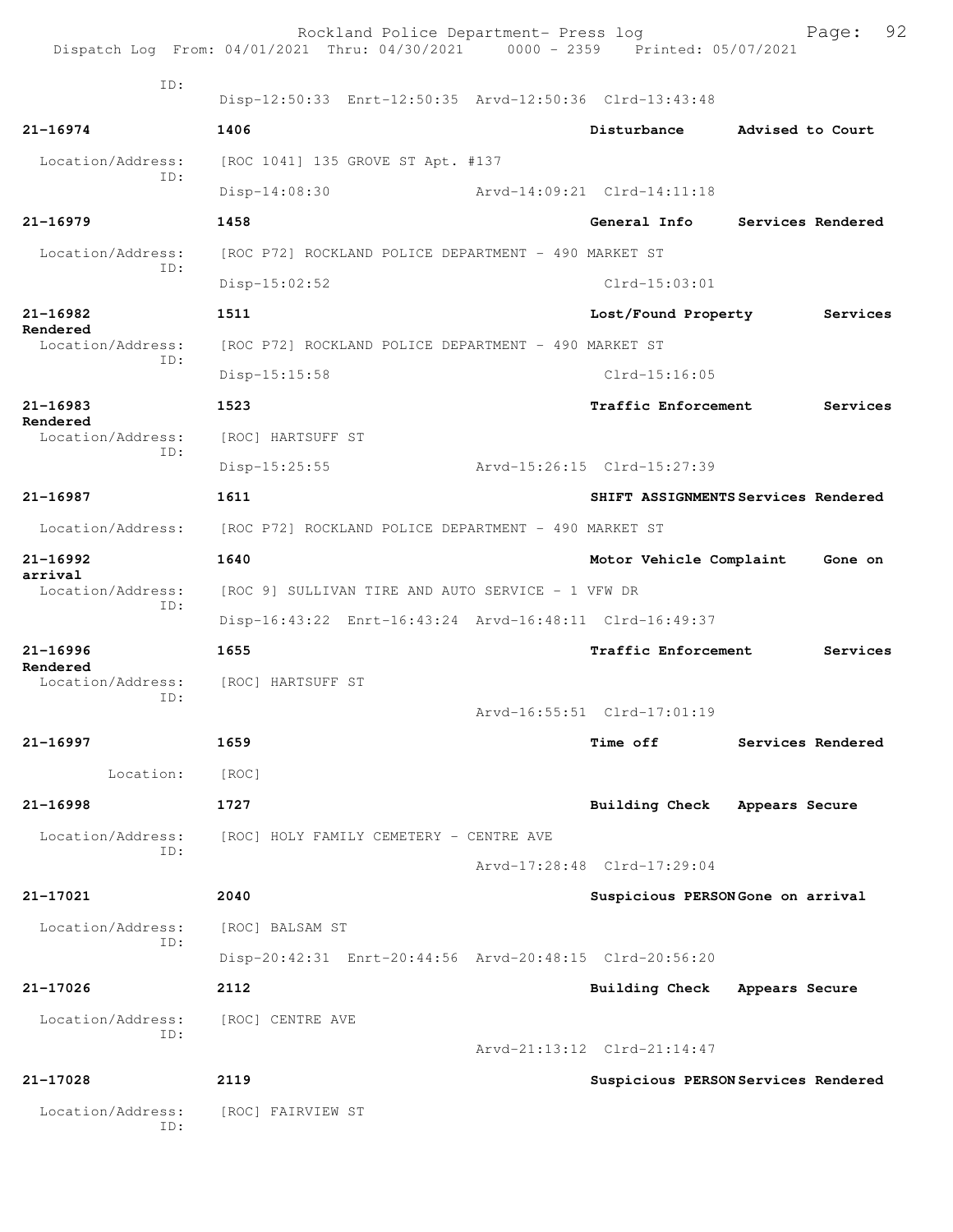|                          | Rockland Police Department- Press log<br>Dispatch Log From: 04/01/2021 Thru: 04/30/2021 0000 - 2359 Printed: 05/07/2021 |                             | 92<br>Page:                         |
|--------------------------|-------------------------------------------------------------------------------------------------------------------------|-----------------------------|-------------------------------------|
| TD:                      | Disp-12:50:33 Enrt-12:50:35 Arvd-12:50:36 Clrd-13:43:48                                                                 |                             |                                     |
| 21-16974                 | 1406                                                                                                                    | Disturbance                 | Advised to Court                    |
| Location/Address:        | [ROC 1041] 135 GROVE ST Apt. #137                                                                                       |                             |                                     |
| ID:                      | $Disp-14:08:30$                                                                                                         | Arvd-14:09:21 Clrd-14:11:18 |                                     |
| $21 - 16979$             | 1458                                                                                                                    | General Info                | Services Rendered                   |
| Location/Address:<br>ID: | [ROC P72] ROCKLAND POLICE DEPARTMENT - 490 MARKET ST                                                                    |                             |                                     |
|                          | $Disp-15:02:52$                                                                                                         | $Clrd-15:03:01$             |                                     |
| 21-16982<br>Rendered     | 1511                                                                                                                    | Lost/Found Property         | Services                            |
| Location/Address:<br>TD: | [ROC P72] ROCKLAND POLICE DEPARTMENT - 490 MARKET ST                                                                    |                             |                                     |
|                          | Disp-15:15:58                                                                                                           | $Clrd-15:16:05$             |                                     |
| $21 - 16983$<br>Rendered | 1523                                                                                                                    | Traffic Enforcement         | Services                            |
| Location/Address:<br>TD: | [ROC] HARTSUFF ST                                                                                                       |                             |                                     |
|                          | $Disp-15:25:55$                                                                                                         | Arvd-15:26:15 Clrd-15:27:39 |                                     |
| 21-16987                 | 1611                                                                                                                    |                             | SHIFT ASSIGNMENTS Services Rendered |
| Location/Address:        | [ROC P72] ROCKLAND POLICE DEPARTMENT - 490 MARKET ST                                                                    |                             |                                     |
| 21-16992<br>arrival      | 1640                                                                                                                    | Motor Vehicle Complaint     | Gone on                             |
| Location/Address:<br>ID: | [ROC 9] SULLIVAN TIRE AND AUTO SERVICE - 1 VFW DR                                                                       |                             |                                     |
|                          | Disp-16:43:22 Enrt-16:43:24 Arvd-16:48:11 Clrd-16:49:37                                                                 |                             |                                     |
| $21 - 16996$<br>Rendered | 1655                                                                                                                    | Traffic Enforcement         | Services                            |
| Location/Address:<br>ID: | [ROC] HARTSUFF ST                                                                                                       |                             |                                     |
|                          |                                                                                                                         | Arvd-16:55:51 Clrd-17:01:19 |                                     |
| 21-16997                 | 1659                                                                                                                    | <b>Time off</b>             | Services Rendered                   |
| Location:                | [ROC]                                                                                                                   |                             |                                     |
| $21 - 16998$             | 1727                                                                                                                    | Building Check              | Appears Secure                      |
| Location/Address:<br>TD: | [ROC] HOLY FAMILY CEMETERY - CENTRE AVE                                                                                 |                             |                                     |
|                          |                                                                                                                         | Arvd-17:28:48 Clrd-17:29:04 |                                     |
| 21-17021                 | 2040                                                                                                                    |                             | Suspicious PERSON Gone on arrival   |
| Location/Address:<br>ID: | [ROC] BALSAM ST                                                                                                         |                             |                                     |
|                          | Disp-20:42:31 Enrt-20:44:56 Arvd-20:48:15 Clrd-20:56:20                                                                 |                             |                                     |
| 21-17026                 | 2112                                                                                                                    | <b>Building Check</b>       | Appears Secure                      |
| Location/Address:<br>ID: | [ROC] CENTRE AVE                                                                                                        |                             |                                     |
|                          |                                                                                                                         | Arvd-21:13:12 Clrd-21:14:47 |                                     |
| 21-17028                 | 2119                                                                                                                    |                             | Suspicious PERSON Services Rendered |
| Location/Address:<br>ID: | [ROC] FAIRVIEW ST                                                                                                       |                             |                                     |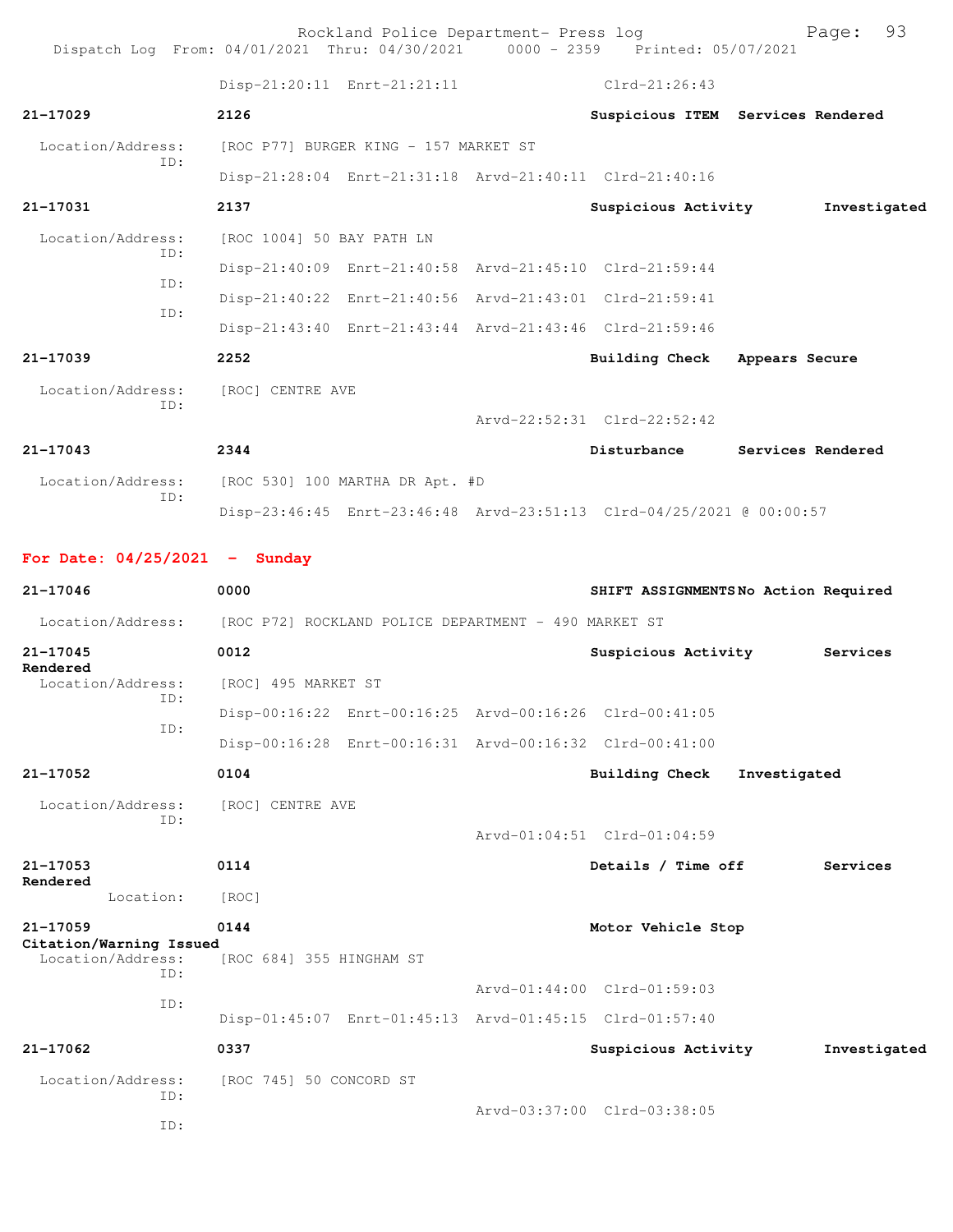Rockland Police Department- Press log Freed Page: 93 Dispatch Log From: 04/01/2021 Thru: 04/30/2021 0000 - 2359 Printed: 05/07/2021 Disp-21:20:11 Enrt-21:21:11 Clrd-21:26:43 **21-17029 2126 Suspicious ITEM Services Rendered** Location/Address: [ROC P77] BURGER KING - 157 MARKET ST ID: Disp-21:28:04 Enrt-21:31:18 Arvd-21:40:11 Clrd-21:40:16 **21-17031 2137 Suspicious Activity Investigated** Location/Address: [ROC 1004] 50 BAY PATH LN ID: Disp-21:40:09 Enrt-21:40:58 Arvd-21:45:10 Clrd-21:59:44 ID: Disp-21:40:22 Enrt-21:40:56 Arvd-21:43:01 Clrd-21:59:41 ID: Disp-21:43:40 Enrt-21:43:44 Arvd-21:43:46 Clrd-21:59:46 **21-17039 2252 Building Check Appears Secure** Location/Address: [ROC] CENTRE AVE ID: Arvd-22:52:31 Clrd-22:52:42 **21-17043 2344 Disturbance Services Rendered** Location/Address: [ROC 530] 100 MARTHA DR Apt. #D ID: Disp-23:46:45 Enrt-23:46:48 Arvd-23:51:13 Clrd-04/25/2021 @ 00:00:57 **For Date: 04/25/2021 - Sunday 21-17046 0000 SHIFT ASSIGNMENTS No Action Required** Location/Address: [ROC P72] ROCKLAND POLICE DEPARTMENT - 490 MARKET ST **21-17045 0012 Suspicious Activity Services Rendered**  Location/Address: [ROC] 495 MARKET ST ID: Disp-00:16:22 Enrt-00:16:25 Arvd-00:16:26 Clrd-00:41:05 ID: Disp-00:16:28 Enrt-00:16:31 Arvd-00:16:32 Clrd-00:41:00 **21-17052 0104 Building Check Investigated** Location/Address: [ROC] CENTRE AVE ID: Arvd-01:04:51 Clrd-01:04:59 **21-17053 0114 Details / Time off Services Rendered**  Location: [ROC] **21-17059 0144 Motor Vehicle Stop Citation/Warning Issued**  [ROC 684] 355 HINGHAM ST ID: Arvd-01:44:00 Clrd-01:59:03 ID: Disp-01:45:07 Enrt-01:45:13 Arvd-01:45:15 Clrd-01:57:40 **21-17062 0337 Suspicious Activity Investigated** Location/Address: [ROC 745] 50 CONCORD ST ID: Arvd-03:37:00 Clrd-03:38:05 ID: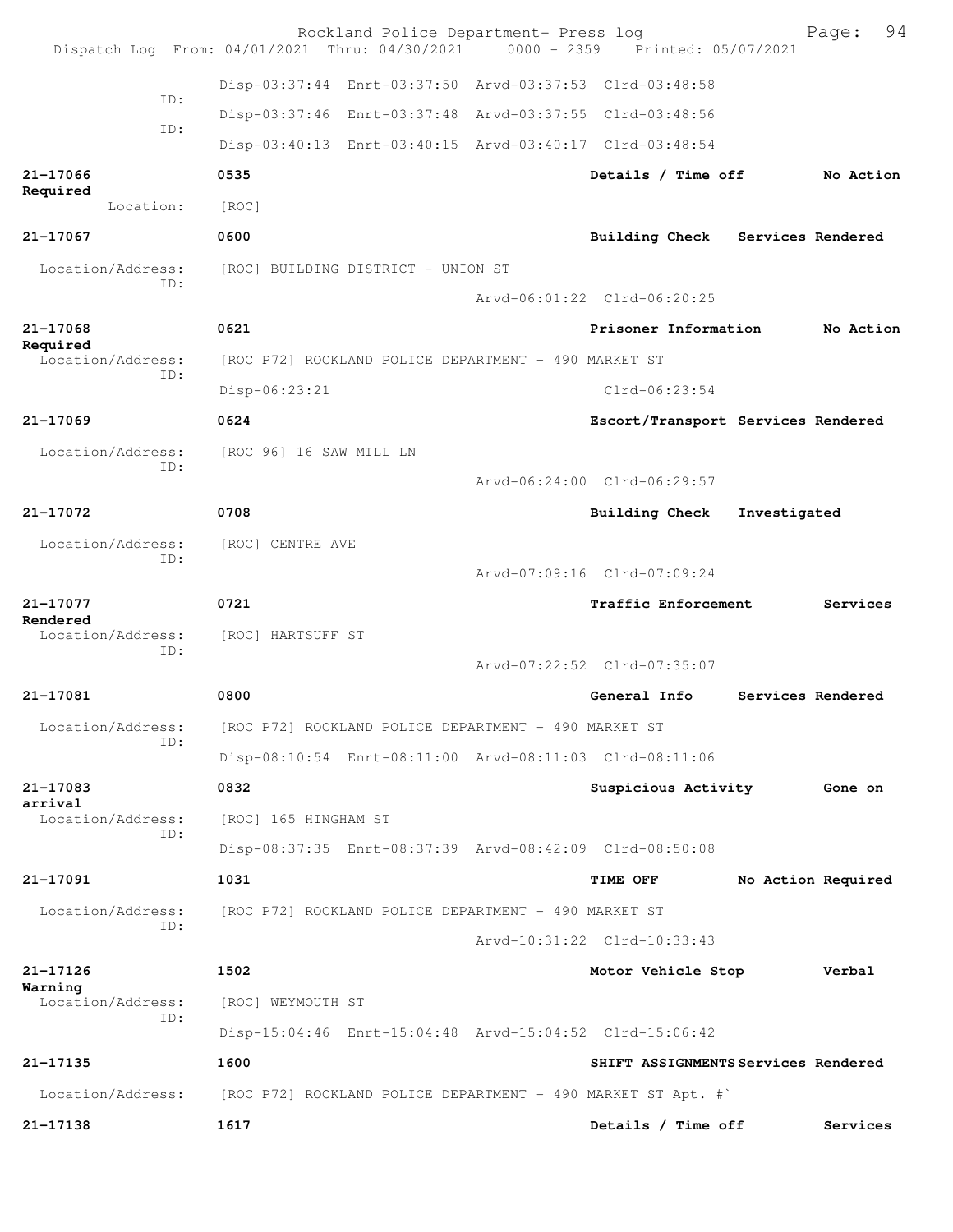| Dispatch Log From: 04/01/2021 Thru: 04/30/2021 |                                                      | Rockland Police Department- Press log                | $0000 - 2359$ | Printed: 05/07/2021                                            | 94<br>Page:                         |
|------------------------------------------------|------------------------------------------------------|------------------------------------------------------|---------------|----------------------------------------------------------------|-------------------------------------|
|                                                |                                                      |                                                      |               | Disp-03:37:44 Enrt-03:37:50 Arvd-03:37:53 Clrd-03:48:58        |                                     |
| ID:                                            |                                                      |                                                      |               | Disp-03:37:46 Enrt-03:37:48 Arvd-03:37:55 Clrd-03:48:56        |                                     |
| ID:                                            |                                                      |                                                      |               | Disp-03:40:13 Enrt-03:40:15 Arvd-03:40:17 Clrd-03:48:54        |                                     |
| 21-17066<br>Required                           | 0535                                                 |                                                      |               | Details / Time off                                             | No Action                           |
| Location:                                      | [ROC]                                                |                                                      |               |                                                                |                                     |
| 21-17067                                       | 0600                                                 |                                                      |               | <b>Building Check</b>                                          | Services Rendered                   |
| Location/Address:<br>ID:                       |                                                      | [ROC] BUILDING DISTRICT - UNION ST                   |               |                                                                |                                     |
|                                                |                                                      |                                                      |               | Arvd-06:01:22 Clrd-06:20:25                                    |                                     |
| 21-17068<br>Required                           | 0621                                                 |                                                      |               | Prisoner Information                                           | No Action                           |
| Location/Address:<br>ID:                       |                                                      | [ROC P72] ROCKLAND POLICE DEPARTMENT - 490 MARKET ST |               |                                                                |                                     |
|                                                | Disp-06:23:21                                        |                                                      |               | $Clrd-06:23:54$                                                |                                     |
| 21-17069                                       | 0624                                                 |                                                      |               |                                                                | Escort/Transport Services Rendered  |
| Location/Address:<br>ID:                       | [ROC 96] 16 SAW MILL LN                              |                                                      |               |                                                                |                                     |
|                                                |                                                      |                                                      |               | Arvd-06:24:00 Clrd-06:29:57                                    |                                     |
| 21-17072                                       | 0708                                                 |                                                      |               | <b>Building Check</b>                                          | Investigated                        |
| Location/Address:<br>ID:                       | [ROC] CENTRE AVE                                     |                                                      |               |                                                                |                                     |
|                                                |                                                      |                                                      |               | Arvd-07:09:16 Clrd-07:09:24                                    |                                     |
| 21-17077<br>Rendered                           | 0721                                                 |                                                      |               | Traffic Enforcement                                            | Services                            |
| Location/Address:<br>ID:                       | [ROC] HARTSUFF ST                                    |                                                      |               |                                                                |                                     |
|                                                |                                                      |                                                      |               | Arvd-07:22:52 Clrd-07:35:07                                    |                                     |
| 21-17081                                       | 0800                                                 |                                                      |               | General Info                                                   | Services Rendered                   |
| Location/Address:<br>TD:                       |                                                      | [ROC P72] ROCKLAND POLICE DEPARTMENT - 490 MARKET ST |               |                                                                |                                     |
|                                                |                                                      |                                                      |               | Disp-08:10:54 Enrt-08:11:00 Arvd-08:11:03 Clrd-08:11:06        |                                     |
| 21-17083<br>arrival                            | 0832                                                 |                                                      |               | Suspicious Activity                                            | Gone on                             |
| Location/Address:<br>ID:                       | [ROC] 165 HINGHAM ST                                 |                                                      |               |                                                                |                                     |
|                                                |                                                      |                                                      |               | Disp-08:37:35 Enrt-08:37:39 Arvd-08:42:09 Clrd-08:50:08        |                                     |
| 21-17091                                       | 1031                                                 |                                                      |               | <b>TIME OFF</b>                                                | No Action Required                  |
| Location/Address:<br>ID:                       | [ROC P72] ROCKLAND POLICE DEPARTMENT - 490 MARKET ST |                                                      |               |                                                                |                                     |
|                                                |                                                      |                                                      |               | Arvd-10:31:22 Clrd-10:33:43                                    |                                     |
| 21-17126<br>Warning                            | 1502                                                 |                                                      |               | Motor Vehicle Stop                                             | Verbal                              |
| Location/Address:<br>ID:                       | [ROC] WEYMOUTH ST                                    |                                                      |               |                                                                |                                     |
|                                                |                                                      |                                                      |               | Disp-15:04:46 Enrt-15:04:48 Arvd-15:04:52 Clrd-15:06:42        |                                     |
| 21-17135                                       | 1600                                                 |                                                      |               |                                                                | SHIFT ASSIGNMENTS Services Rendered |
| Location/Address:                              |                                                      |                                                      |               | [ROC P72] ROCKLAND POLICE DEPARTMENT - 490 MARKET ST Apt. $\#$ |                                     |
| 21-17138                                       | 1617                                                 |                                                      |               | Details / Time off                                             | Services                            |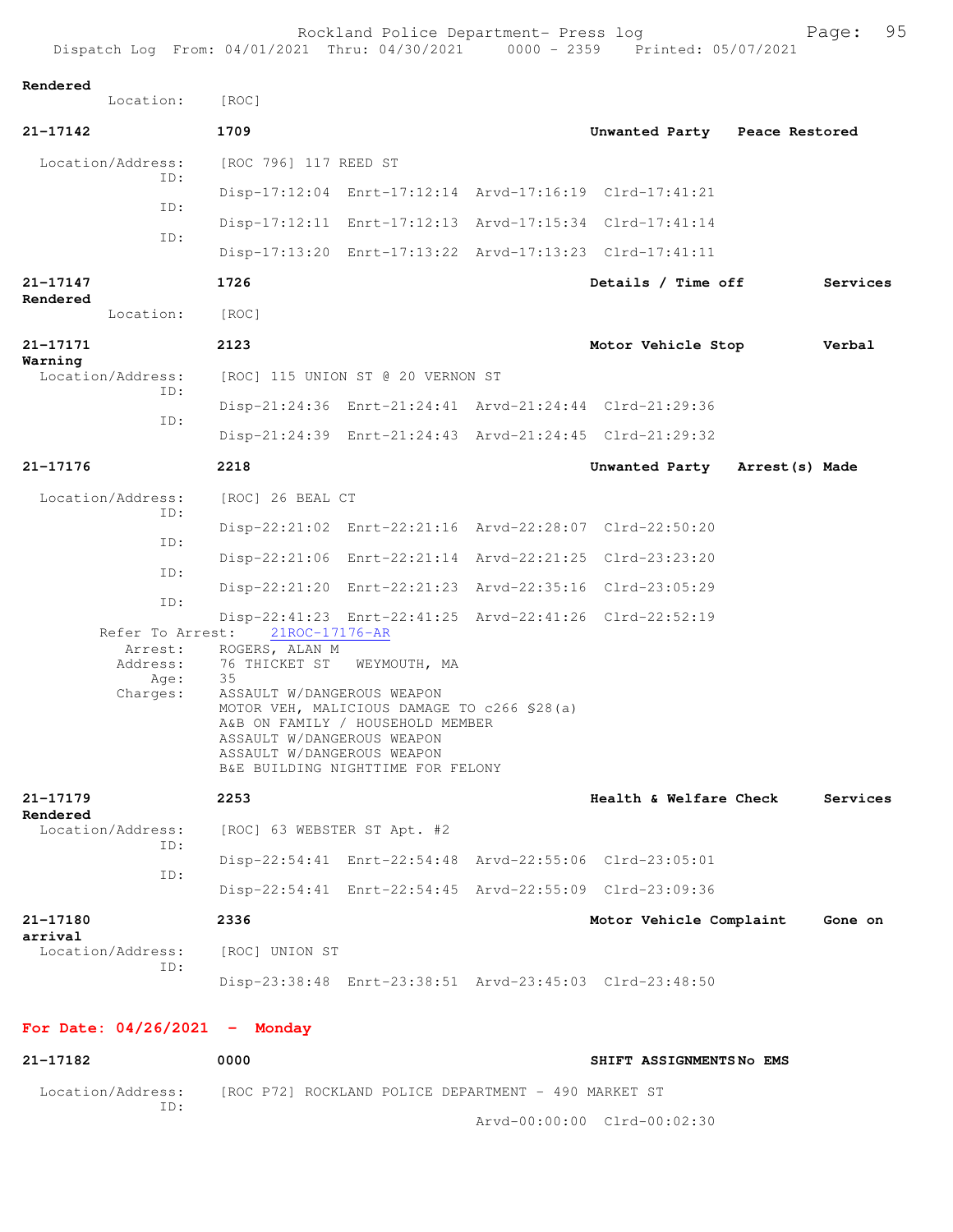| Rendered             | Location:                               | [ROC]                                                                                  |                                                                                                                      |                                                         |          |
|----------------------|-----------------------------------------|----------------------------------------------------------------------------------------|----------------------------------------------------------------------------------------------------------------------|---------------------------------------------------------|----------|
| 21-17142             |                                         | 1709                                                                                   |                                                                                                                      | Unwanted Party Peace Restored                           |          |
|                      | Location/Address:<br>ID:                | [ROC 796] 117 REED ST                                                                  |                                                                                                                      |                                                         |          |
|                      |                                         |                                                                                        |                                                                                                                      | Disp-17:12:04 Enrt-17:12:14 Arvd-17:16:19 Clrd-17:41:21 |          |
|                      | ID:                                     |                                                                                        |                                                                                                                      | Disp-17:12:11 Enrt-17:12:13 Arvd-17:15:34 Clrd-17:41:14 |          |
|                      | ID:                                     |                                                                                        |                                                                                                                      | Disp-17:13:20 Enrt-17:13:22 Arvd-17:13:23 Clrd-17:41:11 |          |
| 21-17147<br>Rendered |                                         | 1726                                                                                   |                                                                                                                      | Details / Time off                                      | Services |
|                      | Location:                               | [ROC]                                                                                  |                                                                                                                      |                                                         |          |
| 21-17171<br>Warning  |                                         | 2123                                                                                   |                                                                                                                      | Motor Vehicle Stop                                      | Verbal   |
|                      | Location/Address:<br>ID:                |                                                                                        | [ROC] 115 UNION ST @ 20 VERNON ST                                                                                    |                                                         |          |
|                      |                                         |                                                                                        |                                                                                                                      | Disp-21:24:36 Enrt-21:24:41 Arvd-21:24:44 Clrd-21:29:36 |          |
|                      | ID:                                     |                                                                                        |                                                                                                                      | Disp-21:24:39 Enrt-21:24:43 Arvd-21:24:45 Clrd-21:29:32 |          |
| 21-17176             |                                         | 2218                                                                                   |                                                                                                                      | Unwanted Party Arrest (s) Made                          |          |
|                      | Location/Address:                       | [ROC] 26 BEAL CT                                                                       |                                                                                                                      |                                                         |          |
| ID:                  |                                         |                                                                                        |                                                                                                                      | Disp-22:21:02 Enrt-22:21:16 Arvd-22:28:07 Clrd-22:50:20 |          |
|                      | ID:                                     |                                                                                        |                                                                                                                      | Disp-22:21:06 Enrt-22:21:14 Arvd-22:21:25 Clrd-23:23:20 |          |
|                      | ID:                                     |                                                                                        |                                                                                                                      | Disp-22:21:20 Enrt-22:21:23 Arvd-22:35:16 Clrd-23:05:29 |          |
|                      | ID:                                     |                                                                                        |                                                                                                                      | Disp-22:41:23 Enrt-22:41:25 Arvd-22:41:26 Clrd-22:52:19 |          |
|                      | Refer To Arrest:<br>Arrest:<br>Address: | 21ROC-17176-AR<br>ROGERS, ALAN M<br>76 THICKET ST<br>35                                | WEYMOUTH, MA                                                                                                         |                                                         |          |
|                      | Age:<br>Charges:                        | ASSAULT W/DANGEROUS WEAPON<br>ASSAULT W/DANGEROUS WEAPON<br>ASSAULT W/DANGEROUS WEAPON | MOTOR VEH, MALICIOUS DAMAGE TO c266 \$28(a)<br>A&B ON FAMILY / HOUSEHOLD MEMBER<br>B&E BUILDING NIGHTTIME FOR FELONY |                                                         |          |
| 21-17179             |                                         | 2253                                                                                   |                                                                                                                      | Health & Welfare Check                                  | Services |
| Rendered             | Location/Address:                       | [ROC] 63 WEBSTER ST Apt. #2                                                            |                                                                                                                      |                                                         |          |
|                      | ID:                                     |                                                                                        |                                                                                                                      | Disp-22:54:41 Enrt-22:54:48 Arvd-22:55:06 Clrd-23:05:01 |          |
|                      | ID:                                     |                                                                                        |                                                                                                                      | Disp-22:54:41 Enrt-22:54:45 Arvd-22:55:09 Clrd-23:09:36 |          |
| 21-17180<br>arrival  |                                         | 2336                                                                                   |                                                                                                                      | Motor Vehicle Complaint                                 | Gone on  |
|                      | Location/Address:<br>ID:                | [ROC] UNION ST                                                                         |                                                                                                                      |                                                         |          |
|                      |                                         |                                                                                        |                                                                                                                      | Disp-23:38:48 Enrt-23:38:51 Arvd-23:45:03 Clrd-23:48:50 |          |
|                      |                                         | For Date: $04/26/2021$ - Monday                                                        |                                                                                                                      |                                                         |          |
| 21-17182             |                                         | 0000                                                                                   |                                                                                                                      | SHIFT ASSIGNMENTSNO EMS                                 |          |

Location/Address: [ROC P72] ROCKLAND POLICE DEPARTMENT - 490 MARKET ST ID:

Arvd-00:00:00 Clrd-00:02:30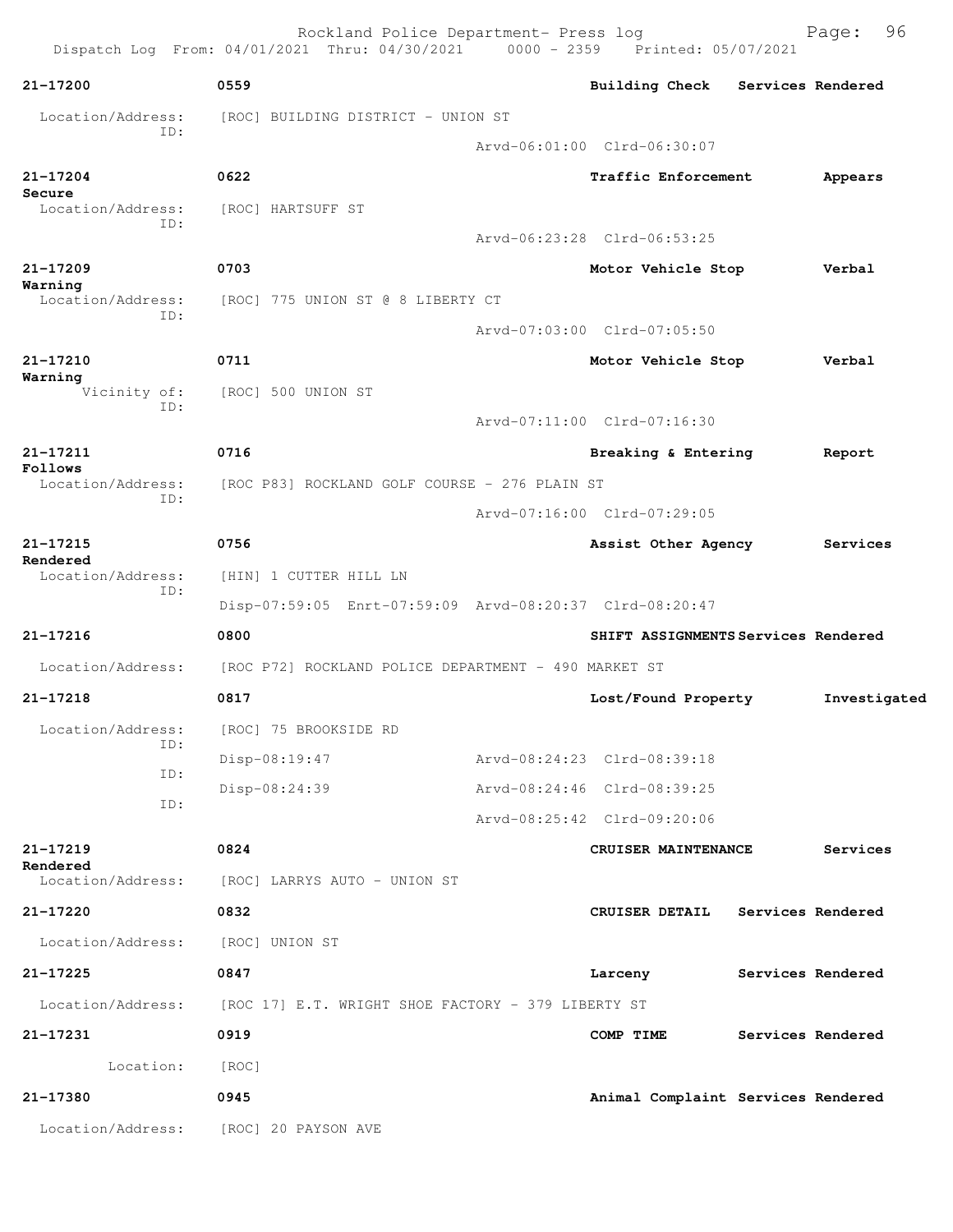Rockland Police Department- Press log Freed Page: 96 Dispatch Log From: 04/01/2021 Thru: 04/30/2021 0000 - 2359 Printed: 05/07/2021 **21-17200 0559 Building Check Services Rendered** Location/Address: [ROC] BUILDING DISTRICT - UNION ST ID: Arvd-06:01:00 Clrd-06:30:07 **21-17204 0622 Traffic Enforcement Appears Secure**  Location/Address: [ROC] HARTSUFF ST ID: Arvd-06:23:28 Clrd-06:53:25 **21-17209 0703 Motor Vehicle Stop Verbal Warning**  Location/Address: [ROC] 775 UNION ST @ 8 LIBERTY CT ID: Arvd-07:03:00 Clrd-07:05:50 **21-17210 0711 Motor Vehicle Stop Verbal Warning**  Vicinity of: [ROC] 500 UNION ST ID: Arvd-07:11:00 Clrd-07:16:30 **21-17211 0716 Breaking & Entering Report Follows**  Location/Address: [ROC P83] ROCKLAND GOLF COURSE - 276 PLAIN ST ID: Arvd-07:16:00 Clrd-07:29:05 **21-17215 0756 Assist Other Agency Services Rendered**  Location/Address: [HIN] 1 CUTTER HILL LN ID: Disp-07:59:05 Enrt-07:59:09 Arvd-08:20:37 Clrd-08:20:47 **21-17216 0800 SHIFT ASSIGNMENTS Services Rendered** Location/Address: [ROC P72] ROCKLAND POLICE DEPARTMENT - 490 MARKET ST **21-17218 0817 Lost/Found Property Investigated** Location/Address: [ROC] 75 BROOKSIDE RD ID: Disp-08:19:47 Arvd-08:24:23 Clrd-08:39:18 ID: Disp-08:24:39 Arvd-08:24:46 Clrd-08:39:25 ID: Arvd-08:25:42 Clrd-09:20:06 **21-17219 0824 CRUISER MAINTENANCE Services Rendered**  Location/Address: [ROC] LARRYS AUTO - UNION ST **21-17220 0832 CRUISER DETAIL Services Rendered** Location/Address: [ROC] UNION ST **21-17225 0847 Larceny Services Rendered** Location/Address: [ROC 17] E.T. WRIGHT SHOE FACTORY - 379 LIBERTY ST **21-17231 0919 COMP TIME Services Rendered** Location: [ROC] **21-17380 0945 Animal Complaint Services Rendered** Location/Address: [ROC] 20 PAYSON AVE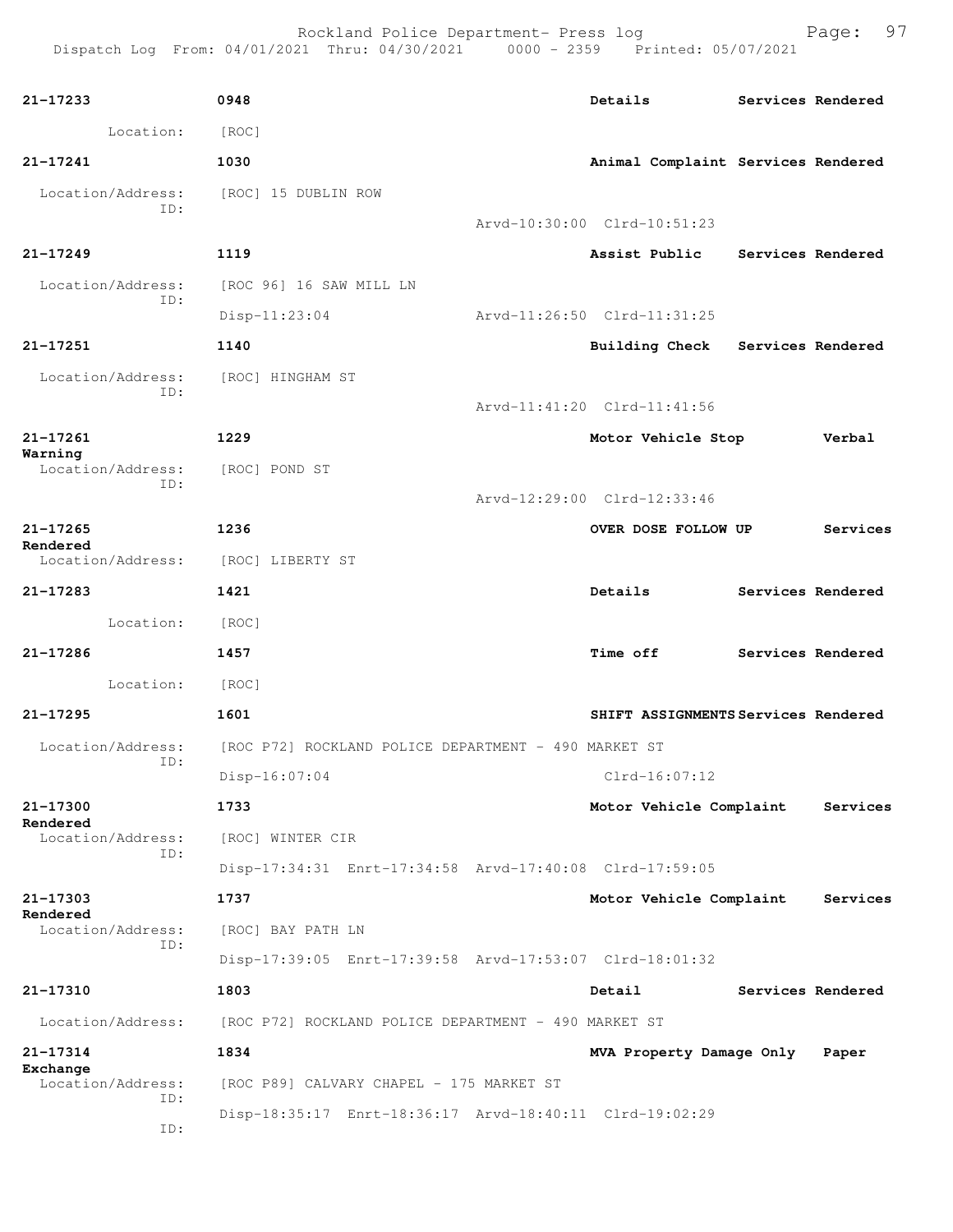| 21-17233                             | 0948                                                    |  | Details                             |                   | Services Rendered |  |  |
|--------------------------------------|---------------------------------------------------------|--|-------------------------------------|-------------------|-------------------|--|--|
| Location:                            | [ROC]                                                   |  |                                     |                   |                   |  |  |
| 21-17241                             | 1030                                                    |  | Animal Complaint Services Rendered  |                   |                   |  |  |
| Location/Address:<br>ID:             | [ROC] 15 DUBLIN ROW                                     |  |                                     |                   |                   |  |  |
|                                      |                                                         |  | Arvd-10:30:00 Clrd-10:51:23         |                   |                   |  |  |
| 21-17249                             | 1119                                                    |  | Assist Public                       | Services Rendered |                   |  |  |
| Location/Address:<br>ID:             | [ROC 96] 16 SAW MILL LN                                 |  |                                     |                   |                   |  |  |
|                                      | $Disp-11:23:04$                                         |  | Arvd-11:26:50 Clrd-11:31:25         |                   |                   |  |  |
| 21-17251                             | 1140                                                    |  | <b>Building Check</b>               | Services Rendered |                   |  |  |
| Location/Address:<br>ID:             | [ROC] HINGHAM ST                                        |  |                                     |                   |                   |  |  |
|                                      |                                                         |  | Arvd-11:41:20 Clrd-11:41:56         |                   |                   |  |  |
| 21-17261<br>Warning                  | 1229                                                    |  | Motor Vehicle Stop                  |                   | Verbal            |  |  |
| Location/Address:<br>ID:             | [ROC] POND ST                                           |  |                                     |                   |                   |  |  |
|                                      |                                                         |  | Arvd-12:29:00 Clrd-12:33:46         |                   |                   |  |  |
| $21 - 17265$                         | 1236                                                    |  | OVER DOSE FOLLOW UP                 |                   | Services          |  |  |
| Rendered<br>Location/Address:        | [ROC] LIBERTY ST                                        |  |                                     |                   |                   |  |  |
| 21-17283                             | 1421                                                    |  | Details                             |                   | Services Rendered |  |  |
| Location: [ROC]                      |                                                         |  |                                     |                   |                   |  |  |
| 21-17286                             | 1457                                                    |  | <b>Time off</b>                     |                   | Services Rendered |  |  |
| Location:                            | [ROC]                                                   |  |                                     |                   |                   |  |  |
| 21-17295                             | 1601                                                    |  | SHIFT ASSIGNMENTS Services Rendered |                   |                   |  |  |
| Location/Address:                    | [ROC P72] ROCKLAND POLICE DEPARTMENT - 490 MARKET ST    |  |                                     |                   |                   |  |  |
| ID:                                  | $Disp-16:07:04$                                         |  | $Clrd-16:07:12$                     |                   |                   |  |  |
| 21-17300                             | 1733                                                    |  | Motor Vehicle Complaint             |                   | Services          |  |  |
| Rendered<br>Location/Address:        | [ROC] WINTER CIR                                        |  |                                     |                   |                   |  |  |
| ID:                                  | Disp-17:34:31 Enrt-17:34:58 Arvd-17:40:08 Clrd-17:59:05 |  |                                     |                   |                   |  |  |
| 21-17303                             | 1737                                                    |  | Motor Vehicle Complaint             |                   | Services          |  |  |
| Rendered<br>Location/Address:        | [ROC] BAY PATH LN                                       |  |                                     |                   |                   |  |  |
| ID:                                  | Disp-17:39:05 Enrt-17:39:58 Arvd-17:53:07 Clrd-18:01:32 |  |                                     |                   |                   |  |  |
| 21-17310                             | 1803                                                    |  | Detail                              |                   | Services Rendered |  |  |
| Location/Address:                    | [ROC P72] ROCKLAND POLICE DEPARTMENT - 490 MARKET ST    |  |                                     |                   |                   |  |  |
| 21-17314                             | 1834                                                    |  | MVA Property Damage Only            |                   | Paper             |  |  |
| Exchange<br>Location/Address:<br>ID: | [ROC P89] CALVARY CHAPEL - 175 MARKET ST                |  |                                     |                   |                   |  |  |
| ID:                                  | Disp-18:35:17 Enrt-18:36:17 Arvd-18:40:11 Clrd-19:02:29 |  |                                     |                   |                   |  |  |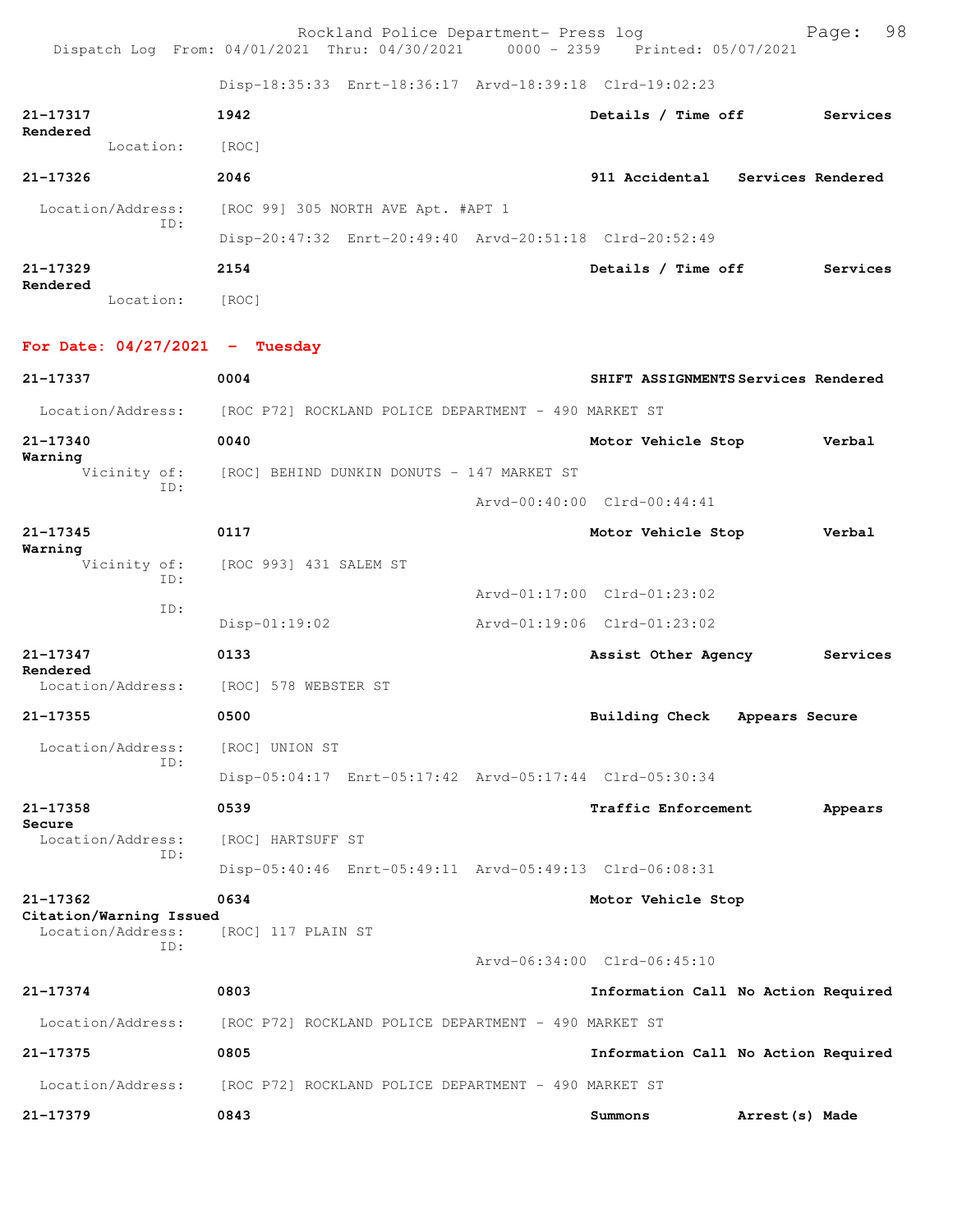Rockland Police Department- Press log entitled and Page: 98 Dispatch Log From: 04/01/2021 Thru: 04/30/2021 0000 - 2359 Printed: 05/07/2021

Disp-18:35:33 Enrt-18:36:17 Arvd-18:39:18 Clrd-19:02:23

| 21-17317<br>Rendered     |           | 1942                                                    | Details / Time off | Services                         |
|--------------------------|-----------|---------------------------------------------------------|--------------------|----------------------------------|
|                          | Location: | [ROC]                                                   |                    |                                  |
| 21-17326                 |           | 2046                                                    |                    | 911 Accidental Services Rendered |
| Location/Address:<br>ID: |           | [ROC 99] 305 NORTH AVE Apt. #APT 1                      |                    |                                  |
|                          |           | Disp-20:47:32 Enrt-20:49:40 Arvd-20:51:18 Clrd-20:52:49 |                    |                                  |
| 21-17329<br>Rendered     |           | 2154                                                    | Details / Time off | Services                         |
|                          | Location: | [ROC]                                                   |                    |                                  |

**For Date: 04/27/2021 - Tuesday**

| 21-17337                                     | 0004                                                    | SHIFT ASSIGNMENTS Services Rendered |                 |          |
|----------------------------------------------|---------------------------------------------------------|-------------------------------------|-----------------|----------|
| Location/Address:                            | [ROC P72] ROCKLAND POLICE DEPARTMENT - 490 MARKET ST    |                                     |                 |          |
| 21-17340<br>Warning                          | 0040                                                    | Motor Vehicle Stop                  |                 | Verbal   |
| Vicinity of:<br>TD:                          | [ROC] BEHIND DUNKIN DONUTS - 147 MARKET ST              |                                     |                 |          |
|                                              |                                                         | Arvd-00:40:00 Clrd-00:44:41         |                 |          |
| $21 - 17345$                                 | 0117                                                    | Motor Vehicle Stop                  |                 | Verbal   |
| Warning<br>Vicinity of:<br>ID:               | [ROC 993] 431 SALEM ST                                  |                                     |                 |          |
| TD:                                          |                                                         | Arvd-01:17:00 Clrd-01:23:02         |                 |          |
|                                              | $Disp-01:19:02$                                         | Arvd-01:19:06 Clrd-01:23:02         |                 |          |
| 21-17347                                     | 0133                                                    | Assist Other Agency                 |                 | Services |
| Rendered<br>Location/Address:                | [ROC] 578 WEBSTER ST                                    |                                     |                 |          |
| 21-17355                                     | 0500                                                    | Building Check                      | Appears Secure  |          |
| Location/Address:<br>ID:                     | [ROC] UNION ST                                          |                                     |                 |          |
|                                              | Disp-05:04:17 Enrt-05:17:42 Arvd-05:17:44 Clrd-05:30:34 |                                     |                 |          |
| $21 - 17358$<br>Secure                       | 0539                                                    | Traffic Enforcement                 |                 | Appears  |
| Location/Address:<br>TD:                     | [ROC] HARTSUFF ST                                       |                                     |                 |          |
|                                              | Disp-05:40:46 Enrt-05:49:11 Arvd-05:49:13 Clrd-06:08:31 |                                     |                 |          |
| 21-17362                                     | 0634                                                    | Motor Vehicle Stop                  |                 |          |
| Citation/Warning Issued<br>Location/Address: | [ROC] 117 PLAIN ST                                      |                                     |                 |          |
| ID:                                          |                                                         | Arvd-06:34:00 Clrd-06:45:10         |                 |          |
| 21-17374                                     | 0803                                                    | Information Call No Action Required |                 |          |
| Location/Address:                            | [ROC P72] ROCKLAND POLICE DEPARTMENT - 490 MARKET ST    |                                     |                 |          |
| 21-17375                                     | 0805                                                    | Information Call No Action Required |                 |          |
| Location/Address:                            | [ROC P72] ROCKLAND POLICE DEPARTMENT - 490 MARKET ST    |                                     |                 |          |
| $21 - 17379$                                 | 0843                                                    | Summons                             | Arrest (s) Made |          |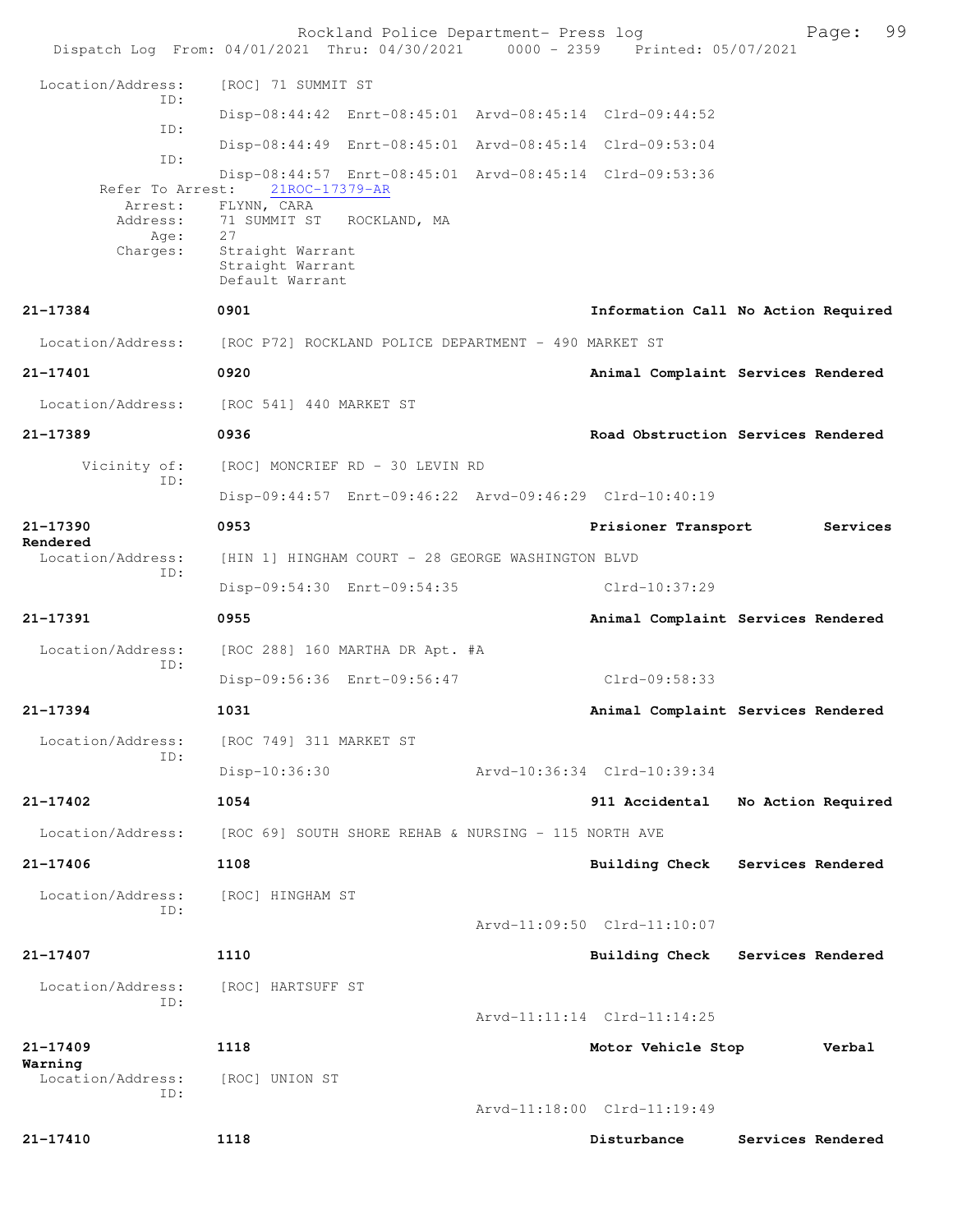|                                                             | Rockland Police Department- Press log<br>Dispatch Log From: 04/01/2021 Thru: 04/30/2021 0000 - 2359 Printed: 05/07/2021      | 99<br>Page:                                |
|-------------------------------------------------------------|------------------------------------------------------------------------------------------------------------------------------|--------------------------------------------|
| Location/Address:                                           | [ROC] 71 SUMMIT ST                                                                                                           |                                            |
| TD:                                                         | Disp-08:44:42 Enrt-08:45:01 Arvd-08:45:14 Clrd-09:44:52                                                                      |                                            |
| ID:                                                         | Disp-08:44:49 Enrt-08:45:01 Arvd-08:45:14 Clrd-09:53:04                                                                      |                                            |
| ID:                                                         | Disp-08:44:57 Enrt-08:45:01 Arvd-08:45:14 Clrd-09:53:36                                                                      |                                            |
| Refer To Arrest:<br>Arrest:<br>Address:<br>Age:<br>Charges: | 21ROC-17379-AR<br>FLYNN, CARA<br>71 SUMMIT ST ROCKLAND, MA<br>2.7<br>Straight Warrant<br>Straight Warrant<br>Default Warrant |                                            |
| 21-17384                                                    | 0901                                                                                                                         | Information Call No Action Required        |
| Location/Address:                                           | [ROC P72] ROCKLAND POLICE DEPARTMENT - 490 MARKET ST                                                                         |                                            |
| 21-17401                                                    | 0920                                                                                                                         | Animal Complaint Services Rendered         |
| Location/Address:                                           | [ROC 541] 440 MARKET ST                                                                                                      |                                            |
| 21-17389                                                    | 0936                                                                                                                         | Road Obstruction Services Rendered         |
| Vicinity of:<br>ID:                                         | [ROC] MONCRIEF RD - 30 LEVIN RD                                                                                              |                                            |
|                                                             | Disp-09:44:57 Enrt-09:46:22 Arvd-09:46:29 Clrd-10:40:19                                                                      |                                            |
| 21-17390<br>Rendered                                        | 0953                                                                                                                         | Prisioner Transport<br>Services            |
| Location/Address:<br>ID:                                    | [HIN 1] HINGHAM COURT - 28 GEORGE WASHINGTON BLVD                                                                            |                                            |
|                                                             | Disp-09:54:30 Enrt-09:54:35                                                                                                  | Clrd-10:37:29                              |
| 21-17391                                                    | 0955                                                                                                                         | Animal Complaint Services Rendered         |
| Location/Address:<br>TD:                                    | [ROC 288] 160 MARTHA DR Apt. #A                                                                                              |                                            |
|                                                             | Disp-09:56:36 Enrt-09:56:47                                                                                                  | Clrd-09:58:33                              |
| 21-17394                                                    | 1031                                                                                                                         | Animal Complaint Services Rendered         |
| Location/Address:<br>ID:                                    | [ROC 749] 311 MARKET ST                                                                                                      |                                            |
|                                                             | Disp-10:36:30                                                                                                                | Arvd-10:36:34 Clrd-10:39:34                |
| $21 - 17402$                                                | 1054                                                                                                                         | 911 Accidental<br>No Action Required       |
| Location/Address:                                           | [ROC 69] SOUTH SHORE REHAB & NURSING - 115 NORTH AVE                                                                         |                                            |
| 21-17406                                                    | 1108                                                                                                                         | Building Check<br>Services Rendered        |
| Location/Address:<br>ID:                                    | [ROC] HINGHAM ST                                                                                                             |                                            |
|                                                             |                                                                                                                              | Arvd-11:09:50 Clrd-11:10:07                |
| 21-17407                                                    | 1110                                                                                                                         | Services Rendered<br><b>Building Check</b> |
| Location/Address:<br>ID:                                    | [ROC] HARTSUFF ST                                                                                                            | Arvd-11:11:14 Clrd-11:14:25                |
| $21 - 17409$                                                | 1118                                                                                                                         | Motor Vehicle Stop<br>Verbal               |
| Warning<br>Location/Address:                                |                                                                                                                              |                                            |
| TD:                                                         | [ROC] UNION ST                                                                                                               | Arvd-11:18:00 Clrd-11:19:49                |
| 21-17410                                                    | 1118                                                                                                                         | Disturbance<br>Services Rendered           |
|                                                             |                                                                                                                              |                                            |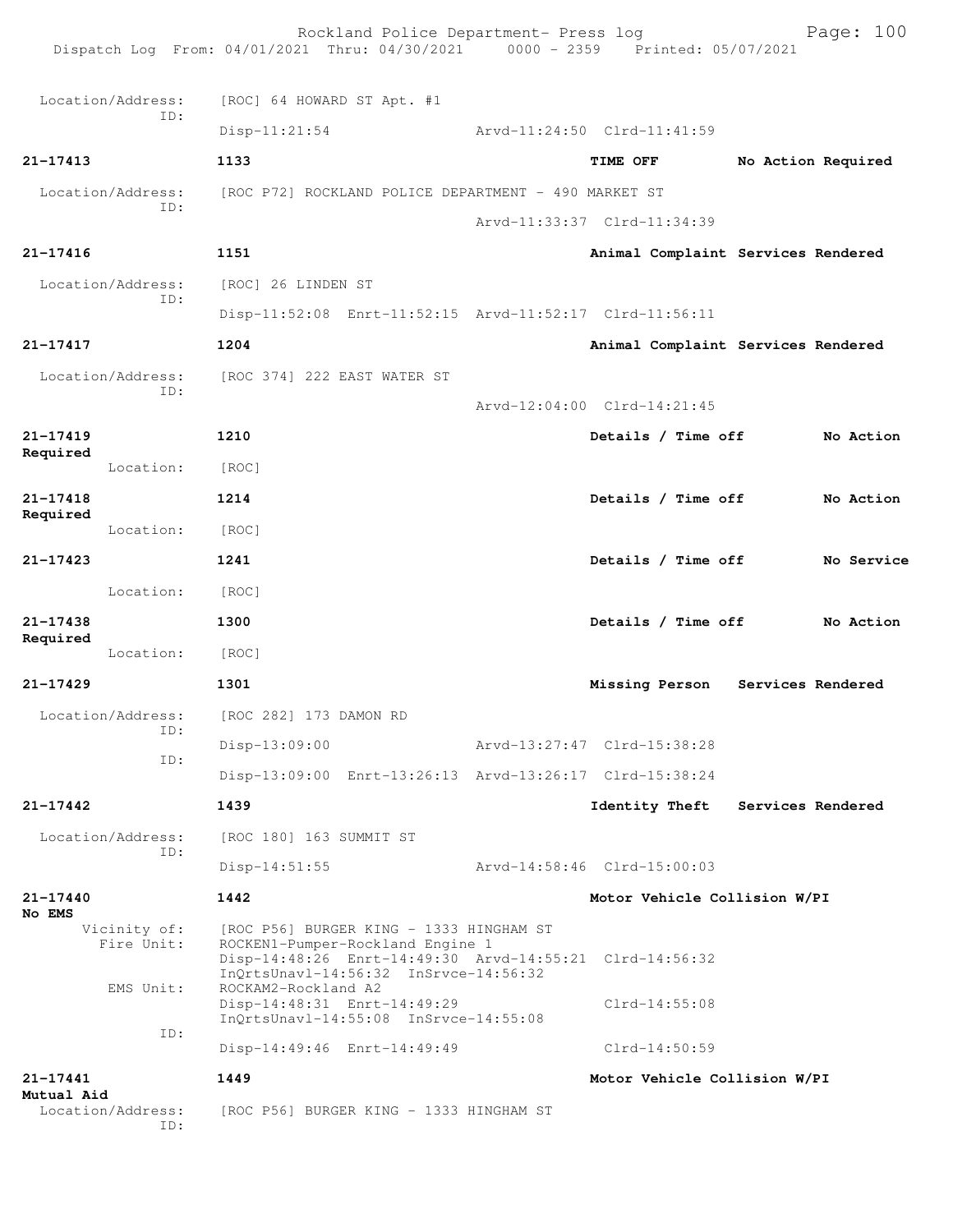|                          |                            | Dispatch Log From: 04/01/2021 Thru: 04/30/2021 0000 - 2359 Printed: 05/07/2021              | Rockland Police Department- Press log |                                                         | Page: $100$        |
|--------------------------|----------------------------|---------------------------------------------------------------------------------------------|---------------------------------------|---------------------------------------------------------|--------------------|
|                          | Location/Address:          | [ROC] 64 HOWARD ST Apt. #1                                                                  |                                       |                                                         |                    |
|                          | ID:                        | $Disp-11:21:54$                                                                             |                                       | Arvd-11:24:50 Clrd-11:41:59                             |                    |
| 21-17413                 |                            | 1133                                                                                        |                                       | <b>TIME OFF</b>                                         | No Action Required |
|                          | Location/Address:          | [ROC P72] ROCKLAND POLICE DEPARTMENT - 490 MARKET ST                                        |                                       |                                                         |                    |
|                          | ID:                        |                                                                                             |                                       | Arvd-11:33:37 Clrd-11:34:39                             |                    |
| $21 - 17416$             |                            | 1151                                                                                        |                                       | Animal Complaint Services Rendered                      |                    |
|                          | Location/Address:          | [ROC] 26 LINDEN ST                                                                          |                                       |                                                         |                    |
|                          | ID:                        |                                                                                             |                                       | Disp-11:52:08 Enrt-11:52:15 Arvd-11:52:17 Clrd-11:56:11 |                    |
| 21-17417                 |                            | 1204                                                                                        |                                       | Animal Complaint Services Rendered                      |                    |
|                          | Location/Address:          | [ROC 374] 222 EAST WATER ST                                                                 |                                       |                                                         |                    |
|                          | ID:                        |                                                                                             |                                       | Arvd-12:04:00 Clrd-14:21:45                             |                    |
| $21 - 17419$             |                            | 1210                                                                                        |                                       | Details / Time off                                      | No Action          |
| Required                 | Location:                  | [ROC]                                                                                       |                                       |                                                         |                    |
| $21 - 17418$<br>Required |                            | 1214                                                                                        |                                       | Details / Time off                                      | No Action          |
|                          | Location:                  | [ROC]                                                                                       |                                       |                                                         |                    |
| $21 - 17423$             |                            | 1241                                                                                        |                                       | Details / Time off                                      | No Service         |
|                          | Location:                  | [ROC]                                                                                       |                                       |                                                         |                    |
| $21 - 17438$             |                            | 1300                                                                                        |                                       | Details / Time off                                      | No Action          |
| Required                 | Location:                  | [ROC]                                                                                       |                                       |                                                         |                    |
| 21-17429                 |                            | 1301                                                                                        |                                       | Missing Person Services Rendered                        |                    |
|                          | Location/Address:          | [ROC 282] 173 DAMON RD                                                                      |                                       |                                                         |                    |
|                          | ID:                        | $Disp-13:09:00$                                                                             |                                       | Arvd-13:27:47 Clrd-15:38:28                             |                    |
|                          | ID:                        |                                                                                             |                                       | Disp-13:09:00 Enrt-13:26:13 Arvd-13:26:17 Clrd-15:38:24 |                    |
| $21 - 17442$             |                            | 1439                                                                                        |                                       | Identity Theft Services Rendered                        |                    |
|                          | Location/Address:<br>ID:   | [ROC 180] 163 SUMMIT ST                                                                     |                                       |                                                         |                    |
|                          |                            | $Disp-14:51:55$                                                                             |                                       | Arvd-14:58:46 Clrd-15:00:03                             |                    |
| $21 - 17440$<br>No EMS   |                            | 1442                                                                                        |                                       | Motor Vehicle Collision W/PI                            |                    |
|                          | Vicinity of:<br>Fire Unit: | [ROC P56] BURGER KING - 1333 HINGHAM ST<br>ROCKEN1-Pumper-Rockland Engine 1                 |                                       | Disp-14:48:26 Enrt-14:49:30 Arvd-14:55:21 Clrd-14:56:32 |                    |
|                          | EMS Unit:                  | InQrtsUnavl-14:56:32 InSrvce-14:56:32<br>ROCKAM2-Rockland A2<br>Disp-14:48:31 Enrt-14:49:29 |                                       | $Clrd-14:55:08$                                         |                    |
|                          | ID:                        | InQrtsUnavl-14:55:08 InSrvce-14:55:08<br>Disp-14:49:46 Enrt-14:49:49                        |                                       | $Clrd-14:50:59$                                         |                    |
| 21-17441<br>Mutual Aid   |                            | 1449                                                                                        |                                       | Motor Vehicle Collision W/PI                            |                    |
|                          | Location/Address:<br>ID:   | [ROC P56] BURGER KING - 1333 HINGHAM ST                                                     |                                       |                                                         |                    |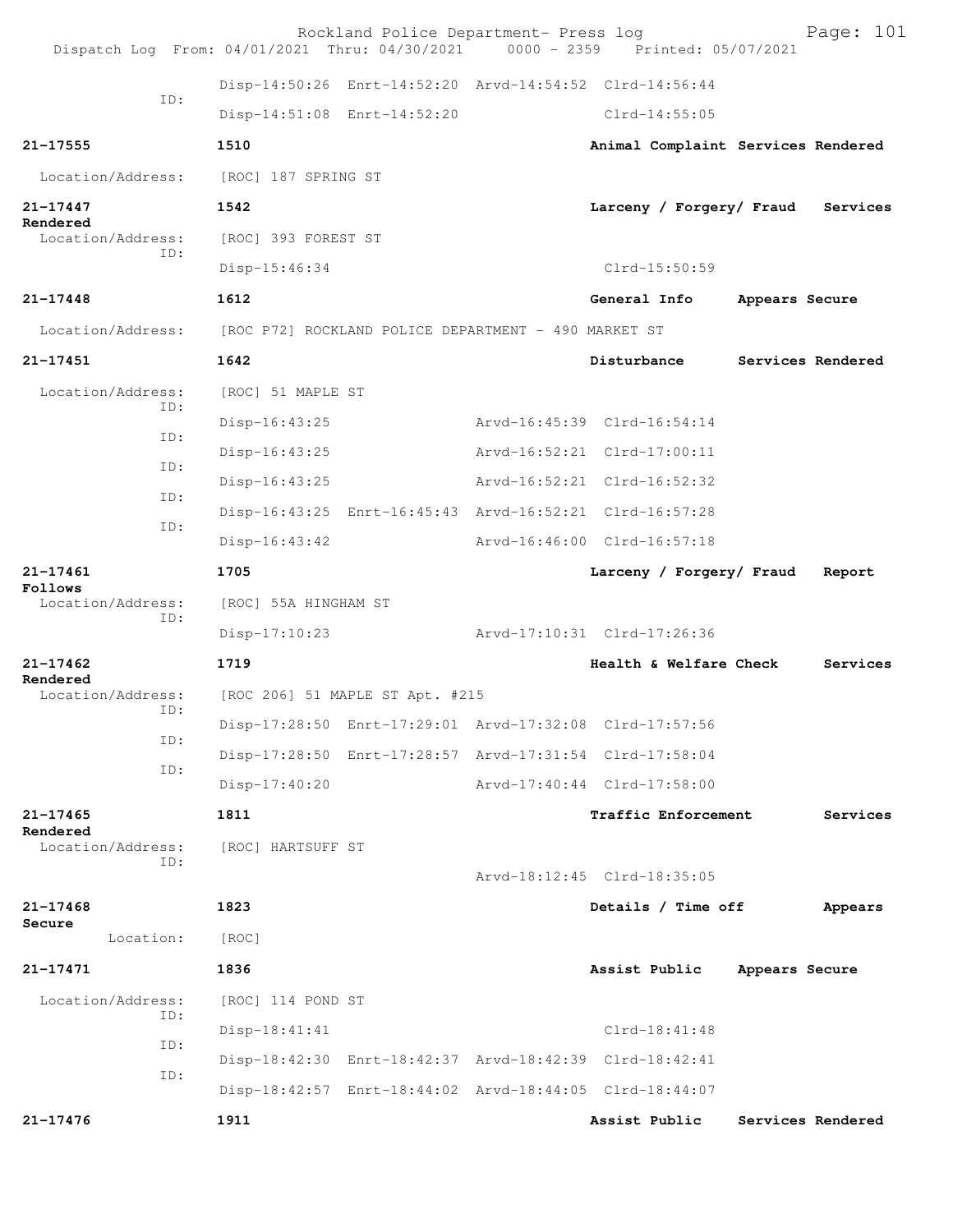|                               | Dispatch Log From: 04/01/2021 Thru: 04/30/2021 0000 - 2359 Printed: 05/07/2021 | Rockland Police Department- Press log |                             | Page: 101                          |
|-------------------------------|--------------------------------------------------------------------------------|---------------------------------------|-----------------------------|------------------------------------|
|                               | Disp-14:50:26 Enrt-14:52:20 Arvd-14:54:52 Clrd-14:56:44                        |                                       |                             |                                    |
| TD:                           | Disp-14:51:08 Enrt-14:52:20                                                    |                                       | $Clrd-14:55:05$             |                                    |
| 21-17555                      | 1510                                                                           |                                       |                             | Animal Complaint Services Rendered |
| Location/Address:             | [ROC] 187 SPRING ST                                                            |                                       |                             |                                    |
| $21 - 17447$                  | 1542                                                                           |                                       | Larceny / Forgery/ Fraud    | Services                           |
| Rendered<br>Location/Address: | [ROC] 393 FOREST ST                                                            |                                       |                             |                                    |
| TD:                           | $Disp-15:46:34$                                                                |                                       | Clrd-15:50:59               |                                    |
| $21 - 17448$                  | 1612                                                                           |                                       | General Info                | Appears Secure                     |
| Location/Address:             | [ROC P72] ROCKLAND POLICE DEPARTMENT - 490 MARKET ST                           |                                       |                             |                                    |
| $21 - 17451$                  | 1642                                                                           |                                       | Disturbance                 | Services Rendered                  |
| Location/Address:             | [ROC] 51 MAPLE ST                                                              |                                       |                             |                                    |
| ID:                           | $Disp-16:43:25$                                                                |                                       | Arvd-16:45:39 Clrd-16:54:14 |                                    |
| ID:                           | Disp-16:43:25                                                                  |                                       | Arvd-16:52:21 Clrd-17:00:11 |                                    |
| ID:<br>ID:                    | $Disp-16:43:25$                                                                |                                       | Arvd-16:52:21 Clrd-16:52:32 |                                    |
|                               | Disp-16:43:25 Enrt-16:45:43 Arvd-16:52:21 Clrd-16:57:28                        |                                       |                             |                                    |
| ID:                           | $Disp-16:43:42$                                                                |                                       | Arvd-16:46:00 Clrd-16:57:18 |                                    |
| 21-17461<br>Follows           | 1705                                                                           |                                       | Larceny / Forgery/ Fraud    | Report                             |
| Location/Address:<br>ID:      | [ROC] 55A HINGHAM ST                                                           |                                       |                             |                                    |
|                               | $Disp-17:10:23$                                                                |                                       | Arvd-17:10:31 Clrd-17:26:36 |                                    |
| $21 - 17462$<br>Rendered      | 1719                                                                           |                                       | Health & Welfare Check      | Services                           |
| Location/Address:             | [ROC 206] 51 MAPLE ST Apt. #215                                                |                                       |                             |                                    |
| ID:<br>ID:                    | Disp-17:28:50 Enrt-17:29:01 Arvd-17:32:08 Clrd-17:57:56                        |                                       |                             |                                    |
| ID:                           | Disp-17:28:50 Enrt-17:28:57 Arvd-17:31:54 Clrd-17:58:04                        |                                       |                             |                                    |
|                               | $Disp-17:40:20$                                                                |                                       | Arvd-17:40:44 Clrd-17:58:00 |                                    |
| $21 - 17465$<br>Rendered      | 1811                                                                           |                                       | Traffic Enforcement         | Services                           |
| Location/Address:<br>ID:      | [ROC] HARTSUFF ST                                                              |                                       |                             |                                    |
|                               |                                                                                |                                       | Arvd-18:12:45 Clrd-18:35:05 |                                    |
| $21 - 17468$<br>Secure        | 1823                                                                           |                                       | Details / Time off          | Appears                            |
| Location:                     | [ROC]                                                                          |                                       |                             |                                    |
| 21-17471                      | 1836                                                                           |                                       | Assist Public               | Appears Secure                     |
| Location/Address:<br>ID:      | [ROC] 114 POND ST                                                              |                                       |                             |                                    |
| ID:                           | Disp-18:41:41                                                                  |                                       | $Clrd-18:41:48$             |                                    |
| ID:                           | Disp-18:42:30 Enrt-18:42:37 Arvd-18:42:39 Clrd-18:42:41                        |                                       |                             |                                    |
|                               | Disp-18:42:57 Enrt-18:44:02 Arvd-18:44:05 Clrd-18:44:07                        |                                       |                             |                                    |
| 21-17476                      | 1911                                                                           |                                       | Assist Public               | Services Rendered                  |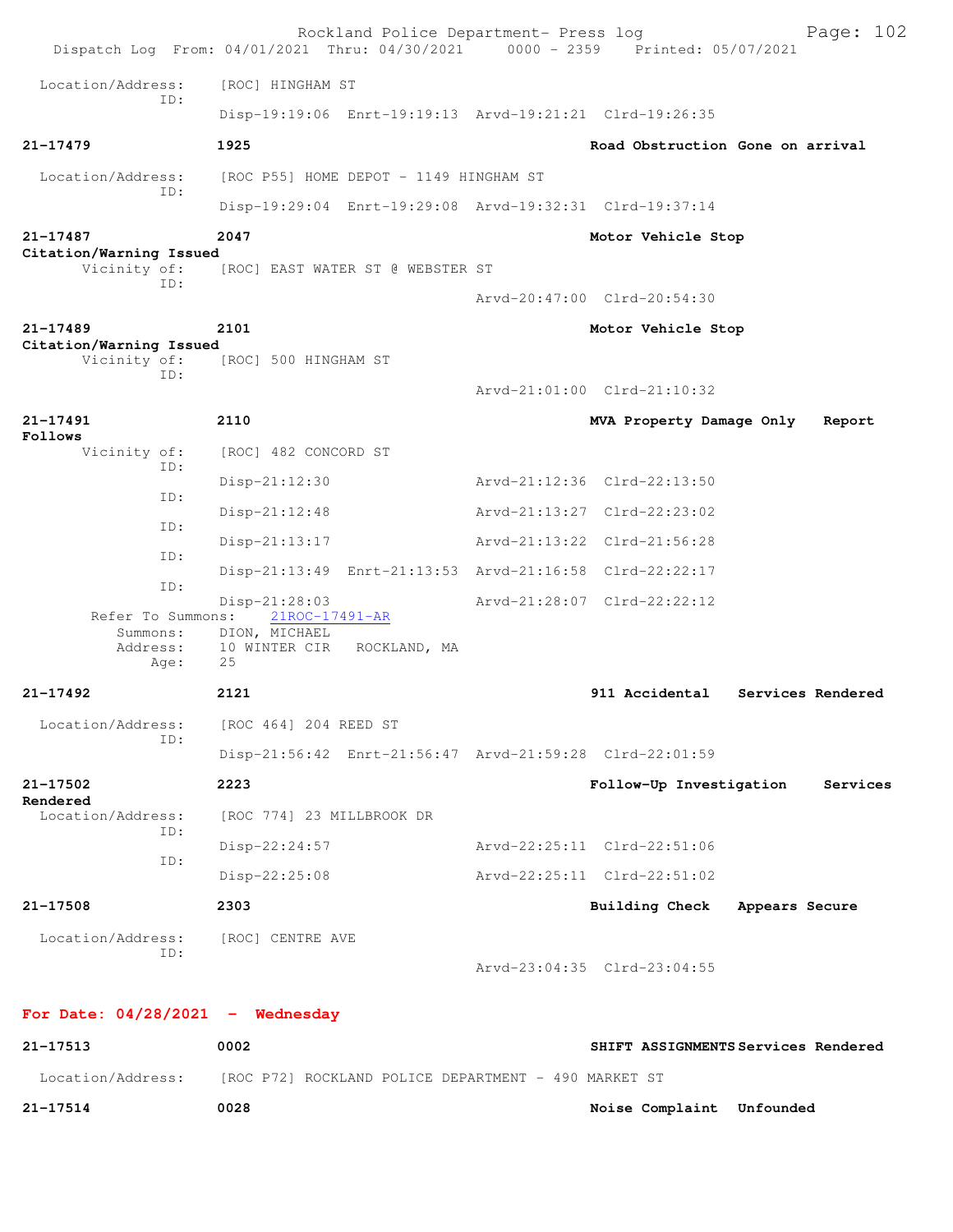|                                         | Rockland Police Department- Press log<br>Dispatch Log From: 04/01/2021 Thru: 04/30/2021 0000 - 2359 Printed: 05/07/2021 |                                     | Page: 102         |
|-----------------------------------------|-------------------------------------------------------------------------------------------------------------------------|-------------------------------------|-------------------|
| Location/Address:                       | [ROC] HINGHAM ST                                                                                                        |                                     |                   |
| TD:                                     | Disp-19:19:06 Enrt-19:19:13 Arvd-19:21:21 Clrd-19:26:35                                                                 |                                     |                   |
| $21 - 17479$                            | 1925                                                                                                                    | Road Obstruction Gone on arrival    |                   |
| Location/Address:                       | [ROC P55] HOME DEPOT - 1149 HINGHAM ST                                                                                  |                                     |                   |
| ID:                                     | Disp-19:29:04 Enrt-19:29:08 Arvd-19:32:31 Clrd-19:37:14                                                                 |                                     |                   |
| $21 - 17487$                            | 2047                                                                                                                    | Motor Vehicle Stop                  |                   |
| Citation/Warning Issued<br>Vicinity of: | [ROC] EAST WATER ST @ WEBSTER ST                                                                                        |                                     |                   |
| ID:                                     |                                                                                                                         | Arvd-20:47:00 Clrd-20:54:30         |                   |
| $21 - 17489$                            | 2101                                                                                                                    | Motor Vehicle Stop                  |                   |
| Citation/Warning Issued<br>Vicinity of: | [ROC] 500 HINGHAM ST                                                                                                    |                                     |                   |
| TD:                                     |                                                                                                                         | Arvd-21:01:00 Clrd-21:10:32         |                   |
| $21 - 17491$                            | 2110                                                                                                                    | MVA Property Damage Only            | Report            |
| Follows<br>Vicinity of:                 | [ROC] 482 CONCORD ST                                                                                                    |                                     |                   |
| ID:                                     | $Disp-21:12:30$                                                                                                         | Arvd-21:12:36 Clrd-22:13:50         |                   |
| ID:<br>TD:                              | $Disp-21:12:48$                                                                                                         | Arvd-21:13:27 Clrd-22:23:02         |                   |
| ID:                                     | $Disp-21:13:17$                                                                                                         | Arvd-21:13:22 Clrd-21:56:28         |                   |
| ID:                                     | Disp-21:13:49 Enrt-21:13:53 Arvd-21:16:58 Clrd-22:22:17                                                                 |                                     |                   |
| Refer To Summons:                       | Disp-21:28:03<br>21ROC-17491-AR                                                                                         | Arvd-21:28:07 Clrd-22:22:12         |                   |
| Summons:<br>Address:<br>Age:            | DION, MICHAEL<br>10 WINTER CIR<br>ROCKLAND, MA<br>25                                                                    |                                     |                   |
| $21 - 17492$                            | 2121                                                                                                                    | 911 Accidental                      | Services Rendered |
| Location/Address:                       | [ROC 464] 204 REED ST                                                                                                   |                                     |                   |
| ID:                                     | Disp-21:56:42 Enrt-21:56:47 Arvd-21:59:28 Clrd-22:01:59                                                                 |                                     |                   |
| 21-17502<br>Rendered                    | 2223                                                                                                                    | Follow-Up Investigation             | Services          |
| Location/Address:<br>ID:                | [ROC 774] 23 MILLBROOK DR                                                                                               |                                     |                   |
| ID:                                     | $Disp-22:24:57$                                                                                                         | Arvd-22:25:11 Clrd-22:51:06         |                   |
|                                         | $Disp-22:25:08$                                                                                                         | Arvd-22:25:11 Clrd-22:51:02         |                   |
| 21-17508                                | 2303                                                                                                                    | <b>Building Check</b>               | Appears Secure    |
| Location/Address:<br>ID:                | [ROC] CENTRE AVE                                                                                                        | Arvd-23:04:35 Clrd-23:04:55         |                   |
| For Date: $04/28/2021$ - Wednesday      |                                                                                                                         |                                     |                   |
| 21-17513                                | 0002                                                                                                                    | SHIFT ASSIGNMENTS Services Rendered |                   |
| Location/Address:                       | [ROC P72] ROCKLAND POLICE DEPARTMENT - 490 MARKET ST                                                                    |                                     |                   |

**21-17514 0028 Noise Complaint Unfounded**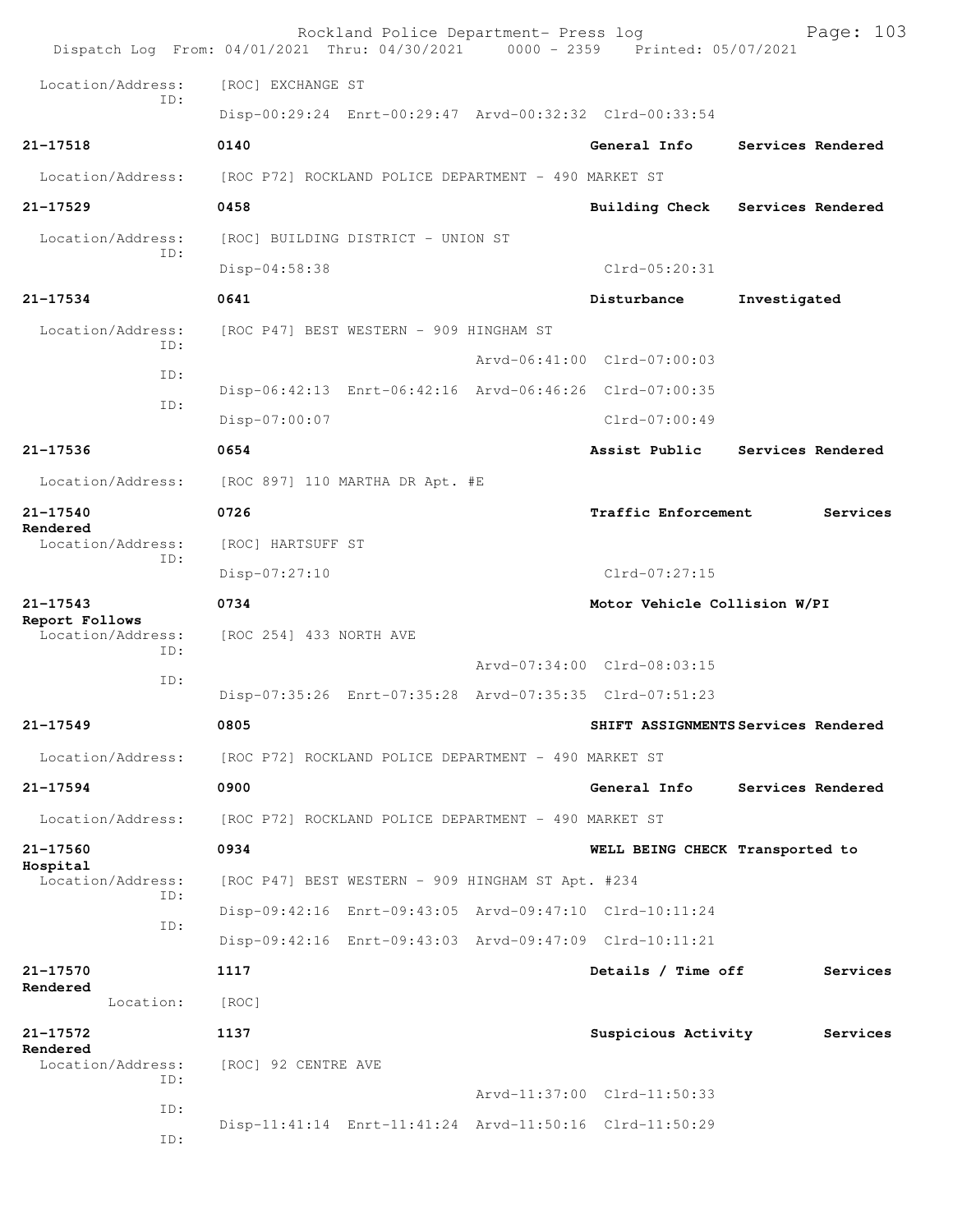|                                     | Rockland Police Department- Press log<br>Dispatch Log From: 04/01/2021 Thru: 04/30/2021 0000 - 2359 Printed: 05/07/2021 |  |                                 | Page: 103                           |  |
|-------------------------------------|-------------------------------------------------------------------------------------------------------------------------|--|---------------------------------|-------------------------------------|--|
| Location/Address:                   | [ROC] EXCHANGE ST                                                                                                       |  |                                 |                                     |  |
| TD:                                 | Disp-00:29:24 Enrt-00:29:47 Arvd-00:32:32 Clrd-00:33:54                                                                 |  |                                 |                                     |  |
| 21-17518                            | 0140                                                                                                                    |  | General Info                    | Services Rendered                   |  |
| Location/Address:                   | [ROC P72] ROCKLAND POLICE DEPARTMENT - 490 MARKET ST                                                                    |  |                                 |                                     |  |
| $21 - 17529$                        | 0458                                                                                                                    |  | <b>Building Check</b>           | Services Rendered                   |  |
| Location/Address:                   | [ROC] BUILDING DISTRICT - UNION ST                                                                                      |  |                                 |                                     |  |
| TD:                                 | Disp-04:58:38                                                                                                           |  | $Clrd-05:20:31$                 |                                     |  |
| 21-17534                            | 0641                                                                                                                    |  | Disturbance                     | Investigated                        |  |
| Location/Address:                   | [ROC P47] BEST WESTERN - 909 HINGHAM ST                                                                                 |  |                                 |                                     |  |
| ID:                                 |                                                                                                                         |  | Arvd-06:41:00 Clrd-07:00:03     |                                     |  |
| ID:                                 | Disp-06:42:13 Enrt-06:42:16 Arvd-06:46:26 Clrd-07:00:35                                                                 |  |                                 |                                     |  |
| ID:                                 | Disp-07:00:07                                                                                                           |  | Clrd-07:00:49                   |                                     |  |
| 21-17536                            | 0654                                                                                                                    |  | Assist Public                   | Services Rendered                   |  |
| Location/Address:                   | [ROC 897] 110 MARTHA DR Apt. #E                                                                                         |  |                                 |                                     |  |
| 21-17540                            | 0726                                                                                                                    |  | Traffic Enforcement             | Services                            |  |
| Rendered<br>Location/Address:       | [ROC] HARTSUFF ST                                                                                                       |  |                                 |                                     |  |
| ID:                                 | $Disp-07:27:10$                                                                                                         |  | $Clrd-07:27:15$                 |                                     |  |
| $21 - 17543$                        | 0734<br>Motor Vehicle Collision W/PI                                                                                    |  |                                 |                                     |  |
| Report Follows<br>Location/Address: | [ROC 254] 433 NORTH AVE                                                                                                 |  |                                 |                                     |  |
| TD:                                 |                                                                                                                         |  | Arvd-07:34:00 Clrd-08:03:15     |                                     |  |
| ID:                                 | Disp-07:35:26 Enrt-07:35:28 Arvd-07:35:35 Clrd-07:51:23                                                                 |  |                                 |                                     |  |
| 21-17549                            | 0805                                                                                                                    |  |                                 | SHIFT ASSIGNMENTS Services Rendered |  |
| Location/Address:                   | [ROC P72] ROCKLAND POLICE DEPARTMENT - 490 MARKET ST                                                                    |  |                                 |                                     |  |
| $21 - 17594$                        | 0900                                                                                                                    |  | General Info                    | Services Rendered                   |  |
| Location/Address:                   | [ROC P72] ROCKLAND POLICE DEPARTMENT - 490 MARKET ST                                                                    |  |                                 |                                     |  |
| 21-17560                            | 0934                                                                                                                    |  | WELL BEING CHECK Transported to |                                     |  |
| Hospital<br>Location/Address:       | [ROC P47] BEST WESTERN - 909 HINGHAM ST Apt. #234                                                                       |  |                                 |                                     |  |
| ID:                                 | Disp-09:42:16 Enrt-09:43:05 Arvd-09:47:10 Clrd-10:11:24                                                                 |  |                                 |                                     |  |
| ID:                                 | Disp-09:42:16 Enrt-09:43:03 Arvd-09:47:09 Clrd-10:11:21                                                                 |  |                                 |                                     |  |
| 21-17570                            | 1117                                                                                                                    |  | Details / Time off              | Services                            |  |
| Rendered<br>Location:               | [ROC]                                                                                                                   |  |                                 |                                     |  |
| 21-17572                            | 1137                                                                                                                    |  | Suspicious Activity             | Services                            |  |
| Rendered<br>Location/Address:       | [ROC] 92 CENTRE AVE                                                                                                     |  |                                 |                                     |  |
| ID:                                 |                                                                                                                         |  | Arvd-11:37:00 Clrd-11:50:33     |                                     |  |
| ID:                                 | Disp-11:41:14 Enrt-11:41:24 Arvd-11:50:16 Clrd-11:50:29                                                                 |  |                                 |                                     |  |
| ID:                                 |                                                                                                                         |  |                                 |                                     |  |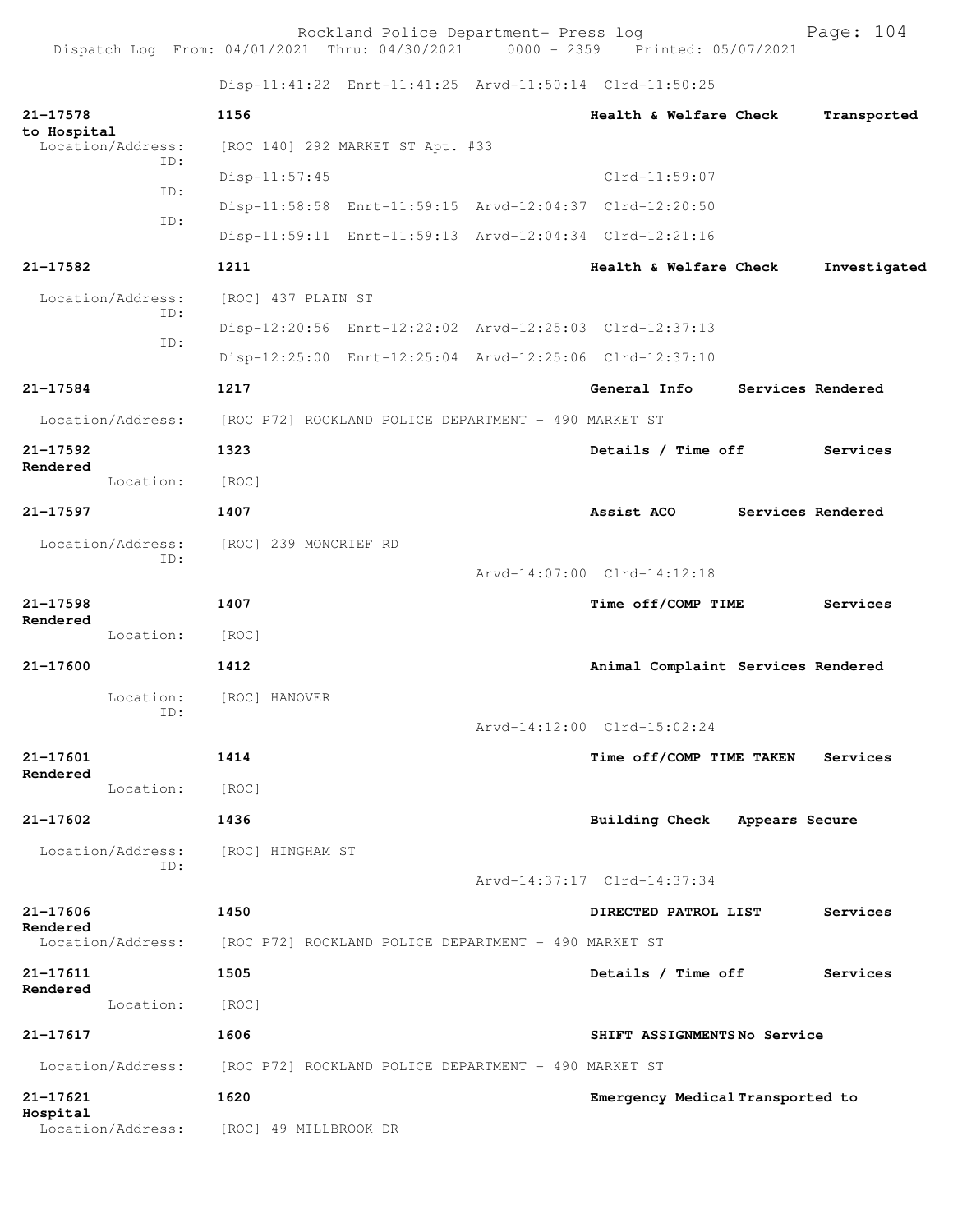Rockland Police Department- Press log entitled and Page: 104 Dispatch Log From: 04/01/2021 Thru: 04/30/2021 0000 - 2359 Printed: 05/07/2021

Disp-11:41:22 Enrt-11:41:25 Arvd-11:50:14 Clrd-11:50:25

| 21-17578<br>to Hospital       | 1156                                                    | Health & Welfare Check             |                   | Transported       |
|-------------------------------|---------------------------------------------------------|------------------------------------|-------------------|-------------------|
| Location/Address:<br>ID:      | [ROC 140] 292 MARKET ST Apt. #33                        |                                    |                   |                   |
| ID:                           | $Disp-11:57:45$                                         | $Clrd-11:59:07$                    |                   |                   |
| ID:                           | Disp-11:58:58 Enrt-11:59:15 Arvd-12:04:37 Clrd-12:20:50 |                                    |                   |                   |
|                               | Disp-11:59:11 Enrt-11:59:13 Arvd-12:04:34 Clrd-12:21:16 |                                    |                   |                   |
| 21-17582                      | 1211                                                    | Health & Welfare Check             |                   | Investigated      |
| Location/Address:<br>ID:      | [ROC] 437 PLAIN ST                                      |                                    |                   |                   |
| ID:                           | Disp-12:20:56 Enrt-12:22:02 Arvd-12:25:03 Clrd-12:37:13 |                                    |                   |                   |
|                               | Disp-12:25:00 Enrt-12:25:04 Arvd-12:25:06 Clrd-12:37:10 |                                    |                   |                   |
| 21-17584                      | 1217                                                    | General Info                       |                   | Services Rendered |
| Location/Address:             | [ROC P72] ROCKLAND POLICE DEPARTMENT - 490 MARKET ST    |                                    |                   |                   |
| 21-17592                      | 1323                                                    | Details / Time off                 |                   | <b>Services</b>   |
| Rendered<br>Location:         | [ROC]                                                   |                                    |                   |                   |
| 21-17597                      | 1407                                                    | Assist ACO                         | Services Rendered |                   |
| Location/Address:             | [ROC] 239 MONCRIEF RD                                   |                                    |                   |                   |
| ID:                           |                                                         | Arvd-14:07:00 Clrd-14:12:18        |                   |                   |
| 21-17598                      | 1407                                                    | Time off/COMP TIME                 |                   | Services          |
| Rendered<br>Location:         | [ROC]                                                   |                                    |                   |                   |
| 21-17600                      | 1412                                                    | Animal Complaint Services Rendered |                   |                   |
| Location:                     | [ROC] HANOVER                                           |                                    |                   |                   |
| ID:                           |                                                         | Arvd-14:12:00 Clrd-15:02:24        |                   |                   |
| 21-17601                      | 1414                                                    | Time off/COMP TIME TAKEN           |                   | Services          |
| Rendered<br>Location: [ROC]   |                                                         |                                    |                   |                   |
| 21-17602                      | 1436                                                    | Building Check Appears Secure      |                   |                   |
| Location/Address:             | [ROC] HINGHAM ST                                        |                                    |                   |                   |
| ID:                           |                                                         | Arvd-14:37:17 Clrd-14:37:34        |                   |                   |
| 21-17606                      | 1450                                                    | DIRECTED PATROL LIST               |                   | Services          |
| Rendered<br>Location/Address: | [ROC P72] ROCKLAND POLICE DEPARTMENT - 490 MARKET ST    |                                    |                   |                   |
| 21-17611                      | 1505                                                    | Details / Time off                 |                   | Services          |
| Rendered                      |                                                         |                                    |                   |                   |
| Location:                     | [ROC]                                                   |                                    |                   |                   |
| 21-17617                      | 1606                                                    | SHIFT ASSIGNMENTSNo Service        |                   |                   |
| Location/Address:             | [ROC P72] ROCKLAND POLICE DEPARTMENT - 490 MARKET ST    |                                    |                   |                   |
| 21-17621<br>Hospital          | 1620                                                    | Emergency Medical Transported to   |                   |                   |
| Location/Address:             | [ROC] 49 MILLBROOK DR                                   |                                    |                   |                   |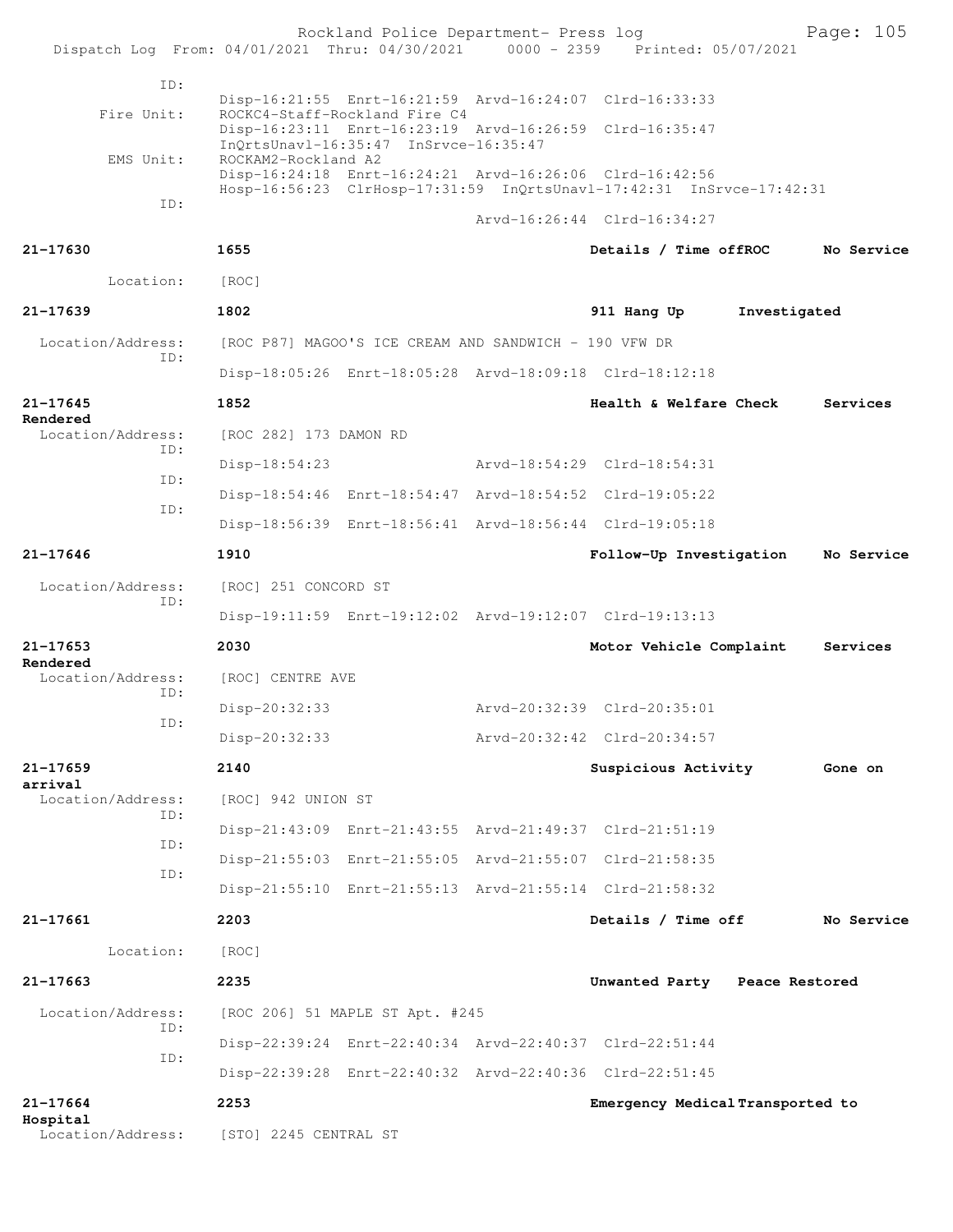|                               | Dispatch Log From: 04/01/2021 Thru: 04/30/2021 0000 - 2359 Printed: 05/07/2021 | Rockland Police Department- Press log                                  |                                                                      |              | Page: 105  |
|-------------------------------|--------------------------------------------------------------------------------|------------------------------------------------------------------------|----------------------------------------------------------------------|--------------|------------|
|                               |                                                                                |                                                                        |                                                                      |              |            |
| ID:                           |                                                                                |                                                                        | Disp-16:21:55 Enrt-16:21:59 Arvd-16:24:07 Clrd-16:33:33              |              |            |
| Fire Unit:                    |                                                                                | ROCKC4-Staff-Rockland Fire C4<br>InQrtsUnavl-16:35:47 InSrvce-16:35:47 | Disp-16:23:11 Enrt-16:23:19 Arvd-16:26:59 Clrd-16:35:47              |              |            |
| EMS Unit:                     | ROCKAM2-Rockland A2                                                            | Disp-16:24:18 Enrt-16:24:21 Arvd-16:26:06 Clrd-16:42:56                | Hosp-16:56:23 ClrHosp-17:31:59 InQrtsUnavl-17:42:31 InSrvce-17:42:31 |              |            |
| ID:                           |                                                                                |                                                                        | Arvd-16:26:44 Clrd-16:34:27                                          |              |            |
| $21 - 17630$                  | 1655                                                                           |                                                                        | Details / Time offROC                                                |              | No Service |
| Location:                     | [ROC]                                                                          |                                                                        |                                                                      |              |            |
| 21-17639                      | 1802                                                                           |                                                                        | 911 Hang Up                                                          | Investigated |            |
| Location/Address:             |                                                                                | [ROC P87] MAGOO'S ICE CREAM AND SANDWICH - 190 VFW DR                  |                                                                      |              |            |
| ID:                           |                                                                                |                                                                        | Disp-18:05:26 Enrt-18:05:28 Arvd-18:09:18 Clrd-18:12:18              |              |            |
| 21-17645                      | 1852                                                                           |                                                                        | Health & Welfare Check                                               |              | Services   |
| Rendered<br>Location/Address: | [ROC 282] 173 DAMON RD                                                         |                                                                        |                                                                      |              |            |
| ID:                           | Disp-18:54:23                                                                  |                                                                        | Arvd-18:54:29 Clrd-18:54:31                                          |              |            |
| ID:                           |                                                                                |                                                                        | Disp-18:54:46 Enrt-18:54:47 Arvd-18:54:52 Clrd-19:05:22              |              |            |
| ID:                           |                                                                                |                                                                        | Disp-18:56:39 Enrt-18:56:41 Arvd-18:56:44 Clrd-19:05:18              |              |            |
| 21-17646                      | 1910                                                                           |                                                                        | Follow-Up Investigation                                              |              | No Service |
| Location/Address:             | [ROC] 251 CONCORD ST                                                           |                                                                        |                                                                      |              |            |
| ID:                           |                                                                                |                                                                        | Disp-19:11:59 Enrt-19:12:02 Arvd-19:12:07 Clrd-19:13:13              |              |            |
| $21 - 17653$                  | 2030                                                                           |                                                                        | Motor Vehicle Complaint                                              |              | Services   |
| Rendered<br>Location/Address: | [ROC] CENTRE AVE                                                               |                                                                        |                                                                      |              |            |
| ID:                           | $Disp-20:32:33$                                                                |                                                                        | Arvd-20:32:39 Clrd-20:35:01                                          |              |            |
| ID:                           | Disp-20:32:33                                                                  |                                                                        | Arvd-20:32:42 Clrd-20:34:57                                          |              |            |
| 21-17659                      | 2140                                                                           |                                                                        | Suspicious Activity                                                  |              | Gone on    |
| arrival<br>Location/Address:  | [ROC] 942 UNION ST                                                             |                                                                        |                                                                      |              |            |
| ID:                           |                                                                                | Disp-21:43:09 Enrt-21:43:55 Arvd-21:49:37 Clrd-21:51:19                |                                                                      |              |            |
| ID:                           |                                                                                |                                                                        | Disp-21:55:03 Enrt-21:55:05 Arvd-21:55:07 Clrd-21:58:35              |              |            |
| ID:                           |                                                                                |                                                                        | Disp-21:55:10 Enrt-21:55:13 Arvd-21:55:14 Clrd-21:58:32              |              |            |
| 21-17661                      | 2203                                                                           |                                                                        | Details / Time off                                                   |              | No Service |
| Location:                     | [ROC]                                                                          |                                                                        |                                                                      |              |            |
| $21 - 17663$                  | 2235                                                                           |                                                                        | Unwanted Party Peace Restored                                        |              |            |
| Location/Address:             |                                                                                | [ROC 206] 51 MAPLE ST Apt. #245                                        |                                                                      |              |            |
| ID:                           |                                                                                |                                                                        | Disp-22:39:24 Enrt-22:40:34 Arvd-22:40:37 Clrd-22:51:44              |              |            |
| ID:                           |                                                                                |                                                                        | Disp-22:39:28 Enrt-22:40:32 Arvd-22:40:36 Clrd-22:51:45              |              |            |
| 21-17664                      | 2253                                                                           |                                                                        | Emergency Medical Transported to                                     |              |            |
| Hospital                      | Location/Address: [STO] 2245 CENTRAL ST                                        |                                                                        |                                                                      |              |            |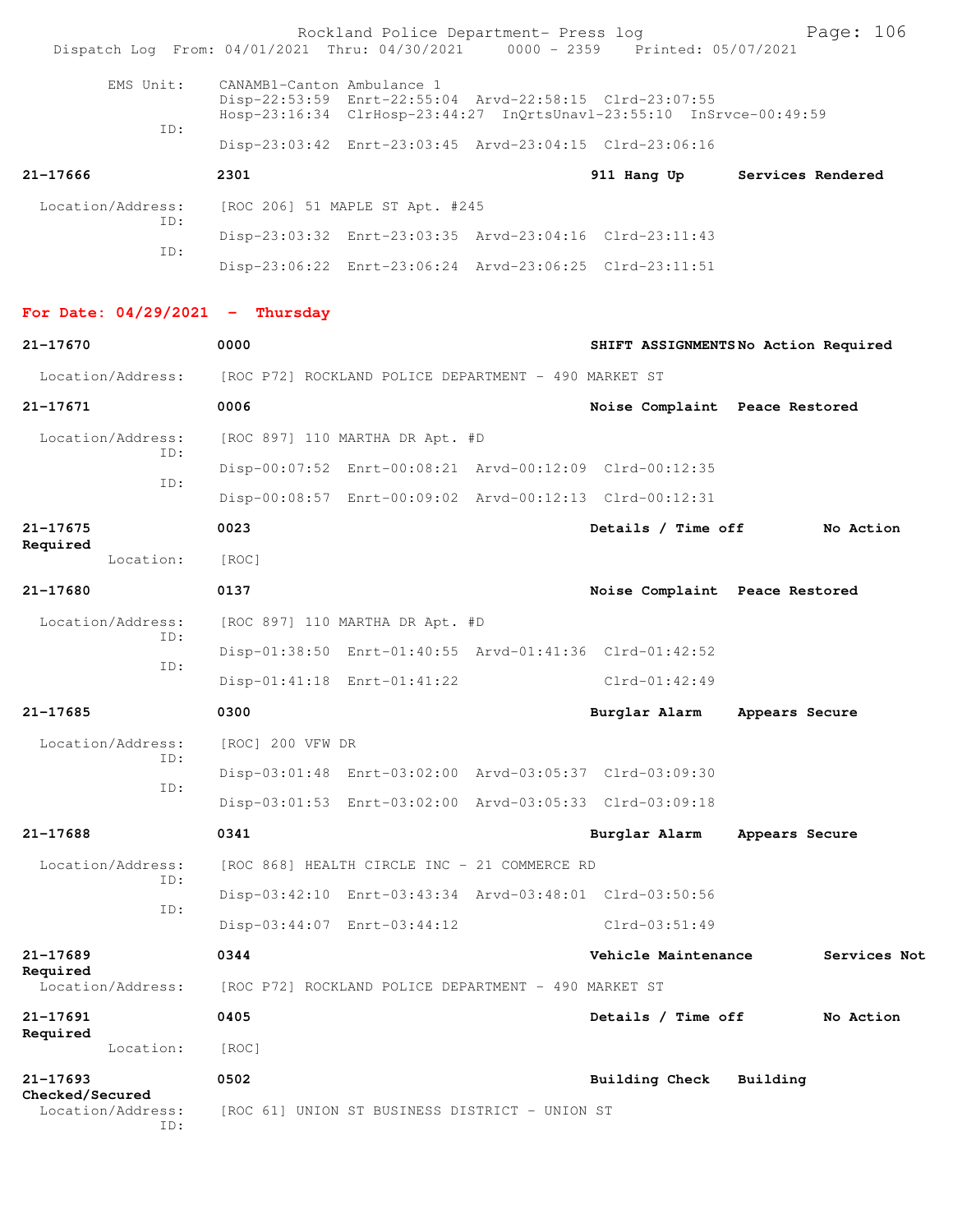| Dispatch Log From: 04/01/2021 Thru: 04/30/2021 0000 - 2359 Printed: 05/07/2021 |                                                      | Rockland Police Department- Press log          |  |                                                                                                                                 | Page: 106                           |  |
|--------------------------------------------------------------------------------|------------------------------------------------------|------------------------------------------------|--|---------------------------------------------------------------------------------------------------------------------------------|-------------------------------------|--|
| EMS Unit:                                                                      | CANAMB1-Canton Ambulance 1                           |                                                |  | Disp-22:53:59 Enrt-22:55:04 Arvd-22:58:15 Clrd-23:07:55<br>Hosp-23:16:34 ClrHosp-23:44:27 InQrtsUnavl-23:55:10 InSrvce-00:49:59 |                                     |  |
| ID:                                                                            |                                                      |                                                |  | Disp-23:03:42 Enrt-23:03:45 Arvd-23:04:15 Clrd-23:06:16                                                                         |                                     |  |
| 21-17666                                                                       | 2301                                                 |                                                |  | 911 Hang Up                                                                                                                     | Services Rendered                   |  |
| Location/Address:<br>ID:                                                       |                                                      | [ROC 206] 51 MAPLE ST Apt. #245                |  |                                                                                                                                 |                                     |  |
| ID:                                                                            |                                                      |                                                |  | Disp-23:03:32 Enrt-23:03:35 Arvd-23:04:16 Clrd-23:11:43                                                                         |                                     |  |
|                                                                                |                                                      |                                                |  | Disp-23:06:22 Enrt-23:06:24 Arvd-23:06:25 Clrd-23:11:51                                                                         |                                     |  |
| For Date: $04/29/2021$ - Thursday                                              |                                                      |                                                |  |                                                                                                                                 |                                     |  |
| 21-17670                                                                       | 0000                                                 |                                                |  |                                                                                                                                 | SHIFT ASSIGNMENTSNo Action Required |  |
| Location/Address:                                                              | [ROC P72] ROCKLAND POLICE DEPARTMENT - 490 MARKET ST |                                                |  |                                                                                                                                 |                                     |  |
| $21 - 17671$                                                                   | 0006                                                 |                                                |  | Noise Complaint Peace Restored                                                                                                  |                                     |  |
| Location/Address:                                                              |                                                      | [ROC 897] 110 MARTHA DR Apt. #D                |  |                                                                                                                                 |                                     |  |
| ID:                                                                            |                                                      |                                                |  | Disp-00:07:52 Enrt-00:08:21 Arvd-00:12:09 Clrd-00:12:35                                                                         |                                     |  |
| ID:                                                                            |                                                      |                                                |  | Disp-00:08:57 Enrt-00:09:02 Arvd-00:12:13 Clrd-00:12:31                                                                         |                                     |  |
| $21 - 17675$                                                                   | 0023                                                 |                                                |  | Details / Time off                                                                                                              | No Action                           |  |
| Required<br>Location:                                                          | [ROC]                                                |                                                |  |                                                                                                                                 |                                     |  |
| 21-17680                                                                       | 0137                                                 |                                                |  | Noise Complaint Peace Restored                                                                                                  |                                     |  |
| Location/Address:                                                              |                                                      | [ROC 897] 110 MARTHA DR Apt. #D                |  |                                                                                                                                 |                                     |  |
| ID:                                                                            |                                                      |                                                |  | Disp-01:38:50 Enrt-01:40:55 Arvd-01:41:36 Clrd-01:42:52                                                                         |                                     |  |
| ID:                                                                            |                                                      | Disp-01:41:18 Enrt-01:41:22                    |  | $Clrd-01:42:49$                                                                                                                 |                                     |  |
| 21-17685                                                                       | 0300                                                 |                                                |  | Burglar Alarm                                                                                                                   | Appears Secure                      |  |
| Location/Address:                                                              | [ROC] 200 VFW DR                                     |                                                |  |                                                                                                                                 |                                     |  |
| ID:<br>ID:                                                                     |                                                      |                                                |  | Disp-03:01:48 Enrt-03:02:00 Arvd-03:05:37 Clrd-03:09:30                                                                         |                                     |  |
|                                                                                |                                                      |                                                |  | Disp-03:01:53 Enrt-03:02:00 Arvd-03:05:33 Clrd-03:09:18                                                                         |                                     |  |
| 21-17688                                                                       | 0341                                                 |                                                |  | Burglar Alarm                                                                                                                   | Appears Secure                      |  |
| Location/Address:<br>ID:                                                       |                                                      | [ROC 868] HEALTH CIRCLE INC - 21 COMMERCE RD   |  |                                                                                                                                 |                                     |  |
| ID:                                                                            |                                                      |                                                |  | Disp-03:42:10 Enrt-03:43:34 Arvd-03:48:01 Clrd-03:50:56                                                                         |                                     |  |
|                                                                                |                                                      | Disp-03:44:07 Enrt-03:44:12                    |  | $Clrd-03:51:49$                                                                                                                 |                                     |  |
| 21-17689                                                                       | 0344                                                 |                                                |  | Vehicle Maintenance                                                                                                             | Services Not                        |  |
| Required<br>Location/Address:                                                  | [ROC P72] ROCKLAND POLICE DEPARTMENT - 490 MARKET ST |                                                |  |                                                                                                                                 |                                     |  |
| 21-17691                                                                       | 0405                                                 |                                                |  | Details / Time off                                                                                                              | No Action                           |  |
| Required<br>Location:                                                          | [ROC]                                                |                                                |  |                                                                                                                                 |                                     |  |
| 21-17693                                                                       | 0502                                                 |                                                |  | <b>Building Check</b>                                                                                                           | Building                            |  |
| Checked/Secured<br>Location/Address:<br>ID:                                    |                                                      | [ROC 61] UNION ST BUSINESS DISTRICT - UNION ST |  |                                                                                                                                 |                                     |  |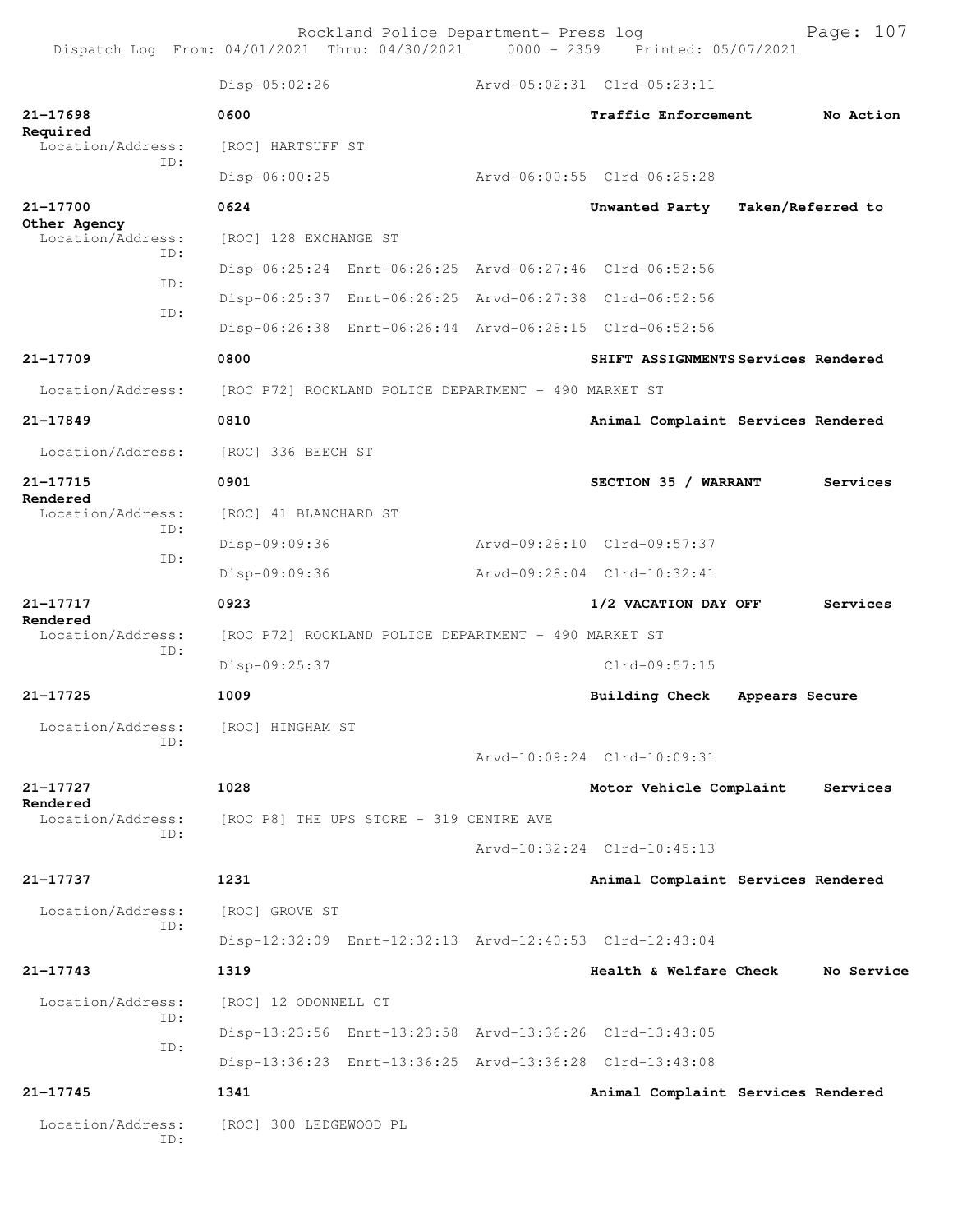Rockland Police Department- Press log entitled and Page: 107 Dispatch Log From: 04/01/2021 Thru: 04/30/2021 0000 - 2359 Printed: 05/07/2021

|                                   | Disp-05:02:26                                        |                                                         | Arvd-05:02:31 Clrd-05:23:11 |  |                                     |                   |            |
|-----------------------------------|------------------------------------------------------|---------------------------------------------------------|-----------------------------|--|-------------------------------------|-------------------|------------|
| 21-17698                          | 0600                                                 |                                                         |                             |  | Traffic Enforcement                 |                   | No Action  |
| Required<br>Location/Address:     | [ROC] HARTSUFF ST                                    |                                                         |                             |  |                                     |                   |            |
| TD:                               | Disp-06:00:25                                        |                                                         | Arvd-06:00:55 Clrd-06:25:28 |  |                                     |                   |            |
| 21-17700                          | 0624                                                 |                                                         |                             |  | Unwanted Party                      | Taken/Referred to |            |
| Other Agency<br>Location/Address: | [ROC] 128 EXCHANGE ST                                |                                                         |                             |  |                                     |                   |            |
| TD:                               |                                                      | Disp-06:25:24 Enrt-06:26:25 Arvd-06:27:46 Clrd-06:52:56 |                             |  |                                     |                   |            |
| ID:                               |                                                      | Disp-06:25:37 Enrt-06:26:25 Arvd-06:27:38 Clrd-06:52:56 |                             |  |                                     |                   |            |
| ID:                               |                                                      | Disp-06:26:38 Enrt-06:26:44 Arvd-06:28:15 Clrd-06:52:56 |                             |  |                                     |                   |            |
| 21-17709                          | 0800                                                 |                                                         |                             |  | SHIFT ASSIGNMENTS Services Rendered |                   |            |
| Location/Address:                 |                                                      | [ROC P72] ROCKLAND POLICE DEPARTMENT - 490 MARKET ST    |                             |  |                                     |                   |            |
| 21-17849                          | 0810                                                 |                                                         |                             |  | Animal Complaint Services Rendered  |                   |            |
| Location/Address:                 | [ROC] 336 BEECH ST                                   |                                                         |                             |  |                                     |                   |            |
| 21-17715                          | 0901                                                 |                                                         |                             |  | SECTION 35 / WARRANT                |                   | Services   |
| Rendered<br>Location/Address:     | [ROC] 41 BLANCHARD ST                                |                                                         |                             |  |                                     |                   |            |
| TD:                               | Disp-09:09:36                                        |                                                         | Arvd-09:28:10 Clrd-09:57:37 |  |                                     |                   |            |
| ID:                               | Disp-09:09:36                                        |                                                         | Arvd-09:28:04 Clrd-10:32:41 |  |                                     |                   |            |
| 21-17717                          | 0923                                                 |                                                         |                             |  | 1/2 VACATION DAY OFF                |                   | Services   |
| Rendered<br>Location/Address:     | [ROC P72] ROCKLAND POLICE DEPARTMENT - 490 MARKET ST |                                                         |                             |  |                                     |                   |            |
| TD:                               | Disp-09:25:37                                        |                                                         |                             |  | Clrd-09:57:15                       |                   |            |
| 21-17725                          | 1009                                                 |                                                         |                             |  | Building Check                      | Appears Secure    |            |
| Location/Address:                 | [ROC] HINGHAM ST                                     |                                                         |                             |  |                                     |                   |            |
| ID:                               |                                                      |                                                         | Arvd-10:09:24 Clrd-10:09:31 |  |                                     |                   |            |
| 21-17727<br>Rendered              | 1028                                                 |                                                         |                             |  | Motor Vehicle Complaint             |                   | Services   |
| Location/Address:<br>ID:          |                                                      | [ROC P8] THE UPS STORE - 319 CENTRE AVE                 |                             |  |                                     |                   |            |
|                                   |                                                      |                                                         | Arvd-10:32:24 Clrd-10:45:13 |  |                                     |                   |            |
| 21-17737                          | 1231                                                 |                                                         |                             |  | Animal Complaint Services Rendered  |                   |            |
| Location/Address:<br>ID:          | [ROC] GROVE ST                                       |                                                         |                             |  |                                     |                   |            |
|                                   |                                                      | Disp-12:32:09 Enrt-12:32:13 Arvd-12:40:53 Clrd-12:43:04 |                             |  |                                     |                   |            |
| 21-17743                          | 1319                                                 |                                                         |                             |  | Health & Welfare Check              |                   | No Service |
| Location/Address:                 | [ROC] 12 ODONNELL CT                                 |                                                         |                             |  |                                     |                   |            |
| ID:<br>ID:                        |                                                      | Disp-13:23:56 Enrt-13:23:58 Arvd-13:36:26 Clrd-13:43:05 |                             |  |                                     |                   |            |
|                                   |                                                      | Disp-13:36:23 Enrt-13:36:25 Arvd-13:36:28 Clrd-13:43:08 |                             |  |                                     |                   |            |
| 21-17745                          | 1341                                                 |                                                         |                             |  | Animal Complaint Services Rendered  |                   |            |
| Location/Address:<br>ID:          | [ROC] 300 LEDGEWOOD PL                               |                                                         |                             |  |                                     |                   |            |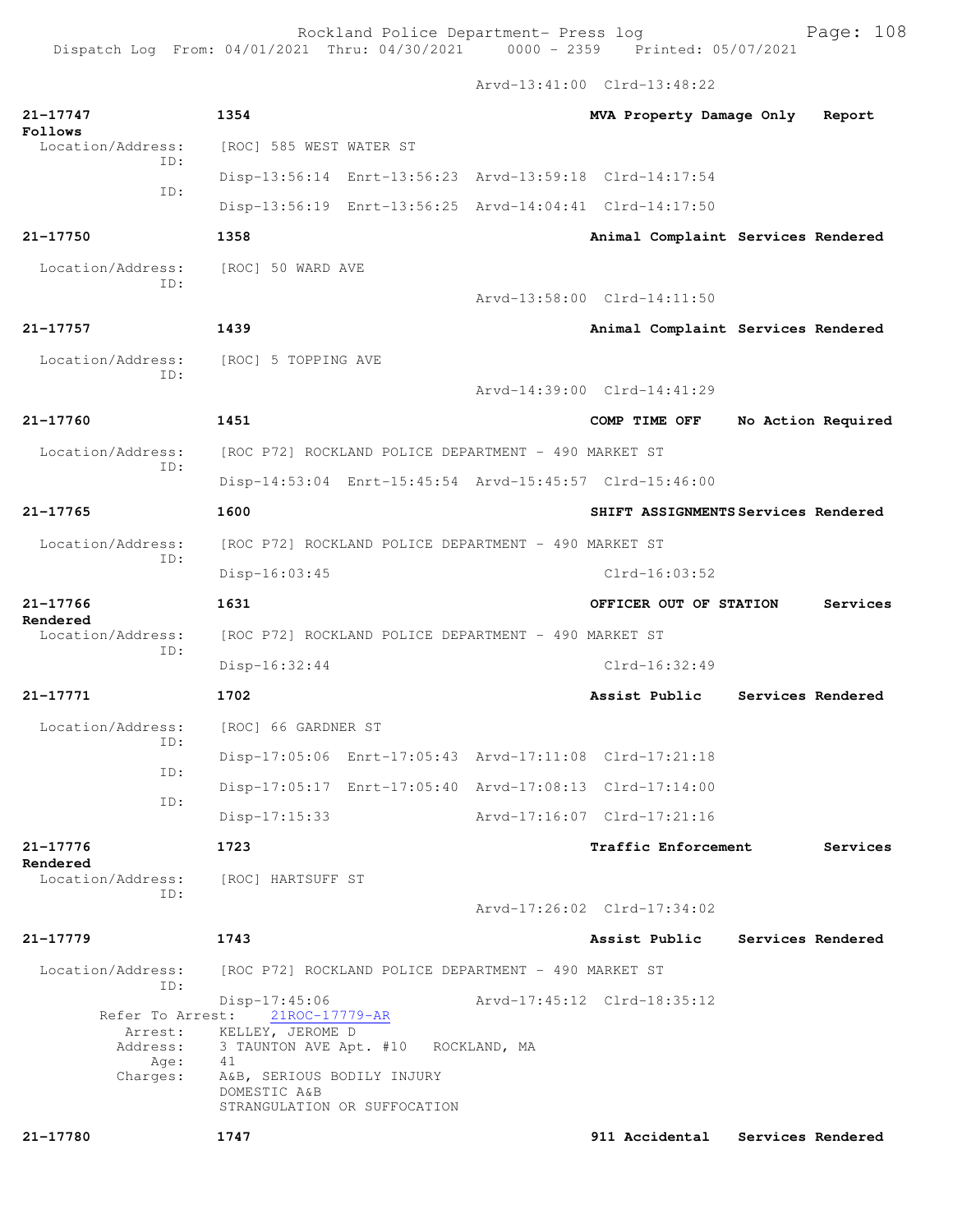Arvd-13:41:00 Clrd-13:48:22

| 21-17747<br>Follows<br>Location/Address:<br>ID:<br>ID:             | 1354                                                                                                                           |  | MVA Property Damage Only            |                    | Report   |  |
|--------------------------------------------------------------------|--------------------------------------------------------------------------------------------------------------------------------|--|-------------------------------------|--------------------|----------|--|
|                                                                    | [ROC] 585 WEST WATER ST                                                                                                        |  |                                     |                    |          |  |
|                                                                    | Disp-13:56:14 Enrt-13:56:23 Arvd-13:59:18 Clrd-14:17:54                                                                        |  |                                     |                    |          |  |
|                                                                    | Disp-13:56:19 Enrt-13:56:25 Arvd-14:04:41 Clrd-14:17:50                                                                        |  |                                     |                    |          |  |
| 21-17750                                                           | 1358                                                                                                                           |  | Animal Complaint Services Rendered  |                    |          |  |
| Location/Address:<br>ID:                                           | [ROC] 50 WARD AVE                                                                                                              |  |                                     |                    |          |  |
|                                                                    |                                                                                                                                |  | Arvd-13:58:00 Clrd-14:11:50         |                    |          |  |
| 21-17757                                                           | 1439                                                                                                                           |  | Animal Complaint Services Rendered  |                    |          |  |
| Location/Address:<br>TD:                                           | [ROC] 5 TOPPING AVE                                                                                                            |  | Arvd-14:39:00 Clrd-14:41:29         |                    |          |  |
| 21-17760                                                           | 1451                                                                                                                           |  | COMP TIME OFF                       | No Action Required |          |  |
| Location/Address:                                                  | [ROC P72] ROCKLAND POLICE DEPARTMENT - 490 MARKET ST                                                                           |  |                                     |                    |          |  |
| ID:                                                                | Disp-14:53:04 Enrt-15:45:54 Arvd-15:45:57 Clrd-15:46:00                                                                        |  |                                     |                    |          |  |
| $21 - 17765$                                                       | 1600                                                                                                                           |  | SHIFT ASSIGNMENTS Services Rendered |                    |          |  |
| Location/Address:                                                  | [ROC P72] ROCKLAND POLICE DEPARTMENT - 490 MARKET ST                                                                           |  |                                     |                    |          |  |
| TD:                                                                | $Disp-16:03:45$                                                                                                                |  | $Clrd-16:03:52$                     |                    |          |  |
| $21 - 17766$                                                       | 1631                                                                                                                           |  | OFFICER OUT OF STATION              |                    | Services |  |
| Rendered<br>Location/Address:                                      | [ROC P72] ROCKLAND POLICE DEPARTMENT - 490 MARKET ST                                                                           |  |                                     |                    |          |  |
| ID:                                                                | $Disp-16:32:44$                                                                                                                |  | $Clrd-16:32:49$                     |                    |          |  |
| 21-17771                                                           | 1702                                                                                                                           |  | Assist Public                       | Services Rendered  |          |  |
| Location/Address:                                                  | [ROC] 66 GARDNER ST                                                                                                            |  |                                     |                    |          |  |
| ID:                                                                | Disp-17:05:06 Enrt-17:05:43 Arvd-17:11:08 Clrd-17:21:18                                                                        |  |                                     |                    |          |  |
| ID:                                                                | Disp-17:05:17 Enrt-17:05:40 Arvd-17:08:13 Clrd-17:14:00                                                                        |  |                                     |                    |          |  |
| ID:                                                                | $Disp-17:15:33$                                                                                                                |  | Arvd-17:16:07 Clrd-17:21:16         |                    |          |  |
| 21-17776                                                           | 1723                                                                                                                           |  | <b>Traffic Enforcement</b>          |                    | Services |  |
| Rendered<br>Location/Address:                                      | [ROC] HARTSUFF ST                                                                                                              |  |                                     |                    |          |  |
| ID:                                                                |                                                                                                                                |  | Arvd-17:26:02 Clrd-17:34:02         |                    |          |  |
| $21 - 17779$                                                       | 1743                                                                                                                           |  | Assist Public                       | Services Rendered  |          |  |
| Location/Address:                                                  | [ROC P72] ROCKLAND POLICE DEPARTMENT - 490 MARKET ST                                                                           |  |                                     |                    |          |  |
| ID:<br>Refer To Arrest:<br>Arrest:<br>Address:<br>Age:<br>Charges: | Disp-17:45:06<br>21ROC-17779-AR<br>KELLEY, JEROME D<br>3 TAUNTON AVE Apt. #10 ROCKLAND, MA<br>41<br>A&B, SERIOUS BODILY INJURY |  | Arvd-17:45:12 Clrd-18:35:12         |                    |          |  |
|                                                                    | DOMESTIC A&B<br>STRANGULATION OR SUFFOCATION                                                                                   |  |                                     |                    |          |  |
| 21-17780                                                           | 1747                                                                                                                           |  | 911 Accidental                      | Services Rendered  |          |  |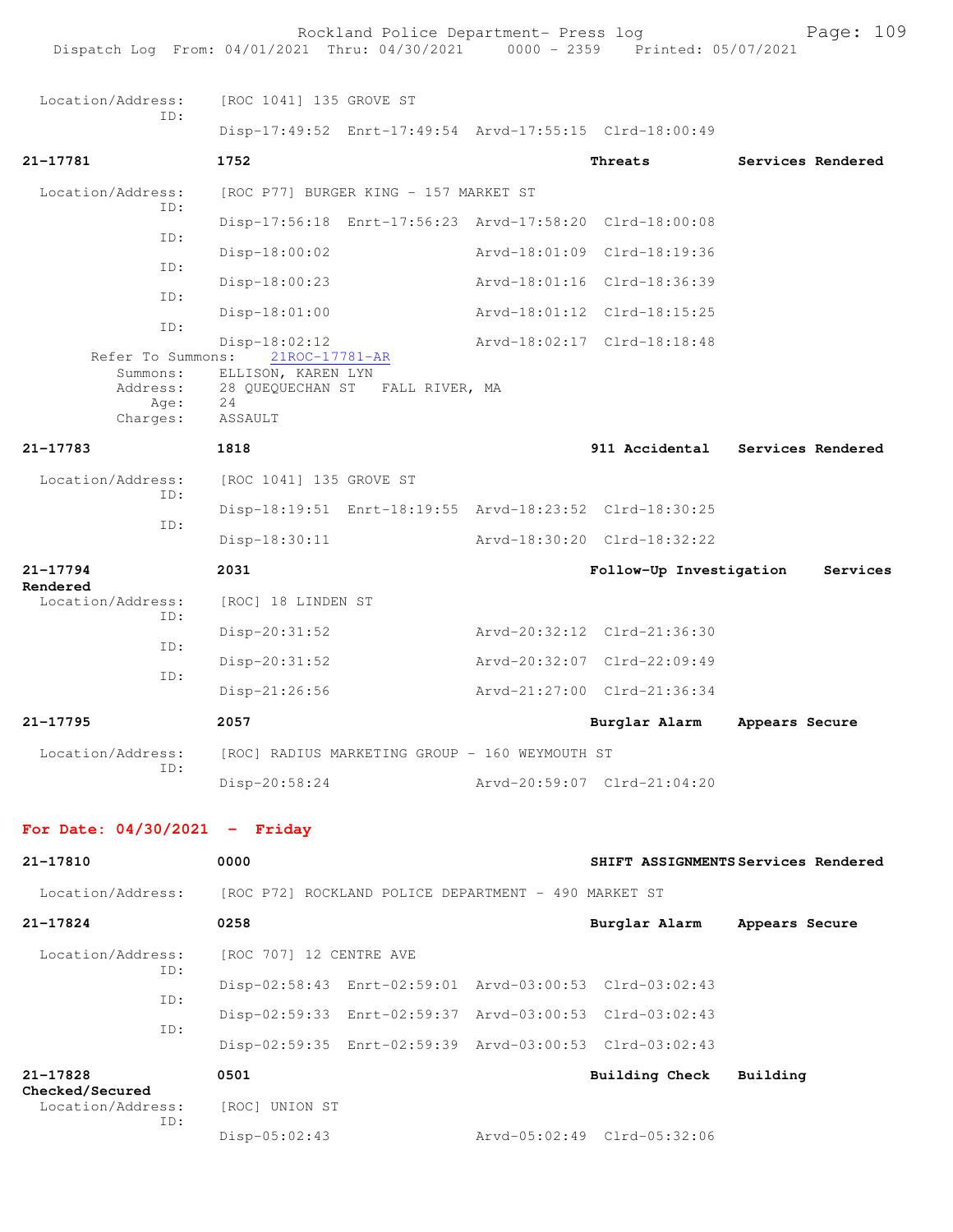Rockland Police Department- Press log Page: 109 Dispatch Log From: 04/01/2021 Thru: 04/30/2021 0000 - 2359 Printed: 05/07/2021 Location/Address: [ROC 1041] 135 GROVE ST ID: Disp-17:49:52 Enrt-17:49:54 Arvd-17:55:15 Clrd-18:00:49 **21-17781 1752 Threats Services Rendered** Location/Address: [ROC P77] BURGER KING - 157 MARKET ST ID: Disp-17:56:18 Enrt-17:56:23 Arvd-17:58:20 Clrd-18:00:08 ID: Disp-18:00:02 Arvd-18:01:09 Clrd-18:19:36 ID: Disp-18:00:23 Arvd-18:01:16 Clrd-18:36:39 ID: Disp-18:01:00 Arvd-18:01:12 Clrd-18:15:25 ID: Disp-18:02:12 Arvd-18:02:17 Clrd-18:18:48 Refer To Summons: Summons: ELLISON, KAREN LYN<br>Address: 28 QUEQUECHAN ST 28 QUEQUECHAN ST FALL RIVER, MA Age: 24 Charges: ASSAULT **21-17783 1818 911 Accidental Services Rendered** Location/Address: [ROC 1041] 135 GROVE ST ID: Disp-18:19:51 Enrt-18:19:55 Arvd-18:23:52 Clrd-18:30:25 ID: Disp-18:30:11 Arvd-18:30:20 Clrd-18:32:22 **21-17794 2031 Follow-Up Investigation Services Rendered**<br>Location/Address: [ROC] 18 LINDEN ST ID: Disp-20:31:52 Arvd-20:32:12 Clrd-21:36:30 ID: Disp-20:31:52 Arvd-20:32:07 Clrd-22:09:49 ID: Disp-21:26:56 Arvd-21:27:00 Clrd-21:36:34 **21-17795 2057 Burglar Alarm Appears Secure** Location/Address: [ROC] RADIUS MARKETING GROUP - 160 WEYMOUTH ST ID: Disp-20:58:24 Arvd-20:59:07 Clrd-21:04:20 **For Date: 04/30/2021 - Friday 21-17810 0000 SHIFT ASSIGNMENTS Services Rendered** Location/Address: [ROC P72] ROCKLAND POLICE DEPARTMENT - 490 MARKET ST **21-17824 0258 Burglar Alarm Appears Secure** Location/Address: [ROC 707] 12 CENTRE AVE ID: Disp-02:58:43 Enrt-02:59:01 Arvd-03:00:53 Clrd-03:02:43 ID: Disp-02:59:33 Enrt-02:59:37 Arvd-03:00:53 Clrd-03:02:43 ID: Disp-02:59:35 Enrt-02:59:39 Arvd-03:00:53 Clrd-03:02:43 **21-17828 0501 Building Check Building Checked/Secured**  Location/Address: [ROC] UNION ST ID: Disp-05:02:43 Arvd-05:02:49 Clrd-05:32:06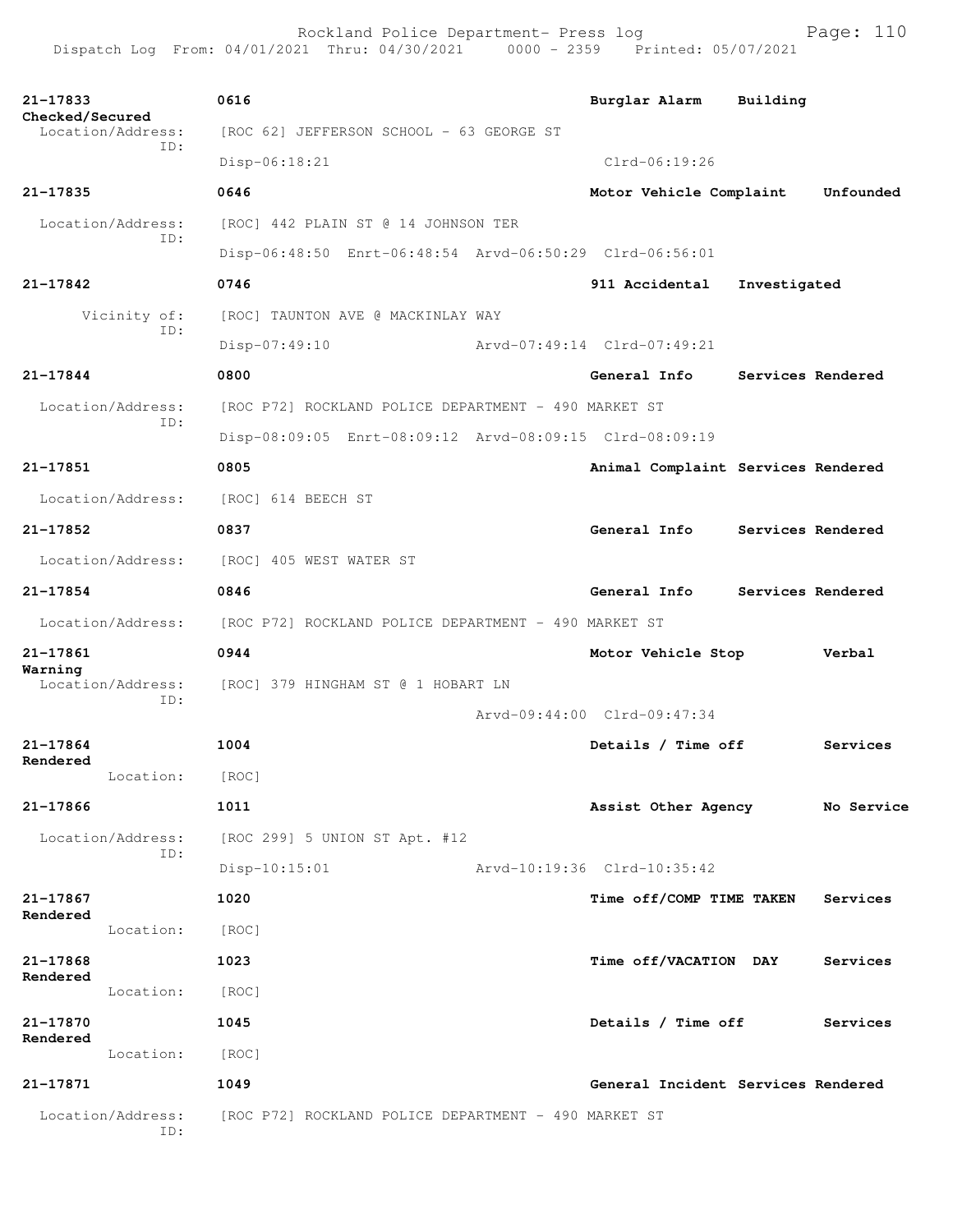Rockland Police Department- Press log Page: 110 Dispatch Log From: 04/01/2021 Thru: 04/30/2021 0000 - 2359 Printed: 05/07/2021

**21-17833 0616 Burglar Alarm Building Checked/Secured**  Location/Address: [ROC 62] JEFFERSON SCHOOL - 63 GEORGE ST ID: Disp-06:18:21 Clrd-06:19:26 **21-17835 0646 Motor Vehicle Complaint Unfounded** Location/Address: [ROC] 442 PLAIN ST @ 14 JOHNSON TER ID: Disp-06:48:50 Enrt-06:48:54 Arvd-06:50:29 Clrd-06:56:01 **21-17842 0746 911 Accidental Investigated** Vicinity of: [ROC] TAUNTON AVE @ MACKINLAY WAY ID: Disp-07:49:10 Arvd-07:49:14 Clrd-07:49:21 **21-17844 0800 General Info Services Rendered** Location/Address: [ROC P72] ROCKLAND POLICE DEPARTMENT - 490 MARKET ST ID: Disp-08:09:05 Enrt-08:09:12 Arvd-08:09:15 Clrd-08:09:19 **21-17851 0805 Animal Complaint Services Rendered** Location/Address: [ROC] 614 BEECH ST **21-17852 0837 General Info Services Rendered** Location/Address: [ROC] 405 WEST WATER ST **21-17854 0846 General Info Services Rendered** Location/Address: [ROC P72] ROCKLAND POLICE DEPARTMENT - 490 MARKET ST **21-17861 0944 Motor Vehicle Stop Verbal Warning**  Location/Address: [ROC] 379 HINGHAM ST @ 1 HOBART LN ID: Arvd-09:44:00 Clrd-09:47:34 **21-17864 1004 Details / Time off Services Rendered**  Location: [ROC] **21-17866 1011 Assist Other Agency No Service** Location/Address: [ROC 299] 5 UNION ST Apt. #12 ID: Disp-10:15:01 Arvd-10:19:36 Clrd-10:35:42 **21-17867 1020 Time off/COMP TIME TAKEN Services Rendered**  Location: [ROC] **21-17868 1023 Time off/VACATION DAY Services Rendered**  Location: [ROC] **21-17870 1045 Details / Time off Services Rendered**  Location: [ROC] **21-17871 1049 General Incident Services Rendered** Location/Address: [ROC P72] ROCKLAND POLICE DEPARTMENT - 490 MARKET ST ID: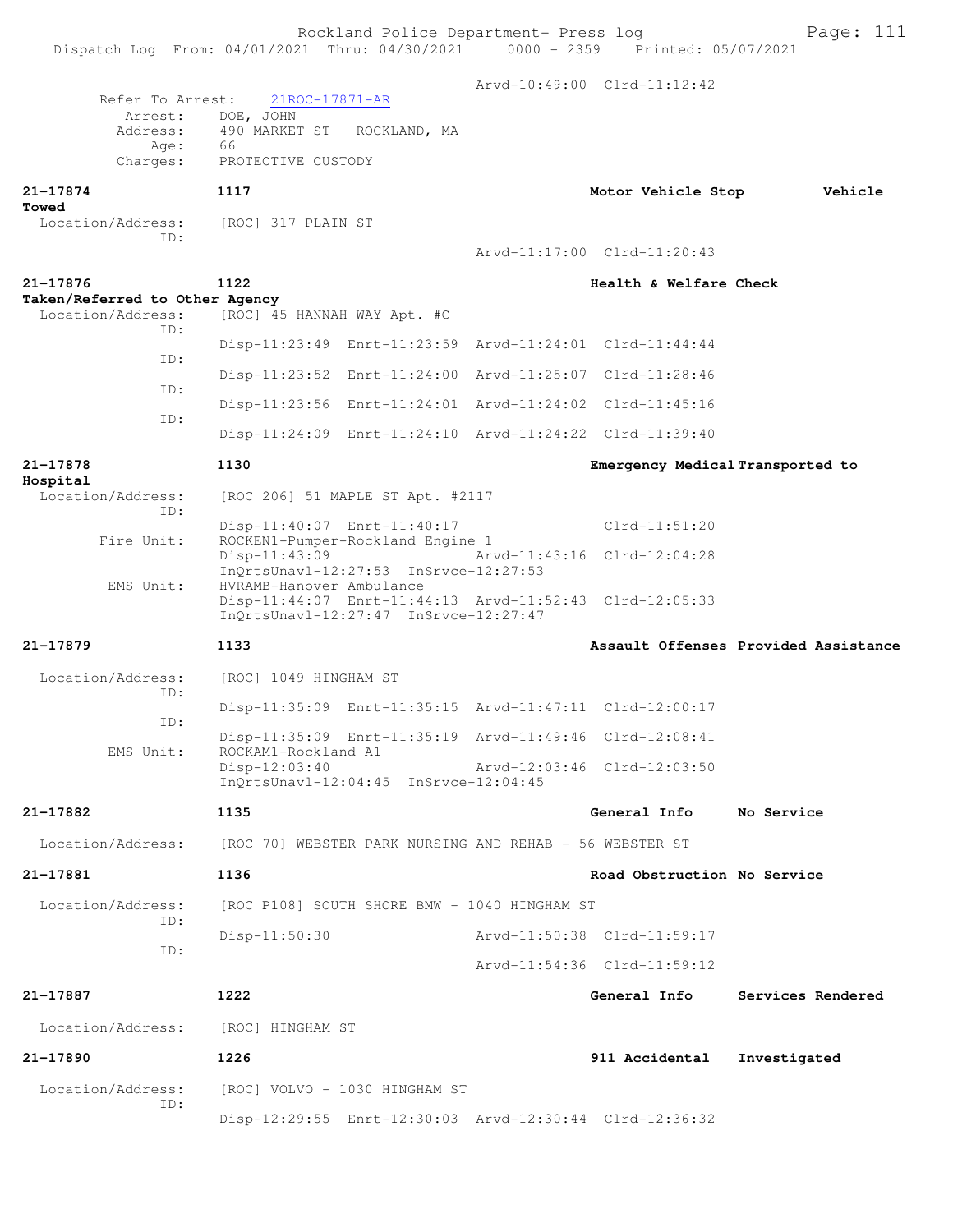|                                            |                                                                                                  |  | Arvd-10:49:00 Clrd-11:12:42      |                                      |  |
|--------------------------------------------|--------------------------------------------------------------------------------------------------|--|----------------------------------|--------------------------------------|--|
| Refer To Arrest:<br>Arrest:                | 21ROC-17871-AR<br>DOE, JOHN                                                                      |  |                                  |                                      |  |
| Address:                                   | 490 MARKET ST<br>ROCKLAND, MA                                                                    |  |                                  |                                      |  |
| Age:<br>Charges:                           | 66<br>PROTECTIVE CUSTODY                                                                         |  |                                  |                                      |  |
|                                            |                                                                                                  |  |                                  |                                      |  |
| 21-17874<br>Towed                          | 1117                                                                                             |  | Motor Vehicle Stop               | Vehicle                              |  |
| Location/Address:                          | [ROC] 317 PLAIN ST                                                                               |  |                                  |                                      |  |
| ID:                                        |                                                                                                  |  | Arvd-11:17:00 Clrd-11:20:43      |                                      |  |
|                                            |                                                                                                  |  |                                  |                                      |  |
| 21-17876<br>Taken/Referred to Other Agency | 1122                                                                                             |  | Health & Welfare Check           |                                      |  |
| Location/Address:<br>ID:                   | [ROC] 45 HANNAH WAY Apt. #C                                                                      |  |                                  |                                      |  |
| ID:                                        | Disp-11:23:49 Enrt-11:23:59 Arvd-11:24:01 Clrd-11:44:44                                          |  |                                  |                                      |  |
|                                            | Disp-11:23:52 Enrt-11:24:00 Arvd-11:25:07 Clrd-11:28:46                                          |  |                                  |                                      |  |
| ID:                                        | Disp-11:23:56 Enrt-11:24:01 Arvd-11:24:02 Clrd-11:45:16                                          |  |                                  |                                      |  |
| ID:                                        |                                                                                                  |  |                                  |                                      |  |
|                                            | Disp-11:24:09 Enrt-11:24:10 Arvd-11:24:22 Clrd-11:39:40                                          |  |                                  |                                      |  |
| 21-17878                                   | 1130                                                                                             |  | Emergency Medical Transported to |                                      |  |
| Hospital<br>Location/Address:              | [ROC 206] 51 MAPLE ST Apt. #2117                                                                 |  |                                  |                                      |  |
| ID:                                        | Disp-11:40:07 Enrt-11:40:17                                                                      |  | $Clrd-11:51:20$                  |                                      |  |
| Fire Unit:                                 | ROCKEN1-Pumper-Rockland Engine 1                                                                 |  |                                  |                                      |  |
|                                            | $Disp-11:43:09$<br>Arvd-11:43:16 Clrd-12:04:28<br>InOrtsUnav1-12:27:53 InSrvce-12:27:53          |  |                                  |                                      |  |
| EMS Unit:                                  | HVRAMB-Hanover Ambulance                                                                         |  |                                  |                                      |  |
|                                            | Disp-11:44:07 Enrt-11:44:13 Arvd-11:52:43 Clrd-12:05:33<br>InQrtsUnavl-12:27:47 InSrvce-12:27:47 |  |                                  |                                      |  |
| 21-17879                                   | 1133                                                                                             |  |                                  | Assault Offenses Provided Assistance |  |
|                                            |                                                                                                  |  |                                  |                                      |  |
| Location/Address:<br>ID:                   | [ROC] 1049 HINGHAM ST                                                                            |  |                                  |                                      |  |
|                                            | Disp-11:35:09 Enrt-11:35:15 Arvd-11:47:11 Clrd-12:00:17                                          |  |                                  |                                      |  |
| ID:                                        | Disp-11:35:09 Enrt-11:35:19 Arvd-11:49:46 Clrd-12:08:41                                          |  |                                  |                                      |  |
| EMS Unit:                                  | ROCKAM1-Rockland A1<br>$Disp-12:03:40$                                                           |  | Arvd-12:03:46 Clrd-12:03:50      |                                      |  |
|                                            | InQrtsUnavl-12:04:45 InSrvce-12:04:45                                                            |  |                                  |                                      |  |
| 21-17882                                   | 1135                                                                                             |  | General Info                     | No Service                           |  |
| Location/Address:                          | [ROC 70] WEBSTER PARK NURSING AND REHAB - 56 WEBSTER ST                                          |  |                                  |                                      |  |
| 21-17881                                   | 1136                                                                                             |  | Road Obstruction No Service      |                                      |  |
| Location/Address:                          | [ROC P108] SOUTH SHORE BMW - 1040 HINGHAM ST                                                     |  |                                  |                                      |  |
| ID:                                        | $Disp-11:50:30$                                                                                  |  | Arvd-11:50:38 Clrd-11:59:17      |                                      |  |
| ID:                                        |                                                                                                  |  | Arvd-11:54:36 Clrd-11:59:12      |                                      |  |
|                                            |                                                                                                  |  |                                  |                                      |  |
| 21-17887                                   | 1222                                                                                             |  | General Info                     | Services Rendered                    |  |
| Location/Address:                          | [ROC] HINGHAM ST                                                                                 |  |                                  |                                      |  |
| 21-17890                                   | 1226                                                                                             |  | 911 Accidental                   | Investigated                         |  |
| Location/Address:<br>ID:                   | [ROC] VOLVO - 1030 HINGHAM ST                                                                    |  |                                  |                                      |  |
|                                            | Disp-12:29:55 Enrt-12:30:03 Arvd-12:30:44 Clrd-12:36:32                                          |  |                                  |                                      |  |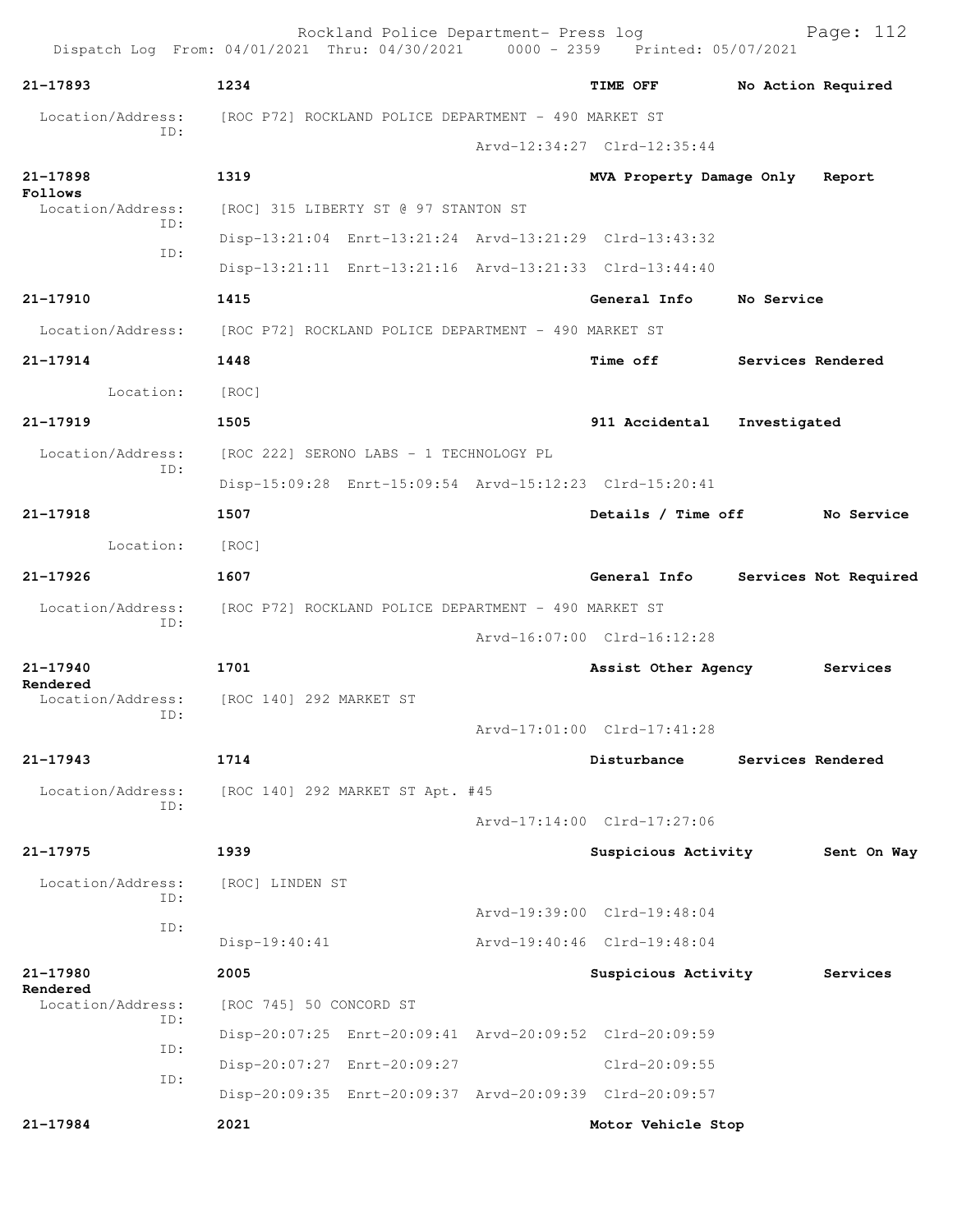| 21-17893                      | 1234                                                                   |  | TIME OFF                    | No Action Required              |  |
|-------------------------------|------------------------------------------------------------------------|--|-----------------------------|---------------------------------|--|
| ID:                           | Location/Address: [ROC P72] ROCKLAND POLICE DEPARTMENT - 490 MARKET ST |  |                             |                                 |  |
|                               |                                                                        |  | Arvd-12:34:27 Clrd-12:35:44 |                                 |  |
| 21-17898<br>Follows           | 1319                                                                   |  |                             | MVA Property Damage Only Report |  |
| Location/Address:<br>ID:      | [ROC] 315 LIBERTY ST @ 97 STANTON ST                                   |  |                             |                                 |  |
| ID:                           | Disp-13:21:04 Enrt-13:21:24 Arvd-13:21:29 Clrd-13:43:32                |  |                             |                                 |  |
|                               | Disp-13:21:11 Enrt-13:21:16 Arvd-13:21:33 Clrd-13:44:40                |  |                             |                                 |  |
| 21-17910                      | 1415                                                                   |  | General Info No Service     |                                 |  |
|                               | Location/Address: [ROC P72] ROCKLAND POLICE DEPARTMENT - 490 MARKET ST |  |                             |                                 |  |
| 21-17914                      | 1448                                                                   |  | Time off                    | Services Rendered               |  |
| Location: [ROC]               |                                                                        |  |                             |                                 |  |
| 21-17919                      | 1505                                                                   |  | 911 Accidental Investigated |                                 |  |
| Location/Address:             | [ROC 222] SERONO LABS - 1 TECHNOLOGY PL                                |  |                             |                                 |  |
| ID:                           | Disp-15:09:28 Enrt-15:09:54 Arvd-15:12:23 Clrd-15:20:41                |  |                             |                                 |  |
| 21-17918                      | 1507                                                                   |  |                             | Details / Time off No Service   |  |
| Location:                     | [ROC]                                                                  |  |                             |                                 |  |
| 21-17926                      | 1607                                                                   |  | General Info                | Services Not Required           |  |
| ID:                           | Location/Address: [ROC P72] ROCKLAND POLICE DEPARTMENT - 490 MARKET ST |  |                             |                                 |  |
|                               |                                                                        |  | Arvd-16:07:00 Clrd-16:12:28 |                                 |  |
| 21-17940                      | 1701                                                                   |  | Assist Other Agency         | Services                        |  |
| Rendered                      | Location/Address: [ROC 140] 292 MARKET ST                              |  |                             |                                 |  |
| ID:                           |                                                                        |  | Arvd-17:01:00 Clrd-17:41:28 |                                 |  |
| 21-17943                      | 1714                                                                   |  | Disturbance                 | Services Rendered               |  |
| Location/Address:             | [ROC 140] 292 MARKET ST Apt. #45                                       |  |                             |                                 |  |
| ID:                           |                                                                        |  | Arvd-17:14:00 Clrd-17:27:06 |                                 |  |
| 21-17975                      | 1939                                                                   |  | Suspicious Activity         | Sent On Way                     |  |
| Location/Address:             | [ROC] LINDEN ST                                                        |  |                             |                                 |  |
| ID:                           |                                                                        |  | Arvd-19:39:00 Clrd-19:48:04 |                                 |  |
| ID:                           | $Disp-19:40:41$                                                        |  | Arvd-19:40:46 Clrd-19:48:04 |                                 |  |
| 21-17980                      | 2005                                                                   |  | Suspicious Activity         | Services                        |  |
| Rendered<br>Location/Address: | [ROC 745] 50 CONCORD ST                                                |  |                             |                                 |  |
| ID:                           | Disp-20:07:25 Enrt-20:09:41 Arvd-20:09:52 Clrd-20:09:59                |  |                             |                                 |  |
| ID:                           | Disp-20:07:27 Enrt-20:09:27                                            |  | Clrd-20:09:55               |                                 |  |
| ID:                           |                                                                        |  |                             |                                 |  |
|                               | Disp-20:09:35 Enrt-20:09:37 Arvd-20:09:39 Clrd-20:09:57                |  |                             |                                 |  |